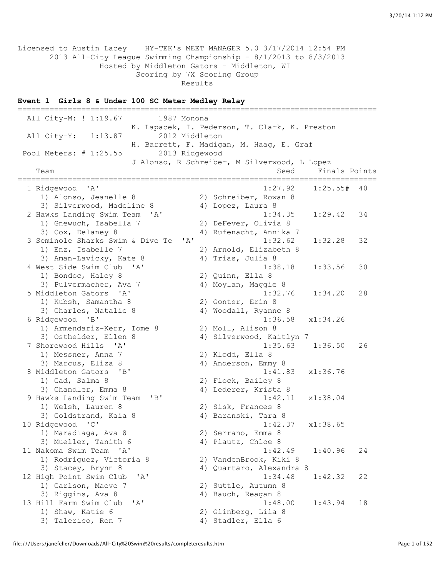Licensed to Austin Lacey HY-TEK's MEET MANAGER 5.0 3/17/2014 12:54 PM 2013 All-City League Swimming Championship - 8/1/2013 to 8/3/2013 Hosted by Middleton Gators - Middleton, WI Scoring by 7X Scoring Group Results

### **Event 1 Girls 8 & Under 100 SC Meter Medley Relay**

=============================================================================== All City-M: ! 1:19.67 1987 Monona K. Lapacek, I. Pederson, T. Clark, K. Preston All City-Y: 1:13.87 2012 Middleton H. Barrett, F. Madigan, M. Haag, E. Graf Pool Meters: # 1:25.55 2013 Ridgewood J Alonso, R Schreiber, M Silverwood, L Lopez Team Seed Finals Points =============================================================================== %idgewood 'A' 1:27.92 1:25.55# 40<br>1) Alonso, Jeanelle 8 2) Schreiber, Rowan 8 2) Schreiber, Rowan 8 3) Silverwood, Madeline 8 4) Lopez, Laura 8 2 Hawks Landing Swim Team 'A' 1:34.35 1:29.42 34 1) Gnewuch, Isabella 7 2) DeFever, Olivia 8 3) Cox, Delaney 8 4) Rufenacht, Annika 7 3 Seminole Sharks Swim & Dive Te 'A' 1:32.62 1:32.28 32 1) Enz, Isabelle 7 2) Arnold, Elizabeth 8 3) Aman-Lavicky, Kate 8 4) Trias, Julia 8 4 West Side Swim Club 'A' 1:38.18 1:33.56 30 1) Bondoc, Haley 8 2) Quinn, Ella 8<br>3) Pulvermacher, Ava 7 4) Moylan, Maggie 8 3) Pulvermacher, Ava 7 5 Middleton Gators 'A' 1:32.76 1:34.20 28 1) Kubsh, Samantha 8 2) Gonter, Erin 8 3) Charles, Natalie 8 4) Woodall, Ryanne 8 6 Ridgewood 'B' 1:36.58 x1:34.26 1) Armendariz-Kerr, Iome 8 2) Moll, Alison 8 3) Osthelder, Ellen 8 4) Silverwood, Kaitlyn 7 7 Shorewood Hills 'A' 1:35.63 1:36.50 26 1) Messner, Anna 7 2) Klodd, Ella 8 3) Marcus, Eliza 8 4) Anderson, Emmy 8 8 Middleton Gators 'B' 1:41.83 x1:36.76 1) Gad, Salma 8 2) Flock, Bailey 8 3) Chandler, Emma 8 4) Lederer, Krista 8 9 Hawks Landing Swim Team 'B' 1:42.11 x1:38.04 1) Welsh, Lauren 8 2) Sisk, Frances 8 3) Goldstrand, Kaia 8 4) Baranski, Tara 8 10 Ridgewood 'C' 1:42.37 x1:38.65 1) Maradiaga, Ava 8 2) Serrano, Emma 8 3) Maradiaga, Ava 8 (2) Serrano, Emma 8<br>3) Mueller, Tanith 6 (4) Plautz, Chloe 8<br>(4) 1:42.49 (1:40.96) 11 Nakoma Swim Team 'A' 1:42.49 1:40.96 24 1) Rodriguez, Victoria 8 2) VandenBrook, Kiki 8 3) Stacey, Brynn 8 4) Quartaro, Alexandra 8 12 High Point Swim Club 'A' 1:34.48 1:42.32 22 1) Carlson, Maeve 7 2) Suttle, Autumn 8 3) Riggins, Ava 8 4) Bauch, Reagan 8 13 Hill Farm Swim Club 'A' 1:48.00 1:43.94 18 1) Shaw, Katie 6 2) Glinberg, Lila 8 3) Talerico, Ren 7 (4) Stadler, Ella 6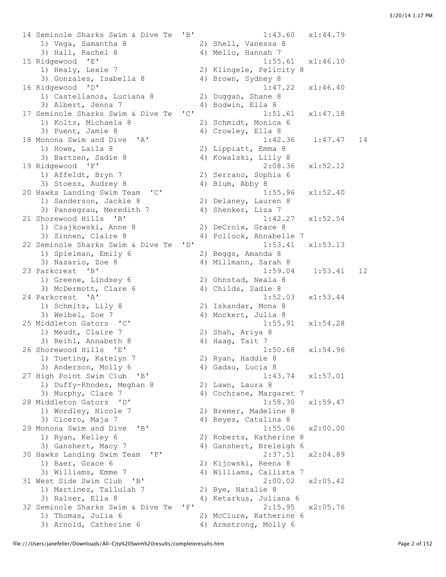14 Seminole Sharks Swim & Dive Te 'B' 1:43.60 x1:44.79 1) Vega, Samantha 8 2) Shell, Vanessa 8 3) Hall, Rachel 8 4) Mello, Hannah 7<br>15 Ridgewood 'E' 1:55.<br>11 Healy, Lexie 7 2) Klingele, Felici<br>3) Conzales, Tesh 1:55. 15 Ridgewood 'E' 1:55.61 x1:46.10 1) Healy, Lexie 7 2) Klingele, Felicity 8 3) Gonzales, Isabella 8 4) Brown, Sydney 8 16 Ridgewood 'D' 1:47.22 x1:46.40 1) Castellanos, Luciana 8 2) Duggan, Shane 8 3) Albert, Jenna 7 4) Bodwin, Ella 8 17 Seminole Sharks Swim & Dive Te 'C' 1:51.61 x1:47.18 1) Koltz, Michaela 8 2) Schmidt, Monica 6 3) Puent, Jamie 8 4) Crowley, Ella 8 18 Monona Swim and Dive 'A' 1:42.36 1:47.47 14 1) Howe, Laila 8 2) Lippiatt, Emma 8 3) Bartzen, Sadie 8 4) Kowalski, Lilly 8 19 Ridgewood 'F' 2:08.36 x1:52.12 1) Affeldt, Bryn 7 2) Serrano, Sophia 6 3) Stoesz, Audrey 8 4) Blum, Abby 8 20 Hawks Landing Swim Team 'C' 1:55.96 x1:52.40 1) Sanderson, Jackie 8 2) Delaney, Lauren 8 3) Pansegrau, Meredith 7 4) Shenker, Liza 7 21 Shorewood Hills 'B' 1:42.27 x1:52.54 1) Czajkowski, Anne 8 2) DeCroix, Grace 8 3) Zinnen, Claire 8 4) Pollock, Annabelle 7 22 Seminole Sharks Swim & Dive Te 'D' 1:53.41 x1:53.13 1) Spielman, Emily 6 2) Beggs, Amanda 8 3) Nazario, Zoe 8 4) Millmann, Sarah 8 23 Parkcrest 'B' 1:59.04 1:53.41 12 1) Greene, Lindsey 6 2) Ohnstad, Neala 8 3) McDermott, Clare 6 4) Childs, Sadie 8 24 Parkcrest 'A' 1:52.03 x1:53.44 1) Schmitz, Lily 8 2) Iskandar, Mona 8 3) Weibel, Zoe 7 (4) Mockert, Julia 8 25 Middleton Gators 'C' 1:55.91 x1:54.28 1) Meudt, Claire 7 2) Shah, Ariya 8 3) Reihl, Annabeth 8 4) Haag, Tait 7 26 Shorewood Hills 'E' 1:50.68 x1:54.96 1) Tueting, Katelyn 7 2) Ryan, Haddie 8 3) Anderson, Molly 6 4) Gadau, Lucia 8 27 High Point Swim Club 'B' 1:43.74 x1:57.01 1) Duffy-Rhodes, Meghan 8 2) Lawn, Laura 8 3) Murphy, Clare 7 (4) Cochrane, Margaret 7 28 Middleton Gators 'D' 1:58.30 x1:59.47 1) Wordley, Nicole 7 2) Bremer, Madeline 8 3) Cicero, Maja 7 4) Reyes, Catalina 8 29 Monona Swim and Dive 'B' 1:55.06 x2:00.00<br>1) Ryan, Kelley 6 2) Roberts, Katherine 8 1) Ryan, Kelley 6 2) Roberts, Katherine 8 3) Ganshert, Macy 7 4) Ganshert, Breleigh 6 30 Hawks Landing Swim Team 'F' 2:37.51 x2:04.89 1) Baer, Grace 6 2) Kijowski, Reena 8 3) Williams, Emme 7 (4) Williams, Callista 7 31 West Side Swim Club 'B' 2:00.02 x2:05.42 1) Martinez, Tallulah 7 2) Bye, Natalie 8 3) Ralser, Ella 8 4) Ketarkus, Juliana 6 32 Seminole Sharks Swim & Dive Te 'F' 2:15.95 x2:05.76 1) Thomas, Julia 6 2) McClure, Katherine 6 3) Arnold, Catherine 6 4) Armstrong, Molly 6

file:///Users/janefeller/Downloads/All-City%20Swim%20results/completeresults.htm Page 2 of 152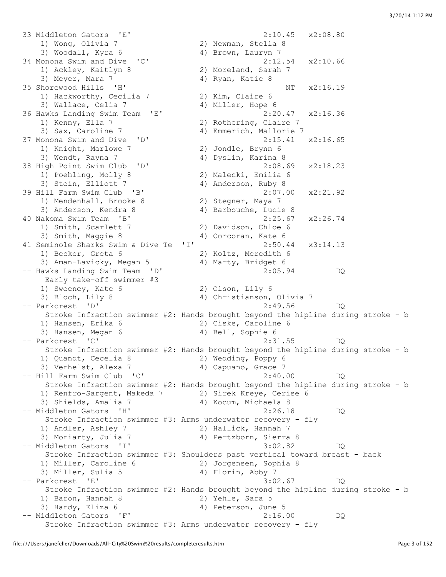33 Middleton Gators 'E' 2:10.45 x2:08.80<br>1) Wong, Olivia 7<br>3) Woodall, Kyra 6 4) Brown, Lauryn 7 1) Wong, Olivia 7 2) Newman, Stella 8 3) Woodall, Kyra 6 4) Brown, Lauryn 7 34 Monona Swim and Dive 'C' 2:12.54 x2:10.66 1) Ackley, Kaitlyn 8 2) Moreland, Sarah 7 1) Ackley, Kaitlyn 8 (2) Moreland, Sarah 7<br>3) Meyer, Mara 7 (4) Ryan, Katie 8 35 Shorewood Hills 'H' NT  $x2:16.19$ 1) Hackworthy, Cecilia 7 2) Kim, Claire 6 3) Wallace, Celia 7 4) Miller, Hope 6 36 Hawks Landing Swim Team 'E' 2:20.47 x2:16.36 1) Kenny, Ella 7 2) Rothering, Claire 7 3) Sax, Caroline 7 4) Emmerich, Mallorie 7 37 Monona Swim and Dive 'D' 2:15.41 x2:16.65 1) Knight, Marlowe 7 2) Jondle, Brynn 6 3) Wendt, Rayna 7 (4) Dyslin, Karina 8 38 High Point Swim Club 'D' 2:08.69 x2:18.23 2) Malecki, Emilia 6<br>4) Anderson, Ruby 8 1) Poehling, Molly 8<br>3) Stein, Elliott 7<br>39 Hill Farm Swim Club 'B' 39 Hill Farm Swim Club 'B' 2:07.00 x2:21.92 1) Mendenhall, Brooke 8 2) Stegner, Maya 7 3) Anderson, Kendra 8 4) Barbouche, Lucie 8 40 Nakoma Swim Team 'B' 2:25.67 x2:26.74 1) Smith, Scarlett 7 2) Davidson, Chloe 6 3) Smith, Maggie 8 4) Corcoran, Kate 6 41 Seminole Sharks Swim & Dive Te 'I' 2:50.44 x3:14.13 1) Becker, Greta 6 2) Koltz, Meredith 6 3) Aman-Lavicky, Megan 5 4) Marty, Bridget 6 -- Hawks Landing Swim Team 'D' 2:05.94 DQ Early take-off swimmer #3 1) Sweeney, Kate 6 2) Olson, Lily 6 3) Bloch, Lily 8 4) Christianson, Olivia 7 -- Parkcrest 'D' 2:49.56 DQ Stroke Infraction swimmer #2: Hands brought beyond the hipline during stroke - b 1) Hansen, Erika 6 2) Ciske, Caroline 6 3) Hansen, Megan 6 4) Bell, Sophie 6 -- Parkcrest 'C' 2:31.55 DQ Stroke Infraction swimmer #2: Hands brought beyond the hipline during stroke - b 1) Quandt, Cecelia 8 2) Wedding, Poppy 6 3) Verhelst, Alexa 7 (4) Capuano, Grace 7 -- Hill Farm Swim Club 'C' 2:40.00 DQ Stroke Infraction swimmer #2: Hands brought beyond the hipline during stroke - b 1) Renfro-Sargent, Makeda 7 2) Sirek Kreye, Cerise 6 3) Shields, Amalia 7 (4) Kocum, Michaela 8 -- Middleton Gators 'H' 2:26.18 DQ Stroke Infraction swimmer #3: Arms underwater recovery - fly 1) Andler, Ashley 7 2) Hallick, Hannah 7 3) Moriarty, Julia 7 4) Pertzborn, Sierra 8 -- Middleton Gators 'I' 3:02.82 DQ Stroke Infraction swimmer #3: Shoulders past vertical toward breast - back 1) Miller, Caroline 6 2) Jorgensen, Sophia 8 3) Miller, Sulia 5 4) Florin, Abby 7 -- Parkcrest 'E' 3:02.67 DQ Stroke Infraction swimmer #2: Hands brought beyond the hipline during stroke - b 1) Baron, Hannah 8 2) Yehle, Sara 5 3) Hardy, Eliza 6 4) Peterson, June 5 -- Middleton Gators 'F' 2:16.00 DQ Stroke Infraction swimmer #3: Arms underwater recovery - fly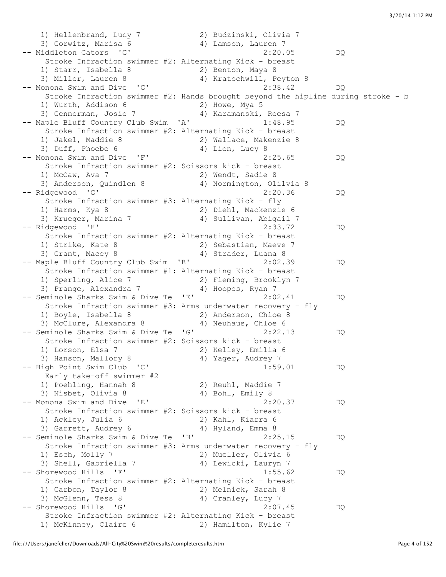1) Hellenbrand, Lucy 7 2) Budzinski, Olivia 7 3) Gorwitz, Marisa 6 4) Lamson, Lauren 7 -- Middleton Gators 'G' 2:20.05 DQ Stroke Infraction swimmer #2: Alternating Kick - breast 1) Starr, Isabella 8 2) Benton, Maya 8 3) Miller, Lauren 8 4) Kratochwill, Peyton 8 -- Monona Swim and Dive 'G' 2:38.42 DQ Stroke Infraction swimmer #2: Hands brought beyond the hipline during stroke - b 1) Wurth, Addison 6 2) Howe, Mya 5 3) Gennerman, Josie 7 4) Karamanski, Reesa 7 -- Maple Bluff Country Club Swim 'A' 1:48.95 DQ Stroke Infraction swimmer #2: Alternating Kick - breast 1) Jakel, Maddie 8 2) Wallace, Makenzie 8 3) Duff, Phoebe 6 4) Lien, Lucy 8 -- Monona Swim and Dive 'F' 2:25.65 DQ Stroke Infraction swimmer #2: Scissors kick - breast 1) McCaw, Ava 7 2) Wendt, Sadie 8 3) Anderson, Quindlen 8 4) Normington, Olilvia 8 -- Ridgewood 'G' 2:20.36 DQ Stroke Infraction swimmer #3: Alternating Kick - fly 1) Harms, Kya 8 2) Diehl, Mackenzie 6 3) Krueger, Marina 7 (4) Sullivan, Abigail 7 -- Ridgewood 'H' 2:33.72 DQ Stroke Infraction swimmer #2: Alternating Kick - breast 1) Strike, Kate 8 2) Sebastian, Maeve 7 3) Grant, Macey 8 4) Strader, Luana 8 -- Maple Bluff Country Club Swim 'B' 2:02.39 DQ Stroke Infraction swimmer #1: Alternating Kick - breast 1) Sperling, Alice 7 2) Fleming, Brooklyn 7 3) Prange, Alexandra 7 (and 4) Hoopes, Ryan 7 -- Seminole Sharks Swim & Dive Te 'E' 2:02.41 DQ Stroke Infraction swimmer #3: Arms underwater recovery - fly 1) Boyle, Isabella 8 2) Anderson, Chloe 8 3) McClure, Alexandra 8 4) Neuhaus, Chloe 6 -- Seminole Sharks Swim & Dive Te 'G' 2:22.13 DQ Stroke Infraction swimmer #2: Scissors kick - breast 1) Lorson, Elsa 7 2) Kelley, Emilia 6 3) Hanson, Mallory 8 4) Yager, Audrey 7 -- High Point Swim Club 'C' 1:59.01 DQ Early take-off swimmer #2 1) Poehling, Hannah 8 2) Reuhl, Maddie 7 3) Nisbet, Olivia 8 4) Bohl, Emily 8 -- Monona Swim and Dive 'E' 2:20.37 DQ Stroke Infraction swimmer #2: Scissors kick - breast 1) Ackley, Julia 6 2) Kahl, Kiarra 6<br>3) Gerrott, Audreu 6 3) Garrett, Audrey 6 4) Hyland, Emma 8 -- Seminole Sharks Swim & Dive Te 'H' 2:25.15 DQ Stroke Infraction swimmer #3: Arms underwater recovery - fly 1) Esch, Molly 7 2) Mueller, Olivia 6 3) Shell, Gabriella 7 4) Lewicki, Lauryn 7 -- Shorewood Hills 'F' 1:55.62 DQ Stroke Infraction swimmer #2: Alternating Kick - breast 1) Carbon, Taylor 8 2) Melnick, Sarah 8 3) McGlenn, Tess 8 4) Cranley, Lucy 7 -- Shorewood Hills 'G' 2:07.45 DQ Stroke Infraction swimmer #2: Alternating Kick - breast 1) McKinney, Claire 6 2) Hamilton, Kylie 7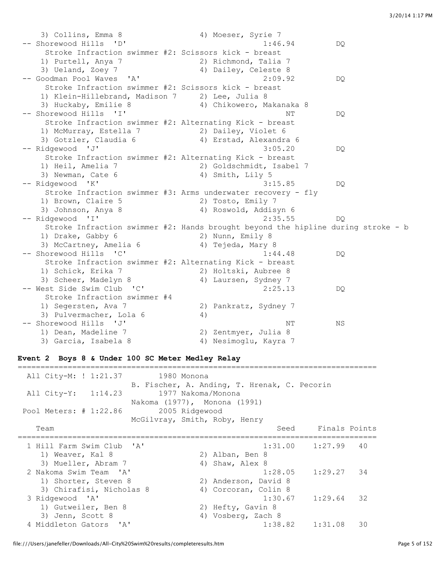3) Collins, Emma 8 4) Moeser, Syrie 7 -- Shorewood Hills 'D' 1:46.94 DQ Stroke Infraction swimmer #2: Scissors kick - breast 1) Purtell, Anya 7 2) Richmond, Talia 7 3) Ueland, Zoey 7 4) Dailey, Celeste 8 -- Goodman Pool Waves 'A' 2:09.92 DQ Stroke Infraction swimmer #2: Scissors kick - breast 1) Klein-Hillebrand, Madison 7 2) Lee, Julia 8 3) Huckaby, Emilie 8 4) Chikowero, Makanaka 8 -- Shorewood Hills 'I' NT DO Stroke Infraction swimmer #2: Alternating Kick - breast 1) McMurray, Estella 7 2) Dailey, Violet 6 3) Gotzler, Claudia 6 4) Erstad, Alexandra 6 -- Ridgewood 'J' 3:05.20 DQ Stroke Infraction swimmer #2: Alternating Kick - breast 1) Heil, Amelia 7 2) Goldschmidt, Isabel 7 3) Newman, Cate 6 4) Smith, Lily 5 -- Ridgewood 'K' 3:15.85 DQ Stroke Infraction swimmer #3: Arms underwater recovery - fly 1) Brown, Claire 5 2) Tosto, Emily 7 3) Johnson, Anya 8 4) Roswold, Addisyn 6 -- Ridgewood 'I' 2:35.55 DQ Stroke Infraction swimmer #2: Hands brought beyond the hipline during stroke - b 1) Drake, Gabby 6 2) Nunn, Emily 8 3) McCartney, Amelia 6 4) Tejeda, Mary 8 -- Shorewood Hills 'C' 1:44.48 DQ Stroke Infraction swimmer #2: Alternating Kick - breast 1) Schick, Erika 7 2) Holtski, Aubree 8 3) Scheer, Madelyn 8 4) Laursen, Sydney 7 -- West Side Swim Club 'C' 2:25.13 DQ Stroke Infraction swimmer #4 1) Segersten, Ava 7 2) Pankratz, Sydney 7 3) Pulvermacher, Lola 6 4) -- Shorewood Hills 'J' NS 1) Dean, Madeline 7 2) Zentmyer, Julia 8 3) Garcia, Isabela 8 4) Nesimoglu, Kayra 7

#### **Event 2 Boys 8 & Under 100 SC Meter Medley Relay**

| All City-M: ! 1:21.37 1980 Monona<br>All City-Y: 1:14.23<br>Pool Meters: # 1:22.86 | B. Fischer, A. Anding, T. Hrenak, C. Pecorin<br>1977 Nakoma/Monona<br>Nakoma (1977), Monona (1991)<br>2005 Ridgewood |
|------------------------------------------------------------------------------------|----------------------------------------------------------------------------------------------------------------------|
| Team                                                                               | McGilvray, Smith, Roby, Henry<br>Seed Finals Points                                                                  |
| 1 Hill Farm Swim Club 'A'<br>1) Weaver, Kal 8                                      | $1:31.00$ $1:27.99$<br>-40<br>2) Alban, Ben 8                                                                        |
| 3) Mueller, Abram 7<br>2 Nakoma Swim Team 'A'<br>1) Shorter, Steven 8              | 4) Shaw, Alex 8<br>1:28.05<br>$1:29.27$ 34<br>2) Anderson, David 8                                                   |
| 3) Chirafisi, Nicholas 8<br>3 Ridgewood 'A'<br>1) Gutweiler, Ben 8                 | 4) Corcoran, Colin 8<br>$1:30.67$ $1:29.64$<br>32<br>2) Hefty, Gavin 8                                               |
| 3) Jenn, Scott 8<br>4 Middleton Gators 'A'                                         | 4) Vosberg, Zach 8<br>$1:38.82$ $1:31.08$<br>30                                                                      |

===============================================================================

file:///Users/janefeller/Downloads/All-City%20Swim%20results/completeresults.htm Page 5 of 152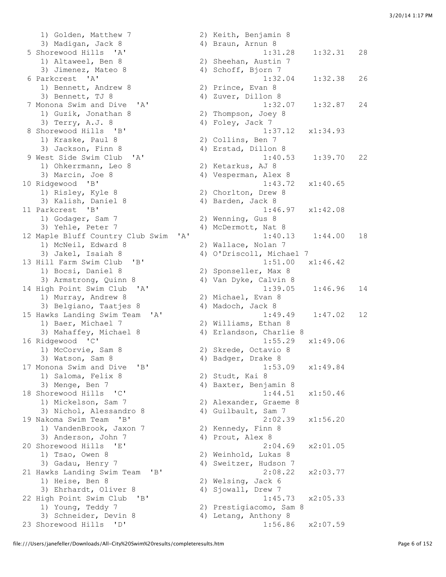1) Golden, Matthew 7 2) Keith, Benjamin 8 3) Madigan, Jack 8 4) Braun, Arnun 8 5 Shorewood Hills 'A' 1:31.28 1:32.31 28 1) Altaweel, Ben 8 2) Sheehan, Austin 7 3) Jimenez, Mateo 8 4) Schoff, Bjorn 7 6 Parkcrest 'A' 1:32.04 1:32.38 26 1) Bennett, Andrew 8 2) Prince, Evan 8 3) Bennett, TJ 8 4) Zuver, Dillon 8 7 Monona Swim and Dive 'A' 1:32.07 1:32.87 24 1) Guzik, Jonathan 8 2) Thompson, Joey 8 3) Terry, A.J. 8 4) Foley, Jack 7 8 Shorewood Hills 'B' 1:37.12 x1:34.93 1) Kraske, Paul 8 2) Collins, Ben 7 3) Jackson, Finn 8 4) Erstad, Dillon 8 9 West Side Swim Club 'A' 1:40.53 1:39.70 22 1) Ohkerrmann, Leo 8 2) Ketarkus, AJ 8 3) Marcin, Joe 8 4) Vesperman, Alex 8 10 Ridgewood 'B' 1:43.72 x1:40.65 1) Risley, Kyle 8 2) Chorlton, Drew 8 3) Kalish, Daniel 8 4) Barden, Jack 8 11 Parkcrest 'B' 1:46.97 x1:42.08 1) Godager, Sam 7 2) Wenning, Gus 8 3) Yehle, Peter 7 4) McDermott, Nat 8 12 Maple Bluff Country Club Swim 'A' 1:40.13 1:44.00 18 1) McNeil, Edward 8 2) Wallace, Nolan 7<br>3) Jakel, Isaiah 8 3 4) O'Driscoll, Micha 13 Hill Farm Swim Club 'B' 1:51.00 x1:46.42 1) Bocsi, Daniel 8 2) Sponseller, Max 8 3) Armstrong, Quinn 8 4) Van Dyke, Calvin 8 14 High Point Swim Club 'A' 1:39.05 1:46.96 14<br>
1) Murray, Andrew 8 2) Michael, Evan 8<br>
3) Belgiano, Taatjes 8 4) Madoch, Jack 8 1) Murray, Andrew 8 2) Michael, Evan 8 3) Belgiano, Taatjes 8 (4) Madoch, Jack 8 1) Baer, Michael 7 2) Williams, Ethan 8 3) Mahaffey, Michael 8 4) Erlandson, Charlie 8 16 Ridgewood 'C' 1:55.29 x1:49.06 1) McCorvie, Sam 8 2) Skrede, Octavio 8 3) Watson, Sam 8 4) Badger, Drake 8 17 Monona Swim and Dive 'B' 1:53.09 x1:49.84 1) Saloma, Felix 8 2) Studt, Kai 8 18 Shorewood Hills 'C' 1:44.51 x1:50.46 1) Mickelson, Sam 7 2) Alexander, Graeme 8 3) Nichol, Alessandro 8 (4) Guilbault, Sam 7 19 Nakoma Swim Team 'B' 2:02.39 x1:56.20 1) VandenBrook, Jaxon 7 2) Kennedy, Finn 8 3) Anderson, John 7 (4) Prout, Alex 8 20 Shorewood Hills 'E' 2:04.69 x2:01.05 1) Tsao, Owen 8 2) Weinhold, Lukas 8 3) Gadau, Henry 7 4) Sweitzer, Hudson 7 21 Hawks Landing Swim Team 'B' 2:08.22 x2:03.77 1) Heise, Ben 8 2) Welsing, Jack 6<br>3) Ehrhardt, Oliver 8 4) Sjowall, Drew 7 3) Ehrhardt, Oliver 8 22 High Point Swim Club 'B' 1:45.73 x2:05.33 1) Young, Teddy 7 2) Prestigiacomo, Sam 8 3) Schneider, Devin 8 4) Letang, Anthony 8

4) O'Driscoll, Michael 7 15 Hawks Landing Swim Team 'A' 1:49.49 1:47.02 12 1:53.09<br>2) Studt, Kai 8<br>4) Baxter, Benjamin 8 23 Shorewood Hills 'D' 1:56.86 x2:07.59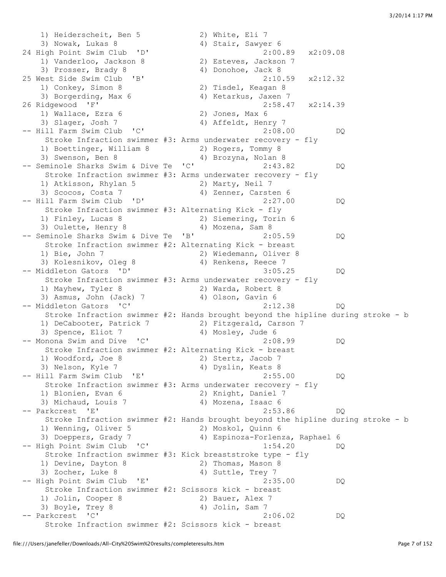1) Heiderscheit, Ben 5 2) White, Eli 7<br>3) Nowak, Lukas 8 4) Stair, Sawyer 6 3) Nowak, Lukas 8 4) Stair, Sawyer 6 24 High Point Swim Club 'D' 2:00.89 x2:09.08 1) Vanderloo, Jackson 8 2) Esteves, Jackson 7 3) Prosser, Brady 8 4) Donohoe, Jack 8 25 West Side Swim Club 'B' 2:10.59 x2:12.32 1) Conkey, Simon 8 2) Tisdel, Keagan 8 3) Borgerding, Max 6 4) Ketarkus, Jaxen 7 26 Ridgewood 'F' 2:58.47 x2:14.39 1) Wallace, Ezra 6 2) Jones, Max 6 3) Slager, Josh 7 (4) Affeldt, Henry 7 -- Hill Farm Swim Club 'C' 2:08.00 DQ Stroke Infraction swimmer #3: Arms underwater recovery - fly 1) Boettinger, William 8 2) Rogers, Tommy 8 3) Swenson, Ben 8 4) Brozyna, Nolan 8 -- Seminole Sharks Swim & Dive Te 'C' 2:43.82 DQ Stroke Infraction swimmer #3: Arms underwater recovery - fly 1) Atkisson, Rhylan 5 2) Marty, Neil 7 3) Scocos, Costa 7 (4) Zenner, Carsten 6 -- Hill Farm Swim Club 'D' 2:27.00 DQ Stroke Infraction swimmer #3: Alternating Kick - fly 1) Finley, Lucas 8 2) Siemering, Torin 6 3) Oulette, Henry 8 4) Mozena, Sam 8 -- Seminole Sharks Swim & Dive Te 'B' 2:05.59 DQ Stroke Infraction swimmer #2: Alternating Kick - breast 1) Bie, John 7 2) Wiedemann, Oliver 8 3) Kolesnikov, Oleg 8 (4) Renkens, Reece 7 -- Middleton Gators 'D' 3:05.25 DQ Stroke Infraction swimmer #3: Arms underwater recovery - fly 1) Mayhew, Tyler 8 2) Warda, Robert 8 3) Asmus, John (Jack) 7 (4) Olson, Gavin 6 -- Middleton Gators 'C' 2:12.38 DQ Stroke Infraction swimmer #2: Hands brought beyond the hipline during stroke - b 1) DeCabooter, Patrick 7 2) Fitzgerald, Carson 7 3) Spence, Eliot 7 (4) Mosley, Jude 6 -- Monona Swim and Dive 'C' 2:08.99 DQ Stroke Infraction swimmer #2: Alternating Kick - breast 1) Woodford, Joe 8 3) Noodford, Joe 8 2) Stertz, Jacob 7<br>3) Nelson, Kyle 7 4) Dyslin, Keats 8 -- Hill Farm Swim Club 'E' 2:55.00 DQ Stroke Infraction swimmer #3: Arms underwater recovery - fly 1) Blonien, Evan 6 2) Knight, Daniel 7 3) Michaud, Louis 7 4) Mozena, Isaac 6 -- Parkcrest 'E' 2:53.86 DQ Stroke Infraction swimmer #2: Hands brought beyond the hipline during stroke - b 1) Wenning, Oliver 5 2) Moskol, Quinn 6 3) Doeppers, Grady 7 4) Espinoza-Forlenza, Raphael 6 -- High Point Swim Club 'C' 1:54.20 DQ Stroke Infraction swimmer #3: Kick breaststroke type - fly 1) Devine, Dayton 8 2) Thomas, Mason 8 3) Zocher, Luke 8 4) Suttle, Trey 7 3) Zocher, Luke 8<br>
-- High Point Swim Club 'E' 2:35.00 DQ Stroke Infraction swimmer #2: Scissors kick - breast 1) Jolin, Cooper 8 2) Bauer, Alex 7 3) Boyle, Trey 8 4) Jolin, Sam 7 -- Parkcrest 'C' 2:06.02 DQ Stroke Infraction swimmer #2: Scissors kick - breast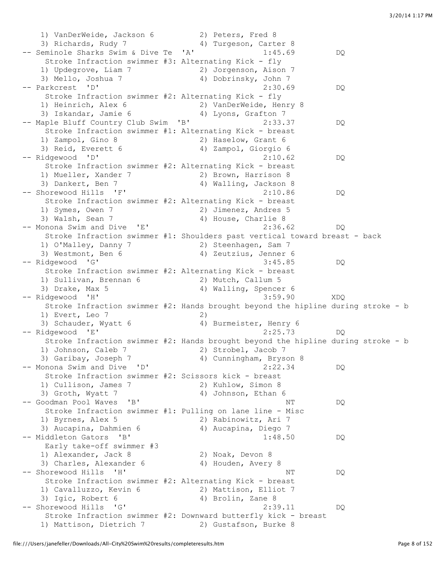1) VanDerWeide, Jackson 6 2) Peters, Fred 8 3) Richards, Rudy 7 4) Turgeson, Carter 8 -- Seminole Sharks Swim & Dive Te 'A' 1:45.69 DQ Stroke Infraction swimmer #3: Alternating Kick - fly 1) Updegrove, Liam 7 2) Jorgenson, Aison 7 3) Mello, Joshua 7 4) Dobrinsky, John 7 -- Parkcrest 'D' 2:30.69 DQ Stroke Infraction swimmer #2: Alternating Kick - fly 1) Heinrich, Alex 6 2) VanDerWeide, Henry 8 3) Iskandar, Jamie 6 4) Lyons, Grafton 7 -- Maple Bluff Country Club Swim 'B' 2:33.37 DQ Stroke Infraction swimmer #1: Alternating Kick - breast 1) Zampol, Gino 8 2) Haselow, Grant 6 3) Reid, Everett 6 4) Zampol, Giorgio 6 -- Ridgewood 'D' 2:10.62 DQ Stroke Infraction swimmer #2: Alternating Kick - breast 1) Mueller, Xander 7 2) Brown, Harrison 8 3) Dankert, Ben 7 4) Walling, Jackson 8 -- Shorewood Hills 'F' 2:10.86 DQ Stroke Infraction swimmer #2: Alternating Kick - breast 1) Symes, Owen 7 2) Jimenez, Andres 5 3) Walsh, Sean 7 4) House, Charlie 8 -- Monona Swim and Dive 'E' 2:36.62 DQ Stroke Infraction swimmer #1: Shoulders past vertical toward breast - back 1) O'Malley, Danny 7 2) Steenhagen, Sam 7 3) Westmont, Ben 6 4) Zeutzius, Jenner 6 -- Ridgewood 'G' 3:45.85 DQ Stroke Infraction swimmer #2: Alternating Kick - breast 1) Sullivan, Brennan 6 2) Mutch, Callum 5 3) Drake, Max 5 4) Walling, Spencer 6 -- Ridgewood 'H' 3:59.90 XDQ Stroke Infraction swimmer #2: Hands brought beyond the hipline during stroke - b 1) Evert, Leo 7 2) 3) Schauder, Wyatt 6 4) Burmeister, Henry 6 -- Ridgewood 'E' 2:25.73 DQ Stroke Infraction swimmer #2: Hands brought beyond the hipline during stroke - b 1) Johnson, Caleb 7 2) Strobel, Jacob 7 3) Garibay, Joseph 7 4) Cunningham, Bryson 8 -- Monona Swim and Dive 'D' (2:22.34 DQ Stroke Infraction swimmer #2: Scissors kick - breast 1) Cullison, James 7 2) Kuhlow, Simon 8 3) Groth, Wyatt 7 4) Johnson, Ethan 6 -- Goodman Pool Waves 'B' NT NT DO Stroke Infraction swimmer #1: Pulling on lane line - Misc 1) Byrnes, Alex 5 2) Rabinowitz, Ari 7 3) Aucapina, Dahmien 6 4) Aucapina, Diego 7 -- Middleton Gators 'B' 1:48.50 DQ Early take-off swimmer #3 1) Alexander, Jack 8 2) Noak, Devon 8 3) Charles, Alexander 6 4) Houden, Avery 8 -- Shorewood Hills 'H' NT DQ Stroke Infraction swimmer #2: Alternating Kick - breast 1) Cavalluzzo, Kevin 6 2) Mattison, Elliot 7 3) Igic, Robert 6 4) Brolin, Zane 8 -- Shorewood Hills 'G' 2:39.11 DQ Stroke Infraction swimmer #2: Downward butterfly kick - breast 1) Mattison, Dietrich 7 2) Gustafson, Burke 8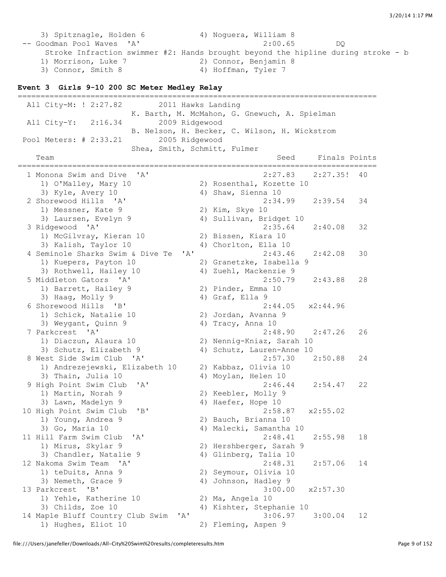3) Spitznagle, Holden 6 4) Noguera, William 8 -- Goodman Pool Waves 'A' 2:00.65 DQ Stroke Infraction swimmer #2: Hands brought beyond the hipline during stroke - b 1) Morrison, Luke 7 2) Connor, Benjamin 8 3) Connor, Smith 8 4) Hoffman, Tyler 7

#### **Event 3 Girls 9-10 200 SC Meter Medley Relay**

=============================================================================== All City-M: ! 2:27.82 2011 Hawks Landing K. Barth, M. McMahon, G. Gnewuch, A. Spielman All City-Y: 2:16.34 2009 Ridgewood B. Nelson, H. Becker, C. Wilson, H. Wickstrom Pool Meters: # 2:33.21 2005 Ridgewood Shea, Smith, Schmitt, Fulmer Team Seed Finals Points =============================================================================== 1 Monona Swim and Dive 'A' 2:27.83 2:27.35! 40 1) O'Malley, Mary 10 2) Rosenthal, Kozette 10 3) Kyle, Avery 10 4) Shaw, Sienna 10 2 Shorewood Hills 'A' 2:34.99 2:39.54 34 1) Messner, Kate 9 2) Kim, Skye 10 3) Laursen, Evelyn 9 19 4) Sullivan, Bridget 10 3 Ridgewood 'A' 2:35.64 2:40.08 32 1) McGilvray, Kieran 10 2) Bissen, Kiara 10 3) Kalish, Taylor 10 4) Chorlton, Ella 10 4 Seminole Sharks Swim & Dive Te 'A' 2:43.46 2:42.08 30 1) Kuepers, Payton 10 2) Granetzke, Isabella 9 3) Rothwell, Hailey 10 4) Zuehl, Mackenzie 9 5 Middleton Gators 'A' 2:50.79 2:43.88 28 1) Barrett, Hailey 9 2) Pinder, Emma 10 3) Haag, Molly 9 4) Graf, Ella 9 6 Shorewood Hills 'B' 2:44.05 x2:44.96 1) Schick, Natalie 10 2) Jordan, Avanna 9 3) Weygant, Quinn 9 4) Tracy, Anna 10 7 Parkcrest 'A' 2:48.90 2:47.26 26 1) Diaczun, Alaura 10 2) Nennig-Kniaz, Sarah 10 3) Schutz, Elizabeth 9 4) Schutz, Lauren-Anne 10 8 West Side Swim Club 'A' 2:57.30 2:50.88 24 1) Andrezejewski, Elizabeth 10 2) Kabbaz, Olivia 10 3) Thain, Julia 10  $\hskip 1.6cm$  4) Moylan, Helen 10 9 High Point Swim Club 'A' 2:46.44 2:54.47 22<br>
1) Martin, Norah 9<br>
3) Lawn, Madelyn 9 4) Haefer, Hope 10 1) Martin, Norah 9 2) Keebler, Molly 9 3) Lawn, Madelyn 9 14) Haefer, Hope 10 10 High Point Swim Club 'B' 2:58.87 x2:55.02 1) Young, Andrea 9 2) Bauch, Brianna 10<br>3) Go, Maria 10 3) 4) Malecki, Samantha 10 3) Go, Maria 10 4) Malecki, Samantha 10 11 Hill Farm Swim Club 'A' 2:48.41 2:55.98 18 1) Mirus, Skylar 9 2) Hershberger, Sarah 9 3) Chandler, Natalie 9 4) Glinberg, Talia 10 12 Nakoma Swim Team 'A' 2:48.31 2:57.06 14 1) teDuits, Anna 9 2) Seymour, Olivia 10 3) Nemeth, Grace 9 4) Johnson, Hadley 9 13 Parkcrest 'B' 3:00.00 x2:57.30 1) Yehle, Katherine 10 2) Ma, Angela 10 3) Childs, Zoe 10 4) Kishter, Stephanie 10 14 Maple Bluff Country Club Swim 'A' 3:06.97 3:00.04 12 1) Hughes, Eliot 10 2) Fleming, Aspen 9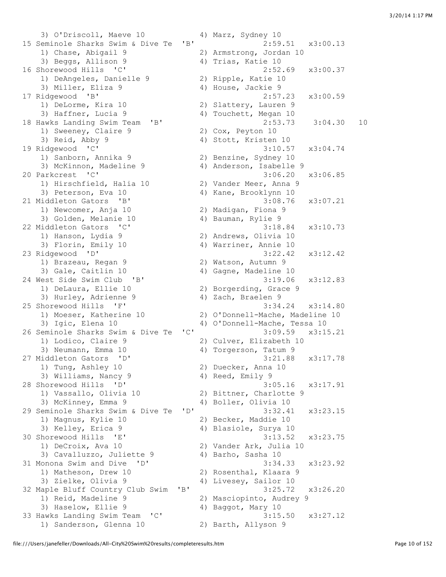3) O'Driscoll, Maeve 10 4) Marz, Sydney 10 15 Seminole Sharks Swim & Dive Te 'B' 2:59.51 x3:00.13 1) Chase, Abigail 9 2) Armstrong, Jordan 10 3) Beggs, Allison 9 4) Trias, Katie 10 16 Shorewood Hills 'C' 2:52.69 x3:00.37 1) DeAngeles, Danielle 9 2) Ripple, Katie 10 3) Miller, Eliza 9 4) House, Jackie 9 17 Ridgewood 'B' 2:57.23 x3:00.59 1) DeLorme, Kira 10 2) Slattery, Lauren 9 3) Haffner, Lucia 9 4) Touchett, Megan 10 18 Hawks Landing Swim Team 'B' 2:53.73 3:04.30 10 1) Sweeney, Claire 9 2) Cox, Peyton 10 3) Reid, Abby 9 4) Stott, Kristen 10 19 Ridgewood 'C' 3:10.57 x3:04.74 1) Sanborn, Annika 9 2) Benzine, Sydney 10 3) McKinnon, Madeline 9 4) Anderson, Isabelle 9 20 Parkcrest 'C' 3:06.20 x3:06.85 1) Hirschfield, Halia 10 2) Vander Meer, Anna 9 3) Peterson, Eva 10 4) Kane, Brooklynn 10 21 Middleton Gators 'B' 3:08.76 x3:07.21 1) Newcomer, Anja 10 2) Madigan, Fiona 9 3) Golden, Melanie 10 4) Bauman, Rylie 9 22 Middleton Gators 'C' 3:18.84 x3:10.73 1) Hanson, Lydia 9 2) Andrews, Olivia 10 3) Florin, Emily 10 4) Warriner, Annie 10 23 Ridgewood 'D' 3:22.42 x3:12.42 1) Brazeau, Regan 9 2) Watson, Autumn 9 3) Gale, Caitlin 10 4) Gagne, Madeline 10 24 West Side Swim Club 'B' 3:19.06 x3:12.83 1) DeLaura, Ellie 10 2) Borgerding, Grace 9 3) Hurley, Adrienne 9 4) Zach, Braelen 9 25 Shorewood Hills 'F' 3:34.24 x3:14.80 1) Moeser, Katherine 10 2) O'Donnell-Mache, Madeline 10<br>2) Isis Elena 10 4) O'Donnell Mache, Tessa 10 3) Igic, Elena 10 4) O'Donnell-Mache, Tessa 10 26 Seminole Sharks Swim & Dive Te 'C' 3:09.59 x3:15.21 1) Lodico, Claire 9 2) Culver, Elizabeth 10<br>3) Neumann, Emma 10 4) Torgerson, Tatum 9 27 Middleton Gators 'D' 3:21.88 x3:17.78 1) Tung, Ashley 10 2) Duecker, Anna 10 3) Williams, Nancy 9 4) Reed, Emily 9 28 Shorewood Hills 'D' 3:05.16 x3:17.91 1) Vassallo, Olivia 10 2) Bittner, Charlotte 9 3) McKinney, Emma 9 4) Boller, Olivia 10 29 Seminole Sharks Swim & Dive Te 'D' 3:32.41 x3:23.15 1) Magnus, Kylie 10 2) Becker, Maddie 10 3) Kelley, Erica 9 4) Blasiole, Surya 10 30 Shorewood Hills 'E' 3:13.52 x3:23.75 1) DeCroix, Ava 10 2) Vander Ark, Julia 10 3) Cavalluzzo, Juliette 9 4) Barho, Sasha 10 31 Monona Swim and Dive 'D' 3:34.33 x3:23.92 1) Matheson, Drew 10 2) Rosenthal, Klaara 9 3) Zielke, Olivia 9 4) Livesey, Sailor 10 32 Maple Bluff Country Club Swim 'B' 3:25.72 x3:26.20 1) Reid, Madeline 9 2) Masciopinto, Audrey 9 3) Haselow, Ellie 9 4) Baggot, Mary 10 33 Hawks Landing Swim Team 'C' 3:15.50 x3:27.12 1) Sanderson, Glenna 10 2) Barth, Allyson 9

4) Torgerson, Tatum 9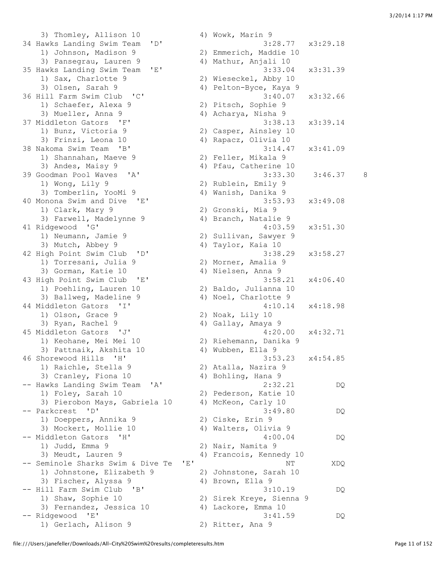3) Thomley, Allison 10 4) Wowk, Marin 9 34 Hawks Landing Swim Team 'D' 3:28.77 x3:29.18 1) Johnson, Madison 9 2) Emmerich, Maddie 10 3) Pansegrau, Lauren 9 4) Mathur, Anjali 10 35 Hawks Landing Swim Team 'E' 3:33.04 x3:31.39 1) Sax, Charlotte 9 2) Wieseckel, Abby 10 3) Olsen, Sarah 9 4) Pelton-Byce, Kaya 9 36 Hill Farm Swim Club 'C' 3:40.07 x3:32.66 1) Schaefer, Alexa 9 2) Pitsch, Sophie 9 3) Mueller, Anna 9 44 Acharya, Nisha 9 37 Middleton Gators 'F' 3:38.13 x3:39.14 1) Bunz, Victoria 9 2) Casper, Ainsley 10 3) Frinzi, Leona 10 4) Rapacz, Olivia 10 38 Nakoma Swim Team 'B' 3:14.47 x3:41.09 1) Shannahan, Maeve 9 2) Feller, Mikala 9 3) Andes, Maisy 9 4) Pfau, Catherine 10 39 Goodman Pool Waves 'A' 3:33.30 3:46.37 8<br>1) Wong, Lily 9 2) Rublein, Emily 9<br>3) Tomberlin, YooMi 9 4) Wanish, Danika 9 1) Wong, Lily 9 2) Rublein, Emily 9 3) Tomberlin, YooMi 9 4) Wanish, Danika 9 40 Monona Swim and Dive 'E' 3:53.93 x3:49.08 1) Clark, Mary 9 2) Gronski, Mia 9 3) Farwell, Madelynne 9 4) Branch, Natalie 9 41 Ridgewood 'G' 4:03.59 x3:51.30 1) Neumann, Jamie 9 2) Sullivan, Sawyer 9 3) Mutch, Abbey 9 4) Taylor, Kaia 10 42 High Point Swim Club 'D' 3:38.29 x3:58.27 1) Torresani, Julia 9 2) Morner, Amalia 9 93:38.2 (igh Point Swim Club 'D'<br>
3) Torresani, Julia 9 (2) Morner, Amalia 9<br>
3) Gorman, Katie 10 (4) Nielsen, Anna 9 43 High Point Swim Club 'E' 3:58.21 x4:06.40 1) Poehling, Lauren 10 2) Baldo, Julianna 10 3) Ballweg, Madeline 9 4) Noel, Charlotte 9 3) Ballweg, Madeline > (1994) (1994) (1994) (1994) (1994) (1994) (1994) (1994) (1994) (1994) (1994) (1994) (19<br>
(1994) (1994) (1994) (1994) (1994) (1994) (1994) (1994) (1994) (1994) (1994) (1994) (1994) (1994) (1994) (1994 1) Olson, Grace 9 2) Noak, Lily 10 3) Ryan, Rachel 9 4) Gallay, Amaya 9 45 Middleton Gators 'J' 4:20.00 x4:32.71 1) Keohane, Mei Mei 10 2) Riehemann, Danika 9 3) Pattnaik, Akshita 10 (4) Wubben, Ella 9 46 Shorewood Hills 'H' 3:53.23 x4:54.85 1) Raichle, Stella 9 2) Atalla, Nazira 9 3) Cranley, Fiona 10 4) Bohling, Hana 9 -- Hawks Landing Swim Team 'A' 2:32.21 DQ 1) Foley, Sarah 10 2) Pederson, Katie 10 3) Pierobon Mays, Gabriela 10 4) McKeon, Carly 10 -- Parkcrest 'D' 3:49.80 DQ 1) Doeppers, Annika 9 2) Ciske, Erin 9 3) Mockert, Mollie 10 4) Walters, Olivia 9 -- Middleton Gators 'H' 4:00.04 DQ<br>1) Judd, Emma 9 2) Nair, Namita 9 3) Meudt, Lauren 9 4) Francois, Kennedy 10 -- Seminole Sharks Swim & Dive Te 'E' NT NT XDQ 1) Johnstone, Elizabeth 9 2) Johnstone, Sarah 10 3) Fischer, Alyssa 9 4) Brown, Ella 9<br>
-- Hill Farm Swim Club 'B' 3:1<br>
1) Shaw, Sophie 10 2) Sirek Kreve, S -- Hill Farm Swim Club 'B' 3:10.19 DQ 1) Shaw, Sophie 10 2) Sirek Kreye, Sienna 9 3) Fernandez, Jessica 10 4) Lackore, Emma 10 -- Ridgewood 'E' 3:41.59 DQ 1) Gerlach, Alison 9 2) Ritter, Ana 9

2) Nair, Namita 9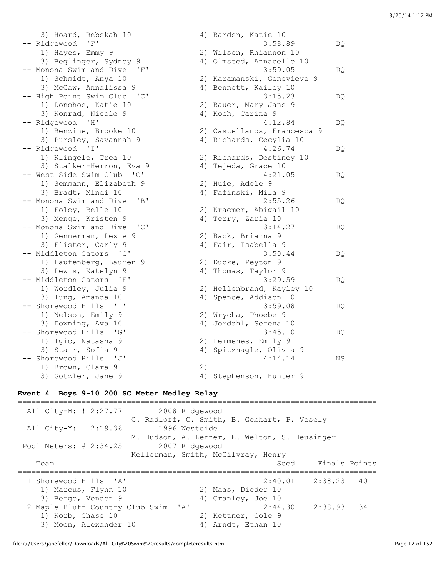| 3) Hoard, Rebekah 10                                 |    | 4) Barden, Katie 10         |     |
|------------------------------------------------------|----|-----------------------------|-----|
| 'F'<br>-- Ridgewood                                  |    | 3:58.89                     | DQ  |
| 1) Hayes, Emmy 9                                     |    | 2) Wilson, Rhiannon 10      |     |
| 3) Beglinger, Sydney 9                               |    | 4) Olmsted, Annabelle 10    |     |
| -- Monona Swim and Dive<br>'F'                       |    | 3:59.05                     | DQ  |
| 1) Schmidt, Anya 10                                  |    | 2) Karamanski, Genevieve 9  |     |
| 3) McCaw, Annalissa 9                                |    | 4) Bennett, Kailey 10       |     |
| -- High Point Swim Club<br>$\overline{\phantom{a}}$  |    | 3:15.23                     | DQ  |
| 1) Donohoe, Katie 10                                 |    | 2) Bauer, Mary Jane 9       |     |
| 3) Konrad, Nicole 9                                  |    | 4) Koch, Carina 9           |     |
| -- Ridgewood 'H'                                     |    | 4:12.84                     | DQ  |
| 1) Benzine, Brooke 10                                |    | 2) Castellanos, Francesca 9 |     |
| 3) Pursley, Savannah 9                               |    | 4) Richards, Cecylia 10     |     |
| -- Ridgewood 'I'                                     |    | 4:26.74                     | DQ  |
| 1) Klingele, Trea 10                                 |    | 2) Richards, Destiney 10    |     |
| 3) Stalker-Herron, Eva 9                             |    | 4) Tejeda, Grace 10         |     |
| -- West Side Swim Club 'C'                           |    | 4:21.05                     | DQ  |
| 1) Semmann, Elizabeth 9                              |    | 2) Huie, Adele 9            |     |
| 3) Bradt, Mindi 10                                   |    | 4) Fafinski, Mila 9         |     |
| -- Monona Swim and Dive<br>"B"                       |    | 2:55.26                     | DQ  |
| 1) Foley, Belle 10                                   |    | 2) Kraemer, Abigail 10      |     |
| 3) Menge, Kristen 9                                  |    | 4) Terry, Zaria 10          |     |
| -- Monona Swim and Dive<br>$^{\prime}$ C $^{\prime}$ |    | 3:14.27                     | DQ  |
| 1) Gennerman, Lexie 9                                |    | 2) Back, Brianna 9          |     |
| 3) Flister, Carly 9                                  |    | 4) Fair, Isabella 9         |     |
| -- Middleton Gators 'G'                              |    | 3:50.44                     | DQ  |
| 1) Laufenberg, Lauren 9                              |    | 2) Ducke, Peyton 9          |     |
| 3) Lewis, Katelyn 9                                  | 4) | Thomas, Taylor 9            |     |
| -- Middleton Gators 'E'                              |    | 3:29.59                     | DQ  |
| 1) Wordley, Julia 9                                  |    | 2) Hellenbrand, Kayley 10   |     |
| 3) Tung, Amanda 10                                   |    | 4) Spence, Addison 10       |     |
| -- Shorewood Hills 'I'                               |    | 3:59.08                     | DQ. |
| 1) Nelson, Emily 9                                   |    | 2) Wrycha, Phoebe 9         |     |
| 3) Downing, Ava 10                                   |    | 4) Jordahl, Serena 10       |     |
| -- Shorewood Hills<br>$\mathsf{G}$                   |    | 3:45.10                     | DQ  |
| 1) Igic, Natasha 9                                   |    | 2) Lemmenes, Emily 9        |     |
| 3) Stair, Sofia 9                                    |    | 4) Spitznagle, Olivia 9     |     |
| -- Shorewood Hills 'J'                               |    | 4:14.14                     | ΝS  |
| 1) Brown, Clara 9                                    | 2) |                             |     |
| 3) Gotzler, Jane 9                                   |    | 4) Stephenson, Hunter 9     |     |

### **Event 4 Boys 9-10 200 SC Meter Medley Relay**

=============================================================================== All City-M: ! 2:27.77 2008 Ridgewood C. Radloff, C. Smith, B. Gebhart, P. Vesely All City-Y: 2:19.36 1996 Westside M. Hudson, A. Lerner, E. Welton, S. Heusinger Pool Meters:  $\# 2:34.25$  Kellerman, Smith, McGilvray, Henry Team Seed Finals Points =============================================================================== 1 Shorewood Hills 'A' 2:40.01 2:38.23 40 1) Marcus, Flynn 10 2) Maas, Dieder 10 3) Berge, Venden 9 4) Cranley, Joe 10 2 Maple Bluff Country Club Swim 'A' 2:44.30 2:38.93 34 1) Korb, Chase 10 2) Kettner, Cole 9 3) Moen, Alexander 10 4) Arndt, Ethan 10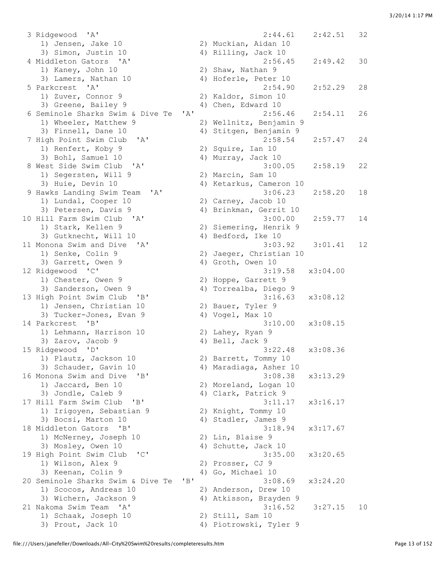3 Ridgewood 'A' 2:44.61 2:42.51 32 1) Jensen, Jake 10 2) Muckian, Aidan 10 3) Simon, Justin 10 4) Rilling, Jack 10 4 Middleton Gators 'A' 2:56.45 2:49.42 30 1) Kaney, John 10 2) Shaw, Nathan 9 3) Lamers, Nathan 10 4) Hoferle, Peter 10 5 Parkcrest 'A' 2:54.90 2:52.29 28 1) Zuver, Connor 9 2) Kaldor, Simon 10 3) Greene, Bailey 9 4) Chen, Edward 10 6 Seminole Sharks Swim & Dive Te 'A' 2:56.46 2:54.11 26 1) Wheeler, Matthew 9 2) Wellnitz, Benjamin 9 3) Finnell, Dane 10 4) Stitgen, Benjamin 9 7 High Point Swim Club 'A' 2:58.54 2:57.47 24 1911 Lomes<br>1) Renfert, Koby 9<br>2) Bable Samuel 10 8 West Side Swim Club 'A' 3:00.05 2:58.19 22 1) Segersten, Will 9 2) Marcin, Sam 10 3) Huie, Devin 10 (4) Ketarkus, Cameron 10 9 Hawks Landing Swim Team 'A' 3:06.23 2:58.20 18 1) Lundal, Cooper 10 2) Carney, Jacob 10 3) Petersen, Davis 9 4) Brinkman, Gerrit 10 10 Hill Farm Swim Club 'A' 3:00.00 2:59.77 14 1) Stark, Kellen 9 2) Siemering, Henrik 9 3) Gutknecht, Will 10 4) Bedford, Ike 10 11 Monona Swim and Dive 'A' 3:03.92 3:01.41 12 1) Senke, Colin 9 2) Jaeger, Christian 10 3) Garrett, Owen 9 4) Groth, Owen 10 12 Ridgewood 'C' 3:19.58 x3:04.00 1) Chester, Owen 9 2) Hoppe, Garrett 9 3) Sanderson, Owen 9 4) Torrealba, Diego 9 13 High Point Swim Club 'B' 3:16.63 x3:08.12 1) Jensen, Christian 10 2) Bauer, Tyler 9 3) Tucker-Jones, Evan 9 (4) Vogel, Max 10 14 Parkcrest 'B' 3:10.00 x3:08.15 1) Lehmann, Harrison 10 2) Lahey, Ryan 9 3) Zarov, Jacob 9 4) Bell, Jack 9 15 Ridgewood 'D' 3:22.48 x3:08.36 1) Plautz, Jackson 10 2) Barrett, Tommy 10 3) Schauder, Gavin 10 4) Maradiaga, Asher 10 16 Monona Swim and Dive 'B' 3:08.38 x3:13.29 1) Jaccard, Ben 10 2) Moreland, Logan 10 3) Jondle, Caleb 9 4) Clark, Patrick 9 17 Hill Farm Swim Club 'B' 3:11.17 x3:16.17 1) Irigoyen, Sebastian 9 2) Knight, Tommy 10 3) Bocsi, Marton 10 (4) Stadler, James 9 18 Middleton Gators 'B' 3:18.94 x3:17.67 1) McNerney, Joseph 10 2) Lin, Blaise 9 3) Mosley, Owen 10 4) Schutte, Jack 10 19 High Point Swim Club 'C' 3:35.00 x3:20.65 1) Wilson, Alex 9 2) Prosser, CJ 9 3) Keenan, Colin 9 4) Go, Michael 10 20 Seminole Sharks Swim & Dive Te 'B' 3:08.69 x3:24.20 1) Scocos, Andreas 10 2) Anderson, Drew 10 3) Wichern, Jackson 9 4) Atkisson, Brayden 9 21 Nakoma Swim Team 'A' 3:16.52 3:27.15 10 1) Schaak, Joseph 10 2) Still, Sam 10 3) Prout, Jack 10 4) Piotrowski, Tyler 9

2) Squire, Ian 10<br>4) Murray, Jack 10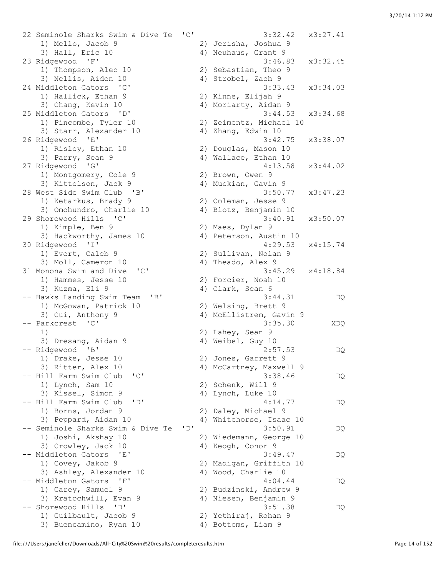22 Seminole Sharks Swim & Dive Te 'C' 3:32.42 x3:27.41 1) Mello, Jacob 9 2) Jerisha, Joshua 9 3) Hall, Eric 10 4) Neuhaus, Grant 9<br>23 Ridgewood 'F' 3:46.8 23 Ridgewood 'F' 3:46.83 x3:32.45 1) Thompson, Alec 10 2) Sebastian, Theo 9 3) Nellis, Aiden 10 4) Strobel, Zach 9 24 Middleton Gators 'C' 3:33.43 x3:34.03 1) Hallick, Ethan 9 2) Kinne, Elijah 9 3) Chang, Kevin 10 4) Moriarty, Aidan 9 25 Middleton Gators 'D' 3:44.53 x3:34.68 1) Pincombe, Tyler 10 2) Zeimentz, Michael 10 3) Starr, Alexander 10 4) Zhang, Edwin 10 26 Ridgewood 'E' 3:42.75 x3:38.07 1) Risley, Ethan 10 2) Douglas, Mason 10 3) Parry, Sean 9 4) Wallace, Ethan 10 27 Ridgewood 'G' 4:13.58 x3:44.02 1) Montgomery, Cole 9 2) Brown, Owen 9 3) Kittelson, Jack 9 14) Muckian, Gavin 9 28 West Side Swim Club 'B' 3:50.77 x3:47.23 1) Ketarkus, Brady 9 2) Coleman, Jesse 9 3) Omohundro, Charlie 10 4) Blotz, Benjamin 10 29 Shorewood Hills 'C' 3:40.91 x3:50.07 1) Kimple, Ben 9 2) Maes, Dylan 9 3) Hackworthy, James 10 4) Peterson, Austin 10 30 Ridgewood 'I' 4:29.53 x4:15.74 1) Evert, Caleb 9 2) Sullivan, Nolan 9 3) Moll, Cameron 10 4) Theado, Alex 9 31 Monona Swim and Dive 'C' 3:45.29 x4:18.84<br>1) Hammes, Jesse 10 2) Forcier, Noah 10<br>3) Kuzma, Eli 9 4) Clark, Sean 6 1) Hammes, Jesse 10 2) Forcier, Noah 10 3) Kuzma, Eli 9 4) Clark, Sean 6 -- Hawks Landing Swim Team 'B' 3:44.31 DQ 1) McGowan, Patrick 10 2) Welsing, Brett 9 3) Cui, Anthony 9 4) McEllistrem, Gavin 9 -- Parkcrest 'C' 3:35.30 XDQ 1) 2) Lahey, Sean 9 3) Dresang, Aidan 9 19 10 4) Weibel, Guy 10 -- Ridgewood 'B' 2:57.53 DQ 1) Drake, Jesse 10 2) Jones, Garrett 9 3) Ritter, Alex 10 4) McCartney, Maxwell 9 -- Hill Farm Swim Club 'C' 3:38.46 DQ 1) Lynch, Sam 10 2) Schenk, Will 9 3) Kissel, Simon 9 4) Lynch, Luke 10 -- Hill Farm Swim Club 'D' 4:14.77 DQ 1) Borns, Jordan 9 2) Daley, Michael 9 3) Peppard, Aidan 10 4) Whitehorse, Isaac 10 -- Seminole Sharks Swim & Dive Te 'D' 3:50.91 DQ<br>1) Joshi, Akshay 10 2) Wiedemann, George 10 3) Crowley, Jack 10 4) Keogh, Conor 9 -- Middleton Gators 'E' 3:49.47 DQ 1) Covey, Jakob 9 2) Madigan, Griffith 10 3) Ashley, Alexander 10 4) Wood, Charlie 10 -- Middleton Gators 'F' and the set of 4:04.44 DQ 1) Carey, Samuel 9 2) Budzinski, Andrew 9 3) Kratochwill, Evan 9 4) Niesen, Benjamin 9 -- Shorewood Hills 'D' 3:51.38 DQ 1) Guilbault, Jacob 9 2) Yethiraj, Rohan 9 3) Buencamino, Ryan 10  $\hskip 10mm 4$ ) Bottoms, Liam 9

2) Wiedemann, George 10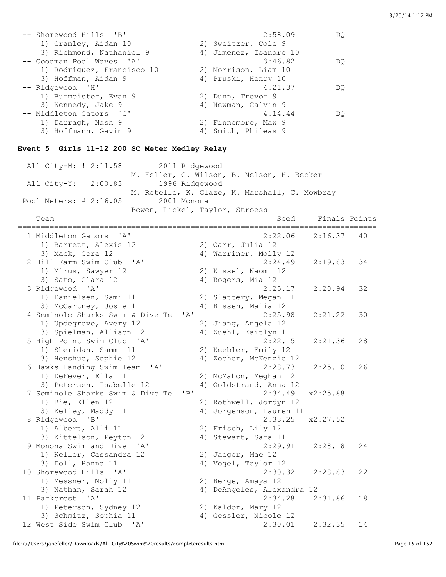| -- Shorewood Hills 'B'     | 2:58.09                | DO |
|----------------------------|------------------------|----|
| 1) Cranley, Aidan 10       | 2) Sweitzer, Cole 9    |    |
| 3) Richmond, Nathaniel 9   | 4) Jimenez, Isandro 10 |    |
| -- Goodman Pool Waves 'A'  | 3:46.82                | DO |
| 1) Rodriquez, Francisco 10 | 2) Morrison, Liam 10   |    |
| 3) Hoffman, Aidan 9        | 4) Pruski, Henry 10    |    |
| -- Ridgewood 'H'           | 4:21.37                | DO |
| 1) Burmeister, Evan 9      | 2) Dunn, Trevor 9      |    |
| 3) Kennedy, Jake 9         | 4) Newman, Calvin 9    |    |
| -- Middleton Gators 'G'    | 4:14.44                | DO |
| 1) Darragh, Nash 9         | 2) Finnemore, Max 9    |    |
| 3) Hoffmann, Gavin 9       | 4) Smith, Phileas 9    |    |

## **Event 5 Girls 11-12 200 SC Meter Medley Relay**

| All City-M: ! 2:11.58<br>2011 Ridgewood             |                                               |
|-----------------------------------------------------|-----------------------------------------------|
|                                                     | M. Feller, C. Wilson, B. Nelson, H. Becker    |
| 1996 Ridgewood<br>All City-Y: 2:00.83               |                                               |
|                                                     | M. Retelle, K. Glaze, K. Marshall, C. Mowbray |
| 2001 Monona<br>Pool Meters: # 2:16.05               |                                               |
|                                                     | Bowen, Lickel, Taylor, Stroess                |
| Team                                                | Finals Points<br>Seed                         |
| 1 Middleton Gators<br>$\mathsf{A}$                  | 2:22.06<br>2:16.37<br>40                      |
| 1) Barrett, Alexis 12                               | 2) Carr, Julia 12                             |
| 3) Mack, Cora 12                                    | 4) Warriner, Molly 12                         |
| 2 Hill Farm Swim Club<br>' A'                       | 2:24.49<br>34<br>2:19.83                      |
| 1) Mirus, Sawyer 12                                 | 2) Kissel, Naomi 12                           |
| 3) Sato, Clara 12                                   | 4) Rogers, Mia 12                             |
| 3 Ridgewood 'A'                                     | 2:25.17<br>2:20.94<br>32                      |
| 1) Danielsen, Sami 11                               | 2) Slattery, Megan 11                         |
| 3) McCartney, Josie 11                              | 4) Bissen, Malia 12                           |
| 4 Seminole Sharks Swim & Dive Te<br>' A'            | 2:25.98<br>2:21.22<br>30                      |
| 1) Updegrove, Avery 12                              | 2) Jiang, Angela 12                           |
| 3) Spielman, Allison 12                             | 4) Zuehl, Kaitlyn 11                          |
| 5 High Point Swim Club 'A'                          | 2:22.15<br>2:21.36<br>28                      |
| 1) Sheridan, Sammi 11                               | 2) Keebler, Emily 12                          |
| 3) Henshue, Sophie 12                               | 4) Zocher, McKenzie 12                        |
| 6 Hawks Landing Swim Team 'A'                       | 2:28.73<br>2:25.10<br>26                      |
| 1) DeFever, Ella 11                                 | 2) McMahon, Meghan 12                         |
| 3) Petersen, Isabelle 12                            | 4) Goldstrand, Anna 12                        |
| 7 Seminole Sharks Swim & Dive Te<br>"B"             | 2:34.49<br>x2:25.88                           |
| 1) Bie, Ellen 12                                    | 2) Rothwell, Jordyn 12                        |
| 3) Kelley, Maddy 11                                 | 4) Jorgenson, Lauren 11                       |
| 8 Ridgewood 'B'                                     | 2:33.25<br>x2:27.52                           |
| 1) Albert, Alli 11                                  | 2) Frisch, Lily 12                            |
| 3) Kittelson, Peyton 12                             | 4) Stewart, Sara 11                           |
| 9 Monona Swim and Dive 'A'                          | 2:29.91<br>2:28.18<br>24                      |
| 1) Keller, Cassandra 12                             | 2) Jaeger, Mae 12                             |
| 3) Doll, Hanna 11                                   | 4) Vogel, Taylor 12                           |
| 10 Shorewood Hills 'A'                              | 2:30.32<br>2:28.83<br>22                      |
| 1) Messner, Molly 11                                | 2) Berge, Amaya 12                            |
| 3) Nathan, Sarah 12                                 | 4) DeAngeles, Alexandra 12                    |
| 11 Parkcrest<br>$^{\prime}$ A $^{\prime}$           | 2:34.28<br>2:31.86<br>18                      |
| 1) Peterson, Sydney 12                              | 2) Kaldor, Mary 12                            |
| 3) Schmitz, Sophia 11                               | 4) Gessler, Nicole 12                         |
| 12 West Side Swim Club<br>$^{\prime}$ A $^{\prime}$ | 2:30.01<br>2:32.35<br>14                      |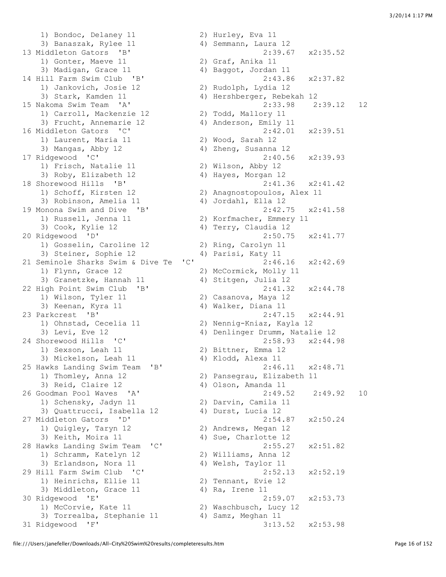1) Bondoc, Delaney 11 2) Hurley, Eva 11 3) Banaszak, Rylee 11 4) Semmann, Laura 12 13 Middleton Gators 'B' 2:39.67 x2:35.52 1) Gonter, Maeve 11 2) Graf, Anika 11 3) Madigan, Grace 11 4) Baggot, Jordan 11 14 Hill Farm Swim Club 'B' 2:43.86 x2:37.82 1) Jankovich, Josie 12 2) Rudolph, Lydia 12 3) Stark, Kamden 11 4) Hershberger, Rebekah 12 1) Carroll, Mackenzie 12 2) Todd, Mallory 11 3) Frucht, Annemarie 12 4) Anderson, Emily 11 16 Middleton Gators 'C' 2:42.01 x2:39.51 1) Laurent, Maria 11 2) Wood, Sarah 12 3) Mangas, Abby 12 4) Zheng, Susanna 12 17 Ridgewood 'C' 2:40.56 x2:39.93 1) Frisch, Natalie 11 2) Wilson, Abby 12 3) Roby, Elizabeth 12 4) Hayes, Morgan 12 18 Shorewood Hills 'B' 2:41.36 x2:41.42 1) Schoff, Kirsten 12 2) Anagnostopoulos, Alex 11 3) Robinson, Amelia 11 4) Jordahl, Ella 12 19 Monona Swim and Dive 'B' 2:42.75 x2:41.58 1) Russell, Jenna 11 2) Korfmacher, Emmery 11 3) Cook, Kylie 12 4) Terry, Claudia 12 20 Ridgewood 'D' 2:50.75 x2:41.77 1) Gosselin, Caroline 12 2) Ring, Carolyn 11 3) Steiner, Sophie 12 and 4) Parisi, Katy 11 21 Seminole Sharks Swim & Dive Te 'C' 2:46.16 x2:42.69 1) Flynn, Grace 12 2) McCormick, Molly 11 3) Granetzke, Hannah 11 4) Stitgen, Julia 12 22 High Point Swim Club 'B' 2:41.32 x2:44.78 1) Wilson, Tyler 11 2) Casanova, Maya 12 3) Keenan, Kyra 11  $\qquad \qquad$  4) Walker, Diana 11 23 Parkcrest 'B' 2:47.15 x2:44.91 1) Ohnstad, Cecelia 11 2) Nennig-Kniaz, Kayla 12 3) Levi, Eve 12 12 12 12 4) Denlinger Drumm, Natalie 12 24 Shorewood Hills 'C' 2:58.93 x2:44.98 2.50.3<br>2) Bittner, Emma 12<br>2) Bittner, Emma 12 3) Mickelson, Leah 11 4) Klodd, Alexa 11 25 Hawks Landing Swim Team 'B' 2:46.11 x2:48.71 1) Thomley, Anna 12 2) Pansegrau, Elizabeth 11 3) Reid, Claire 12 (4) Olson, Amanda 11 1) Schensky, Jadyn 11 2) Darvin, Camila 11 3) Quattrucci, Isabella 12 4) Durst, Lucia 12 27 Middleton Gators 'D' 2:54.87 x2:50.24 1) Quigley, Taryn 12 2) Andrews, Megan 12 3) Keith, Moira 11 4) Sue, Charlotte 12 28 Hawks Landing Swim Team 'C' 2:55.27 x2:51.82 1) Schramm, Katelyn 12 2) Williams, Anna 12 3) Erlandson, Nora 11  $\hskip10mm$  4) Welsh, Taylor 11 29 Hill Farm Swim Club 'C' 2:52.13 x2:52.19 1) Heinrichs, Ellie 11 2) Tennant, Evie 12 3) Middleton, Grace 11 4) Ra, Irene 11 30 Ridgewood 'E' 2:59.07 x2:53.73 1) McCorvie, Kate 11 2) Waschbusch, Lucy 12 3) Torrealba, Stephanie 11 4) Samz, Meghan 11

15 Nakoma Swim Team 'A' 2:33.98 2:39.12 12 26 Goodman Pool Waves 'A' 2:49.52 2:49.92 10 31 Ridgewood 'F' 3:13.52 x2:53.98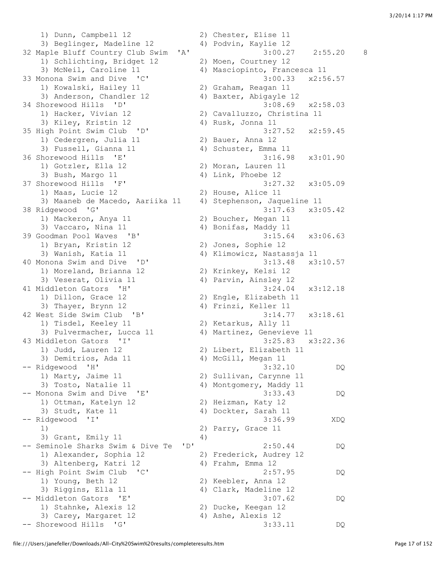1) Dunn, Campbell 12 2) Chester, Elise 11 3) Beglinger, Madeline 12 4) Podvin, Kaylie 12 32 Maple Bluff Country Club Swim 'A' 3:00.27 2:55.20 8 1) Schlichting, Bridget 12 2) Moen, Courtney 12 3) McNeil, Caroline 11 4) Masciopinto, Francesca 11 33 Monona Swim and Dive 'C' 3:00.33 x2:56.57 1) Kowalski, Hailey 11 2) Graham, Reagan 11 3) Anderson, Chandler 12 4) Baxter, Abigayle 12 34 Shorewood Hills 'D' 3:08.69 x2:58.03 1) Hacker, Vivian 12 2) Cavalluzzo, Christina 11 3) Kiley, Kristin 12 4) Rusk, Jonna 11 35 High Point Swim Club 'D' 3:27.52 x2:59.45 1) Cedergren, Julia 11 2) Bauer, Anna 12 1) Cedergren, Julia 11 (2) Bauer, Anna 12<br>3) Fussell, Gianna 11 (4) Schuster, Emma 11 36 Shorewood Hills 'E' 3:16.98 x3:01.90 1) Gotzler, Ella 12 2) Moran, Lauren 11 3) Bush, Margo 11 4) Link, Phoebe 12 37 Shorewood Hills 'F' 3:27.32 x3:05.09 1) Maas, Lucie 12 2) House, Alice 11 3) Maaneb de Macedo, Aariika 11 4) Stephenson, Jaqueline 11 38 Ridgewood 'G' 3:17.63 x3:05.42 1) Mackeron, Anya 11 2) Boucher, Megan 11 3) Vaccaro, Nina 11 4) Bonifas, Maddy 11 39 Goodman Pool Waves 'B' 3:15.64 x3:06.63 1) Bryan, Kristin 12 2) Jones, Sophie 12 3) Wanish, Katia 11 4) Klimowicz, Nastassja 11 40 Monona Swim and Dive 'D' 3:13.48 x3:10.57 1) Moreland, Brianna 12 2) Krinkey, Kelsi 12 3) Veserat, Olivia 11 4) Parvin, Ainsley 12 41 Middleton Gators 'H' 3:24.04 x3:12.18 1) Dillon, Grace 12 2) Engle, Elizabeth 11 3) Thayer, Brynn 12 4) Frinzi, Keller 11 42 West Side Swim Club 'B' 3:14.77 x3:18.61 1) Tisdel, Keeley 11 2) Ketarkus, Ally 11 3) Pulvermacher, Lucca 11 4) Martinez, Genevieve 11 43 Middleton Gators 'I' 3:25.83 x3:22.36 1) Judd, Lauren 12 2) Libert, Elizabeth 11 3) Demitrios, Ada 11 4) McGill, Megan 11 -- Ridgewood 'H' 3:32.10 DQ 1) Marty, Jaime 11 2) Sullivan, Carynne 11 3) Tosto, Natalie 11 4) Montgomery, Maddy 11 -- Monona Swim and Dive 'E' 3:33.43 DQ 1) Ottman, Katelyn 12 2) Heizman, Katy 12 3) Studt, Kate 11 4) Dockter, Sarah 11 -- Ridgewood 'I' 3:36.99 XDQ 1) 2) Parry, Grace 11 3) Grant, Emily 11 4) -- Seminole Sharks Swim & Dive Te 'D' 2:50.44 DQ 1) Alexander, Sophia 12 2) Frederick, Audrey 12 3) Altenberg, Katri 12 4) Frahm, Emma 12 -- High Point Swim Club 'C' 2:57.95 DQ 1) Young, Beth 12 2) Keebler, Anna 12 3) Riggins, Ella 11 4) Clark, Madeline 12 -- Middleton Gators 'E' 3:07.62 DQ 2) Ducke, Keegan 12<br>4) Ashe, Alexis 12 1) Stahnke, Alexis 12<br>3) Carey, Margaret 12 -- Shorewood Hills 'G' 3:33.11 DQ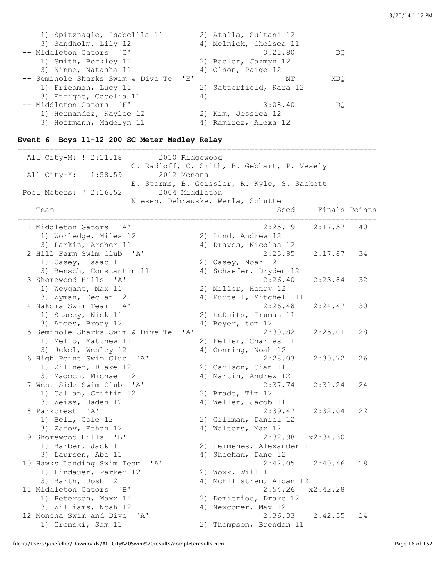| 1) Spitznagle, Isabellla 11           | 2) Atalla, Sultani 12   |
|---------------------------------------|-------------------------|
| 3) Sandholm, Lily 12                  | 4) Melnick, Chelsea 11  |
| -- Middleton Gators 'G'               | 3:21.80<br>DO           |
| 1) Smith, Berkley 11                  | 2) Babler, Jazmyn 12    |
| 3) Kinne, Natasha 11                  | 4) Olson, Paige 12      |
| -- Seminole Sharks Swim & Dive Te 'E' | XDO<br>NΤ               |
| 1) Friedman, Lucy 11                  | 2) Satterfield, Kara 12 |
| 3) Enright, Cecelia 11                | 4)                      |
| -- Middleton Gators 'F'               | 3:08.40<br>DO           |
| 1) Hernandez, Kaylee 12               | 2) Kim, Jessica 12      |
| 3) Hoffmann, Madelyn 11               | 4) Ramirez, Alexa 12    |

#### **Event 6 Boys 11-12 200 SC Meter Medley Relay**

=============================================================================== All City-M: ! 2:11.18 2010 Ridgewood C. Radloff, C. Smith, B. Gebhart, P. Vesely All City-Y: 1:58.59 2012 Monona E. Storms, B. Geissler, R. Kyle, S. Sackett Pool Meters: # 2:16.52 2004 Middleton Niesen, Debrauske, Werla, Schutte Team Seed Finals Points =============================================================================== 1 Middleton Gators 'A' 2:25.19 2:17.57 40 1) Worledge, Miles 12 2) Lund, Andrew 12 3) Parkin, Archer 11 4) Draves, Nicolas 12 2 Hill Farm Swim Club 'A' 2:23.95 2:17.87 34 1) Casey, Isaac 11 2) Casey, Noah 12 3) Bensch, Constantin 11 4) Schaefer, Dryden 12 3 Shorewood Hills 'A' 2:26.40 2:23.84 32 1) Weygant, Max 11 2) Miller, Henry 12 3) Wyman, Declan 12 4) Purtell, Mitchell 11 4 Nakoma Swim Team 'A' 2:26.48 2:24.47 30 1) Stacey, Nick 11 2) teDuits, Truman 11 3) Andes, Brody 12 4) Beyer, tom 12 5 Seminole Sharks Swim & Dive Te 'A' 2:30.82 2:25.01 28 1) Mello, Matthew 11 2) Feller, Charles 11<br>3) Jekel, Wesley 12 4) Gonring, Noah 12 4) Gonring, Noah 12 6 High Point Swim Club 'A' 2:28.03 2:30.72 26 1) Zillner, Blake 12 2) Carlson, Cian 11 3) Madoch, Michael 12 4) Martin, Andrew 12 7 West Side Swim Club 'A' 2:37.74 2:31.24 24 1) Callan, Griffin 12 2) Bradt, Tim 12 3) Weiss, Jaden 12 4) Weller, Jacob 11 8 Parkcrest 'A' 2:39.47 2:32.04 22 1) Bell, Cole 12 2) Gillman, Daniel 12 3) Zarov, Ethan 12 4) Walters, Max 12 9 Shorewood Hills 'B' 2:32.98 x2:34.30<br>1) Barber, Jack 11 2) Lemmenes, Alexander 11 2) Lemmenes, Alexander 11 3) Laursen, Abe 11 4) Sheehan, Dane 12 10 Hawks Landing Swim Team 'A' 2:42.05 2:40.46 18 1) Lindauer, Parker 12 2) Wowk, Will 11 3) Barth, Josh 12 4) McEllistrem, Aidan 12 11 Middleton Gators 'B' 2:54.26 x2:42.28 1) Peterson, Maxx 11 2) Demitrios, Drake 12 3) Williams, Noah 12 4) Newcomer, Max 12 12 Monona Swim and Dive 'A' 2:36.33 2:42.35 14 1) Gronski, Sam 11 2) Thompson, Brendan 11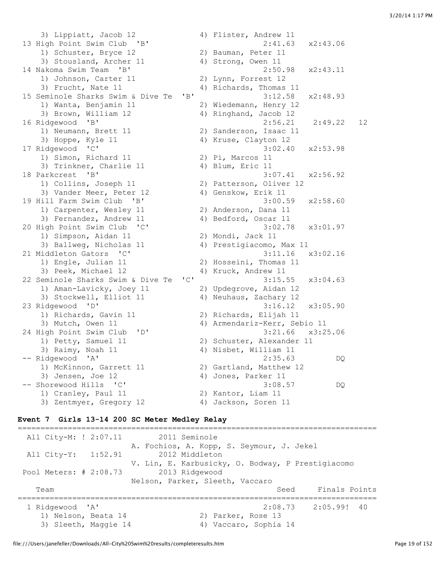3) Lippiatt, Jacob 12 4) Flister, Andrew 11 13 High Point Swim Club 'B' 2:41.63 x2:43.06 1) Schuster, Bryce 12 2) Bauman, Peter 11 3) Stousland, Archer 11 4) Strong, Owen 11 14 Nakoma Swim Team 'B' 2:50.98 x2:43.11 1) Johnson, Carter 11 2) Lynn, Forrest 12 3) Frucht, Nate 11 4) Richards, Thomas 11 15 Seminole Sharks Swim & Dive Te 'B' 3:12.58 x2:48.93 1) Wanta, Benjamin 11 2) Wiedemann, Henry 12 3) Brown, William 12 4) Ringhand, Jacob 12 16 Ridgewood 'B' 2:56.21 2:49.22 12 1) Neumann, Brett 11 2) Sanderson, Isaac 11 3) Hoppe, Kyle 11 4) Kruse, Clayton 12 17 Ridgewood 'C' 3:02.40 x2:53.98 1) Simon, Richard 11 2) Pi, Marcos 11 3) Trinkner, Charlie 11 (4) Blum, Eric 11 18 Parkcrest 'B' 3:07.41 x2:56.92 1) Collins, Joseph 11 2) Patterson, Oliver 12 3) Vander Meer, Peter 12 (4) Genskow, Erik 11 19 Hill Farm Swim Club 'B' 3:00.59 x2:58.60 1) Carpenter, Wesley 11 2) Anderson, Dana 11 3) Fernandez, Andrew 11 4) Bedford, Oscar 11 20 High Point Swim Club 'C' 3:02.78 x3:01.97 1) Simpson, Aidan 11 2) Mondi, Jack 11 3) Ballweg, Nicholas 11 4) Prestigiacomo, Max 11 21 Middleton Gators 'C' 3:11.16 x3:02.16 1) Engle, Julian 11 2) Hosseini, Thomas 11 3) Peek, Michael 12 4) Kruck, Andrew 11 22 Seminole Sharks Swim & Dive Te 'C' 3:15.55 x3:04.63 1) Aman-Lavicky, Joey 11 2) Updegrove, Aidan 12 3) Stockwell, Elliot 11 4) Neuhaus, Zachary 12 23 Ridgewood 'D' 3:16.12 x3:05.90 1) Richards, Gavin 11 2) Richards, Elijah 11 3) Mutch, Owen 11 4) Armendariz-Kerr, Sebio 11 24 High Point Swim Club 'D' 3:21.66 x3:25.06 1) Petty, Samuel 11 2) Schuster, Alexander 11 3) Raimy, Noah 11 4) Nisbet, William 11 -- Ridgewood 'A' 2:35.63 DQ 1) McKinnon, Garrett 11 2) Gartland, Matthew 12 3) Jensen, Joe 12 4) Jones, Parker 11 -- Shorewood Hills 'C' 3:08.57 DQ 1) Cranley, Paul 11 2) Kantor, Liam 11 3) Zentmyer, Gregory 12 4) Jackson, Soren 11

#### **Event 7 Girls 13-14 200 SC Meter Medley Relay**

=============================================================================== All City-M: ! 2:07.11 2011 Seminole A. Fochios, A. Kopp, S. Seymour, J. Jekel All City-Y: 1:52.91 2012 Middleton V. Lin, E. Karbusicky, O. Bodway, P Prestigiacomo Pool Meters: # 2:08.73 2013 Ridgewood Nelson, Parker, Sleeth, Vaccaro Team Seed Finals Points =============================================================================== 1 Ridgewood 'A' 2:08.73 2:05.99! 40 1) Nelson, Beata 14 2) Parker, Rose 13 3) Sleeth, Maggie 14 4) Vaccaro, Sophia 14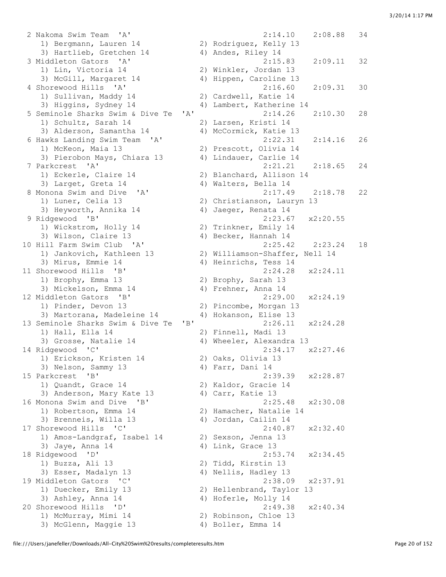2 Nakoma Swim Team 'A' 2:14.10 2:08.88 34 1) Bergmann, Lauren 14 2) Rodriguez, Kelly 13 3) Hartlieb, Gretchen 14 4) Andes, Riley 14 3 Middleton Gators 'A' 2:15.83 2:09.11 32 1) Lin, Victoria 14 2) Winkler, Jordan 13 3) McGill, Margaret 14 4) Hippen, Caroline 13 4 Shorewood Hills 'A' 2:16.60 2:09.31 30 1) Sullivan, Maddy 14 2) Cardwell, Katie 14 3) Higgins, Sydney 14 4) Lambert, Katherine 14 5 Seminole Sharks Swim & Dive Te 'A' 2:14.26 2:10.30 28 1) Schultz, Sarah 14 2) Larsen, Kristi 14 3) Alderson, Samantha 14 4) McCormick, Katie 13 6 Hawks Landing Swim Team 'A' 2:22.31 2:14.16 26 1) McKeon, Maia 13 2) Prescott, Olivia 14 3) Pierobon Mays, Chiara 13 4) Lindauer, Carlie 14 7 Parkcrest 'A' 2:21.21 2:18.65 24 1) Eckerle, Claire 14 2) Blanchard, Allison 14 3) Larget, Greta 14 4) Walters, Bella 14 8 Monona Swim and Dive 'A' 2:17.49 2:18.78 22 1) Luner, Celia 13 2) Christianson, Lauryn 13 3) Heyworth, Annika 14 4) Jaeger, Renata 14 9 Ridgewood 'B' 2:23.67 x2:20.55 1) Wickstrom, Holly 14 2) Trinkner, Emily 14 3) Wilson, Claire 13 4) Becker, Hannah 14 10 Hill Farm Swim Club 'A' 2:25.42 2:23.24 18 1) Jankovich, Kathleen 13 2) Williamson-Shaffer, Nell 14 3) Mirus, Emmie 14 4) Heinrichs, Tess 14 11 Shorewood Hills 'B' 2:24.28 x2:24.11 1) Brophy, Emma 13 2) Brophy, Sarah 13 1) Brophy, Emma 13 (2) Brophy, Sarah 13<br>3) Mickelson, Emma 14 (4) Frehner, Anna 14 12 Middleton Gators 'B' 2:29.00 x2:24.19 1) Pinder, Devon 13 2) Pincombe, Morgan 13 3) Martorana, Madeleine 14 4) Hokanson, Elise 13 13 Seminole Sharks Swim & Dive Te 'B' 2:26.11 x2:24.28 1) Hall, Ella 14 2) Finnell, Madi 13 3) Grosse, Natalie 14 4) Wheeler, Alexandra 13 14 Ridgewood 'C' 2:34.17 x2:27.46 1) Erickson, Kristen 14 2) Oaks, Olivia 13 3) Nelson, Sammy 13 4) Farr, Dani 14 15 Parkcrest 'B' 2:39.39 x2:28.87 1) Quandt, Grace 14 2) Kaldor, Gracie 14 3) Anderson, Mary Kate 13 (4) Carr, Katie 13 16 Monona Swim and Dive 'B' 2:25.48 x2:30.08 1) Robertson, Emma 14 2) Hamacher, Natalie 14 3) Brenneis, Willa 13 4) Jordan, Cailin 14 17 Shorewood Hills 'C' 2:40.87 x2:32.40 1) Amos-Landgraf, Isabel 14 2) Sexson, Jenna 13 3) Jaye, Anna 14 4) Link, Grace 13 18 Ridgewood 'D' 2:53.74 x2:34.45 1) Buzza, Ali 13 2) Tidd, Kirstin 13 3) Esser, Madalyn 13 4) Nellis, Hadley 13 19 Middleton Gators 'C' 2:38.09 x2:37.91 1) Duecker, Emily 13 2) Hellenbrand, Taylor 13 3) Ashley, Anna 14 4) Hoferle, Molly 14 20 Shorewood Hills 'D' 2:49.38 x2:40.34 1) McMurray, Mimi 14 2) Robinson, Chloe 13 3) McGlenn, Maggie 13 4) Boller, Emma 14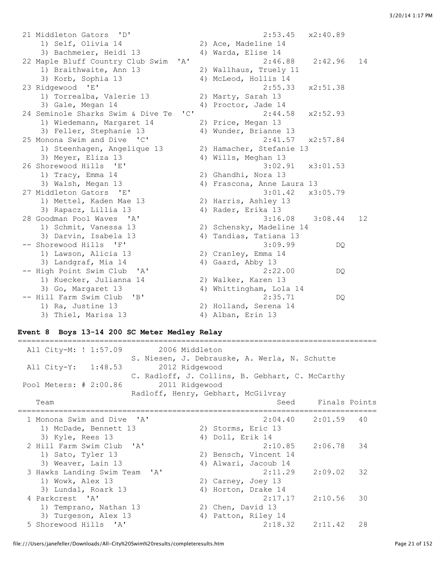21 Middleton Gators 'D' 2:53.45 x2:40.89 1) Self, Olivia 14 2) Ace, Madeline 14 3) Bachmeier, Heidi 13 4) Warda, Elise 14 22 Maple Bluff Country Club Swim 'A' 2:46.88 2:42.96 14 1) Braithwaite, Ann 13 2) Wallhaus, Truely 11 3) Korb, Sophia 13 4) McLeod, Hollis 14 23 Ridgewood 'E' 2:55.33 x2:51.38 1) Torrealba, Valerie 13 2) Marty, Sarah 13 3) Gale, Megan 14  $\frac{3}{4}$  Proctor, Jade 14 24 Seminole Sharks Swim & Dive Te 'C' 2:44.58 x2:52.93 1) Wiedemann, Margaret 14 2) Price, Megan 13 3) Feller, Stephanie 13 4) Wunder, Brianne 13<br>25 Monona Swim and Dive 'C' 2:41.57<br>1) Steenhagen Angelisus 10 25 Monona Swim and Dive 'C' 2:41.57 x2:57.84 1) Steenhagen, Angelique 13 2) Hamacher, Stefanie 13 3) Meyer, Eliza 13 4) Wills, Meghan 13 26 Shorewood Hills 'E' 3:02.91 x3:01.53 1) Tracy, Emma 14 2) Ghandhi, Nora 13 3) Walsh, Megan 13 4) Frascona, Anne Laura 13 27 Middleton Gators 'E' 3:01.42 x3:05.79 1) Mettel, Kaden Mae 13 2) Harris, Ashley 13 3) Rapacz, Lillia 13 4) Rader, Erika 13 28 Goodman Pool Waves 'A' 3:16.08 3:08.44 12 1) Schmit, Vanessa 13 2) Schensky, Madeline 14 3) Darvin, Isabela 13 4) Tandias, Tatiana 13 -- Shorewood Hills 'F' 3:09.99 DQ 1) Lawson, Alicia 13 2) Cranley, Emma 14 3) Landgraf, Mia 14 4) Gaard, Abby 13 -- High Point Swim Club 'A' 2:22.00 DQ 1) Kuecker, Julianna 14 2) Walker, Karen 13 3) Go, Margaret 13 4) Whittingham, Lola 14 -- Hill Farm Swim Club 'B' 2:35.71 DQ 1) Ra, Justine 13 2) Holland, Serena 14 3) Thiel, Marisa 13 4) Alban, Erin 13

#### **Event 8 Boys 13-14 200 SC Meter Medley Relay**

| 2006 Middleton<br>All City-M: ! 1:57.09  |                                                 |
|------------------------------------------|-------------------------------------------------|
|                                          | S. Niesen, J. Debrauske, A. Werla, N. Schutte   |
| All City-Y: 1:48.53<br>2012 Ridgewood    | C. Radloff, J. Collins, B. Gebhart, C. McCarthy |
| Pool Meters: # 2:00.86<br>2011 Ridgewood |                                                 |
|                                          | Radloff, Henry, Gebhart, McGilvray              |
| Team                                     | Seed Finals Points                              |
| 1 Monona Swim and Dive 'A'               | $2:04.40$ $2:01.59$ 40                          |
| 1) McDade, Bennett 13                    | 2) Storms, Eric 13                              |
| 3) Kyle, Rees 13                         | 4) Doll, Erik 14                                |
| 2 Hill Farm Swim Club 'A'                | $2:10.85$ $2:06.78$ 34                          |
| 1) Sato, Tyler 13                        | 2) Bensch, Vincent 14                           |
| 3) Weaver, Lain 13                       | 4) Alwari, Jacoub 14                            |
| 3 Hawks Landing Swim Team 'A'            | 2:11.29<br>2:09.02<br>32                        |
| 1) Wowk, Alex 13                         | 2) Carney, Joey 13                              |
| 3) Lundal, Roark 13                      | 4) Horton, Drake 14                             |
| 4 Parkcrest 'A'                          | $2:17.17$ $2:10.56$<br>30                       |
| 1) Temprano, Nathan 13                   | 2) Chen, David 13                               |
| 3) Turgeson, Alex 13                     | 4) Patton, Riley 14                             |
| 5 Shorewood Hills 'A'                    | $2:18.32$ $2:11.42$<br>28                       |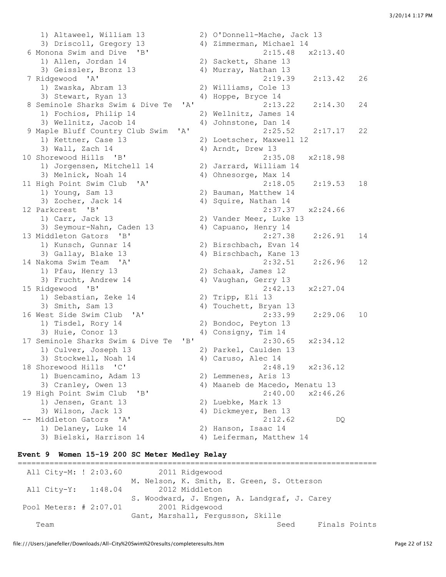1) Altaweel, William 13 2) O'Donnell-Mache, Jack 13 3) Driscoll, Gregory 13 4) Zimmerman, Michael 14 6 Monona Swim and Dive 'B' 2:15.48 x2:13.40 1) Allen, Jordan 14 2) Sackett, Shane 13 3) Geissler, Bronz 13 4) Murray, Nathan 13 7 Ridgewood 'A' 2:19.39 2:13.42 26 1) Zwaska, Abram 13 2) Williams, Cole 13 3) Stewart, Ryan 13 4) Hoppe, Bryce 14 8 Seminole Sharks Swim & Dive Te 'A' 2:13.22 2:14.30 24 1) Fochios, Philip 14 2) Wellnitz, James 14 3) Wellnitz, Jacob 14 (4) Johnstone, Dan 14<br>
Japle Bluff Country Club Swim 'A' (2:25.52 (2:17.17 9 Maple Bluff Country Club Swim 'A' 2:25.52 2:17.17 22 1) Kettner, Case 13 2) Loetscher, Maxwell 12 3) Wall, Zach 14 4) Arndt, Drew 13 10 Shorewood Hills 'B' 2:35.08 x2:18.98 1) Jorgensen, Mitchell 14 2) Jarrard, William 14 3) Melnick, Noah 14 4) Ohnesorge, Max 14 11 High Point Swim Club 'A' 2:18.05 2:19.53 18 1) Young, Sam 13 2) Bauman, Matthew 14 3) Zocher, Jack 14 4) Squire, Nathan 14 1, 1920, 2000 1, 1920, 2000 1, 1920, 2000 1, 1920, 2000 1, 2:37.37 2000 1, 2:37.37 2:24.66<br>12 Parkcrest 'B' 2:37.37 2:24.66 1) Carr, Jack 13 2) Vander Meer, Luke 13 3) Seymour-Nahn, Caden 13 4) Capuano, Henry 14 13 Middleton Gators 'B' 2:27.38 2:26.91 14 1) Kunsch, Gunnar 14 2) Birschbach, Evan 14 3) Gallay, Blake 13 4) Birschbach, Kane 13 14 Nakoma Swim Team 'A' 2:32.51 2:26.96 12 1) Pfau, Henry 13 2) Schaak, James 12 1) Pfau, Henry 13 (2) Schaak, James 12<br>3) Frucht, Andrew 14 (4) Vaughan, Gerry 13<br>15 Ridgewood 'B' (2:42.13 15 Ridgewood 'B' 2:42.13 x2:27.04 1) Sebastian, Zeke 14 2) Tripp, Eli 13 3) Smith, Sam 13 4) Touchett, Bryan 13 16 West Side Swim Club 'A' 2:33.99 2:29.06 10 1) Tisdel, Rory 14 2) Bondoc, Peyton 13 3) Huie, Conor 13 4) Consigny, Tim 14 17 Seminole Sharks Swim & Dive Te 'B' 2:30.65 x2:34.12 1) Culver, Joseph 13 2) Parkel, Caulden 13 3) Stockwell, Noah 14 4) Caruso, Alec 14 18 Shorewood Hills 'C' 2:48.19 x2:36.12 1) Buencamino, Adam 13 2) Lemmenes, Aris 13 3) Cranley, Owen 13 4) Maaneb de Macedo, Menatu 13 19 High Point Swim Club 'B' 2:40.00 x2:46.26 1) Jensen, Grant 13 2) Luebke, Mark 13 3) Wilson, Jack 13 4) Dickmeyer, Ben 13 -- Middleton Gators 'A' 2:12.62 DQ 1) Delaney, Luke 14 2) Hanson, Isaac 14 3) Bielski, Harrison 14 4) Leiferman, Matthew 14

## **Event 9 Women 15-19 200 SC Meter Medley Relay**

=============================================================================== All City-M: ! 2:03.60 2011 Ridgewood M. Nelson, K. Smith, E. Green, S. Otterson All City-Y: 1:48.04 2012 Middleton S. Woodward, J. Engen, A. Landgraf, J. Carey Pool Meters: # 2:07.01 2001 Ridgewood Gant, Marshall, Fergusson, Skille Team Seed Finals Points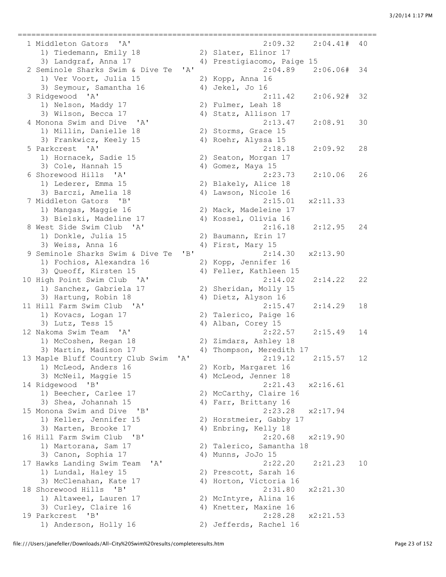=============================================================================== 1 Middleton Gators 'A' 2:09.32 2:04.41# 40 1) Tiedemann, Emily 18 2) Slater, Elinor 17 3) Landgraf, Anna 17 4) Prestigiacomo, Paige 15 2 Seminole Sharks Swim & Dive Te 'A' 2:04.89 2:06.06# 34 1) Ver Voort, Julia 15 2) Kopp, Anna 16 3) Seymour, Samantha 16 4) Jekel, Jo 16 3 Ridgewood 'A' 2:11.42 2:06.92# 32 3) Wilson, Becca 17 4) Statz, Allison 17 4 Monona Swim and Dive 'A' 2:13.47 2:08.91 30 1) Millin, Danielle 18 2) Storms, Grace 15 3) Frankwicz, Keely 15 4) Roehr, Alyssa 15 5 Parkcrest 'A' 2:18.18 2:09.92 28 1) Hornacek, Sadie 15 1) Hornacek, Sadie 15 (2) Seaton, Morgan 17<br>3) Cole, Hannah 15 (4) Gomez, Maya 15 6 Shorewood Hills 'A' 2:23.73 2:10.06 26 1) Lederer, Emma 15 2) Blakely, Alice 18 3) Barczi, Amelia 18 4) Lawson, Nicole 16 7 Middleton Gators 'B' 2:15.01 x2:11.33 1) Mangas, Maggie 16 2) Mack, Madeleine 17<br>
3) Bielski, Madeline 17 4) Kossel, Olivia 16 3) Bielski, Madeline 17 8 West Side Swim Club 'A' 2:16.18 2:12.95 24 1) Donkle, Julia 15 2) Baumann, Erin 17 3) Weiss, Anna 16 4) First, Mary 15 9 Seminole Sharks Swim & Dive Te 'B' 2:14.30 x2:13.90 1) Fochios, Alexandra 16 2) Kopp, Jennifer 16 3) Queoff, Kirsten 15 4) Feller, Kathleen 15 10 High Point Swim Club 'A' 2:14.02 2:14.22 22 2.14.02<br>1) Sanchez, Gabriela 17 2) Sheridan, Molly 15 3) Hartung, Robin 18 4) Dietz, Alyson 16 11 Hill Farm Swim Club 'A' 2:15.47 2:14.29 18 1) Kovacs, Logan 17 2) Talerico, Paige 16 3) Lutz, Tess 15 4) Alban, Corey 15 12 Nakoma Swim Team 'A' 2:22.57 2:15.49 14 1) McCoshen, Regan 18 2) Zimdars, Ashley 18 3) Martin, Madison 17 4) Thompson, Meredith 17 13 Maple Bluff Country Club Swim 'A' 2:19.12 2:15.57 12 1) McLeod, Anders 16 2) Korb, Margaret 16 3) McNeil, Maggie 15 4) McLeod, Jenner 18 14 Ridgewood 'B' 2:21.43 x2:16.61 1) Beecher, Carlee 17 2) McCarthy, Claire 16 3) Shea, Johannah 15 4) Farr, Brittany 16 15 Monona Swim and Dive 'B' 2:23.28 x2:17.94 1) Keller, Jennifer 15 2) Horstmeier, Gabby 17 3) Marten, Brooke 17 4) Enbring, Kelly 18 16 Hill Farm Swim Club 'B' 2:20.68 x2:19.90 1) Martorana, Sam 17 2) Talerico, Samantha 18 3) Canon, Sophia 17 (4) Munns, JoJo 15 17 Hawks Landing Swim Team 'A' 2:22.20 2:21.23 10 1) Lundal, Haley 15 2) Prescott, Sarah 16 3) McClenahan, Kate 17 4) Horton, Victoria 16 18 Shorewood Hills 'B' 2:31.80 x2:21.30 1) Altaweel, Lauren 17 2) McIntyre, Alina 16 3) Curley, Claire 16 4) Knetter, Maxine 16 19 Parkcrest 'B' 2:28.28 x2:21.53

2) Fulmer, Leah 18

1) Anderson, Holly 16 2) Jefferds, Rachel 16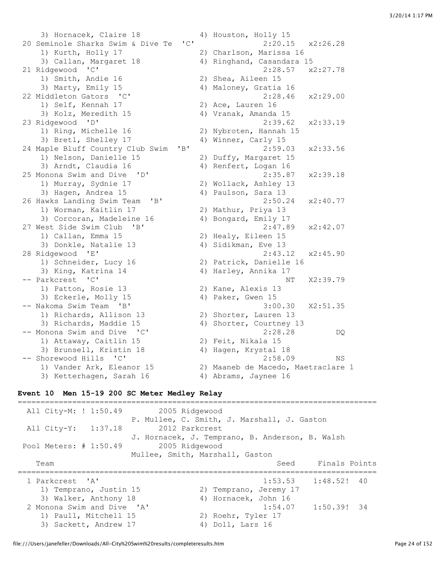3) Hornacek, Claire 18 4) Houston, Holly 15 20 Seminole Sharks Swim & Dive Te 'C' 2:20.15 x2:26.28 1) Kurth, Holly 17 2) Charlson, Marissa 16 3) Callan, Margaret 18 4) Ringhand, Casandara 15 21 Ridgewood 'C' 2:28.57 x2:27.78 1) Smith, Andie 16 2) Shea, Aileen 15 3) Marty, Emily 15 4) Maloney, Gratia 16 22 Middleton Gators 'C' 2:28.46 x2:29.00 1) Self, Kennah 17 2) Ace, Lauren 16 3) Kolz, Meredith 15 4) Vranak, Amanda 15 23 Ridgewood 'D' 2:39.62 x2:33.19 1) Ring, Michelle 16 2) Nybroten, Hannah 15 3) Bretl, Shelley 17 4) Winner, Carly 15 24 Maple Bluff Country Club Swim 'B' 2:59.03 x2:33.56<br>1) Nelson, Danielle 15 2) Duffy, Margaret 15 1) Nelson, Danielle 15 3) Arndt, Claudia 16 4) Renfert, Logan 16 25 Monona Swim and Dive 'D' 2:35.87 x2:39.18<br>
2) Murray, Sydnie 17<br>
3) Hagen, Andrea 15 4) Paulson, Sara 13 1) Murray, Sydnie 17 2) Wollack, Ashley 13 3) Hagen, Andrea 15 (4) Paulson, Sara 13 26 Hawks Landing Swim Team 'B' 2:50.24 x2:40.77 1) Worman, Kaitlin 17 2) Mathur, Priya 13 3) Corcoran, Madeleine 16 4) Bongard, Emily 17 27 West Side Swim Club 'B' 2:47.89 x2:42.07 1) Callan, Emma 15 2) Healy, Eileen 15 3) Donkle, Natalie 13 (4) Sidikman, Eve 13 28 Ridgewood 'E' 2:43.12 x2:45.90 1) Schneider, Lucy 16 2) Patrick, Danielle 16 3) King, Katrina 14 4) Harley, Annika 17 -- Parkcrest 'C' NT X2:39.79 1) Patton, Rosie 13 2) Kane, Alexis 13 3) Eckerle, Molly 15 4) Paker, Gwen 15 -- Nakoma Swim Team 'B' 3:00.30 X2:51.35 1) Richards, Allison 13 2) Shorter, Lauren 13 3) Richards, Maddie 15 4) Shorter, Courtney 13 -- Monona Swim and Dive 'C' 2:28.28 DQ 1) Attaway, Caitlin 15 2) Feit, Nikala 15 3) Brunsell, Kristin 18 4) Hagen, Krystal 18 -- Shorewood Hills 'C' 2:58.09 NS 1) Vander Ark, Eleanor 15 2) Maaneb de Macedo, Maetraclare 1 3) Ketterhagen, Sarah 16 4) Abrams, Jaynee 16

### **Event 10 Men 15-19 200 SC Meter Medley Relay**

=============================================================================== All City-M: ! 1:50.49 2005 Ridgewood P. Mullee, C. Smith, J. Marshall, J. Gaston All City-Y: 1:37.18 2012 Parkcrest J. Hornacek, J. Temprano, B. Anderson, B. Walsh Pool Meters: # 1:50.49 2005 Ridgewood Mullee, Smith, Marshall, Gaston Team Seed Finals Points =============================================================================== 1 Parkcrest 'A' 1:53.53 1:48.52! 40 1) Temprano, Justin 15 2) Temprano, Jeremy 17 3) Walker, Anthony 18 4) Hornacek, John 16 2 Monona Swim and Dive 'A' 1:54.07 1:50.39! 34 1) Paull, Mitchell 15 2) Roehr, Tyler 17 3) Sackett, Andrew 17 4) Doll, Lars 16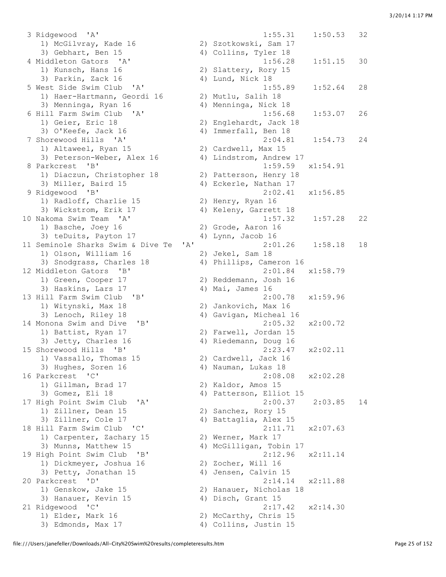3 Ridgewood 'A' 1:55.31 1:50.53 32 1) McGilvray, Kade 16 2) Szotkowski, Sam 17 3) Gebhart, Ben 15 4) Collins, Tyler 18 1) Kunsch, Hans 16 2) Slattery, Rory 15 3) Parkin, Zack 16 4) Lund, Nick 18 1) Haer-Hartmann, Geordi 16 2) Mutlu, Salih 18 3) Menninga, Ryan 16 4) Menninga, Nick 18 1) Geier, Eric 18 2) Englehardt, Jack 18 1, GOLOL, 2000 1.<br>3) O'Keefe, Jack 16 1) Altaweel, Ryan 15 2) Cardwell, Max 15 3) Peterson-Weber, Alex 16 4) Lindstrom, Andrew 17 8 Parkcrest 'B' 1:59.59 x1:54.91 1) Diaczun, Christopher 18 2) Patterson, Henry 18 3) Miller, Baird 15 4) Eckerle, Nathan 17 9 Ridgewood 'B' 2:02.41 x1:56.85 1) Radloff, Charlie 15 2) Henry, Ryan 16 3) Wickstrom, Erik 17 4) Keleny, Garrett 18 1) Basche, Joey 16 2) Grode, Aaron 16 3) teDuits, Payton 17 (4) Lynn, Jacob 16 1) Olson, William 16 2) Jekel, Sam 18 3) Snodgrass, Charles 18 4) Phillips, Cameron 16 12 Middleton Gators 'B' 2:01.84 x1:58.79 1) Green, Cooper 17 2) Reddemann, Josh 16 3) Haskins, Lars 17 (4) Mai, James 16 13 Hill Farm Swim Club 'B' 2:00.78 x1:59.96 1) Witynski, Max 18 2) Jankovich, Max 16 3) Lenoch, Riley 18 4) Gavigan, Micheal 16 14 Monona Swim and Dive 'B' 2:05.32 x2:00.72 1) Battist, Ryan 17 2) Farwell, Jordan 15 3) Jetty, Charles 16 (and the Carolina of the Condensity, Ryan 17 (and the Condensity, Charles 16 (and the Condensity of the Condensity of the Condensity of the Condensity of the Condensity of the Condensity of the Condens 15 Shorewood Hills 'B' 2:23.47 x2:02.11 1) Vassallo, Thomas 15 2) Cardwell, Jack 16 3) Hughes, Soren 16 4) Nauman, Lukas 18 16 Parkcrest 'C' 2:08.08 x2:02.28 1) Gillman, Brad 17 2) Kaldor, Amos 15 3) Gomez, Eli 18 4) Patterson, Elliot 15 3) Zillner, Cole 17 4) Battaglia, Alex 15 18 Hill Farm Swim Club 'C' 2:11.71 x2:07.63 1) Carpenter, Zachary 15 2) Werner, Mark 17 3) Munns, Matthew 15 4) McGilligan, Tobin 17 19 High Point Swim Club 'B' 2:12.96 x2:11.14 1) Dickmeyer, Joshua 16 2) Zocher, Will 16 3) Petty, Jonathan 15 4) Jensen, Calvin 15 20 Parkcrest 'D' 2:14.14 x2:11.88 1) Genskow, Jake 15 2) Hanauer, Nicholas 18 3) Hanauer, Kevin 15 4) Disch, Grant 15 21 Ridgewood 'C' 2:17.42 x2:14.30 1) Elder, Mark 16 2) McCarthy, Chris 15 3) Edmonds, Max 17 4) Collins, Justin 15

 4 Middleton Gators 'A' 1:56.28 1:51.15 30 5 West Side Swim Club 'A' 1:55.89 1:52.64 28 6 Hill Farm Swim Club 'A' 1:56.68 1:53.07 26 7 Shorewood Hills 'A' 2:04.81 1:54.73 24 10 Nakoma Swim Team 'A' 1:57.32 1:57.28 22 11 Seminole Sharks Swim & Dive Te 'A' 2:01.26 1:58.18 18 17 High Point Swim Club 'A' 2:00.37 2:03.85 14<br>1) Zillner, Dean 15 2) Sanchez, Rory 15<br>3) Zillner, Cole 17 4) Battaglia, Alex 15 2) Sanchez, Rory 15<br>4) Battaglia, Alex 15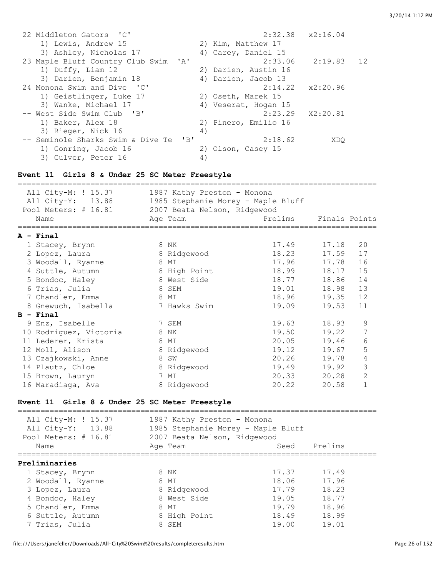| 22 Middleton Gators 'C'                                         | $2:32.38$ $x2:16.04$     |
|-----------------------------------------------------------------|--------------------------|
| 1) Lewis, Andrew 15                                             | 2) Kim, Matthew 17       |
| 3) Ashley, Nicholas 17                                          | 4) Carey, Daniel 15      |
| 23 Maple Bluff Country Club Swim 'A'                            | 2:33.06<br>2:19.83 12    |
| 1) Duffy, Liam 12                                               | 2) Darien, Austin 16     |
| 3) Darien, Benjamin 18                                          | 4) Darien, Jacob 13      |
| 24 Monona Swim and Dive 'C'                                     | $2:14.22 \times 2:20.96$ |
| 1) Geistlinger, Luke 17                                         | 2) Oseth, Marek 15       |
| 3) Wanke, Michael 17                                            | 4) Veserat, Hogan 15     |
| -- West Side Swim Club 'B'                                      | $2:23.29$ $X2:20.81$     |
| 1) Baker, Alex 18                                               | 2) Pinero, Emilio 16     |
| 3) Rieger, Nick 16                                              | 4)                       |
| $^{\prime}$ B <sup>1</sup><br>-- Seminole Sharks Swim & Dive Te | 2:18.62<br>XDO           |
| 1) Gonring, Jacob 16                                            | 2) Olson, Casey 15       |
| 3) Culver, Peter 16                                             | 4)                       |

## **Event 11 Girls 8 & Under 25 SC Meter Freestyle**

| All City-M: ! 15.37<br>All City-Y: 13.88<br>Pool Meters: # 16.81 |   | 1987 Kathy Preston - Monona<br>1985 Stephanie Morey - Maple Bluff<br>2007 Beata Nelson, Ridgewood |             |               |                |
|------------------------------------------------------------------|---|---------------------------------------------------------------------------------------------------|-------------|---------------|----------------|
| Name                                                             |   | Age Team                                                                                          | Prelims     | Finals Points |                |
| $A - Final$                                                      |   |                                                                                                   |             |               |                |
| 1 Stacey, Brynn                                                  |   | 8 NK                                                                                              | 17.49 17.18 |               | 20             |
| 2 Lopez, Laura                                                   |   | 8 Ridgewood                                                                                       | 18.23       | 17.59         | 17             |
| 3 Woodall, Ryanne                                                |   | 8 MI                                                                                              | 17.96       | 17.78         | 16             |
| 4 Suttle, Autumn                                                 |   | 8 High Point                                                                                      | 18.99       | 18.17         | 15             |
| 5 Bondoc, Haley                                                  |   | 8 West Side                                                                                       | 18.77       | 18.86         | 14             |
| 6 Trias, Julia                                                   |   | 8 SEM                                                                                             | 19.01       | 18.98         | 13             |
| 7 Chandler, Emma                                                 |   | 8 MI                                                                                              | 18.96       | 19.35         | 12             |
| 8 Gnewuch, Isabella                                              |   | 7 Hawks Swim                                                                                      | 19.09       | 19.53         | 11             |
| $B - Final$                                                      |   |                                                                                                   |             |               |                |
| 9 Enz, Isabelle                                                  |   | 7 SEM                                                                                             | 19.63       | 18.93         | 9              |
| 10 Rodriguez, Victoria                                           |   | 8 NK                                                                                              | 19.50       | 19.22         | 7              |
| 11 Lederer, Krista                                               |   | 8 MI                                                                                              | 20.05       | 19.46         | 6              |
| 12 Moll, Alison                                                  |   | 8 Ridgewood                                                                                       | 19.12       | 19.67         | 5              |
| 13 Czajkowski, Anne                                              | 8 | SW                                                                                                | 20.26       | 19.78         | 4              |
| 14 Plautz, Chloe                                                 |   | 8 Ridgewood                                                                                       | 19.49 19.92 |               | 3              |
| 15 Brown, Lauryn                                                 |   | 7 MI                                                                                              | 20.33       | 20.28         | $\overline{2}$ |
| 16 Maradiaga, Ava                                                |   | 8 Ridgewood                                                                                       | 20.22       | 20.58         | $\mathbf{1}$   |

## **Event 11 Girls 8 & Under 25 SC Meter Freestyle**

| All City-M: ! 15.37<br>All City-Y: 13.88<br>Pool Meters: # 16.81 | 1987 Kathy Preston - Monona<br>1985 Stephanie Morey - Maple Bluff<br>2007 Beata Nelson, Ridgewood |       |         |  |
|------------------------------------------------------------------|---------------------------------------------------------------------------------------------------|-------|---------|--|
| Name                                                             | Age Team                                                                                          | Seed  | Prelims |  |
| Preliminaries                                                    |                                                                                                   |       |         |  |
| 1 Stacey, Brynn                                                  | 8 NK                                                                                              | 17.37 | 17.49   |  |
| 2 Woodall, Ryanne                                                | 8 MI                                                                                              | 18.06 | 17.96   |  |
| 3 Lopez, Laura                                                   | 8 Ridgewood                                                                                       | 17.79 | 18.23   |  |
| 4 Bondoc, Haley                                                  | 8 West Side                                                                                       | 19.05 | 18.77   |  |
| 5 Chandler, Emma                                                 | 8 MI                                                                                              | 19.79 | 18.96   |  |
| 6 Suttle, Autumn                                                 | 8 High Point                                                                                      | 18.49 | 18.99   |  |
| 7 Trias, Julia                                                   | 8 SEM                                                                                             | 19.00 | 19.01   |  |
|                                                                  |                                                                                                   |       |         |  |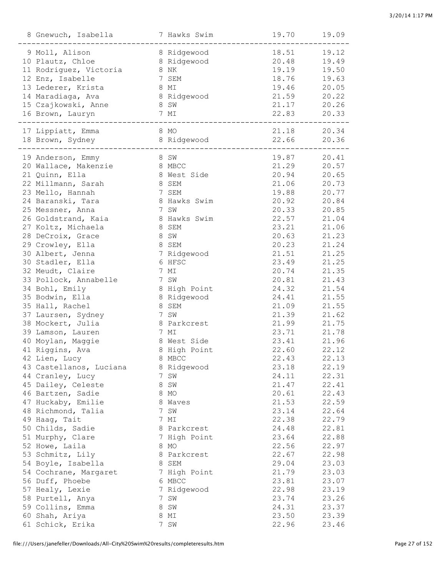| 18.51<br>9 Moll, Alison<br>19.12<br>8 Ridgewood<br>20.48<br>10 Plautz, Chloe<br>8 Ridgewood<br>19.49<br>19.19<br>11 Rodriguez, Victoria<br>19.50<br>8 NK<br>12 Enz, Isabelle<br>18.76<br>7 SEM<br>19.63<br>19.46<br>13 Lederer, Krista<br>8 MI<br>20.05<br>21.59<br>14 Maradiaga, Ava<br>8 Ridgewood<br>20.22<br>15 Czajkowski, Anne<br>21.17<br>20.26<br>8 SW<br>22.83<br>16 Brown, Lauryn<br>20.33<br>7 MI<br>21.18<br>17 Lippiatt, Emma<br>8 MO<br>20.34<br>22.66<br>18 Brown, Sydney<br>8 Ridgewood<br>20.36<br>19 Anderson, Emmy<br>19.87<br>20.41<br>8 SW<br>21.29<br>20 Wallace, Makenzie<br>20.57<br>8 MBCC<br>20.94<br>21 Quinn, Ella<br>8 West Side<br>20.65<br>21.06<br>22 Millmann, Sarah<br>8 SEM<br>20.73<br>23 Mello, Hannah<br>19.88<br>7 SEM<br>20.77<br>24 Baranski, Tara<br>20.92<br>8 Hawks Swim<br>20.84<br>25 Messner, Anna<br>7 SW<br>20.33<br>20.85<br>22.57<br>26 Goldstrand, Kaia<br>8 Hawks Swim<br>21.04<br>27 Koltz, Michaela<br>23.21<br>8 SEM<br>21.06<br>28 DeCroix, Grace<br>8 SW<br>20.63<br>21.23<br>29 Crowley, Ella<br>8 SEM<br>20.23<br>21.24<br>30 Albert, Jenna<br>21.51<br>7 Ridgewood<br>21.25<br>30 Stadler, Ella<br>23.49<br>6 HFSC<br>21.25<br>32 Meudt, Claire<br>7 MI<br>20.74<br>21.35<br>33 Pollock, Annabelle<br>7 SW<br>20.81<br>21.43<br>34 Bohl, Emily<br>24.32<br>8 High Point<br>21.54<br>35 Bodwin, Ella<br>8 Ridgewood<br>24.41<br>21.55<br>35 Hall, Rachel<br>21.09<br>8 SEM<br>21.55<br>21.39<br>37 Laursen, Sydney<br>7 SW<br>21.62<br>38 Mockert, Julia<br>21.99<br>8 Parkcrest<br>21.75<br>39 Lamson, Lauren<br>7 MI<br>23.71<br>21.78<br>40 Moylan, Maggie<br>8 West Side<br>23.41<br>21.96<br>41 Riggins, Ava<br>22.60<br>22.12<br>8 High Point<br>22.43<br>22.13<br>42 Lien, Lucy<br>8 MBCC<br>43 Castellanos, Luciana<br>23.18<br>22.19<br>8 Ridgewood<br>44 Cranley, Lucy<br>24.11<br>22.31<br>7 SW<br>45 Dailey, Celeste<br>8 SW<br>21.47<br>22.41<br>46 Bartzen, Sadie<br>8 MO<br>20.61<br>22.43<br>47 Huckaby, Emilie<br>21.53<br>22.59<br>8 Waves<br>48 Richmond, Talia<br>23.14<br>22.64<br>7 SW<br>49 Haag, Tait<br>22.38<br>22.79<br>7 MI<br>50 Childs, Sadie<br>24.48<br>22.81<br>8 Parkcrest<br>51 Murphy, Clare<br>23.64<br>22.88<br>7 High Point<br>52 Howe, Laila<br>22.56<br>22.97<br>8 MO<br>53 Schmitz, Lily<br>22.67<br>22.98<br>8 Parkcrest<br>54 Boyle, Isabella<br>29.04<br>23.03<br>8 SEM<br>21.79<br>23.03<br>54 Cochrane, Margaret<br>7 High Point<br>56 Duff, Phoebe<br>6 MBCC<br>23.81<br>23.07<br>57 Healy, Lexie<br>7 Ridgewood<br>22.98<br>23.19<br>58 Purtell, Anya<br>7 SW<br>23.74<br>23.26<br>59 Collins, Emma<br>8 SW<br>24.31<br>23.37<br>60 Shah, Ariya<br>23.50<br>23.39<br>8 MI<br>61 Schick, Erika<br>7 SW<br>22.96<br>23.46 | 8 Gnewuch, Isabella | 7 Hawks Swim | 19.70 | 19.09 |
|--------------------------------------------------------------------------------------------------------------------------------------------------------------------------------------------------------------------------------------------------------------------------------------------------------------------------------------------------------------------------------------------------------------------------------------------------------------------------------------------------------------------------------------------------------------------------------------------------------------------------------------------------------------------------------------------------------------------------------------------------------------------------------------------------------------------------------------------------------------------------------------------------------------------------------------------------------------------------------------------------------------------------------------------------------------------------------------------------------------------------------------------------------------------------------------------------------------------------------------------------------------------------------------------------------------------------------------------------------------------------------------------------------------------------------------------------------------------------------------------------------------------------------------------------------------------------------------------------------------------------------------------------------------------------------------------------------------------------------------------------------------------------------------------------------------------------------------------------------------------------------------------------------------------------------------------------------------------------------------------------------------------------------------------------------------------------------------------------------------------------------------------------------------------------------------------------------------------------------------------------------------------------------------------------------------------------------------------------------------------------------------------------------------------------------------------------------------------------------------------------------------------------------------------------------------------------------------------------------------------------------------------------------------------------------------------------------------------------------------|---------------------|--------------|-------|-------|
|                                                                                                                                                                                                                                                                                                                                                                                                                                                                                                                                                                                                                                                                                                                                                                                                                                                                                                                                                                                                                                                                                                                                                                                                                                                                                                                                                                                                                                                                                                                                                                                                                                                                                                                                                                                                                                                                                                                                                                                                                                                                                                                                                                                                                                                                                                                                                                                                                                                                                                                                                                                                                                                                                                                                      |                     |              |       |       |
|                                                                                                                                                                                                                                                                                                                                                                                                                                                                                                                                                                                                                                                                                                                                                                                                                                                                                                                                                                                                                                                                                                                                                                                                                                                                                                                                                                                                                                                                                                                                                                                                                                                                                                                                                                                                                                                                                                                                                                                                                                                                                                                                                                                                                                                                                                                                                                                                                                                                                                                                                                                                                                                                                                                                      |                     |              |       |       |
|                                                                                                                                                                                                                                                                                                                                                                                                                                                                                                                                                                                                                                                                                                                                                                                                                                                                                                                                                                                                                                                                                                                                                                                                                                                                                                                                                                                                                                                                                                                                                                                                                                                                                                                                                                                                                                                                                                                                                                                                                                                                                                                                                                                                                                                                                                                                                                                                                                                                                                                                                                                                                                                                                                                                      |                     |              |       |       |
|                                                                                                                                                                                                                                                                                                                                                                                                                                                                                                                                                                                                                                                                                                                                                                                                                                                                                                                                                                                                                                                                                                                                                                                                                                                                                                                                                                                                                                                                                                                                                                                                                                                                                                                                                                                                                                                                                                                                                                                                                                                                                                                                                                                                                                                                                                                                                                                                                                                                                                                                                                                                                                                                                                                                      |                     |              |       |       |
|                                                                                                                                                                                                                                                                                                                                                                                                                                                                                                                                                                                                                                                                                                                                                                                                                                                                                                                                                                                                                                                                                                                                                                                                                                                                                                                                                                                                                                                                                                                                                                                                                                                                                                                                                                                                                                                                                                                                                                                                                                                                                                                                                                                                                                                                                                                                                                                                                                                                                                                                                                                                                                                                                                                                      |                     |              |       |       |
|                                                                                                                                                                                                                                                                                                                                                                                                                                                                                                                                                                                                                                                                                                                                                                                                                                                                                                                                                                                                                                                                                                                                                                                                                                                                                                                                                                                                                                                                                                                                                                                                                                                                                                                                                                                                                                                                                                                                                                                                                                                                                                                                                                                                                                                                                                                                                                                                                                                                                                                                                                                                                                                                                                                                      |                     |              |       |       |
|                                                                                                                                                                                                                                                                                                                                                                                                                                                                                                                                                                                                                                                                                                                                                                                                                                                                                                                                                                                                                                                                                                                                                                                                                                                                                                                                                                                                                                                                                                                                                                                                                                                                                                                                                                                                                                                                                                                                                                                                                                                                                                                                                                                                                                                                                                                                                                                                                                                                                                                                                                                                                                                                                                                                      |                     |              |       |       |
|                                                                                                                                                                                                                                                                                                                                                                                                                                                                                                                                                                                                                                                                                                                                                                                                                                                                                                                                                                                                                                                                                                                                                                                                                                                                                                                                                                                                                                                                                                                                                                                                                                                                                                                                                                                                                                                                                                                                                                                                                                                                                                                                                                                                                                                                                                                                                                                                                                                                                                                                                                                                                                                                                                                                      |                     |              |       |       |
|                                                                                                                                                                                                                                                                                                                                                                                                                                                                                                                                                                                                                                                                                                                                                                                                                                                                                                                                                                                                                                                                                                                                                                                                                                                                                                                                                                                                                                                                                                                                                                                                                                                                                                                                                                                                                                                                                                                                                                                                                                                                                                                                                                                                                                                                                                                                                                                                                                                                                                                                                                                                                                                                                                                                      |                     |              |       |       |
|                                                                                                                                                                                                                                                                                                                                                                                                                                                                                                                                                                                                                                                                                                                                                                                                                                                                                                                                                                                                                                                                                                                                                                                                                                                                                                                                                                                                                                                                                                                                                                                                                                                                                                                                                                                                                                                                                                                                                                                                                                                                                                                                                                                                                                                                                                                                                                                                                                                                                                                                                                                                                                                                                                                                      |                     |              |       |       |
|                                                                                                                                                                                                                                                                                                                                                                                                                                                                                                                                                                                                                                                                                                                                                                                                                                                                                                                                                                                                                                                                                                                                                                                                                                                                                                                                                                                                                                                                                                                                                                                                                                                                                                                                                                                                                                                                                                                                                                                                                                                                                                                                                                                                                                                                                                                                                                                                                                                                                                                                                                                                                                                                                                                                      |                     |              |       |       |
|                                                                                                                                                                                                                                                                                                                                                                                                                                                                                                                                                                                                                                                                                                                                                                                                                                                                                                                                                                                                                                                                                                                                                                                                                                                                                                                                                                                                                                                                                                                                                                                                                                                                                                                                                                                                                                                                                                                                                                                                                                                                                                                                                                                                                                                                                                                                                                                                                                                                                                                                                                                                                                                                                                                                      |                     |              |       |       |
|                                                                                                                                                                                                                                                                                                                                                                                                                                                                                                                                                                                                                                                                                                                                                                                                                                                                                                                                                                                                                                                                                                                                                                                                                                                                                                                                                                                                                                                                                                                                                                                                                                                                                                                                                                                                                                                                                                                                                                                                                                                                                                                                                                                                                                                                                                                                                                                                                                                                                                                                                                                                                                                                                                                                      |                     |              |       |       |
|                                                                                                                                                                                                                                                                                                                                                                                                                                                                                                                                                                                                                                                                                                                                                                                                                                                                                                                                                                                                                                                                                                                                                                                                                                                                                                                                                                                                                                                                                                                                                                                                                                                                                                                                                                                                                                                                                                                                                                                                                                                                                                                                                                                                                                                                                                                                                                                                                                                                                                                                                                                                                                                                                                                                      |                     |              |       |       |
|                                                                                                                                                                                                                                                                                                                                                                                                                                                                                                                                                                                                                                                                                                                                                                                                                                                                                                                                                                                                                                                                                                                                                                                                                                                                                                                                                                                                                                                                                                                                                                                                                                                                                                                                                                                                                                                                                                                                                                                                                                                                                                                                                                                                                                                                                                                                                                                                                                                                                                                                                                                                                                                                                                                                      |                     |              |       |       |
|                                                                                                                                                                                                                                                                                                                                                                                                                                                                                                                                                                                                                                                                                                                                                                                                                                                                                                                                                                                                                                                                                                                                                                                                                                                                                                                                                                                                                                                                                                                                                                                                                                                                                                                                                                                                                                                                                                                                                                                                                                                                                                                                                                                                                                                                                                                                                                                                                                                                                                                                                                                                                                                                                                                                      |                     |              |       |       |
|                                                                                                                                                                                                                                                                                                                                                                                                                                                                                                                                                                                                                                                                                                                                                                                                                                                                                                                                                                                                                                                                                                                                                                                                                                                                                                                                                                                                                                                                                                                                                                                                                                                                                                                                                                                                                                                                                                                                                                                                                                                                                                                                                                                                                                                                                                                                                                                                                                                                                                                                                                                                                                                                                                                                      |                     |              |       |       |
|                                                                                                                                                                                                                                                                                                                                                                                                                                                                                                                                                                                                                                                                                                                                                                                                                                                                                                                                                                                                                                                                                                                                                                                                                                                                                                                                                                                                                                                                                                                                                                                                                                                                                                                                                                                                                                                                                                                                                                                                                                                                                                                                                                                                                                                                                                                                                                                                                                                                                                                                                                                                                                                                                                                                      |                     |              |       |       |
|                                                                                                                                                                                                                                                                                                                                                                                                                                                                                                                                                                                                                                                                                                                                                                                                                                                                                                                                                                                                                                                                                                                                                                                                                                                                                                                                                                                                                                                                                                                                                                                                                                                                                                                                                                                                                                                                                                                                                                                                                                                                                                                                                                                                                                                                                                                                                                                                                                                                                                                                                                                                                                                                                                                                      |                     |              |       |       |
|                                                                                                                                                                                                                                                                                                                                                                                                                                                                                                                                                                                                                                                                                                                                                                                                                                                                                                                                                                                                                                                                                                                                                                                                                                                                                                                                                                                                                                                                                                                                                                                                                                                                                                                                                                                                                                                                                                                                                                                                                                                                                                                                                                                                                                                                                                                                                                                                                                                                                                                                                                                                                                                                                                                                      |                     |              |       |       |
|                                                                                                                                                                                                                                                                                                                                                                                                                                                                                                                                                                                                                                                                                                                                                                                                                                                                                                                                                                                                                                                                                                                                                                                                                                                                                                                                                                                                                                                                                                                                                                                                                                                                                                                                                                                                                                                                                                                                                                                                                                                                                                                                                                                                                                                                                                                                                                                                                                                                                                                                                                                                                                                                                                                                      |                     |              |       |       |
|                                                                                                                                                                                                                                                                                                                                                                                                                                                                                                                                                                                                                                                                                                                                                                                                                                                                                                                                                                                                                                                                                                                                                                                                                                                                                                                                                                                                                                                                                                                                                                                                                                                                                                                                                                                                                                                                                                                                                                                                                                                                                                                                                                                                                                                                                                                                                                                                                                                                                                                                                                                                                                                                                                                                      |                     |              |       |       |
|                                                                                                                                                                                                                                                                                                                                                                                                                                                                                                                                                                                                                                                                                                                                                                                                                                                                                                                                                                                                                                                                                                                                                                                                                                                                                                                                                                                                                                                                                                                                                                                                                                                                                                                                                                                                                                                                                                                                                                                                                                                                                                                                                                                                                                                                                                                                                                                                                                                                                                                                                                                                                                                                                                                                      |                     |              |       |       |
|                                                                                                                                                                                                                                                                                                                                                                                                                                                                                                                                                                                                                                                                                                                                                                                                                                                                                                                                                                                                                                                                                                                                                                                                                                                                                                                                                                                                                                                                                                                                                                                                                                                                                                                                                                                                                                                                                                                                                                                                                                                                                                                                                                                                                                                                                                                                                                                                                                                                                                                                                                                                                                                                                                                                      |                     |              |       |       |
|                                                                                                                                                                                                                                                                                                                                                                                                                                                                                                                                                                                                                                                                                                                                                                                                                                                                                                                                                                                                                                                                                                                                                                                                                                                                                                                                                                                                                                                                                                                                                                                                                                                                                                                                                                                                                                                                                                                                                                                                                                                                                                                                                                                                                                                                                                                                                                                                                                                                                                                                                                                                                                                                                                                                      |                     |              |       |       |
|                                                                                                                                                                                                                                                                                                                                                                                                                                                                                                                                                                                                                                                                                                                                                                                                                                                                                                                                                                                                                                                                                                                                                                                                                                                                                                                                                                                                                                                                                                                                                                                                                                                                                                                                                                                                                                                                                                                                                                                                                                                                                                                                                                                                                                                                                                                                                                                                                                                                                                                                                                                                                                                                                                                                      |                     |              |       |       |
|                                                                                                                                                                                                                                                                                                                                                                                                                                                                                                                                                                                                                                                                                                                                                                                                                                                                                                                                                                                                                                                                                                                                                                                                                                                                                                                                                                                                                                                                                                                                                                                                                                                                                                                                                                                                                                                                                                                                                                                                                                                                                                                                                                                                                                                                                                                                                                                                                                                                                                                                                                                                                                                                                                                                      |                     |              |       |       |
|                                                                                                                                                                                                                                                                                                                                                                                                                                                                                                                                                                                                                                                                                                                                                                                                                                                                                                                                                                                                                                                                                                                                                                                                                                                                                                                                                                                                                                                                                                                                                                                                                                                                                                                                                                                                                                                                                                                                                                                                                                                                                                                                                                                                                                                                                                                                                                                                                                                                                                                                                                                                                                                                                                                                      |                     |              |       |       |
|                                                                                                                                                                                                                                                                                                                                                                                                                                                                                                                                                                                                                                                                                                                                                                                                                                                                                                                                                                                                                                                                                                                                                                                                                                                                                                                                                                                                                                                                                                                                                                                                                                                                                                                                                                                                                                                                                                                                                                                                                                                                                                                                                                                                                                                                                                                                                                                                                                                                                                                                                                                                                                                                                                                                      |                     |              |       |       |
|                                                                                                                                                                                                                                                                                                                                                                                                                                                                                                                                                                                                                                                                                                                                                                                                                                                                                                                                                                                                                                                                                                                                                                                                                                                                                                                                                                                                                                                                                                                                                                                                                                                                                                                                                                                                                                                                                                                                                                                                                                                                                                                                                                                                                                                                                                                                                                                                                                                                                                                                                                                                                                                                                                                                      |                     |              |       |       |
|                                                                                                                                                                                                                                                                                                                                                                                                                                                                                                                                                                                                                                                                                                                                                                                                                                                                                                                                                                                                                                                                                                                                                                                                                                                                                                                                                                                                                                                                                                                                                                                                                                                                                                                                                                                                                                                                                                                                                                                                                                                                                                                                                                                                                                                                                                                                                                                                                                                                                                                                                                                                                                                                                                                                      |                     |              |       |       |
|                                                                                                                                                                                                                                                                                                                                                                                                                                                                                                                                                                                                                                                                                                                                                                                                                                                                                                                                                                                                                                                                                                                                                                                                                                                                                                                                                                                                                                                                                                                                                                                                                                                                                                                                                                                                                                                                                                                                                                                                                                                                                                                                                                                                                                                                                                                                                                                                                                                                                                                                                                                                                                                                                                                                      |                     |              |       |       |
|                                                                                                                                                                                                                                                                                                                                                                                                                                                                                                                                                                                                                                                                                                                                                                                                                                                                                                                                                                                                                                                                                                                                                                                                                                                                                                                                                                                                                                                                                                                                                                                                                                                                                                                                                                                                                                                                                                                                                                                                                                                                                                                                                                                                                                                                                                                                                                                                                                                                                                                                                                                                                                                                                                                                      |                     |              |       |       |
|                                                                                                                                                                                                                                                                                                                                                                                                                                                                                                                                                                                                                                                                                                                                                                                                                                                                                                                                                                                                                                                                                                                                                                                                                                                                                                                                                                                                                                                                                                                                                                                                                                                                                                                                                                                                                                                                                                                                                                                                                                                                                                                                                                                                                                                                                                                                                                                                                                                                                                                                                                                                                                                                                                                                      |                     |              |       |       |
|                                                                                                                                                                                                                                                                                                                                                                                                                                                                                                                                                                                                                                                                                                                                                                                                                                                                                                                                                                                                                                                                                                                                                                                                                                                                                                                                                                                                                                                                                                                                                                                                                                                                                                                                                                                                                                                                                                                                                                                                                                                                                                                                                                                                                                                                                                                                                                                                                                                                                                                                                                                                                                                                                                                                      |                     |              |       |       |
|                                                                                                                                                                                                                                                                                                                                                                                                                                                                                                                                                                                                                                                                                                                                                                                                                                                                                                                                                                                                                                                                                                                                                                                                                                                                                                                                                                                                                                                                                                                                                                                                                                                                                                                                                                                                                                                                                                                                                                                                                                                                                                                                                                                                                                                                                                                                                                                                                                                                                                                                                                                                                                                                                                                                      |                     |              |       |       |
|                                                                                                                                                                                                                                                                                                                                                                                                                                                                                                                                                                                                                                                                                                                                                                                                                                                                                                                                                                                                                                                                                                                                                                                                                                                                                                                                                                                                                                                                                                                                                                                                                                                                                                                                                                                                                                                                                                                                                                                                                                                                                                                                                                                                                                                                                                                                                                                                                                                                                                                                                                                                                                                                                                                                      |                     |              |       |       |
|                                                                                                                                                                                                                                                                                                                                                                                                                                                                                                                                                                                                                                                                                                                                                                                                                                                                                                                                                                                                                                                                                                                                                                                                                                                                                                                                                                                                                                                                                                                                                                                                                                                                                                                                                                                                                                                                                                                                                                                                                                                                                                                                                                                                                                                                                                                                                                                                                                                                                                                                                                                                                                                                                                                                      |                     |              |       |       |
|                                                                                                                                                                                                                                                                                                                                                                                                                                                                                                                                                                                                                                                                                                                                                                                                                                                                                                                                                                                                                                                                                                                                                                                                                                                                                                                                                                                                                                                                                                                                                                                                                                                                                                                                                                                                                                                                                                                                                                                                                                                                                                                                                                                                                                                                                                                                                                                                                                                                                                                                                                                                                                                                                                                                      |                     |              |       |       |
|                                                                                                                                                                                                                                                                                                                                                                                                                                                                                                                                                                                                                                                                                                                                                                                                                                                                                                                                                                                                                                                                                                                                                                                                                                                                                                                                                                                                                                                                                                                                                                                                                                                                                                                                                                                                                                                                                                                                                                                                                                                                                                                                                                                                                                                                                                                                                                                                                                                                                                                                                                                                                                                                                                                                      |                     |              |       |       |
|                                                                                                                                                                                                                                                                                                                                                                                                                                                                                                                                                                                                                                                                                                                                                                                                                                                                                                                                                                                                                                                                                                                                                                                                                                                                                                                                                                                                                                                                                                                                                                                                                                                                                                                                                                                                                                                                                                                                                                                                                                                                                                                                                                                                                                                                                                                                                                                                                                                                                                                                                                                                                                                                                                                                      |                     |              |       |       |
|                                                                                                                                                                                                                                                                                                                                                                                                                                                                                                                                                                                                                                                                                                                                                                                                                                                                                                                                                                                                                                                                                                                                                                                                                                                                                                                                                                                                                                                                                                                                                                                                                                                                                                                                                                                                                                                                                                                                                                                                                                                                                                                                                                                                                                                                                                                                                                                                                                                                                                                                                                                                                                                                                                                                      |                     |              |       |       |
|                                                                                                                                                                                                                                                                                                                                                                                                                                                                                                                                                                                                                                                                                                                                                                                                                                                                                                                                                                                                                                                                                                                                                                                                                                                                                                                                                                                                                                                                                                                                                                                                                                                                                                                                                                                                                                                                                                                                                                                                                                                                                                                                                                                                                                                                                                                                                                                                                                                                                                                                                                                                                                                                                                                                      |                     |              |       |       |
|                                                                                                                                                                                                                                                                                                                                                                                                                                                                                                                                                                                                                                                                                                                                                                                                                                                                                                                                                                                                                                                                                                                                                                                                                                                                                                                                                                                                                                                                                                                                                                                                                                                                                                                                                                                                                                                                                                                                                                                                                                                                                                                                                                                                                                                                                                                                                                                                                                                                                                                                                                                                                                                                                                                                      |                     |              |       |       |
|                                                                                                                                                                                                                                                                                                                                                                                                                                                                                                                                                                                                                                                                                                                                                                                                                                                                                                                                                                                                                                                                                                                                                                                                                                                                                                                                                                                                                                                                                                                                                                                                                                                                                                                                                                                                                                                                                                                                                                                                                                                                                                                                                                                                                                                                                                                                                                                                                                                                                                                                                                                                                                                                                                                                      |                     |              |       |       |
|                                                                                                                                                                                                                                                                                                                                                                                                                                                                                                                                                                                                                                                                                                                                                                                                                                                                                                                                                                                                                                                                                                                                                                                                                                                                                                                                                                                                                                                                                                                                                                                                                                                                                                                                                                                                                                                                                                                                                                                                                                                                                                                                                                                                                                                                                                                                                                                                                                                                                                                                                                                                                                                                                                                                      |                     |              |       |       |
|                                                                                                                                                                                                                                                                                                                                                                                                                                                                                                                                                                                                                                                                                                                                                                                                                                                                                                                                                                                                                                                                                                                                                                                                                                                                                                                                                                                                                                                                                                                                                                                                                                                                                                                                                                                                                                                                                                                                                                                                                                                                                                                                                                                                                                                                                                                                                                                                                                                                                                                                                                                                                                                                                                                                      |                     |              |       |       |
|                                                                                                                                                                                                                                                                                                                                                                                                                                                                                                                                                                                                                                                                                                                                                                                                                                                                                                                                                                                                                                                                                                                                                                                                                                                                                                                                                                                                                                                                                                                                                                                                                                                                                                                                                                                                                                                                                                                                                                                                                                                                                                                                                                                                                                                                                                                                                                                                                                                                                                                                                                                                                                                                                                                                      |                     |              |       |       |
|                                                                                                                                                                                                                                                                                                                                                                                                                                                                                                                                                                                                                                                                                                                                                                                                                                                                                                                                                                                                                                                                                                                                                                                                                                                                                                                                                                                                                                                                                                                                                                                                                                                                                                                                                                                                                                                                                                                                                                                                                                                                                                                                                                                                                                                                                                                                                                                                                                                                                                                                                                                                                                                                                                                                      |                     |              |       |       |
|                                                                                                                                                                                                                                                                                                                                                                                                                                                                                                                                                                                                                                                                                                                                                                                                                                                                                                                                                                                                                                                                                                                                                                                                                                                                                                                                                                                                                                                                                                                                                                                                                                                                                                                                                                                                                                                                                                                                                                                                                                                                                                                                                                                                                                                                                                                                                                                                                                                                                                                                                                                                                                                                                                                                      |                     |              |       |       |
|                                                                                                                                                                                                                                                                                                                                                                                                                                                                                                                                                                                                                                                                                                                                                                                                                                                                                                                                                                                                                                                                                                                                                                                                                                                                                                                                                                                                                                                                                                                                                                                                                                                                                                                                                                                                                                                                                                                                                                                                                                                                                                                                                                                                                                                                                                                                                                                                                                                                                                                                                                                                                                                                                                                                      |                     |              |       |       |
|                                                                                                                                                                                                                                                                                                                                                                                                                                                                                                                                                                                                                                                                                                                                                                                                                                                                                                                                                                                                                                                                                                                                                                                                                                                                                                                                                                                                                                                                                                                                                                                                                                                                                                                                                                                                                                                                                                                                                                                                                                                                                                                                                                                                                                                                                                                                                                                                                                                                                                                                                                                                                                                                                                                                      |                     |              |       |       |
|                                                                                                                                                                                                                                                                                                                                                                                                                                                                                                                                                                                                                                                                                                                                                                                                                                                                                                                                                                                                                                                                                                                                                                                                                                                                                                                                                                                                                                                                                                                                                                                                                                                                                                                                                                                                                                                                                                                                                                                                                                                                                                                                                                                                                                                                                                                                                                                                                                                                                                                                                                                                                                                                                                                                      |                     |              |       |       |
|                                                                                                                                                                                                                                                                                                                                                                                                                                                                                                                                                                                                                                                                                                                                                                                                                                                                                                                                                                                                                                                                                                                                                                                                                                                                                                                                                                                                                                                                                                                                                                                                                                                                                                                                                                                                                                                                                                                                                                                                                                                                                                                                                                                                                                                                                                                                                                                                                                                                                                                                                                                                                                                                                                                                      |                     |              |       |       |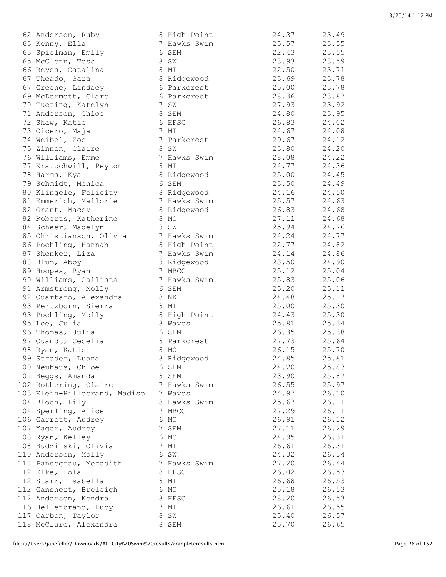| 62 Anderson, Ruby                             | 8 High Point | 24.37          | 23.49          |
|-----------------------------------------------|--------------|----------------|----------------|
| 63 Kenny, Ella                                | 7 Hawks Swim | 25.57          | 23.55          |
| 63 Spielman, Emily                            | 6 SEM        | 22.43          | 23.55          |
| 65 McGlenn, Tess                              | 8 SW         | 23.93          | 23.59          |
| 66 Reyes, Catalina                            | 8 MI         | 22.50          | 23.71          |
| 67 Theado, Sara                               | 8 Ridgewood  | 23.69          | 23.78          |
| 67 Greene, Lindsey                            | 6 Parkcrest  | 25.00          | 23.78          |
| 69 McDermott, Clare                           | 6 Parkcrest  | 28.36          | 23.87          |
| 70 Tueting, Katelyn                           | 7 SW         | 27.93          | 23.92          |
| 71 Anderson, Chloe                            | 8 SEM        | 24.80          | 23.95          |
| 72 Shaw, Katie                                | 6 HFSC       | 26.83          | 24.02          |
| 73 Cicero, Maja                               | 7 MI         | 24.67          | 24.08          |
| 74 Weibel, Zoe                                | 7 Parkcrest  | 29.67          | 24.12          |
| 75 Zinnen, Claire                             | 8 SW         | 23.80          | 24.20          |
| 76 Williams, Emme                             | 7 Hawks Swim | 28.08          | 24.22          |
| 77 Kratochwill, Peyton                        | 8 MI         | 24.77          | 24.36          |
| 78 Harms, Kya                                 | 8 Ridgewood  | 25.00          | 24.45          |
| 79 Schmidt, Monica                            | 6 SEM        | 23.50          | 24.49          |
| 80 Klingele, Felicity                         | 8 Ridgewood  | 24.16          | 24.50          |
| 81 Emmerich, Mallorie                         | 7 Hawks Swim | 25.57          | 24.63          |
| 82 Grant, Macey                               | 8 Ridgewood  | 26.83          | 24.68          |
| 82 Roberts, Katherine                         | 8 MO<br>8 SW | 27.11<br>25.94 | 24.68<br>24.76 |
| 84 Scheer, Madelyn<br>85 Christianson, Olivia | 7 Hawks Swim | 24.24          | 24.77          |
|                                               | 8 High Point | 22.77          | 24.82          |
| 86 Poehling, Hannah<br>87 Shenker, Liza       | 7 Hawks Swim | 24.14          | 24.86          |
| 88 Blum, Abby                                 | 8 Ridgewood  | 23.50          | 24.90          |
| 89 Hoopes, Ryan                               | 7 MBCC       | 25.12          | 25.04          |
| 90 Williams, Callista                         | 7 Hawks Swim | 25.83          | 25.06          |
| 91 Armstrong, Molly                           | 6 SEM        | 25.20          | 25.11          |
| 92 Quartaro, Alexandra                        | 8 NK         | 24.48          | 25.17          |
| 93 Pertzborn, Sierra                          | 8 MI         | 25.00          | 25.30          |
| 93 Poehling, Molly                            | 8 High Point | 24.43          | 25.30          |
| 95 Lee, Julia                                 | 8 Waves      | 25.81          | 25.34          |
| 96 Thomas, Julia                              | 6 SEM        | 26.35          | 25.38          |
| 97 Quandt, Cecelia                            | 8 Parkcrest  | 27.73          | 25.64          |
| 98 Ryan, Katie                                | 8 MO         | 26.15          | 25.70          |
| 99 Strader, Luana                             | 8 Ridgewood  | 24.85          | 25.81          |
| 100 Neuhaus, Chloe                            | 6 SEM        | 24.20          | 25.83          |
| 101 Beggs, Amanda                             | 8 SEM        | 23.90          | 25.87          |
| 102 Rothering, Claire                         | 7 Hawks Swim | 26.55          | 25.97          |
| 103 Klein-Hillebrand, Madiso                  | 7 Waves      | 24.97          | 26.10          |
| 104 Bloch, Lily                               | 8 Hawks Swim | 25.67          | 26.11          |
| 104 Sperling, Alice                           | 7 MBCC       | 27.29          | 26.11          |
| 106 Garrett, Audrey                           | 6 MO         | 26.91          | 26.12          |
| 107 Yager, Audrey                             | 7 SEM        | 27.11          | 26.29          |
| 108 Ryan, Kelley                              | 6 MO         | 24.95          | 26.31          |
| 108 Budzinski, Olivia                         | 7 MI         | 26.61          | 26.31          |
| 110 Anderson, Molly                           | 6 SW         | 24.32          | 26.34          |
| 111 Pansegrau, Meredith                       | 7 Hawks Swim | 27.20          | 26.44          |
| 112 Elke, Lola                                | 8 HFSC       | 26.02          | 26.53          |
| 112 Starr, Isabella                           | 8 MI         | 26.68          | 26.53          |
| 112 Ganshert, Breleigh                        | 6 MO         | 25.18          | 26.53          |
| 112 Anderson, Kendra                          | 8 HFSC       | 28.20          | 26.53          |
| 116 Hellenbrand, Lucy                         | 7 MI         | 26.61          | 26.55          |
| 117 Carbon, Taylor                            | 8 SW         | 25.40          | 26.57          |
| 118 McClure, Alexandra                        | 8 SEM        | 25.70          | 26.65          |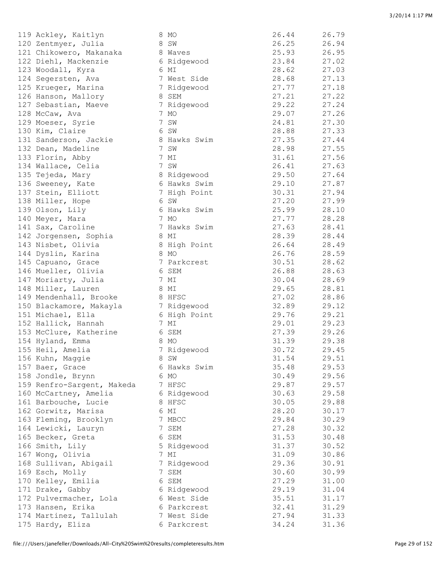| 119 Ackley, Kaitlyn        | 8 MO                 | 26.44 | 26.79 |
|----------------------------|----------------------|-------|-------|
| 120 Zentmyer, Julia        | 8 SW                 | 26.25 | 26.94 |
| 121 Chikowero, Makanaka    | 8 Waves              | 25.93 | 26.95 |
| 122 Diehl, Mackenzie       | 6 Ridgewood          | 23.84 | 27.02 |
| 123 Woodall, Kyra          | 6 MI                 | 28.62 | 27.03 |
| 124 Segersten, Ava         | 7 West Side          | 28.68 | 27.13 |
| 125 Krueger, Marina        | 7 Ridgewood          | 27.77 | 27.18 |
| 126 Hanson, Mallory        | 8 SEM                | 27.21 | 27.22 |
| 127 Sebastian, Maeve       | 7 Ridgewood          | 29.22 | 27.24 |
| 128 McCaw, Ava             | 7 MO                 | 29.07 | 27.26 |
| 129 Moeser, Syrie          | 7 SW                 | 24.81 | 27.30 |
| 130 Kim, Claire            | 6 SW                 | 28.88 | 27.33 |
| 131 Sanderson, Jackie      | 8 Hawks Swim         | 27.35 | 27.44 |
| 132 Dean, Madeline         | 7 SW                 | 28.98 | 27.55 |
| 133 Florin, Abby           | 7 MI                 | 31.61 | 27.56 |
| 134 Wallace, Celia         | 7 SW                 | 26.41 | 27.63 |
| 135 Tejeda, Mary           | 8 Ridgewood          | 29.50 | 27.64 |
| 136 Sweeney, Kate          | 6 Hawks Swim         | 29.10 | 27.87 |
| 137 Stein, Elliott         | 7 High Point         | 30.31 | 27.94 |
| 138 Miller, Hope           | 6 SW                 | 27.20 | 27.99 |
| 139 Olson, Lily            | 6 Hawks Swim         | 25.99 | 28.10 |
| 140 Meyer, Mara            | 7 MO                 | 27.77 | 28.28 |
| 141 Sax, Caroline          | 7 Hawks Swim         | 27.63 | 28.41 |
| 142 Jorgensen, Sophia      | 8 MI                 | 28.39 | 28.44 |
| 143 Nisbet, Olivia         |                      | 26.64 | 28.49 |
| 144 Dyslin, Karina         | 8 High Point<br>8 MO | 26.76 | 28.59 |
|                            |                      | 30.51 | 28.62 |
| 145 Capuano, Grace         | 7 Parkcrest          | 26.88 |       |
| 146 Mueller, Olivia        | 6 SEM                |       | 28.63 |
| 147 Moriarty, Julia        | 7 MI                 | 30.04 | 28.69 |
| 148 Miller, Lauren         | 8 MI                 | 29.65 | 28.81 |
| 149 Mendenhall, Brooke     | 8 HFSC               | 27.02 | 28.86 |
| 150 Blackamore, Makayla    | 7 Ridgewood          | 32.89 | 29.12 |
| 151 Michael, Ella          | 6 High Point         | 29.76 | 29.21 |
| 152 Hallick, Hannah        | 7 MI                 | 29.01 | 29.23 |
| 153 McClure, Katherine     | 6 SEM                | 27.39 | 29.26 |
| 154 Hyland, Emma           | 8 MO                 | 31.39 | 29.38 |
| 155 Heil, Amelia           | 7 Ridgewood          | 30.72 | 29.45 |
| 156 Kuhn, Maggie           | 8 SW                 | 31.54 | 29.51 |
| 157 Baer, Grace            | 6 Hawks Swim         | 35.48 | 29.53 |
| 158 Jondle, Brynn          | 6 MO                 | 30.49 | 29.56 |
| 159 Renfro-Sargent, Makeda | 7 HFSC               | 29.87 | 29.57 |
| 160 McCartney, Amelia      | 6 Ridgewood          | 30.63 | 29.58 |
| 161 Barbouche, Lucie       | 8 HFSC               | 30.05 | 29.88 |
| 162 Gorwitz, Marisa        | 6 MI                 | 28.20 | 30.17 |
| 163 Fleming, Brooklyn      | 7 MBCC               | 29.84 | 30.29 |
| 164 Lewicki, Lauryn        | 7 SEM                | 27.28 | 30.32 |
| 165 Becker, Greta          | 6 SEM                | 31.53 | 30.48 |
| 166 Smith, Lily            | 5 Ridgewood          | 31.37 | 30.52 |
| 167 Wong, Olivia           | 7 MI                 | 31.09 | 30.86 |
| 168 Sullivan, Abigail      | 7 Ridgewood          | 29.36 | 30.91 |
| 169 Esch, Molly            | 7 SEM                | 30.60 | 30.99 |
| 170 Kelley, Emilia         | 6 SEM                | 27.29 | 31.00 |
| 171 Drake, Gabby           | 6 Ridgewood          | 29.19 | 31.04 |
| 172 Pulvermacher, Lola     | 6 West Side          | 35.51 | 31.17 |
| 173 Hansen, Erika          | 6 Parkcrest          | 32.41 | 31.29 |
| 174 Martinez, Tallulah     | 7 West Side          | 27.94 | 31.33 |
| 175 Hardy, Eliza           | 6 Parkcrest          | 34.24 | 31.36 |
|                            |                      |       |       |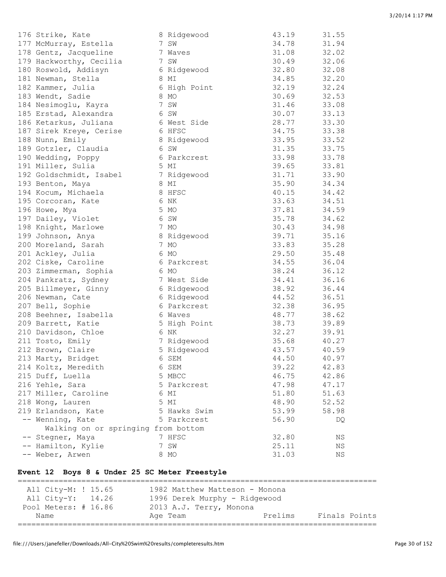| 176 Strike, Kate                    | 8 Ridgewood  | 43.19 | 31.55 |
|-------------------------------------|--------------|-------|-------|
| 177 McMurray, Estella               | 7 SW         | 34.78 | 31.94 |
| 178 Gentz, Jacqueline               | 7 Waves      | 31.08 | 32.02 |
| 179 Hackworthy, Cecilia             | 7 SW         | 30.49 | 32.06 |
| 180 Roswold, Addisyn                | 6 Ridgewood  | 32.80 | 32.08 |
| 181 Newman, Stella                  | 8 MI         | 34.85 | 32.20 |
| 182 Kammer, Julia                   | 6 High Point | 32.19 | 32.24 |
| 183 Wendt, Sadie                    | 8 MO         | 30.69 | 32.53 |
| 184 Nesimoglu, Kayra                | 7 SW         | 31.46 | 33.08 |
| 185 Erstad, Alexandra               | 6 SW         | 30.07 | 33.13 |
| 186 Ketarkus, Juliana               | 6 West Side  | 28.77 | 33.30 |
| 187 Sirek Kreye, Cerise             | 6 HFSC       | 34.75 | 33.38 |
| 188 Nunn, Emily                     | 8 Ridgewood  | 33.95 | 33.52 |
| 189 Gotzler, Claudia                | 6 SW         | 31.35 | 33.75 |
| 190 Wedding, Poppy                  | 6 Parkcrest  | 33.98 | 33.78 |
| 191 Miller, Sulia                   | 5 MI         | 39.65 | 33.81 |
| 192 Goldschmidt, Isabel             | 7 Ridgewood  | 31.71 | 33.90 |
| 193 Benton, Maya                    | 8 MI         | 35.90 | 34.34 |
| 194 Kocum, Michaela                 | 8 HFSC       | 40.15 | 34.42 |
| 195 Corcoran, Kate                  | 6 NK         | 33.63 | 34.51 |
| 196 Howe, Mya                       | 5 MO         | 37.81 | 34.59 |
| 197 Dailey, Violet                  | 6 SW         | 35.78 | 34.62 |
| 198 Knight, Marlowe                 | 7 MO         | 30.43 | 34.98 |
| 199 Johnson, Anya                   | 8 Ridgewood  | 39.71 | 35.16 |
| 200 Moreland, Sarah                 | 7 MO         | 33.83 | 35.28 |
| 201 Ackley, Julia                   | 6 MO         | 29.50 | 35.48 |
| 202 Ciske, Caroline                 | 6 Parkcrest  | 34.55 | 36.04 |
| 203 Zimmerman, Sophia               | 6 MO         | 38.24 | 36.12 |
| 204 Pankratz, Sydney                | 7 West Side  | 34.41 | 36.16 |
| 205 Billmeyer, Ginny                | 6 Ridgewood  | 38.92 | 36.44 |
| 206 Newman, Cate                    | 6 Ridgewood  | 44.52 | 36.51 |
| 207 Bell, Sophie                    | 6 Parkcrest  | 32.38 | 36.95 |
| 208 Beehner, Isabella               | 6 Waves      | 48.77 | 38.62 |
| 209 Barrett, Katie                  | 5 High Point | 38.73 | 39.89 |
| 210 Davidson, Chloe                 | 6 NK         | 32.27 | 39.91 |
| 211 Tosto, Emily                    | 7 Ridgewood  | 35.68 | 40.27 |
| 212 Brown, Claire                   | 5 Ridgewood  | 43.57 | 40.59 |
| 213 Marty, Bridget                  | 6 SEM        | 44.50 | 40.97 |
| 214 Koltz, Meredith                 | 6 SEM        | 39.22 | 42.83 |
| 215 Duff, Luella                    | 5 MBCC       | 46.75 | 42.86 |
| 216 Yehle, Sara                     | 5 Parkcrest  | 47.98 | 47.17 |
| 217 Miller, Caroline                | 6 MI         | 51.80 | 51.63 |
| 218 Wong, Lauren                    | 5 MI         | 48.90 | 52.52 |
| 219 Erlandson, Kate                 | 5 Hawks Swim | 53.99 | 58.98 |
| -- Wenning, Kate                    | 5 Parkcrest  | 56.90 | DQ    |
| Walking on or springing from bottom |              |       |       |
| -- Stegner, Maya                    | 7 HFSC       | 32.80 | ΝS    |
| -- Hamilton, Kylie                  | 7 SW         | 25.11 | ΝS    |
| -- Weber, Arwen                     | 8 MO         | 31.03 | ΝS    |

#### **Event 12 Boys 8 & Under 25 SC Meter Freestyle**

=============================================================================== All City-M: ! 15.65 1982 Matthew Matteson - Monona All City-Y: 14.26 1996 Derek Murphy - Ridgewood Pool Meters: # 16.86 2013 A.J. Terry, Monona Name Age Team Prelims Finals Points ===============================================================================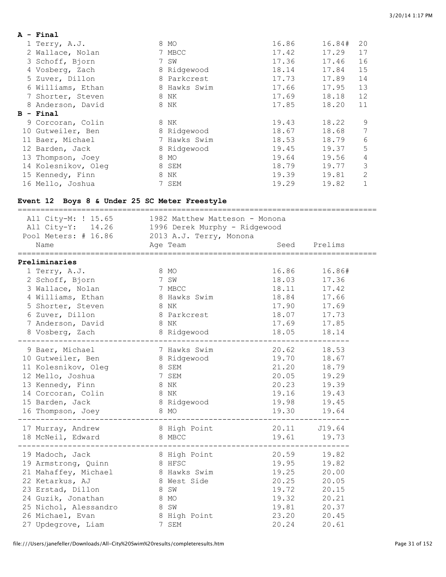| A - Final           |   |              |       |        |                |
|---------------------|---|--------------|-------|--------|----------------|
| 1 Terry, A.J.       |   | 8 MO         | 16.86 | 16.84# | 20             |
| 2 Wallace, Nolan    |   | 7 MBCC       | 17.42 | 17.29  | 17             |
| 3 Schoff, Bjorn     |   | 7 SW         | 17.36 | 17.46  | 16             |
| 4 Vosberg, Zach     |   | 8 Ridgewood  | 18.14 | 17.84  | 15             |
| 5 Zuver, Dillon     |   | 8 Parkcrest  | 17.73 | 17.89  | 14             |
| 6 Williams, Ethan   |   | 8 Hawks Swim | 17.66 | 17.95  | 13             |
| 7 Shorter, Steven   |   | 8 NK         | 17.69 | 18.18  | 12             |
| 8 Anderson, David   |   | 8 NK         | 17.85 | 18.20  | 11             |
| $B - Final$         |   |              |       |        |                |
|                     |   |              |       |        |                |
| 9 Corcoran, Colin   |   | 8 NK         | 19.43 | 18.22  | 9              |
| 10 Gutweiler, Ben   |   | 8 Ridgewood  | 18.67 | 18.68  | 7              |
| 11 Baer, Michael    |   | 7 Hawks Swim | 18.53 | 18.79  | 6              |
| 12 Barden, Jack     |   | 8 Ridgewood  | 19.45 | 19.37  | 5              |
| 13 Thompson, Joey   | 8 | MO           | 19.64 | 19.56  | 4              |
| 14 Kolesnikov, Oleg |   | 8 SEM        | 18.79 | 19.77  | 3              |
| 15 Kennedy, Finn    | 8 | ΝK           | 19.39 | 19.81  | $\overline{2}$ |

## **Event 12 Boys 8 & Under 25 SC Meter Freestyle**

| All City-M: ! 15.65<br>1982 Matthew Matteson - Monona<br>All City-Y: 14.26 1996 Derek Murphy - Ridgewood<br>Pool Meters: # 16.86 2013 A.J. Terry, Monona<br>Seed Prelims |                                                                                                                |                     |              |  |  |  |  |
|--------------------------------------------------------------------------------------------------------------------------------------------------------------------------|----------------------------------------------------------------------------------------------------------------|---------------------|--------------|--|--|--|--|
| Name                                                                                                                                                                     | Age Team                                                                                                       |                     |              |  |  |  |  |
| Preliminaries                                                                                                                                                            |                                                                                                                | =================== |              |  |  |  |  |
| 1 Terry, A.J.                                                                                                                                                            | 8 MO                                                                                                           | 16.86               | 16.86#       |  |  |  |  |
| 2 Schoff, Bjorn                                                                                                                                                          | 7 SW                                                                                                           | 18.03               | 17.36        |  |  |  |  |
| 3 Wallace, Nolan                                                                                                                                                         | 7 MBCC                                                                                                         | 18.11               | 17.42        |  |  |  |  |
| 4 Williams, Ethan                                                                                                                                                        | 8 Hawks Swim                                                                                                   | 18.84               | 17.66        |  |  |  |  |
| 5 Shorter, Steven                                                                                                                                                        | Entertainment of the State State State State State State State State State State State State State State State | 17.90               | 17.69        |  |  |  |  |
| 6 Zuver, Dillon                                                                                                                                                          | 8 Parkcrest                                                                                                    | 18.07               | 17.73        |  |  |  |  |
| 7 Anderson, David 8 NK                                                                                                                                                   |                                                                                                                | 17.69               | 17.85        |  |  |  |  |
| 8 Vosberg, Zach                                                                                                                                                          | 8 Ridgewood                                                                                                    | 18.05               | 18.14        |  |  |  |  |
|                                                                                                                                                                          |                                                                                                                |                     |              |  |  |  |  |
| 9 Baer, Michael                                                                                                                                                          | 7 Hawks Swim                                                                                                   | 20.62               | 18.53        |  |  |  |  |
| 10 Gutweiler, Ben                                                                                                                                                        | 8 Ridgewood                                                                                                    | 19.70               | 18.67        |  |  |  |  |
| 11 Kolesnikov, Oleg 8 SEM                                                                                                                                                |                                                                                                                | 21.20               | 18.79        |  |  |  |  |
| 12 Mello, Joshua                                                                                                                                                         | 7 SEM                                                                                                          | 20.05               | 19.29        |  |  |  |  |
| 13 Kennedy, Finn                                                                                                                                                         | 8 NK                                                                                                           | 20.23               | 19.39        |  |  |  |  |
| 14 Corcoran, Colin                                                                                                                                                       | 8 NK                                                                                                           | 19.16               | 19.43        |  |  |  |  |
| 15 Barden, Jack                                                                                                                                                          | 8 Ridgewood                                                                                                    | 19.98               | 19.45        |  |  |  |  |
| 16 Thompson, Joey                                                                                                                                                        | 8 MO                                                                                                           | 19.30               | 19.64        |  |  |  |  |
|                                                                                                                                                                          |                                                                                                                |                     |              |  |  |  |  |
| 17 Murray, Andrew                                                                                                                                                        | 8 High Point                                                                                                   |                     | 20.11 J19.64 |  |  |  |  |
| 18 McNeil, Edward                                                                                                                                                        | 8 MBCC                                                                                                         | 19.61               | 19.73        |  |  |  |  |
|                                                                                                                                                                          |                                                                                                                |                     |              |  |  |  |  |
| 19 Madoch, Jack                                                                                                                                                          | 8 High Point                                                                                                   | 20.59               | 19.82        |  |  |  |  |
| 19 Armstrong, Quinn                                                                                                                                                      | 8 HFSC                                                                                                         | 19.95               | 19.82        |  |  |  |  |
| 21 Mahaffey, Michael                                                                                                                                                     | 8 Hawks Swim                                                                                                   | 19.25               | 20.00        |  |  |  |  |
| 22 Ketarkus, AJ                                                                                                                                                          | 8 West Side                                                                                                    | 20.25               | 20.05        |  |  |  |  |
| 23 Erstad, Dillon                                                                                                                                                        | 8 SW                                                                                                           | 19.72               | 20.15        |  |  |  |  |
| 24 Guzik, Jonathan                                                                                                                                                       | 8 MO                                                                                                           | 19.32               | 20.21        |  |  |  |  |
| 25 Nichol, Alessandro                                                                                                                                                    | 8 SW                                                                                                           | 19.81               | 20.37        |  |  |  |  |
| 26 Michael, Evan                                                                                                                                                         | 8 High Point                                                                                                   | 23.20               | 20.45        |  |  |  |  |
| 27 Updegrove, Liam                                                                                                                                                       | 7 SEM                                                                                                          | 20.24               | 20.61        |  |  |  |  |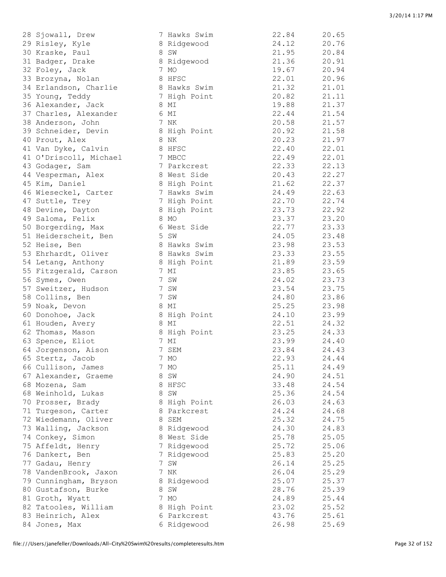| 28 Sjowall, Drew       | 7 Hawks Swim | 22.84 | 20.65 |
|------------------------|--------------|-------|-------|
| 29 Risley, Kyle        | 8 Ridgewood  | 24.12 | 20.76 |
| 30 Kraske, Paul        | 8 SW         | 21.95 | 20.84 |
| 31 Badger, Drake       | 8 Ridgewood  | 21.36 | 20.91 |
| 32 Foley, Jack         | 7 MO         | 19.67 | 20.94 |
| 33 Brozyna, Nolan      | 8 HFSC       | 22.01 | 20.96 |
| 34 Erlandson, Charlie  | 8 Hawks Swim | 21.32 | 21.01 |
| 35 Young, Teddy        | 7 High Point | 20.82 | 21.11 |
| 36 Alexander, Jack     | 8 MI         | 19.88 | 21.37 |
| 37 Charles, Alexander  | 6 MI         | 22.44 | 21.54 |
| 38 Anderson, John      | 7 NK         | 20.58 | 21.57 |
| 39 Schneider, Devin    | 8 High Point | 20.92 | 21.58 |
| 40 Prout, Alex         | 8 NK         | 20.23 | 21.97 |
| 41 Van Dyke, Calvin    | 8 HFSC       | 22.40 | 22.01 |
| 41 O'Driscoll, Michael | 7 MBCC       | 22.49 | 22.01 |
| 43 Godager, Sam        | 7 Parkcrest  | 22.33 | 22.13 |
| 44 Vesperman, Alex     | 8 West Side  | 20.43 | 22.27 |
| 45 Kim, Daniel         | 8 High Point | 21.62 | 22.37 |
| 46 Wieseckel, Carter   | 7 Hawks Swim | 24.49 | 22.63 |
| 47 Suttle, Trey        | 7 High Point | 22.70 | 22.74 |
| 48 Devine, Dayton      | 8 High Point | 23.73 | 22.92 |
| 49 Saloma, Felix       | 8 MO         | 23.37 | 23.20 |
| 50 Borgerding, Max     | 6 West Side  | 22.77 | 23.33 |
| 51 Heiderscheit, Ben   | 5 SW         | 24.05 | 23.48 |
| 52 Heise, Ben          | 8 Hawks Swim | 23.98 | 23.53 |
| 53 Ehrhardt, Oliver    | 8 Hawks Swim | 23.33 | 23.55 |
| 54 Letang, Anthony     | 8 High Point | 21.89 | 23.59 |
| 55 Fitzgerald, Carson  | 7 MI         | 23.85 | 23.65 |
| 56 Symes, Owen         | 7 SW         | 24.02 | 23.73 |
| 57 Sweitzer, Hudson    | 7 SW         | 23.54 | 23.75 |
| 58 Collins, Ben        | 7 SW         | 24.80 | 23.86 |
| 59 Noak, Devon         | 8 MI         | 25.25 | 23.98 |
| 60 Donohoe, Jack       | 8 High Point | 24.10 | 23.99 |
| 61 Houden, Avery       | 8 MI         | 22.51 | 24.32 |
| 62 Thomas, Mason       | 8 High Point | 23.25 | 24.33 |
| 63 Spence, Eliot       | 7 MI         | 23.99 | 24.40 |
| 64 Jorgenson, Aison    | 7 SEM        | 23.84 | 24.43 |
| 65 Stertz, Jacob       | 7 MO         | 22.93 | 24.44 |
| 66 Cullison, James     | 7 MO         | 25.11 | 24.49 |
| 67 Alexander, Graeme   | 8 SW         | 24.90 | 24.51 |
| 68 Mozena, Sam         | 8 HFSC       | 33.48 | 24.54 |
| 68 Weinhold, Lukas     | 8 SW         | 25.36 | 24.54 |
| 70 Prosser, Brady      | 8 High Point | 26.03 | 24.63 |
| 71 Turgeson, Carter    | 8 Parkcrest  | 24.24 | 24.68 |
| 72 Wiedemann, Oliver   | 8 SEM        | 25.32 | 24.75 |
| 73 Walling, Jackson    | 8 Ridgewood  | 24.30 | 24.83 |
| 74 Conkey, Simon       | 8 West Side  | 25.78 | 25.05 |
| 75 Affeldt, Henry      | 7 Ridgewood  | 25.72 | 25.06 |
| 76 Dankert, Ben        | 7 Ridgewood  | 25.83 | 25.20 |
| 77 Gadau, Henry        | 7 SW         | 26.14 | 25.25 |
| 78 VandenBrook, Jaxon  | 7 NK         | 26.04 | 25.29 |
| 79 Cunningham, Bryson  | 8 Ridgewood  | 25.07 | 25.37 |
| 80 Gustafson, Burke    | 8 SW         | 28.76 | 25.39 |
| 81 Groth, Wyatt        | 7 MO         | 24.89 | 25.44 |
| 82 Tatooles, William   | 8 High Point | 23.02 | 25.52 |
| 83 Heinrich, Alex      | 6 Parkcrest  | 43.76 | 25.61 |
| 84 Jones, Max          | 6 Ridgewood  | 26.98 | 25.69 |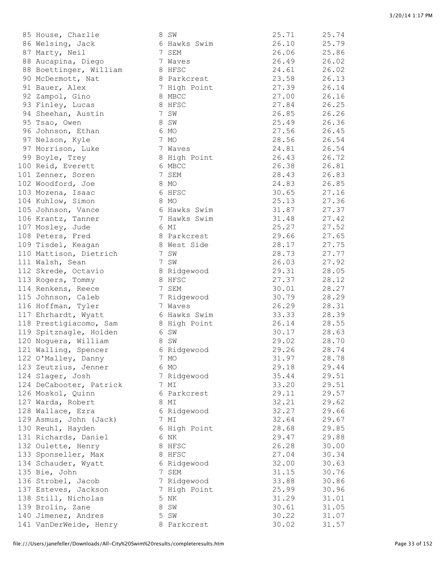| $\sim$ 110 april $\sim$ 110 $\pm$ 10 |                      |       | <u> 20.11</u> |
|--------------------------------------|----------------------|-------|---------------|
| 86 Welsing, Jack                     | 6 Hawks Swim         | 26.10 | 25.79         |
| 87 Marty, Neil                       | 7 SEM                | 26.06 | 25.86         |
| 88 Aucapina, Diego                   | 7 Waves              | 26.49 | 26.02         |
| 88 Boettinger, William               | 8 HFSC               | 24.61 | 26.02         |
| 90 McDermott, Nat                    | 8 Parkcrest          | 23.58 | 26.13         |
| 91 Bauer, Alex                       | 7 High Point         | 27.39 | 26.14         |
| 92 Zampol, Gino                      | 8 MBCC               | 27.00 | 26.16         |
| 93 Finley, Lucas                     | 8 HFSC               | 27.84 | 26.25         |
| 94 Sheehan, Austin                   | 7 SW                 | 26.85 | 26.26         |
|                                      |                      | 25.49 |               |
| 95 Tsao, Owen                        | 8 SW                 |       | 26.36         |
| 96 Johnson, Ethan                    | 6 MO                 | 27.56 | 26.45         |
| 97 Nelson, Kyle                      | 7 MO                 | 28.56 | 26.54         |
| 97 Morrison, Luke                    | 7 Waves              | 24.81 | 26.54         |
| 99 Boyle, Trey                       | 8 High Point         | 26.43 | 26.72         |
| 100 Reid, Everett                    | 6 MBCC               | 26.38 | 26.81         |
| 101 Zenner, Soren                    | 7 SEM                | 28.43 | 26.83         |
| 102 Woodford, Joe                    | 8 MO                 | 24.83 | 26.85         |
| 103 Mozena, Isaac                    | 6 HFSC               | 30.65 | 27.16         |
| 104 Kuhlow, Simon                    | 8 MO                 | 25.13 | 27.36         |
| 105 Johnson, Vance                   | 6 Hawks Swim         | 31.87 | 27.37         |
| 106 Krantz, Tanner                   | 7 Hawks Swim         | 31.48 | 27.42         |
| 107 Mosley, Jude                     | 6 MI                 | 25.27 | 27.52         |
| 108 Peters, Fred                     | 8 Parkcrest          | 29.66 | 27.65         |
| 109 Tisdel, Keagan                   | 8 West Side          | 28.17 | 27.75         |
| 110 Mattison, Dietrich               | 7 SW                 | 28.73 | 27.77         |
| 111 Walsh, Sean                      | 7 SW                 | 26.03 | 27.92         |
| 112 Skrede, Octavio                  | 8 Ridgewood          | 29.31 | 28.05         |
| 113 Rogers, Tommy                    | 8 HFSC               | 27.37 | 28.12         |
| 114 Renkens, Reece                   | 7 SEM                | 30.01 | 28.27         |
| 115 Johnson, Caleb                   | 7 Ridgewood          | 30.79 | 28.29         |
| 116 Hoffman, Tyler                   | 7 Waves              | 26.29 | 28.31         |
| 117 Ehrhardt, Wyatt                  | 6 Hawks Swim         | 33.33 | 28.39         |
| 118 Prestigiacomo, Sam               | 8 High Point         | 26.14 | 28.55         |
| 119 Spitznagle, Holden               | 6 SW                 | 30.17 | 28.63         |
| 120 Noguera, William                 | 8 SW                 | 29.02 | 28.70         |
| 121 Walling, Spencer                 | 6 Ridgewood          | 29.26 | 28.74         |
| 122 O'Malley, Danny                  | 7 MO                 | 31.97 | 28.78         |
| 123 Zeutzius, Jenner                 | 6 MO                 | 29.18 | 29.44         |
| 124 Slager, Josh                     | 7 Ridgewood          | 35.44 | 29.51         |
| 124 DeCabooter, Patrick              | 7 MI                 | 33.20 | 29.51         |
| 126 Moskol, Quinn                    | 6 Parkcrest          | 29.11 | 29.57         |
| 127 Warda, Robert                    | 8 MI                 | 32.21 | 29.62         |
| 128 Wallace, Ezra                    | 6 Ridgewood          | 32.27 | 29.66         |
| 129 Asmus, John (Jack)               | 7 MI                 | 32.64 | 29.67         |
| 130 Reuhl, Hayden                    | 6 High Point         | 28.68 | 29.85         |
| 131 Richards, Daniel                 | 6 NK                 | 29.47 | 29.88         |
| 132 Oulette, Henry                   | 8 HFSC               | 26.28 | 30.00         |
| 133 Sponseller, Max                  | 8 HFSC               | 27.04 | 30.34         |
| 134 Schauder, Wyatt                  |                      | 32.00 | 30.63         |
| 135 Bie, John                        | 6 Ridgewood<br>7 SEM | 31.15 | 30.76         |
|                                      | 7 Ridgewood          | 33.88 |               |
| 136 Strobel, Jacob                   |                      |       | 30.86         |
| 137 Esteves, Jackson                 | 7 High Point         | 25.99 | 30.96         |
| 138 Still, Nicholas                  | 5 NK                 | 31.29 | 31.01         |
| 139 Brolin, Zane                     | 8 SW                 | 30.61 | 31.05         |
| 140 Jimenez, Andres                  | 5 SW                 | 30.22 | 31.07         |
| 141 VanDerWeide, Henry               | 8 Parkcrest          | 30.02 | 31.57         |
|                                      |                      |       |               |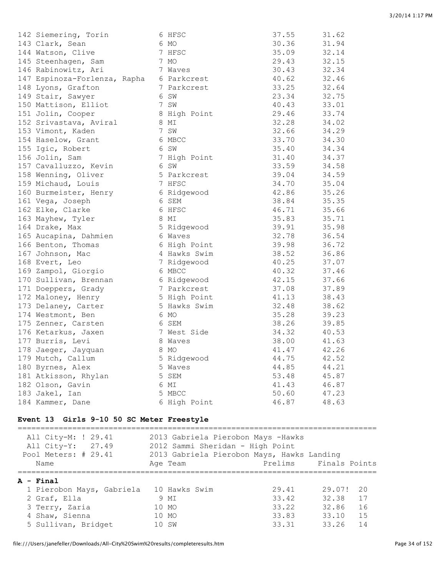| 142 Siemering, Torin         | 6 HFSC       | 37.55 | 31.62 |
|------------------------------|--------------|-------|-------|
| 143 Clark, Sean              | 6 MO         | 30.36 | 31.94 |
| 144 Watson, Clive            | 7 HFSC       | 35.09 | 32.14 |
| 145 Steenhagen, Sam          | 7 MO         | 29.43 | 32.15 |
| 146 Rabinowitz, Ari          | 7 Waves      | 30.43 | 32.34 |
| 147 Espinoza-Forlenza, Rapha | 6 Parkcrest  | 40.62 | 32.46 |
| 148 Lyons, Grafton           | 7 Parkcrest  | 33.25 | 32.64 |
| 149 Stair, Sawyer            | 6 SW         | 23.34 | 32.75 |
| 150 Mattison, Elliot         | 7 SW         | 40.43 | 33.01 |
| 151 Jolin, Cooper            | 8 High Point | 29.46 | 33.74 |
| 152 Srivastava, Aviral       | 8 MI         | 32.28 | 34.02 |
| 153 Vimont, Kaden            | 7 SW         | 32.66 | 34.29 |
| 154 Haselow, Grant           | 6 MBCC       | 33.70 | 34.30 |
| 155 Igic, Robert             | 6 SW         | 35.40 | 34.34 |
| 156 Jolin, Sam               | 7 High Point | 31.40 | 34.37 |
| 157 Cavalluzzo, Kevin        | 6 SW         | 33.59 | 34.58 |
| 158 Wenning, Oliver          | 5 Parkcrest  | 39.04 | 34.59 |
| 159 Michaud, Louis           | 7 HFSC       | 34.70 | 35.04 |
| 160 Burmeister, Henry        | 6 Ridgewood  | 42.86 | 35.26 |
| 161 Vega, Joseph             | 6 SEM        | 38.84 | 35.35 |
| 162 Elke, Clarke             | 6 HFSC       | 46.71 | 35.66 |
| 163 Mayhew, Tyler            | 8 MI         | 35.83 | 35.71 |
| 164 Drake, Max               | 5 Ridgewood  | 39.91 | 35.98 |
| 165 Aucapina, Dahmien        | 6 Waves      | 32.78 | 36.54 |
| 166 Benton, Thomas           | 6 High Point | 39.98 | 36.72 |
| 167 Johnson, Mac             | 4 Hawks Swim | 38.52 | 36.86 |
| 168 Evert, Leo               | 7 Ridgewood  | 40.25 | 37.07 |
| 169 Zampol, Giorgio          | 6 MBCC       | 40.32 | 37.46 |
| 170 Sullivan, Brennan        | 6 Ridgewood  | 42.15 | 37.66 |
| 171 Doeppers, Grady          | 7 Parkcrest  | 37.08 | 37.89 |
| 172 Maloney, Henry           | 5 High Point | 41.13 | 38.43 |
| 173 Delaney, Carter          | 5 Hawks Swim | 32.48 | 38.62 |
| 174 Westmont, Ben            | 6 MO         | 35.28 | 39.23 |
| 175 Zenner, Carsten          | 6 SEM        | 38.26 | 39.85 |
| 176 Ketarkus, Jaxen          | 7 West Side  | 34.32 | 40.53 |
| 177 Burris, Levi             | 8 Waves      | 38.00 | 41.63 |
| 178 Jaeger, Jayquan          | 8 MO         | 41.47 | 42.26 |
| 179 Mutch, Callum            | 5 Ridgewood  | 44.75 | 42.52 |
| 180 Byrnes, Alex             | 5 Waves      | 44.85 | 44.21 |
| 181 Atkisson, Rhylan         | 5 SEM        | 53.48 | 45.87 |
| 182 Olson, Gavin             | 6 MI         | 41.43 | 46.87 |
| 183 Jakel, Ian               | 5 MBCC       | 50.60 | 47.23 |
| 184 Kammer, Dane             | 6 High Point | 46.87 | 48.63 |

#### **Event 13 Girls 9-10 50 SC Meter Freestyle**

=============================================================================== All City-M: ! 29.41 2013 Gabriela Pierobon Mays -Hawks All City-Y: 27.49 2012 Sammi Sheridan - High Point Pool Meters: # 29.41 2013 Gabriela Pierobon Mays, Hawks Landing Name **Age Team** Prelims Finals Points =============================================================================== **A - Final** 1 Pierobon Mays, Gabriela 10 Hawks Swim 29.41 29.07! 20 2 Graf, Ella 9 MI 33.42 32.38 17 3 Terry, Zaria 10 MO 33.22 32.86 16 4 Shaw, Sienna 10 MO 33.83 33.10 15 2 Graf, Ella<br>
3 Terry, Zaria<br>
4 Shaw, Sienna<br>
5 Sullivan, Bridget<br>
10 SW 33.31 33.26 14<br>
10 SW 33.31 33.26 14

file:///Users/janefeller/Downloads/All-City%20Swim%20results/completeresults.htm Page 34 of 152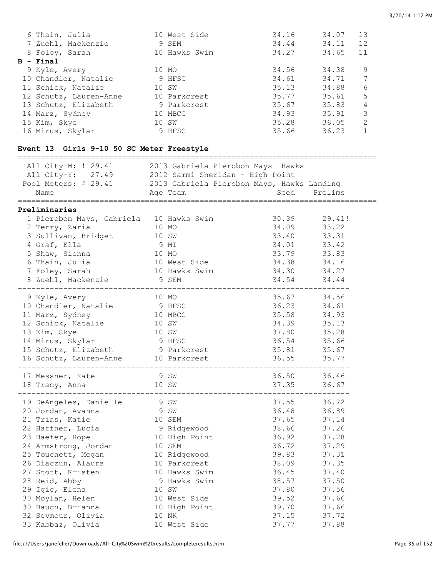| 6 Thain, Julia         |       | 10 West Side  | 34.16 | 34.07 | 13            |
|------------------------|-------|---------------|-------|-------|---------------|
| 7 Zuehl, Mackenzie     |       | 9 SEM         | 34.44 | 34.11 | 12            |
| 8 Foley, Sarah         |       | 10 Hawks Swim | 34.27 | 34.65 | 11            |
| $B - Final$            |       |               |       |       |               |
| 9 Kyle, Avery          |       | 10 MO         | 34.56 | 34.38 | 9             |
| 10 Chandler, Natalie   |       | 9 HFSC        | 34.61 | 34.71 | 7             |
| 11 Schick, Natalie     | 10 SW |               | 35.13 | 34.88 | 6             |
| 12 Schutz, Lauren-Anne |       | 10 Parkcrest  | 35.77 | 35.61 | 5             |
| 13 Schutz, Elizabeth   |       | 9 Parkcrest   | 35.67 | 35.83 | 4             |
| 14 Marz, Sydney        |       | 10 MBCC       | 34.93 | 35.91 | 3             |
| 15 Kim, Skye           |       | 10 SW         | 35.28 | 36.05 | $\mathcal{L}$ |
| 16 Mirus, Skylar       |       | 9 HFSC        | 35.66 | 36.23 |               |

# **Event 13 Girls 9-10 50 SC Meter Freestyle**

| All City-M: ! 29.41 2013 Gabriela Pierobon Mays -Hawks                                                                                              |               |                           |       |             |
|-----------------------------------------------------------------------------------------------------------------------------------------------------|---------------|---------------------------|-------|-------------|
|                                                                                                                                                     |               |                           |       |             |
| All City-Y: 27.49 2012 Sammi Sheridan - High Point<br>Pool Meters: # 29.41 2013 Gabriela Pierobon Mays, Hawks Landing<br>Name Age Team Seed Prelims |               |                           |       | Prelims     |
|                                                                                                                                                     |               |                           |       |             |
| Preliminaries                                                                                                                                       |               |                           |       |             |
| 1 Pierobon Mays, Gabriela 10 Hawks Swim                                                                                                             |               |                           | 30.39 | 29.41!      |
| 10 MO<br>2 Terry, Zaria                                                                                                                             |               |                           | 34.09 | 33.22       |
| 3 Sullivan, Bridget 10 SW                                                                                                                           |               |                           | 33.40 | 33.31       |
| 4 Graf, Ella                                                                                                                                        |               |                           | 34.01 | 33.42       |
| 5 Shaw, Sienna                                                                                                                                      | 9 MI<br>10 MO |                           | 33.79 | 33.83       |
| 6 Thain, Julia                                                                                                                                      |               | 10 West Side 34.38        |       | 34.16       |
| 7 Foley, Sarah                                                                                                                                      |               | 10 Hawks Swim 34.30 34.27 |       |             |
| 8 Zuehl, Mackenzie 9 SEM                                                                                                                            |               |                           | 34.54 | 34.44       |
| . _ _ _ _ _ _ _ _ _ _ _ _ _                                                                                                                         |               |                           |       |             |
| 9 Kyle, Avery                                                                                                                                       | 10 MO         |                           |       | 35.67 34.56 |
| 10 Chandler, Natalie 9 HFSC                                                                                                                         |               |                           | 36.23 | 34.61       |
| 11 Marz, Sydney                                                                                                                                     |               | 10 MBCC                   | 35.58 | 34.93       |
| 12 Schick, Natalie                                                                                                                                  | 10 SW         |                           | 34.39 | 35.13       |
| 13 Kim, Skye                                                                                                                                        | 10 SW         |                           | 37.80 | 35.28       |
| 14 Mirus, Skylar 9 HFSC                                                                                                                             |               |                           | 36.54 | 35.66       |
| 15 Schutz, Elizabeth 9 Parkcrest                                                                                                                    |               |                           | 35.81 | 35.67       |
| 16 Schutz, Lauren-Anne 10 Parkcrest<br>_____________                                                                                                |               |                           | 36.55 | 35.77       |
| 17 Messner, Kate                                                                                                                                    | 9 SW          |                           |       | 36.50 36.46 |
| 18 Tracy, Anna 10 SW                                                                                                                                |               |                           |       | 37.35 36.67 |
| 19 DeAngeles, Danielle 9 SW                                                                                                                         |               |                           | 37.55 | 36.72       |
| 20 Jordan, Avanna                                                                                                                                   | 9 SW          |                           | 36.48 | 36.89       |
| 21 Trias, Katie                                                                                                                                     |               |                           | 37.65 | 37.14       |
|                                                                                                                                                     |               | 10 SEM<br>9 Ridgewood     | 38.66 | 37.26       |
| $21$ Trias,<br>22 Haffner, Lucia<br>23 Haefer, Hope                                                                                                 |               | 10 High Point             | 36.92 | 37.28       |
| 24 Armstrong, Jordan<br>10 SEM                                                                                                                      |               |                           | 36.72 | 37.29       |
| 25 Touchett, Megan 10 Ridgewood                                                                                                                     |               |                           | 39.83 | 37.31       |
| 26 Diaczun, Alaura                                                                                                                                  |               | 10 Parkcrest              | 38.09 | 37.35       |
| 27 Stott, Kristen                                                                                                                                   |               | 10 Hawks Swim             | 36.45 | 37.40       |
| 28 Reid, Abby                                                                                                                                       |               | 9 Hawks Swim              | 38.57 | 37.50       |
| 29 Igic, Elena                                                                                                                                      | 10 SW         |                           | 37.80 | 37.56       |
| 30 Moylan, Helen                                                                                                                                    |               | 10 West Side              | 39.52 | 37.66       |
| 30 Bauch, Brianna                                                                                                                                   |               | 10 High Point             | 39.70 | 37.66       |
| 32 Seymour, Olivia                                                                                                                                  |               | 10 NK                     | 37.15 | 37.72       |
| 33 Kabbaz, Olivia                                                                                                                                   |               | 10 West Side              | 37.77 | 37.88       |
|                                                                                                                                                     |               |                           |       |             |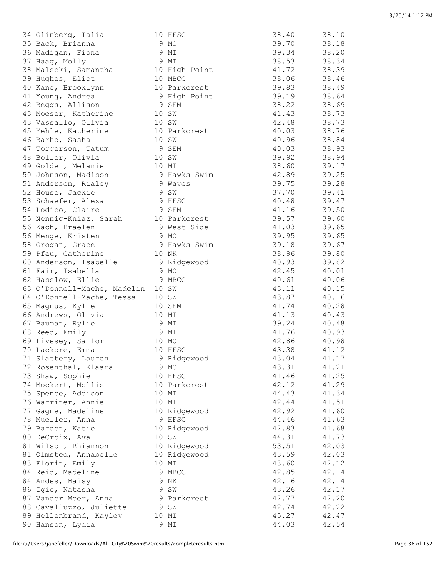| 34 Glinberg, Talia          |       | 10 HFSC       | 38.40 | 38.10 |
|-----------------------------|-------|---------------|-------|-------|
| 35 Back, Brianna            |       | 9 MO          | 39.70 | 38.18 |
| 36 Madigan, Fiona           |       | 9 MI          | 39.34 | 38.20 |
| 37 Haag, Molly              |       | 9 MI          | 38.53 | 38.34 |
| 38 Malecki, Samantha        |       | 10 High Point | 41.72 | 38.39 |
| 39 Hughes, Eliot            |       | 10 MBCC       | 38.06 | 38.46 |
| 40 Kane, Brooklynn          |       | 10 Parkcrest  | 39.83 | 38.49 |
| 41 Young, Andrea            |       | 9 High Point  | 39.19 | 38.64 |
| 42 Beggs, Allison           |       | 9 SEM         | 38.22 | 38.69 |
| 43 Moeser, Katherine        |       | 10 SW         | 41.43 | 38.73 |
| 43 Vassallo, Olivia         |       | 10 SW         | 42.48 | 38.73 |
| 45 Yehle, Katherine         |       | 10 Parkcrest  | 40.03 | 38.76 |
| 46 Barho, Sasha             |       | 10 SW         | 40.96 | 38.84 |
| 47 Torgerson, Tatum         |       | 9 SEM         | 40.03 | 38.93 |
| 48 Boller, Olivia           |       | 10 SW         | 39.92 | 38.94 |
| 49 Golden, Melanie          | 10 MI |               | 38.60 | 39.17 |
| 50 Johnson, Madison         |       | 9 Hawks Swim  | 42.89 | 39.25 |
| 51 Anderson, Rialey         |       | 9 Waves       | 39.75 | 39.28 |
| 52 House, Jackie            |       | 9 SW          | 37.70 | 39.41 |
| 53 Schaefer, Alexa          |       | 9 HFSC        | 40.48 | 39.47 |
| 54 Lodico, Claire           |       | 9 SEM         | 41.16 | 39.50 |
| 55 Nennig-Kniaz, Sarah      |       | 10 Parkcrest  | 39.57 | 39.60 |
| 56 Zach, Braelen            |       | 9 West Side   | 41.03 | 39.65 |
| 56 Menge, Kristen           |       | 9 MO          | 39.95 | 39.65 |
| 58 Grogan, Grace            |       | 9 Hawks Swim  | 39.18 | 39.67 |
| 59 Pfau, Catherine          |       | 10 NK         | 38.96 | 39.80 |
| 60 Anderson, Isabelle       |       | 9 Ridgewood   | 40.93 | 39.82 |
| 61 Fair, Isabella           |       | 9 MO          | 42.45 | 40.01 |
| 62 Haselow, Ellie           |       | 9 MBCC        | 40.61 | 40.06 |
| 63 O'Donnell-Mache, Madelin |       | 10 SW         | 43.11 | 40.15 |
| 64 O'Donnell-Mache, Tessa   |       | 10 SW         | 43.87 | 40.16 |
| 65 Magnus, Kylie            |       | 10 SEM        | 41.74 | 40.28 |
| 66 Andrews, Olivia          | 10 MI |               | 41.13 | 40.43 |
| 67 Bauman, Rylie            |       | 9 MI          | 39.24 | 40.48 |
| 68 Reed, Emily              |       | 9 MI          | 41.76 | 40.93 |
| 69 Livesey, Sailor          | 10 MO |               | 42.86 | 40.98 |
| 70 Lackore, Emma            |       | 10 HFSC       | 43.38 | 41.12 |
| 71 Slattery, Lauren         |       | 9 Ridgewood   | 43.04 | 41.17 |
| 72 Rosenthal, Klaara        |       | 9 MO          | 43.31 | 41.21 |
| 73 Shaw, Sophie             |       | 10 HFSC       | 41.46 | 41.25 |
| 74 Mockert, Mollie          |       | 10 Parkcrest  | 42.12 | 41.29 |
| 75 Spence, Addison          |       | 10 MI         | 44.43 | 41.34 |
| 76 Warriner, Annie          |       | 10 MI         | 42.44 | 41.51 |
| 77 Gagne, Madeline          |       | 10 Ridgewood  | 42.92 | 41.60 |
| 78 Mueller, Anna            |       | 9 HFSC        | 44.46 | 41.63 |
| 79 Barden, Katie            |       | 10 Ridgewood  | 42.83 | 41.68 |
| 80 DeCroix, Ava             |       | 10 SW         | 44.31 | 41.73 |
| 81 Wilson, Rhiannon         |       | 10 Ridgewood  | 53.51 | 42.03 |
| 81 Olmsted, Annabelle       |       | 10 Ridgewood  | 43.59 | 42.03 |
| 83 Florin, Emily            |       | 10 MI         | 43.60 | 42.12 |
| 84 Reid, Madeline           |       | 9 MBCC        | 42.85 | 42.14 |
| 84 Andes, Maisy             |       | 9 NK          | 42.16 | 42.14 |
| 86 Igic, Natasha            |       | 9 SW          | 43.26 | 42.17 |
| 87 Vander Meer, Anna        |       | 9 Parkcrest   | 42.77 | 42.20 |
| 88 Cavalluzzo, Juliette     |       | 9 SW          | 42.74 | 42.22 |
| 89 Hellenbrand, Kayley      |       | 10 MI         | 45.27 | 42.47 |
| 90 Hanson, Lydia            |       | 9 MI          | 44.03 | 42.54 |
|                             |       |               |       |       |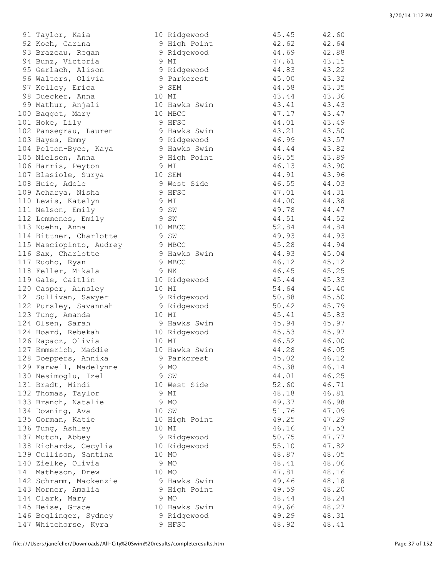| yi Taylor, Kala         |       | 10 K1agewood  | 49.45 | 42.00 |
|-------------------------|-------|---------------|-------|-------|
| 92 Koch, Carina         |       | 9 High Point  | 42.62 | 42.64 |
| 93 Brazeau, Regan       |       | 9 Ridgewood   | 44.69 | 42.88 |
| 94 Bunz, Victoria       |       | 9 MI          | 47.61 | 43.15 |
| 95 Gerlach, Alison      |       | 9 Ridgewood   | 44.83 | 43.22 |
| 96 Walters, Olivia      |       | 9 Parkcrest   | 45.00 | 43.32 |
| 97 Kelley, Erica        |       | 9 SEM         | 44.58 | 43.35 |
|                         | 10 MI |               | 43.44 |       |
| 98 Duecker, Anna        |       |               |       | 43.36 |
| 99 Mathur, Anjali       |       | 10 Hawks Swim | 43.41 | 43.43 |
| 100 Baggot, Mary        |       | 10 MBCC       | 47.17 | 43.47 |
| 101 Hoke, Lily          |       | 9 HFSC        | 44.01 | 43.49 |
| 102 Pansegrau, Lauren   |       | 9 Hawks Swim  | 43.21 | 43.50 |
| 103 Hayes, Emmy         |       | 9 Ridgewood   | 46.99 | 43.57 |
| 104 Pelton-Byce, Kaya   |       | 9 Hawks Swim  | 44.44 | 43.82 |
| 105 Nielsen, Anna       |       | 9 High Point  | 46.55 | 43.89 |
| 106 Harris, Peyton      |       | 9 MI          | 46.13 | 43.90 |
| 107 Blasiole, Surya     |       | 10 SEM        | 44.91 | 43.96 |
| 108 Huie, Adele         |       | 9 West Side   | 46.55 | 44.03 |
| 109 Acharya, Nisha      |       | 9 HFSC        | 47.01 | 44.31 |
| 110 Lewis, Katelyn      |       | 9 MI          | 44.00 | 44.38 |
| 111 Nelson, Emily       |       | 9 SW          | 49.78 | 44.47 |
|                         |       |               | 44.51 |       |
| 112 Lemmenes, Emily     |       | 9 SW          |       | 44.52 |
| 113 Kuehn, Anna         |       | 10 MBCC       | 52.84 | 44.84 |
| 114 Bittner, Charlotte  |       | 9 SW          | 49.93 | 44.93 |
| 115 Masciopinto, Audrey |       | 9 MBCC        | 45.28 | 44.94 |
| 116 Sax, Charlotte      |       | 9 Hawks Swim  | 44.93 | 45.04 |
| 117 Ruoho, Ryan         |       | 9 MBCC        | 46.12 | 45.12 |
| 118 Feller, Mikala      |       | 9 NK          | 46.45 | 45.25 |
| 119 Gale, Caitlin       |       | 10 Ridgewood  | 45.44 | 45.33 |
| 120 Casper, Ainsley     |       | 10 MI         | 54.64 | 45.40 |
| 121 Sullivan, Sawyer    |       | 9 Ridgewood   | 50.88 | 45.50 |
| 122 Pursley, Savannah   |       | 9 Ridgewood   | 50.42 | 45.79 |
| 123 Tung, Amanda        |       | 10 MI         | 45.41 | 45.83 |
| 124 Olsen, Sarah        |       | 9 Hawks Swim  | 45.94 | 45.97 |
| 124 Hoard, Rebekah      |       | 10 Ridgewood  | 45.53 | 45.97 |
| 126 Rapacz, Olivia      | 10 MI |               | 46.52 | 46.00 |
| 127 Emmerich, Maddie    |       | 10 Hawks Swim | 44.28 | 46.05 |
|                         |       | 9 Parkcrest   | 45.02 | 46.12 |
| 128 Doeppers, Annika    |       |               |       |       |
| 129 Farwell, Madelynne  |       | 9 MO          | 45.38 | 46.14 |
| 130 Nesimoglu, Izel     |       | 9 SW          | 44.01 | 46.25 |
| 131 Bradt, Mindi        |       | 10 West Side  | 52.60 | 46.71 |
| 132 Thomas, Taylor      |       | 9 MI          | 48.18 | 46.81 |
| 133 Branch, Natalie     |       | 9 MO          | 49.37 | 46.98 |
| 134 Downing, Ava        |       | 10 SW         | 51.76 | 47.09 |
| 135 Gorman, Katie       |       | 10 High Point | 49.25 | 47.29 |
| 136 Tung, Ashley        |       | 10 MI         | 46.16 | 47.53 |
| 137 Mutch, Abbey        |       | 9 Ridgewood   | 50.75 | 47.77 |
| 138 Richards, Cecylia   |       | 10 Ridgewood  | 55.10 | 47.82 |
| 139 Cullison, Santina   |       | 10 MO         | 48.87 | 48.05 |
| 140 Zielke, Olivia      |       | 9 MO          | 48.41 | 48.06 |
| 141 Matheson, Drew      |       | 10 MO         | 47.81 | 48.16 |
| 142 Schramm, Mackenzie  |       | 9 Hawks Swim  | 49.46 | 48.18 |
| 143 Morner, Amalia      |       | 9 High Point  | 49.59 | 48.20 |
|                         |       |               |       |       |
| 144 Clark, Mary         |       | 9 MO          | 48.44 | 48.24 |
| 145 Heise, Grace        |       | 10 Hawks Swim | 49.66 | 48.27 |
| 146 Beglinger, Sydney   |       | 9 Ridgewood   | 49.29 | 48.31 |
| 147 Whitehorse, Kyra    |       | 9 HFSC        | 48.92 | 48.41 |
|                         |       |               |       |       |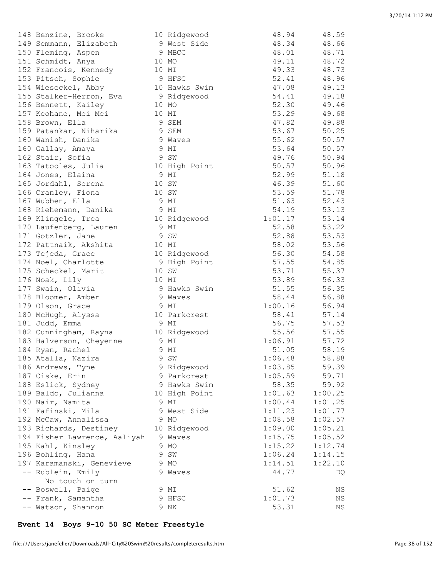| 148 Benzine, Brooke          | 10 Ridgewood  | 48.94   | 48.59   |
|------------------------------|---------------|---------|---------|
| 149 Semmann, Elizabeth       | 9 West Side   | 48.34   | 48.66   |
| 150 Fleming, Aspen           | 9 MBCC        | 48.01   | 48.71   |
| 151 Schmidt, Anya            | 10 MO         | 49.11   | 48.72   |
| 152 Francois, Kennedy        | 10 MI         | 49.33   | 48.73   |
| 153 Pitsch, Sophie           | 9 HFSC        | 52.41   | 48.96   |
| 154 Wieseckel, Abby          | 10 Hawks Swim | 47.08   | 49.13   |
| 155 Stalker-Herron, Eva      | 9 Ridgewood   | 54.41   | 49.18   |
| 156 Bennett, Kailey          | 10 MO         | 52.30   | 49.46   |
| 157 Keohane, Mei Mei         | 10 MI         | 53.29   | 49.68   |
| 158 Brown, Ella              | 9 SEM         | 47.82   | 49.88   |
| 159 Patankar, Niharika       | 9 SEM         | 53.67   | 50.25   |
| 160 Wanish, Danika           | 9 Waves       | 55.62   | 50.57   |
| 160 Gallay, Amaya            | 9 MI          | 53.64   | 50.57   |
| 162 Stair, Sofia             | 9 SW          | 49.76   | 50.94   |
| 163 Tatooles, Julia          | 10 High Point | 50.57   | 50.96   |
| 164 Jones, Elaina            | 9 MI          | 52.99   | 51.18   |
| 165 Jordahl, Serena          | 10 SW         | 46.39   | 51.60   |
| 166 Cranley, Fiona           | 10 SW         | 53.59   | 51.78   |
| 167 Wubben, Ella             | 9 MI          | 51.63   | 52.43   |
| 168 Riehemann, Danika        | 9 MI          | 54.19   | 53.13   |
| 169 Klingele, Trea           | 10 Ridgewood  | 1:01.17 | 53.14   |
| 170 Laufenberg, Lauren       | 9 MI          | 52.58   | 53.22   |
| 171 Gotzler, Jane            | 9 SW          | 52.88   | 53.53   |
| 172 Pattnaik, Akshita        | 10 MI         | 58.02   | 53.56   |
| 173 Tejeda, Grace            | 10 Ridgewood  | 56.30   | 54.58   |
| 174 Noel, Charlotte          | 9 High Point  | 57.55   | 54.85   |
| 175 Scheckel, Marit          | 10 SW         | 53.71   | 55.37   |
| 176 Noak, Lily               | 10 MI         | 53.89   | 56.33   |
| 177 Swain, Olivia            | 9 Hawks Swim  | 51.55   | 56.35   |
| 178 Bloomer, Amber           | 9 Waves       | 58.44   | 56.88   |
| 179 Olson, Grace             | 9 MI          | 1:00.16 | 56.94   |
| 180 McHugh, Alyssa           | 10 Parkcrest  | 58.41   | 57.14   |
| 181 Judd, Emma               | 9 MI          | 56.75   | 57.53   |
| 182 Cunningham, Rayna        | 10 Ridgewood  | 55.56   | 57.55   |
| 183 Halverson, Cheyenne      | 9 MI          | 1:06.91 | 57.72   |
| 184 Ryan, Rachel             | 9 MI          | 51.05   | 58.19   |
| 185 Atalla, Nazira           | 9 SW          | 1:06.48 | 58.88   |
| 186 Andrews, Tyne            | 9 Ridgewood   | 1:03.85 | 59.39   |
| 187 Ciske, Erin              | 9 Parkcrest   | 1:05.59 | 59.71   |
| 188 Eslick, Sydney           | 9 Hawks Swim  | 58.35   | 59.92   |
| 189 Baldo, Julianna          | 10 High Point | 1:01.63 | 1:00.25 |
| 190 Nair, Namita             | 9 MI          | 1:00.44 | 1:01.25 |
| 191 Fafinski, Mila           | 9 West Side   | 1:11.23 | 1:01.77 |
| 192 McCaw, Annalissa         | 9 MO          | 1:08.58 | 1:02.57 |
| 193 Richards, Destiney       | 10 Ridgewood  | 1:09.00 | 1:05.21 |
| 194 Fisher Lawrence, Aaliyah | 9 Waves       | 1:15.75 | 1:05.52 |
| 195 Kahl, Kinsley            | 9 MO          | 1:15.22 | 1:12.74 |
| 196 Bohling, Hana            | 9 SW          | 1:06.24 | 1:14.15 |
| 197 Karamanski, Genevieve    | 9 MO          | 1:14.51 | 1:22.10 |
| -- Rublein, Emily            | 9 Waves       | 44.77   | DQ      |
| No touch on turn             |               |         |         |
| -- Boswell, Paige            | 9 MI          | 51.62   | ΝS      |
| -- Frank, Samantha           | 9 HFSC        | 1:01.73 | ΝS      |
| -- Watson, Shannon           | 9 NK          | 53.31   | ΝS      |
|                              |               |         |         |

# **Event 14 Boys 9-10 50 SC Meter Freestyle**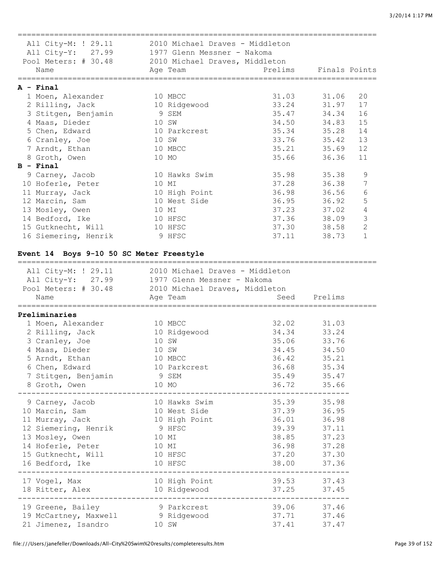=============================================================================== All City-M: ! 29.11 2010 Michael Draves - Middleton All City-Y: 27.99 1977 Glenn Messner - Nakoma Pool Meters: # 30.48 2010 Michael Draves, Middleton Name Age Team Prelims Finals Points =============================================================================== **A - Final** 1 Moen, Alexander 10 MBCC 31.03 31.06 20 2 Rilling, Jack 10 Ridgewood 33.24 31.97 17 3 Stitgen, Benjamin 9 SEM 35.47 34.34 16 4 Maas, Dieder 10 SW 34.50 34.83 15 5 Chen, Edward 10 Parkcrest 35.34 35.28 14 6 Cranley, Joe 10 SW 33.76 35.42 13 7 Arndt, Ethan 10 MBCC 35.21 35.69 12 8 Groth, Owen 10 MO 35.66 36.36 11 **B - Final** 9 Carney, Jacob 10 Hawks Swim 35.98 35.38 9 10 Hoferle, Peter 10 MI 37.28 36.38 7 11 Murray, Jack 10 High Point 36.98 36.56 6 12 Marcin, Sam 10 West Side 36.95 36.92 5 13 Mosley, Owen 10 MI 37.23 37.02 4 14 Bedford, Ike 10 HFSC 37.36 38.09 3 15 Gutknecht, Will 10 HFSC 37.30 38.58 2 16 Siemering, Henrik 9 HFSC 37.11 38.73 1 **Event 14 Boys 9-10 50 SC Meter Freestyle** =============================================================================== All City-M: ! 29.11 2010 Michael Draves - Middleton All City-Y: 27.99 1977 Glenn Messner - Nakoma Pool Meters: # 30.48 2010 Michael Draves, Middleton Name Age Team Seed Prelims =============================================================================== **Preliminaries** 1 Moen, Alexander 10 MBCC 32.02 31.03 2 Rilling, Jack 10 Ridgewood 34.34 33.24 3 Cranley, Joe 10 SW 35.06 33.76 4 Maas, Dieder 10 SW 34.45 34.50 5 Arndt, Ethan 10 MBCC 36.42 35.21 6 Chen, Edward 10 Parkcrest 36.68 35.34 7 Stitgen, Benjamin 9 SEM 35.49 35.47 8 Groth, Owen 10 MO 36.72 35.66 ------------------------------------------------------------------------- 9 Carney, Jacob 10 Hawks Swim 35.39 35.98 10 Marcin, Sam 10 West Side 37.39 36.95 11 Murray, Jack 10 High Point 36.01 36.98 12 Siemering, Henrik 9 HFSC 39.39 37.11 13 Mosley, Owen 10 MI 38.85 37.23 14 Hoferle, Peter 10 MI 36.98 37.28 15 Gutknecht, Will 10 HFSC 37.20 37.30 16 Bedford, Ike 10 HFSC 38.00 37.36 ------------------------------------------------------------------------- 17 Vogel, Max 10 High Point 39.53 37.43 18 Ritter, Alex 10 Ridgewood 37.25 37.45 ------------------------------------------------------------------------- 19 Greene, Bailey 9 Parkcrest 39.06 37.46 19 McCartney, Maxwell 9 Ridgewood 37.71 37.46 21 Jimenez, Isandro 10 SW 37.41 37.47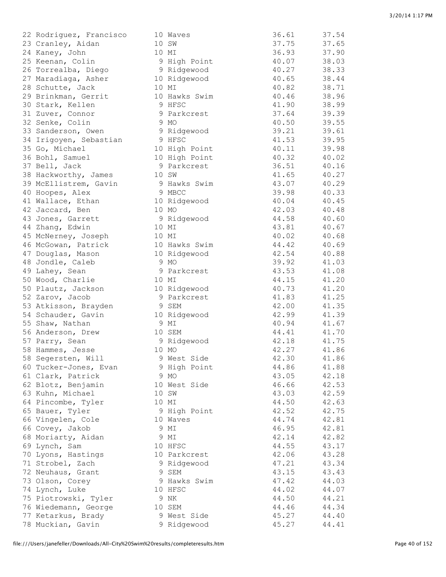| 22 Rodriguez, Francisco | 1           |
|-------------------------|-------------|
| 23 Cranley, Aidan       | 1           |
| 24 Kaney, John          | $\mathbf 1$ |
| 25 Keenan, Colin        |             |
|                         |             |
| 26 Torrealba, Diego     |             |
| 27 Maradiaga, Asher     | 1           |
| 28 Schutte, Jack        | 1           |
| 29 Brinkman, Gerrit     | $\mathbf 1$ |
| 30 Stark, Kellen        |             |
| 31 Zuver, Connor        |             |
| 32 Senke, Colin         |             |
| 33 Sanderson, Owen      |             |
| 34 Irigoyen, Sebastian  |             |
| 35 Go, Michael          | 1           |
| 36 Bohl, Samuel         | $\mathbf 1$ |
| 37 Bell, Jack           |             |
|                         |             |
| 38 Hackworthy, James    | $\mathbf 1$ |
| 39 McEllistrem, Gavin   |             |
| 40 Hoopes, Alex         |             |
| 41 Wallace, Ethan       | 1           |
| 42 Jaccard, Ben         | $\mathbf 1$ |
| 43 Jones, Garrett       |             |
| 44 Zhang, Edwin         | 1           |
| 45 McNerney, Joseph     | 1           |
| 46 McGowan, Patrick     | 1           |
| 47 Douglas, Mason       | $\mathbf 1$ |
| 48 Jondle, Caleb        |             |
| 49 Lahey, Sean          |             |
| 50 Wood, Charlie        | 1           |
|                         |             |
| 50 Plautz, Jackson      | $\mathbf 1$ |
| 52 Zarov, Jacob         |             |
| 53 Atkisson, Brayden    |             |
| 54 Schauder, Gavin      | 1           |
| 55 Shaw, Nathan         |             |
| 56 Anderson, Drew       | 1           |
| 57 Parry, Sean          |             |
| 58 Hammes, Jesse        | 1           |
| 58 Segersten, Will      |             |
| 60 Tucker-Jones, Evan   |             |
| 61 Clark, Patrick       |             |
| 62 Blotz, Benjamin      | 1           |
| 63 Kuhn, Michael        | 1           |
| 64 Pincombe, Tyler      | 1           |
| 65 Bauer, Tyler         |             |
| 66 Vingelen, Cole       | 1           |
| 66 Covey, Jakob         |             |
|                         |             |
| 68 Moriarty, Aidan      |             |
| 69 Lynch, Sam           | 1           |
| 70 Lyons, Hastings      | 1           |
| 71 Strobel, Zach        |             |
| 72 Neuhaus, Grant       |             |
| 73 Olson, Corey         |             |
| 74 Lynch, Luke          | 1           |
| 75 Piotrowski, Tyler    |             |
| 76 Wiedemann, George    | 1           |
| 77 Ketarkus, Brady      |             |
| 78 Muckian Carrin       |             |

| 22 Rodriguez, Francisco |       | 10 Waves      | 36.61 | 37.54 |
|-------------------------|-------|---------------|-------|-------|
| 23 Cranley, Aidan       | 10 SW |               | 37.75 | 37.65 |
| 24 Kaney, John          | 10 MI |               | 36.93 | 37.90 |
| 25 Keenan, Colin        |       | 9 High Point  | 40.07 | 38.03 |
| 26 Torrealba, Diego     |       | 9 Ridgewood   | 40.27 | 38.33 |
| 27 Maradiaga, Asher     |       | 10 Ridgewood  | 40.65 | 38.44 |
| 28 Schutte, Jack        | 10 MI |               | 40.82 | 38.71 |
| 29 Brinkman, Gerrit     |       | 10 Hawks Swim | 40.46 | 38.96 |
| 30 Stark, Kellen        |       | 9 HFSC        | 41.90 | 38.99 |
| 31 Zuver, Connor        |       | 9 Parkcrest   | 37.64 | 39.39 |
| 32 Senke, Colin         |       | 9 MO          | 40.50 | 39.55 |
| 33 Sanderson, Owen      |       | 9 Ridgewood   | 39.21 | 39.61 |
| 34 Irigoyen, Sebastian  |       | 9 HFSC        | 41.53 | 39.95 |
|                         |       |               | 40.11 |       |
| 35 Go, Michael          |       | 10 High Point |       | 39.98 |
| 36 Bohl, Samuel         |       | 10 High Point | 40.32 | 40.02 |
| 37 Bell, Jack           |       | 9 Parkcrest   | 36.51 | 40.16 |
| 38 Hackworthy, James    |       | 10 SW         | 41.65 | 40.27 |
| 39 McEllistrem, Gavin   |       | 9 Hawks Swim  | 43.07 | 40.29 |
| 40 Hoopes, Alex         |       | 9 MBCC        | 39.98 | 40.33 |
| 41 Wallace, Ethan       |       | 10 Ridgewood  | 40.04 | 40.45 |
| 42 Jaccard, Ben         | 10 MO |               | 42.03 | 40.48 |
| 43 Jones, Garrett       |       | 9 Ridgewood   | 44.58 | 40.60 |
| 44 Zhang, Edwin         | 10 MI |               | 43.81 | 40.67 |
| 45 McNerney, Joseph     | 10 MI |               | 40.02 | 40.68 |
| 46 McGowan, Patrick     |       | 10 Hawks Swim | 44.42 | 40.69 |
| 47 Douglas, Mason       |       | 10 Ridgewood  | 42.54 | 40.88 |
| 48 Jondle, Caleb        |       | 9 MO          | 39.92 | 41.03 |
| 49 Lahey, Sean          |       | 9 Parkcrest   | 43.53 | 41.08 |
| 50 Wood, Charlie        | 10 MI |               | 44.15 | 41.20 |
| 50 Plautz, Jackson      |       | 10 Ridgewood  | 40.73 | 41.20 |
| 52 Zarov, Jacob         |       | 9 Parkcrest   | 41.83 | 41.25 |
| 53 Atkisson, Brayden    |       | 9 SEM         | 42.00 | 41.35 |
| 54 Schauder, Gavin      |       | 10 Ridgewood  | 42.99 | 41.39 |
| 55 Shaw, Nathan         |       | 9 MI          | 40.94 | 41.67 |
|                         |       |               |       |       |
| 56 Anderson, Drew       |       | 10 SEM        | 44.41 | 41.70 |
| 57 Parry, Sean          |       | 9 Ridgewood   | 42.18 | 41.75 |
| 58 Hammes, Jesse        | 10 MO |               | 42.27 | 41.86 |
| 58 Segersten, Will      |       | 9 West Side   | 42.30 | 41.86 |
| 60 Tucker-Jones, Evan   |       | 9 High Point  | 44.86 | 41.88 |
| 61 Clark, Patrick       |       | 9 MO          | 43.05 | 42.18 |
| 62 Blotz, Benjamin      |       | 10 West Side  | 46.66 | 42.53 |
| 63 Kuhn, Michael        |       | 10 SW         | 43.03 | 42.59 |
| 64 Pincombe, Tyler      | 10 MI |               | 44.50 | 42.63 |
| 65 Bauer, Tyler         |       | 9 High Point  | 42.52 | 42.75 |
| 66 Vingelen, Cole       |       | 10 Waves      | 44.74 | 42.81 |
| 66 Covey, Jakob         |       | 9 MI          | 46.95 | 42.81 |
| 68 Moriarty, Aidan      |       | 9 MI          | 42.14 | 42.82 |
| 69 Lynch, Sam           |       | 10 HFSC       | 44.55 | 43.17 |
| 70 Lyons, Hastings      |       | 10 Parkcrest  | 42.06 | 43.28 |
| 71 Strobel, Zach        |       | 9 Ridgewood   | 47.21 | 43.34 |
| 72 Neuhaus, Grant       |       | 9 SEM         | 43.15 | 43.43 |
| 73 Olson, Corey         |       | 9 Hawks Swim  | 47.42 | 44.03 |
| 74 Lynch, Luke          |       | 10 HFSC       | 44.02 | 44.07 |
|                         |       | 9 NK          | 44.50 | 44.21 |
| 75 Piotrowski, Tyler    |       |               |       |       |
| 76 Wiedemann, George    |       | 10 SEM        | 44.46 | 44.34 |
| 77 Ketarkus, Brady      |       | 9 West Side   | 45.27 | 44.40 |
| 78 Muckian, Gavin       |       | 9 Ridgewood   | 45.27 | 44.41 |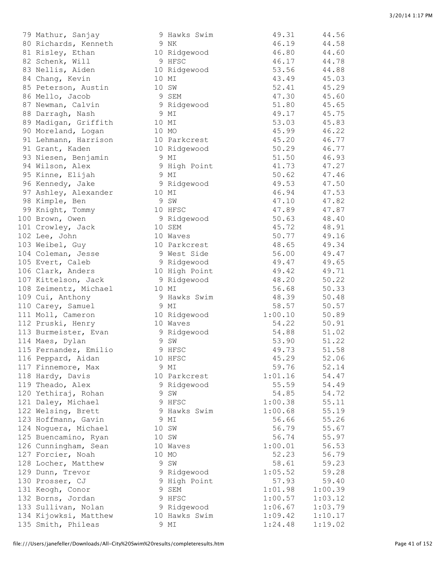| 79 Mathur, Sanjay     | 9 Hawks Swim  | 49.31   | 44.56   |
|-----------------------|---------------|---------|---------|
| 80 Richards, Kenneth  | 9 NK          | 46.19   | 44.58   |
| 81 Risley, Ethan      | 10 Ridgewood  | 46.80   | 44.60   |
|                       | 9 HFSC        |         |         |
| 82 Schenk, Will       |               | 46.17   | 44.78   |
| 83 Nellis, Aiden      | 10 Ridgewood  | 53.56   | 44.88   |
| 84 Chang, Kevin       | 10 MI         | 43.49   | 45.03   |
| 85 Peterson, Austin   | 10 SW         | 52.41   | 45.29   |
| 86 Mello, Jacob       | 9 SEM         | 47.30   | 45.60   |
| 87 Newman, Calvin     | 9 Ridgewood   | 51.80   | 45.65   |
| 88 Darragh, Nash      | 9 MI          | 49.17   | 45.75   |
| 89 Madigan, Griffith  | 10 MI         | 53.03   | 45.83   |
| 90 Moreland, Logan    | 10 MO         | 45.99   | 46.22   |
| 91 Lehmann, Harrison  | 10 Parkcrest  | 45.20   | 46.77   |
| 91 Grant, Kaden       | 10 Ridgewood  | 50.29   | 46.77   |
| 93 Niesen, Benjamin   | 9 MI          | 51.50   | 46.93   |
|                       |               | 41.73   | 47.27   |
| 94 Wilson, Alex       | 9 High Point  |         |         |
| 95 Kinne, Elijah      | 9 MI          | 50.62   | 47.46   |
| 96 Kennedy, Jake      | 9 Ridgewood   | 49.53   | 47.50   |
| 97 Ashley, Alexander  | 10 MI         | 46.94   | 47.53   |
| 98 Kimple, Ben        | 9 SW          | 47.10   | 47.82   |
| 99 Knight, Tommy      | 10 HFSC       | 47.89   | 47.87   |
| 100 Brown, Owen       | 9 Ridgewood   | 50.63   | 48.40   |
| 101 Crowley, Jack     | 10 SEM        | 45.72   | 48.91   |
| 102 Lee, John         | 10 Waves      | 50.77   | 49.16   |
| 103 Weibel, Guy       | 10 Parkcrest  | 48.65   | 49.34   |
| 104 Coleman, Jesse    | 9 West Side   | 56.00   | 49.47   |
| 105 Evert, Caleb      | 9 Ridgewood   | 49.47   | 49.65   |
| 106 Clark, Anders     | 10 High Point | 49.42   | 49.71   |
|                       |               |         |         |
| 107 Kittelson, Jack   | 9 Ridgewood   | 48.20   | 50.22   |
| 108 Zeimentz, Michael | 10 MI         | 56.68   | 50.33   |
| 109 Cui, Anthony      | 9 Hawks Swim  | 48.39   | 50.48   |
| 110 Carey, Samuel     | 9 MI          | 58.57   | 50.57   |
| 111 Moll, Cameron     | 10 Ridgewood  | 1:00.10 | 50.89   |
| 112 Pruski, Henry     | 10 Waves      | 54.22   | 50.91   |
| 113 Burmeister, Evan  | 9 Ridgewood   | 54.88   | 51.02   |
| 114 Maes, Dylan       | 9 SW          | 53.90   | 51.22   |
| 115 Fernandez, Emilio | 9 HFSC        | 49.73   | 51.58   |
| 116 Peppard, Aidan    | 10 HFSC       | 45.29   | 52.06   |
| 117 Finnemore, Max    | 9 MI          | 59.76   | 52.14   |
| 118 Hardy, Davis      | 10 Parkcrest  | 1:01.16 | 54.47   |
| 119 Theado, Alex      | 9 Ridgewood   | 55.59   | 54.49   |
|                       |               |         |         |
| 120 Yethiraj, Rohan   | 9 SW          | 54.85   | 54.72   |
| 121 Daley, Michael    | 9 HFSC        | 1:00.38 | 55.11   |
| 122 Welsing, Brett    | 9 Hawks Swim  | 1:00.68 | 55.19   |
| 123 Hoffmann, Gavin   | 9 MI          | 56.66   | 55.26   |
| 124 Noguera, Michael  | 10 SW         | 56.79   | 55.67   |
| 125 Buencamino, Ryan  | 10 SW         | 56.74   | 55.97   |
| 126 Cunningham, Sean  | 10 Waves      | 1:00.01 | 56.53   |
| 127 Forcier, Noah     | 10 MO         | 52.23   | 56.79   |
| 128 Locher, Matthew   | 9 SW          | 58.61   | 59.23   |
| 129 Dunn, Trevor      | 9 Ridgewood   | 1:05.52 | 59.28   |
| 130 Prosser, CJ       | 9 High Point  | 57.93   | 59.40   |
| 131 Keogh, Conor      | 9 SEM         | 1:01.98 | 1:00.39 |
| 132 Borns, Jordan     | 9 HFSC        | 1:00.57 | 1:03.12 |
|                       |               | 1:06.67 |         |
| 133 Sullivan, Nolan   | 9 Ridgewood   |         | 1:03.79 |
| 134 Kijowksi, Matthew | 10 Hawks Swim | 1:09.42 | 1:10.17 |
| 135 Smith, Phileas    | 9 MI          | 1:24.48 | 1:19.02 |

| $12$ mutum punjuy                    |       | $U$ $\sim$ $11$ $\alpha$ $\alpha$ $12$ $\alpha$ $\sim$ $\alpha$ $\sim$ $11$ |                |                |
|--------------------------------------|-------|-----------------------------------------------------------------------------|----------------|----------------|
| 80 Richards, Kenneth                 |       | 9 NK                                                                        | 46.19          | 44.58          |
| 81 Risley, Ethan                     |       | 10 Ridgewood                                                                | 46.80          | 44.60          |
| 82 Schenk, Will                      |       | 9 HFSC                                                                      | 46.17          | 44.78          |
| 83 Nellis, Aiden                     |       | 10 Ridgewood                                                                | 53.56          | 44.88          |
| 84 Chang, Kevin                      |       | 10 MI                                                                       | 43.49          | 45.03          |
| 85 Peterson, Austin                  |       | 10 SW                                                                       | 52.41          | 45.29          |
| 86 Mello, Jacob                      |       | 9 SEM                                                                       | 47.30          | 45.60          |
| 87 Newman, Calvin                    |       | 9 Ridgewood                                                                 | 51.80          | 45.65          |
| 88 Darragh, Nash                     |       | 9 MI                                                                        | 49.17          | 45.75          |
| 89 Madigan, Griffith                 | 10 MI |                                                                             | 53.03          | 45.83          |
| 90 Moreland, Logan                   | 10 MO |                                                                             | 45.99          | 46.22          |
| 91 Lehmann, Harrison                 |       | 10 Parkcrest                                                                | 45.20          | 46.77          |
| 91 Grant, Kaden                      |       | 10 Ridgewood                                                                | 50.29          | 46.77          |
| 93 Niesen, Benjamin                  | 9 MI  |                                                                             | 51.50          | 46.93          |
| 94 Wilson, Alex                      |       | 9 High Point                                                                | 41.73          | 47.27          |
| 95 Kinne, Elijah                     |       | 9 MI                                                                        | 50.62          | 47.46          |
| 96 Kennedy, Jake                     |       | 9 Ridgewood                                                                 | 49.53          | 47.50          |
| 97 Ashley, Alexander                 | 10 MI |                                                                             | 46.94          | 47.53          |
| 98 Kimple, Ben                       |       | 9 SW                                                                        | 47.10          | 47.82          |
| 99 Knight, Tommy                     |       | 10 HFSC                                                                     | 47.89          | 47.87          |
| 100 Brown, Owen                      |       | 9 Ridgewood                                                                 | 50.63          | 48.40          |
| 101 Crowley, Jack                    |       | 10 SEM                                                                      | 45.72          | 48.91          |
| 102 Lee, John                        |       | 10 Waves                                                                    | 50.77          | 49.16          |
| 103 Weibel, Guy                      |       | 10 Parkcrest                                                                | 48.65          | 49.34          |
| 104 Coleman, Jesse                   |       | 9 West Side                                                                 | 56.00          | 49.47          |
| 105 Evert, Caleb                     |       | 9 Ridgewood                                                                 | 49.47          | 49.65          |
| 106 Clark, Anders                    |       | 10 High Point                                                               | 49.42          | 49.71          |
| 107 Kittelson, Jack                  |       | 9 Ridgewood                                                                 | 48.20          | 50.22          |
| 108 Zeimentz, Michael                | 10 MI |                                                                             | 56.68          | 50.33          |
| 109 Cui, Anthony                     |       | 9 Hawks Swim                                                                | 48.39          | 50.48          |
| 110 Carey, Samuel                    | 9 MI  |                                                                             | 58.57          | 50.57          |
| 111 Moll, Cameron                    |       | 10 Ridgewood                                                                | 1:00.10        | 50.89          |
| 112 Pruski, Henry                    |       | 10 Waves                                                                    | 54.22          | 50.91          |
| 113 Burmeister, Evan                 |       | 9 Ridgewood                                                                 | 54.88          | 51.02          |
| 114 Maes, Dylan                      |       | 9 SW                                                                        | 53.90          | 51.22          |
| 115 Fernandez, Emilio                |       | 9 HFSC                                                                      | 49.73          | 51.58          |
| 116 Peppard, Aidan                   |       | 10 HFSC                                                                     | 45.29<br>59.76 | 52.06<br>52.14 |
| 117 Finnemore, Max                   |       | 9 MI                                                                        | 1:01.16        |                |
| 118 Hardy, Davis<br>119 Theado, Alex |       | 10 Parkcrest<br>9 Ridgewood                                                 | 55.59          | 54.47<br>54.49 |
| 120 Yethiraj, Rohan                  |       | 9 SW                                                                        | 54.85          | 54.72          |
| 121 Daley, Michael                   |       | 9 HFSC                                                                      | 1:00.38        | 55.11          |
| 122 Welsing, Brett                   |       | 9 Hawks Swim                                                                | 1:00.68        | 55.19          |
| 123 Hoffmann, Gavin                  |       | 9 MI                                                                        | 56.66          | 55.26          |
| 124 Noguera, Michael                 |       | 10 SW                                                                       | 56.79          | 55.67          |
| 125 Buencamino, Ryan                 |       | 10 SW                                                                       | 56.74          | 55.97          |
| 126 Cunningham, Sean                 |       | 10 Waves                                                                    | 1:00.01        | 56.53          |
| 127 Forcier, Noah                    | 10 MO |                                                                             | 52.23          | 56.79          |
| 128 Locher, Matthew                  |       | 9 SW                                                                        | 58.61          | 59.23          |
| 129 Dunn, Trevor                     |       | 9 Ridgewood                                                                 | 1:05.52        | 59.28          |
| 130 Prosser, CJ                      |       | 9 High Point                                                                | 57.93          | 59.40          |
| 131 Keogh, Conor                     |       | 9 SEM                                                                       | 1:01.98        | 1:00.39        |
| 132 Borns, Jordan                    |       | 9 HFSC                                                                      | 1:00.57        | 1:03.12        |
| 133 Sullivan, Nolan                  |       | 9 Ridgewood                                                                 | 1:06.67        | 1:03.79        |
| 134 Kijowksi, Matthew                |       | 10 Hawks Swim                                                               | 1:09.42        | 1:10.17        |
| 135 Smith, Phileas                   |       | 9 MI                                                                        | 1:24.48        | 1:19.02        |
|                                      |       |                                                                             |                |                |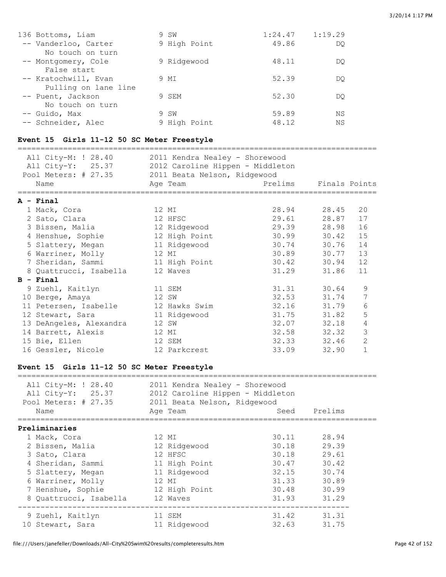| 136 Bottoms, Liam    | 9 | SW           | 1:24.47 | 1:19.29 |
|----------------------|---|--------------|---------|---------|
| -- Vanderloo, Carter |   | 9 High Point | 49.86   | DO      |
| No touch on turn     |   |              |         |         |
| -- Montgomery, Cole  |   | 9 Ridgewood  | 48.11   | DO      |
| False start          |   |              |         |         |
| -- Kratochwill, Evan |   | 9 MI         | 52.39   | DO      |
| Pulling on lane line |   |              |         |         |
| -- Puent, Jackson    |   | 9 SEM        | 52.30   | DO      |
| No touch on turn     |   |              |         |         |
| -- Guido, Max        |   | 9 SW         | 59.89   | ΝS      |
| -- Schneider, Alec   |   | 9 High Point | 48.12   | ΝS      |

# **Event 15 Girls 11-12 50 SC Meter Freestyle**

| All City-M: ! 28.40<br>All City-Y: 25.37<br>Pool Meters: # 27.35<br>Name |                         | 2011 Kendra Nealey - Shorewood<br>2012 Caroline Hippen - Middleton<br>2011 Beata Nelson, Ridgewood<br>Prelims Finals Points<br>Age Team |             |             |                |  |  |
|--------------------------------------------------------------------------|-------------------------|-----------------------------------------------------------------------------------------------------------------------------------------|-------------|-------------|----------------|--|--|
|                                                                          |                         |                                                                                                                                         |             |             |                |  |  |
|                                                                          | $A - Final$             |                                                                                                                                         |             |             |                |  |  |
|                                                                          | 1 Mack, Cora            | 12 MI                                                                                                                                   |             | 28.94 28.45 | 20             |  |  |
|                                                                          | 2 Sato, Clara           | 12 HFSC                                                                                                                                 | 29.61       | 28.87       | 17             |  |  |
|                                                                          | 3 Bissen, Malia         | 12 Ridgewood                                                                                                                            | 29.39 28.98 |             | 16             |  |  |
|                                                                          | 4 Henshue, Sophie       | 12 High Point                                                                                                                           | 30.99       | 30.42       | 15             |  |  |
|                                                                          | 5 Slattery, Megan       | 11 Ridgewood                                                                                                                            |             | 30.74 30.76 | 14             |  |  |
|                                                                          | 6 Warriner, Molly       | 12 MI                                                                                                                                   |             | 30.89 30.77 | 13             |  |  |
|                                                                          | 7 Sheridan, Sammi       | 11 High Point                                                                                                                           |             | 30.42 30.94 | 12             |  |  |
|                                                                          | 8 Quattrucci, Isabella  | 12 Waves                                                                                                                                | 31.29       | 31.86       | 11             |  |  |
|                                                                          | $B - Final$             |                                                                                                                                         |             |             |                |  |  |
|                                                                          | 9 Zuehl, Kaitlyn        | 11 SEM                                                                                                                                  |             | 31.31 30.64 | 9              |  |  |
|                                                                          | 10 Berge, Amaya         | 12 SW                                                                                                                                   |             | 32.53 31.74 | 7              |  |  |
|                                                                          | 11 Petersen, Isabelle   | 12 Hawks Swim                                                                                                                           | 32.16 31.79 |             | 6              |  |  |
|                                                                          | 12 Stewart, Sara        | 11 Ridgewood                                                                                                                            |             | 31.75 31.82 | 5              |  |  |
|                                                                          | 13 DeAngeles, Alexandra | 12 SW                                                                                                                                   |             | 32.07 32.18 | 4              |  |  |
|                                                                          | 14 Barrett, Alexis      | 12 MI                                                                                                                                   | 32.58 32.32 |             | 3              |  |  |
|                                                                          | 15 Bie, Ellen           | 12 SEM                                                                                                                                  |             | 32.33 32.46 | $\overline{2}$ |  |  |
|                                                                          | 16 Gessler, Nicole      | 12 Parkcrest                                                                                                                            | 33.09       | 32.90       | $\mathbf{1}$   |  |  |

#### **Event 15 Girls 11-12 50 SC Meter Freestyle**

| All City-M: ! 28.40<br>All City-Y: 25.37<br>Pool Meters: # 27.35 | 2011 Kendra Nealey - Shorewood<br>2012 Caroline Hippen - Middleton<br>2011 Beata Nelson, Ridgewood |       |              |
|------------------------------------------------------------------|----------------------------------------------------------------------------------------------------|-------|--------------|
| Name                                                             | Age Team                                                                                           |       | Seed Prelims |
| Preliminaries                                                    |                                                                                                    |       |              |
| 1 Mack, Cora                                                     | 12 MI                                                                                              | 30.11 | 28.94        |
| 2 Bissen, Malia                                                  | 12 Ridgewood                                                                                       | 30.18 | 29.39        |
| 3 Sato, Clara                                                    | 12 HFSC                                                                                            | 30.18 | 29.61        |
| 4 Sheridan, Sammi                                                | 11 High Point                                                                                      | 30.47 | 30.42        |
| 5 Slattery, Megan                                                | 11 Ridgewood                                                                                       | 32.15 | 30.74        |
| 6 Warriner, Molly                                                | 12 MI                                                                                              | 31.33 | 30.89        |
| 7 Henshue, Sophie                                                | 12 High Point                                                                                      | 30.48 | 30.99        |
| 8 Ouattrucci, Isabella                                           | 12 Waves                                                                                           | 31.93 | 31.29        |
| 9 Zuehl, Kaitlyn                                                 | 11 SEM                                                                                             | 31.42 | 31.31        |
| 10 Stewart, Sara                                                 | 11 Ridgewood                                                                                       | 32.63 | 31.75        |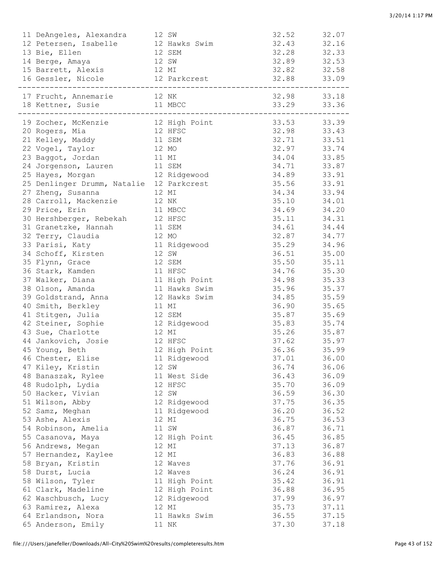| 11 DeAngeles, Alexandra<br>12 SW                  |                              | 32.52           | 32.07 |
|---------------------------------------------------|------------------------------|-----------------|-------|
| 12 Petersen, Isabelle 12 Hawks Swim 32.43 32.16   |                              |                 |       |
| 13 Bie, Ellen<br>12 SEM                           |                              | $32.28$ $32.33$ |       |
| 12 SW<br>14 Berge, Amaya                          |                              | 32.89 32.53     |       |
| 15 Barrett, Alexis 12 MI                          |                              | 32.82 32.58     |       |
| 16 Gessler, Nicole 12 Parkcrest 32.88 33.09       |                              |                 |       |
|                                                   |                              |                 |       |
| 17 Frucht, Annemarie 12 NK                        |                              | 32.98 33.18     |       |
| 18 Kettner, Susie 11 MBCC 33.29 33.36             |                              |                 |       |
|                                                   |                              |                 |       |
| 19 Zocher, McKenzie 12 High Point 33.53 33.39     |                              |                 |       |
| 12 HFSC<br>20 Rogers, Mia                         |                              |                 |       |
| 21 Kelley, Maddy 11 SEM                           |                              |                 |       |
| 22 Vogel, Taylor 12 MO                            |                              |                 |       |
| 23 Baggot, Jordan 11 MI                           |                              |                 |       |
| 24 Jorgenson, Lauren 11 SEM                       |                              | 34.71 33.87     |       |
| 25 Hayes, Morgan                                  | 12 Ridgewood 34.89 33.91     |                 |       |
| 25 Denlinger Drumm, Natalie 12 Parkcrest          | 35.56 33.91                  |                 |       |
| 27 Zheng, Susanna<br>12 MI                        |                              | 34.34 33.94     |       |
| 28 Carroll, Mackenzie 12 NK                       |                              | 35.10 34.01     |       |
| 29 Price, Erin<br>11 MBCC                         |                              | 34.69 34.20     |       |
| 30 Hershberger, Rebekah 12 HFSC                   |                              | 35.11 34.31     |       |
| 31 Granetzke, Hannah 11 SEM                       |                              | 34.61 34.44     |       |
| 32 Terry, Claudia<br>12 MO                        |                              | 32.87 34.77     |       |
| 33 Parisi, Katy<br>11 Ridgewood                   | 35.29 34.96                  |                 |       |
| 34 Schoff, Kirsten 12 SW                          |                              | 36.51 35.00     |       |
| 35 Flynn, Grace                                   | 12 SEM                       | 35.50 35.11     |       |
| 36 Stark, Kamden                                  | 11 HFSC                      | 34.76 35.30     |       |
| 37 Walker, Diana                                  | 11 High Point<br>34.98 35.33 |                 |       |
| 38 Olson, Amanda                                  | 11 Hawks Swim                | 35.96 35.37     |       |
| 39 Goldstrand, Anna                               | 12 Hawks Swim                | 34.85 35.59     |       |
| 40 Smith, Berkley                                 | 11 MI                        | 36.90 35.65     |       |
| 41 Stitgen, Julia<br>12 SEM                       |                              | 35.87 35.69     |       |
| 42 Steiner, Sophie $12$ Ridgewood $35.83$ $35.74$ |                              |                 |       |
| 43 Sue, Charlotte<br>12 MI                        |                              | 35.26 35.87     |       |
| 44 Jankovich, Josie                               | 12 HFSC                      | 37.62 35.97     |       |
| 45 Young, Beth                                    | 12 High Point                | 36.36 35.99     |       |
| 46 Chester, Elise                                 | 11 Ridgewood                 | 37.01           | 36.00 |
| 47 Kiley, Kristin                                 | 12 SW                        | 36.74           | 36.06 |
| 48 Banaszak, Rylee                                | 11 West Side                 | 36.43           | 36.09 |
| 48 Rudolph, Lydia                                 | 12 HFSC                      | 35.70           | 36.09 |
| 50 Hacker, Vivian                                 | 12 SW                        | 36.59           | 36.30 |
| 51 Wilson, Abby                                   | 12 Ridgewood                 | 37.75           | 36.35 |
| 52 Samz, Meghan                                   | 11 Ridgewood                 | 36.20           | 36.52 |
| 53 Ashe, Alexis                                   | 12 MI                        | 36.75           | 36.53 |
| 54 Robinson, Amelia                               | 11 SW                        | 36.87           | 36.71 |
| 55 Casanova, Maya                                 | 12 High Point                | 36.45           | 36.85 |
| 56 Andrews, Megan                                 | 12 MI                        | 37.13           | 36.87 |
| 57 Hernandez, Kaylee                              | 12 MI                        | 36.83           | 36.88 |
| 58 Bryan, Kristin                                 | 12 Waves                     | 37.76           | 36.91 |
| 58 Durst, Lucia                                   | 12 Waves                     | 36.24           | 36.91 |
| 58 Wilson, Tyler                                  | 11 High Point                | 35.42           | 36.91 |
| 61 Clark, Madeline                                | 12 High Point                | 36.88           | 36.95 |
| 62 Waschbusch, Lucy                               | 12 Ridgewood                 | 37.99           | 36.97 |
| 63 Ramirez, Alexa                                 | 12 MI                        | 35.73           | 37.11 |
| 64 Erlandson, Nora                                | 11 Hawks Swim                | 36.55           | 37.15 |
| 65 Anderson, Emily                                | 11 NK                        | 37.30           | 37.18 |
|                                                   |                              |                 |       |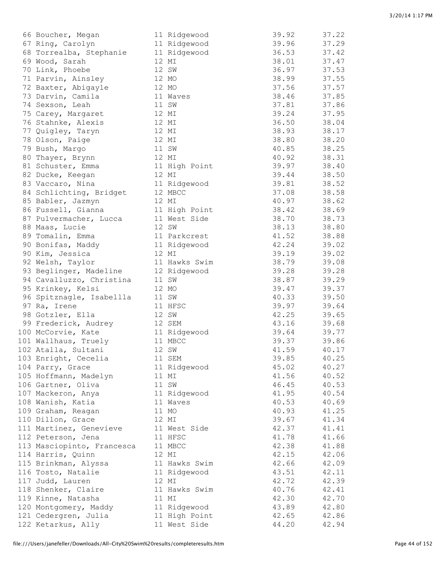| 66 Boucher, Megan                            | 11 Ridgewood             | 39.92          | 37.22          |
|----------------------------------------------|--------------------------|----------------|----------------|
| 67 Ring, Carolyn                             | 11 Ridgewood             | 39.96          | 37.29          |
| 68 Torrealba, Stephanie                      | 11 Ridgewood             | 36.53          | 37.42          |
| 69 Wood, Sarah                               | 12 MI                    | 38.01          | 37.47          |
| 70 Link, Phoebe                              | 12 SW                    | 36.97          | 37.53          |
| 71 Parvin, Ainsley                           | 12 MO                    | 38.99          | 37.55          |
| 72 Baxter, Abigayle                          | 12 MO                    | 37.56          | 37.57          |
| 73 Darvin, Camila                            | 11 Waves                 | 38.46          | 37.85          |
| 74 Sexson, Leah                              | 11 SW                    | 37.81          | 37.86          |
| 75 Carey, Margaret                           | 12 MI                    | 39.24          | 37.95          |
| 76 Stahnke, Alexis                           | 12 MI                    | 36.50          | 38.04          |
| 77 Quigley, Taryn                            | 12 MI                    | 38.93          | 38.17          |
| 78 Olson, Paige                              | 12 MI                    | 38.80          | 38.20          |
| 79 Bush, Margo                               | 11 SW                    | 40.85          | 38.25          |
| 80 Thayer, Brynn                             | 12 MI                    | 40.92          | 38.31          |
| 81 Schuster, Emma                            | 11 High Point            | 39.97          | 38.40          |
| 82 Ducke, Keegan                             | 12 MI                    | 39.44          | 38.50          |
| 83 Vaccaro, Nina                             | 11 Ridgewood             | 39.81          | 38.52          |
| 84 Schlichting, Bridget                      | 12 MBCC                  | 37.08          | 38.58          |
| 85 Babler, Jazmyn                            | 12 MI                    | 40.97          | 38.62          |
| 86 Fussell, Gianna                           | 11 High Point            | 38.42          | 38.69          |
| 87 Pulvermacher, Lucca                       | 11 West Side             | 38.70          | 38.73          |
| 88 Maas, Lucie                               | 12 SW                    | 38.13          | 38.80          |
| 89 Tomalin, Emma                             | 11 Parkcrest             | 41.52          | 38.88          |
| 90 Bonifas, Maddy                            | 11 Ridgewood             | 42.24          | 39.02          |
| 90 Kim, Jessica                              | 12 MI                    | 39.19          | 39.02          |
| 92 Welsh, Taylor                             | 11 Hawks Swim            | 38.79          | 39.08          |
| 93 Beglinger, Madeline                       | 12 Ridgewood             | 39.28          | 39.28          |
| 94 Cavalluzzo, Christina                     | 11 SW                    | 38.87          | 39.29          |
| 95 Krinkey, Kelsi                            | 12 MO                    | 39.47          | 39.37          |
| 96 Spitznagle, Isabellla                     | 11 SW                    | 40.33          | 39.50          |
| 97 Ra, Irene                                 | 11 HFSC                  | 39.97          | 39.64          |
| 98 Gotzler, Ella                             | 12 SW                    | 42.25          | 39.65          |
| 99 Frederick, Audrey                         | 12 SEM                   | 43.16          | 39.68          |
| 100 McCorvie, Kate                           | 11 Ridgewood             | 39.64          | 39.77          |
| 101 Wallhaus, Truely                         | 11 MBCC                  | 39.37          | 39.86          |
| 102 Atalla, Sultani                          | 12 SW                    | 41.59          | 40.17          |
| 103 Enright, Cecelia                         | 11 SEM                   | 39.85          | 40.25          |
| 104 Parry, Grace                             | 11 Ridgewood             | 45.02          | 40.27          |
| 105 Hoffmann, Madelyn                        | 11 MI                    | 41.56          | 40.52          |
| 106 Gartner, Oliva                           | 11 SW                    | 46.45<br>41.95 | 40.53          |
| 107 Mackeron, Anya                           | 11 Ridgewood<br>11 Waves | 40.53          | 40.54          |
| 108 Wanish, Katia<br>109 Graham, Reagan      | 11 MO                    | 40.93          | 40.69          |
|                                              | 12 MI                    | 39.67          | 41.25<br>41.34 |
| 110 Dillon, Grace<br>111 Martinez, Genevieve | 11 West Side             | 42.37          | 41.41          |
| 112 Peterson, Jena                           | 11 HFSC                  | 41.78          | 41.66          |
| 113 Masciopinto, Francesca                   | 11 MBCC                  | 42.38          | 41.88          |
| 114 Harris, Quinn                            | 12 MI                    | 42.15          | 42.06          |
| 115 Brinkman, Alyssa                         | 11 Hawks Swim            | 42.66          | 42.09          |
| 116 Tosto, Natalie                           | 11 Ridgewood             | 43.51          | 42.11          |
| 117 Judd, Lauren                             | 12 MI                    | 42.72          | 42.39          |
| 118 Shenker, Claire                          | 11 Hawks Swim            | 40.76          | 42.41          |
| 119 Kinne, Natasha                           | 11 MI                    | 42.30          | 42.70          |
| 120 Montgomery, Maddy                        | 11 Ridgewood             | 43.89          | 42.80          |
| 121 Cedergren, Julia                         | 11 High Point            | 42.65          | 42.86          |
| 122 Ketarkus, Ally                           | 11 West Side             | 44.20          | 42.94          |
|                                              |                          |                |                |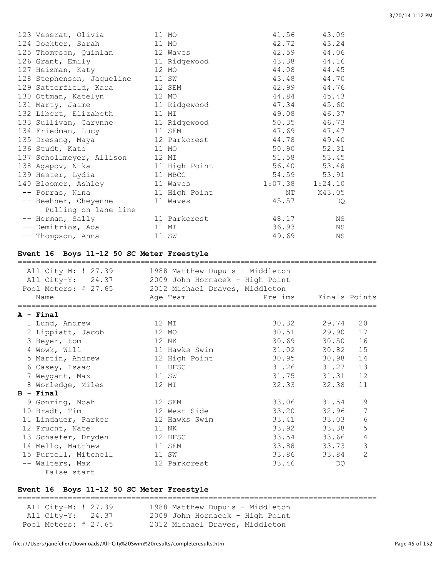| 123 Veserat, Olivia                |       | 11 MO         | 41.56               | 43.09       |
|------------------------------------|-------|---------------|---------------------|-------------|
| 124 Dockter, Sarah                 |       | 11 MO         | 42.72               | 43.24       |
| 125 Thompson, Quinlan 12 Waves     |       |               | 42.59               | 44.06       |
| 126 Grant, Emily                   |       | 11 Ridgewood  | 43.38               | 44.16       |
| 127 Heizman, Katy                  |       | 12 MO         | 44.08               | 44.45       |
| 128 Stephenson, Jaqueline          |       | 11 SW         | 43.48               | 44.70       |
| 129 Satterfield, Kara              |       | 12 SEM        | 42.99               | 44.76       |
| 130 Ottman, Katelyn                |       | 12 MO         | 44.84               | 45.43       |
| 131 Marty, Jaime                   |       | 11 Ridgewood  | 47.34               | 45.60       |
| 132 Libert, Elizabeth              |       | 11 MI         | 49.08               | 46.37       |
| 133 Sullivan, Carynne 11 Ridgewood |       |               | 50.35               | 46.73       |
| 134 Friedman, Lucy                 |       | 11 SEM        | 47.69               | 47.47       |
| 135 Dresang, Maya                  |       | 12 Parkcrest  | 44.78               | 49.40       |
| 136 Studt, Kate                    | 11 MO |               | 50.90               | 52.31       |
| 137 Schollmeyer, Allison           |       | 12 MI         |                     | 51.58 53.45 |
| 138 Agapov, Nika                   |       | 11 High Point |                     | 56.40 53.48 |
| 139 Hester, Lydia                  |       | 11 MBCC       | 54.59               | 53.91       |
| 140 Bloomer, Ashley                |       | 11 Waves      | $1:07.38$ $1:24.10$ |             |
| -- Porras, Nina                    |       | 11 High Point | NT                  | X43.05      |
| -- Beehner, Cheyenne               |       | 11 Waves      | 45.57               | DQ          |
| Pulling on lane line               |       |               |                     |             |
| -- Herman, Sally                   |       | 11 Parkcrest  | 48.17               | ΝS          |
| -- Demitrios, Ada                  | 11 MI |               | 36.93               | ΝS          |
| -- Thompson, Anna                  |       | 11 SW         | 49.69               | ΝS          |
|                                    |       |               |                     |             |

#### **Event 16 Boys 11-12 50 SC Meter Freestyle**

| All City-M: ! 27.39<br>All City-Y: 24.37<br>Pool Meters: # 27.65<br>Name | 1988 Matthew Dupuis - Middleton<br>2009 John Hornacek - High Point<br>2012 Michael Draves, Middleton<br>Age Team | Prelims Finals Points |       |                |
|--------------------------------------------------------------------------|------------------------------------------------------------------------------------------------------------------|-----------------------|-------|----------------|
| A - Final                                                                |                                                                                                                  |                       |       |                |
| 1 Lund, Andrew                                                           | 12 MI                                                                                                            | 30.32 29.74           |       | 20             |
| 2 Lippiatt, Jacob                                                        | 12 MO                                                                                                            | 30.51 29.90           |       | 17             |
| 3 Beyer, tom                                                             | 12 NK                                                                                                            | 30.69 30.50           |       | 16             |
| 4 Wowk, Will                                                             | 11 Hawks Swim                                                                                                    | 31.02 30.82           |       | 15             |
| 5 Martin, Andrew                                                         | 12 High Point                                                                                                    | 30.95                 | 30.98 | 14             |
| 6 Casey, Isaac                                                           | 11 HFSC                                                                                                          | 31.26 31.27           |       | 13             |
| 7 Weygant, Max                                                           | 11 SW                                                                                                            | 31.75 31.31           |       | 12             |
| 8 Worledge, Miles                                                        | 12 MI                                                                                                            | 32.33                 | 32.38 | 11             |
| $B - Final$                                                              |                                                                                                                  |                       |       |                |
| 9 Gonring, Noah                                                          | 12 SEM                                                                                                           | 33.06 31.54           |       | 9              |
| 10 Bradt, Tim                                                            | 12 West Side                                                                                                     | 33.20 32.96           |       | 7              |
| 11 Lindauer, Parker                                                      | 12 Hawks Swim                                                                                                    | 33.41 33.03           |       | 6              |
| 12 Frucht, Nate                                                          | 11 NK                                                                                                            | 33.92 33.38           |       | 5              |
| 13 Schaefer, Dryden                                                      | 12 HFSC                                                                                                          | 33.54 33.66           |       | $\overline{4}$ |
| 14 Mello, Matthew                                                        | 11 SEM                                                                                                           | 33.88 33.73           |       | 3              |
| 15 Purtell, Mitchell                                                     | 11 SW                                                                                                            | 33.86                 | 33.84 | $\overline{2}$ |
| -- Walters, Max                                                          | 12 Parkcrest                                                                                                     | 33.46                 | DO    |                |
| False start                                                              |                                                                                                                  |                       |       |                |

### **Event 16 Boys 11-12 50 SC Meter Freestyle**

=============================================================================== All City-M: ! 27.39 1988 Matthew Dupuis - Middleton All City-Y: 24.37 2009 John Hornacek - High Point Pool Meters: # 27.65 2012 Michael Draves, Middleton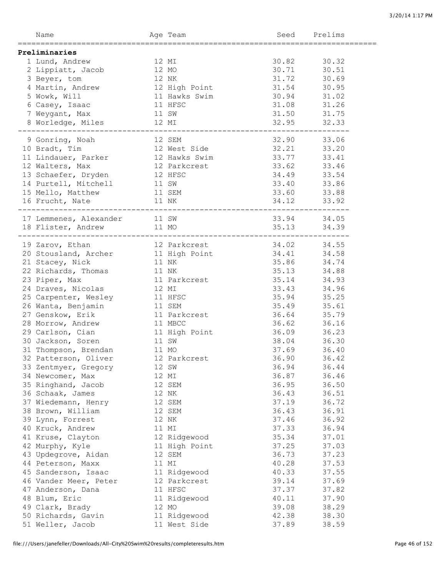| Name                                 |       | Age Team                              | Seed  | Prelims |
|--------------------------------------|-------|---------------------------------------|-------|---------|
| ==================================== |       | ===============================       |       |         |
| Preliminaries                        |       |                                       |       |         |
| 1 Lund, Andrew                       | 12 MI |                                       | 30.82 | 30.32   |
| 2 Lippiatt, Jacob                    | 12 MO |                                       | 30.71 | 30.51   |
| 3 Beyer, tom                         | 12 NK |                                       | 31.72 | 30.69   |
| 4 Martin, Andrew                     |       | 12 High Point                         | 31.54 | 30.95   |
| 5 Wowk, Will                         |       | 11 Hawks Swim                         | 30.94 | 31.02   |
| 6 Casey, Isaac                       |       | 11 HFSC                               | 31.08 | 31.26   |
| 7 Weygant, Max                       | 11 SW |                                       | 31.50 | 31.75   |
| 8 Worledge, Miles                    |       | 12 MI                                 | 32.95 | 32.33   |
|                                      |       |                                       |       |         |
| 9 Gonring, Noah                      |       | 12 SEM                                | 32.90 | 33.06   |
| 10 Bradt, Tim                        |       | 12 West Side                          | 32.21 | 33.20   |
| 11 Lindauer, Parker                  |       | 12 Hawks Swim                         | 33.77 | 33.41   |
| 12 Walters, Max                      |       | 12 Parkcrest                          | 33.62 | 33.46   |
| 13 Schaefer, Dryden                  |       | 12 HFSC                               | 34.49 | 33.54   |
| 14 Purtell, Mitchell                 | 11 SW |                                       | 33.40 | 33.86   |
| 15 Mello, Matthew                    |       | 11 SEM                                | 33.60 | 33.88   |
| 16 Frucht, Nate                      |       | 11 NK                                 | 34.12 | 33.92   |
| _______________________________      |       |                                       |       |         |
|                                      |       |                                       | 33.94 |         |
| 17 Lemmenes, Alexander 11 SW         |       |                                       |       | 34.05   |
| 18 Flister, Andrew                   |       | 11 MO<br>---------------------------- | 35.13 | 34.39   |
|                                      |       |                                       |       |         |
| 19 Zarov, Ethan                      |       | 12 Parkcrest                          | 34.02 | 34.55   |
| 20 Stousland, Archer 11 High Point   |       |                                       | 34.41 | 34.58   |
| 21 Stacey, Nick                      |       | 11 NK                                 | 35.86 | 34.74   |
| 22 Richards, Thomas                  | 11 NK |                                       | 35.13 | 34.88   |
| 23 Piper, Max                        |       | 11 Parkcrest                          | 35.14 | 34.93   |
| 24 Draves, Nicolas                   | 12 MI |                                       | 33.43 | 34.96   |
| 25 Carpenter, Wesley                 |       | 11 HFSC                               | 35.94 | 35.25   |
| 26 Wanta, Benjamin                   |       | 11 SEM                                | 35.49 | 35.61   |
| 27 Genskow, Erik                     |       | 11 Parkcrest                          | 36.64 | 35.79   |
| 28 Morrow, Andrew                    |       | 11 MBCC                               | 36.62 | 36.16   |
| 29 Carlson, Cian                     |       | 11 High Point                         | 36.09 | 36.23   |
| 30 Jackson, Soren                    |       | 11 SW                                 | 38.04 | 36.30   |
| 31 Thompson, Brendan                 | 11 MO |                                       | 37.69 | 36.40   |
| 32 Patterson, Oliver 12 Parkcrest    |       |                                       | 36.90 | 36.42   |
| 33 Zentmyer, Gregory                 |       | 12 SW                                 | 36.94 | 36.44   |
| 34 Newcomer, Max                     |       | 12 MI                                 | 36.87 | 36.46   |
| 35 Ringhand, Jacob                   |       | 12 SEM                                | 36.95 | 36.50   |
| 36 Schaak, James                     |       | 12 NK                                 | 36.43 | 36.51   |
| 37 Wiedemann, Henry                  |       | 12 SEM                                | 37.19 | 36.72   |
| 38 Brown, William                    |       | 12 SEM                                | 36.43 | 36.91   |
| 39 Lynn, Forrest                     |       | 12 NK                                 | 37.46 | 36.92   |
| 40 Kruck, Andrew                     |       | 11 MI                                 | 37.33 | 36.94   |
| 41 Kruse, Clayton                    |       | 12 Ridgewood                          | 35.34 | 37.01   |
| 42 Murphy, Kyle                      |       | 11 High Point                         | 37.25 | 37.03   |
|                                      |       |                                       | 36.73 | 37.23   |
| 43 Updegrove, Aidan                  |       | 12 SEM<br>11 MI                       | 40.28 | 37.53   |
| 44 Peterson, Maxx                    |       |                                       |       |         |
| 45 Sanderson, Isaac                  |       | 11 Ridgewood                          | 40.33 | 37.55   |
| 46 Vander Meer, Peter                |       | 12 Parkcrest                          | 39.14 | 37.69   |
| 47 Anderson, Dana                    |       | 11 HFSC                               | 37.37 | 37.82   |
| 48 Blum, Eric                        |       | 11 Ridgewood                          | 40.11 | 37.90   |
| 49 Clark, Brady                      |       | 12 MO                                 | 39.08 | 38.29   |
| 50 Richards, Gavin                   |       | 11 Ridgewood                          | 42.38 | 38.30   |
| 51 Weller, Jacob                     |       | 11 West Side                          | 37.89 | 38.59   |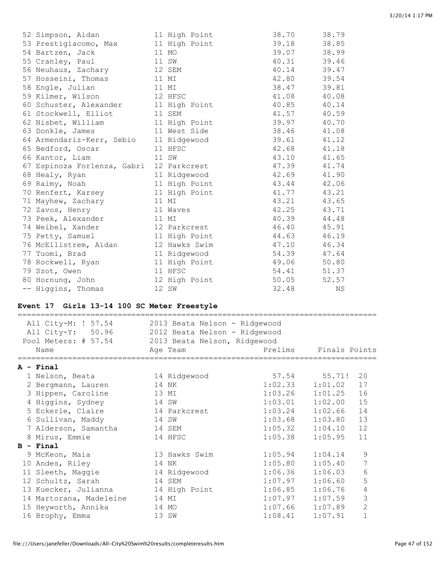| 52 Simpson, Aidan           | 11 High Point | 38.70 | 38.79 |
|-----------------------------|---------------|-------|-------|
| 53 Prestigiacomo, Max       | 11 High Point | 39.18 | 38.85 |
| 54 Bartzen, Jack            | 11 MO         | 39.07 | 38.99 |
| 55 Cranley, Paul            | 11 SW         | 40.31 | 39.46 |
| 56 Neuhaus, Zachary         | 12 SEM        | 40.14 | 39.47 |
| 57 Hosseini, Thomas         | 11 MI         | 42.80 | 39.54 |
| 58 Engle, Julian            | 11 MI         | 38.47 | 39.81 |
| 59 Kilmer, Wilson           | 12 HFSC       | 41.08 | 40.08 |
| 60 Schuster, Alexander      | 11 High Point | 40.85 | 40.14 |
| 61 Stockwell, Elliot        | 11 SEM        | 41.57 | 40.59 |
| 62 Nisbet, William          | 11 High Point | 39.97 | 40.70 |
| 63 Donkle, James            | 11 West Side  | 38.46 | 41.08 |
| 64 Armendariz-Kerr, Sebio   | 11 Ridgewood  | 39.61 | 41.12 |
| 65 Bedford, Oscar           | 11 HFSC       | 42.68 | 41.18 |
| 66 Kantor, Liam             | 11 SW         | 43.10 | 41.65 |
| 67 Espinoza Forlenza, Gabri | 12 Parkcrest  | 47.39 | 41.74 |
| 68 Healy, Ryan              | 11 Ridgewood  | 42.69 | 41.90 |
| 69 Raimy, Noah              | 11 High Point | 43.44 | 42.06 |
| 70 Renfert, Karsey          | 11 High Point | 41.77 | 43.21 |
| 71 Mayhew, Zachary          | 11 MI         | 43.21 | 43.65 |
| 72 Zavos, Henry             | 11 Waves      | 42.25 | 43.71 |
| 73 Peek, Alexander          | 11 MI         | 40.39 | 44.48 |
| 74 Weibel, Xander           | 12 Parkcrest  | 46.40 | 45.91 |
| 75 Petty, Samuel            | 11 High Point | 44.63 | 46.19 |
| 76 McEllistrem, Aidan       | 12 Hawks Swim | 47.10 | 46.34 |
| 77 Tuomi, Brad              | 11 Ridgewood  | 54.39 | 47.64 |
| 78 Rockwell, Ryan           | 11 High Point | 49.06 | 50.80 |
| 79 Szot, Owen               | 11 HFSC       | 54.41 | 51.37 |
| 80 Hornung, John            | 12 High Point | 50.05 | 52.57 |
| -- Higgins, Thomas          | 12 SW         | 32.48 | ΝS    |

# **Event 17 Girls 13-14 100 SC Meter Freestyle**

| All City-M: ! 57.54<br>All City-Y: 50.96<br>Pool Meters: # 57.54<br>Name | 2013 Beata Nelson - Ridgewood<br>2012 Beata Nelson - Ridgewood<br>2013 Beata Nelson, Ridgewood<br>Age Team | Prelims | Finals Points |                |
|--------------------------------------------------------------------------|------------------------------------------------------------------------------------------------------------|---------|---------------|----------------|
| A - Final                                                                |                                                                                                            |         |               |                |
| 1 Nelson, Beata                                                          | 14 Ridgewood                                                                                               |         | 57.54 55.71!  | 20             |
| 2 Bergmann, Lauren                                                       | 14 NK                                                                                                      | 1:02.33 | 1:01.02       | 17             |
| 3 Hippen, Caroline                                                       | 13 MI                                                                                                      | 1:03.26 | 1:01.25       | 16             |
| 4 Higgins, Sydney                                                        | 14 SW                                                                                                      | 1:03.01 | 1:02.00       | 15             |
| 5 Eckerle, Claire                                                        | 14 Parkcrest                                                                                               | 1:03.24 | 1:02.66       | 14             |
| 6 Sullivan, Maddy                                                        | 14 SW                                                                                                      | 1:03.68 | 1:03.80       | 13             |
| 7 Alderson, Samantha                                                     | 14 SEM                                                                                                     | 1:05.32 | 1:04.10       | 12             |
| 8 Mirus, Emmie                                                           | 14 HFSC                                                                                                    | 1:05.38 | 1:05.95       | 11             |
| $B - Final$                                                              |                                                                                                            |         |               |                |
| 9 McKeon, Maia                                                           | 13 Hawks Swim                                                                                              | 1:05.94 | 1:04.14       | 9              |
| 10 Andes, Riley                                                          | 14 NK                                                                                                      | 1:05.80 | 1:05.40       | 7              |
| 11 Sleeth, Maggie                                                        | 14 Ridgewood                                                                                               | 1:06.36 | 1:06.03       | 6              |
| 12 Schultz, Sarah                                                        | 14 SEM                                                                                                     | 1:07.97 | 1:06.60       | 5              |
| 13 Kuecker, Julianna                                                     | 14 High Point                                                                                              | 1:06.85 | 1:06.76       | $\overline{4}$ |
| 14 Martorana, Madeleine                                                  | 14 MI                                                                                                      | 1:07.97 | 1:07.59       | 3              |
| 15 Heyworth, Annika                                                      | 14 MO                                                                                                      | 1:07.66 | 1:07.89       | $\overline{2}$ |
| 16 Brophy, Emma                                                          | 13 SW                                                                                                      | 1:08.41 | 1:07.91       | $\mathbf{1}$   |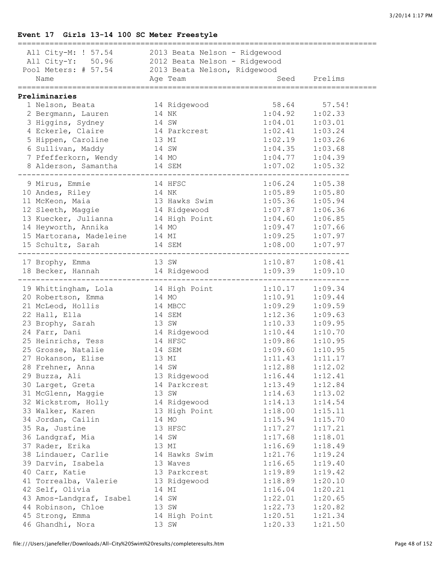# **Event 17 Girls 13-14 100 SC Meter Freestyle**

| All City-M: ! 57.54 2013 Beata Nelson - Ridgewood |               |                    |              |
|---------------------------------------------------|---------------|--------------------|--------------|
| All City-Y: 50.96 2012 Beata Nelson - Ridgewood   |               |                    |              |
| Pool Meters: # 57.54 2013 Beata Nelson, Ridgewood |               |                    |              |
| Name                                              | Age Team      |                    | Seed Prelims |
| =================================                 |               | ;================= |              |
| Preliminaries                                     |               |                    |              |
| 1 Nelson, Beata                                   | 14 Ridgewood  | 58.64 57.54!       |              |
| 2 Bergmann, Lauren                                | 14 NK         | 1:04.92            | 1:02.33      |
| 3 Higgins, Sydney                                 | 14 SW         | 1:04.01            | 1:03.01      |
| 4 Eckerle, Claire                                 | 14 Parkcrest  | 1:02.41            | 1:03.24      |
| 5 Hippen, Caroline                                | 13 MI         | 1:02.19            | 1:03.26      |
| 6 Sullivan, Maddy                                 | 14 SW         | 1:04.35            | 1:03.68      |
| 7 Pfefferkorn, Wendy 14 MO                        |               | 1:04.77            | 1:04.39      |
| 8 Alderson, Samantha 14 SEM                       |               | 1:07.02            | 1:05.32      |
|                                                   |               |                    |              |
| 9 Mirus, Emmie                                    | 14 HFSC       | 1:06.24            | 1:05.38      |
| 10 Andes, Riley                                   | 14 NK         | 1:05.89            | 1:05.80      |
| 11 McKeon, Maia                                   | 13 Hawks Swim | 1:05.36            | 1:05.94      |
| 12 Sleeth, Maggie                                 | 14 Ridgewood  | 1:07.87            | 1:06.36      |
| 13 Kuecker, Julianna 14 High Point                |               | 1:04.60            | 1:06.85      |
| 14 Heyworth, Annika                               | 14 MO         | 1:09.47            | 1:07.66      |
| 15 Martorana, Madeleine 14 MI                     |               | 1:09.25            | 1:07.97      |
| 15 Schultz, Sarah                                 | 14 SEM        | 1:08.00            | 1:07.97      |
| 17 Brophy, Emma                                   | 13 SW         | 1:10.87            | 1:08.41      |
| 18 Becker, Hannah                                 | 14 Ridgewood  | 1:09.39            | 1:09.10      |
|                                                   |               |                    |              |
| 19 Whittingham, Lola 14 High Point 1:10.17        |               |                    | 1:09.34      |
| 20 Robertson, Emma                                | 14 MO         | 1:10.91            | 1:09.44      |
| 21 McLeod, Hollis                                 | 14 MBCC       | 1:09.29            | 1:09.59      |
| 22 Hall, Ella                                     | 14 SEM        | 1:12.36            | 1:09.63      |
| 23 Brophy, Sarah                                  | 13 SW         | 1:10.33            | 1:09.95      |
| 24 Farr, Dani                                     | 14 Ridgewood  | 1:10.44            | 1:10.70      |
| 25 Heinrichs, Tess                                | 14 HFSC       | 1:09.86            | 1:10.95      |
| 25 Grosse, Natalie                                | 14 SEM        | 1:09.60            | 1:10.95      |
| 27 Hokanson, Elise                                | 13 MI         | 1:11.43            | 1:11.17      |
| 28 Frehner, Anna                                  | 14 SW         | 1:12.88            | 1:12.02      |
| 29 Buzza, Ali                                     | 13 Ridgewood  | 1:16.44            | 1:12.41      |
| 30 Larget, Greta                                  | 14 Parkcrest  | 1:13.49            | 1:12.84      |
| 31 McGlenn, Maggie                                | 13 SW         | 1:14.63            | 1:13.02      |
| 32 Wickstrom, Holly                               | 14 Ridgewood  | 1:14.13            | 1:14.54      |
| 33 Walker, Karen                                  | 13 High Point | 1:18.00            | 1:15.11      |
| 34 Jordan, Cailin                                 | 14 MO         | 1:15.94            | 1:15.70      |
| 35 Ra, Justine                                    | 13 HFSC       | 1:17.27            | 1:17.21      |
|                                                   |               | 1:17.68            | 1:18.01      |
| 36 Landgraf, Mia                                  | 14 SW         |                    | 1:18.49      |
| 37 Rader, Erika                                   | 13 MI         | 1:16.69            |              |
| 38 Lindauer, Carlie                               | 14 Hawks Swim | 1:21.76            | 1:19.24      |
| 39 Darvin, Isabela                                | 13 Waves      | 1:16.65            | 1:19.40      |
| 40 Carr, Katie                                    | 13 Parkcrest  | 1:19.89            | 1:19.42      |
| 41 Torrealba, Valerie                             | 13 Ridgewood  | 1:18.89            | 1:20.10      |
| 42 Self, Olivia                                   | 14 MI         | 1:16.04            | 1:20.21      |
| 43 Amos-Landgraf, Isabel                          | 14 SW         | 1:22.01            | 1:20.65      |
| 44 Robinson, Chloe                                | 13 SW         | 1:22.73            | 1:20.82      |
| 45 Strong, Emma                                   | 14 High Point | 1:20.51            | 1:21.34      |
| 46 Ghandhi, Nora                                  | 13 SW         | 1:20.33            | 1:21.50      |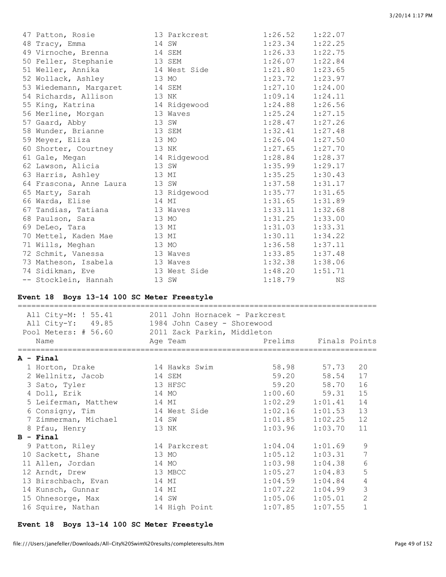| 47 Patton, Rosie        | 13 Parkcrest | 1:26.52             | 1:22.07 |
|-------------------------|--------------|---------------------|---------|
| 48 Tracy, Emma          | 14 SW        | 1:23.34             | 1:22.25 |
| 49 Virnoche, Brenna     | 14 SEM       | 1:26.33             | 1:22.75 |
| 50 Feller, Stephanie    | 13 SEM       | 1:26.07             | 1:22.84 |
| 51 Weller, Annika       | 14 West Side | 1:21.80             | 1:23.65 |
| 52 Wollack, Ashley      | 13 MO        | 1:23.72             | 1:23.97 |
| 53 Wiedemann, Margaret  | 14 SEM       | 1:27.10             | 1:24.00 |
| 54 Richards, Allison    | 13 NK        | 1:09.14             | 1:24.11 |
| 55 King, Katrina        | 14 Ridgewood | 1:24.88             | 1:26.56 |
| 56 Merline, Morgan      | 13 Waves     | 1:25.24             | 1:27.15 |
| 57 Gaard, Abby          | 13 SW        | 1:28.47             | 1:27.26 |
| 58 Wunder, Brianne      | 13 SEM       | $1:32.41$ $1:27.48$ |         |
| 59 Meyer, Eliza         | 13 MO        | 1:26.04             | 1:27.50 |
| 60 Shorter, Courtney    | 13 NK        | 1:27.65             | 1:27.70 |
| 61 Gale, Megan          | 14 Ridgewood | $1:28.84$ $1:28.37$ |         |
| 62 Lawson, Alicia       | 13 SW        | 1:35.99             | 1:29.17 |
| 63 Harris, Ashley       | 13 MI        | 1:35.25             | 1:30.43 |
| 64 Frascona, Anne Laura | 13 SW        | 1:37.58             | 1:31.17 |
| 65 Marty, Sarah         | 13 Ridgewood | 1:35.77             | 1:31.65 |
| 66 Warda, Elise         | 14 MI        | 1:31.65             | 1:31.89 |
| 67 Tandias, Tatiana     | 13 Waves     | 1:33.11             | 1:32.68 |
| 68 Paulson, Sara        | 13 MO        | 1:31.25             | 1:33.00 |
| 69 DeLeo, Tara          | 13 MI        | 1:31.03             | 1:33.31 |
| 70 Mettel, Kaden Mae    | 13 MI        | 1:30.11             | 1:34.22 |
| 71 Wills, Meghan        | 13 MO        | 1:36.58             | 1:37.11 |
| 72 Schmit, Vanessa      | 13 Waves     | 1:33.85             | 1:37.48 |
| 73 Matheson, Isabela    | 13 Waves     | 1:32.38             | 1:38.06 |
| 74 Sidikman, Eve        | 13 West Side | 1:48.20             | 1:51.71 |
| -- Stocklein, Hannah    | 13 SW        | 1:18.79             | ΝS      |

### **Event 18 Boys 13-14 100 SC Meter Freestyle**

| All City-M: ! 55.41<br>2011 John Hornacek - Parkcrest<br>All City-Y: 49.85<br>1984 John Casey - Shorewood<br>Pool Meters: # 56.60 2011 Zack Parkin, Middleton<br>Age Team<br>Prelims Finals Points<br>Name |                      |               |                     |                     |                |
|------------------------------------------------------------------------------------------------------------------------------------------------------------------------------------------------------------|----------------------|---------------|---------------------|---------------------|----------------|
|                                                                                                                                                                                                            |                      |               |                     |                     |                |
|                                                                                                                                                                                                            | A - Final            |               |                     |                     |                |
|                                                                                                                                                                                                            | 1 Horton, Drake      | 14 Hawks Swim |                     | 58.98 57.73         | 20             |
|                                                                                                                                                                                                            | 2 Wellnitz, Jacob    | 14 SEM        |                     | 59.20 58.54         | 17             |
|                                                                                                                                                                                                            | 3 Sato, Tyler        | 13 HFSC       |                     | 59.20 58.70         | 16             |
|                                                                                                                                                                                                            | 4 Doll, Erik         | 14 MO         |                     | $1:00.60$ 59.31     | 15             |
|                                                                                                                                                                                                            | 5 Leiferman, Matthew | 14 MI         |                     | $1:02.29$ $1:01.41$ | 14             |
|                                                                                                                                                                                                            | 6 Consigny, Tim      | 14 West Side  | $1:02.16$ $1:01.53$ |                     | 13             |
|                                                                                                                                                                                                            | 7 Zimmerman, Michael | 14 SW         |                     | $1:01.85$ $1:02.25$ | 12             |
|                                                                                                                                                                                                            | 8 Pfau, Henry        | 13 NK         | 1:03.96             | 1:03.70             | 11             |
|                                                                                                                                                                                                            | $B -$ Final          |               |                     |                     |                |
|                                                                                                                                                                                                            | 9 Patton, Riley      | 14 Parkcrest  | 1:04.04             | 1:01.69             | 9              |
|                                                                                                                                                                                                            | 10 Sackett, Shane    | 13 MO         | 1:05.12             | 1:03.31             | $\overline{7}$ |
|                                                                                                                                                                                                            | 11 Allen, Jordan     | 14 MO         | 1:03.98             | 1:04.38             | $\epsilon$     |
|                                                                                                                                                                                                            | 12 Arndt, Drew       | 13 MBCC       |                     | $1:05.27$ $1:04.83$ | 5              |
|                                                                                                                                                                                                            | 13 Birschbach, Evan  | 14 MI         |                     | $1:04.59$ $1:04.84$ | $\overline{4}$ |
|                                                                                                                                                                                                            | 14 Kunsch, Gunnar    | 14 MI         | $1:07.22$ $1:04.99$ |                     | 3              |
|                                                                                                                                                                                                            | 15 Ohnesorge, Max    | 14 SW         |                     | $1:05.06$ $1:05.01$ | $\overline{2}$ |
|                                                                                                                                                                                                            | 16 Squire, Nathan    | 14 High Point | 1:07.85             | 1:07.55             | $\mathbf{1}$   |

# **Event 18 Boys 13-14 100 SC Meter Freestyle**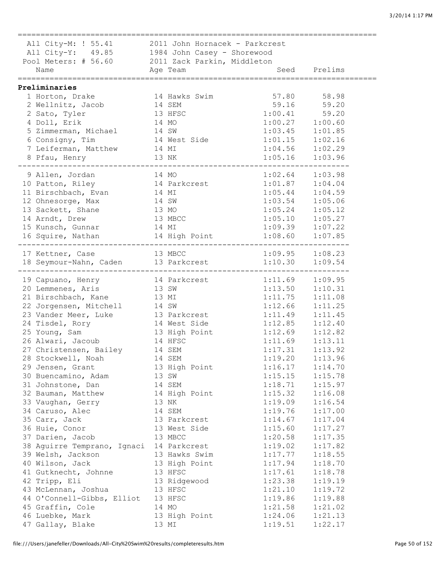=============================================================================== All City-M: ! 55.41 2011 John Hornacek - Parkcrest All City-Y: 49.85 1984 John Casey - Shorewood Pool Meters: # 56.60 2011 Zack Parkin, Middleton Name Age Team Seed Prelims =============================================================================== **Preliminaries** 1 Horton, Drake 14 Hawks Swim 57.80 58.98 2 Wellnitz, Jacob 14 SEM 59.16 59.20 2 Sato, Tyler 13 HFSC 1:00.41 59.20 4 Doll, Erik 14 MO 1:00.27 1:00.60 5 Zimmerman, Michael 14 SW 1:03.45 1:01.85 6 Consigny, Tim 14 West Side 1:01.15 1:02.16 7 Leiferman, Matthew 14 MI 1:04.56 1:02.29 8 Pfau, Henry 13 NK 1:05.16 1:03.96 ------------------------------------------------------------------------- 9 Allen, Jordan 14 MO 1:02.64 1:03.98 10 Patton, Riley 14 Parkcrest 1:01.87 1:04.04 11 Birschbach, Evan 14 MI 1:05.44 1:04.59 12 Ohnesorge, Max 14 SW 1:03.54 1:05.06 13 Sackett, Shane 13 MO 1:05.24 1:05.12 14 Arndt, Drew 13 MBCC 1:05.10 1:05.27 15 Kunsch, Gunnar 14 MI 1:09.39 1:07.22 16 Squire, Nathan 14 High Point 1:08.60 1:07.85 ------------------------------------------------------------------------- 17 Kettner, Case 13 MBCC 1:09.95 1:08.23<br>18 Seymour-Nahn, Caden 13 Parkcrest 1:10.30 1:09.54 18 Seymour-Nahn, Caden 13 Parkcrest 1:10.30 1:09.54 ------------------------------------------------------------------------- 19 Capuano, Henry 14 Parkcrest 1:11.69 1:09.95 20 Lemmenes, Aris 13 SW 1:13.50 1:10.31 21 Birschbach, Kane 13 MI 1:11.75 1:11.08 22 Jorgensen, Mitchell 14 SW 1:12.66 1:11.25 23 Vander Meer, Luke 13 Parkcrest 1:11.49 1:11.45 24 Tisdel, Rory 14 West Side 1:12.85 1:12.40 25 Young, Sam 13 High Point 1:12.69 1:12.82 26 Alwari, Jacoub 14 HFSC 1:11.69 1:13.11 27 Christensen, Bailey 14 SEM 1:17.31 1:13.92 28 Stockwell, Noah 14 SEM 1:19.20 1:13.96 29 Jensen, Grant 13 High Point 1:16.17 1:14.70 30 Buencamino, Adam 13 SW 1:15.15 1:15.78 31 Johnstone, Dan 14 SEM 1:18.71 1:15.97 32 Bauman, Matthew 14 High Point 1:15.32 1:16.08 33 Vaughan, Gerry 13 NK 1:19.09 1:16.54 34 Caruso, Alec 14 SEM 1:19.76 1:17.00 35 Carr, Jack 13 Parkcrest 1:14.67 1:17.04 36 Huie, Conor 13 West Side 1:15.60 1:17.27 37 Darien, Jacob 13 MBCC 1:20.58 1:17.35 38 Aguirre Temprano, Ignaci 14 Parkcrest 1:19.02 1:17.82 39 Welsh, Jackson 13 Hawks Swim 1:17.77 1:18.55 40 Wilson, Jack 13 High Point 1:17.94 1:18.70 41 Gutknecht, Johnne 13 HFSC 1:17.61 1:18.78 42 Tripp, Eli 13 Ridgewood 1:23.38 1:19.19 43 McLennan, Joshua 13 HFSC 1:21.10 1:19.72 44 O'Connell-Gibbs, Elliot 13 HFSC 1:19.86 1:19.88 45 Graffin, Cole 14 MO 1:21.58 1:21.02 46 Luebke, Mark 13 High Point 1:24.06 1:21.13 47 Gallay, Blake 13 MI 1:19.51 1:22.17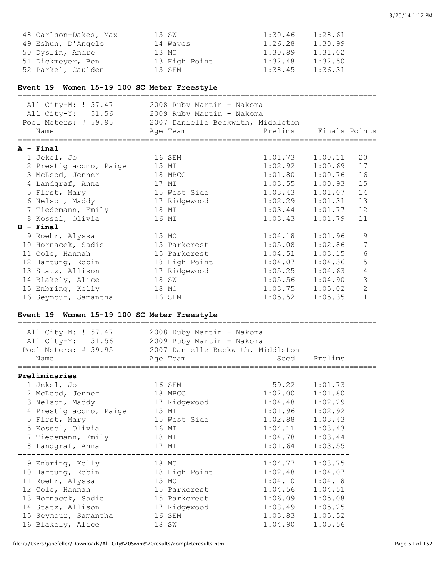| 48 Carlson-Dakes, Max | 13 SW         | 1:30.46 | 1:28.61 |
|-----------------------|---------------|---------|---------|
| 49 Eshun, D'Angelo    | 14 Waves      | 1:26.28 | 1:30.99 |
| 50 Dyslin, Andre      | 13 MO         | 1:30.89 | 1:31.02 |
| 51 Dickmeyer, Ben     | 13 High Point | 1:32.48 | 1:32.50 |
| 52 Parkel, Caulden    | 13 SEM        | 1:38.45 | 1:36.31 |

# **Event 19 Women 15-19 100 SC Meter Freestyle**

| All City-M: ! 57.47<br>All City-Y: 51.56<br>Pool Meters: # 59.95<br>Name | 2008 Ruby Martin - Nakoma<br>2009 Ruby Martin - Nakoma<br>2007 Danielle Beckwith, Middleton<br>Age Team | Prelims | Finals Points |                |
|--------------------------------------------------------------------------|---------------------------------------------------------------------------------------------------------|---------|---------------|----------------|
| $A - Final$                                                              |                                                                                                         |         |               |                |
| 1 Jekel, Jo                                                              | 16 SEM                                                                                                  | 1:01.73 | 1:00.11       | 20             |
| 2 Prestigiacomo, Paige                                                   | 15 MI                                                                                                   | 1:02.92 | 1:00.69       | 17             |
| 3 McLeod, Jenner                                                         | 18 MBCC                                                                                                 | 1:01.80 | 1:00.76       | 16             |
| 4 Landgraf, Anna                                                         | 17 MI                                                                                                   | 1:03.55 | 1:00.93       | 15             |
| 5 First, Mary                                                            | 15 West Side                                                                                            | 1:03.43 | 1:01.07       | 14             |
| 6 Nelson, Maddy                                                          | 17 Ridgewood                                                                                            | 1:02.29 | 1:01.31       | 13             |
| 7 Tiedemann, Emily                                                       | 18 MI                                                                                                   | 1:03.44 | 1:01.77       | 12             |
| 8 Kossel, Olivia                                                         | 16 MI                                                                                                   | 1:03.43 | 1:01.79       | 11             |
| $B$ - Final                                                              |                                                                                                         |         |               |                |
| 9 Roehr, Alyssa                                                          | 15 MO                                                                                                   | 1:04.18 | 1:01.96       | 9              |
| 10 Hornacek, Sadie                                                       | 15 Parkcrest                                                                                            | 1:05.08 | 1:02.86       | 7              |
| 11 Cole, Hannah                                                          | 15 Parkcrest                                                                                            | 1:04.51 | 1:03.15       | 6              |
| 12 Hartung, Robin                                                        | 18 High Point                                                                                           | 1:04.07 | 1:04.36       | 5              |
| 13 Statz, Allison                                                        | 17 Ridgewood                                                                                            | 1:05.25 | 1:04.63       | 4              |
| 14 Blakely, Alice                                                        | SW<br>18                                                                                                | 1:05.56 | 1:04.90       | 3              |
| 15 Enbring, Kelly                                                        | 18 MO                                                                                                   | 1:03.75 | 1:05.02       | $\overline{2}$ |
| 16 Seymour, Samantha                                                     | 16 SEM                                                                                                  | 1:05.52 | 1:05.35       | $\mathbf{1}$   |

# **Event 19 Women 15-19 100 SC Meter Freestyle**

| All City-M: ! 57.47 2008 Ruby Martin - Nakoma<br>All City-Y: 51.56 2009 Ruby Martin - Nakoma<br>Pool Meters: # 59.95 2007 Danielle Beckwith, Middleton<br>Name                                                                                | Age Team     |                     | Seed Prelims |
|-----------------------------------------------------------------------------------------------------------------------------------------------------------------------------------------------------------------------------------------------|--------------|---------------------|--------------|
|                                                                                                                                                                                                                                               |              |                     |              |
| Preliminaries                                                                                                                                                                                                                                 |              |                     |              |
| 1 Jekel, Jo<br>and the set of the set of the set of the set of the set of the set of the set of the set of the set of the set of the set of the set of the set of the set of the set of the set of the set of the set of the set of the set o |              | 59.22 1:01.73       |              |
| 2 McLeod, Jenner                                                                                                                                                                                                                              | 18 MBCC      | $1:02.00$ $1:01.80$ |              |
| 3 Nelson, Maddy                                                                                                                                                                                                                               | 17 Ridgewood | $1:04.48$ $1:02.29$ |              |
| 4 Prestigiacomo, Paige 15 MI                                                                                                                                                                                                                  |              | $1:01.96$ $1:02.92$ |              |
| 5 First, Mary                                                                                                                                                                                                                                 | 15 West Side | $1:02.88$ $1:03.43$ |              |
| 5 Kossel, Olivia                                                                                                                                                                                                                              | 16 MI        | $1:04.11$ $1:03.43$ |              |
| 7 Tiedemann, Emily                                                                                                                                                                                                                            | 18 MI        | $1:04.78$ $1:03.44$ |              |
| 8 Landgraf, Anna                                                                                                                                                                                                                              | 17 MI        | $1:01.64$ $1:03.55$ |              |
| 9 Enbring, Kelly 18 MO                                                                                                                                                                                                                        |              | $1:04.77$ $1:03.75$ |              |
| 10 Hartung, Robin 18 High Point                                                                                                                                                                                                               |              | $1:02.48$ $1:04.07$ |              |
| 11 Roehr, Alyssa                                                                                                                                                                                                                              | 15 MO        | $1:04.10$ $1:04.18$ |              |
| 12 Cole, Hannah                                                                                                                                                                                                                               | 15 Parkcrest | $1:04.56$ $1:04.51$ |              |
| 13 Hornacek, Sadie 15 Parkcrest                                                                                                                                                                                                               |              | $1:06.09$ $1:05.08$ |              |
| 14 Statz, Allison 17 Ridgewood                                                                                                                                                                                                                |              | $1:08.49$ $1:05.25$ |              |
| 15 Seymour, Samantha                                                                                                                                                                                                                          | 16 SEM       | $1:03.83$ $1:05.52$ |              |
| 16 Blakely, Alice                                                                                                                                                                                                                             | 18 SW        | 1:04.90             | 1:05.56      |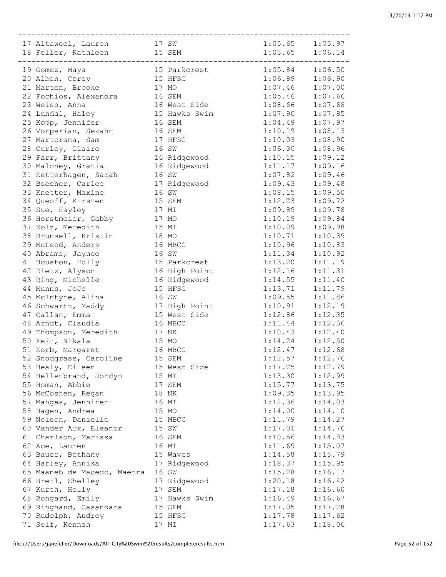| 17 Altaweel, Lauren 17 SW     |               | $1:05.65$ $1:05.97$ |         |
|-------------------------------|---------------|---------------------|---------|
| 18 Feller, Kathleen 15 SEM    |               | $1:03.65$ $1:06.14$ |         |
|                               |               |                     |         |
| 19 Gomez, Maya                | 15 Parkcrest  | $1:05.84$ $1:06.50$ |         |
| 20 Alban, Corey               | 15 HFSC       | $1:06.89$ $1:06.90$ |         |
| 21 Marten, Brooke             | 17 MO         | $1:07.46$ $1:07.00$ |         |
| 22 Fochios, Alexandra 16 SEM  |               | $1:05.46$ $1:07.66$ |         |
| 23 Weiss, Anna                | 16 West Side  | $1:08.66$ $1:07.68$ |         |
| 24 Lundal, Haley              | 15 Hawks Swim | $1:07.90$ $1:07.85$ |         |
| 25 Kopp, Jennifer             | 16 SEM        | 1:04.49             | 1:07.97 |
|                               | 16 SEM        | 1:10.19             | 1:08.13 |
| 26 Vorperian, Sevahn          | 17 HFSC       |                     |         |
| 27 Martorana, Sam             |               | 1:10.03             | 1:08.90 |
| 28 Curley, Claire             | 16 SW         | 1:06.30             | 1:08.96 |
| 29 Farr, Brittany             | 16 Ridgewood  | 1:10.15             | 1:09.12 |
| 30 Maloney, Gratia            | 16 Ridgewood  | 1:11.17             | 1:09.16 |
| 31 Ketterhagen, Sarah         | 16 SW         | 1:07.82             | 1:09.46 |
| 32 Beecher, Carlee            | 17 Ridgewood  | 1:09.43             | 1:09.48 |
| 33 Knetter, Maxine            | 16 SW         | $1:08.15$ $1:09.50$ |         |
| 34 Queoff, Kirsten            | 15 SEM        | 1:12.23             | 1:09.72 |
| 35 Sue, Hayley                | 17 MI         | 1:09.89             | 1:09.78 |
| 36 Horstmeier, Gabby          | 17 MO         | 1:10.19             | 1:09.84 |
| 37 Kolz, Meredith             | 15 MI         | 1:10.09             | 1:09.98 |
| 38 Brunsell, Kristin          | 18 MO         | 1:10.71             | 1:10.39 |
| 39 McLeod, Anders             | 16 MBCC       | 1:10.96             | 1:10.83 |
| 40 Abrams, Jaynee             | 16 SW         | 1:11.34             | 1:10.92 |
| 41 Houston, Holly             | 15 Parkcrest  | 1:13.20             | 1:11.19 |
| 42 Dietz, Alyson              | 16 High Point | 1:12.16             | 1:11.31 |
| 43 Ring, Michelle             | 16 Ridgewood  | 1:14.55             | 1:11.40 |
| 44 Munns, JoJo                | 15 HFSC       | 1:13.71             | 1:11.79 |
| 45 McIntyre, Alina            | 16 SW         | 1:09.55             | 1:11.86 |
| 46 Schwartz, Maddy            | 17 High Point | 1:10.91             | 1:12.19 |
| 47 Callan, Emma               | 15 West Side  | 1:12.86             | 1:12.35 |
| 48 Arndt, Claudia             | 16 MBCC       | 1:11.44             | 1:12.36 |
| 49 Thompson, Meredith 17 NK   |               | $1:10.43$ $1:12.40$ |         |
| 50 Feit, Nikala               | 15 MO         | $1:14.24$ $1:12.50$ |         |
|                               | 16 MBCC       | $1:12.47$ $1:12.68$ |         |
| 51 Korb, Margaret             |               |                     |         |
| 52 Snodgrass, Caroline 15 SEM |               | 1:12.57             | 1:12.76 |
| 53 Healy, Eileen              | 15 West Side  | 1:17.25             | 1:12.79 |
| 54 Hellenbrand, Jordyn        | 15 MI         | 1:13.30             | 1:12.99 |
| 55 Homan, Abbie               | 17 SEM        | 1:15.77             | 1:13.75 |
| 56 McCoshen, Regan            | 18 NK         | 1:09.35             | 1:13.95 |
| 57 Mangas, Jennifer           | 16 MI         | 1:12.36             | 1:14.03 |
| 58 Hagen, Andrea              | 15 MO         | 1:14.00             | 1:14.10 |
| 59 Nelson, Danielle           | 15 MBCC       | 1:11.79             | 1:14.27 |
| 60 Vander Ark, Eleanor        | 15 SW         | 1:17.01             | 1:14.76 |
| 61 Charlson, Marissa          | 16 SEM        | 1:10.56             | 1:14.83 |
| 62 Ace, Lauren                | 16 MI         | 1:11.69             | 1:15.07 |
| 63 Bauer, Bethany             | 15 Waves      | 1:14.58             | 1:15.79 |
| 64 Harley, Annika             | 17 Ridgewood  | 1:18.37             | 1:15.95 |
| 65 Maaneb de Macedo, Maetra   | 16 SW         | 1:15.28             | 1:16.17 |
| 66 Bretl, Shelley             | 17 Ridgewood  | 1:20.18             | 1:16.42 |
| 67 Kurth, Holly               | 17 SEM        | 1:17.18             | 1:16.60 |
| 68 Bongard, Emily             | 17 Hawks Swim | 1:16.49             | 1:16.67 |
| 69 Ringhand, Casandara        | 15 SEM        | 1:17.05             | 1:17.28 |
| 70 Rudolph, Audrey            | 15 HFSC       | 1:17.78             | 1:17.62 |
| 71 Self, Kennah               | 17 MI         | 1:17.63             | 1:18.06 |
|                               |               |                     |         |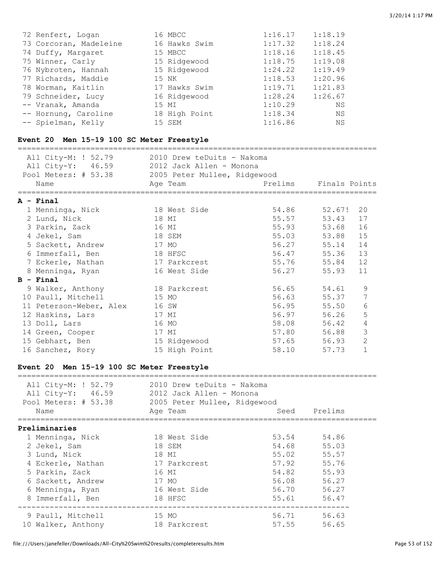| 72 Renfert, Logan      | 16 MBCC       | 1:16.17 | 1:18.19 |
|------------------------|---------------|---------|---------|
| 73 Corcoran, Madeleine | 16 Hawks Swim | 1:17.32 | 1:18.24 |
| 74 Duffy, Margaret     | 15 MBCC       | 1:18.16 | 1:18.45 |
| 75 Winner, Carly       | 15 Ridgewood  | 1:18.75 | 1:19.08 |
| 76 Nybroten, Hannah    | 15 Ridgewood  | 1:24.22 | 1:19.49 |
| 77 Richards, Maddie    | 15 NK         | 1:18.53 | 1:20.96 |
| 78 Worman, Kaitlin     | 17 Hawks Swim | 1:19.71 | 1:21.83 |
| 79 Schneider, Lucy     | 16 Ridgewood  | 1:28.24 | 1:26.67 |
| -- Vranak, Amanda      | 15 MI         | 1:10.29 | ΝS      |
| -- Hornung, Caroline   | 18 High Point | 1:18.34 | ΝS      |
| -- Spielman, Kelly     | 15 SEM        | 1:16.86 | ΝS      |

# **Event 20 Men 15-19 100 SC Meter Freestyle**

| All City-M: ! 52.79<br>All City-Y: 46.59<br>Pool Meters: # 53.38 | 2010 Drew teDuits - Nakoma<br>2012 Jack Allen - Monona<br>2005 Peter Mullee, Ridgewood |                       |              |                |
|------------------------------------------------------------------|----------------------------------------------------------------------------------------|-----------------------|--------------|----------------|
| Name                                                             | Age Team                                                                               | Prelims Finals Points |              |                |
| $A -$ Final                                                      |                                                                                        |                       |              |                |
| 1 Menninga, Nick                                                 | 18 West Side                                                                           |                       | 54.86 52.67! | 20             |
| 2 Lund, Nick                                                     | 18 MI                                                                                  | 55.57                 | 53.43        | 17             |
| 3 Parkin, Zack                                                   | 16 MI                                                                                  |                       | 55.93 53.68  | 16             |
| 4 Jekel, Sam                                                     | 18 SEM                                                                                 | 55.03                 | 53.88        | 15             |
| 5 Sackett, Andrew                                                | 17 MO                                                                                  |                       | 56.27 55.14  | 14             |
| 6 Immerfall, Ben                                                 | 18 HFSC                                                                                |                       | 56.47 55.36  | 13             |
| 7 Eckerle, Nathan                                                | 17 Parkcrest                                                                           |                       | 55.76 55.84  | 12             |
| 8 Menninga, Ryan                                                 | 16 West Side                                                                           | 56.27 55.93           |              | 11             |
| $B - Final$                                                      |                                                                                        |                       |              |                |
| 9 Walker, Anthony                                                | 18 Parkcrest                                                                           |                       | 56.65 54.61  | 9              |
| 10 Paull, Mitchell                                               | 15 MO                                                                                  | 56.63                 | 55.37        | 7              |
| 11 Peterson-Weber, Alex                                          | 16 SW                                                                                  |                       | 56.95 55.50  | 6              |
| 12 Haskins, Lars                                                 | 17 MT                                                                                  |                       | 56.97 56.26  | 5              |
| 13 Doll, Lars                                                    | 16 MO                                                                                  | 58.08                 | 56.42        | 4              |
| 14 Green, Cooper                                                 | 17 MI                                                                                  |                       | 57.80 56.88  | 3              |
| 15 Gebhart, Ben                                                  | 15 Ridgewood                                                                           | 57.65                 | 56.93        | $\overline{2}$ |
| 16 Sanchez, Rory                                                 | 15 High Point                                                                          | 58.10                 | 57.73        | $\mathbf{1}$   |

#### **Event 20 Men 15-19 100 SC Meter Freestyle**

| All City-M: ! 52.79<br>All City-Y: 46.59<br>Pool Meters: # 53.38<br>Name | 2010 Drew teDuits - Nakoma<br>2012 Jack Allen - Monona<br>2005 Peter Mullee, Ridgewood<br>Age Team |       | Seed Prelims |
|--------------------------------------------------------------------------|----------------------------------------------------------------------------------------------------|-------|--------------|
|                                                                          |                                                                                                    |       |              |
| Preliminaries                                                            |                                                                                                    |       |              |
| 1 Menninga, Nick                                                         | 18 West Side                                                                                       | 53.54 | 54.86        |
| 2 Jekel, Sam                                                             | 18 SEM                                                                                             | 54.68 | 55.03        |
| 3 Lund, Nick                                                             | 18 MI                                                                                              | 55.02 | 55.57        |
| 4 Eckerle, Nathan                                                        | 17 Parkcrest                                                                                       | 57.92 | 55.76        |
| 5 Parkin, Zack                                                           | 16 MI                                                                                              | 54.82 | 55.93        |
| 6 Sackett, Andrew                                                        | 17 MO                                                                                              | 56.08 | 56.27        |
| 6 Menninga, Ryan                                                         | 16 West Side                                                                                       | 56.70 | 56.27        |
| 8 Immerfall, Ben                                                         | 18 HFSC                                                                                            | 55.61 | 56.47        |
| 9 Paull, Mitchell                                                        | 15 MO                                                                                              |       | 56.71 56.63  |
| 10 Walker, Anthony                                                       | 18 Parkcrest                                                                                       | 57.55 | 56.65        |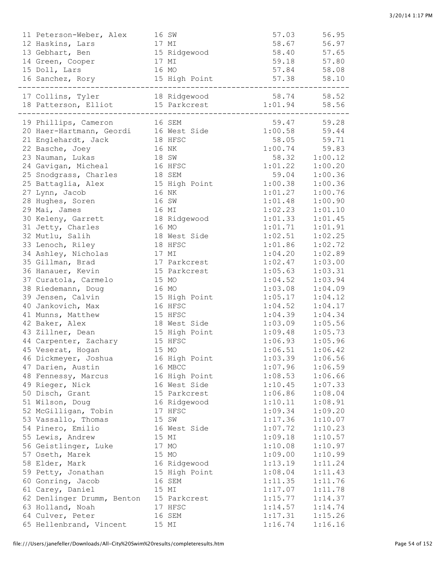| 11 Peterson-Weber, Alex                 |       | 16 SW         | 57.03               | 56.95         |
|-----------------------------------------|-------|---------------|---------------------|---------------|
| 12 Haskins, Lars                        | 17 MI |               | 58.67               | 56.97         |
| 13 Gebhart, Ben                         |       | 15 Ridgewood  | 58.40               | 57.65         |
| 14 Green, Cooper                        |       | 17 MI         | 59.18               | 57.80         |
| 15 Doll, Lars                           |       | 16 MO         | 57.84               | 58.08         |
| 16 Sanchez, Rory                        |       | 15 High Point | 57.38               | 58.10         |
| 17 Collins, Tyler 18 Ridgewood          |       | ----------    | 58.74 58.52         |               |
| 18 Patterson, Elliot                    |       | 15 Parkcrest  | $1:01.94$ 58.56     |               |
|                                         |       |               |                     |               |
| 19 Phillips, Cameron 16 SEM             |       |               |                     | 59.47 59.28   |
| 20 Haer-Hartmann, Geordi 16 West Side   |       |               | $1:00.58$ 59.44     |               |
| 21 Englehardt, Jack                     |       | 18 HFSC       | 58.05               | 59.71         |
| 22 Basche, Joey                         |       | 16 NK         | 1:00.74             | 59.83         |
| 23 Nauman, Lukas                        | 18 SW |               |                     | 58.32 1:00.12 |
| 24 Gavigan, Micheal                     |       | 16 HFSC       | $1:01.22$ $1:00.20$ |               |
| 25 Snodgrass, Charles                   |       | 18 SEM        |                     | 59.04 1:00.36 |
| 25 Battaglia, Alex                      |       | 15 High Point | $1:00.38$ $1:00.36$ |               |
| 27 Lynn, Jacob                          |       | 16 NK         | 1:01.27             | 1:00.76       |
| 28 Hughes, Soren                        |       | 16 SW         | 1:01.48             | 1:00.90       |
| 29 Mai, James                           |       | 16 MI         | 1:02.23             | 1:01.10       |
| 30 Keleny, Garrett                      |       | 18 Ridgewood  | 1:01.33             | 1:01.45       |
| 31 Jetty, Charles                       |       | 16 MO         | 1:01.71             | 1:01.91       |
| 32 Mutlu, Salih                         |       | 18 West Side  | 1:02.51             | 1:02.25       |
| 33 Lenoch, Riley                        |       | 18 HFSC       | 1:01.86             | 1:02.72       |
| 34 Ashley, Nicholas                     |       | 17 MI         | 1:04.20             | 1:02.89       |
| 35 Gillman, Brad                        |       | 17 Parkcrest  | 1:02.47             | 1:03.00       |
| 36 Hanauer, Kevin                       |       | 15 Parkcrest  | 1:05.63             | 1:03.31       |
| 37 Curatola, Carmelo                    |       | 15 MO         | 1:04.52             | 1:03.94       |
| 38 Riedemann, Doug                      |       | 16 MO         | 1:03.08             | 1:04.09       |
| 39 Jensen, Calvin                       |       | 15 High Point | 1:05.17             | 1:04.12       |
| 40 Jankovich, Max                       |       | 16 HFSC       | 1:04.52             | 1:04.17       |
| 41 Munns, Matthew                       |       | 15 HFSC       | $1:04.39$ $1:04.34$ |               |
| 42 Baker, Alex                          |       | 18 West Side  | 1:03.09             | 1:05.56       |
| 43 Zillner, Dean                        |       | 15 High Point | $1:09.48$ $1:05.73$ |               |
| 44 Carpenter, Zachary                   |       | 15 HFSC       | $1:06.93$ $1:05.96$ |               |
| 45 Veserat, Hogan                       |       | 15 MO         | 1:06.51             | 1:06.42       |
| 46 Dickmeyer, Joshua                    |       | 16 High Point | 1:03.39             | 1:06.56       |
| 47 Darien, Austin                       |       | 16 MBCC       | 1:07.96             | 1:06.59       |
| 48 Fennessy, Marcus                     |       | 16 High Point | 1:08.53             | 1:06.66       |
| 49 Rieger, Nick                         |       | 16 West Side  | 1:10.45             | 1:07.33       |
| 50 Disch, Grant                         |       | 15 Parkcrest  | 1:06.86             | 1:08.04       |
| 51 Wilson, Doug                         |       | 16 Ridgewood  | 1:10.11             | 1:08.91       |
| 52 McGilligan, Tobin                    |       | 17 HFSC       | 1:09.34             | 1:09.20       |
| 53 Vassallo, Thomas                     |       | 15 SW         | 1:17.36             | 1:10.07       |
| 54 Pinero, Emilio                       |       | 16 West Side  | 1:07.72             | 1:10.23       |
| 55 Lewis, Andrew                        |       | 15 MI         | 1:09.18             | 1:10.57       |
| 56 Geistlinger, Luke                    |       | 17 MO         | 1:10.08             | 1:10.97       |
| 57 Oseth, Marek                         |       | 15 MO         | 1:09.00             | 1:10.99       |
| 58 Elder, Mark                          |       | 16 Ridgewood  | 1:13.19             | 1:11.24       |
| 59 Petty, Jonathan                      |       | 15 High Point | 1:08.04             | 1:11.43       |
| 60 Gonring, Jacob                       |       | 16 SEM        | 1:11.35             | 1:11.76       |
| 61 Carey, Daniel                        |       | 15 MI         | 1:17.07             | 1:11.78       |
| 62 Denlinger Drumm, Benton 15 Parkcrest |       |               | 1:15.77             | 1:14.37       |
| 63 Holland, Noah                        |       | 17 HFSC       | 1:14.57             | 1:14.74       |
| 64 Culver, Peter                        |       | 16 SEM        | 1:17.31             | 1:15.26       |
| 65 Hellenbrand, Vincent                 |       | 15 MI         | 1:16.74             | 1:16.16       |
|                                         |       |               |                     |               |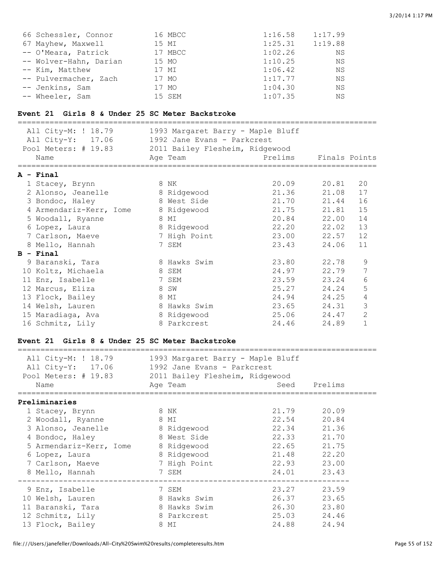|  | 3/20/14 1:17 PM |  |
|--|-----------------|--|
|  |                 |  |

| 66 Schessler, Connor   | 16 MBCC | 1:16.58 | 1:17.99 |
|------------------------|---------|---------|---------|
| 67 Mayhew, Maxwell     | 15 MI   | 1:25.31 | 1:19.88 |
| -- O'Meara, Patrick    | 17 MBCC | 1:02.26 | ΝS      |
| -- Wolver-Hahn, Darian | 15 MO   | 1:10.25 | ΝS      |
| -- Kim, Matthew        | 17 MI   | 1:06.42 | ΝS      |
| -- Pulvermacher, Zach  | 17 MO   | 1:17.77 | ΝS      |
| -- Jenkins, Sam        | 17 MO   | 1:04.30 | ΝS      |
| -- Wheeler, Sam        | 15 SEM  | 1:07.35 | ΝS      |

#### **Event 21 Girls 8 & Under 25 SC Meter Backstroke**

| All City-M: ! 18.79                   | 1993 Margaret Barry - Maple Bluff |             |               |                |
|---------------------------------------|-----------------------------------|-------------|---------------|----------------|
| All City-Y: 17.06                     | 1992 Jane Evans - Parkcrest       |             |               |                |
| Pool Meters: # 19.83                  | 2011 Bailey Flesheim, Ridgewood   |             |               |                |
| Name                                  | Age Team                          | Prelims     | Finals Points |                |
| ======================<br>$A - Final$ |                                   |             |               |                |
| 1 Stacey, Brynn                       | 8 NK                              | 20.09 20.81 |               | 20             |
| 2 Alonso, Jeanelle                    | 8 Ridgewood                       | 21.36       | 21.08         | 17             |
| 3 Bondoc, Haley                       | 8 West Side                       | 21.70       | 21.44         | 16             |
| 4 Armendariz-Kerr, Iome               | 8 Ridgewood                       | 21.75       | 21.81         | 15             |
| 5 Woodall, Ryanne                     | 8 MI                              | 20.84       | 22.00         | 14             |
| 6 Lopez, Laura                        | 8 Ridgewood                       | 22.20 22.02 |               | 13             |
| 7 Carlson, Maeve                      | 7 High Point                      | 23.00       | 22.57         | 12             |
| 8 Mello, Hannah                       | 7 SEM                             | 23.43       | 24.06         | 11             |
| $B$ - Final                           |                                   |             |               |                |
| 9 Baranski, Tara                      | 8 Hawks Swim                      | 23.80       | 22.78         | 9              |
| 10 Koltz, Michaela                    | 8 SEM                             | 24.97       | 22.79         | 7              |
| 11 Enz, Isabelle                      | 7 SEM                             | 23.59       | 23.24         | 6              |
| 12 Marcus, Eliza                      | 8 SW                              | 25.27       | 24.24         | 5              |
| 13 Flock, Bailey                      | 8 MI                              | 24.94       | 24.25         | $\overline{4}$ |
| 14 Welsh, Lauren                      | 8 Hawks Swim                      | 23.65 24.31 |               | 3              |
| 15 Maradiaga, Ava                     | 8 Ridgewood                       | 25.06 24.47 |               | $\overline{2}$ |
| 16 Schmitz, Lily                      | 8 Parkcrest                       | 24.46       | 24.89         | $\mathbf{1}$   |

#### **Event 21 Girls 8 & Under 25 SC Meter Backstroke**

===============================================================================

| All City-M: ! 18.79<br>All City-Y: 17.06<br>Pool Meters: # 19.83 2011 Bailey Flesheim, Ridgewood | 1993 Margaret Barry - Maple Bluff<br>1992 Jane Evans - Parkcrest |             |              |
|--------------------------------------------------------------------------------------------------|------------------------------------------------------------------|-------------|--------------|
| Name                                                                                             | Age Team                                                         |             | Seed Prelims |
| Preliminaries                                                                                    |                                                                  |             |              |
| 1 Stacey, Brynn                                                                                  | 8 NK                                                             | 21.79       | 20.09        |
| 2 Woodall, Ryanne                                                                                | 8 MI                                                             | 22.54       | 20.84        |
| 3 Alonso, Jeanelle 8 Ridgewood                                                                   |                                                                  | 22.34 21.36 |              |
| 4 Bondoc, Haley                                                                                  | 8 West Side                                                      | 22.33 21.70 |              |
| 5 Armendariz-Kerr, Iome 8 Ridgewood                                                              |                                                                  | 22.65 21.75 |              |
| 6 Lopez, Laura                                                                                   | 8 Ridgewood                                                      | 21.48       | 22.20        |
| 7 Carlson, Maeve 7 High Point                                                                    |                                                                  | 22.93       | 23.00        |
| 8 Mello, Hannah                                                                                  | 7 SEM                                                            | 24.01       | 23.43        |
| 9 Enz, Isabelle                                                                                  | 7 SEM                                                            | 23.27       | 23.59        |
| 10 Welsh, Lauren                                                                                 | 8 Hawks Swim                                                     | 26.37       | 23.65        |
| 11 Baranski, Tara                                                                                | 8 Hawks Swim                                                     | 26.30       | 23.80        |
| 12 Schmitz, Lily                                                                                 | 8 Parkcrest                                                      | 25.03       | 24.46        |
| 13 Flock, Bailey                                                                                 | 8 MI                                                             | 24.88       | 24.94        |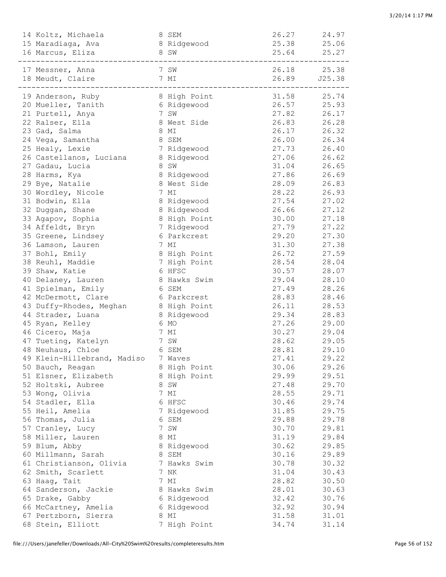| 14 Koltz, Michaela                                        | 8 SEM        | 26.27                | 24.97 |
|-----------------------------------------------------------|--------------|----------------------|-------|
| 15 Maradiaga, Ava                                         | 8 Ridgewood  | 25.38                | 25.06 |
| 16 Marcus, Eliza                                          | 8 SW         | 25.64 25.27          |       |
|                                                           |              | __________________   |       |
| 17 Messner, Anna                                          | 7 SW         | 26.18 25.38          |       |
| 18 Meudt, Claire                                          | 7 MI         | 26.89 J25.38         |       |
| ------------                                              |              | -------------------- |       |
| 19 Anderson, Ruby                                         | 8 High Point | 31.58                | 25.74 |
| 20 Mueller, Tanith                                        | 6 Ridgewood  | 26.57                | 25.93 |
| 21 Purtell, Anya                                          | 7 SW         | 27.82                | 26.17 |
| 22 Ralser, Ella                                           | 8 West Side  | 26.83                | 26.28 |
| 23 Gad, Salma                                             | 8 MI         | 26.17                | 26.32 |
| 24 Vega, Samantha                                         | 8 SEM        | 26.00                | 26.34 |
| 25 Healy, Lexie                                           | 7 Ridgewood  | 27.73                | 26.40 |
| 26 Castellanos, Luciana                                   | 8 Ridgewood  | 27.06                | 26.62 |
| 27 Gadau, Lucia                                           | 8 SW         | 31.04                | 26.65 |
| 28 Harms, Kya                                             | 8 Ridgewood  | 27.86                | 26.69 |
| 29 Bye, Natalie                                           | 8 West Side  | 28.09                | 26.83 |
| 30 Wordley, Nicole                                        | 7 MI         | 28.22                | 26.93 |
| 31 Bodwin, Ella                                           | 8 Ridgewood  | 27.54                | 27.02 |
| 32 Duggan, Shane                                          | 8 Ridgewood  | 26.66                | 27.12 |
| 33 Agapov, Sophia                                         | 8 High Point | 30.00                | 27.18 |
| 34 Affeldt, Bryn                                          | 7 Ridgewood  | 27.79                | 27.22 |
| 35 Greene, Lindsey                                        | 6 Parkcrest  | 29.20                | 27.30 |
| 36 Lamson, Lauren                                         | 7 MI         | 31.30                | 27.38 |
| 37 Bohl, Emily                                            | 8 High Point | 26.72                | 27.59 |
| 38 Reuhl, Maddie                                          | 7 High Point | 28.54                | 28.04 |
| 39 Shaw, Katie                                            | 6 HFSC       | 30.57                | 28.07 |
| 40 Delaney, Lauren                                        | 8 Hawks Swim | 29.04                | 28.10 |
| 41 Spielman, Emily                                        | 6 SEM        | 27.49                | 28.26 |
| 42 McDermott, Clare                                       | 6 Parkcrest  | 28.83                | 28.46 |
|                                                           |              | 26.11                | 28.53 |
| 43 Duffy-Rhodes, Meghan 8 High Point<br>44 Strader, Luana | 8 Ridgewood  | 29.34                | 28.83 |
| 45 Ryan, Kelley                                           | 6 MO         | 27.26                | 29.00 |
|                                                           |              | 30.27                |       |
| 46 Cicero, Maja                                           | 7 MI         | 28.62                | 29.04 |
| 47 Tueting, Katelyn                                       | 7 SW         |                      | 29.05 |
| 48 Neuhaus, Chloe                                         | 6 SEM        | 28.81                | 29.10 |
| 49 Klein-Hillebrand, Madiso                               | 7 Waves      | 27.41                | 29.22 |
| 50 Bauch, Reagan                                          | 8 High Point | 30.06                | 29.26 |
| 51 Elsner, Elizabeth                                      | 8 High Point | 29.99                | 29.51 |
| 52 Holtski, Aubree                                        | 8 SW         | 27.48                | 29.70 |
| 53 Wong, Olivia                                           | 7 MI         | 28.55                | 29.71 |
| 54 Stadler, Ella                                          | 6 HFSC       | 30.46                | 29.74 |
| 55 Heil, Amelia                                           | 7 Ridgewood  | 31.85                | 29.75 |
| 56 Thomas, Julia                                          | 6 SEM        | 29.88                | 29.78 |
| 57 Cranley, Lucy                                          | 7 SW         | 30.70                | 29.81 |
| 58 Miller, Lauren                                         | 8 MI         | 31.19                | 29.84 |
| 59 Blum, Abby                                             | 8 Ridgewood  | 30.62                | 29.85 |
| 60 Millmann, Sarah                                        | 8 SEM        | 30.16                | 29.89 |
| 61 Christianson, Olivia                                   | 7 Hawks Swim | 30.78                | 30.32 |
| 62 Smith, Scarlett                                        | 7 NK         | 31.04                | 30.43 |
| 63 Haag, Tait                                             | 7 MI         | 28.82                | 30.50 |
| 64 Sanderson, Jackie                                      | 8 Hawks Swim | 28.01                | 30.63 |
| 65 Drake, Gabby                                           | 6 Ridgewood  | 32.42                | 30.76 |
| 66 McCartney, Amelia                                      | 6 Ridgewood  | 32.92                | 30.94 |
| 67 Pertzborn, Sierra                                      | 8 MI         | 31.58                | 31.01 |
| 68 Stein, Elliott                                         | 7 High Point | 34.74                | 31.14 |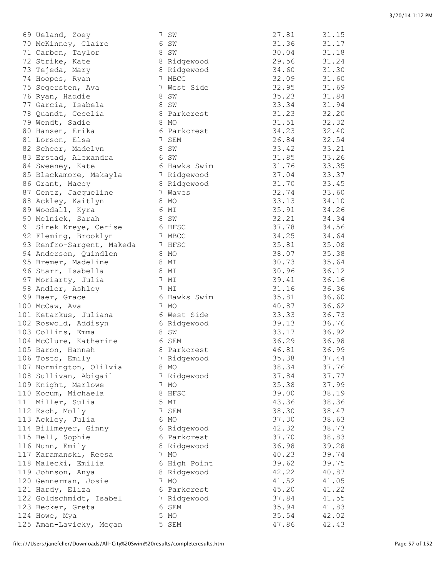| 69 Ueland, Zoey           | 7 SW         | 27.81 | 31.15 |
|---------------------------|--------------|-------|-------|
| 70 McKinney, Claire       | 6 SW         | 31.36 | 31.17 |
| 71 Carbon, Taylor         | 8 SW         | 30.04 | 31.18 |
| 72 Strike, Kate           | 8 Ridgewood  | 29.56 | 31.24 |
| 73 Tejeda, Mary           | 8 Ridgewood  | 34.60 | 31.30 |
| 74 Hoopes, Ryan           | 7 MBCC       | 32.09 | 31.60 |
| 75 Segersten, Ava         | 7 West Side  | 32.95 | 31.69 |
| 76 Ryan, Haddie           | 8 SW         | 35.23 | 31.84 |
| 77 Garcia, Isabela        | 8 SW         | 33.34 | 31.94 |
| 78 Quandt, Cecelia        | 8 Parkcrest  | 31.23 | 32.20 |
| 79 Wendt, Sadie           | 8 MO         | 31.51 | 32.32 |
| 80 Hansen, Erika          | 6 Parkcrest  | 34.23 | 32.40 |
| 81 Lorson, Elsa           | 7 SEM        | 26.84 | 32.54 |
| 82 Scheer, Madelyn        | 8 SW         | 33.42 | 33.21 |
| 83 Erstad, Alexandra      | 6 SW         | 31.85 | 33.26 |
|                           | 6 Hawks Swim | 31.76 | 33.35 |
| 84 Sweeney, Kate          |              | 37.04 | 33.37 |
| 85 Blackamore, Makayla    | 7 Ridgewood  |       |       |
| 86 Grant, Macey           | 8 Ridgewood  | 31.70 | 33.45 |
| 87 Gentz, Jacqueline      | 7 Waves      | 32.74 | 33.60 |
| 88 Ackley, Kaitlyn        | 8 MO         | 33.13 | 34.10 |
| 89 Woodall, Kyra          | 6 MI         | 35.91 | 34.26 |
| 90 Melnick, Sarah         | 8 SW         | 32.21 | 34.34 |
| 91 Sirek Kreye, Cerise    | 6 HFSC       | 37.78 | 34.56 |
| 92 Fleming, Brooklyn      | 7 MBCC       | 34.25 | 34.64 |
| 93 Renfro-Sargent, Makeda | 7 HFSC       | 35.81 | 35.08 |
| 94 Anderson, Quindlen     | 8 MO         | 38.07 | 35.38 |
| 95 Bremer, Madeline       | 8 MI         | 30.73 | 35.64 |
| 96 Starr, Isabella        | 8 MI         | 30.96 | 36.12 |
| 97 Moriarty, Julia        | 7 MI         | 39.41 | 36.16 |
| 98 Andler, Ashley         | 7 MI         | 31.16 | 36.36 |
| 99 Baer, Grace            | 6 Hawks Swim | 35.81 | 36.60 |
| 100 McCaw, Ava            | 7 MO         | 40.87 | 36.62 |
| 101 Ketarkus, Juliana     | 6 West Side  | 33.33 | 36.73 |
| 102 Roswold, Addisyn      | 6 Ridgewood  | 39.13 | 36.76 |
| 103 Collins, Emma         | 8 SW         | 33.17 | 36.92 |
| 104 McClure, Katherine    | 6 SEM        | 36.29 | 36.98 |
| 105 Baron, Hannah         | 8 Parkcrest  | 46.81 | 36.99 |
| 106 Tosto, Emily          | 7 Ridgewood  | 35.38 | 37.44 |
| 107 Normington, Olilvia   | 8 MO         | 38.34 | 37.76 |
| 108 Sullivan, Abigail     | 7 Ridgewood  | 37.84 | 37.77 |
| 109 Knight, Marlowe       | 7 MO         | 35.38 | 37.99 |
| 110 Kocum, Michaela       | 8 HFSC       | 39.00 | 38.19 |
| 111 Miller, Sulia         | 5 MI         | 43.36 | 38.36 |
| 112 Esch, Molly           | 7 SEM        | 38.30 | 38.47 |
| 113 Ackley, Julia         | 6 MO         | 37.30 | 38.63 |
| 114 Billmeyer, Ginny      | 6 Ridgewood  | 42.32 | 38.73 |
| 115 Bell, Sophie          | 6 Parkcrest  | 37.70 | 38.83 |
| 116 Nunn, Emily           | 8 Ridgewood  | 36.98 | 39.28 |
| 117 Karamanski, Reesa     | 7 MO         | 40.23 | 39.74 |
| 118 Malecki, Emilia       | 6 High Point | 39.62 | 39.75 |
| 119 Johnson, Anya         | 8 Ridgewood  | 42.22 | 40.87 |
| 120 Gennerman, Josie      | 7 MO         | 41.52 | 41.05 |
| 121 Hardy, Eliza          |              | 45.20 |       |
|                           | 6 Parkcrest  |       | 41.22 |
| 122 Goldschmidt, Isabel   | 7 Ridgewood  | 37.84 | 41.55 |
| 123 Becker, Greta         | 6 SEM        | 35.94 | 41.83 |
| 124 Howe, Mya             | 5 MO         | 35.54 | 42.02 |
| 125 Aman-Lavicky, Megan   | 5 SEM        | 47.86 | 42.43 |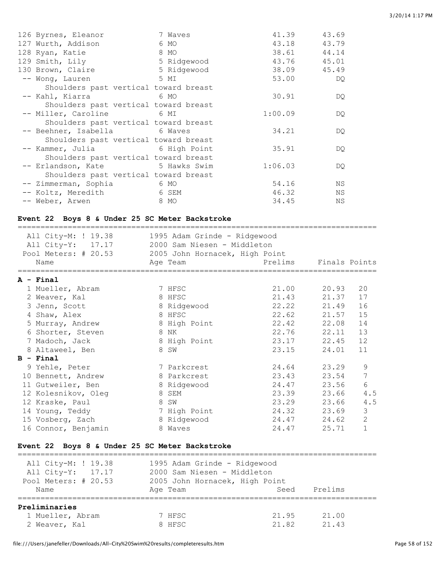| 126 Byrnes, Eleanor                   | 7 Waves | 41.39       | 43.69       |
|---------------------------------------|---------|-------------|-------------|
| 127 Wurth, Addison                    | 6 MO    | 43.18       | 43.79       |
| 128 Ryan, Katie                       | $8$ MO  |             | 38.61 44.14 |
| 129 Smith, Lily 5 Ridgewood           |         | 43.76 45.01 |             |
| 130 Brown, Claire 5 Ridgewood         |         |             | 38.09 45.49 |
| -- Wong, Lauren<br>5 MI               |         | 53.00       | DQ.         |
| Shoulders past vertical toward breast |         |             |             |
| -- Kahl, Kiarra 6 MO                  |         | 30.91       | DQ.         |
| Shoulders past vertical toward breast |         |             |             |
| -- Miller, Caroline 6 MI              |         | 1:00.09     | DQ.         |
| Shoulders past vertical toward breast |         |             |             |
| -- Beehner, Isabella 6 Waves          |         | 34.21       | DQ.         |
| Shoulders past vertical toward breast |         |             |             |
| -- Kammer, Julia 6 High Point         |         | 35.91       | DQ.         |
| Shoulders past vertical toward breast |         |             |             |
| -- Erlandson, Kate 5 Hawks Swim       |         | 1:06.03     | DQ.         |
| Shoulders past vertical toward breast |         |             |             |
| -- Zimmerman, Sophia 6 MO             |         | 54.16       | ΝS          |
| -- Koltz, Meredith 6 SEM              |         | 46.32       | ΝS          |
| -- Weber, Arwen                       | 8 MO    | 34.45       | ΝS          |

### **Event 22 Boys 8 & Under 25 SC Meter Backstroke**

| All City-M: ! 19.38<br>All City-Y: 17.17<br>Pool Meters: # 20.53<br>Name |   | 1995 Adam Grinde - Ridgewood<br>2000 Sam Niesen - Middleton<br>2005 John Hornacek, High Point<br>Age Team | Prelims     | Finals Points |                |
|--------------------------------------------------------------------------|---|-----------------------------------------------------------------------------------------------------------|-------------|---------------|----------------|
| A - Final                                                                |   |                                                                                                           |             |               |                |
| 1 Mueller, Abram                                                         |   | 7 HFSC                                                                                                    | 21.00       | 20.93         | 20             |
| 2 Weaver, Kal                                                            |   | 8 HFSC                                                                                                    | 21.43       | 21.37         | 17             |
| 3 Jenn, Scott                                                            |   | 8 Ridgewood                                                                                               | 22.22       | 21.49         | 16             |
| 4 Shaw, Alex                                                             |   | 8 HFSC                                                                                                    | 22.62       | 21.57         | 15             |
| 5 Murray, Andrew                                                         |   | 8 High Point                                                                                              | 22.42 22.08 |               | 14             |
| 6 Shorter, Steven                                                        |   | 8 NK                                                                                                      | 22.76       | 22.11         | 13             |
| 7 Madoch, Jack                                                           |   | 8 High Point                                                                                              | 23.17       | 22.45         | 12             |
| 8 Altaweel, Ben                                                          |   | 8 SW                                                                                                      | 23.15       | 24.01         | 11             |
| $B - Final$                                                              |   |                                                                                                           |             |               |                |
| 9 Yehle, Peter                                                           |   | 7 Parkcrest                                                                                               | 24.64       | 23.29         | 9              |
| 10 Bennett, Andrew                                                       |   | 8 Parkcrest                                                                                               | 23.43       | 23.54         | 7              |
| 11 Gutweiler, Ben                                                        |   | 8 Ridgewood                                                                                               | 24.47       | 23.56         | 6              |
| 12 Kolesnikov, Oleg                                                      |   | 8 SEM                                                                                                     | 23.39       | 23.66         | 4.5            |
| 12 Kraske, Paul                                                          | 8 | SW                                                                                                        | 23.29       | 23.66         | 4.5            |
| 14 Young, Teddy                                                          |   | 7 High Point                                                                                              | 24.32       | 23.69         | 3              |
| 15 Vosberg, Zach                                                         |   | 8 Ridgewood                                                                                               | 24.47       | 24.62         | $\overline{2}$ |
| 16 Connor, Benjamin                                                      | 8 | Waves                                                                                                     | 24.47       | 25.71         | 1              |

# **Event 22 Boys 8 & Under 25 SC Meter Backstroke**

| All City-M: ! 19.38  | 1995 Adam Grinde - Ridgewood   |       |         |
|----------------------|--------------------------------|-------|---------|
| All City-Y: 17.17    | 2000 Sam Niesen - Middleton    |       |         |
| Pool Meters: # 20.53 | 2005 John Hornacek, High Point |       |         |
| Name                 | Age Team                       | Seed  | Prelims |
| Preliminaries        |                                |       |         |
| 1 Mueller, Abram     | 7 HFSC                         | 21.95 | 21.00   |
| 2 Weaver, Kal        | 8 HFSC                         | 21.82 | 2143    |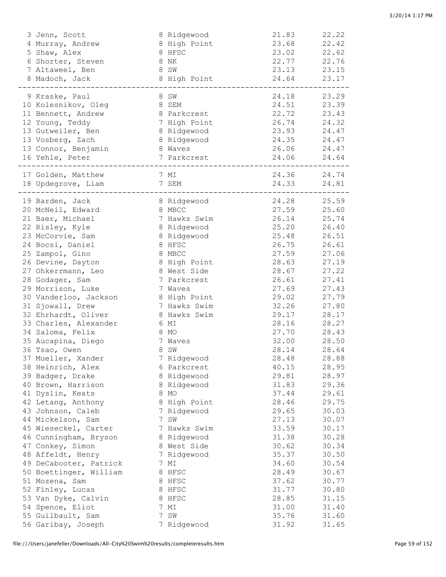| 3 Jenn, Scott                          | 8 Ridgewood         | 21.83          | 22.22          |
|----------------------------------------|---------------------|----------------|----------------|
| 4 Murray, Andrew                       | 8 High Point        | 23.68          | 22.42          |
| 5 Shaw, Alex                           | 8 HFSC              | 23.02          | 22.62          |
| 6 Shorter, Steven                      | 8 NK                | 22.77          | 22.76          |
| 7 Altaweel, Ben                        | 8 SW                | 23.13 23.15    |                |
| 8 Madoch, Jack                         | 8 High Point        | 24.64          | 23.17          |
|                                        |                     |                |                |
| 9 Kraske, Paul                         | 8 SW                | 24.18          | 23.29          |
| 10 Kolesnikov, Oleg<br>8 SEM           |                     | 24.51 23.39    |                |
| 11 Bennett, Andrew                     | 8 Parkcrest         | 22.72          | 23.43          |
| 12 Young, Teddy                        | 7 High Point        | 26.74          | 24.32          |
| 13 Gutweiler, Ben                      | 8 Ridgewood         | 23.93 24.47    |                |
| 13 Vosberg, Zach                       | 8 Ridgewood         | 24.35 24.47    |                |
| 13 Connor, Benjamin                    | 8 Waves             | 26.06 24.47    |                |
| 16 Yehle, Peter                        | 7 Parkcrest         | 24.06 24.64    |                |
|                                        |                     |                |                |
| 17 Golden, Matthew                     | 7 MI                | 24.36 24.74    |                |
| 18 Updegrove, Liam                     | 7 SEM               | 24.33 24.81    |                |
| 19 Barden, Jack                        | 8 Ridgewood         | 24.28          | 25.59          |
| 20 McNeil, Edward                      | 8 MBCC              | 27.59          | 25.60          |
| 21 Baer, Michael                       | 7 Hawks Swim        | 26.14          | 25.74          |
| 22 Risley, Kyle                        | 8 Ridgewood         | 25.20          | 26.40          |
| 23 McCorvie, Sam                       | 8 Ridgewood         | 25.48          | 26.51          |
| 24 Bocsi, Daniel                       | 8 HFSC              | 26.75          | 26.61          |
| 25 Zampol, Gino                        | 8 MBCC              | 27.59          | 27.06          |
| 26 Devine, Dayton                      | 8 High Point        | 28.63          | 27.19          |
| 27 Ohkerrmann, Leo                     | 8 West Side         | 28.67          | 27.22          |
| 28 Godager, Sam                        | 7 Parkcrest         | 26.61          | 27.41          |
| 29 Morrison, Luke                      | 7 Waves             | 27.69          | 27.43          |
| 30 Vanderloo, Jackson                  | 8 High Point        | 29.02          | 27.79          |
| 31 Sjowall, Drew                       | 7 Hawks Swim        | 32.26          | 27.80          |
| 32 Ehrhardt, Oliver                    | 8 Hawks Swim        | 29.17          | 28.17          |
| 33 Charles, Alexander                  | 6 MI                | 28.16          | 28.27          |
| 34 Saloma, Felix                       | 8 MO                | 27.70          | 28.43          |
| 35 Aucapina, Diego                     |                     |                |                |
| 36 Tsao, Owen                          | 7 Waves             | 32.00          | 28.50          |
|                                        | 8 SW                | 28.14          | 28.64          |
| 37 Mueller, Xander                     | Ridgewood           | 28.48          | 28.88<br>28.95 |
| 38 Heinrich, Alex                      | 6 Parkcrest         | 40.15<br>29.81 |                |
| 39 Badger, Drake                       | 8 Ridgewood         | 31.83          | 28.97          |
| 40 Brown, Harrison<br>41 Dyslin, Keats | 8 Ridgewood<br>8 MO | 37.44          | 29.36          |
|                                        |                     | 28.46          | 29.61          |
| 42 Letang, Anthony                     | 8 High Point        | 29.65          | 29.75          |
| 43 Johnson, Caleb                      | 7 Ridgewood<br>7 SW |                | 30.03          |
| 44 Mickelson, Sam                      |                     | 27.13          | 30.07          |
| 45 Wieseckel, Carter                   | 7 Hawks Swim        | 33.59          | 30.17          |
| 46 Cunningham, Bryson                  | 8 Ridgewood         | 31.38          | 30.28          |
| 47 Conkey, Simon                       | 8 West Side         | 30.62          | 30.34          |
| 48 Affeldt, Henry                      | 7 Ridgewood         | 35.37          | 30.50          |
| 49 DeCabooter, Patrick                 | 7 MI                | 34.60          | 30.54          |
| 50 Boettinger, William                 | 8 HFSC              | 28.49          | 30.67          |
| 51 Mozena, Sam                         | 8 HFSC              | 37.62          | 30.77          |
| 52 Finley, Lucas                       | 8 HFSC              | 31.77          | 30.80          |
| 53 Van Dyke, Calvin                    | 8 HFSC              | 28.85          | 31.15          |
| 54 Spence, Eliot                       | 7 MI                | 31.00          | 31.40          |
| 55 Guilbault, Sam                      | 7 SW                | 35.76          | 31.60          |
| 56 Garibay, Joseph                     | 7 Ridgewood         | 31.92          | 31.65          |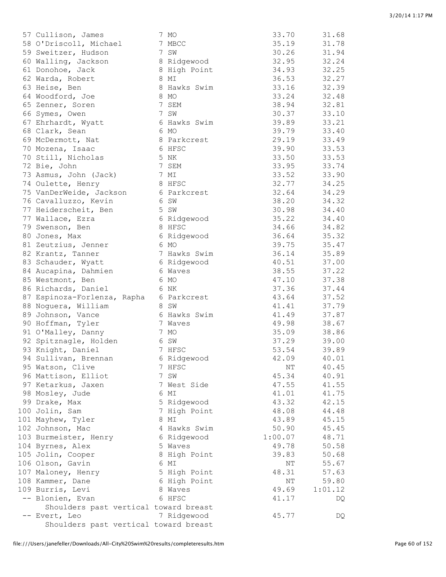| 57 Cullison, James                    | 7 MO         | 33.70   | 31.68   |
|---------------------------------------|--------------|---------|---------|
| 58 O'Driscoll, Michael                | 7 MBCC       | 35.19   | 31.78   |
| 59 Sweitzer, Hudson                   | 7 SW         | 30.26   | 31.94   |
| 60 Walling, Jackson                   | 8 Ridgewood  | 32.95   | 32.24   |
| 61 Donohoe, Jack                      | 8 High Point | 34.93   | 32.25   |
| 62 Warda, Robert                      | 8 MI         | 36.53   | 32.27   |
| 63 Heise, Ben                         | 8 Hawks Swim | 33.16   | 32.39   |
| 64 Woodford, Joe                      | 8 MO         | 33.24   | 32.48   |
| 65 Zenner, Soren                      | 7 SEM        | 38.94   | 32.81   |
| 66 Symes, Owen                        | 7 SW         | 30.37   | 33.10   |
| 67 Ehrhardt, Wyatt                    | 6 Hawks Swim | 39.89   | 33.21   |
| 68 Clark, Sean                        | 6 MO         | 39.79   | 33.40   |
| 69 McDermott, Nat                     | 8 Parkcrest  | 29.19   | 33.49   |
| 70 Mozena, Isaac                      | 6 HFSC       | 39.90   | 33.53   |
| 70 Still, Nicholas                    | 5 NK         | 33.50   | 33.53   |
| 72 Bie, John                          | 7 SEM        | 33.95   | 33.74   |
| 73 Asmus, John (Jack)                 | 7 MI         | 33.52   | 33.90   |
| 74 Oulette, Henry                     | 8 HFSC       | 32.77   | 34.25   |
| 75 VanDerWeide, Jackson               | 6 Parkcrest  | 32.64   | 34.29   |
| 76 Cavalluzzo, Kevin                  | 6 SW         | 38.20   | 34.32   |
| 77 Heiderscheit, Ben                  | 5 SW         | 30.98   | 34.40   |
| 77 Wallace, Ezra                      | 6 Ridgewood  | 35.22   | 34.40   |
| 79 Swenson, Ben                       | 8 HFSC       | 34.66   | 34.82   |
| 80 Jones, Max                         | 6 Ridgewood  | 36.64   | 35.32   |
| 81 Zeutzius, Jenner                   | 6 MO         | 39.75   | 35.47   |
| 82 Krantz, Tanner                     | 7 Hawks Swim | 36.14   | 35.89   |
| 83 Schauder, Wyatt                    | 6 Ridgewood  | 40.51   | 37.00   |
| 84 Aucapina, Dahmien                  | 6 Waves      | 38.55   | 37.22   |
| 85 Westmont, Ben                      | 6 MO         | 47.10   | 37.38   |
| 86 Richards, Daniel                   | 6 NK         | 37.36   | 37.44   |
| 87 Espinoza-Forlenza, Rapha           | 6 Parkcrest  | 43.64   | 37.52   |
| 88 Noguera, William                   | 8 SW         | 41.41   | 37.79   |
| 89 Johnson, Vance                     | 6 Hawks Swim | 41.49   | 37.87   |
| 90 Hoffman, Tyler                     | 7 Waves      | 49.98   | 38.67   |
| 91 O'Malley, Danny                    | 7 MO         | 35.09   | 38.86   |
| 92 Spitznagle, Holden                 | 6 SW         | 37.29   | 39.00   |
| 93 Knight, Daniel                     | 7 HFSC       | 53.54   | 39.89   |
| 94 Sullivan, Brennan                  | 6 Ridgewood  | 42.09   | 40.01   |
| 95 Watson, Clive                      | 7 HFSC       | NΤ      | 40.45   |
| 96 Mattison, Elliot                   | 7 SW         | 45.34   | 40.91   |
| 97 Ketarkus, Jaxen                    | 7 West Side  | 47.55   | 41.55   |
| 98 Mosley, Jude                       | 6 MI         | 41.01   | 41.75   |
| 99 Drake, Max                         | 5 Ridgewood  | 43.32   | 42.15   |
| 100 Jolin, Sam                        | 7 High Point | 48.08   | 44.48   |
| 101 Mayhew, Tyler                     | 8 MI         | 43.89   | 45.15   |
| 102 Johnson, Mac                      | 4 Hawks Swim | 50.90   | 45.45   |
| 103 Burmeister, Henry                 | 6 Ridgewood  | 1:00.07 | 48.71   |
| 104 Byrnes, Alex                      | 5 Waves      | 49.78   | 50.58   |
| 105 Jolin, Cooper                     | 8 High Point | 39.83   | 50.68   |
| 106 Olson, Gavin                      | 6 MI         | NΤ      | 55.67   |
| 107 Maloney, Henry                    | 5 High Point | 48.31   | 57.63   |
| 108 Kammer, Dane                      | 6 High Point | ΝT      | 59.80   |
| 109 Burris, Levi                      | 8 Waves      | 49.69   | 1:01.12 |
| -- Blonien, Evan                      | 6 HFSC       | 41.17   | DQ      |
| Shoulders past vertical toward breast |              |         |         |
| -- Evert, Leo                         | 7 Ridgewood  | 45.77   | DQ      |
| Shoulders past vertical toward breast |              |         |         |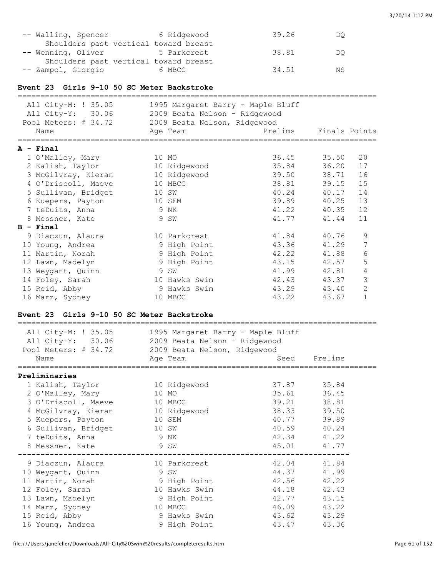| -- Walling, Spencer                   | 6 Ridgewood | 39.26 | DO |
|---------------------------------------|-------------|-------|----|
| Shoulders past vertical toward breast |             |       |    |
| -- Wenning, Oliver                    | 5 Parkcrest | 38.81 | DO |
| Shoulders past vertical toward breast |             |       |    |
| -- Zampol, Giorgio                    | 6 MBCC      | 34.51 | ΝS |

#### **Event 23 Girls 9-10 50 SC Meter Backstroke**

| All City-M: ! 35.05<br>All City-Y: 30.06<br>Pool Meters: # 34.72 | 1995 Margaret Barry - Maple Bluff<br>2009 Beata Nelson - Ridgewood<br>2009 Beata Nelson, Ridgewood |             |               |                |
|------------------------------------------------------------------|----------------------------------------------------------------------------------------------------|-------------|---------------|----------------|
| Name                                                             | Age Team                                                                                           | Prelims     | Finals Points |                |
| $A - Final$                                                      |                                                                                                    |             |               |                |
| 1 O'Malley, Mary                                                 | 10 MO                                                                                              | 36.45 35.50 |               | 20             |
| 2 Kalish, Taylor                                                 | 10 Ridgewood                                                                                       | 35.84       | 36.20         | 17             |
| 3 McGilvray, Kieran                                              | 10 Ridgewood                                                                                       | 39.50       | 38.71         | 16             |
| 4 O'Driscoll, Maeve                                              | 10 MBCC                                                                                            | 38.81       | 39.15         | 15             |
| 5 Sullivan, Bridget                                              | 10 SW                                                                                              | 40.24       | 40.17         | 14             |
| 6 Kuepers, Payton                                                | 10 SEM                                                                                             | 39.89       | 40.25         | 13             |
| 7 teDuits, Anna                                                  | 9 NK                                                                                               | 41.22       | 40.35         | 12             |
| 8 Messner, Kate                                                  | 9 SW                                                                                               | 41.77       | 41.44         | 11             |
| $B - Final$                                                      |                                                                                                    |             |               |                |
| 9 Diaczun, Alaura                                                | 10 Parkcrest                                                                                       | 41.84       | 40.76         | 9              |
| 10 Young, Andrea                                                 | 9 High Point                                                                                       | 43.36       | 41.29         | 7              |
| 11 Martin, Norah                                                 | 9 High Point                                                                                       | 42.22       | 41.88         | 6              |
| 12 Lawn, Madelyn                                                 | 9 High Point                                                                                       | 43.15       | 42.57         | 5              |
| 13 Weygant, Quinn                                                | 9 SW                                                                                               | 41.99       | 42.81         | 4              |
| 14 Foley, Sarah                                                  | 10 Hawks Swim                                                                                      | 42.43       | 43.37         | 3              |
| 15 Reid, Abby                                                    | 9 Hawks Swim                                                                                       | 43.29       | 43.40         | $\overline{2}$ |
| 16 Marz, Sydney                                                  | 10 MBCC                                                                                            | 43.22       | 43.67         | $\mathbf{1}$   |

#### **Event 23 Girls 9-10 50 SC Meter Backstroke**

| All City-M: ! 35.05<br>All City-Y: 30.06<br>Pool Meters: # 34.72 2009 Beata Nelson, Ridgewood<br>Name | 1995 Margaret Barry - Maple Bluff<br>2009 Beata Nelson - Ridgewood                                                                                                                                                                   |             | Seed Prelims |
|-------------------------------------------------------------------------------------------------------|--------------------------------------------------------------------------------------------------------------------------------------------------------------------------------------------------------------------------------------|-------------|--------------|
| ==============================                                                                        | Age Team                                                                                                                                                                                                                             |             |              |
| Preliminaries                                                                                         |                                                                                                                                                                                                                                      |             |              |
| 1 Kalish, Taylor                                                                                      | 10 Ridgewood                                                                                                                                                                                                                         | 37.87 35.84 |              |
| 2 O'Malley, Mary                                                                                      | 10 MO                                                                                                                                                                                                                                | 35.61       | 36.45        |
| 3 O'Driscoll, Maeve                                                                                   | 10 MBCC                                                                                                                                                                                                                              |             | 39.21 38.81  |
| 4 McGilvray, Kieran 10 Ridgewood                                                                      |                                                                                                                                                                                                                                      |             | 38.33 39.50  |
| 5 Kuepers, Payton                                                                                     | 10 SEM                                                                                                                                                                                                                               | 40.77       | 39.89        |
| 6 Sullivan, Bridget                                                                                   | 10 SW                                                                                                                                                                                                                                |             | 40.59 40.24  |
| 7 teDuits, Anna                                                                                       | <b>12 September 19 September 19 September 19 September 19 September 19 September 19 September 19 September 19 September 19 September 19 September 19 September 19 September 19 September 19 September 19 September 19 September </b> |             | 42.34 41.22  |
| 8 Messner, Kate                                                                                       | 9 SW                                                                                                                                                                                                                                 |             | 45.01 41.77  |
| 9 Diaczun, Alaura                                                                                     | 10 Parkcrest                                                                                                                                                                                                                         | 42.04 41.84 |              |
| 10 Weygant, Quinn                                                                                     | 9 SW                                                                                                                                                                                                                                 |             | 44.37 41.99  |
| 11 Martin, Norah                                                                                      | 9 High Point                                                                                                                                                                                                                         | 42.56       | 42.22        |
| 12 Foley, Sarah                                                                                       | 10 Hawks Swim                                                                                                                                                                                                                        | 44.18       | 42.43        |
| 13 Lawn, Madelyn                                                                                      | 9 High Point                                                                                                                                                                                                                         | 42.77       | 43.15        |
| 14 Marz, Sydney                                                                                       | 10 MBCC                                                                                                                                                                                                                              |             | 46.09 43.22  |
| 15 Reid, Abby                                                                                         | 9 Hawks Swim                                                                                                                                                                                                                         | 43.62       | 43.29        |
| 16 Young, Andrea                                                                                      | 9 High Point                                                                                                                                                                                                                         |             | 43.47 43.36  |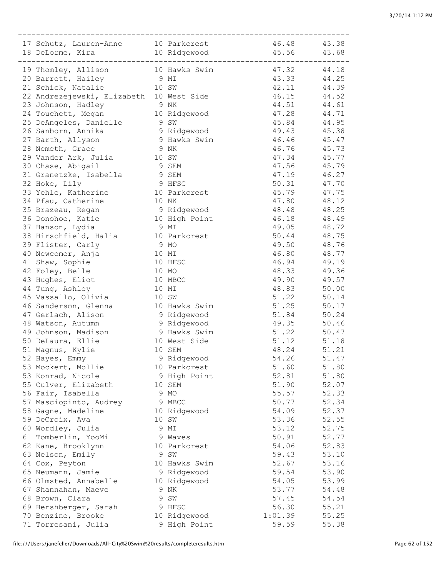| 17 Schutz, Lauren-Anne 10 Parkcrest      |       |               | 46.48 43.38 |       |
|------------------------------------------|-------|---------------|-------------|-------|
| 18 DeLorme, Kira 10 Ridgewood 45.56      |       |               |             | 43.68 |
|                                          |       | -----------   |             |       |
| 19 Thomley, Allison 10 Hawks Swim        |       |               | 47.32 44.18 |       |
| 20 Barrett, Hailey                       | 9 MI  |               | 43.33       | 44.25 |
| 21 Schick, Natalie                       | 10 SW |               | 42.11       | 44.39 |
| 22 Andrezejewski, Elizabeth 10 West Side |       |               | 46.15       | 44.52 |
| 23 Johnson, Hadley                       | 9 NK  |               | 44.51       | 44.61 |
| 24 Touchett, Megan                       |       | 10 Ridgewood  | 47.28       | 44.71 |
| 25 DeAngeles, Danielle                   | 9 SW  |               | 45.84       | 44.95 |
| 26 Sanborn, Annika                       |       | 9 Ridgewood   | 49.43       | 45.38 |
| 27 Barth, Allyson                        |       | 9 Hawks Swim  | 46.46       | 45.47 |
| 28 Nemeth, Grace                         | 9 NK  |               | 46.76       | 45.73 |
| 29 Vander Ark, Julia<br>10 SW            |       |               | 47.34       | 45.77 |
| 30 Chase, Abigail                        |       | 9 SEM         | 47.56       | 45.79 |
| 31 Granetzke, Isabella                   |       | 9 SEM         | 47.19       | 46.27 |
|                                          |       | 9 HFSC        | 50.31       |       |
| 32 Hoke, Lily                            |       |               |             | 47.70 |
| 33 Yehle, Katherine                      |       | 10 Parkcrest  | 45.79       | 47.75 |
| 34 Pfau, Catherine                       |       | 10 NK         | 47.80       | 48.12 |
| 35 Brazeau, Regan                        |       | 9 Ridgewood   | 48.48       | 48.25 |
| 36 Donohoe, Katie                        |       | 10 High Point | 46.18       | 48.49 |
| 37 Hanson, Lydia                         | 9 MI  |               | 49.05       | 48.72 |
| 38 Hirschfield, Halia                    |       | 10 Parkcrest  | 50.44       | 48.75 |
| 39 Flister, Carly                        | 9 MO  |               | 49.50       | 48.76 |
| 40 Newcomer, Anja                        |       | 10 MI         | 46.80       | 48.77 |
| 41 Shaw, Sophie                          |       | 10 HFSC       | 46.94       | 49.19 |
| 42 Foley, Belle                          |       | 10 MO         | 48.33       | 49.36 |
| 43 Hughes, Eliot                         |       | 10 MBCC       | 49.90       | 49.57 |
| 44 Tung, Ashley                          |       | 10 MI         | 48.83       | 50.00 |
| 45 Vassallo, Olivia                      |       | 10 SW         | 51.22       | 50.14 |
| 46 Sanderson, Glenna                     |       | 10 Hawks Swim | 51.25       | 50.17 |
| 47 Gerlach, Alison                       |       | 9 Ridgewood   | 51.84       | 50.24 |
| 48 Watson, Autumn                        |       | 9 Ridgewood   | 49.35       | 50.46 |
| 49 Johnson, Madison                      |       | 9 Hawks Swim  | 51.22       | 50.47 |
| 50 DeLaura, Ellie                        |       | 10 West Side  | 51.12       | 51.18 |
| 51 Magnus, Kylie                         |       | 10 SEM        | 48.24       | 51.21 |
| 52 Hayes, Emmy                           |       | 9 Ridgewood   | 54.26       | 51.47 |
| 53 Mockert, Mollie                       |       | 10 Parkcrest  | 51.60       | 51.80 |
| 53 Konrad, Nicole                        |       | 9 High Point  | 52.81       | 51.80 |
| 55 Culver, Elizabeth                     |       | 10 SEM        | 51.90       | 52.07 |
| 56 Fair, Isabella                        |       | 9 MO          | 55.57       | 52.33 |
| 57 Masciopinto, Audrey                   |       | 9 MBCC        | 50.77       | 52.34 |
| 58 Gagne, Madeline                       |       | 10 Ridgewood  | 54.09       | 52.37 |
| 59 DeCroix, Ava                          |       | 10 SW         | 53.36       | 52.55 |
| 60 Wordley, Julia                        |       | 9 MI          | 53.12       | 52.75 |
| 61 Tomberlin, YooMi                      |       | 9 Waves       | 50.91       | 52.77 |
| 62 Kane, Brooklynn                       |       | 10 Parkcrest  | 54.06       | 52.83 |
| 63 Nelson, Emily                         |       | 9 SW          | 59.43       | 53.10 |
| 64 Cox, Peyton                           |       | 10 Hawks Swim | 52.67       | 53.16 |
| 65 Neumann, Jamie                        |       |               |             |       |
|                                          |       | 9 Ridgewood   | 59.54       | 53.90 |
| 66 Olmsted, Annabelle                    |       | 10 Ridgewood  | 54.05       | 53.99 |
| 67 Shannahan, Maeve                      |       | 9 NK          | 53.77       | 54.48 |
| 68 Brown, Clara                          |       | 9 SW          | 57.45       | 54.54 |
| 69 Hershberger, Sarah                    |       | 9 HFSC        | 56.30       | 55.21 |
| 70 Benzine, Brooke                       |       | 10 Ridgewood  | 1:01.39     | 55.25 |
| 71 Torresani, Julia                      |       | 9 High Point  | 59.59       | 55.38 |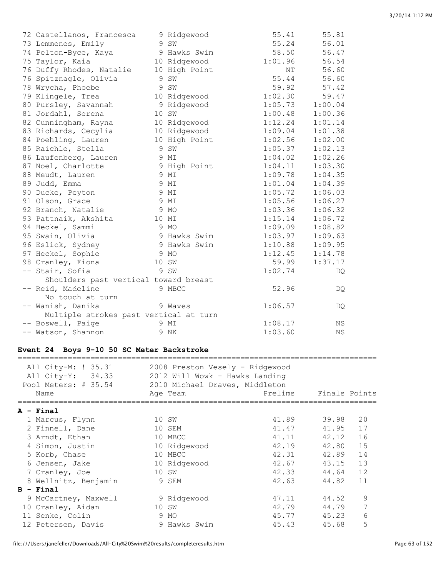| 72 Castellanos, Francesca              | 9 Ridgewood   | 55.41   | 55.81     |
|----------------------------------------|---------------|---------|-----------|
| 73 Lemmenes, Emily                     | 9 SW          | 55.24   | 56.01     |
| 74 Pelton-Byce, Kaya                   | 9 Hawks Swim  | 58.50   | 56.47     |
| 75 Taylor, Kaia                        | 10 Ridgewood  | 1:01.96 | 56.54     |
| 76 Duffy Rhodes, Natalie               | 10 High Point | NΤ      | 56.60     |
| 76 Spitznagle, Olivia                  | 9 SW          | 55.44   | 56.60     |
| 78 Wrycha, Phoebe                      | 9 SW          | 59.92   | 57.42     |
| 79 Klingele, Trea                      | 10 Ridgewood  | 1:02.30 | 59.47     |
| 80 Pursley, Savannah                   | 9 Ridgewood   | 1:05.73 | 1:00.04   |
| 81 Jordahl, Serena                     | 10 SW         | 1:00.48 | 1:00.36   |
| 82 Cunningham, Rayna                   | 10 Ridgewood  | 1:12.24 | 1:01.14   |
| 83 Richards, Cecylia                   | 10 Ridgewood  | 1:09.04 | 1:01.38   |
| 84 Poehling, Lauren                    | 10 High Point | 1:02.56 | 1:02.00   |
| 85 Raichle, Stella                     | 9 SW          | 1:05.37 | 1:02.13   |
| 86 Laufenberg, Lauren                  | 9 MI          | 1:04.02 | 1:02.26   |
| 87 Noel, Charlotte                     | 9 High Point  | 1:04.11 | 1:03.30   |
| 88 Meudt, Lauren                       | 9 MI          | 1:09.78 | 1:04.35   |
| 89 Judd, Emma                          | 9 MI          | 1:01.04 | 1:04.39   |
| 90 Ducke, Peyton                       | 9 MI          | 1:05.72 | 1:06.03   |
| 91 Olson, Grace                        | 9 MI          | 1:05.56 | 1:06.27   |
| 92 Branch, Natalie                     | 9 MO          | 1:03.36 | 1:06.32   |
| 93 Pattnaik, Akshita                   | 10 MI         | 1:15.14 | 1:06.72   |
| 94 Heckel, Sammi                       | 9 MO          | 1:09.09 | 1:08.82   |
| 95 Swain, Olivia                       | 9 Hawks Swim  | 1:03.97 | 1:09.63   |
| 96 Eslick, Sydney                      | 9 Hawks Swim  | 1:10.88 | 1:09.95   |
| 97 Heckel, Sophie                      | 9 MO          | 1:12.45 | 1:14.78   |
| 98 Cranley, Fiona                      | 10 SW         | 59.99   | 1:37.17   |
| -- Stair, Sofia                        | 9 SW          | 1:02.74 | DQ.       |
| Shoulders past vertical toward breast  |               |         |           |
| -- Reid, Madeline                      | 9 MBCC        | 52.96   | DQ.       |
| No touch at turn                       |               |         |           |
| -- Wanish, Danika                      | 9 Waves       | 1:06.57 | DQ.       |
| Multiple strokes past vertical at turn |               |         |           |
| -- Boswell, Paige                      | 9 MI          | 1:08.17 | <b>NS</b> |
| -- Watson, Shannon                     | 9 NK          | 1:03.60 | <b>NS</b> |

# **Event 24 Boys 9-10 50 SC Meter Backstroke**

| All City-M: ! 35.31<br>All City-Y: 34.33<br>Pool Meters: # 35.54<br>Name | 2008 Preston Vesely - Ridgewood<br>2012 Will Wowk - Hawks Landing<br>2010 Michael Draves, Middleton<br>Age Team | Prelims | Finals Points |    |
|--------------------------------------------------------------------------|-----------------------------------------------------------------------------------------------------------------|---------|---------------|----|
| $A - Final$                                                              |                                                                                                                 |         |               |    |
| 1 Marcus, Flynn                                                          | 10 SW                                                                                                           | 41.89   | 39.98         | 20 |
| 2 Finnell, Dane                                                          | 10 SEM                                                                                                          | 41.47   | 41.95         | 17 |
| 3 Arndt, Ethan                                                           | 10 MBCC                                                                                                         | 41.11   | 42.12         | 16 |
| 4 Simon, Justin                                                          | 10 Ridgewood                                                                                                    | 42.19   | 42.80         | 15 |
| 5 Korb, Chase                                                            | 10 MBCC                                                                                                         | 42.31   | 42.89         | 14 |
| 6 Jensen, Jake                                                           | 10 Ridgewood                                                                                                    | 42.67   | 43.15         | 13 |
| 7 Cranley, Joe                                                           | 10 SW                                                                                                           | 42.33   | 44.64         | 12 |
| 8 Wellnitz, Benjamin                                                     | 9 SEM                                                                                                           | 42.63   | 44.82         | 11 |
| $B - Final$                                                              |                                                                                                                 |         |               |    |
| 9 McCartney, Maxwell                                                     | 9 Ridgewood                                                                                                     | 47.11   | 44.52         | 9  |
| 10 Cranley, Aidan                                                        | 10 SW                                                                                                           | 42.79   | 44.79         |    |
| 11 Senke, Colin                                                          | 9 MO                                                                                                            | 45.77   | 45.23         | 6  |
| 12 Petersen, Davis                                                       | 9 Hawks Swim                                                                                                    | 45.43   | 45.68         | 5  |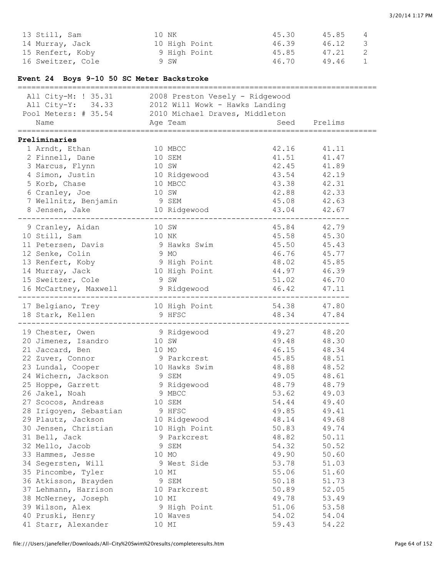| 13 Still, Sam     | 10 NK         | 45.30 | 45.85 | 4 |
|-------------------|---------------|-------|-------|---|
| 14 Murray, Jack   | 10 High Point | 46.39 | 46.12 | 3 |
| 15 Renfert, Koby  | 9 High Point  | 45.85 | 47.21 | 2 |
| 16 Sweitzer, Cole | 9 SW          | 46.70 | 49.46 | 1 |

### **Event 24 Boys 9-10 50 SC Meter Backstroke**

| All City-M: ! 35.31 2008 Preston Vesely - Ridgewood<br>All City-Y: 34.33 2012 Will Wowk - Hawks Landing<br>Pool Meters: # 35.54 2010 Michael Draves, Middleton<br>Name |       | Age Team      | Seed<br>======================== | Prelims |  |
|------------------------------------------------------------------------------------------------------------------------------------------------------------------------|-------|---------------|----------------------------------|---------|--|
|                                                                                                                                                                        |       |               |                                  |         |  |
| Preliminaries                                                                                                                                                          |       |               |                                  |         |  |
| 1 Arndt, Ethan                                                                                                                                                         |       | 10 MBCC       | 42.16                            | 41.11   |  |
| 2 Finnell, Dane                                                                                                                                                        |       | 10 SEM        | 41.51                            | 41.47   |  |
| 3 Marcus, Flynn                                                                                                                                                        |       | 10 SW         | 42.45                            | 41.89   |  |
| 4 Simon, Justin                                                                                                                                                        |       | 10 Ridgewood  | 43.54                            | 42.19   |  |
| 5 Korb, Chase                                                                                                                                                          |       | 10 MBCC       | 43.38                            | 42.31   |  |
| 6 Cranley, Joe                                                                                                                                                         |       | 10 SW         | 42.88                            | 42.33   |  |
| 7 Wellnitz, Benjamin                                                                                                                                                   | 9 SEM |               | 45.08                            | 42.63   |  |
| 8 Jensen, Jake                                                                                                                                                         |       | 10 Ridgewood  | 43.04                            | 42.67   |  |
| 9 Cranley, Aidan                                                                                                                                                       |       | 10 SW         | 45.84                            | 42.79   |  |
| 10 Still, Sam                                                                                                                                                          | 10 NK |               | 45.58                            | 45.30   |  |
| 11 Petersen, Davis                                                                                                                                                     |       | 9 Hawks Swim  | 45.50                            | 45.43   |  |
| 12 Senke, Colin                                                                                                                                                        |       | 9 MO          | 46.76                            | 45.77   |  |
| 13 Renfert, Koby                                                                                                                                                       |       | 9 High Point  | 48.02                            | 45.85   |  |
| 14 Murray, Jack                                                                                                                                                        |       | 10 High Point | 44.97                            | 46.39   |  |
| 15 Sweitzer, Cole                                                                                                                                                      |       | 9 SW          | 51.02                            | 46.70   |  |
| 16 McCartney, Maxwell                                                                                                                                                  |       | 9 Ridgewood   | 46.42                            | 47.11   |  |
| 17 Belgiano, Trey                                                                                                                                                      |       | 10 High Point | 54.38                            | 47.80   |  |
| 18 Stark, Kellen                                                                                                                                                       |       | 9 HFSC        | 48.34                            | 47.84   |  |
|                                                                                                                                                                        |       |               |                                  |         |  |
| 19 Chester, Owen                                                                                                                                                       |       | 9 Ridgewood   | 49.27                            | 48.20   |  |
| 20 Jimenez, Isandro                                                                                                                                                    | 10 SW |               | 49.48                            | 48.30   |  |
| 21 Jaccard, Ben                                                                                                                                                        |       | 10 MO         | 46.15                            | 48.34   |  |
| 22 Zuver, Connor                                                                                                                                                       |       | 9 Parkcrest   | 45.85                            | 48.51   |  |
| 23 Lundal, Cooper                                                                                                                                                      |       | 10 Hawks Swim | 48.88                            | 48.52   |  |
| 24 Wichern, Jackson                                                                                                                                                    |       | 9 SEM         | 49.05                            | 48.61   |  |
| 25 Hoppe, Garrett                                                                                                                                                      |       | 9 Ridgewood   | 48.79                            | 48.79   |  |
| 26 Jakel, Noah                                                                                                                                                         |       | 9 MBCC        | 53.62                            | 49.03   |  |
| 27 Scocos, Andreas                                                                                                                                                     |       | 10 SEM        | 54.44                            | 49.40   |  |
| 28 Irigoyen, Sebastian                                                                                                                                                 |       | 9 HFSC        | 49.85                            | 49.41   |  |
| 29 Plautz, Jackson                                                                                                                                                     |       | 10 Ridgewood  | 48.14                            | 49.68   |  |
| 30 Jensen, Christian                                                                                                                                                   |       | 10 High Point | 50.83                            | 49.74   |  |
| 31 Bell, Jack                                                                                                                                                          |       | 9 Parkcrest   | 48.82                            | 50.11   |  |
| 32 Mello, Jacob                                                                                                                                                        |       | 9 SEM         | 54.32                            | 50.52   |  |
| 33 Hammes, Jesse                                                                                                                                                       |       | 10 MO         | 49.90                            | 50.60   |  |
| 34 Segersten, Will                                                                                                                                                     |       | 9 West Side   | 53.78                            | 51.03   |  |
| 35 Pincombe, Tyler                                                                                                                                                     |       | 10 MI         | 55.06                            | 51.60   |  |
| 36 Atkisson, Brayden                                                                                                                                                   |       | 9 SEM         | 50.18                            | 51.73   |  |
| 37 Lehmann, Harrison                                                                                                                                                   |       | 10 Parkcrest  | 50.89                            |         |  |
|                                                                                                                                                                        |       |               |                                  | 52.05   |  |
| 38 McNerney, Joseph                                                                                                                                                    |       | 10 MI         | 49.78                            | 53.49   |  |
| 39 Wilson, Alex                                                                                                                                                        |       | 9 High Point  | 51.06                            | 53.58   |  |
| 40 Pruski, Henry                                                                                                                                                       |       | 10 Waves      | 54.02                            | 54.04   |  |
| 41 Starr, Alexander                                                                                                                                                    |       | 10 MI         | 59.43                            | 54.22   |  |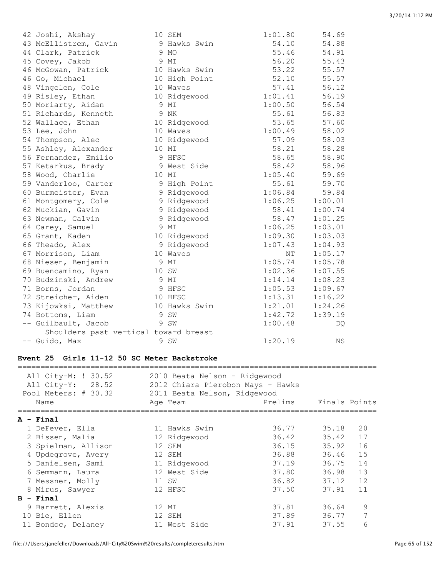| 42 Joshi, Akshay                      | 10 SEM        | 1:01.80 | 54.69   |
|---------------------------------------|---------------|---------|---------|
| 43 McEllistrem, Gavin                 | 9 Hawks Swim  | 54.10   | 54.88   |
| 44 Clark, Patrick                     | 9 MO          | 55.46   | 54.91   |
| 45 Covey, Jakob                       | 9 MI          | 56.20   | 55.43   |
| 46 McGowan, Patrick                   | 10 Hawks Swim | 53.22   | 55.57   |
| 46 Go, Michael                        | 10 High Point | 52.10   | 55.57   |
| 48 Vingelen, Cole                     | 10 Waves      | 57.41   | 56.12   |
| 49 Risley, Ethan                      | 10 Ridgewood  | 1:01.41 | 56.19   |
| 50 Moriarty, Aidan                    | 9 MI          | 1:00.50 | 56.54   |
| 51 Richards, Kenneth                  | 9 NK          | 55.61   | 56.83   |
| 52 Wallace, Ethan                     | 10 Ridgewood  | 53.65   | 57.60   |
| 53 Lee, John                          | 10 Waves      | 1:00.49 | 58.02   |
| 54 Thompson, Alec                     | 10 Ridgewood  | 57.09   | 58.03   |
| 55 Ashley, Alexander                  | 10 MI         | 58.21   | 58.28   |
| 56 Fernandez, Emilio                  | 9 HFSC        | 58.65   | 58.90   |
| 57 Ketarkus, Brady                    | 9 West Side   | 58.42   | 58.96   |
| 58 Wood, Charlie                      | 10 MI         | 1:05.40 | 59.69   |
| 59 Vanderloo, Carter                  | 9 High Point  | 55.61   | 59.70   |
| 60 Burmeister, Evan                   | 9 Ridgewood   | 1:06.84 | 59.84   |
| 61 Montgomery, Cole                   | 9 Ridgewood   | 1:06.25 | 1:00.01 |
| 62 Muckian, Gavin                     | 9 Ridgewood   | 58.41   | 1:00.74 |
| 63 Newman, Calvin                     | 9 Ridgewood   | 58.47   | 1:01.25 |
| 64 Carey, Samuel                      | 9 MI          | 1:06.25 | 1:03.01 |
| 65 Grant, Kaden                       | 10 Ridgewood  | 1:09.30 | 1:03.03 |
| 66 Theado, Alex                       | 9 Ridgewood   | 1:07.43 | 1:04.93 |
| 67 Morrison, Liam                     | 10 Waves      | NΤ      | 1:05.17 |
| 68 Niesen, Benjamin                   | 9 MI          | 1:05.74 | 1:05.78 |
| 69 Buencamino, Ryan                   | 10 SW         | 1:02.36 | 1:07.55 |
| 70 Budzinski, Andrew                  | 9 MI          | 1:14.14 | 1:08.23 |
| 71 Borns, Jordan                      | 9 HFSC        | 1:05.53 | 1:09.67 |
| 72 Streicher, Aiden                   | 10 HFSC       | 1:13.31 | 1:16.22 |
| 73 Kijowksi, Matthew                  | 10 Hawks Swim | 1:21.01 | 1:24.26 |
| 74 Bottoms, Liam                      | 9 SW          | 1:42.72 | 1:39.19 |
| -- Guilbault, Jacob                   | 9 SW          | 1:00.48 | DQ      |
| Shoulders past vertical toward breast |               |         |         |
| -- Guido, Max                         | 9 SW          | 1:20.19 | ΝS      |

#### **Event 25 Girls 11-12 50 SC Meter Backstroke**

| All City-M: ! 30.52<br>All City-Y: 28.52<br>Pool Meters: # 30.32 | 2010 Beata Nelson - Ridgewood<br>2012 Chiara Pierobon Mays - Hawks<br>2011 Beata Nelson, Ridgewood |         |               |    |
|------------------------------------------------------------------|----------------------------------------------------------------------------------------------------|---------|---------------|----|
| Name                                                             | Age Team                                                                                           | Prelims | Finals Points |    |
| A - Final                                                        |                                                                                                    |         |               |    |
| 1 DeFever, Ella                                                  | 11 Hawks Swim                                                                                      | 36.77   | 35.18         | 20 |
| 2 Bissen, Malia                                                  | 12 Ridgewood                                                                                       | 36.42   | 35.42         | 17 |
| 3 Spielman, Allison                                              | 12 SEM                                                                                             | 36.15   | 35.92         | 16 |
| 4 Updegrove, Avery                                               | 12 SEM                                                                                             | 36.88   | 36.46         | 15 |
| 5 Danielsen, Sami                                                | 11 Ridgewood                                                                                       | 37.19   | 36.75         | 14 |
| 6 Semmann, Laura                                                 | 12 West Side                                                                                       | 37.80   | 36.98         | 13 |
| 7 Messner, Molly                                                 | 11 SW                                                                                              | 36.82   | 37.12         | 12 |
| 8 Mirus, Sawyer                                                  | 12 HFSC                                                                                            | 37.50   | 37.91         | 11 |
| $B -$ Final                                                      |                                                                                                    |         |               |    |
| 9 Barrett, Alexis                                                | 12 MI                                                                                              | 37.81   | 36.64         | 9  |
| 10 Bie, Ellen                                                    | 12 SEM                                                                                             | 37.89   | 36.77         | 7  |
| 11 Bondoc, Delaney                                               | 11 West Side                                                                                       | 37.91   | 37.55         | 6  |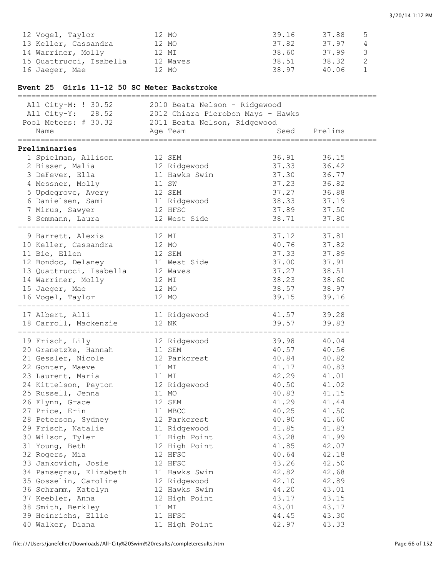| 12 Vogel, Taylor        | 12 MO    | 39.16 | 37.88 | 5             |
|-------------------------|----------|-------|-------|---------------|
| 13 Keller, Cassandra    | 12 MO    | 37.82 | 37.97 | 4             |
| 14 Warriner, Molly      | 12 MI    | 38.60 | 37.99 | $\mathcal{S}$ |
| 15 Ouattrucci, Isabella | 12 Waves | 38.51 | 38.32 |               |
| 16 Jaeqer, Mae          | 12 MO    | 38.97 | 40.06 |               |

### **Event 25 Girls 11-12 50 SC Meter Backstroke**

| ===========================                       |                                                                                                          | ========================== |             |
|---------------------------------------------------|----------------------------------------------------------------------------------------------------------|----------------------------|-------------|
|                                                   | All City-M: ! 30.52 2010 Beata Nelson - Ridgewood<br>All City-Y: 28.52 2012 Chiara Pierobon Mays - Hawks |                            |             |
|                                                   |                                                                                                          |                            |             |
| Pool Meters: # 30.32 2011 Beata Nelson, Ridgewood |                                                                                                          |                            |             |
| Name                                              | Age Team                                                                                                 | Seed Prelims               |             |
| Preliminaries                                     |                                                                                                          |                            |             |
| 1 Spielman, Allison                               | 12 SEM                                                                                                   | 36.91                      | 36.15       |
| 2 Bissen, Malia 12 Ridgewood                      |                                                                                                          | 37.33                      | 36.42       |
| 3 DeFever, Ella                                   | 11 Hawks Swim                                                                                            | 37.30                      | 36.77       |
| 4 Messner, Molly                                  | 11 SW                                                                                                    | 37.23                      | 36.82       |
| 5 Updegrove, Avery 12 SEM                         |                                                                                                          | 37.27                      | 36.88       |
| 6 Danielsen, Sami 11 Ridgewood                    |                                                                                                          | 38.33                      | 37.19       |
| 7 Mirus, Sawyer                                   | 12 HFSC                                                                                                  | 37.89 37.50                |             |
|                                                   | 8 Semmann, Laura 12 West Side 38.71 37.80                                                                |                            |             |
|                                                   |                                                                                                          |                            |             |
| 9 Barrett, Alexis                                 | 12 MI                                                                                                    |                            | 37.12 37.81 |
| 10 Keller, Cassandra 12 MO                        |                                                                                                          |                            | 40.76 37.82 |
| 11 Bie, Ellen                                     | 12 SEM                                                                                                   | 37.33                      | 37.89       |
| 12 Bondoc, Delaney 11 West Side                   |                                                                                                          | 37.00                      | 37.91       |
| 13 Quattrucci, Isabella 12 Waves                  |                                                                                                          | 37.27                      | 38.51       |
| 14 Warriner, Molly 12 MI                          |                                                                                                          | 38.23                      | 38.60       |
| 15 Jaeger, Mae                                    | 12 MO                                                                                                    | 38.57 38.97                |             |
| 16 Vogel, Taylor 12 MO                            |                                                                                                          | 39.15                      | 39.16       |
| 17 Albert, Alli                                   | 11 Ridgewood                                                                                             |                            | 41.57 39.28 |
| 18 Carroll, Mackenzie 12 NK                       | _________________                                                                                        | 39.57 39.83                |             |
| 19 Frisch, Lily                                   | 12 Ridgewood                                                                                             |                            | 39.98 40.04 |
| 20 Granetzke, Hannah 11 SEM                       |                                                                                                          |                            | 40.57 40.56 |
| 21 Gessler, Nicole 12 Parkcrest                   |                                                                                                          | 40.84                      | 40.82       |
| 22 Gonter, Maeve                                  | 11 MI                                                                                                    | 41.17                      | 40.83       |
| 23 Laurent, Maria                                 | 11 MI                                                                                                    | 42.29                      | 41.01       |
| 24 Kittelson, Peyton 12 Ridgewood                 |                                                                                                          |                            | 40.50 41.02 |
| 25 Russell, Jenna                                 | 11 MO                                                                                                    |                            | 40.83 41.15 |
| 26 Flynn, Grace                                   | 12 SEM                                                                                                   |                            | 41.29 41.44 |
| 27 Price, Erin                                    | 11 MBCC                                                                                                  |                            | 40.25 41.50 |
| 28 Peterson, Sydney                               | 12 Parkcrest                                                                                             | 40.90                      | 41.60       |
| 29 Frisch, Natalie                                | 11 Ridgewood                                                                                             | 41.85                      | 41.83       |
| 30 Wilson, Tyler                                  | 11 High Point                                                                                            | 43.28                      | 41.99       |
| 31 Young, Beth                                    | 12 High Point                                                                                            | 41.85                      | 42.07       |
| 32 Rogers, Mia                                    | 12 HFSC                                                                                                  | 40.64                      | 42.18       |
| 33 Jankovich, Josie                               | 12 HFSC                                                                                                  | 43.26                      | 42.50       |
| 34 Pansegrau, Elizabeth                           | 11 Hawks Swim                                                                                            | 42.82                      | 42.68       |
| 35 Gosselin, Caroline                             | 12 Ridgewood                                                                                             | 42.10                      | 42.89       |
| 36 Schramm, Katelyn                               | 12 Hawks Swim                                                                                            | 44.20                      | 43.01       |
| 37 Keebler, Anna                                  | 12 High Point                                                                                            | 43.17                      | 43.15       |
| 38 Smith, Berkley                                 | 11 MI                                                                                                    | 43.01                      | 43.17       |
| 39 Heinrichs, Ellie                               | 11 HFSC                                                                                                  | 44.45                      | 43.30       |
| 40 Walker, Diana                                  | 11 High Point                                                                                            | 42.97                      | 43.33       |
|                                                   |                                                                                                          |                            |             |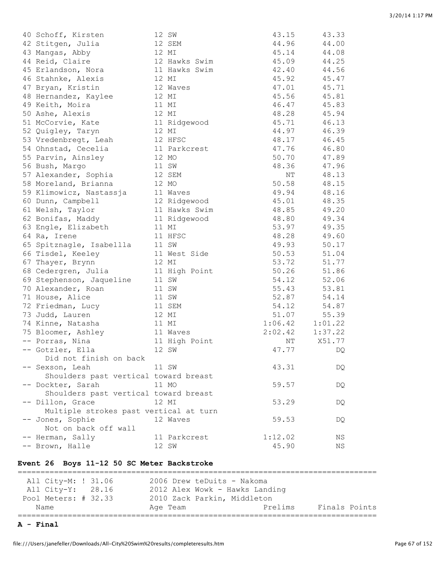| 40 Schoff, Kirsten                     | 12 SW         | 43.15               | 43.33   |
|----------------------------------------|---------------|---------------------|---------|
| 42 Stitgen, Julia                      | 12 SEM        | 44.96               | 44.00   |
| 43 Mangas, Abby                        | 12 MI         | 45.14               | 44.08   |
| 44 Reid, Claire                        | 12 Hawks Swim | 45.09               | 44.25   |
| 45 Erlandson, Nora                     | 11 Hawks Swim | 42.40               | 44.56   |
| 46 Stahnke, Alexis                     | 12 MI         | 45.92               | 45.47   |
| 47 Bryan, Kristin                      | 12 Waves      | 47.01               | 45.71   |
| 48 Hernandez, Kaylee                   | 12 MI         | 45.56               | 45.81   |
| 49 Keith, Moira                        | 11 MI         | 46.47               | 45.83   |
| 50 Ashe, Alexis                        | 12 MI         | 48.28               | 45.94   |
| 51 McCorvie, Kate                      | 11 Ridgewood  | 45.71               | 46.13   |
| 52 Quigley, Taryn                      | 12 MI         | 44.97               | 46.39   |
| 53 Vredenbregt, Leah                   | 12 HFSC       | 48.17               | 46.45   |
| 54 Ohnstad, Cecelia                    | 11 Parkcrest  | 47.76               | 46.80   |
| 55 Parvin, Ainsley                     | 12 MO         | 50.70               | 47.89   |
| 56 Bush, Margo                         | 11 SW         | 48.36               | 47.96   |
| 57 Alexander, Sophia                   | 12 SEM        | $\rm{NT}$           | 48.13   |
| 58 Moreland, Brianna                   | 12 MO         | 50.58               | 48.15   |
| 59 Klimowicz, Nastassja                | 11 Waves      | 49.94               | 48.16   |
| 60 Dunn, Campbell                      | 12 Ridgewood  | 45.01               | 48.35   |
| 61 Welsh, Taylor                       | 11 Hawks Swim | 48.85               | 49.20   |
| 62 Bonifas, Maddy                      | 11 Ridgewood  | 48.80               | 49.34   |
| 63 Engle, Elizabeth                    | 11 MI         | 53.97               | 49.35   |
| 64 Ra, Irene                           | 11 HFSC       | 48.28               | 49.60   |
| 65 Spitznagle, Isabellla               | 11 SW         | 49.93               | 50.17   |
| 66 Tisdel, Keeley                      | 11 West Side  | 50.53               | 51.04   |
| 67 Thayer, Brynn                       | 12 MI         | 53.72               | 51.77   |
| 68 Cedergren, Julia                    | 11 High Point | 50.26               | 51.86   |
| 69 Stephenson, Jaqueline               | 11 SW         | 54.12               | 52.06   |
| 70 Alexander, Roan                     | 11 SW         | 55.43               | 53.81   |
| 71 House, Alice                        | 11 SW         | 52.87               | 54.14   |
| 72 Friedman, Lucy                      | 11 SEM        | 54.12               | 54.87   |
| 73 Judd, Lauren                        | 12 MI         | 51.07               | 55.39   |
| 74 Kinne, Natasha                      | 11 MI         | 1:06.42             | 1:01.22 |
| 75 Bloomer, Ashley                     | 11 Waves      | $2:02.42$ $1:37.22$ |         |
| -- Porras, Nina                        | 11 High Point | NΤ                  | X51.77  |
| -- Gotzler, Ella                       | 12 SW         | 47.77               | DQ      |
| Did not finish on back                 |               |                     |         |
| -- Sexson, Leah                        | 11 SW         | 43.31               | DQ      |
| Shoulders past vertical toward breast  |               |                     |         |
| -- Dockter, Sarah                      | 11 MO         | 59.57               | DQ      |
| Shoulders past vertical toward breast  |               |                     |         |
| -- Dillon, Grace                       | 12 MI         | 53.29               | DQ      |
| Multiple strokes past vertical at turn |               |                     |         |
| -- Jones, Sophie                       | 12 Waves      | 59.53               | DQ      |
| Not on back off wall                   |               |                     |         |
| -- Herman, Sally                       | 11 Parkcrest  | 1:12.02             | ΝS      |
| -- Brown, Halle                        | 12 SW         | 45.90               | ΝS      |
|                                        |               |                     |         |

#### **Event 26 Boys 11-12 50 SC Meter Backstroke**

=============================================================================== All City-M: ! 31.06 2006 Drew teDuits - Nakoma All City-Y: 28.16 2012 Alex Wowk - Hawks Landing Pool Meters: # 32.33 2010 Zack Parkin, Middleton Name Age Team Prelims Finals Points ===============================================================================

**A - Final**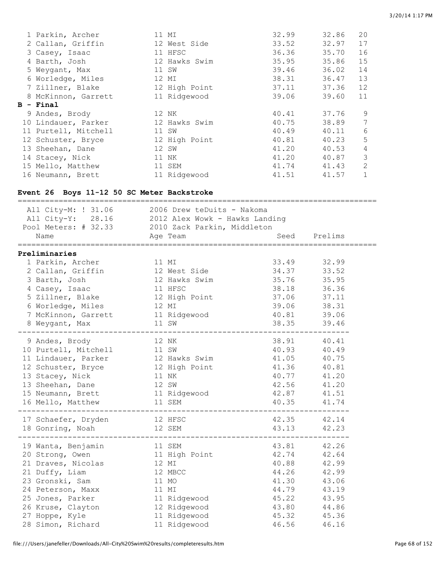|   | 1 Parkin, Archer     |       | 11 MI         | 32.99 | 32.86 | 20             |
|---|----------------------|-------|---------------|-------|-------|----------------|
|   | 2 Callan, Griffin    |       | 12 West Side  | 33.52 | 32.97 | 17             |
|   | 3 Casey, Isaac       |       | 11 HFSC       | 36.36 | 35.70 | 16             |
|   | 4 Barth, Josh        |       | 12 Hawks Swim | 35.95 | 35.86 | 15             |
|   | 5 Weygant, Max       | 11 SW |               | 39.46 | 36.02 | 14             |
|   | 6 Worledge, Miles    | 12 MI |               | 38.31 | 36.47 | 13             |
|   | 7 Zillner, Blake     |       | 12 High Point | 37.11 | 37.36 | 12             |
|   | 8 McKinnon, Garrett  |       | 11 Ridgewood  | 39.06 | 39.60 | 11             |
| в | - Final              |       |               |       |       |                |
|   | 9 Andes, Brody       |       | 12 NK         | 40.41 | 37.76 | 9              |
|   |                      |       |               |       |       |                |
|   | 10 Lindauer, Parker  |       | 12 Hawks Swim | 40.75 | 38.89 | 7              |
|   | 11 Purtell, Mitchell | 11 SW |               | 40.49 | 40.11 | 6              |
|   | 12 Schuster, Bryce   |       | 12 High Point | 40.81 | 40.23 | 5              |
|   | 13 Sheehan, Dane     | 12 SW |               | 41.20 | 40.53 | $\overline{4}$ |
|   | 14 Stacey, Nick      |       | 11 NK         | 41.20 | 40.87 | 3              |
|   | 15 Mello, Matthew    |       | 11 SEM        | 41.74 | 41.43 | 2              |

# **Event 26 Boys 11-12 50 SC Meter Backstroke**

| All City-M: ! 31.06 2006 Drew teDuits - Nakoma<br>All City-Y: 28.16 2012 Alex Wowk - Hawks Landing<br>Pool Meters: # 32.33 2010 Zack Parkin, Middleton<br>Name<br>===================================               | Age Team                                                                                                     | .====================                                                               | Seed Prelims                                                                        |  |
|---------------------------------------------------------------------------------------------------------------------------------------------------------------------------------------------------------------------|--------------------------------------------------------------------------------------------------------------|-------------------------------------------------------------------------------------|-------------------------------------------------------------------------------------|--|
| Preliminaries<br>1 Parkin, Archer<br>2 Callan, Griffin<br>3 Barth, Josh<br>4 Casey, Isaac<br>5 Zillner, Blake<br>6 Worledge, Miles<br>7 McKinnon, Garrett 11 Ridgewood<br>8 Weygant, Max                            | 11 MI<br>12 West Side<br>12 Hawks Swim<br>11 HFSC<br>12 High Point<br>12 MI<br>11 SW                         | 33.49<br>34.37<br>35.76<br>38.18<br>37.06<br>39.06<br>40.81<br>38.35                | 32.99<br>33.52<br>35.95<br>36.36<br>37.11<br>38.31<br>39.06<br>39.46                |  |
| 9 Andes, Brody<br>10 Purtell, Mitchell 11 SW<br>11 Lindauer, Parker 12 Hawks Swim<br>12 Schuster, Bryce 12 High Point<br>13 Stacey, Nick<br>13 Sheehan, Dane<br>15 Neumann, Brett 11 Ridgewood<br>16 Mello, Matthew | 12 NK<br>11 NK<br>12 SW<br>11 SEM<br>--------------------                                                    | 40.93 40.49<br>41.05<br>41.36<br>40.77<br>42.56<br>42.87 41.51<br>40.35             | 38.91 40.41<br>40.75<br>40.81<br>41.20<br>41.20<br>41.74                            |  |
| 17 Schaefer, Dryden 12 HFSC<br>18 Gonring, Noah 12 SEM                                                                                                                                                              |                                                                                                              |                                                                                     | 42.35 42.14<br>43.13 42.23                                                          |  |
| 19 Wanta, Benjamin<br>20 Strong, Owen 11 High Point<br>21 Draves, Nicolas<br>21 Duffy, Liam<br>23 Gronski, Sam<br>24 Peterson, Maxx<br>25 Jones, Parker<br>26 Kruse, Clayton<br>27 Hoppe, Kyle<br>28 Simon, Richard | 11 SEM<br>12 MI<br>12 MBCC<br>11 MO<br>11 MI<br>11 Ridgewood<br>12 Ridgewood<br>11 Ridgewood<br>11 Ridgewood | 42.74 42.64<br>40.88<br>44.26<br>41.30<br>44.79<br>45.22<br>43.80<br>45.32<br>46.56 | 43.81 42.26<br>42.99<br>42.99<br>43.06<br>43.19<br>43.95<br>44.86<br>45.36<br>46.16 |  |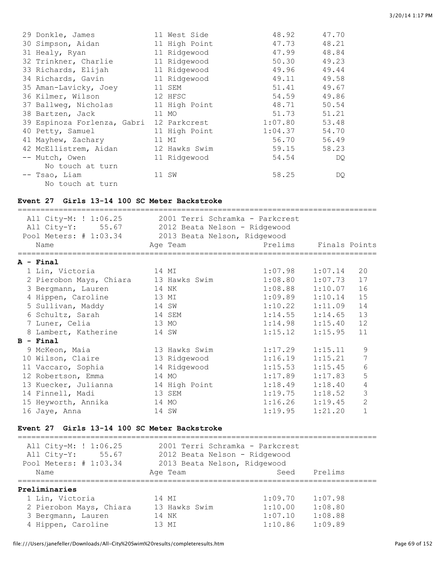| 29 Donkle, James            | 11 West Side  | 48.92   | 47.70 |
|-----------------------------|---------------|---------|-------|
| 30 Simpson, Aidan           | 11 High Point | 47.73   | 48.21 |
| 31 Healy, Ryan              | 11 Ridgewood  | 47.99   | 48.84 |
| 32 Trinkner, Charlie        | 11 Ridgewood  | 50.30   | 49.23 |
| 33 Richards, Elijah         | 11 Ridgewood  | 49.96   | 49.44 |
| 34 Richards, Gavin          | 11 Ridgewood  | 49.11   | 49.58 |
| 35 Aman-Lavicky, Joey       | 11 SEM        | 51.41   | 49.67 |
| 36 Kilmer, Wilson           | 12 HFSC       | 54.59   | 49.86 |
| 37 Ballweg, Nicholas        | 11 High Point | 48.71   | 50.54 |
| 38 Bartzen, Jack            | 11 MO         | 51.73   | 51.21 |
| 39 Espinoza Forlenza, Gabri | 12 Parkcrest  | 1:07.80 | 53.48 |
| 40 Petty, Samuel            | 11 High Point | 1:04.37 | 54.70 |
| 41 Mayhew, Zachary          | 11 MI         | 56.70   | 56.49 |
| 42 McEllistrem, Aidan       | 12 Hawks Swim | 59.15   | 58.23 |
| -- Mutch, Owen              | 11 Ridgewood  | 54.54   | DQ.   |
| No touch at turn            |               |         |       |
| -- Tsao, Liam               | 11 SW         | 58.25   | DQ.   |
| No touch at turn            |               |         |       |

### **Event 27 Girls 13-14 100 SC Meter Backstroke**

| All City-M: ! 1:06.25<br>All City-Y: 55.67 2012 Beata Nelson - Ridgewood<br>Pool Meters: # 1:03.34 2013 Beata Nelson, Ridgewood | 2001 Terri Schramka - Parkcrest |                       |         |                 |
|---------------------------------------------------------------------------------------------------------------------------------|---------------------------------|-----------------------|---------|-----------------|
| Name<br>=====================                                                                                                   | Age Team                        | Prelims Finals Points |         |                 |
| A - Final                                                                                                                       |                                 |                       |         |                 |
| 1 Lin, Victoria<br>14 MI                                                                                                        |                                 | $1:07.98$ $1:07.14$   |         | 20              |
| 2 Pierobon Mays, Chiara 13 Hawks Swim                                                                                           |                                 | 1:08.80               | 1:07.73 | 17              |
| 3 Bergmann, Lauren                                                                                                              | 14 NK                           | $1:08.88$ $1:10.07$   |         | 16              |
| 4 Hippen, Caroline                                                                                                              | 13 MI                           | $1:09.89$ $1:10.14$   |         | 15              |
| 5 Sullivan, Maddy                                                                                                               | 14 SW                           | $1:10.22$ $1:11.09$   |         | 14              |
| 6 Schultz, Sarah                                                                                                                | 14 SEM                          | $1:14.55$ $1:14.65$   |         | 13              |
| 7 Luner, Celia                                                                                                                  | 13 MO                           | 1:14.98               | 1:15.40 | 12              |
| 8 Lambert, Katherine                                                                                                            | 14 SW                           | 1:15.12               | 1:15.95 | 11              |
| B - Final                                                                                                                       |                                 |                       |         |                 |
| 9 McKeon, Maia                                                                                                                  | 13 Hawks Swim                   | 1:17.29               | 1:15.11 | 9               |
| 10 Wilson, Claire                                                                                                               | 13 Ridgewood                    | 1:16.19               | 1:15.21 | $\overline{7}$  |
| 11 Vaccaro, Sophia                                                                                                              | 14 Ridgewood                    | 1:15.53               | 1:15.45 | $6\phantom{1}6$ |
| 12 Robertson, Emma                                                                                                              | 14 MO                           | $1:17.89$ $1:17.83$   |         | 5               |
| 13 Kuecker, Julianna                                                                                                            | 14 High Point                   | $1:18.49$ $1:18.40$   |         | 4               |
| 14 Finnell, Madi                                                                                                                | 13 SEM                          | $1:19.75$ $1:18.52$   |         | 3               |
| 15 Heyworth, Annika                                                                                                             | 14 MO                           | 1:16.26               | 1:19.45 | $\overline{2}$  |
| 16 Jaye, Anna                                                                                                                   | 14 SW                           | 1:19.95               | 1:21.20 | $\mathbf{1}$    |

### **Event 27 Girls 13-14 100 SC Meter Backstroke**

| All City-M: ! 1:06.25<br>All City-Y: 55.67<br>Pool Meters: # 1:03.34 | 2001 Terri Schramka - Parkcrest<br>2012 Beata Nelson - Ridgewood<br>2013 Beata Nelson, Ridgewood |         |         |
|----------------------------------------------------------------------|--------------------------------------------------------------------------------------------------|---------|---------|
| Name                                                                 | Age Team                                                                                         | Seed    | Prelims |
| Preliminaries                                                        |                                                                                                  |         |         |
| 1 Lin, Victoria                                                      | 14 MI                                                                                            | 1:09.70 | 1:07.98 |
| 2 Pierobon Mays, Chiara                                              | 13 Hawks Swim                                                                                    | 1:10.00 | 1:08.80 |
| 3 Bergmann, Lauren                                                   | 14 NK                                                                                            | 1:07.10 | 1:08.88 |
| 4 Hippen, Caroline                                                   | 13 MT                                                                                            | 1:10.86 | 1:09.89 |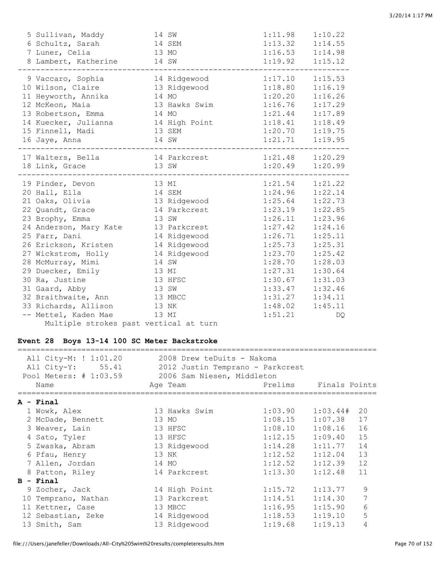| 5 Sullivan, Maddy<br>6 Schultz, Sarah<br>7 Luner, Celia<br>8 Lambert, Katherine                                                                                                                                                                                                                                                                               | 14 SW<br>14 SEM<br>13 MO<br>14 SW                                                                                                                                  | 1:11.98<br>$1:13.32$ $1:14.55$<br>$1:16.53$ $1:14.98$<br>1:19.92                                                                                                                                                                         | 1:10.22<br>1:15.12                                                                                                |
|---------------------------------------------------------------------------------------------------------------------------------------------------------------------------------------------------------------------------------------------------------------------------------------------------------------------------------------------------------------|--------------------------------------------------------------------------------------------------------------------------------------------------------------------|------------------------------------------------------------------------------------------------------------------------------------------------------------------------------------------------------------------------------------------|-------------------------------------------------------------------------------------------------------------------|
| 9 Vaccaro, Sophia<br>10 Wilson, Claire<br>11 Heyworth, Annika<br>12 McKeon, Maia<br>13 Robertson, Emma<br>14 Kuecker, Julianna 14 High Point 1:18.41 1:18.49<br>15 Finnell, Madi<br>16 Jaye, Anna                                                                                                                                                             | 14 Ridgewood<br>13 Ridgewood<br>14 MO<br>13 Hawks Swim<br>14 MO<br>13 SEM<br>14 SW                                                                                 | 1:17.10<br>1:18.80<br>1:20.20<br>1:16.76<br>$1:21.44$ $1:17.89$<br>$1:20.70$ $1:19.75$<br>$1:21.71$ $1:19.95$                                                                                                                            | 1:15.53<br>1:16.19<br>1:16.26<br>1:17.29                                                                          |
| 17 Walters, Bella<br>18 Link, Grace                                                                                                                                                                                                                                                                                                                           | 14 Parkcrest<br>13 SW                                                                                                                                              | $1:21.48$ $1:20.29$<br>1:20.49                                                                                                                                                                                                           | 1:20.99                                                                                                           |
| 19 Pinder, Devon<br>20 Hall, Ella<br>21 Oaks, Olivia<br>22 Quandt, Grace<br>23 Brophy, Emma<br>24 Anderson, Mary Kate 13 Parkcrest<br>25 Farr, Dani<br>26 Erickson, Kristen<br>27 Wickstrom, Holly<br>28 McMurray, Mimi<br>29 Duecker, Emily<br>30 Ra, Justine<br>31 Gaard, Abby<br>32 Braithwaite, Ann<br>33 Richards, Allison 13 NK<br>-- Mettel, Kaden Mae | 13 MI<br>14 SEM<br>13 Ridgewood<br>14 Parkcrest<br>13 SW<br>14 Ridgewood<br>14 Ridgewood<br>14 Ridgewood<br>14 SW<br>13 MI<br>13 HFSC<br>13 SW<br>13 MBCC<br>13 MI | $1:21.54$ $1:21.22$<br>1:24.96<br>1:25.64<br>$1:23.19$ $1:22.85$<br>$1:26.11$ $1:23.96$<br>$1:27.42$ $1:24.16$<br>1:26.71<br>1:25.73<br>1:23.70<br>1:28.70<br>1:27.31<br>1:30.67<br>1:33.47<br>1:31.27<br>$1:48.02$ $1:45.11$<br>1:51.21 | 1:22.14<br>1:22.73<br>1:25.11<br>1:25.31<br>1:25.42<br>1:28.03<br>1:30.64<br>1:31.03<br>1:32.46<br>1:34.11<br>DQ. |
| Multiple strokes past vertical at turn                                                                                                                                                                                                                                                                                                                        |                                                                                                                                                                    |                                                                                                                                                                                                                                          |                                                                                                                   |

### **Event 28 Boys 13-14 100 SC Meter Backstroke**

| Name                                                                                                                                           | Age Team                                                                                       |                                                                                                                      |                                                                                                                                                       |                                                                                                                                                                                                         |
|------------------------------------------------------------------------------------------------------------------------------------------------|------------------------------------------------------------------------------------------------|----------------------------------------------------------------------------------------------------------------------|-------------------------------------------------------------------------------------------------------------------------------------------------------|---------------------------------------------------------------------------------------------------------------------------------------------------------------------------------------------------------|
|                                                                                                                                                |                                                                                                |                                                                                                                      |                                                                                                                                                       |                                                                                                                                                                                                         |
| 1 Wowk, Alex<br>2 McDade, Bennett<br>3 Weaver, Lain<br>4 Sato, Tyler<br>5 Zwaska, Abram<br>6 Pfau, Henry<br>7 Allen, Jordan<br>8 Patton, Riley | 13 Hawks Swim<br>13 MO<br>13 HFSC<br>13 HFSC<br>13 Ridgewood<br>13 NK<br>14 MO<br>14 Parkcrest |                                                                                                                      | 1:03.44#<br>1:07.38<br>1:08.16<br>1:09.40<br>1:11.77<br>1:12.39<br>1:12.48                                                                            | 20<br>17<br>16<br>15<br>14<br>13<br>12<br>11                                                                                                                                                            |
| $B - Final$                                                                                                                                    |                                                                                                |                                                                                                                      |                                                                                                                                                       |                                                                                                                                                                                                         |
| 9 Zocher, Jack<br>10 Temprano, Nathan<br>11 Kettner, Case<br>12 Sebastian, Zeke<br>13 Smith, Sam                                               | 13 Parkcrest<br>13 MBCC<br>14 Ridgewood                                                        |                                                                                                                      | 1:14.30<br>1:15.90<br>1:19.13                                                                                                                         | 9<br>$\overline{7}$<br>$6\phantom{1}6$<br>5<br>4                                                                                                                                                        |
|                                                                                                                                                | $A - Final$                                                                                    | Event 28 Boys 13-14 100 SC Meter Backstroke<br>All City-M: ! 1:01.20<br>===========================<br>14 High Point | 2008 Drew teDuits - Nakoma<br>All City-Y: 55.41 2012 Justin Temprano - Parkcrest<br>Pool Meters: # 1:03.59 2006 Sam Niesen, Middleton<br>13 Ridgewood | Prelims Finals Points<br>1:03.90<br>1:08.15<br>1:08.10<br>1:12.15<br>1:14.28<br>$1:12.52$ $1:12.04$<br>1:12.52<br>1:13.30<br>1:15.72<br>1:13.77<br>1:14.51<br>1:16.95<br>$1:18.53$ $1:19.10$<br>1:19.68 |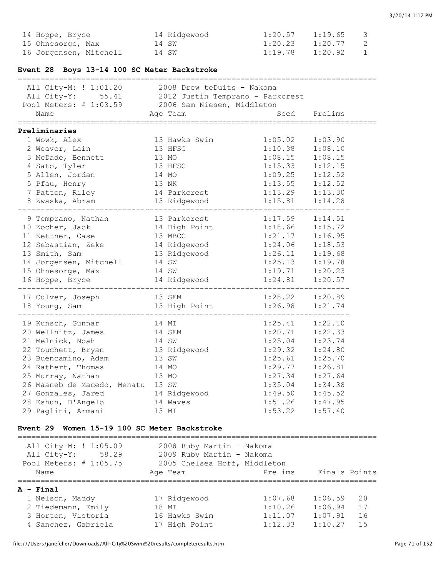| 14 Hoppe, Bryce<br>15 Ohnesorge, Max               | 14 Ridgewood<br>14 SW      | 1:20.57<br>1:20.23 | 1:19.65<br>1:20.77 | 3<br>$\mathbf{2}$ |
|----------------------------------------------------|----------------------------|--------------------|--------------------|-------------------|
| 16 Jorgensen, Mitchell 14 SW                       |                            | 1:19.78            | 1:20.92            | $\mathbf{1}$      |
| Event 28 Boys 13-14 100 SC Meter Backstroke        |                            |                    |                    |                   |
| All City-M: ! 1:01.20                              | 2008 Drew teDuits - Nakoma |                    |                    |                   |
| All City-Y: 55.41 2012 Justin Temprano - Parkcrest |                            |                    |                    |                   |
| Pool Meters: # 1:03.59 2006 Sam Niesen, Middleton  |                            |                    |                    |                   |
| Name                                               | Age Team                   | Seed               | Prelims            |                   |
| Preliminaries                                      |                            |                    |                    |                   |
| 1 Wowk, Alex                                       | 13 Hawks Swim              | 1:05.02            | 1:03.90            |                   |
| 2 Weaver, Lain                                     | 13 HFSC                    | 1:10.38            | 1:08.10            |                   |
| 3 McDade, Bennett                                  | 13 MO                      | 1:08.15            | 1:08.15            |                   |
| 4 Sato, Tyler                                      | 13 HFSC                    | 1:15.33            | 1:12.15            |                   |
| 5 Allen, Jordan                                    | 14 MO                      | 1:09.25            | 1:12.52            |                   |
| 5 Pfau, Henry                                      | 13 NK                      | 1:13.55            | 1:12.52            |                   |
| 7 Patton, Riley                                    | 14 Parkcrest               | 1:13.29            | 1:13.30            |                   |
| 8 Zwaska, Abram                                    | 13 Ridgewood               | 1:15.81            | 1:14.28            |                   |
| 9 Temprano, Nathan                                 | 13 Parkcrest               | 1:17.59            | 1:14.51            |                   |
| 10 Zocher, Jack                                    | 14 High Point              | 1:18.66            | 1:15.72            |                   |
| 11 Kettner, Case                                   | 13 MBCC                    | 1:21.17            | 1:16.95            |                   |
| 12 Sebastian, Zeke                                 | 14 Ridgewood               | 1:24.06            | 1:18.53            |                   |
| 13 Smith, Sam                                      | 13 Ridgewood               | 1:26.11            | 1:19.68            |                   |
| 14 Jorgensen, Mitchell                             | 14 SW                      | 1:25.13            | 1:19.78            |                   |
| 15 Ohnesorge, Max                                  | 14 SW                      | 1:19.71            | 1:20.23            |                   |
| 16 Hoppe, Bryce                                    | 14 Ridgewood               | 1:24.81            | 1:20.57            |                   |
| 17 Culver, Joseph                                  | 13 SEM                     | 1:28.22            | 1:20.89            |                   |
| 18 Young, Sam                                      | 13 High Point              | 1:26.98            | 1:21.74            |                   |
|                                                    |                            |                    |                    |                   |
| 19 Kunsch, Gunnar                                  | 14 MI                      | 1:25.41            | 1:22.10            |                   |
| 20 Wellnitz, James                                 | 14 SEM                     | 1:20.71            | 1:22.33            |                   |
| 21 Melnick, Noah                                   | 14 SW                      | 1:25.04            | 1:23.74            |                   |
| 22 Touchett, Bryan                                 | 13 Ridgewood               | 1:29.32            | 1:24.80            |                   |
| 23 Buencamino, Adam                                | 13 SW                      | 1:25.61            | 1:25.70            |                   |
| 24 Rathert, Thomas                                 | 14 MO                      | 1:29.77            | 1:26.81            |                   |
| 25 Murray, Nathan                                  | 13 MO                      | 1:27.34            | 1:27.64            |                   |
| 26 Maaneb de Macedo, Menatu                        | 13 SW                      | 1:35.04            | 1:34.38            |                   |
| 27 Gonzales, Jared                                 | 14 Ridgewood               | 1:49.50            | 1:45.52            |                   |
| 28 Eshun, D'Angelo                                 | 14 Waves                   | 1:51.26            | 1:47.95            |                   |
| 29 Paglini, Armani                                 | 13 MI                      | 1:53.22            | 1:57.40            |                   |

#### **Event 29 Women 15-19 100 SC Meter Backstroke**

=============================================================================== All City-M: ! 1:05.09 2008 Ruby Martin - Nakoma All City-Y: 58.29 2009 Ruby Martin - Nakoma Pool Meters: # 1:05.75 2005 Chelsea Hoff, Middleton Name Age Team Prelims Finals Points =============================================================================== **A - Final** - Final<br>
1 Nelson, Maddy 17 Ridgewood 1:07.68 1:06.59 20<br>
2 Tiedemann, Emily 18 MI 1:10.26 1:06.94 17<br>
3 Horton, Victoria 16 Hawks Swim 1:11.07 1:07.91 16 2 Tiedemann, Emily 18 MI<br>
3 Horton, Victoria 16 Hawks Swim 1:11.07 1:07.91 16<br>
4 Sanchez, Gabriela 17 High Point 1:12.33 1:10.27 15  $1:10.20$   $1:00.94$  17<br> $1:11.07$   $1:07.91$  16 17 High Point 1:12.33 1:10.27 15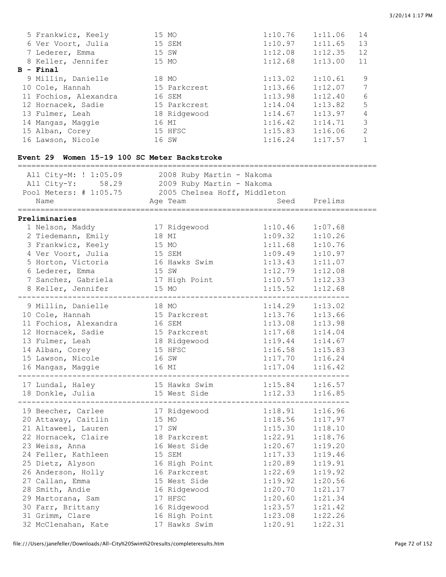| 5 Frankwicz, Keely    | 15 MO |              | 1:10.76 | 1:11.06 | 14            |
|-----------------------|-------|--------------|---------|---------|---------------|
| 6 Ver Voort, Julia    |       | 15 SEM       | 1:10.97 | 1:11.65 | 13            |
| 7 Lederer, Emma       | 15 SW |              | 1:12.08 | 1:12.35 | 12            |
| 8 Keller, Jennifer    | 15 MO |              | 1:12.68 | 1:13.00 | 11            |
| B - Final             |       |              |         |         |               |
| 9 Millin, Danielle    |       | 18 MO        | 1:13.02 | 1:10.61 | 9             |
| 10 Cole, Hannah       |       | 15 Parkcrest | 1:13.66 | 1:12.07 | 7             |
| 11 Fochios, Alexandra |       | 16 SEM       | 1:13.98 | 1:12.40 | 6             |
| 12 Hornacek, Sadie    |       | 15 Parkcrest | 1:14.04 | 1:13.82 | 5             |
| 13 Fulmer, Leah       |       | 18 Ridgewood | 1:14.67 | 1:13.97 | 4             |
| 14 Mangas, Maggie     |       | 16 MI        | 1:16.42 | 1:14.71 | 3             |
| 15 Alban, Corey       |       | 15 HFSC      | 1:15.83 | 1:16.06 | $\mathcal{L}$ |
| 16 Lawson, Nicole     |       | 16 SW        | 1:16.24 | 1:17.57 |               |

### **Event 29 Women 15-19 100 SC Meter Backstroke**

| All City-M: ! 1:05.09 2008 Ruby Martin - Nakoma<br>All City-Y: 58.29 2009 Ruby Martin - Nakoma<br>Pool Meters: # 1:05.75 2005 Chelsea Hoff, Middleton<br>Name                                                                                                                 | Age Team                                                                                                                                                                              | Seed                                                                                                                                        | Prelims                                                                                                                                     |
|-------------------------------------------------------------------------------------------------------------------------------------------------------------------------------------------------------------------------------------------------------------------------------|---------------------------------------------------------------------------------------------------------------------------------------------------------------------------------------|---------------------------------------------------------------------------------------------------------------------------------------------|---------------------------------------------------------------------------------------------------------------------------------------------|
| Preliminaries                                                                                                                                                                                                                                                                 |                                                                                                                                                                                       |                                                                                                                                             |                                                                                                                                             |
| 1 Nelson, Maddy<br>2 Tiedemann, Emily 18 MI<br>3 Frankwicz, Keely 15 MO<br>4 Ver Voort, Julia 15 SEM<br>5 Horton, Victoria<br>6 Lederer, Emma<br>7 Sanchez, Gabriela 17 High Point<br>8 Keller, Jennifer                                                                      | 17 Ridgewood<br>16 Hawks Swim<br>15 SW<br>15 MO                                                                                                                                       | 1:10.46<br>1:09.32<br>1:11.68<br>$1:09.49$<br>$1:13.43$<br>1:12.79<br>1:10.57<br>1:15.52                                                    | 1:07.68<br>1:10.26<br>1:10.76<br>1:10.97<br>1:11.07<br>1:12.08<br>1:12.33<br>1:12.68                                                        |
| 9 Millin, Danielle<br>10 Cole, Hannah<br>11 Fochios, Alexandra 16 SEM<br>12 Hornacek, Sadie<br>13 Fulmer, Leah<br>14 Alban, Corey<br>15 Lawson, Nicole<br>16 Mangas, Maggie                                                                                                   | 18 MO<br>15 Parkcrest<br>--<br>15 Parkcrest<br>18 Ridgewood<br>15 HFSC<br>16 SW<br>16 MI                                                                                              | 1:14.29<br>1:13.76<br>1:13.08<br>1:17.68<br>1:19.44<br>1:16.58<br>1:17.70<br>1:17.04                                                        | 1:13.02<br>1:13.66<br>1:13.98<br>1:14.04<br>1:14.67<br>1:15.83<br>1:16.24<br>1:16.42                                                        |
| 17 Lundal, Haley<br>18 Donkle, Julia                                                                                                                                                                                                                                          | 15 Hawks Swim<br>15 West Side                                                                                                                                                         | $1:15.84$ $1:16.57$<br>1:12.33                                                                                                              | 1:16.85                                                                                                                                     |
| 19 Beecher, Carlee<br>20 Attaway, Caitlin<br>21 Altaweel, Lauren<br>22 Hornacek, Claire<br>23 Weiss, Anna<br>24 Feller, Kathleen<br>25 Dietz, Alyson<br>26 Anderson, Holly<br>27 Callan, Emma<br>28 Smith, Andie<br>29 Martorana, Sam<br>30 Farr, Brittany<br>31 Grimm, Clare | 17 Ridgewood<br>15 MO<br>17 SW<br>18 Parkcrest<br>16 West Side<br>15 SEM<br>16 High Point<br>16 Parkcrest<br>15 West Side<br>16 Ridgewood<br>17 HFSC<br>16 Ridgewood<br>16 High Point | 1:18.91<br>1:18.56<br>1:15.30<br>1:22.91<br>1:20.67<br>1:17.33<br>1:20.89<br>1:22.69<br>1:19.92<br>1:20.70<br>1:20.60<br>1:23.57<br>1:23.08 | 1:16.96<br>1:17.97<br>1:18.10<br>1:18.76<br>1:19.20<br>1:19.46<br>1:19.91<br>1:19.92<br>1:20.56<br>1:21.17<br>1:21.34<br>1:21.42<br>1:22.26 |
| 32 McClenahan, Kate                                                                                                                                                                                                                                                           | 17 Hawks Swim                                                                                                                                                                         | 1:20.91                                                                                                                                     | 1:22.31                                                                                                                                     |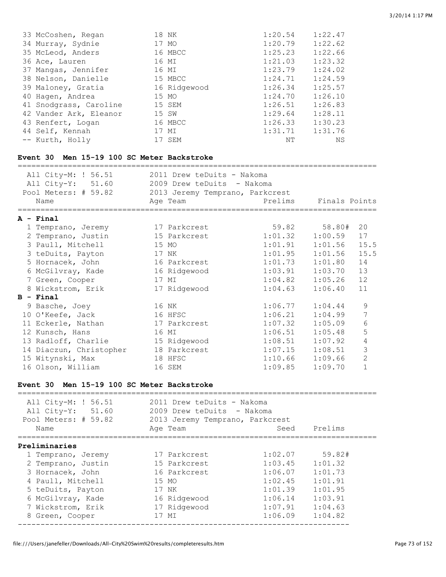| 33 McCoshen, Regan     | 18 NK        | 1:20.54 | 1:22.47 |
|------------------------|--------------|---------|---------|
| 34 Murray, Sydnie      | 17 MO        | 1:20.79 | 1:22.62 |
| 35 McLeod, Anders      | 16 MBCC      | 1:25.23 | 1:22.66 |
| 36 Ace, Lauren         | 16 MI        | 1:21.03 | 1:23.32 |
| 37 Mangas, Jennifer    | 16 MI        | 1:23.79 | 1:24.02 |
| 38 Nelson, Danielle    | 15 MBCC      | 1:24.71 | 1:24.59 |
| 39 Maloney, Gratia     | 16 Ridgewood | 1:26.34 | 1:25.57 |
| 40 Hagen, Andrea       | 15 MO        | 1:24.70 | 1:26.10 |
| 41 Snodgrass, Caroline | 15 SEM       | 1:26.51 | 1:26.83 |
| 42 Vander Ark, Eleanor | 15 SW        | 1:29.64 | 1:28.11 |
| 43 Renfert, Logan      | 16 MBCC      | 1:26.33 | 1:30.23 |
| 44 Self, Kennah        | 17 MI        | 1:31.71 | 1:31.76 |
| -- Kurth, Holly        | 17 SEM       | NΤ      | ΝS      |

## **Event 30 Men 15-19 100 SC Meter Backstroke**

| All City-M: ! 56.51  | 2011 Drew teDuits - Nakoma      |         |               |
|----------------------|---------------------------------|---------|---------------|
| All City-Y: 51.60    | 2009 Drew teDuits - Nakoma      |         |               |
| Pool Meters: # 59.82 | 2013 Jeremy Temprano, Parkcrest |         |               |
| Name                 | Age Team                        | Prelims | Finals Points |
|                      |                                 |         |               |

# **A - Final**

| A - Final |                                                                                                                                                                                                                                                                                                                                                            |         |         |                                          |
|-----------|------------------------------------------------------------------------------------------------------------------------------------------------------------------------------------------------------------------------------------------------------------------------------------------------------------------------------------------------------------|---------|---------|------------------------------------------|
|           | 17 Parkcrest                                                                                                                                                                                                                                                                                                                                               | 59.82   | 58.80#  | 20                                       |
|           | 15 Parkcrest                                                                                                                                                                                                                                                                                                                                               | 1:01.32 | 1:00.59 | 17                                       |
|           | 15 MO                                                                                                                                                                                                                                                                                                                                                      | 1:01.91 | 1:01.56 | 15.5                                     |
|           | 17 NK                                                                                                                                                                                                                                                                                                                                                      | 1:01.95 | 1:01.56 | 15.5                                     |
|           | 16 Parkcrest                                                                                                                                                                                                                                                                                                                                               | 1:01.73 | 1:01.80 | 14                                       |
|           | 16 Ridgewood                                                                                                                                                                                                                                                                                                                                               | 1:03.91 | 1:03.70 | 13                                       |
|           | 17 MI                                                                                                                                                                                                                                                                                                                                                      |         | 1:05.26 | 12                                       |
|           | 17 Ridgewood                                                                                                                                                                                                                                                                                                                                               |         | 1:06.40 | 11                                       |
|           |                                                                                                                                                                                                                                                                                                                                                            |         |         |                                          |
|           | 16 NK                                                                                                                                                                                                                                                                                                                                                      | 1:06.77 | 1:04.44 | 9                                        |
|           | 16 HFSC                                                                                                                                                                                                                                                                                                                                                    | 1:06.21 | 1:04.99 | 7                                        |
|           | 17 Parkcrest                                                                                                                                                                                                                                                                                                                                               | 1:07.32 | 1:05.09 | 6                                        |
|           | 16 MI                                                                                                                                                                                                                                                                                                                                                      | 1:06.51 | 1:05.48 | 5                                        |
|           | 15 Ridgewood                                                                                                                                                                                                                                                                                                                                               | 1:08.51 | 1:07.92 | $\overline{4}$                           |
|           | 18 Parkcrest                                                                                                                                                                                                                                                                                                                                               |         | 1:08.51 | 3                                        |
|           | 18 HFSC                                                                                                                                                                                                                                                                                                                                                    |         | 1:09.66 | $\overline{2}$                           |
|           | 16 SEM                                                                                                                                                                                                                                                                                                                                                     | 1:09.85 | 1:09.70 | $\mathbf{1}$                             |
|           | 1 Temprano, Jeremy<br>2 Temprano, Justin<br>3 Paull, Mitchell<br>3 teDuits, Payton<br>5 Hornacek, John<br>6 McGilvray, Kade<br>7 Green, Cooper<br>8 Wickstrom, Erik<br>B - Final<br>9 Basche, Joey<br>10 O'Keefe, Jack<br>11 Eckerle, Nathan<br>12 Kunsch, Hans<br>13 Radloff, Charlie<br>14 Diaczun, Christopher<br>15 Witynski, Max<br>16 Olson, William |         |         | 1:04.82<br>1:04.63<br>1:07.15<br>1:10.66 |

#### **Event 30 Men 15-19 100 SC Meter Backstroke**

| All City-M: ! 56.51<br>All City-Y: 51.60<br>Pool Meters: $# 59.82$<br>Name | 2011 Drew teDuits - Nakoma<br>2009 Drew teDuits - Nakoma<br>2013 Jeremy Temprano, Parkcrest<br>Age Team | Seed    | Prelims |
|----------------------------------------------------------------------------|---------------------------------------------------------------------------------------------------------|---------|---------|
| Preliminaries                                                              |                                                                                                         |         |         |
| 1 Temprano, Jeremy                                                         | 17 Parkcrest                                                                                            | 1:02.07 | 59.82#  |
| 2 Temprano, Justin                                                         | 15 Parkcrest                                                                                            | 1:03.45 | 1:01.32 |
| 3 Hornacek, John                                                           | 16 Parkcrest                                                                                            | 1:06.07 | 1:01.73 |
| 4 Paull, Mitchell                                                          | 15 MO                                                                                                   | 1:02.45 | 1:01.91 |
| 5 teDuits, Payton                                                          | 17 NK                                                                                                   | 1:01.39 | 1:01.95 |
| 6 McGilvray, Kade                                                          | 16 Ridgewood                                                                                            | 1:06.14 | 1:03.91 |
| 7 Wickstrom, Erik                                                          | 17 Ridgewood                                                                                            | 1:07.91 | 1:04.63 |
| 8 Green, Cooper                                                            | 17 MI                                                                                                   | 1:06.09 | 1:04.82 |
|                                                                            |                                                                                                         |         |         |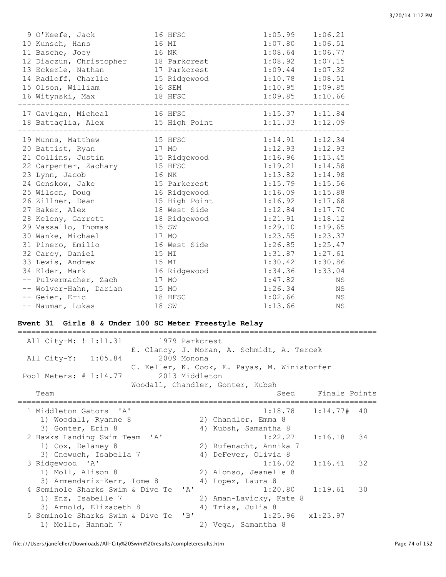| 9 O'Keefe, Jack<br>10 Kunsch, Hans<br>11 Basche, Joey<br>16 NK<br>12 Diaczun, Christopher 18 Parkcrest<br>13 Eckerle, Nathan<br>14 Radloff, Charlie 15 Ridgewood<br>15 Olson, William<br>16 SEM<br>16 Witynski, Max | 16 MI | 16 HFSC<br>17 Parkcrest<br>18 HFSC | 1:05.99<br>1:07.80<br>1:08.64<br>1:08.92<br>1:09.44<br>1:10.78<br>$1:10.95$ $1:09.85$<br>$1:09.85$ $1:10.66$ | 1:06.21<br>1:06.51<br>1:06.77<br>1:07.15<br>1:07.32<br>1:08.51 |
|---------------------------------------------------------------------------------------------------------------------------------------------------------------------------------------------------------------------|-------|------------------------------------|--------------------------------------------------------------------------------------------------------------|----------------------------------------------------------------|
| 17 Gavigan, Micheal<br>16 HFSC<br>18 Battaglia, Alex 15 High Point                                                                                                                                                  |       |                                    | $1:15.37$ $1:11.84$<br>$1:11.33$ $1:12.09$                                                                   |                                                                |
| 19 Munns, Matthew<br>15 HFSC                                                                                                                                                                                        |       |                                    | $1:14.91$ $1:12.34$                                                                                          |                                                                |
| 17 MO<br>20 Battist, Ryan                                                                                                                                                                                           |       |                                    | 1:12.93                                                                                                      | 1:12.93                                                        |
| 21 Collins, Justin 15 Ridgewood                                                                                                                                                                                     |       |                                    | 1:16.96                                                                                                      | 1:13.45                                                        |
| 15 HFSC<br>22 Carpenter, Zachary                                                                                                                                                                                    |       |                                    | 1:19.21                                                                                                      | 1:14.58                                                        |
| 23 Lynn, Jacob                                                                                                                                                                                                      |       | 16 NK                              | 1:13.82                                                                                                      | 1:14.98                                                        |
| 24 Genskow, Jake                                                                                                                                                                                                    |       | 15 Parkcrest                       | 1:15.79                                                                                                      | 1:15.56                                                        |
| 25 Wilson, Doug<br>16 Ridgewood                                                                                                                                                                                     |       |                                    | 1:16.09                                                                                                      | 1:15.88                                                        |
| 26 Zillner, Dean                                                                                                                                                                                                    |       | 15 High Point                      | 1:16.92                                                                                                      | 1:17.68                                                        |
| 27 Baker, Alex                                                                                                                                                                                                      |       | 18 West Side                       | 1:12.84                                                                                                      | 1:17.70                                                        |
| 28 Keleny, Garrett                                                                                                                                                                                                  |       | 18 Ridgewood                       | 1:21.91                                                                                                      | 1:18.12                                                        |
| 29 Vassallo, Thomas                                                                                                                                                                                                 |       | 15 SW                              | 1:29.10                                                                                                      | 1:19.65                                                        |
| 30 Wanke, Michael                                                                                                                                                                                                   |       | 17 MO                              | 1:23.55                                                                                                      | 1:23.37                                                        |
| 31 Pinero, Emilio                                                                                                                                                                                                   |       | 16 West Side                       | 1:26.85                                                                                                      | 1:25.47                                                        |
| 32 Carey, Daniel                                                                                                                                                                                                    | 15 MI |                                    | 1:31.87                                                                                                      | 1:27.61                                                        |
| 33 Lewis, Andrew                                                                                                                                                                                                    | 15 MI |                                    | 1:30.42                                                                                                      | 1:30.86                                                        |
| 34 Elder, Mark                                                                                                                                                                                                      |       | 16 Ridgewood                       | 1:34.36                                                                                                      | 1:33.04                                                        |
| -- Pulvermacher, Zach                                                                                                                                                                                               |       | 17 MO                              | 1:47.82                                                                                                      | ΝS                                                             |
| -- Wolver-Hahn, Darian<br>15 MO                                                                                                                                                                                     |       |                                    | 1:26.34                                                                                                      | ΝS                                                             |
| -- Geier, Eric                                                                                                                                                                                                      |       | 18 HFSC                            | 1:02.66                                                                                                      | ΝS                                                             |
| -- Nauman, Lukas                                                                                                                                                                                                    |       | 18 SW                              | 1:13.66                                                                                                      | ΝS                                                             |

#### **Event 31 Girls 8 & Under 100 SC Meter Freestyle Relay**

=============================================================================== All City-M: ! 1:11.31 1979 Parkcrest E. Clancy, J. Moran, A. Schmidt, A. Tercek All City-Y: 1:05.84 2009 Monona C. Keller, K. Cook, E. Payas, M. Winistorfer Pool Meters: # 1:14.77 2013 Middleton Woodall, Chandler, Gonter, Kubsh Team Seed Finals Points =============================================================================== 1 Middleton Gators 'A' 1:18.78 1:14.77# 40 1) Woodall, Ryanne 8 2) Chandler, Emma 8 3) Gonter, Erin 8 4) Kubsh, Samantha 8 2 Hawks Landing Swim Team 'A' 1:22.27 1:16.18 34 1) Cox, Delaney 8 2) Rufenacht, Annika 7 3) Gnewuch, Isabella 7 4) DeFever, Olivia 8 3 Ridgewood 'A' 1:16.02 1:16.41 32 1) Moll, Alison 8 2) Alonso, Jeanelle 8 3) Armendariz-Kerr, Iome 8 4) Lopez, Laura 8 4 Seminole Sharks Swim & Dive Te 'A' 1:20.80 1:19.61 30 1) Enz, Isabelle 7 2) Aman-Lavicky, Kate 8 3) Arnold, Elizabeth 8 4) Trias, Julia 8 5 Seminole Sharks Swim & Dive Te 'B' 1:25.96 x1:23.97 1) Mello, Hannah 7 2) Vega, Samantha 8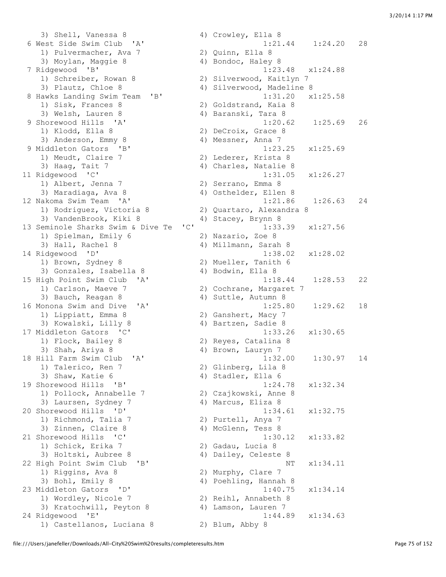3) Shell, Vanessa 8 4) Crowley, Ella 8 6 West Side Swim Club 'A' 1:21.44 1:24.20 28 1) Pulvermacher, Ava 7 2) Quinn, Ella 8 3) Moylan, Maggie 8 4) Bondoc, Haley 8 7 Ridgewood 'B' 1:23.48 x1:24.88 1) Schreiber, Rowan 8 2) Silverwood, Kaitlyn 7 3) Plautz, Chloe 8 4) Silverwood, Madeline 8 8 Hawks Landing Swim Team 'B' 1:31.20 x1:25.58<br>
1) Sisk, Frances 8 2) Goldstrand, Kaia 8<br>
3) Welsh, Lauren 8 4) Baranski, Tara 8 1) Sisk, Frances 8 2) Goldstrand, Kaia 8 3) Welsh, Lauren 8 (4) Baranski, Tara 8 9 Shorewood Hills 'A' 1:20.62 1:25.69 26 1) Klodd, Ella 8 2) DeCroix, Grace 8 3) Anderson, Emmy 8 4) Messner, Anna 7 9 Middleton Gators 'B' 1:23.25 x1:25.69 1) Meudt, Claire 7 2) Lederer, Krista 8 3) Haag, Tait 7 4) Charles, Natalie 8 11 Ridgewood 'C' 1:31.05 x1:26.27 1) Albert, Jenna 7 2) Serrano, Emma 8 3) Maradiaga, Ava 8 4) Osthelder, Ellen 8 12 Nakoma Swim Team 'A' 1:21.86 1:26.63 24 1) Rodriguez, Victoria 8 2) Quartaro, Alexandra 8 3) VandenBrook, Kiki 8 4) Stacey, Brynn 8 13 Seminole Sharks Swim & Dive Te 'C' 1:33.39 x1:27.56 1) Spielman, Emily 6 2) Nazario, Zoe 8 3) Hall, Rachel 8 4) Millmann, Sarah 8 4 338.02 14 Ridgewood 'D' 1:38.02 x1:28.02 1) Brown, Sydney 8 2) Mueller, Tanith 6 3) Gonzales, Isabella 8 4) Bodwin, Ella 8 1) Carlson, Maeve 7 2) Cochrane, Margaret 7 3) Bauch, Reagan 8 4) Suttle, Autumn 8 1) Lippiatt, Emma 8 2) Ganshert, Macy 7 3) Kowalski, Lilly 8 4) Bartzen, Sadie 8 17 Middleton Gators 'C' 1:33.26 x1:30.65 1) Flock, Bailey 8 2) Reyes, Catalina 8 3) Shah, Ariya 8 4) Brown, Lauryn 7 1) Talerico, Ren 7 2) Glinberg, Lila 8 3) Shaw, Katie 6 4) Stadler, Ella 6 19 Shorewood Hills 'B' 1:24.78 x1:32.34 1) Pollock, Annabelle 7 2) Czajkowski, Anne 8 3) Laursen, Sydney 7 4) Marcus, Eliza 8 20 Shorewood Hills 'D' 1:34.61 x1:32.75 1) Richmond, Talia 7 2) Purtell, Anya 7 3) Zinnen, Claire 8 4) McGlenn, Tess 8 21 Shorewood Hills 'C' 1:30.12 x1:33.82 1) Schick, Erika 7 2) Gadau, Lucia 8 3) Holtski, Aubree 8 4) Dailey, Celeste 8 22 High Point Swim Club 'B' NT x1:34.11 1) Riggins, Ava 8 2) Murphy, Clare 7<br>
3) Bohl, Emily 8 3 4) Poehling, Hannah 8 3) Bohl, Emily 8 4) Poehling, Hannah 8 23 Middleton Gators 'D' 1:40.75 x1:34.14 1) Wordley, Nicole 7 2) Reihl, Annabeth 8 3) Kratochwill, Peyton 8 (4) Lamson, Lauren 7 24 Ridgewood 'E' 1:44.89 x1:34.63 1) Castellanos, Luciana 8 2) Blum, Abby 8

15 High Point Swim Club 'A' 1:18.44 1:28.53 22 16 Monona Swim and Dive 'A' 1:25.80 1:29.62 18 18 Hill Farm Swim Club 'A' 1:32.00 1:30.97 14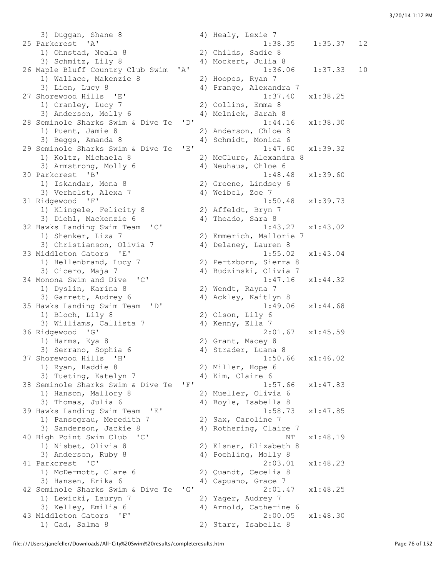3) Duggan, Shane 8 4) Healy, Lexie 7 25 Parkcrest 'A' 1:38.35 1:35.37 12 1) Ohnstad, Neala 8 2) Childs, Sadie 8<br>3) Schmitz, Lily 8 4) Mockert, Julia 8 4) Mockert, Julia 8<br>1:36.06 26 Maple Bluff Country Club Swim 'A' 1:36.06 1:37.33 10 1) Wallace, Makenzie 8 2) Hoopes, Ryan 7 3) Lien, Lucy 8 4) Prange, Alexandra 7 27 Shorewood Hills 'E' 1:37.40 x1:38.25 1) Cranley, Lucy 7 2) Collins, Emma 8 3) Anderson, Molly 6 4) Melnick, Sarah 8 28 Seminole Sharks Swim & Dive Te 'D' 1:44.16 x1:38.30 1) Puent, Jamie 8 2) Anderson, Chloe 8 3) Beggs, Amanda 8 4) Schmidt, Monica 6 29 Seminole Sharks Swim & Dive Te 'E' 1:47.60 x1:39.32<br>1) Koltz, Michaela 8 2) McClure, Alexandra 8 1) Koltz, Michaela 8 2) McClure, Alexandra 8 3) Armstrong, Molly 6 4) Neuhaus, Chloe 6 30 Parkcrest 'B' 1:48.48 x1:39.60 1) Iskandar, Mona 8 2) Greene, Lindsey 6 3) Verhelst, Alexa 7 (4) Weibel, Zoe 7 30 Farnessee – The Theorem Controllery (1) Iskandar, Mona 8<br>31 Verhelst, Alexa 7 (1) 4) Weibel, Zoe 7<br>31 Ridgewood 'F' (1:50.48 x1:39.73 1) Klingele, Felicity 8 2) Affeldt, Bryn 7 3) Diehl, Mackenzie 6 4) Theado, Sara 8 32 Hawks Landing Swim Team 'C' 1:43.27 x1:43.02 1) Shenker, Liza 7 2) Emmerich, Mallorie 7 3) Christianson, Olivia 7 4) Delaney, Lauren 8 33 Middleton Gators 'E' 1:55.02 x1:43.04<br>1) Hellenbrand, Lucy 7 2) Pertzborn, Sierra 8 1) Hellenbrand, Lucy 7 2) Pertzborn, Sierra 8 3) Cicero, Maja 7 4) Budzinski, Olivia 7 34 Monona Swim and Dive 'C' 1:47.16 x1:44.32<br>1) Dyslin, Karina 8 2) Wendt, Rayna 7 1. 1<br>2) Wendt, Rayna 7 3) Garrett, Audrey 6 4) Ackley, Kaitlyn 8 35 Hawks Landing Swim Team 'D' 1:49.06 x1:44.68 1) Bloch, Lily 8 2) Olson, Lily 6<br>3) Williams, Callista 7 4) Kenny, Ella 7 3) Williams, Callista 7 36 Ridgewood 'G' 2:01.67 x1:45.59 1) Harms, Kya 8 2) Grant, Macey 8 3) Serrano, Sophia 6 (4) 4 4) Strader, Luana 8 37 Shorewood Hills 'H' 1:50.66 x1:46.02 1) Ryan, Haddie 8 2) Miller, Hope 6 3) Tueting, Katelyn 7 (4) Kim, Claire 6 38 Seminole Sharks Swim & Dive Te 'F' 1:57.66 x1:47.83 1) Hanson, Mallory 8 2) Mueller, Olivia 6 3) Thomas, Julia 6 4) Boyle, Isabella 8 39 Hawks Landing Swim Team 'E' 1:58.73 x1:47.85 1) Pansegrau, Meredith 7 2) Sax, Caroline 7 3) Sanderson, Jackie 8 4) Rothering, Claire 7 40 High Point Swim Club 'C' 1) Nisbet, Olivia 8 (1984) 2) Elsner, Elizabeth 8 1) Nisbet, Olivia 8 3) Anderson, Ruby 8 4) Poehling, Molly 8 41 Parkcrest 'C' 2:03.01 x1:48.23 1) McDermott, Clare 6 2) Quandt, Cecelia 8 3) Hansen, Erika 6 4) Capuano, Grace 7 42 Seminole Sharks Swim & Dive Te 'G' 2:01.47 x1:48.25 1) Lewicki, Lauryn 7 2) Yager, Audrey 7 3) Kelley, Emilia 6 4) Arnold, Catherine 6 43 Middleton Gators 'F' 2:00.05 x1:48.30 1) Gad, Salma 8 2) Starr, Isabella 8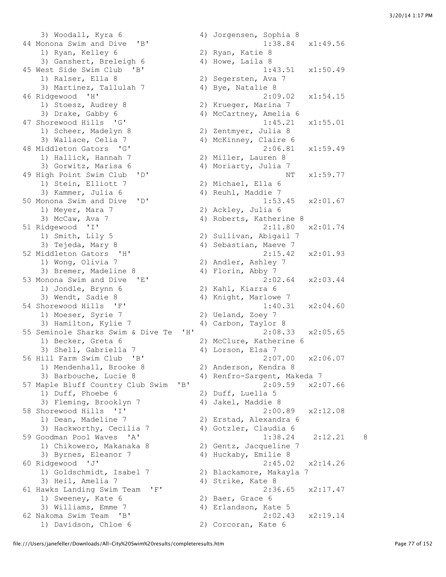3) Woodall, Kyra 6 4) Jorgensen, Sophia 8 44 Monona Swim and Dive 'B' 1:38.84 x1:49.56 1) Ryan, Kelley 6 2) Ryan, Katie 8<br>3) Ganshert, Breleigh 6 4) Howe, Laila 8  $3)$  Ganshert, Breleigh 6 45 West Side Swim Club 'B' 1:43.51 x1:50.49 1) Ralser, Ella 8 2) Segersten, Ava 7 3) Martinez, Tallulah 7 (4) Bye, Natalie 8 46 Ridgewood 'H' 2:09.02 x1:54.15 1) Stoesz, Audrey 8 2) Krueger, Marina 7 3) Drake, Gabby 6 4) McCartney, Amelia 6 47 Shorewood Hills 'G' 1:45.21 x1:55.01 1) Scheer, Madelyn 8 2) Zentmyer, Julia 8 3) Wallace, Celia 7 (4) McKinney, Claire 6 48 Middleton Gators 'G' 2:06.81 x1:59.49 2:00.2<br>1) Hallick, Hannah 7 2) Miller, Lauren 8 3) Gorwitz, Marisa 6 4) Moriarty, Julia 7 49 High Point Swim Club 'D' NT x1:59.77 1) Stein, Elliott 7 (2) Michael, Ella 6<br>3) Kammer, Julia 6 (4) Reuhl, Maddie 7 50 Monona Swim and Dive 'D' 1:53.45 x2:01.67<br>1) Meyer, Mara 7 2) Ackley, Julia 6 1) Meyer, Mara 7 2) Ackley, Julia 6 3) McCaw, Ava 7 (a) 4) Roberts, Katherine 8 51 Ridgewood 'I' 2:11.80 x2:01.74 1) Smith, Lily 5 2) Sullivan, Abigail 7 3) Tejeda, Mary 8 4) Sebastian, Maeve 7 52 Middleton Gators 'H' 2:15.42 x2:01.93 1) Wong, Olivia 7 20 20 Andler, Ashley 7 3) Bremer, Madeline 8 4) Florin, Abby 7 53 Monona Swim and Dive 'E' 2:02.64 x2:03.44 1) Jondle, Brynn 6 2) Kahl, Kiarra 6 3) Wendt, Sadie 8 4) Knight, Marlowe 7 54 Shorewood Hills 'F' 1:40.31 x2:04.60 1) Moeser, Syrie 7 2) Ueland, Zoey 7 3) Hamilton, Kylie 7 (4) Carbon, Taylor 8 55 Seminole Sharks Swim & Dive Te 'H' 2:08.33 x2:05.65 1) Becker, Greta 6 2) McClure, Katherine 6 3) Shell, Gabriella 7 4) Lorson, Elsa 7 56 Hill Farm Swim Club 'B' 2:07.00 x2:06.07 1) Mendenhall, Brooke 8 2) Anderson, Kendra 8 3) Barbouche, Lucie 8 4) Renfro-Sargent, Makeda 7 57 Maple Bluff Country Club Swim 'B' 2:09.59 x2:07.66 1) Duff, Phoebe 6 2) Duff, Luella 5 3) Fleming, Brooklyn 7 (4) Jakel, Maddie 8 58 Shorewood Hills 'I' 2:00.89 x2:12.08 1) Dean, Madeline 7 2) Erstad, Alexandra 6 3) Hackworthy, Cecilia 7 4) Gotzler, Claudia 6 59 Goodman Pool Waves 'A' 1:38.24 2:12.21 8 1) Chikowero, Makanaka 8 2) Gentz, Jacqueline 7 3) Byrnes, Eleanor 7 4) Huckaby, Emilie 8 60 Ridgewood 'J' 2:45.02 x2:14.26 1) Goldschmidt, Isabel 7 2) Blackamore, Makayla 7 3) Heil, Amelia 7 (4) Strike, Kate 8 61 Hawks Landing Swim Team 'F' 2:36.65 x2:17.47 1) Sweeney, Kate 6 2) Baer, Grace 6 3) Williams, Emme 7 (4) Erlandson, Kate 5 62 Nakoma Swim Team 'B' 2:02.43 x2:19.14 1) Davidson, Chloe 6 2) Corcoran, Kate 6

4) Reuhl, Maddie 7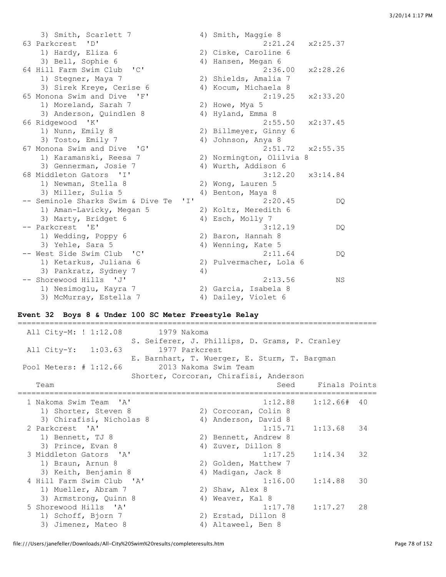| 3) Smith, Scarlett 7                              |    | 4) Smith, Maggie 8       |
|---------------------------------------------------|----|--------------------------|
| 63 Parkcrest 'D'                                  |    | 2:21.24<br>x2:25.37      |
| 1) Hardy, Eliza 6                                 |    | 2) Ciske, Caroline 6     |
| 3) Bell, Sophie 6                                 |    | 4) Hansen, Megan 6       |
| 64 Hill Farm Swim Club 'C'                        |    | 2:36.00<br>x2:28.26      |
| 1) Stegner, Maya 7                                |    | 2) Shields, Amalia 7     |
| 3) Sirek Kreye, Cerise 6                          |    | 4) Kocum, Michaela 8     |
| 65 Monona Swim and Dive<br>'F'                    |    | x2:33.20<br>2:19.25      |
| 1) Moreland, Sarah 7                              |    | 2) Howe, Mya 5           |
| 3) Anderson, Quindlen 8                           |    | 4) Hyland, Emma 8        |
| 66 Ridgewood 'K'                                  |    | 2:55.50<br>x2:37.45      |
| 1) Nunn, Emily 8                                  |    | 2) Billmeyer, Ginny 6    |
| 3) Tosto, Emily 7                                 |    | 4) Johnson, Anya 8       |
| 67 Monona Swim and Dive<br>$\overline{G}$         |    | 2:51.72<br>x2:55.35      |
| 1) Karamanski, Reesa 7                            |    | 2) Normington, Olilvia 8 |
| 3) Gennerman, Josie 7                             |    | 4) Wurth, Addison 6      |
| 68 Middleton Gators 'I'                           |    | 3:12.20<br>x3:14.84      |
| 1) Newman, Stella 8                               |    | 2) Wong, Lauren 5        |
| 3) Miller, Sulia 5                                |    | 4) Benton, Maya 8        |
| -- Seminole Sharks Swim & Dive Te<br>$\mathbf{r}$ |    | 2:20.45<br>DQ            |
| 1) Aman-Lavicky, Megan 5                          |    | 2) Koltz, Meredith 6     |
| 3) Marty, Bridget 6                               |    | 4) Esch, Molly 7         |
| -- Parkcrest<br>- 'E'                             |    | 3:12.19                  |
|                                                   |    | DQ.                      |
| 1) Wedding, Poppy 6                               |    | 2) Baron, Hannah 8       |
| 3) Yehle, Sara 5                                  |    | 4) Wenning, Kate 5       |
| -- West Side Swim Club 'C'                        |    | 2:11.64<br>DQ.           |
| 1) Ketarkus, Juliana 6                            |    | 2) Pulvermacher, Lola 6  |
| 3) Pankratz, Sydney 7                             | 4) |                          |
| -- Shorewood Hills 'J'                            |    | 2:13.56<br><b>NS</b>     |
| 1) Nesimoglu, Kayra 7                             |    | 2) Garcia, Isabela 8     |
| 3) McMurray, Estella 7                            |    | 4) Dailey, Violet 6      |

# **Event 32 Boys 8 & Under 100 SC Meter Freestyle Relay**

| All City-M: ! 1:12.08<br>1979 Nakoma  |                                                |
|---------------------------------------|------------------------------------------------|
|                                       | S. Seiferer, J. Phillips, D. Grams, P. Cranley |
| 1977 Parkcrest<br>All City-Y: 1:03.63 |                                                |
|                                       | E. Barnhart, T. Wuerger, E. Sturm, T. Bargman  |
| Pool Meters: # 1:12.66                | 2013 Nakoma Swim Team                          |
|                                       | Shorter, Corcoran, Chirafisi, Anderson         |
| Team                                  | Seed Finals Points                             |
| 1 Nakoma Swim Team 'A'                | :=============<br>1:12.88<br>$1:12.66#$ 40     |
| 1) Shorter, Steven 8                  | 2) Corcoran, Colin 8                           |
| 3) Chirafisi, Nicholas 8              | 4) Anderson, David 8                           |
| 2 Parkcrest 'A'                       | 1:15.71<br>$1:13.68$ 34                        |
| 1) Bennett, TJ 8                      | 2) Bennett, Andrew 8                           |
| 3) Prince, Evan 8                     | 4) Zuver, Dillon 8                             |
| 3 Middleton Gators 'A'                | 1:17.25<br>1:14.34<br>32                       |
| 1) Braun, Arnun 8                     | 2) Golden, Matthew 7                           |
| 3) Keith, Benjamin 8                  | 4) Madigan, Jack 8                             |
| 4 Hill Farm Swim Club 'A'             | 1:16.00<br>1:14.88<br>30                       |
| 1) Mueller, Abram 7                   | 2) Shaw, Alex 8                                |
| 3) Armstrong, Quinn 8                 | Weaver, Kal 8<br>4)                            |
| 5 Shorewood Hills 'A'                 | 1:17.78<br>1:17.27<br>28                       |
| 1) Schoff, Bjorn 7                    | 2) Erstad, Dillon 8                            |
| 3) Jimenez, Mateo 8                   | 4) Altaweel, Ben 8                             |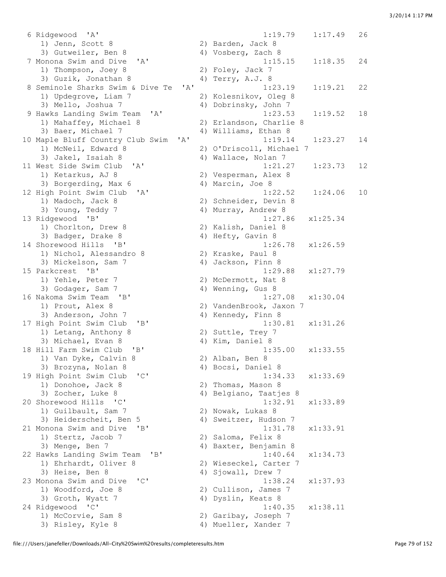6 Ridgewood 'A' 1:19.79 1:17.49 26 1) Jenn, Scott 8 2) Barden, Jack 8 3) Gutweiler, Ben 8 4) Vosberg, Zach 8 7 Monona Swim and Dive 'A' 1:15.15 1:18.35 24<br>
1) Thompson, Joey 8 2) Foley, Jack 7 1) Thompson, Joey 8 3) Guzik, Jonathan 8 4) Terry, A.J. 8 8 Seminole Sharks Swim & Dive Te 'A' 1:23.19 1:19.21 22 1) Updegrove, Liam 7 2) Kolesnikov, Oleg 8 3) Mello, Joshua 7 4) Dobrinsky, John 7 9 Hawks Landing Swim Team 'A' 1:23.53 1:19.52 18 1) Mahaffey, Michael 8 2) Erlandson, Charlie 8 3) Baer, Michael 7 4) Williams, Ethan 8 10 Maple Bluff Country Club Swim 'A' 1:19.14 1:23.27 14 1) McNeil, Edward 8 2) O'Driscoll, Michael 7<br>3) Jakel, Isaiah 8 3 4) Wallace, Nolan 7 11 West Side Swim Club 'A' 1:21.27 1:23.73 12 1) Ketarkus, AJ 8 2) Vesperman, Alex 8 3) Borgerding, Max 6 4) Marcin, Joe 8 12 High Point Swim Club 'A' 1:22.52 1:24.06 10<br>1) Madoch, Jack 8 2) Schneider, Devin 8 1) Madoch, Jack 8 2) Schneider, Devin 8 3) Young, Teddy 7 (4) Murray, Andrew 8 13 Ridgewood 'B' 1:27.86 x1:25.34 1) Chorlton, Drew 8 2) Kalish, Daniel 8 3) Badger, Drake 8 4) Hefty, Gavin 8 14 Shorewood Hills 'B' 1:26.78 x1:26.59 1) Nichol, Alessandro 8 2) Kraske, Paul 8 3) Mickelson, Sam 7 4) Jackson, Finn 8 15 Parkcrest 'B' 1:29.88 x1:27.79 1) Yehle, Peter 7 2) McDermott, Nat 8 3) Godager, Sam 7 (and 4) Wenning, Gus 8 16 Nakoma Swim Team 'B' 1:27.08 x1:30.04 1) Prout, Alex 8 2) VandenBrook, Jaxon 7 3) Anderson, John 7 (4) Kennedy, Finn 8 17 High Point Swim Club 'B' 1:30.81 x1:31.26 1) Letang, Anthony 8 2) Suttle, Trey 7 3) Michael, Evan 8 4) Kim, Daniel 8 18 Hill Farm Swim Club 'B' 1:35.00 x1:33.55 1) Van Dyke, Calvin 8 2) Alban, Ben 8 3) Brozyna, Nolan 8 4) Bocsi, Daniel 8 19 High Point Swim Club 'C' 1:34.33 x1:33.69 1) Donohoe, Jack 8 2) Thomas, Mason 8 1) Donohoe, Jack 8 (2) Thomas, Mason 8<br>3) Zocher, Luke 8 (4) Belgiano, Taatjes 8 20 Shorewood Hills 'C' 1:32.91 x1:33.89 1) Guilbault, Sam 7 32) Nowak, Lukas 8 3) Heiderscheit, Ben 5 4) Sweitzer, Hudson 7 21 Monona Swim and Dive 'B' 1:31.78 x1:33.91 1) Stertz, Jacob 7 2) Saloma, Felix 8 3) Menge, Ben 7 (4) Baxter, Benjamin 8 22 Hawks Landing Swim Team 'B' 1:40.64 x1:34.73 1) Ehrhardt, Oliver 8 2) Wieseckel, Carter 7 3) Heise, Ben 8 4) Sjowall, Drew 7 23 Monona Swim and Dive 'C' 1:38.24 x1:37.93<br>1) Woodford, Joe 8 2) Cullison, James 7 1) Woodford, Joe 8 2) Cullison, James 7 3) Groth, Wyatt 7 (4) Dyslin, Keats 8 24 Ridgewood 'C' 1:40.35 x1:38.11 1) McCorvie, Sam 8 2) Garibay, Joseph 7

4) Wallace, Nolan 7 3) Risley, Kyle 8 4) Mueller, Xander 7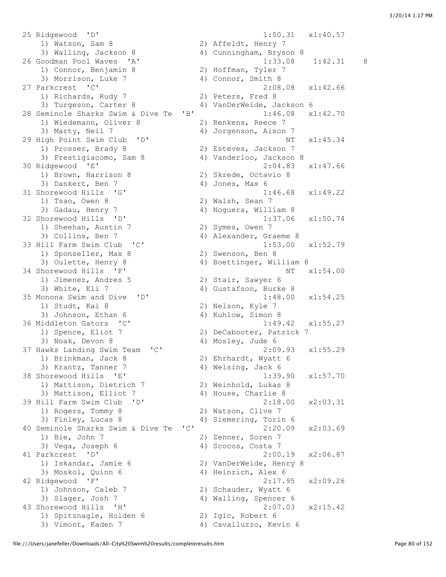25 Ridgewood 'D' 1:50.31 x1:40.57 1) Watson, Sam 8 2) Affeldt, Henry 7 3) Walling, Jackson 8 4) Cunningham, Bryson 8 26 Goodman Pool Waves 'A' 1:33.08 1:42.31 8 1) Connor, Benjamin 8 2) Hoffman, Tyler 7 3) Morrison, Luke 7 4) Connor, Smith 8 27 Parkcrest 'C' 2:08.08 x1:42.66<br>
2) Peters, Fred 8 1) Richards, Rudy 7 3) Turgeson, Carter 8 4) VanDerWeide, Jackson 6 28 Seminole Sharks Swim & Dive Te 'B' 1:46.08 x1:42.70 1) Wiedemann, Oliver 8 2) Renkens, Reece 7 3) Marty, Neil 7 4) Jorgenson, Aison 7 29 High Point Swim Club 'D' NT x1:45.34 1) Prosser, Brady 8 2) Esteves, Jackson 7 3) Prestigiacomo, Sam 8 4) Vanderloo, Jackson 8 30 Ridgewood 'E' 2:04.83 x1:47.66<br>1) Brown, Harrison 8 2) Skrede, Octavio 8 1) Brown, Harrison 8 3) Dankert, Ben 7 (a) 10nes, Max 6<br>
1:46.68 x1:49.22<br>
1:46.68 x1:49.22 31 Shorewood Hills 'G' 1) Tsao, Owen 8 2) Walsh, Sean 7 3) Gadau, Henry 7 4) Noguera, William 8 32 Shorewood Hills 'D' 1:37.06 x1:50.74 1) Sheehan, Austin 7 2) Symes, Owen 7 3) Collins, Ben 7 (a) 4) Alexander, Graeme 8 33 Hill Farm Swim Club 'C' 1:53.00 x1:52.79 1) Sponseller, Max 8 2) Swenson, Ben 8 3) Oulette, Henry 8 4) Boettinger, William 8 34 Shorewood Hills 'F' NT  $x1:54.00$  1) Jimenez, Andres 5 2) Stair, Sawyer 6 3) White, Eli 7 (4) Gustafson, Burke 8 35 Monona Swim and Dive 'D' 1:48.00 x1:54.25<br>1) Studt, Kai 8 2) Nelson, Kyle 7 1) Studt, Kai 8 2) Nelson, Kyle 7 3) Johnson, Ethan 6 4) Kuhlow, Simon 8 36 Middleton Gators 'C' 1:49.42 x1:55.27 1) Spence, Eliot 7 2) DeCabooter, Patrick 7 3) Noak, Devon 8 4) Mosley, Jude 6 37 Hawks Landing Swim Team 'C' 2:09.93 x1:55.29 1) Brinkman, Jack 8 2) Ehrhardt, Wyatt 6<br>3) Krantz, Tanner 7 3 4) Welsing, Jack 6 3) Krantz, Tanner 7 (and 4) Welsing, Jack 6 38 Shorewood Hills 'E' 1:39.90 x1:57.70 1) Mattison, Dietrich 7 2) Weinhold, Lukas 8 3) Mattison, Elliot 7 (4) House, Charlie 8 39 Hill Farm Swim Club 'D' 2:18.00 x2:03.31 1) Rogers, Tommy 8 2) Watson, Clive 7<br>3) Finley, Lucas 8 4) Siemering, Torin 40 Seminole Sharks Swim & Dive Te 'C' 2:20.09 x2:03.69 1) Bie, John 7 2) Zenner, Soren 7 3) Vega, Joseph 6 4) Scocos, Costa 7 41 Parkcrest 'D' 2:00.19 x2:06.87 1) Iskandar, Jamie 6 2) VanDerWeide, Henry 8 3) Moskol, Quinn 6 4) Heinrich, Alex 6 42 Ridgewood 'F' 2:17.95 x2:09.26 1) Johnson, Caleb 7 2) Schauder, Wyatt 6 3) Slager, Josh 7 4) Walling, Spencer 6 43 Shorewood Hills 'H' 2:07.03 x2:15.42 1) Spitznagle, Holden 6 2) Igic, Robert 6 3) Vimont, Kaden 7 4) Cavalluzzo, Kevin 6

4) Siemering, Torin 6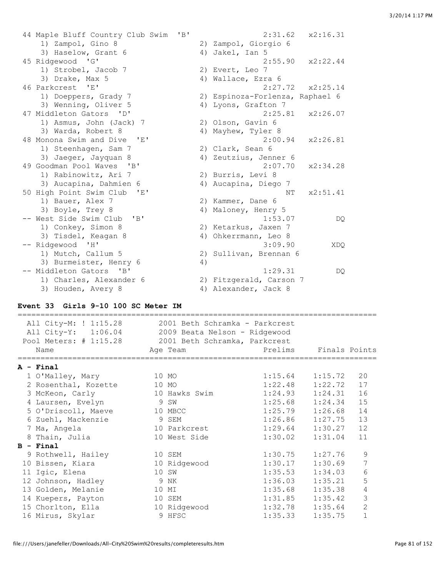44 Maple Bluff Country Club Swim 'B' 2:31.62 x2:16.31 1) Zampol, Gino 8 2) Zampol, Giorgio 6 3) Haselow, Grant 6 4) Jakel, Ian 5 45 Ridgewood 'G' 2:55.90 x2:22.44 1) Strobel, Jacob 7 2) Evert, Leo 7 3) Drake, Max 5 4) Wallace, Ezra 6 46 Parkcrest 'E' 2:27.72 x2:25.14 1) Doeppers, Grady 7 2) Espinoza-Forlenza, Raphael 6 3) Wenning, Oliver 5 (4) Lyons, Grafton 7 47 Middleton Gators 'D' 2:25.81 x2:26.07 1) Asmus, John (Jack) 7 2) Olson, Gavin 6 3) Warda, Robert 8 4) Mayhew, Tyler 8 48 Monona Swim and Dive 'E' 2:00.94 x2:26.81 1) Steenhagen, Sam 7 (2) Clark, Sean 6 3) Jaeger, Jayquan 8 4) Zeutzius, Jenner 6 49 Goodman Pool Waves 'B' 2:07.70 x2:34.28 1) Rabinowitz, Ari 7 (2) Burris, Levi 8 3) Aucapina, Dahmien 6 4) Aucapina, Diego 7 50 High Point Swim Club 'E' NT  $x2:51.41$ 1) Bauer, Alex 7 2) Kammer, Dane 6 3) Boyle, Trey 8 4) Maloney, Henry 5 -- West Side Swim Club 'B' 1:53.07 DQ 1) Conkey, Simon 8 2) Ketarkus, Jaxen 7 3) Tisdel, Keagan 8 4) Ohkerrmann, Leo 8 -- Ridgewood 'H' 3:09.90 XDQ 1) Mutch, Callum 5 2) Sullivan, Brennan 6 3) Burmeister, Henry 6 (4) -- Middleton Gators 'B' 1:29.31 DQ 1) Charles, Alexander 6 2) Fitzgerald, Carson 7 3) Houden, Avery 8 4) Alexander, Jack 8

#### **Event 33 Girls 9-10 100 SC Meter IM**

| All City-M: ! 1:15.28<br>All City-Y: 1:06.04 2009 Beata Nelson - Ridgewood<br>Pool Meters: # 1:15.28 2001 Beth Schramka, Parkcrest | 2001 Beth Schramka - Parkcrest |         |                     |                |
|------------------------------------------------------------------------------------------------------------------------------------|--------------------------------|---------|---------------------|----------------|
| Name                                                                                                                               | Age Team                       | Prelims | Finals Points       |                |
| $A - Final$                                                                                                                        |                                |         |                     |                |
| 1 O'Malley, Mary                                                                                                                   | 10 MO                          |         | $1:15.64$ $1:15.72$ | 20             |
| 2 Rosenthal, Kozette                                                                                                               | 10 MO                          | 1:22.48 | 1:22.72             | 17             |
| 3 McKeon, Carly                                                                                                                    | 10 Hawks Swim                  | 1:24.93 | 1:24.31             | 16             |
| 4 Laursen, Evelyn                                                                                                                  | 9 SW                           | 1:25.68 | 1:24.34             | 15             |
| 5 O'Driscoll, Maeve                                                                                                                | 10 MBCC                        | 1:25.79 | 1:26.68             | 14             |
| 6 Zuehl, Mackenzie                                                                                                                 | 9 SEM                          | 1:26.86 | 1:27.75             | 13             |
| 7 Ma, Angela                                                                                                                       | 10 Parkcrest                   | 1:29.64 | 1:30.27             | 12             |
| 8 Thain, Julia                                                                                                                     | 10 West Side                   | 1:30.02 | 1:31.04             | 11             |
| $B - Final$                                                                                                                        |                                |         |                     |                |
| 9 Rothwell, Hailey                                                                                                                 | 10 SEM                         | 1:30.75 | 1:27.76             | 9              |
| 10 Bissen, Kiara                                                                                                                   | 10 Ridgewood                   | 1:30.17 | 1:30.69             | 7              |
| 11 Igic, Elena                                                                                                                     | 10 SW                          | 1:35.53 | 1:34.03             | 6              |
| 12 Johnson, Hadley                                                                                                                 | 9 NK                           | 1:36.03 | 1:35.21             | 5              |
| 13 Golden, Melanie                                                                                                                 | 10 MI                          | 1:35.68 | 1:35.38             | 4              |
| 14 Kuepers, Payton                                                                                                                 | 10 SEM                         | 1:31.85 | 1:35.42             | 3              |
| 15 Chorlton, Ella                                                                                                                  | 10 Ridgewood                   | 1:32.78 | 1:35.64             | $\overline{2}$ |
| 16 Mirus, Skylar                                                                                                                   | 9 HFSC                         | 1:35.33 | 1:35.75             | $\mathbf{1}$   |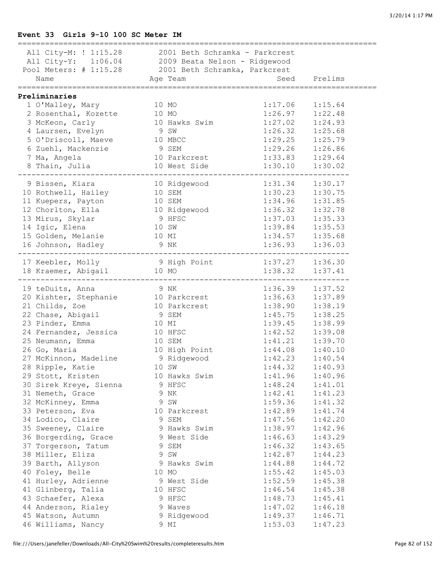#### **Event 33 Girls 9-10 100 SC Meter IM**

| All City-M: ! 1:15.28 2001 Beth Schramka - Parkcrest<br>All City-Y: 1:06.04 2009 Beata Nelson - Ridgewood |               |                              |              |
|-----------------------------------------------------------------------------------------------------------|---------------|------------------------------|--------------|
| Pool Meters: # 1:15.28 2001 Beth Schramka, Parkcrest                                                      |               |                              |              |
| Name                                                                                                      | Age Team      |                              | Seed Prelims |
|                                                                                                           |               |                              |              |
| Preliminaries                                                                                             |               |                              |              |
| 1 O'Malley, Mary<br>$10$ MO                                                                               |               | 1:17.06                      | 1:15.64      |
| 2 Rosenthal, Kozette                                                                                      | 10 MO         | 1:26.97                      | 1:22.48      |
| 3 McKeon, Carly                                                                                           | 10 Hawks Swim | 1:27.02                      | 1:24.93      |
| 4 Laursen, Evelyn                                                                                         | 9 SW          | 1:26.32                      | 1:25.68      |
| 5 O'Driscoll, Maeve 10 MBCC                                                                               |               | 1:29.25                      | 1:25.79      |
| 6 Zuehl, Mackenzie                                                                                        | 9 SEM         | 1:29.26                      | 1:26.86      |
| 7 Ma, Angela                                                                                              | 10 Parkcrest  | 1:33.83                      | 1:29.64      |
| 8 Thain, Julia                                                                                            | 10 West Side  | 1:30.10                      | 1:30.02      |
| 9 Bissen, Kiara                                                                                           | 10 Ridgewood  | 1:31.34                      | 1:30.17      |
| 10 Rothwell, Hailey                                                                                       | 10 SEM        | 1:30.23                      | 1:30.75      |
| 11 Kuepers, Payton                                                                                        | 10 SEM        | 1:34.96                      | 1:31.85      |
| 12 Chorlton, Ella                                                                                         | 10 Ridgewood  | 1:36.32                      | 1:32.78      |
| 13 Mirus, Skylar                                                                                          | 9 HFSC        | 1:37.03                      | 1:35.33      |
| 14 Igic, Elena                                                                                            | 10 SW         | 1:39.84                      | 1:35.53      |
| 15 Golden, Melanie                                                                                        | 10 MI         | 1:34.57                      | 1:35.68      |
| 16 Johnson, Hadley                                                                                        | 9 NK          | 1:36.93                      | 1:36.03      |
|                                                                                                           |               |                              |              |
| 17 Keebler, Molly                                                                                         |               | 9 High Point 1:37.27 1:36.30 |              |
| 18 Kraemer, Abigail                                                                                       | 10 MO         | 1:38.32                      | 1:37.41      |
| 19 teDuits, Anna                                                                                          | 9 NK          | 1:36.39                      | 1:37.52      |
| 20 Kishter, Stephanie 10 Parkcrest                                                                        |               | 1:36.63                      | 1:37.89      |
| 21 Childs, Zoe                                                                                            | 10 Parkcrest  | 1:38.90                      | 1:38.19      |
| 22 Chase, Abigail                                                                                         | 9 SEM         | 1:45.75                      | 1:38.25      |
| 23 Pinder, Emma                                                                                           | 10 MI         | 1:39.45                      | 1:38.99      |
| 24 Fernandez, Jessica 10 HFSC                                                                             |               | 1:42.52                      | 1:39.08      |
| 25 Neumann, Emma                                                                                          | 10 SEM        | 1:41.21                      | 1:39.70      |
| 26 Go, Maria                                                                                              | 10 High Point | 1:44.08                      | 1:40.10      |
| 27 McKinnon, Madeline                                                                                     | 9 Ridgewood   | 1:42.23                      | 1:40.54      |
| 28 Ripple, Katie                                                                                          | 10 SW         | 1:44.32                      | 1:40.93      |
| 29 Stott, Kristen                                                                                         | 10 Hawks Swim | 1:41.96                      | 1:40.96      |
| 30 Sirek Kreye, Sienna                                                                                    | 9 HFSC        | 1:48.24                      | 1:41.01      |
| 31 Nemeth, Grace                                                                                          | 9 NK          | 1:42.41                      | 1:41.23      |
| 32 McKinney, Emma                                                                                         | 9 SW          | 1:59.36                      | 1:41.32      |
| 33 Peterson, Eva                                                                                          | 10 Parkcrest  | 1:42.89                      | 1:41.74      |
| 34 Lodico, Claire                                                                                         | 9 SEM         | 1:47.56                      | 1:42.20      |
| 35 Sweeney, Claire                                                                                        | 9 Hawks Swim  | 1:38.97                      | 1:42.96      |
| 36 Borgerding, Grace                                                                                      | 9 West Side   | 1:46.63                      | 1:43.29      |
| 37 Torgerson, Tatum                                                                                       | 9 SEM         | 1:46.32                      | 1:43.65      |
| 38 Miller, Eliza                                                                                          | 9 SW          | 1:42.87                      | 1:44.23      |
| 39 Barth, Allyson                                                                                         | 9 Hawks Swim  | 1:44.88                      | 1:44.72      |
| 40 Foley, Belle                                                                                           | 10 MO         | 1:55.42                      | 1:45.03      |
| 41 Hurley, Adrienne                                                                                       | 9 West Side   | 1:52.59                      | 1:45.38      |
| 41 Glinberg, Talia                                                                                        | 10 HFSC       | 1:46.54                      | 1:45.38      |
| 43 Schaefer, Alexa                                                                                        | 9 HFSC        | 1:48.73                      | 1:45.41      |
| 44 Anderson, Rialey                                                                                       | 9 Waves       | 1:47.02                      | 1:46.18      |
| 45 Watson, Autumn                                                                                         | 9 Ridgewood   | 1:49.37                      | 1:46.71      |
| 46 Williams, Nancy                                                                                        | 9 MI          | 1:53.03                      | 1:47.23      |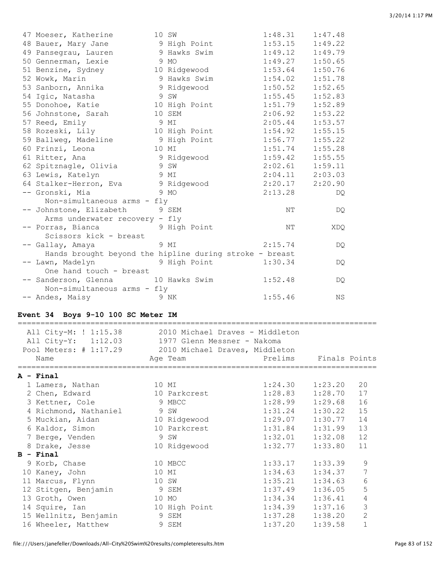| 47 Moeser, Katherine                                    | 10 SW         | 1:48.31             | 1:47.48 |
|---------------------------------------------------------|---------------|---------------------|---------|
| 48 Bauer, Mary Jane                                     | 9 High Point  | 1:53.15             | 1:49.22 |
| 49 Pansegrau, Lauren                                    | 9 Hawks Swim  | 1:49.12             | 1:49.79 |
| 50 Gennerman, Lexie                                     | 9 MO          | 1:49.27             | 1:50.65 |
| 51 Benzine, Sydney                                      | 10 Ridgewood  | 1:53.64             | 1:50.76 |
| 52 Wowk, Marin                                          | 9 Hawks Swim  | 1:54.02             | 1:51.78 |
| 53 Sanborn, Annika                                      | 9 Ridgewood   | 1:50.52             | 1:52.65 |
| 54 Igic, Natasha                                        | 9 SW          | 1:55.45             | 1:52.83 |
| 55 Donohoe, Katie                                       | 10 High Point | 1:51.79             | 1:52.89 |
| 56 Johnstone, Sarah                                     | 10 SEM        | 2:06.92             | 1:53.22 |
| 57 Reed, Emily                                          | 9 MI          | 2:05.44             | 1:53.57 |
| 58 Rozeski, Lily                                        | 10 High Point | 1:54.92             | 1:55.15 |
| 59 Ballweg, Madeline                                    | 9 High Point  | 1:56.77             | 1:55.22 |
| 60 Frinzi, Leona                                        | 10 MI         | 1:51.74             | 1:55.28 |
| 61 Ritter, Ana                                          | 9 Ridgewood   | 1:59.42             | 1:55.55 |
| 62 Spitznagle, Olivia<br>SW 9 SW                        |               | $2:02.61$ $1:59.11$ |         |
| 63 Lewis, Katelyn                                       | 9 MI          | $2:04.11$ $2:03.03$ |         |
| 64 Stalker-Herron, Eva                                  | 9 Ridgewood   | 2:20.17             | 2:20.90 |
| -- Gronski, Mia                                         | 9 MO          | 2:13.28             | DQ.     |
| Non-simultaneous arms - fly                             |               |                     |         |
| -- Johnstone, Elizabeth                                 | 9 SEM         | NΤ                  | DQ      |
| Arms underwater recovery - fly                          |               |                     |         |
| -- Porras, Bianca                                       | 9 High Point  | NΤ                  | XDQ     |
| Scissors kick - breast                                  |               |                     |         |
| -- Gallay, Amaya                                        | 9 MI          | 2:15.74             | DQ.     |
| Hands brought beyond the hipline during stroke - breast |               |                     |         |
| -- Lawn, Madelyn                                        | 9 High Point  | 1:30.34             | DQ.     |
| One hand touch - breast                                 |               |                     |         |
| -- Sanderson, Glenna 10 Hawks Swim                      |               | 1:52.48             | DO.     |
| Non-simultaneous arms - fly                             |               |                     |         |
| -- Andes, Maisy                                         | 9 NK          | 1:55.46             | ΝS      |

## **Event 34 Boys 9-10 100 SC Meter IM**

| All City-M: ! 1:15.38 2010 Michael Draves - Middleton<br>All City-Y: 1:12.03 1977 Glenn Messner - Nakoma<br>Pool Meters: # 1:17.29 2010 Michael Draves, Middleton<br>Name |       | Age Team                      | Prelims             | Finals Points |                |
|---------------------------------------------------------------------------------------------------------------------------------------------------------------------------|-------|-------------------------------|---------------------|---------------|----------------|
| ;=================================                                                                                                                                        |       |                               |                     |               |                |
| A - Final                                                                                                                                                                 |       |                               |                     |               |                |
| 1 Lamers, Nathan                                                                                                                                                          |       | 10 MI                         | $1:24.30$ $1:23.20$ |               | 20             |
| 2 Chen, Edward                                                                                                                                                            |       | 10 Parkcrest                  | 1:28.83             | 1:28.70       | 17             |
| 3 Kettner, Cole 9 MBCC                                                                                                                                                    |       |                               | $1:28.99$ $1:29.68$ |               | 16             |
| 4 Richmond, Nathaniel                                                                                                                                                     | 9 SW  |                               | $1:31.24$ $1:30.22$ |               | 15             |
| 5 Muckian, Aidan                                                                                                                                                          |       | 10 Ridgewood                  | $1:29.07$ $1:30.77$ |               | 14             |
| 6 Kaldor, Simon                                                                                                                                                           |       | 10 Parkcrest and the Parkcres | $1:31.84$ $1:31.99$ |               | 13             |
| 7 Berge, Venden                                                                                                                                                           |       | 9 SW                          | $1:32.01$ $1:32.08$ |               | 12             |
| 8 Drake, Jesse                                                                                                                                                            |       | 10 Ridgewood                  | 1:32.77             | 1:33.80       | 11             |
| $B - Final$                                                                                                                                                               |       |                               |                     |               |                |
| 9 Korb, Chase                                                                                                                                                             |       | 10 MBCC                       | 1:33.17             | 1:33.39       | 9              |
| 10 Kaney, John                                                                                                                                                            |       | 10 MI                         | 1:34.63             | 1:34.37       | 7              |
| 11 Marcus, Flynn                                                                                                                                                          |       | 10 SW                         | 1:35.21             | 1:34.63       | 6              |
| 12 Stitgen, Benjamin                                                                                                                                                      | 9 SEM |                               | $1:37.49$ $1:36.05$ |               | 5              |
| 13 Groth, Owen                                                                                                                                                            |       | 10 MO                         | 1:34.34             | 1:36.41       | $\overline{4}$ |
| 14 Squire, Ian                                                                                                                                                            |       | 10 High Point                 | $1:34.39$ $1:37.16$ |               | 3              |
| 15 Wellnitz, Benjamin                                                                                                                                                     |       | 9 SEM                         | $1:37.28$ $1:38.20$ |               | $\overline{2}$ |
| 16 Wheeler, Matthew                                                                                                                                                       |       | 9 SEM                         | 1:37.20             | 1:39.58       | $\mathbf{1}$   |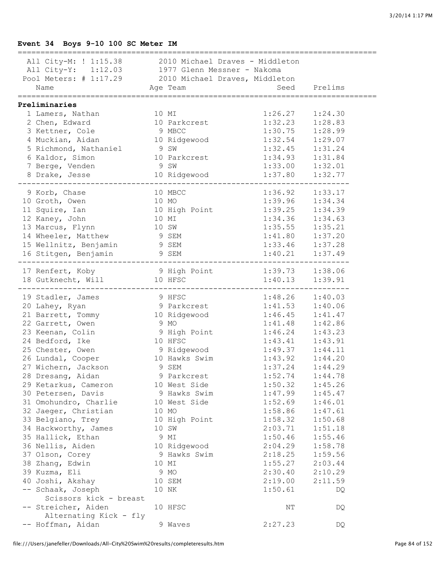## **Event 34 Boys 9-10 100 SC Meter IM**

| All City-M: ! 1:15.38 2010 Michael Draves - Middleton |       |                                        |                        |         |
|-------------------------------------------------------|-------|----------------------------------------|------------------------|---------|
| All City-Y: 1:12.03 1977 Glenn Messner - Nakoma       |       |                                        |                        |         |
| Pool Meters: # 1:17.29 2010 Michael Draves, Middleton |       |                                        |                        |         |
| Name                                                  |       | Age Team and Seed Prelims              |                        |         |
| ==================================                    |       |                                        | ==================     |         |
| Preliminaries                                         |       |                                        |                        |         |
| 1 Lamers, Nathan                                      |       | 10 MI                                  | 1:26.27                | 1:24.30 |
| 2 Chen, Edward                                        |       | 10 Parkcrest                           | 1:32.23                | 1:28.83 |
| 3 Kettner, Cole                                       |       | 9 MBCC                                 | 1:30.75                | 1:28.99 |
| 4 Muckian, Aidan                                      |       | 10 Ridgewood<br>1 9 SW<br>10 Parkcrest | 1:32.54                | 1:29.07 |
| 5 Richmond, Nathaniel                                 |       |                                        | 1:32.45                | 1:31.24 |
| 6 Kaldor, Simon                                       |       |                                        | 1:34.93                | 1:31.84 |
| 7 Berge, Venden                                       | 9 SW  |                                        |                        | 1:32.01 |
| 8 Drake, Jesse                                        |       | 10 Ridgewood                           | $1:33.00$<br>$1:37.80$ | 1:32.77 |
|                                                       |       |                                        |                        |         |
| 9 Korb, Chase                                         |       | 10 MBCC                                | 1:36.92                | 1:33.17 |
| 10 Groth, Owen                                        | 10 MO |                                        | 1:39.96                | 1:34.34 |
| 11 Squire, Ian                                        |       | 10 High Point<br>10 MI                 | 1:39.25                | 1:34.39 |
| 12 Kaney, John                                        |       |                                        | 1:34.36                | 1:34.63 |
| 13 Marcus, Flynn                                      | 10 SW |                                        | 1:35.55                | 1:35.21 |
| 14 Wheeler, Matthew                                   |       | 9 SEM                                  | 1:41.80                | 1:37.20 |
| 15 Wellnitz, Benjamin 9 SEM                           |       |                                        | 1:33.46                | 1:37.28 |
| 16 Stitgen, Benjamin 9 SEM                            |       |                                        | 1:40.21                | 1:37.49 |
|                                                       |       |                                        |                        |         |
| 17 Renfert, Koby                                      |       | 9 High Point 1:39.73 1:38.06           |                        |         |
| 18 Gutknecht, Will 10 HFSC                            |       |                                        | $1:40.13$ $1:39.91$    |         |
| 19 Stadler, James                                     |       | 9 HFSC                                 | $1:48.26$ $1:40.03$    |         |
| 20 Lahey, Ryan                                        |       | 9 Parkcrest                            | 1:41.53                | 1:40.06 |
| 21 Barrett, Tommy                                     |       | 10 Ridgewood                           | 1:46.45                | 1:41.47 |
| 22 Garrett, Owen                                      | 9 MO  |                                        | 1:41.48                | 1:42.86 |
| 23 Keenan, Colin                                      |       | 9 High Point                           | 1:46.24                | 1:43.23 |
| 24 Bedford, Ike                                       |       | 10 HFSC                                | 1:43.41                | 1:43.91 |
| 25 Chester, Owen                                      |       | 9 Ridgewood                            | 1:49.37                |         |
| 26 Lundal, Cooper                                     |       | 10 Hawks Swim                          | 1:43.92                | 1:44.11 |
| 27 Wichern, Jackson                                   |       |                                        | 1:37.24                | 1:44.20 |
|                                                       |       | 9 SEM                                  |                        | 1:44.29 |
| 28 Dresang, Aidan                                     |       | 9 Parkcrest                            | $1:52.74$ $1:44.78$    |         |
| 29 Ketarkus, Cameron                                  |       | 10 West Side                           | 1:50.32                | 1:45.26 |
| 30 Petersen, Davis                                    |       | 9 Hawks Swim                           | 1:47.99                | 1:45.47 |
| 31 Omohundro, Charlie                                 |       | 10 West Side                           | 1:52.69                | 1:46.01 |
| 32 Jaeger, Christian                                  |       | 10 MO                                  | 1:58.86                | 1:47.61 |
| 33 Belgiano, Trey                                     |       | 10 High Point                          | 1:58.32                | 1:50.68 |
| 34 Hackworthy, James                                  |       | 10 SW                                  | 2:03.71                | 1:51.18 |
| 35 Hallick, Ethan                                     |       | 9 MI                                   | 1:50.46                | 1:55.46 |
| 36 Nellis, Aiden                                      |       | 10 Ridgewood                           | 2:04.29                | 1:58.78 |
| 37 Olson, Corey                                       |       | 9 Hawks Swim                           | 2:18.25                | 1:59.56 |
| 38 Zhang, Edwin                                       |       | 10 MI                                  | 1:55.27                | 2:03.44 |
| 39 Kuzma, Eli                                         |       | 9 MO                                   | 2:30.40                | 2:10.29 |
| 40 Joshi, Akshay                                      |       | 10 SEM                                 | 2:19.00                | 2:11.59 |
| -- Schaak, Joseph                                     |       | 10 NK                                  | 1:50.61                | DQ      |
| Scissors kick - breast                                |       |                                        |                        |         |
| -- Streicher, Aiden                                   |       | 10 HFSC                                | NΤ                     | DQ      |
| Alternating Kick - fly                                |       |                                        |                        |         |
| -- Hoffman, Aidan                                     |       | 9 Waves                                | 2:27.23                | DQ      |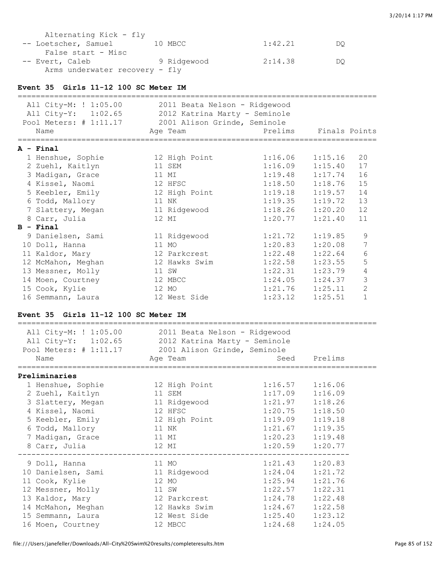| Alternating Kick - fly         |             |         |    |
|--------------------------------|-------------|---------|----|
| -- Loetscher, Samuel           | 10 MBCC     | 1:42.21 | DO |
| False start - Misc             |             |         |    |
| -- Evert, Caleb                | 9 Ridgewood | 2:14.38 | DO |
| Arms underwater recovery - fly |             |         |    |

#### **Event 35 Girls 11-12 100 SC Meter IM**

| All City-M: ! 1:05.00<br>All City-Y: 1:02.65<br>Pool Meters: # 1:11.17<br>Name | 2011 Beata Nelson - Ridgewood<br>2012 Katrina Marty - Seminole<br>2001 Alison Grinde, Seminole<br>Age Team | Prelims | Finals Points |                |
|--------------------------------------------------------------------------------|------------------------------------------------------------------------------------------------------------|---------|---------------|----------------|
| $A - Final$                                                                    |                                                                                                            |         |               |                |
| 1 Henshue, Sophie                                                              | 12 High Point                                                                                              | 1:16.06 | 1:15.16       | 20             |
| 2 Zuehl, Kaitlyn                                                               | 11 SEM                                                                                                     | 1:16.09 | 1:15.40       | 17             |
| 3 Madigan, Grace                                                               | 11 MI                                                                                                      | 1:19.48 | 1:17.74       | 16             |
| 4 Kissel, Naomi                                                                | 12 HFSC                                                                                                    | 1:18.50 | 1:18.76       | 15             |
| 5 Keebler, Emily                                                               | 12 High Point                                                                                              | 1:19.18 | 1:19.57       | 14             |
| 6 Todd, Mallory                                                                | 11 NK                                                                                                      | 1:19.35 | 1:19.72       | 13             |
| 7 Slattery, Megan                                                              | 11 Ridgewood                                                                                               | 1:18.26 | 1:20.20       | 12             |
| 8 Carr, Julia                                                                  | 12 MI                                                                                                      | 1:20.77 | 1:21.40       | 11             |
| $B -$ Final                                                                    |                                                                                                            |         |               |                |
| 9 Danielsen, Sami                                                              | 11 Ridgewood                                                                                               | 1:21.72 | 1:19.85       | 9              |
| 10 Doll, Hanna                                                                 | 11 MO                                                                                                      | 1:20.83 | 1:20.08       | 7              |
| 11 Kaldor, Mary                                                                | 12 Parkcrest                                                                                               | 1:22.48 | 1:22.64       | 6              |
| 12 McMahon, Meghan                                                             | 12 Hawks Swim                                                                                              | 1:22.58 | 1:23.55       | 5              |
| 13 Messner, Molly                                                              | 11 SW                                                                                                      | 1:22.31 | 1:23.79       | 4              |
| 14 Moen, Courtney                                                              | 12 MBCC                                                                                                    | 1:24.05 | 1:24.37       | 3              |
| 15 Cook, Kylie                                                                 | 12 MO                                                                                                      | 1:21.76 | 1:25.11       | $\overline{2}$ |
| 16 Semmann, Laura                                                              | 12 West Side                                                                                               | 1:23.12 | 1:25.51       | $\mathbf{1}$   |

#### **Event 35 Girls 11-12 100 SC Meter IM**

| All City-M: ! 1:05.00 2011 Beata Nelson - Ridgewood<br>All City-Y: 1:02.65 2012 Katrina Marty - Seminole<br>Pool Meters: # 1:11.17 2001 Alison Grinde, Seminole<br>Name | Age Team     |                     | Seed Prelims |
|-------------------------------------------------------------------------------------------------------------------------------------------------------------------------|--------------|---------------------|--------------|
| Preliminaries                                                                                                                                                           |              |                     |              |
| 1 Henshue, Sophie 12 High Point 1:16.57 1:16.06                                                                                                                         |              |                     |              |
| 2 Zuehl, Kaitlyn                                                                                                                                                        | 11 SEM       | 1:17.09             | 1:16.09      |
| 3 Slattery, Megan 11 Ridgewood                                                                                                                                          |              | $1:21.97$ $1:18.26$ |              |
| 12 HFSC<br>4 Kissel, Naomi                                                                                                                                              |              | 1:20.75             | 1:18.50      |
| 5 Keebler, Emily 12 High Point                                                                                                                                          |              | $1:19.09$ $1:19.18$ |              |
| 6 Todd, Mallory                                                                                                                                                         | 11 NK        | $1:21.67$ $1:19.35$ |              |
| 7 Madigan, Grace                                                                                                                                                        | 11 MI        | $1:20.23$ $1:19.48$ |              |
| 8 Carr, Julia                                                                                                                                                           | 12 MI        | $1:20.59$ $1:20.77$ |              |
| 9 Doll, Hanna                                                                                                                                                           | 11 MO        | $1:21.43$ $1:20.83$ |              |
| 10 Danielsen, Sami and 11 Ridgewood                                                                                                                                     |              | 1:24.04             | 1:21.72      |
| 11 Cook, Kylie                                                                                                                                                          | 12 MO        | 1:25.94             | 1:21.76      |
| 12 Messner, Molly                                                                                                                                                       | 11 SW        | 1:22.57             | 1:22.31      |
| 13 Kaldor, Mary                                                                                                                                                         | 12 Parkcrest | $1:24.78$ $1:22.48$ |              |
| 14 McMahon, Meghan 12 Hawks Swim                                                                                                                                        |              | $1:24.67$ $1:22.58$ |              |
| 15 Semmann, Laura                                                                                                                                                       | 12 West Side | $1:25.40$ $1:23.12$ |              |
| 16 Moen, Courtney                                                                                                                                                       | 12 MBCC      | 1:24.68             | 1:24.05      |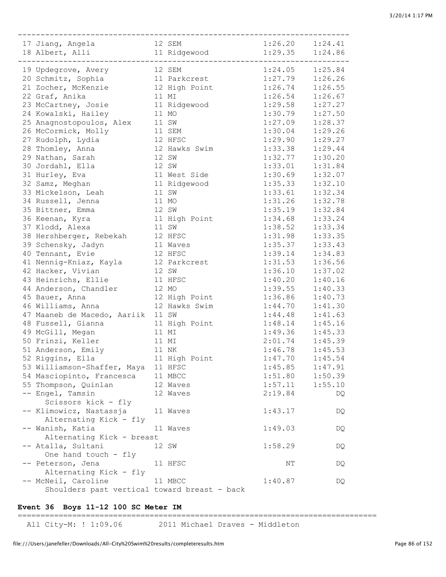| 12 SEM<br>17 Jiang, Angela                   |               | $1:26.20$ $1:24.41$ |         |
|----------------------------------------------|---------------|---------------------|---------|
| 18 Albert, Alli 11 Ridgewood                 |               | $1:29.35$ $1:24.86$ |         |
|                                              |               |                     |         |
| 19 Updegrove, Avery                          | 12 SEM        | $1:24.05$ $1:25.84$ |         |
| 20 Schmitz, Sophia                           | 11 Parkcrest  | 1:27.79             | 1:26.26 |
| 21 Zocher, McKenzie                          | 12 High Point | 1:26.74             | 1:26.55 |
| 22 Graf, Anika                               | 11 MI         | 1:26.54             | 1:26.67 |
| 23 McCartney, Josie                          | 11 Ridgewood  | 1:29.58             | 1:27.27 |
| 24 Kowalski, Hailey                          | 11 MO         | 1:30.79             | 1:27.50 |
| 25 Anagnostopoulos, Alex                     | 11 SW         | 1:27.09             | 1:28.37 |
| 26 McCormick, Molly                          | 11 SEM        | 1:30.04             | 1:29.26 |
| 27 Rudolph, Lydia                            | 12 HFSC       | 1:29.90             | 1:29.27 |
| 28 Thomley, Anna                             | 12 Hawks Swim | 1:33.38             | 1:29.44 |
| 29 Nathan, Sarah                             | 12 SW         | 1:32.77             | 1:30.20 |
| 30 Jordahl, Ella                             | 12 SW         | 1:33.01             | 1:31.84 |
| 31 Hurley, Eva                               | 11 West Side  | 1:30.69             | 1:32.07 |
| 32 Samz, Meghan                              | 11 Ridgewood  | 1:35.33             | 1:32.10 |
| 33 Mickelson, Leah                           | 11 SW         | 1:33.61             | 1:32.34 |
| 34 Russell, Jenna                            | 11 MO         | 1:31.26             | 1:32.78 |
| 35 Bittner, Emma                             | 12 SW         | 1:35.19             | 1:32.84 |
| 36 Keenan, Kyra                              | 11 High Point | 1:34.68             | 1:33.24 |
| 37 Klodd, Alexa                              | 11 SW         | 1:38.52             | 1:33.34 |
| 38 Hershberger, Rebekah                      | 12 HFSC       | 1:31.98             | 1:33.35 |
| 39 Schensky, Jadyn                           | 11 Waves      | 1:35.37             | 1:33.43 |
| 40 Tennant, Evie                             | 12 HFSC       | 1:39.14             | 1:34.83 |
| 41 Nennig-Kniaz, Kayla 12 Parkcrest          |               | 1:31.53             | 1:36.56 |
| 42 Hacker, Vivian                            | 12 SW         | 1:36.10             | 1:37.02 |
| 43 Heinrichs, Ellie                          | 11 HFSC       | 1:40.20             | 1:40.16 |
| 44 Anderson, Chandler                        | 12 MO         | 1:39.55             | 1:40.33 |
| 45 Bauer, Anna                               | 12 High Point | 1:36.86             | 1:40.73 |
| 46 Williams, Anna                            | 12 Hawks Swim | 1:44.70             | 1:41.30 |
| 47 Maaneb de Macedo, Aariik 11 SW            |               | 1:44.48             | 1:41.63 |
| 48 Fussell, Gianna                           | 11 High Point | 1:48.14             | 1:45.16 |
| 49 McGill, Megan                             | 11 MI         | $1:49.36$ $1:45.33$ |         |
| 50 Frinzi, Keller                            | 11 MI         | $2:01.74$ $1:45.39$ |         |
| 51 Anderson, Emily                           | 11 NK         | 1:46.78             | 1:45.53 |
| 52 Riggins, Ella                             | 11 High Point | 1:47.70             | 1:45.54 |
| 53 Williamson-Shaffer, Maya                  | 11 HFSC       | 1:45.85             | 1:47.91 |
| 54 Masciopinto, Francesca                    | 11 MBCC       | 1:51.80             | 1:50.39 |
| 55 Thompson, Quinlan                         | 12 Waves      | 1:57.11             | 1:55.10 |
| -- Engel, Tamsin                             | 12 Waves      | 2:19.84             | DQ      |
| Scissors kick - fly                          |               |                     |         |
| -- Klimowicz, Nastassja                      | 11 Waves      | 1:43.17             | DQ      |
| Alternating Kick - fly                       |               |                     |         |
| -- Wanish, Katia                             | 11 Waves      | 1:49.03             | DQ      |
| Alternating Kick - breast                    |               |                     |         |
| -- Atalla, Sultani                           | 12 SW         | 1:58.29             | DQ      |
| One hand touch - fly                         |               |                     |         |
| -- Peterson, Jena                            | 11 HFSC       | ΝT                  | DQ      |
| Alternating Kick - fly                       |               |                     |         |
| -- McNeil, Caroline                          | 11 MBCC       | 1:40.87             | DQ      |
| Shoulders past vertical toward breast - back |               |                     |         |

## **Event 36 Boys 11-12 100 SC Meter IM**

===============================================================================

All City-M: ! 1:09.06 2011 Michael Draves - Middleton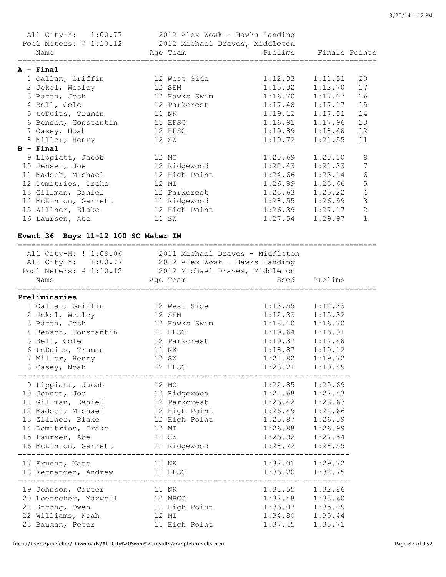| All City-Y: 1:00.77 2012 Alex Wowk - Hawks Landing<br>Pool Meters: # 1:10.12 2012 Michael Draves, Middleton<br>Name | Age Team             | Prelims Finals Points |         |                |
|---------------------------------------------------------------------------------------------------------------------|----------------------|-----------------------|---------|----------------|
| A - Final                                                                                                           |                      |                       |         |                |
| 1 Callan, Griffin                                                                                                   | 12 West Side         | $1:12.33$ $1:11.51$   |         | 20             |
| 2 Jekel, Wesley                                                                                                     | 12 SEM               | $1:15.32$ $1:12.70$   |         | 17             |
| 3 Barth, Josh 3 2001                                                                                                | 12 Hawks Swim        | $1:16.70$ $1:17.07$   |         | 16             |
| 4 Bell, Cole                                                                                                        | 12 Parkcrest         | $1:17.48$ $1:17.17$   |         | 15             |
| 5 teDuits, Truman                                                                                                   | 11 NK                | 1:19.12               | 1:17.51 | 14             |
| 6 Bensch, Constantin                                                                                                | 11 HFSC              | $1:16.91$ $1:17.96$   |         | 13             |
| 7 Casey, Noah                                                                                                       | 12 HFSC              | $1:19.89$ $1:18.48$   |         | 12             |
| 8 Miller, Henry                                                                                                     | 12 SW                | 1:19.72               | 1:21.55 | 11             |
| $B - Final$                                                                                                         |                      |                       |         |                |
| 9 Lippiatt, Jacob                                                                                                   | 12 MO                | 1:20.69               | 1:20.10 | 9              |
| 10 Jensen, Joe                                                                                                      | 12 Ridgewood 1:22.43 |                       | 1:21.33 | $\overline{7}$ |
| 11 Madoch, Michael                                                                                                  | 12 High Point        | 1:24.66               | 1:23.14 | $\epsilon$     |
| 12 Demitrios, Drake                                                                                                 | 12 MI                | 1:26.99               | 1:23.66 | 5              |
| 13 Gillman, Daniel                                                                                                  | 12 Parkcrest         | $1:23.63$ $1:25.22$   |         | $\overline{4}$ |
| 14 McKinnon, Garrett                                                                                                | 11 Ridgewood         | 1:28.55               | 1:26.99 | 3              |
| 15 Zillner, Blake                                                                                                   | 12 High Point        | $1:26.39$ $1:27.17$   |         | $\mathbf{2}$   |
| 16 Laursen, Abe                                                                                                     | 11 SW                | $1:27.54$ $1:29.97$   |         | $\mathbf{1}$   |

## **Event 36 Boys 11-12 100 SC Meter IM**

| All City-M: ! 1:09.06 2011 Michael Draves - Middleton<br>All City-Y: 1:00.77 2012 Alex Wowk - Hawks Landing<br>Pool Meters: # 1:10.12 2012 Michael Draves, Middleton<br>Name<br>===============<br>================= | Age Team                      |                     | Seed Prelims        |
|----------------------------------------------------------------------------------------------------------------------------------------------------------------------------------------------------------------------|-------------------------------|---------------------|---------------------|
| Preliminaries<br>1 Callan, Griffin 12 West Side                                                                                                                                                                      |                               | 1:13.55             | 1:12.33             |
| 2 Jekel, Wesley 12 SEM                                                                                                                                                                                               |                               | 1:12.33             | 1:15.32             |
| 3 Barth, Josh                                                                                                                                                                                                        | 12 Hawks Swim 1:18.10 1:16.70 |                     |                     |
| 4 Bensch, Constantin 11 HFSC                                                                                                                                                                                         |                               | $1:19.64$ $1:16.91$ |                     |
| 5 Bell, Cole                                                                                                                                                                                                         | 12 Parkcrest                  | $1:19.37$ $1:17.48$ |                     |
| 6 teDuits, Truman 11 NK                                                                                                                                                                                              |                               | $1:18.87$ $1:19.12$ |                     |
| 7 Miller, Henry                                                                                                                                                                                                      | 12 SW                         | $1:21.82$ $1:19.72$ |                     |
| 8 Casey, Noah                                                                                                                                                                                                        | 12 HFSC                       | 1:23.21             | 1:19.89             |
| 9 Lippiatt, Jacob 12 MO                                                                                                                                                                                              |                               | $1:22.85$ $1:20.69$ |                     |
| 10 Jensen, Joe 12 Ridgewood 1:21.68 1:22.43                                                                                                                                                                          |                               |                     |                     |
| 11 Gillman, Daniel 12 Parkcrest                                                                                                                                                                                      |                               | $1:26.42$ $1:23.63$ |                     |
| 12 Madoch, Michael 12 High Point 1:26.49                                                                                                                                                                             |                               |                     | 1:24.66             |
| 13 Zillner, Blake 12 High Point 1:25.87                                                                                                                                                                              |                               |                     | 1:26.39             |
| 14 Demitrios, Drake                                                                                                                                                                                                  | 12 MI                         | 1:26.88             | 1:26.99             |
| 15 Laursen, Abe                                                                                                                                                                                                      | 11 SW                         | $1:26.92$ $1:27.54$ |                     |
| 16 McKinnon, Garrett 11 Ridgewood 1:28.72 1:28.55                                                                                                                                                                    |                               |                     |                     |
| 17 Frucht, Nate 11 NK                                                                                                                                                                                                |                               | $1:32.01$ $1:29.72$ | ------------------- |
| 18 Fernandez, Andrew                                                                                                                                                                                                 | 11 HFSC                       | 1:36.20             | 1:32.75             |
| 19 Johnson, Carter                                                                                                                                                                                                   | 11 NK                         | $1:31.55$ $1:32.86$ |                     |
| 20 Loetscher, Maxwell 12 MBCC                                                                                                                                                                                        |                               | $1:32.48$ $1:33.60$ |                     |
| 21 Strong, Owen                                                                                                                                                                                                      | 11 High Point 1:36.07 1:35.09 |                     |                     |
| 22 Williams, Noah 12 MI                                                                                                                                                                                              |                               | $1:34.80$ $1:35.44$ |                     |
| 23 Bauman, Peter                                                                                                                                                                                                     | 11 High Point                 | 1:37.45             | 1:35.71             |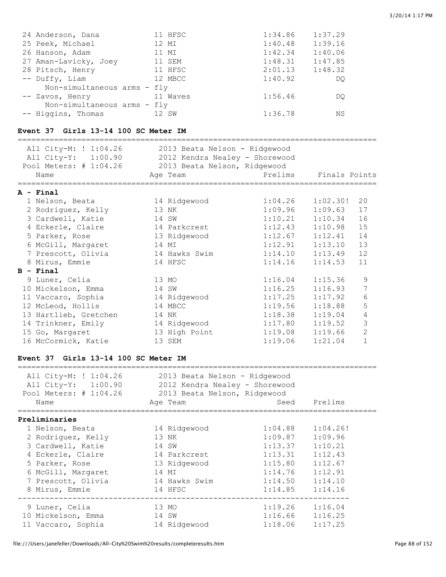| 24 Anderson, Dana           | 11 HFSC  | 1:34.86 | 1:37.29 |
|-----------------------------|----------|---------|---------|
| 25 Peek, Michael            | 12 MI    | 1:40.48 | 1:39.16 |
| 26 Hanson, Adam             | 11 MI    | 1:42.34 | 1:40.06 |
| 27 Aman-Lavicky, Joey       | 11 SEM   | 1:48.31 | 1:47.85 |
| 28 Pitsch, Henry            | 11 HFSC  | 2:01.13 | 1:48.32 |
| -- Duffy, Liam              | 12 MBCC  | 1:40.92 | DO      |
| Non-simultaneous arms - fly |          |         |         |
| -- Zavos, Henry             | 11 Waves | 1:56.46 | DO      |
| Non-simultaneous arms - fly |          |         |         |
| -- Higgins, Thomas          | 12 SW    | 1:36.78 | ΝS      |

## **Event 37 Girls 13-14 100 SC Meter IM**

| All City-M: ! 1:04.26<br>All City-Y: 1:00.90<br>Pool Meters: # 1:04.26<br>Name | 2013 Beata Nelson - Ridgewood<br>2012 Kendra Nealey - Shorewood<br>2013 Beata Nelson, Ridgewood<br>Age Team | Prelims Finals Points |          |                |
|--------------------------------------------------------------------------------|-------------------------------------------------------------------------------------------------------------|-----------------------|----------|----------------|
| $A - Final$                                                                    |                                                                                                             |                       |          |                |
| 1 Nelson, Beata                                                                | 14 Ridgewood                                                                                                | 1:04.26               | 1:02.30! | 20             |
| 2 Rodriguez, Kelly                                                             | 13 NK                                                                                                       | 1:09.96               | 1:09.63  | 17             |
| 3 Cardwell, Katie                                                              | 14 SW                                                                                                       | 1:10.21               | 1:10.34  | 16             |
| 4 Eckerle, Claire                                                              | 14 Parkcrest                                                                                                | 1:12.43               | 1:10.98  | 15             |
| 5 Parker, Rose                                                                 | 13 Ridgewood                                                                                                | 1:12.67               | 1:12.41  | 14             |
| 6 McGill, Margaret                                                             | 14 MI                                                                                                       | 1:12.91               | 1:13.10  | 13             |
| 7 Prescott, Olivia                                                             | 14 Hawks Swim                                                                                               | 1:14.10               | 1:13.49  | 12             |
| 8 Mirus, Emmie                                                                 | 14 HFSC                                                                                                     | 1:14.16               | 1:14.53  | 11             |
| $B - Final$                                                                    |                                                                                                             |                       |          |                |
| 9 Luner, Celia                                                                 | 13 MO                                                                                                       | 1:16.04               | 1:15.36  | 9              |
| 10 Mickelson, Emma                                                             | 14 SW                                                                                                       | 1:16.25               | 1:16.93  | 7              |
| 11 Vaccaro, Sophia                                                             | 14 Ridgewood                                                                                                | 1:17.25               | 1:17.92  | 6              |
| 12 McLeod, Hollis                                                              | 14 MBCC                                                                                                     | 1:19.56               | 1:18.88  | 5              |
| 13 Hartlieb, Gretchen                                                          | 14 NK                                                                                                       | 1:18.38               | 1:19.04  | 4              |
| 14 Trinkner, Emily                                                             | 14 Ridgewood                                                                                                | 1:17.80               | 1:19.52  | 3              |
| 15 Go, Margaret                                                                | 13 High Point                                                                                               | 1:19.08               | 1:19.66  | $\overline{2}$ |
| 16 McCormick, Katie                                                            | 13 SEM                                                                                                      | 1:19.06               | 1:21.04  | $\mathbf{1}$   |

## **Event 37 Girls 13-14 100 SC Meter IM**

| Age Team      | Seed | Prelims                                                                                         |                                                                                                                       |
|---------------|------|-------------------------------------------------------------------------------------------------|-----------------------------------------------------------------------------------------------------------------------|
|               |      |                                                                                                 |                                                                                                                       |
| 14 Ridgewood  |      | 1:04.26!                                                                                        |                                                                                                                       |
| 13 NK         |      | 1:09.96                                                                                         |                                                                                                                       |
| 14 SW         |      | 1:10.21                                                                                         |                                                                                                                       |
| 14 Parkcrest  |      | 1:12.43                                                                                         |                                                                                                                       |
| 13 Ridgewood  |      | 1:12.67                                                                                         |                                                                                                                       |
| 14 MI         |      | 1:12.91                                                                                         |                                                                                                                       |
| 14 Hawks Swim |      | 1:14.10                                                                                         |                                                                                                                       |
| 14 HFSC       |      | 1:14.16                                                                                         |                                                                                                                       |
| 13 MO         |      | 1:16.04                                                                                         |                                                                                                                       |
| 14 SW         |      | 1:16.25                                                                                         |                                                                                                                       |
| 14 Ridgewood  |      | 1:17.25                                                                                         |                                                                                                                       |
|               |      | 2013 Beata Nelson - Ridgewood<br>2012 Kendra Nealey - Shorewood<br>2013 Beata Nelson, Ridgewood | 1:04.88<br>1:09.87<br>1:13.37<br>1:13.31<br>1:15.80<br>1:14.76<br>1:14.50<br>1:14.85<br>1:19.26<br>1:16.66<br>1:18.06 |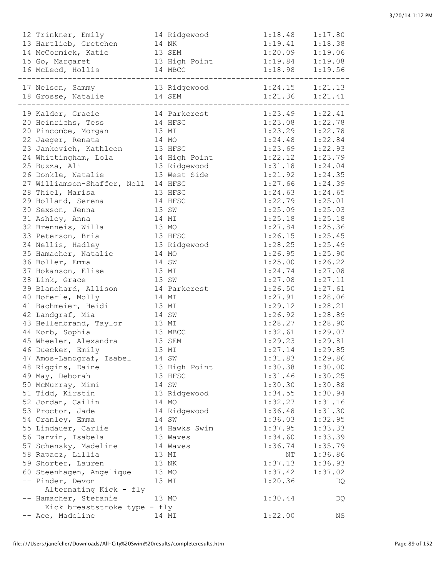| 12 Trinkner, Emily                                           | 14 Ridgewood 1:18.48                                                                       |                                            | 1:17.80 |
|--------------------------------------------------------------|--------------------------------------------------------------------------------------------|--------------------------------------------|---------|
| 13 Hartlieb, Gretchen 14 NK                                  |                                                                                            | $1:19.41$ $1:18.38$<br>$1:20.09$ $1:19.06$ |         |
| 14 McCormick, Katie<br>13 SEM                                |                                                                                            |                                            |         |
| 15 Go, Margaret                                              | 13 High Point 1:19.84 1:19.08                                                              |                                            |         |
| 16 McLeod, Hollis 14 MBCC                                    |                                                                                            | $1:18.98$ $1:19.56$                        |         |
| 17 Nelson, Sammy 13 Ridgewood 1:24.15 1:21.13                |                                                                                            |                                            |         |
| 18 Grosse, Natalie 14 SEM                                    |                                                                                            |                                            |         |
|                                                              |                                                                                            | $1:21.36$ $1:21.41$                        |         |
| 19 Kaldor, Gracie 14 Parkcrest 1:23.49 1:22.41               | 3C<br>1:23.08<br>1:22.78<br>1:23.29<br>1:24.48<br>1:22.84<br>1:23.69<br>1:23.69<br>1:23.69 |                                            |         |
| 20 Heinrichs, Tess 14 HFSC                                   |                                                                                            |                                            |         |
| 20 Pincombe, Morgan 13 MI                                    |                                                                                            |                                            |         |
| 22 Jaeger, Renata<br>14 MO<br>23 Jankovich, Kathleen 13 HFSC |                                                                                            |                                            |         |
| 24 Whittingham, Lola 14 High Point 1:22.12 1:23.79           |                                                                                            |                                            |         |
| 25 Buzza, Ali                                                | 13 Ridgewood                                                                               | $1:31.18$ $1:24.04$                        |         |
| 26 Donkle, Natalie 13 West Side 1:21.92                      |                                                                                            |                                            | 1:24.35 |
| 27 Williamson-Shaffer, Nell 14 HFSC                          |                                                                                            | 1:27.66                                    | 1:24.39 |
| 28 Thiel, Marisa<br>13 HFSC                                  |                                                                                            | 1:24.63                                    | 1:24.65 |
| 29 Holland, Serena 14 HFSC                                   |                                                                                            | 1:22.79                                    | 1:25.01 |
| 13 SW<br>30 Sexson, Jenna                                    |                                                                                            | 1:25.09                                    | 1:25.03 |
| 31 Ashley, Anna<br>14 MI                                     |                                                                                            | 1:25.18                                    | 1:25.18 |
| 32 Brenneis, Willa 13 MO                                     |                                                                                            | 1:27.84                                    | 1:25.36 |
| 33 Peterson, Bria<br>13 HFSC                                 |                                                                                            | 1:26.15                                    | 1:25.45 |
| 34 Nellis, Hadley                                            | 13 Ridgewood                                                                               | 1:28.25                                    | 1:25.49 |
| 35 Hamacher, Natalie 14 MO                                   |                                                                                            | 1:26.95                                    | 1:25.90 |
| 36 Boller, Emma<br>14 SW                                     |                                                                                            | 1:25.00                                    | 1:26.22 |
| 37 Hokanson, Elise 13 MI                                     |                                                                                            | 1:24.74                                    | 1:27.08 |
| 38 Link, Grace<br>13 SW                                      |                                                                                            | 1:27.08                                    | 1:27.11 |
| 39 Blanchard, Allison 14 Parkcrest                           |                                                                                            | 1:26.50                                    | 1:27.61 |
| 40 Hoferle, Molly<br>14 MI                                   |                                                                                            | 1:27.91                                    | 1:28.06 |
| 41 Bachmeier, Heidi 13 MI                                    |                                                                                            | 1:29.12                                    | 1:28.21 |
| 42 Landgraf, Mia<br>14 SW                                    |                                                                                            | 1:26.92                                    | 1:28.89 |
| 43 Hellenbrand, Taylor 13 MI                                 |                                                                                            | $1:28.27$ $1:28.90$                        |         |
| 44 Korb, Sophia                                              | 13 MBCC                                                                                    | $1:32.61$ $1:29.07$                        |         |
| 45 Wheeler, Alexandra 13 SEM                                 |                                                                                            | $1:29.23$ $1:29.81$                        |         |
| 46 Duecker, Emily                                            | 13 MI                                                                                      | $1:27.14$ $1:29.85$                        |         |
| 47 Amos-Landgraf, Isabel                                     | 14 SW                                                                                      | 1:31.83                                    | 1:29.86 |
| 48 Riggins, Daine                                            | 13 High Point                                                                              | 1:30.38                                    | 1:30.00 |
| 49 May, Deborah                                              | 13 HFSC                                                                                    | 1:31.46                                    | 1:30.25 |
| 50 McMurray, Mimi                                            | 14 SW                                                                                      | 1:30.30                                    | 1:30.88 |
| 51 Tidd, Kirstin                                             | 13 Ridgewood                                                                               | 1:34.55                                    | 1:30.94 |
| 52 Jordan, Cailin                                            | 14 MO                                                                                      | 1:32.27                                    | 1:31.16 |
| 53 Proctor, Jade                                             | 14 Ridgewood                                                                               | 1:36.48                                    | 1:31.30 |
| 54 Cranley, Emma                                             | 14 SW                                                                                      | 1:36.03                                    | 1:32.95 |
| 55 Lindauer, Carlie                                          | 14 Hawks Swim                                                                              | 1:37.95                                    | 1:33.33 |
| 56 Darvin, Isabela                                           | 13 Waves                                                                                   | 1:34.60                                    | 1:33.39 |
| 57 Schensky, Madeline                                        | 14 Waves                                                                                   | 1:36.74                                    | 1:35.79 |
| 58 Rapacz, Lillia                                            | 13 MI                                                                                      | NΤ                                         | 1:36.86 |
| 59 Shorter, Lauren                                           | 13 NK                                                                                      | 1:37.13                                    | 1:36.93 |
| 60 Steenhagen, Angelique                                     | 13 MO                                                                                      | 1:37.42                                    | 1:37.02 |
| -- Pinder, Devon                                             | 13 MI                                                                                      | 1:20.36                                    | DQ      |
| Alternating Kick - fly                                       |                                                                                            |                                            |         |
| -- Hamacher, Stefanie<br>Kick breaststroke type - fly        | 13 MO                                                                                      | 1:30.44                                    | DQ      |
| -- Ace, Madeline                                             | 14 MI                                                                                      | 1:22.00                                    | ΝS      |
|                                                              |                                                                                            |                                            |         |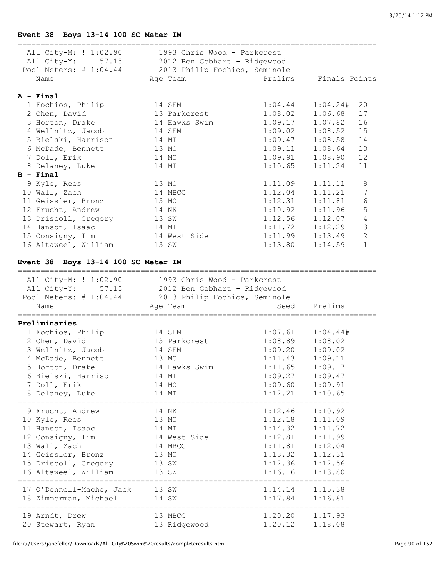## **Event 38 Boys 13-14 100 SC Meter IM**

| All City-M: $! 1:02.90$ 1993 Chris Wood - Parkcrest<br>All City-Y: 57.15 2012 Ben Gebhart - Ridgewood<br>Pool Meters: # 1:04.44 2013 Philip Fochios, Seminole<br>Name                                      | Age Team      |                      | Prelims Finals Points                 |
|------------------------------------------------------------------------------------------------------------------------------------------------------------------------------------------------------------|---------------|----------------------|---------------------------------------|
| A - Final                                                                                                                                                                                                  |               |                      |                                       |
| 1 Fochios, Philip                                                                                                                                                                                          | 14 SEM        | 1:04.44              | 1:04.24#<br>20                        |
| 2 Chen, David                                                                                                                                                                                              | 13 Parkcrest  | 1:08.02              | 1:06.68<br>17                         |
| 3 Horton, Drake                                                                                                                                                                                            | 14 Hawks Swim | 1:09.17              | 16<br>1:07.82                         |
| 4 Wellnitz, Jacob                                                                                                                                                                                          | 14 SEM        |                      | 15<br>$1:09.02$ $1:08.52$             |
| 5 Bielski, Harrison                                                                                                                                                                                        | 14 MI         |                      | 14<br>$1:09.47$ $1:08.58$             |
| 6 McDade, Bennett                                                                                                                                                                                          | 13 MO         |                      | 13<br>$1:09.11$ $1:08.64$             |
| 7 Doll, Erik                                                                                                                                                                                               | 14 MO         |                      | 12<br>$1:09.91$ $1:08.90$             |
| 8 Delaney, Luke                                                                                                                                                                                            | 14 MI         |                      | $1:10.65$ $1:11.24$<br>11             |
| $B - Final$                                                                                                                                                                                                |               |                      |                                       |
| 9 Kyle, Rees                                                                                                                                                                                               | 13 MO         | 1:11.09              | 9<br>1:11.11                          |
| 10 Wall, Zach                                                                                                                                                                                              | 14 MBCC       | 1:12.04              | $\overline{7}$<br>1:11.21             |
| 11 Geissler, Bronz                                                                                                                                                                                         | 13 MO         | 1:12.31              | $6\,$<br>1:11.81                      |
| 12 Frucht, Andrew                                                                                                                                                                                          | 14 NK         |                      | 5<br>$1:10.92$ $1:11.96$              |
| 13 Driscoll, Gregory                                                                                                                                                                                       | 13 SW         |                      | $\sqrt{4}$<br>$1:12.56$ $1:12.07$     |
| 14 Hanson, Isaac                                                                                                                                                                                           | 14 MI         |                      | 3<br>$1:11.72$ $1:12.29$              |
| 15 Consigny, Tim                                                                                                                                                                                           | 14 West Side  |                      | $\overline{2}$<br>$1:11.99$ $1:13.49$ |
| 16 Altaweel, William                                                                                                                                                                                       | 13 SW         |                      | $\mathbf{1}$<br>$1:13.80$ $1:14.59$   |
| Event 38 Boys 13-14 100 SC Meter IM<br>All City-M: ! 1:02.90 1993 Chris Wood - Parkcrest<br>All City-Y: 57.15 2012 Ben Gebhart - Ridgewood<br>Pool Meters: # 1:04.44 2013 Philip Fochios, Seminole<br>Name | Age Team      |                      | Seed Prelims                          |
|                                                                                                                                                                                                            |               |                      |                                       |
| Preliminaries<br>1 Fochios, Philip                                                                                                                                                                         | 14 SEM        | $1:07.61$ $1:04.44#$ |                                       |
| 2 Chen, David                                                                                                                                                                                              | 13 Parkcrest  | $1:08.89$ $1:08.02$  |                                       |
| 3 Wellnitz, Jacob                                                                                                                                                                                          | 14 SEM        | $1:09.20$ $1:09.02$  |                                       |
| 4 McDade, Bennett                                                                                                                                                                                          | 13 MO         |                      | $1:11.43$ $1:09.11$                   |
| 5 Horton, Drake 14 Hawks Swim                                                                                                                                                                              |               | $1:11.65$ $1:09.17$  |                                       |
| 6 Bielski, Harrison                                                                                                                                                                                        | 14 MI         | $1:09.27$ $1:09.47$  |                                       |
| 7 Doll, Erik                                                                                                                                                                                               | 14 MO         | $1:09.60$ $1:09.91$  |                                       |
| 8 Delaney, Luke                                                                                                                                                                                            |               | $1:12.21$ $1:10.65$  |                                       |
|                                                                                                                                                                                                            |               |                      |                                       |
| 9 Frucht, Andrew                                                                                                                                                                                           | 14 NK         | $1:12.46$ $1:10.92$  |                                       |
| 10 Kyle, Rees                                                                                                                                                                                              | 13 MO         | $1:12.18$ $1:11.09$  |                                       |
| 11 Hanson, Isaac                                                                                                                                                                                           | 14 MI         | $1:14.32$ $1:11.72$  |                                       |
| 12 Consigny, Tim                                                                                                                                                                                           | 14 West Side  | $1:12.81$ $1:11.99$  |                                       |
| 13 Wall, Zach                                                                                                                                                                                              | 14 MBCC       | $1:11.81$ $1:12.04$  |                                       |
| 14 Geissler, Bronz                                                                                                                                                                                         | 13 MO         | $1:13.32$ $1:12.31$  |                                       |
| 15 Driscoll, Gregory                                                                                                                                                                                       | 13 SW         | $1:12.36$ $1:12.56$  |                                       |
| 16 Altaweel, William 13 SW 1:16.16 1:13.80                                                                                                                                                                 |               |                      |                                       |
| 17 O'Donnell-Mache, Jack 13 SW                                                                                                                                                                             |               | $1:14.14$ $1:15.38$  |                                       |
|                                                                                                                                                                                                            |               |                      |                                       |
| 18 Zimmerman, Michael 14 SW 1:17.84 1:16.81                                                                                                                                                                |               |                      |                                       |
| 19 Arndt, Drew                                                                                                                                                                                             | 13 MBCC       | $1:20.20$ $1:17.93$  |                                       |
| 20 Stewart, Ryan 13 Ridgewood                                                                                                                                                                              |               | $1:20.12$ $1:18.08$  |                                       |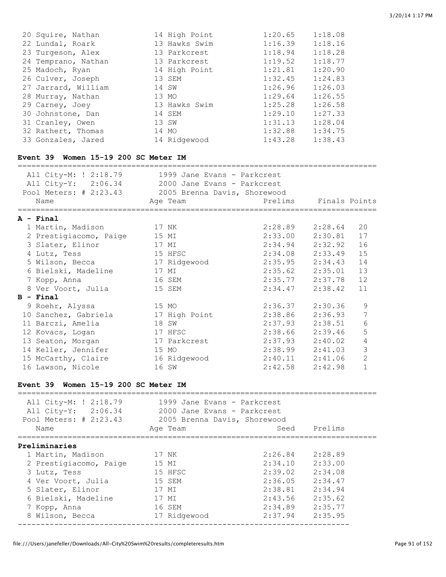| 20 Squire, Nathan<br>22 Lundal, Roark<br>23 Turgeson, Alex<br>24 Temprano, Nathan<br>25 Madoch, Ryan<br>26 Culver, Joseph<br>27 Jarrard, William<br>28 Murray, Nathan<br>29 Carney, Joey<br>30 Johnstone, Dan<br>31 Cranley, Owen<br>32 Rathert, Thomas<br>33 Gonzales, Jared<br>Event 39 Women 15-19 200 SC Meter IM | 14 High Point<br>13 Hawks Swim<br>13 Parkcrest and the Park<br>13 Parkcrest<br>14 High Point<br>13 SEM<br>14 SW<br>13 MO<br>13 Hawks Swim<br>14 SEM<br>13 SW<br>14 MO<br>14 Ridgewood 1:43.28 | 1:20.65<br>1:16.39<br>1:18.94<br>1:19.52<br>1:21.81<br>1:32.45<br>1:26.96<br>1:29.64<br>1:25.28<br>1:29.10<br>1:31.13<br>$1:32.88$ $1:34.75$ | 1:18.08<br>1:18.16<br>1:18.28<br>1:18.77<br>1:20.90<br>1:24.83<br>1:26.03<br>1:26.55<br>1:26.58<br>1:27.33<br>1:28.04<br>1:38.43 |                |
|-----------------------------------------------------------------------------------------------------------------------------------------------------------------------------------------------------------------------------------------------------------------------------------------------------------------------|-----------------------------------------------------------------------------------------------------------------------------------------------------------------------------------------------|----------------------------------------------------------------------------------------------------------------------------------------------|----------------------------------------------------------------------------------------------------------------------------------|----------------|
|                                                                                                                                                                                                                                                                                                                       |                                                                                                                                                                                               |                                                                                                                                              |                                                                                                                                  |                |
| All City-M: ! 2:18.79 1999 Jane Evans - Parkcrest<br>All City-Y: 2:06.34 2000 Jane Evans - Parkcrest                                                                                                                                                                                                                  |                                                                                                                                                                                               |                                                                                                                                              |                                                                                                                                  |                |
|                                                                                                                                                                                                                                                                                                                       |                                                                                                                                                                                               |                                                                                                                                              |                                                                                                                                  |                |
| Pool Meters: # 2:23.43 2005 Brenna Davis, Shorewood                                                                                                                                                                                                                                                                   |                                                                                                                                                                                               |                                                                                                                                              |                                                                                                                                  |                |
| Name                                                                                                                                                                                                                                                                                                                  | Age Team                                                                                                                                                                                      | Prelims                                                                                                                                      | Finals Points                                                                                                                    |                |
| A - Final                                                                                                                                                                                                                                                                                                             |                                                                                                                                                                                               |                                                                                                                                              |                                                                                                                                  |                |
| 1 Martin, Madison                                                                                                                                                                                                                                                                                                     | 17 NK                                                                                                                                                                                         | $2:28.89$ $2:28.64$                                                                                                                          |                                                                                                                                  | 20             |
|                                                                                                                                                                                                                                                                                                                       |                                                                                                                                                                                               | $2:33.00$ $2:30.81$                                                                                                                          |                                                                                                                                  | 17             |
| 2 Prestigiacomo, Paige                                                                                                                                                                                                                                                                                                | 15 MI                                                                                                                                                                                         |                                                                                                                                              |                                                                                                                                  | 16             |
| 3 Slater, Elinor                                                                                                                                                                                                                                                                                                      | 17 MI                                                                                                                                                                                         | $2:34.94$ $2:32.92$                                                                                                                          |                                                                                                                                  |                |
| 4 Lutz, Tess                                                                                                                                                                                                                                                                                                          | 15 HFSC                                                                                                                                                                                       | $2:34.08$ $2:33.49$                                                                                                                          |                                                                                                                                  | 15             |
| 5 Wilson, Becca               17 Ridgewood               2:35.95     2:34.43                                                                                                                                                                                                                                          |                                                                                                                                                                                               |                                                                                                                                              |                                                                                                                                  | 14             |
| 6 Bielski, Madeline                                                                                                                                                                                                                                                                                                   | 17 MI                                                                                                                                                                                         | $2:35.62$ $2:35.01$                                                                                                                          |                                                                                                                                  | 13             |
| 7 Kopp, Anna                                                                                                                                                                                                                                                                                                          | 16 SEM                                                                                                                                                                                        | $2:35.77$ $2:37.78$                                                                                                                          |                                                                                                                                  | 12             |
| 8 Ver Voort, Julia                                                                                                                                                                                                                                                                                                    | 15 SEM                                                                                                                                                                                        | 2:34.47                                                                                                                                      | 2:38.42                                                                                                                          | 11             |
| <b>B</b> - Final                                                                                                                                                                                                                                                                                                      |                                                                                                                                                                                               |                                                                                                                                              |                                                                                                                                  |                |
| 9 Roehr, Alyssa                                                                                                                                                                                                                                                                                                       | 15 MO                                                                                                                                                                                         | 2:36.37                                                                                                                                      | 2:30.36                                                                                                                          | 9              |
| 10 Sanchez, Gabriela                                                                                                                                                                                                                                                                                                  | 17 High Point 2:38.86 2:36.93                                                                                                                                                                 |                                                                                                                                              |                                                                                                                                  | 7              |
| 11 Barczi, Amelia                                                                                                                                                                                                                                                                                                     | 18 SW                                                                                                                                                                                         | $2:37.93$ $2:38.51$                                                                                                                          |                                                                                                                                  | $\epsilon$     |
| 12 Kovacs, Logan                                                                                                                                                                                                                                                                                                      | 17 HFSC                                                                                                                                                                                       | $2:38.66$ $2:39.46$                                                                                                                          |                                                                                                                                  | $\overline{5}$ |
| 13 Seaton, Morgan                                                                                                                                                                                                                                                                                                     | 17 Parkcrest 2:37.93 2:40.02                                                                                                                                                                  |                                                                                                                                              |                                                                                                                                  | $\sqrt{4}$     |
| 14 Keller, Jennifer                                                                                                                                                                                                                                                                                                   | 15 MO                                                                                                                                                                                         |                                                                                                                                              | $2:38.99$ $2:41.03$                                                                                                              | 3              |
| 15 McCarthy, Claire                                                                                                                                                                                                                                                                                                   | 16 Ridgewood                                                                                                                                                                                  |                                                                                                                                              | $2:40.11$ $2:41.06$                                                                                                              | $\mathbf{2}$   |
| 16 Lawson, Nicole                                                                                                                                                                                                                                                                                                     | 16 SW                                                                                                                                                                                         |                                                                                                                                              | $2:42.58$ $2:42.98$                                                                                                              | 1              |
|                                                                                                                                                                                                                                                                                                                       |                                                                                                                                                                                               |                                                                                                                                              |                                                                                                                                  |                |
| Event 39 Women 15-19 200 SC Meter IM                                                                                                                                                                                                                                                                                  |                                                                                                                                                                                               |                                                                                                                                              |                                                                                                                                  |                |
| =================================<br>All City-M: ! 2:18.79 1999 Jane Evans - Parkcrest                                                                                                                                                                                                                                |                                                                                                                                                                                               |                                                                                                                                              |                                                                                                                                  |                |
| All City-Y: 2:06.34 2000 Jane Evans - Parkcrest                                                                                                                                                                                                                                                                       |                                                                                                                                                                                               |                                                                                                                                              |                                                                                                                                  |                |
|                                                                                                                                                                                                                                                                                                                       |                                                                                                                                                                                               |                                                                                                                                              |                                                                                                                                  |                |
| Pool Meters: # 2:23.43 2005 Brenna Davis, Shorewood                                                                                                                                                                                                                                                                   |                                                                                                                                                                                               |                                                                                                                                              |                                                                                                                                  |                |
| Name                                                                                                                                                                                                                                                                                                                  | Aqe Team                                                                                                                                                                                      | Seed                                                                                                                                         | Prelims                                                                                                                          |                |
| ======================================                                                                                                                                                                                                                                                                                |                                                                                                                                                                                               |                                                                                                                                              |                                                                                                                                  |                |
| Preliminaries                                                                                                                                                                                                                                                                                                         |                                                                                                                                                                                               |                                                                                                                                              |                                                                                                                                  |                |
| 1 Martin, Madison                                                                                                                                                                                                                                                                                                     | 17 NK                                                                                                                                                                                         | $2:26.84$ $2:28.89$                                                                                                                          |                                                                                                                                  |                |
| 2 Prestigiacomo, Paige 15 MI                                                                                                                                                                                                                                                                                          |                                                                                                                                                                                               | $2:34.10$ $2:33.00$                                                                                                                          |                                                                                                                                  |                |
| 3 Lutz, Tess                                                                                                                                                                                                                                                                                                          | 15 HFSC                                                                                                                                                                                       | 2:39.02 2:34.08                                                                                                                              |                                                                                                                                  |                |
| 4 Ver Voort, Julia                                                                                                                                                                                                                                                                                                    | 15 SEM                                                                                                                                                                                        | $2:36.05$ $2:34.47$                                                                                                                          |                                                                                                                                  |                |
| 5 Slater, Elinor                                                                                                                                                                                                                                                                                                      | 17 MI                                                                                                                                                                                         | 2:38.81 2:34.94                                                                                                                              |                                                                                                                                  |                |
| 6 Bielski, Madeline                                                                                                                                                                                                                                                                                                   | 17 MI                                                                                                                                                                                         | 2:43.56 2:35.62                                                                                                                              |                                                                                                                                  |                |
| 7 Kopp, Anna                                                                                                                                                                                                                                                                                                          | 16 SEM                                                                                                                                                                                        | 2:34.89 2:35.77                                                                                                                              |                                                                                                                                  |                |
| 8 Wilson, Becca                                                                                                                                                                                                                                                                                                       | 17 Ridgewood                                                                                                                                                                                  | $2:37.94$ $2:35.95$                                                                                                                          |                                                                                                                                  |                |
|                                                                                                                                                                                                                                                                                                                       |                                                                                                                                                                                               |                                                                                                                                              |                                                                                                                                  |                |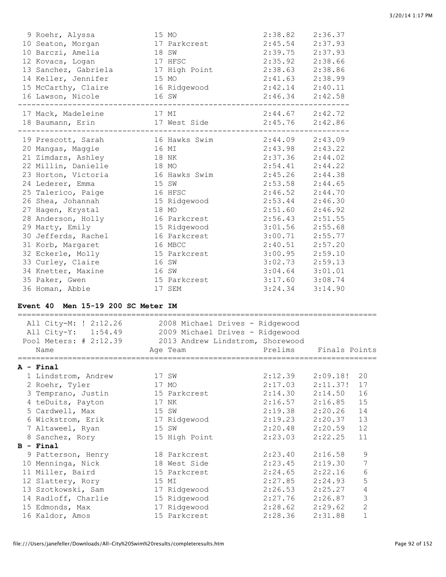| 9 Roehr, Alyssa<br>10 Seaton, Morgan<br>10 Barczi, Amelia<br>12 Kovacs, Logan<br>13 Sanchez, Gabriela<br>14 Keller, Jennifer<br>15 McCarthy, Claire<br>16 Lawson, Nicole | 15 MO<br>17 Parkcrest<br>18 SW<br>17 HFSC<br>17 High Point<br>15 MO<br>16 Ridgewood<br>16 SW | 2:38.82<br>2:45.54<br>2:39.75<br>2:35.92<br>2:38.63<br>2:41.63<br>2:42.14<br>2:46.34 | 2:36.37<br>2:37.93<br>2:37.93<br>2:38.66<br>2:38.86<br>2:38.99<br>2:40.11<br>2:42.58 |
|--------------------------------------------------------------------------------------------------------------------------------------------------------------------------|----------------------------------------------------------------------------------------------|--------------------------------------------------------------------------------------|--------------------------------------------------------------------------------------|
| 17 Mack, Madeleine                                                                                                                                                       | 17 MI                                                                                        | $2:44.67$ $2:42.72$                                                                  | 2:42.86                                                                              |
| 18 Baumann, Erin                                                                                                                                                         | 17 West Side                                                                                 | 2:45.76                                                                              |                                                                                      |
| 19 Prescott, Sarah                                                                                                                                                       | 16 Hawks Swim                                                                                | 2:44.09                                                                              | 2:43.09                                                                              |
| 20 Mangas, Maggie                                                                                                                                                        | 16 MI                                                                                        | 2:43.98                                                                              | 2:43.22                                                                              |
| 21 Zimdars, Ashley                                                                                                                                                       | 18 NK                                                                                        | 2:37.36                                                                              | 2:44.02                                                                              |
| 22 Millin, Danielle                                                                                                                                                      | 18 MO                                                                                        | 2:54.41                                                                              | 2:44.22                                                                              |
| 23 Horton, Victoria                                                                                                                                                      | 16 Hawks Swim                                                                                | 2:45.26                                                                              | 2:44.38                                                                              |
| 24 Lederer, Emma                                                                                                                                                         | 15 SW                                                                                        | $2:53.58$ $2:44.65$                                                                  | 2:44.70                                                                              |
| 25 Talerico, Paige                                                                                                                                                       | 16 HFSC                                                                                      | 2:46.52                                                                              |                                                                                      |
| 26 Shea, Johannah                                                                                                                                                        | 15 Ridgewood                                                                                 | 2:53.44                                                                              | 2:46.30                                                                              |
| 27 Hagen, Krystal                                                                                                                                                        | 18 MO                                                                                        | 2:51.60                                                                              | 2:46.92                                                                              |
| 28 Anderson, Holly                                                                                                                                                       | 16 Parkcrest                                                                                 | 2:56.43                                                                              | 2:51.55                                                                              |
| 29 Marty, Emily                                                                                                                                                          | 15 Ridgewood                                                                                 | 3:01.56                                                                              | 2:55.68                                                                              |
| 30 Jefferds, Rachel                                                                                                                                                      | 16 Parkcrest                                                                                 | 3:00.71                                                                              | 2:55.77                                                                              |
| 31 Korb, Margaret                                                                                                                                                        | 16 MBCC                                                                                      | 2:40.51                                                                              | 2:57.20                                                                              |
| 32 Eckerle, Molly                                                                                                                                                        | 15 Parkcrest                                                                                 | 3:00.95                                                                              | 2:59.10                                                                              |
| 33 Curley, Claire                                                                                                                                                        | 16 SW                                                                                        | 3:02.73                                                                              | 2:59.13                                                                              |
| 34 Knetter, Maxine                                                                                                                                                       | 16 SW                                                                                        | $3:04.64$ $3:01.01$                                                                  | 3:14.90                                                                              |
| 35 Paker, Gwen                                                                                                                                                           | 15 Parkcrest                                                                                 | $3:17.60$ $3:08.74$                                                                  |                                                                                      |
| 36 Homan, Abbie                                                                                                                                                          | 17 SEM                                                                                       | 3:24.34                                                                              |                                                                                      |

#### **Event 40 Men 15-19 200 SC Meter IM**

| All City-M: ! 2:12.26<br>All City-Y: 1:54.49<br>Pool Meters: # 2:12.39<br>Name | 2008 Michael Drives - Ridgewood<br>2009 Michael Drives - Ridgewood<br>2013 Andrew Lindstrom, Shorewood<br>Age Team | Prelims | Finals Points |                |
|--------------------------------------------------------------------------------|--------------------------------------------------------------------------------------------------------------------|---------|---------------|----------------|
| ============================<br>A - Final                                      |                                                                                                                    |         |               |                |
| 1 Lindstrom, Andrew                                                            | 17 SW                                                                                                              | 2:12.39 | 2:09.18!      | 20             |
| 2 Roehr, Tyler                                                                 | 17 MO                                                                                                              | 2:17.03 | 2:11.37!      | 17             |
| 3 Temprano, Justin                                                             | 15 Parkcrest                                                                                                       | 2:14.30 | 2:14.50       | 16             |
| 4 teDuits, Payton                                                              | 17 NK                                                                                                              | 2:16.57 | 2:16.85       | 15             |
| 5 Cardwell, Max                                                                | 15 SW                                                                                                              | 2:19.38 | 2:20.26       | 14             |
| 6 Wickstrom, Erik                                                              | 17 Ridgewood                                                                                                       | 2:19.23 | 2:20.37       | 13             |
| 7 Altaweel, Ryan                                                               | 15 SW                                                                                                              | 2:20.48 | 2:20.59       | 12             |
| 8 Sanchez, Rory                                                                | 15 High Point                                                                                                      | 2:23.03 | 2:22.25       | 11             |
| $B - Final$                                                                    |                                                                                                                    |         |               |                |
| 9 Patterson, Henry                                                             | 18 Parkcrest                                                                                                       | 2:23.40 | 2:16.58       | 9              |
| 10 Menninga, Nick                                                              | 18 West Side                                                                                                       | 2:23.45 | 2:19.30       | 7              |
| 11 Miller, Baird                                                               | 15 Parkcrest                                                                                                       | 2:24.65 | 2:22.16       | 6              |
| 12 Slattery, Rory                                                              | 15 MI                                                                                                              | 2:27.85 | 2:24.93       | 5              |
| 13 Szotkowski, Sam                                                             | 17 Ridgewood                                                                                                       | 2:26.53 | 2:25.27       | 4              |
| 14 Radloff, Charlie                                                            | 15 Ridgewood                                                                                                       | 2:27.76 | 2:26.87       | 3              |
| 15 Edmonds, Max                                                                | 17 Ridgewood                                                                                                       | 2:28.62 | 2:29.62       | $\overline{2}$ |
| 16 Kaldor, Amos                                                                | 15 Parkcrest                                                                                                       | 2:28.36 | 2:31.88       | $\mathbf{1}$   |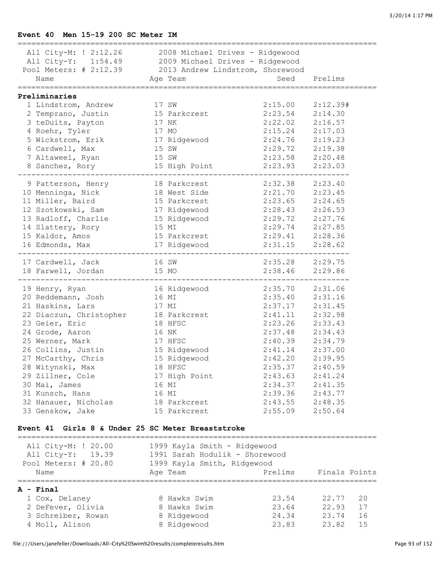## **Event 40 Men 15-19 200 SC Meter IM**

| 17 SW<br>17 NK<br>17 MO | All City-M: ! 2:12.26 2008 Michael Drives - Ridgewood<br>All City-Y: 1:54.49 2009 Michael Drives - Ridgewood<br>Pool Meters: # 2:12.39 2013 Andrew Lindstrom, Shorewood<br>Name Seed Prelims<br>2 Temprano, Justin 15 Parkcrest | 2:15.00                                                                                                                                                                                                                                                                                                                                                                                                                                           | 2:12.39#                                                                                                                                                                                                                                                                                                                                                                                                                                                                                                                                                                                                                                                                                     |
|-------------------------|---------------------------------------------------------------------------------------------------------------------------------------------------------------------------------------------------------------------------------|---------------------------------------------------------------------------------------------------------------------------------------------------------------------------------------------------------------------------------------------------------------------------------------------------------------------------------------------------------------------------------------------------------------------------------------------------|----------------------------------------------------------------------------------------------------------------------------------------------------------------------------------------------------------------------------------------------------------------------------------------------------------------------------------------------------------------------------------------------------------------------------------------------------------------------------------------------------------------------------------------------------------------------------------------------------------------------------------------------------------------------------------------------|
|                         |                                                                                                                                                                                                                                 |                                                                                                                                                                                                                                                                                                                                                                                                                                                   |                                                                                                                                                                                                                                                                                                                                                                                                                                                                                                                                                                                                                                                                                              |
|                         |                                                                                                                                                                                                                                 |                                                                                                                                                                                                                                                                                                                                                                                                                                                   |                                                                                                                                                                                                                                                                                                                                                                                                                                                                                                                                                                                                                                                                                              |
|                         |                                                                                                                                                                                                                                 |                                                                                                                                                                                                                                                                                                                                                                                                                                                   |                                                                                                                                                                                                                                                                                                                                                                                                                                                                                                                                                                                                                                                                                              |
|                         |                                                                                                                                                                                                                                 |                                                                                                                                                                                                                                                                                                                                                                                                                                                   |                                                                                                                                                                                                                                                                                                                                                                                                                                                                                                                                                                                                                                                                                              |
|                         |                                                                                                                                                                                                                                 |                                                                                                                                                                                                                                                                                                                                                                                                                                                   | $2:23.54$ $2:14.30$                                                                                                                                                                                                                                                                                                                                                                                                                                                                                                                                                                                                                                                                          |
|                         |                                                                                                                                                                                                                                 | 2:22.02                                                                                                                                                                                                                                                                                                                                                                                                                                           | 2:16.57                                                                                                                                                                                                                                                                                                                                                                                                                                                                                                                                                                                                                                                                                      |
|                         |                                                                                                                                                                                                                                 | $2:15.24$ $2:17.03$                                                                                                                                                                                                                                                                                                                                                                                                                               |                                                                                                                                                                                                                                                                                                                                                                                                                                                                                                                                                                                                                                                                                              |
|                         |                                                                                                                                                                                                                                 | $2:24.76$ $2:19.23$                                                                                                                                                                                                                                                                                                                                                                                                                               |                                                                                                                                                                                                                                                                                                                                                                                                                                                                                                                                                                                                                                                                                              |
|                         |                                                                                                                                                                                                                                 |                                                                                                                                                                                                                                                                                                                                                                                                                                                   | 2:19.38                                                                                                                                                                                                                                                                                                                                                                                                                                                                                                                                                                                                                                                                                      |
|                         |                                                                                                                                                                                                                                 |                                                                                                                                                                                                                                                                                                                                                                                                                                                   |                                                                                                                                                                                                                                                                                                                                                                                                                                                                                                                                                                                                                                                                                              |
|                         |                                                                                                                                                                                                                                 |                                                                                                                                                                                                                                                                                                                                                                                                                                                   |                                                                                                                                                                                                                                                                                                                                                                                                                                                                                                                                                                                                                                                                                              |
|                         |                                                                                                                                                                                                                                 |                                                                                                                                                                                                                                                                                                                                                                                                                                                   |                                                                                                                                                                                                                                                                                                                                                                                                                                                                                                                                                                                                                                                                                              |
|                         |                                                                                                                                                                                                                                 |                                                                                                                                                                                                                                                                                                                                                                                                                                                   |                                                                                                                                                                                                                                                                                                                                                                                                                                                                                                                                                                                                                                                                                              |
|                         |                                                                                                                                                                                                                                 |                                                                                                                                                                                                                                                                                                                                                                                                                                                   |                                                                                                                                                                                                                                                                                                                                                                                                                                                                                                                                                                                                                                                                                              |
|                         |                                                                                                                                                                                                                                 |                                                                                                                                                                                                                                                                                                                                                                                                                                                   |                                                                                                                                                                                                                                                                                                                                                                                                                                                                                                                                                                                                                                                                                              |
|                         |                                                                                                                                                                                                                                 |                                                                                                                                                                                                                                                                                                                                                                                                                                                   |                                                                                                                                                                                                                                                                                                                                                                                                                                                                                                                                                                                                                                                                                              |
|                         |                                                                                                                                                                                                                                 |                                                                                                                                                                                                                                                                                                                                                                                                                                                   |                                                                                                                                                                                                                                                                                                                                                                                                                                                                                                                                                                                                                                                                                              |
|                         |                                                                                                                                                                                                                                 |                                                                                                                                                                                                                                                                                                                                                                                                                                                   |                                                                                                                                                                                                                                                                                                                                                                                                                                                                                                                                                                                                                                                                                              |
|                         |                                                                                                                                                                                                                                 |                                                                                                                                                                                                                                                                                                                                                                                                                                                   |                                                                                                                                                                                                                                                                                                                                                                                                                                                                                                                                                                                                                                                                                              |
|                         |                                                                                                                                                                                                                                 |                                                                                                                                                                                                                                                                                                                                                                                                                                                   |                                                                                                                                                                                                                                                                                                                                                                                                                                                                                                                                                                                                                                                                                              |
|                         |                                                                                                                                                                                                                                 |                                                                                                                                                                                                                                                                                                                                                                                                                                                   |                                                                                                                                                                                                                                                                                                                                                                                                                                                                                                                                                                                                                                                                                              |
|                         |                                                                                                                                                                                                                                 |                                                                                                                                                                                                                                                                                                                                                                                                                                                   |                                                                                                                                                                                                                                                                                                                                                                                                                                                                                                                                                                                                                                                                                              |
|                         |                                                                                                                                                                                                                                 |                                                                                                                                                                                                                                                                                                                                                                                                                                                   |                                                                                                                                                                                                                                                                                                                                                                                                                                                                                                                                                                                                                                                                                              |
|                         |                                                                                                                                                                                                                                 |                                                                                                                                                                                                                                                                                                                                                                                                                                                   | 2:31.45                                                                                                                                                                                                                                                                                                                                                                                                                                                                                                                                                                                                                                                                                      |
|                         |                                                                                                                                                                                                                                 |                                                                                                                                                                                                                                                                                                                                                                                                                                                   | 2:32.98                                                                                                                                                                                                                                                                                                                                                                                                                                                                                                                                                                                                                                                                                      |
|                         |                                                                                                                                                                                                                                 |                                                                                                                                                                                                                                                                                                                                                                                                                                                   | 2:33.43                                                                                                                                                                                                                                                                                                                                                                                                                                                                                                                                                                                                                                                                                      |
|                         |                                                                                                                                                                                                                                 |                                                                                                                                                                                                                                                                                                                                                                                                                                                   |                                                                                                                                                                                                                                                                                                                                                                                                                                                                                                                                                                                                                                                                                              |
|                         |                                                                                                                                                                                                                                 |                                                                                                                                                                                                                                                                                                                                                                                                                                                   |                                                                                                                                                                                                                                                                                                                                                                                                                                                                                                                                                                                                                                                                                              |
|                         |                                                                                                                                                                                                                                 |                                                                                                                                                                                                                                                                                                                                                                                                                                                   |                                                                                                                                                                                                                                                                                                                                                                                                                                                                                                                                                                                                                                                                                              |
|                         |                                                                                                                                                                                                                                 |                                                                                                                                                                                                                                                                                                                                                                                                                                                   |                                                                                                                                                                                                                                                                                                                                                                                                                                                                                                                                                                                                                                                                                              |
|                         |                                                                                                                                                                                                                                 |                                                                                                                                                                                                                                                                                                                                                                                                                                                   |                                                                                                                                                                                                                                                                                                                                                                                                                                                                                                                                                                                                                                                                                              |
|                         |                                                                                                                                                                                                                                 | 2:43.63                                                                                                                                                                                                                                                                                                                                                                                                                                           | 2:41.24                                                                                                                                                                                                                                                                                                                                                                                                                                                                                                                                                                                                                                                                                      |
|                         |                                                                                                                                                                                                                                 |                                                                                                                                                                                                                                                                                                                                                                                                                                                   | 2:41.35                                                                                                                                                                                                                                                                                                                                                                                                                                                                                                                                                                                                                                                                                      |
|                         |                                                                                                                                                                                                                                 |                                                                                                                                                                                                                                                                                                                                                                                                                                                   | 2:43.77                                                                                                                                                                                                                                                                                                                                                                                                                                                                                                                                                                                                                                                                                      |
|                         |                                                                                                                                                                                                                                 |                                                                                                                                                                                                                                                                                                                                                                                                                                                   |                                                                                                                                                                                                                                                                                                                                                                                                                                                                                                                                                                                                                                                                                              |
|                         |                                                                                                                                                                                                                                 |                                                                                                                                                                                                                                                                                                                                                                                                                                                   | 2:50.64                                                                                                                                                                                                                                                                                                                                                                                                                                                                                                                                                                                                                                                                                      |
|                         |                                                                                                                                                                                                                                 | 17 Ridgewood<br>15 SW<br>15 SW<br>18 Parkcrest<br>18 West Side<br>15 Parkcrest<br>17 Ridgewood<br>17 Ridgewood<br>15 Ridgewood<br>15 MI<br>15 Parkcrest<br>17 Ridgewood<br>17 Cardwell, Jack 16 SW<br>15 MO<br>16 MI<br>17 MI<br>22 Diaczun, Christopher 18 Parkcrest<br>23 Geier, Eric 18 Parkcrest<br>18 HFSC<br>16 NK<br>17 HFSC<br>15 Ridgewood<br>15 Ridgewood<br>18 HFSC<br>17 High Point<br>16 MI<br>16 MI<br>18 Parkcrest<br>15 Parkcrest | 2:29.72<br>$2:23.58$ $2:20.48$<br>$2:23.93$ $2:23.03$<br>----------------------------<br>2:32.38 2:23.40<br>$2:21.70$ $2:23.45$<br>$2:23.65$ $2:24.65$<br>$2:28.43$ $2:26.53$<br>$2:29.72$ $2:27.76$<br>$2:29.72$<br>$2:29.74$<br>$2:27.85$<br>$2:29.41$<br>$2:28.36$<br>$2:31.15$<br>$2:28.62$<br>2:35.28 2:29.75<br>2:38.46 2:29.86<br>__________<br>--------------<br>16 Ridgewood 2:35.70 2:31.06<br>$2:35.40$ $2:31.16$<br>2:37.17<br>2:41.11<br>2:23.26<br>$2:37.48$ $2:34.43$<br>2.37.40<br>2:40.39 2:34.79<br>2:41.14 2:37.00<br>2:42.20 2:39.95<br>$2:35.37$ $2:40.59$<br>2:34.37<br>2:39.36<br>$2:43.55$ $2:48.35$<br>2:55.09<br>Event 41 Girls 8 & Under 25 SC Meter Breaststroke |

| All City-M: ! 20.00<br>All City-Y: 19.39<br>Pool Meters: # 20.80 | 1999 Kayla Smith - Ridgewood<br>1991 Sarah Hodulik - Shorewood<br>1999 Kayla Smith, Ridgewood |         |               |    |
|------------------------------------------------------------------|-----------------------------------------------------------------------------------------------|---------|---------------|----|
| Name                                                             | Age Team                                                                                      | Prelims | Finals Points |    |
| A - Final                                                        |                                                                                               |         |               |    |
| 1 Cox, Delaney                                                   | 8 Hawks Swim                                                                                  | 23.54   | 22.77         | 20 |
| 2 DeFever, Olivia                                                | 8 Hawks Swim                                                                                  | 23.64   | 22.93         | 17 |
| 3 Schreiber, Rowan                                               | 8 Ridgewood                                                                                   | 24.34   | 23.74         | 16 |
| 4 Moll, Alison                                                   | 8 Ridgewood                                                                                   | 23.83   | 23.82         | 15 |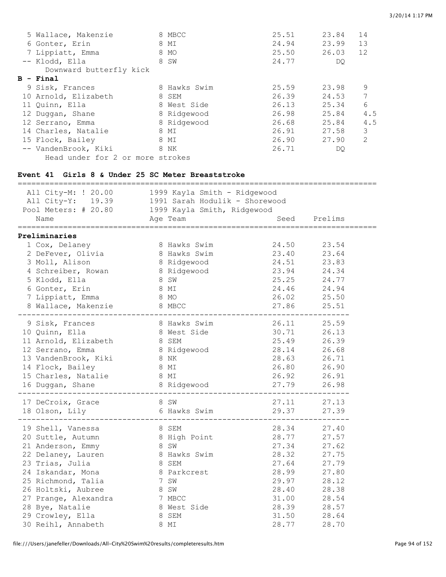| 5 Wallace, Makenzie              | 8 MBCC       | 25.51 | 23.84 | 14  |
|----------------------------------|--------------|-------|-------|-----|
| 6 Gonter, Erin                   | 8 MI         | 24.94 | 23.99 | 13  |
| 7 Lippiatt, Emma                 | 8 MO         | 25.50 | 26.03 | 12  |
| -- Klodd, Ella                   | 8 SW         | 24.77 | DQ.   |     |
| Downward butterfly kick          |              |       |       |     |
| B - Final                        |              |       |       |     |
| 9 Sisk, Frances                  | 8 Hawks Swim | 25.59 | 23.98 | 9   |
| 10 Arnold, Elizabeth             | 8 SEM        | 26.39 | 24.53 | 7   |
| 11 Quinn, Ella                   | 8 West Side  | 26.13 | 25.34 | 6   |
| 12 Duggan, Shane                 | 8 Ridgewood  | 26.98 | 25.84 | 4.5 |
| 12 Serrano, Emma                 | 8 Ridgewood  | 26.68 | 25.84 | 4.5 |
| 14 Charles, Natalie              | 8 MI         | 26.91 | 27.58 | 3   |
| 15 Flock, Bailey                 | 8 MI         | 26.90 | 27.90 | 2   |
| -- VandenBrook, Kiki             | 8 NK         | 26.71 | DQ.   |     |
| Head under for 2 or more strokes |              |       |       |     |

## **Event 41 Girls 8 & Under 25 SC Meter Breaststroke**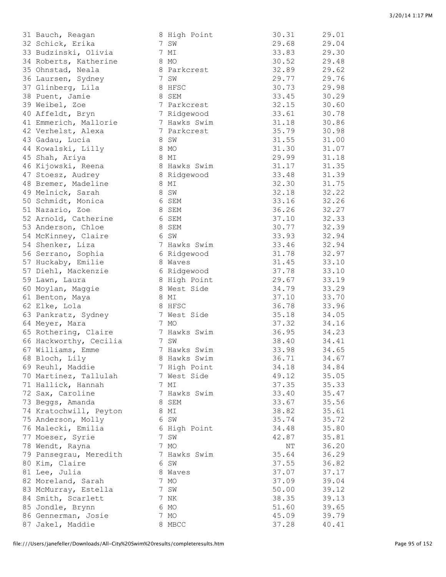| 31 Bauch, Reagan       | 8 High Point | 30.31 | 29.01 |
|------------------------|--------------|-------|-------|
| 32 Schick, Erika       | 7 SW         | 29.68 | 29.04 |
| 33 Budzinski, Olivia   | 7 MI         | 33.83 | 29.30 |
| 34 Roberts, Katherine  | 8 MO         | 30.52 | 29.48 |
|                        |              |       | 29.62 |
| 35 Ohnstad, Neala      | 8 Parkcrest  | 32.89 |       |
| 36 Laursen, Sydney     | 7 SW         | 29.77 | 29.76 |
| 37 Glinberg, Lila      | 8 HFSC       | 30.73 | 29.98 |
| 38 Puent, Jamie        | 8 SEM        | 33.45 | 30.29 |
| 39 Weibel, Zoe         | 7 Parkcrest  | 32.15 | 30.60 |
| 40 Affeldt, Bryn       | 7 Ridgewood  | 33.61 | 30.78 |
| 41 Emmerich, Mallorie  | 7 Hawks Swim | 31.18 | 30.86 |
|                        |              |       |       |
| 42 Verhelst, Alexa     | 7 Parkcrest  | 35.79 | 30.98 |
| 43 Gadau, Lucia        | 8 SW         | 31.55 | 31.00 |
| 44 Kowalski, Lilly     | 8 MO         | 31.30 | 31.07 |
| 45 Shah, Ariya         | 8 MI         | 29.99 | 31.18 |
| 46 Kijowski, Reena     | 8 Hawks Swim | 31.17 | 31.35 |
| 47 Stoesz, Audrey      | 8 Ridgewood  | 33.48 | 31.39 |
| 48 Bremer, Madeline    | 8 MI         | 32.30 | 31.75 |
|                        |              |       |       |
| 49 Melnick, Sarah      | 8 SW         | 32.18 | 32.22 |
| 50 Schmidt, Monica     | 6 SEM        | 33.16 | 32.26 |
| 51 Nazario, Zoe        | 8 SEM        | 36.26 | 32.27 |
| 52 Arnold, Catherine   | 6 SEM        | 37.10 | 32.33 |
| 53 Anderson, Chloe     | 8 SEM        | 30.77 | 32.39 |
| 54 McKinney, Claire    | 6 SW         | 33.93 | 32.94 |
| 54 Shenker, Liza       | 7 Hawks Swim | 33.46 | 32.94 |
|                        |              |       |       |
| 56 Serrano, Sophia     | 6 Ridgewood  | 31.78 | 32.97 |
| 57 Huckaby, Emilie     | 8 Waves      | 31.45 | 33.10 |
| 57 Diehl, Mackenzie    | 6 Ridgewood  | 37.78 | 33.10 |
| 59 Lawn, Laura         | 8 High Point | 29.67 | 33.19 |
| 60 Moylan, Maggie      | 8 West Side  | 34.79 | 33.29 |
| 61 Benton, Maya        | 8 MI         | 37.10 | 33.70 |
|                        | 8 HFSC       | 36.78 |       |
| 62 Elke, Lola          |              |       | 33.96 |
| 63 Pankratz, Sydney    | 7 West Side  | 35.18 | 34.05 |
| 64 Meyer, Mara         | 7 MO         | 37.32 | 34.16 |
| 65 Rothering, Claire   | 7 Hawks Swim | 36.95 | 34.23 |
| 66 Hackworthy, Cecilia | 7 SW         | 38.40 | 34.41 |
| 67 Williams, Emme      | 7 Hawks Swim | 33.98 | 34.65 |
| 68 Bloch, Lily         | 8 Hawks Swim | 36.71 | 34.67 |
| 69 Reuhl, Maddie       | 7 High Point | 34.18 | 34.84 |
|                        |              |       |       |
| 70 Martinez, Tallulah  | 7 West Side  | 49.12 | 35.05 |
| 71 Hallick, Hannah     | 7 MI         | 37.35 | 35.33 |
| 72 Sax, Caroline       | 7 Hawks Swim | 33.40 | 35.47 |
| 73 Beggs, Amanda       | 8 SEM        | 33.67 | 35.56 |
| 74 Kratochwill, Peyton | 8 MI         | 38.82 | 35.61 |
| 75 Anderson, Molly     | 6 SW         | 35.74 | 35.72 |
| 76 Malecki, Emilia     | 6 High Point | 34.48 | 35.80 |
| 77 Moeser, Syrie       | 7 SW         | 42.87 | 35.81 |
|                        |              |       |       |
| 78 Wendt, Rayna        | 7 MO         | ΝT    | 36.20 |
| 79 Pansegrau, Meredith | 7 Hawks Swim | 35.64 | 36.29 |
| 80 Kim, Claire         | 6 SW         | 37.55 | 36.82 |
| 81 Lee, Julia          | 8 Waves      | 37.07 | 37.17 |
| 82 Moreland, Sarah     | 7 MO         | 37.09 | 39.04 |
| 83 McMurray, Estella   | 7 SW         | 50.00 | 39.12 |
| 84 Smith, Scarlett     | 7 NK         | 38.35 | 39.13 |
|                        |              |       |       |
| 85 Jondle, Brynn       | 6 MO         | 51.60 | 39.65 |
| 86 Gennerman, Josie    | 7 MO         | 45.09 | 39.79 |
| 87 Jakel, Maddie       | 8 MBCC       | 37.28 | 40.41 |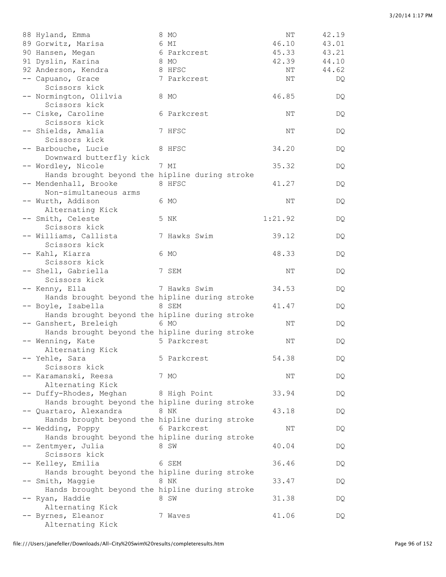| 88 Hyland, Emma                                                                       | 8 MO         | NΤ      | 42.19 |
|---------------------------------------------------------------------------------------|--------------|---------|-------|
| 89 Gorwitz, Marisa                                                                    | 6 MI         | 46.10   | 43.01 |
| 90 Hansen, Megan                                                                      | 6 Parkcrest  | 45.33   | 43.21 |
| 91 Dyslin, Karina                                                                     | 8 MO         | 42.39   | 44.10 |
| 92 Anderson, Kendra                                                                   | 8 HFSC       | ΝT      | 44.62 |
| -- Capuano, Grace<br>Scissors kick                                                    | 7 Parkcrest  | NΤ      | DQ    |
| -- Normington, Olilvia<br>Scissors kick                                               | 8 MO         | 46.85   | DQ.   |
| -- Ciske, Caroline<br>Scissors kick                                                   | 6 Parkcrest  | NΤ      | DQ.   |
| -- Shields, Amalia<br>Scissors kick                                                   | 7 HFSC       | NΤ      | DQ    |
| -- Barbouche, Lucie                                                                   | 8 HFSC       | 34.20   | DQ    |
| Downward butterfly kick<br>-- Wordley, Nicole                                         | 7 MI         | 35.32   | DQ    |
| Hands brought beyond the hipline during stroke<br>-- Mendenhall, Brooke               | 8 HFSC       | 41.27   | DQ.   |
| Non-simultaneous arms<br>-- Wurth, Addison                                            | 6 MO         | NT      | DQ.   |
| Alternating Kick<br>-- Smith, Celeste                                                 | 5 NK         | 1:21.92 | DQ.   |
| Scissors kick                                                                         |              |         |       |
| -- Williams, Callista<br>Scissors kick                                                | 7 Hawks Swim | 39.12   | DQ.   |
| -- Kahl, Kiarra<br>Scissors kick                                                      | 6 MO         | 48.33   | DQ.   |
| -- Shell, Gabriella<br>Scissors kick                                                  | 7 SEM        | NT      | DQ.   |
| -- Kenny, Ella                                                                        | 7 Hawks Swim | 34.53   | DQ.   |
| Hands brought beyond the hipline during stroke<br>-- Boyle, Isabella                  | 8 SEM        | 41.47   | DQ.   |
| Hands brought beyond the hipline during stroke<br>-- Ganshert, Breleigh               | 6 MO         | NT      | DQ.   |
| Hands brought beyond the hipline during stroke<br>-- Wenning, Kate                    | 5 Parkcrest  | ΝT      | DQ.   |
| Alternating Kick                                                                      |              |         |       |
| -- Yehle, Sara<br>Scissors kick                                                       | 5 Parkcrest  | 54.38   | DQ    |
| -- Karamanski, Reesa<br>Alternating Kick                                              | 7 MO         | ΝT      | DQ    |
| -- Duffy-Rhodes, Meghan<br>Hands brought beyond the hipline during stroke             | 8 High Point | 33.94   | DQ    |
| -- Quartaro, Alexandra<br>Hands brought beyond the hipline during stroke              | 8 NK         | 43.18   | DQ    |
| -- Wedding, Poppy                                                                     | 6 Parkcrest  | NΤ      | DQ    |
| Hands brought beyond the hipline during stroke<br>-- Zentmyer, Julia<br>Scissors kick | 8 SW         | 40.04   | DQ    |
| -- Kelley, Emilia                                                                     | 6 SEM        | 36.46   | DQ    |
| Hands brought beyond the hipline during stroke<br>-- Smith, Maggie                    | 8 NK         | 33.47   | DQ    |
| Hands brought beyond the hipline during stroke<br>-- Ryan, Haddie                     | 8 SW         | 31.38   | DQ    |
| Alternating Kick<br>-- Byrnes, Eleanor<br>Alternating Kick                            | 7 Waves      | 41.06   | DQ    |
|                                                                                       |              |         |       |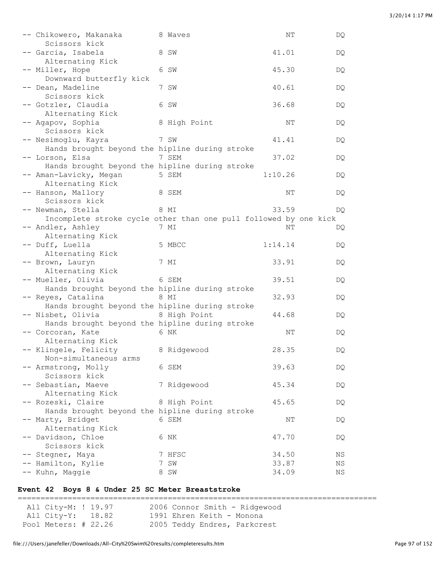|               |                                                                                                                                                                                                                                                                                                                                                                                                                                                                                                                                                                                                                                                                                                                                                                                                                                                                                                                                     | ΝT                                                                                                                                                                                                                                                                      | DQ                                                                                                                                                                                                                                                                                                                                                                                             |
|---------------|-------------------------------------------------------------------------------------------------------------------------------------------------------------------------------------------------------------------------------------------------------------------------------------------------------------------------------------------------------------------------------------------------------------------------------------------------------------------------------------------------------------------------------------------------------------------------------------------------------------------------------------------------------------------------------------------------------------------------------------------------------------------------------------------------------------------------------------------------------------------------------------------------------------------------------------|-------------------------------------------------------------------------------------------------------------------------------------------------------------------------------------------------------------------------------------------------------------------------|------------------------------------------------------------------------------------------------------------------------------------------------------------------------------------------------------------------------------------------------------------------------------------------------------------------------------------------------------------------------------------------------|
|               |                                                                                                                                                                                                                                                                                                                                                                                                                                                                                                                                                                                                                                                                                                                                                                                                                                                                                                                                     | 41.01                                                                                                                                                                                                                                                                   | DQ                                                                                                                                                                                                                                                                                                                                                                                             |
|               |                                                                                                                                                                                                                                                                                                                                                                                                                                                                                                                                                                                                                                                                                                                                                                                                                                                                                                                                     | 45.30                                                                                                                                                                                                                                                                   | DQ                                                                                                                                                                                                                                                                                                                                                                                             |
|               |                                                                                                                                                                                                                                                                                                                                                                                                                                                                                                                                                                                                                                                                                                                                                                                                                                                                                                                                     | 40.61                                                                                                                                                                                                                                                                   | DQ                                                                                                                                                                                                                                                                                                                                                                                             |
|               |                                                                                                                                                                                                                                                                                                                                                                                                                                                                                                                                                                                                                                                                                                                                                                                                                                                                                                                                     | 36.68                                                                                                                                                                                                                                                                   | DQ                                                                                                                                                                                                                                                                                                                                                                                             |
|               |                                                                                                                                                                                                                                                                                                                                                                                                                                                                                                                                                                                                                                                                                                                                                                                                                                                                                                                                     | ΝT                                                                                                                                                                                                                                                                      | DQ                                                                                                                                                                                                                                                                                                                                                                                             |
|               |                                                                                                                                                                                                                                                                                                                                                                                                                                                                                                                                                                                                                                                                                                                                                                                                                                                                                                                                     | 41.41                                                                                                                                                                                                                                                                   | DQ                                                                                                                                                                                                                                                                                                                                                                                             |
|               |                                                                                                                                                                                                                                                                                                                                                                                                                                                                                                                                                                                                                                                                                                                                                                                                                                                                                                                                     | 37.02                                                                                                                                                                                                                                                                   | DQ                                                                                                                                                                                                                                                                                                                                                                                             |
|               |                                                                                                                                                                                                                                                                                                                                                                                                                                                                                                                                                                                                                                                                                                                                                                                                                                                                                                                                     | 1:10.26                                                                                                                                                                                                                                                                 | DQ                                                                                                                                                                                                                                                                                                                                                                                             |
| Scissors kick |                                                                                                                                                                                                                                                                                                                                                                                                                                                                                                                                                                                                                                                                                                                                                                                                                                                                                                                                     | ΝT                                                                                                                                                                                                                                                                      | DQ                                                                                                                                                                                                                                                                                                                                                                                             |
|               |                                                                                                                                                                                                                                                                                                                                                                                                                                                                                                                                                                                                                                                                                                                                                                                                                                                                                                                                     | 33.59                                                                                                                                                                                                                                                                   | DQ.                                                                                                                                                                                                                                                                                                                                                                                            |
|               |                                                                                                                                                                                                                                                                                                                                                                                                                                                                                                                                                                                                                                                                                                                                                                                                                                                                                                                                     | NΤ                                                                                                                                                                                                                                                                      | DQ                                                                                                                                                                                                                                                                                                                                                                                             |
|               |                                                                                                                                                                                                                                                                                                                                                                                                                                                                                                                                                                                                                                                                                                                                                                                                                                                                                                                                     | 1:14.14                                                                                                                                                                                                                                                                 | DQ                                                                                                                                                                                                                                                                                                                                                                                             |
|               |                                                                                                                                                                                                                                                                                                                                                                                                                                                                                                                                                                                                                                                                                                                                                                                                                                                                                                                                     | 33.91                                                                                                                                                                                                                                                                   | DQ                                                                                                                                                                                                                                                                                                                                                                                             |
|               |                                                                                                                                                                                                                                                                                                                                                                                                                                                                                                                                                                                                                                                                                                                                                                                                                                                                                                                                     | 39.51                                                                                                                                                                                                                                                                   | DQ                                                                                                                                                                                                                                                                                                                                                                                             |
|               |                                                                                                                                                                                                                                                                                                                                                                                                                                                                                                                                                                                                                                                                                                                                                                                                                                                                                                                                     | 32.93                                                                                                                                                                                                                                                                   | DQ                                                                                                                                                                                                                                                                                                                                                                                             |
|               |                                                                                                                                                                                                                                                                                                                                                                                                                                                                                                                                                                                                                                                                                                                                                                                                                                                                                                                                     | 44.68                                                                                                                                                                                                                                                                   | DQ                                                                                                                                                                                                                                                                                                                                                                                             |
|               |                                                                                                                                                                                                                                                                                                                                                                                                                                                                                                                                                                                                                                                                                                                                                                                                                                                                                                                                     | ΝT                                                                                                                                                                                                                                                                      | DQ                                                                                                                                                                                                                                                                                                                                                                                             |
|               |                                                                                                                                                                                                                                                                                                                                                                                                                                                                                                                                                                                                                                                                                                                                                                                                                                                                                                                                     | 28.35                                                                                                                                                                                                                                                                   | DQ.                                                                                                                                                                                                                                                                                                                                                                                            |
|               |                                                                                                                                                                                                                                                                                                                                                                                                                                                                                                                                                                                                                                                                                                                                                                                                                                                                                                                                     | 39.63                                                                                                                                                                                                                                                                   | DQ.                                                                                                                                                                                                                                                                                                                                                                                            |
|               |                                                                                                                                                                                                                                                                                                                                                                                                                                                                                                                                                                                                                                                                                                                                                                                                                                                                                                                                     | 45.34                                                                                                                                                                                                                                                                   | DQ                                                                                                                                                                                                                                                                                                                                                                                             |
|               |                                                                                                                                                                                                                                                                                                                                                                                                                                                                                                                                                                                                                                                                                                                                                                                                                                                                                                                                     | 45.65                                                                                                                                                                                                                                                                   | DQ                                                                                                                                                                                                                                                                                                                                                                                             |
|               |                                                                                                                                                                                                                                                                                                                                                                                                                                                                                                                                                                                                                                                                                                                                                                                                                                                                                                                                     | ΝT                                                                                                                                                                                                                                                                      | DQ                                                                                                                                                                                                                                                                                                                                                                                             |
|               |                                                                                                                                                                                                                                                                                                                                                                                                                                                                                                                                                                                                                                                                                                                                                                                                                                                                                                                                     | 47.70                                                                                                                                                                                                                                                                   | DQ                                                                                                                                                                                                                                                                                                                                                                                             |
|               |                                                                                                                                                                                                                                                                                                                                                                                                                                                                                                                                                                                                                                                                                                                                                                                                                                                                                                                                     |                                                                                                                                                                                                                                                                         | ΝS                                                                                                                                                                                                                                                                                                                                                                                             |
|               |                                                                                                                                                                                                                                                                                                                                                                                                                                                                                                                                                                                                                                                                                                                                                                                                                                                                                                                                     |                                                                                                                                                                                                                                                                         | ΝS                                                                                                                                                                                                                                                                                                                                                                                             |
|               |                                                                                                                                                                                                                                                                                                                                                                                                                                                                                                                                                                                                                                                                                                                                                                                                                                                                                                                                     | 34.09                                                                                                                                                                                                                                                                   | ΝS                                                                                                                                                                                                                                                                                                                                                                                             |
|               | -- Chikowero, Makanaka<br>Scissors kick<br>-- Garcia, Isabela<br>Alternating Kick<br>-- Miller, Hope<br>Downward butterfly kick<br>-- Dean, Madeline<br>Scissors kick<br>-- Gotzler, Claudia<br>Alternating Kick<br>-- Agapov, Sophia<br>Scissors kick<br>-- Nesimoglu, Kayra<br>-- Lorson, Elsa<br>-- Aman-Lavicky, Megan<br>Alternating Kick<br>-- Hanson, Mallory<br>-- Newman, Stella<br>-- Andler, Ashley<br>Alternating Kick<br>-- Duff, Luella<br>Alternating Kick<br>-- Brown, Lauryn<br>Alternating Kick<br>-- Mueller, Olivia<br>-- Reyes, Catalina<br>-- Nisbet, Olivia<br>-- Corcoran, Kate<br>Alternating Kick<br>-- Klingele, Felicity<br>Non-simultaneous arms<br>-- Armstrong, Molly<br>Scissors kick<br>-- Sebastian, Maeve<br>Alternating Kick<br>-- Rozeski, Claire<br>-- Marty, Bridget<br>Alternating Kick<br>-- Davidson, Chloe<br>Scissors kick<br>-- Stegner, Maya<br>-- Hamilton, Kylie<br>-- Kuhn, Maggie | 8 Waves<br>8 SW<br>6 SW<br>7 SW<br>6 SW<br>8 High Point<br>7 SW<br>7 SEM<br>5 SEM<br>8 SEM<br>8 MI<br>7 MI<br>5 MBCC<br>7 MI<br>6 SEM<br>8 MI<br>8 High Point<br>6 NK<br>8 Ridgewood<br>6 SEM<br>7 Ridgewood<br>8 High Point<br>6 SEM<br>6 NK<br>7 HFSC<br>7 SW<br>8 SW | Hands brought beyond the hipline during stroke<br>Hands brought beyond the hipline during stroke<br>Incomplete stroke cycle other than one pull followed by one kick<br>Hands brought beyond the hipline during stroke<br>Hands brought beyond the hipline during stroke<br>Hands brought beyond the hipline during stroke<br>Hands brought beyond the hipline during stroke<br>34.50<br>33.87 |

#### **Event 42 Boys 8 & Under 25 SC Meter Breaststroke**

=============================================================================== All City-M: ! 19.97 2006 Connor Smith - Ridgewood All City-Y: 18.82 1991 Ehren Keith - Monona Pool Meters: # 22.26 2005 Teddy Endres, Parkcrest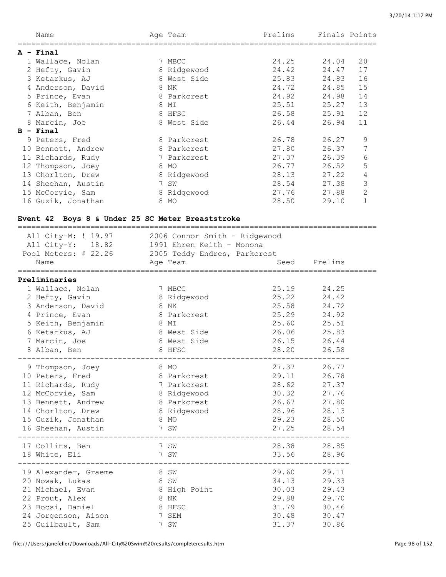| Name               |   | Age Team    | Prelims | Finals Points |                |
|--------------------|---|-------------|---------|---------------|----------------|
| A - Final          |   |             |         |               |                |
| 1 Wallace, Nolan   |   | 7 MBCC      | 24.25   | 24.04         | 20             |
| 2 Hefty, Gavin     |   | 8 Ridgewood | 24.42   | 24.47         | 17             |
| 3 Ketarkus, AJ     |   | 8 West Side | 25.83   | 24.83         | 16             |
| 4 Anderson, David  | 8 | ΝK          | 24.72   | 24.85         | 15             |
| 5 Prince, Evan     |   | 8 Parkcrest | 24.92   | 24.98         | 14             |
| 6 Keith, Benjamin  |   | 8 MI        | 25.51   | 25.27         | 13             |
| 7 Alban, Ben       |   | 8 HFSC      | 26.58   | 25.91         | 12             |
| 8 Marcin, Joe      |   | 8 West Side | 26.44   | 26.94         | 11             |
| $B - Final$        |   |             |         |               |                |
| 9 Peters, Fred     |   | 8 Parkcrest | 26.78   | 26.27         | 9              |
| 10 Bennett, Andrew |   | 8 Parkcrest | 27.80   | 26.37         | 7              |
| 11 Richards, Rudy  |   | 7 Parkcrest | 27.37   | 26.39         | 6              |
| 12 Thompson, Joey  |   | 8 MO        | 26.77   | 26.52         | 5              |
| 13 Chorlton, Drew  |   | 8 Ridgewood | 28.13   | 27.22         | 4              |
| 14 Sheehan, Austin |   | 7 SW        | 28.54   | 27.38         | 3              |
| 15 McCorvie, Sam   |   | 8 Ridgewood | 27.76   | 27.88         | $\mathbf{2}$   |
| 16 Guzik, Jonathan | 8 | MO          | 28.50   | 29.10         | $\overline{1}$ |

## **Event 42 Boys 8 & Under 25 SC Meter Breaststroke**

| Pool Meters: # 22.26 2005 Teddy Endres, Parkcrest<br>Name | All City-M: ! 19.97 2006 Connor Smith - Ridgewood<br>All City-Y: 18.82 1991 Ehren Keith - Monona<br>Age Team |                            | Seed Prelims |  |
|-----------------------------------------------------------|--------------------------------------------------------------------------------------------------------------|----------------------------|--------------|--|
| Preliminaries                                             |                                                                                                              |                            |              |  |
| 1 Wallace, Nolan                                          | 7 MBCC                                                                                                       | 25.19                      | 24.25        |  |
| 2 Hefty, Gavin                                            | 8 Ridgewood                                                                                                  | 25.22                      | 24.42        |  |
| 3 Anderson, David                                         | 8 NK                                                                                                         |                            | 25.58 24.72  |  |
| 4 Prince, Evan                                            | 8 Parkcrest<br>EXERCISE STRUCK STRUCK STRUCK                                                                 | 25.29 24.92                |              |  |
| 5 Keith, Benjamin                                         | 8 West Side                                                                                                  | 25.60 25.51<br>26.06 25.83 |              |  |
| 6 Ketarkus, AJ<br>7 Marcin, Joe                           | 8 West Side                                                                                                  | 26.15                      | 26.44        |  |
| 8 Alban, Ben                                              | 8 HFSC                                                                                                       |                            | 26.58        |  |
|                                                           |                                                                                                              | 28.20                      |              |  |
| 9 Thompson, Joey                                          | 8 MO                                                                                                         |                            | 27.37 26.77  |  |
| 10 Peters, Fred                                           | 8 Parkcrest                                                                                                  | 29.11 26.78                |              |  |
| 11 Richards, Rudy 7 Parkcrest                             |                                                                                                              | 28.62 27.37                |              |  |
| 12 McCorvie, Sam                                          | 8 Ridgewood                                                                                                  |                            | 30.32 27.76  |  |
| 13 Bennett, Andrew                                        | 8 Parkcrest                                                                                                  | 26.67                      | 27.80        |  |
| 14 Chorlton, Drew                                         | 8 Ridgewood                                                                                                  | 28.96                      | 28.13        |  |
| 15 Guzik, Jonathan                                        | 8 MO                                                                                                         |                            | 29.23 28.50  |  |
| 16 Sheehan, Austin                                        | 7 SW                                                                                                         | 27.25                      | 28.54        |  |
| 17 Collins, Ben                                           | 7 SW                                                                                                         |                            | 28.38 28.85  |  |
| 18 White, Eli                                             | 7 SW<br>----------------                                                                                     | 33.56<br>------------      | 28.96        |  |
| 19 Alexander, Graeme 8 SW                                 |                                                                                                              |                            | 29.60 29.11  |  |
| 20 Nowak, Lukas                                           | 8 SW                                                                                                         | 34.13 29.33                |              |  |
|                                                           | 21 Michael, Evan 8 High Point 30.03 29.43                                                                    |                            |              |  |
| and the state of the SNK<br>22 Prout, Alex                |                                                                                                              | 29.88 29.70                |              |  |
| 23 Bocsi, Daniel                                          | 8 HFSC                                                                                                       |                            | 31.79 30.46  |  |
| 24 Jorgenson, Aison                                       | 7 SEM                                                                                                        | 30.48                      | 30.47        |  |
| 25 Guilbault, Sam                                         | 7 SW                                                                                                         | 31.37                      | 30.86        |  |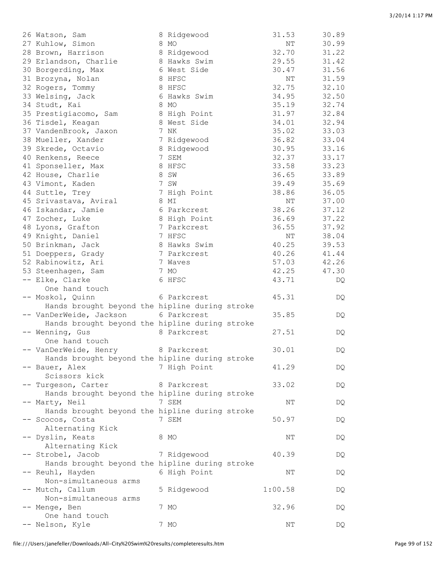| 26 Watson, Sam                                 | 8 Ridgewood  | 31.53     | 30.89 |
|------------------------------------------------|--------------|-----------|-------|
| 27 Kuhlow, Simon                               | 8 MO         | $\rm{NT}$ | 30.99 |
| 28 Brown, Harrison                             | 8 Ridgewood  | 32.70     | 31.22 |
| 29 Erlandson, Charlie                          | 8 Hawks Swim | 29.55     | 31.42 |
| 30 Borgerding, Max                             | 6 West Side  | 30.47     | 31.56 |
| 31 Brozyna, Nolan                              | 8 HFSC       | NΤ        | 31.59 |
| 32 Rogers, Tommy                               | 8 HFSC       | 32.75     | 32.10 |
| 33 Welsing, Jack                               | 6 Hawks Swim | 34.95     | 32.50 |
| 34 Studt, Kai                                  | 8 MO         | 35.19     | 32.74 |
| 35 Prestigiacomo, Sam                          | 8 High Point | 31.97     | 32.84 |
| 36 Tisdel, Keagan                              | 8 West Side  | 34.01     | 32.94 |
| 37 VandenBrook, Jaxon                          | 7 NK         | 35.02     | 33.03 |
| 38 Mueller, Xander                             |              | 36.82     | 33.04 |
| 39 Skrede, Octavio                             | 7 Ridgewood  | 30.95     | 33.16 |
|                                                | 8 Ridgewood  |           |       |
| 40 Renkens, Reece                              | 7 SEM        | 32.37     | 33.17 |
| 41 Sponseller, Max                             | 8 HFSC       | 33.58     | 33.23 |
| 42 House, Charlie                              | 8 SW         | 36.65     | 33.89 |
| 43 Vimont, Kaden                               | 7 SW         | 39.49     | 35.69 |
| 44 Suttle, Trey                                | 7 High Point | 38.86     | 36.05 |
| 45 Srivastava, Aviral                          | 8 MI         | NΤ        | 37.00 |
| 46 Iskandar, Jamie                             | 6 Parkcrest  | 38.26     | 37.12 |
| 47 Zocher, Luke                                | 8 High Point | 36.69     | 37.22 |
| 48 Lyons, Grafton                              | 7 Parkcrest  | 36.55     | 37.92 |
| 49 Knight, Daniel                              | 7 HFSC       | $\rm{NT}$ | 38.04 |
| 50 Brinkman, Jack                              | 8 Hawks Swim | 40.25     | 39.53 |
| 51 Doeppers, Grady                             | 7 Parkcrest  | 40.26     | 41.44 |
| 52 Rabinowitz, Ari                             | 7 Waves      | 57.03     | 42.26 |
| 53 Steenhagen, Sam                             | 7 MO         | 42.25     | 47.30 |
| -- Elke, Clarke                                | 6 HFSC       | 43.71     | DQ    |
| One hand touch                                 |              |           |       |
| -- Moskol, Quinn                               | 6 Parkcrest  | 45.31     | DQ    |
| Hands brought beyond the hipline during stroke |              |           |       |
| -- VanDerWeide, Jackson                        | 6 Parkcrest  | 35.85     | DQ    |
| Hands brought beyond the hipline during stroke |              |           |       |
| -- Wenning, Gus                                | 8 Parkcrest  | 27.51     | DQ    |
| One hand touch                                 |              |           |       |
| -- VanDerWeide, Henry                          | 8 Parkcrest  | 30.01     |       |
| Hands brought beyond the hipline during stroke |              |           | DQ    |
|                                                |              |           |       |
| -- Bauer, Alex                                 | 7 High Point | 41.29     | DQ    |
| Scissors kick                                  |              |           |       |
| -- Turgeson, Carter                            | 8 Parkcrest  | 33.02     | DQ    |
| Hands brought beyond the hipline during stroke |              |           |       |
| -- Marty, Neil                                 | 7 SEM        | ΝT        | DQ    |
| Hands brought beyond the hipline during stroke |              |           |       |
| -- Scocos, Costa                               | 7 SEM        | 50.97     | DQ    |
| Alternating Kick                               |              |           |       |
| -- Dyslin, Keats                               | 8 MO         | NΤ        | DQ    |
| Alternating Kick                               |              |           |       |
| -- Strobel, Jacob                              | 7 Ridgewood  | 40.39     | DQ    |
| Hands brought beyond the hipline during stroke |              |           |       |
| -- Reuhl, Hayden                               | 6 High Point | NΤ        | DQ    |
| Non-simultaneous arms                          |              |           |       |
| -- Mutch, Callum                               | 5 Ridgewood  | 1:00.58   | DQ    |
| Non-simultaneous arms                          |              |           |       |
| -- Menge, Ben                                  | 7 MO         | 32.96     | DQ    |
| One hand touch                                 |              |           |       |
| -- Nelson, Kyle                                | 7 MO         | NT        | DQ    |
|                                                |              |           |       |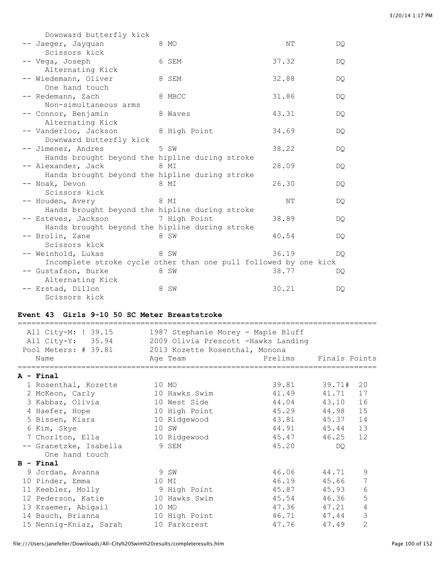| Downward butterfly kick                        |                                                                          |       |     |
|------------------------------------------------|--------------------------------------------------------------------------|-------|-----|
| -- Jaeqer, Jayquan                             | 8 MO                                                                     | NΤ    | DQ. |
| Scissors kick                                  |                                                                          |       |     |
| -- Vega, Joseph                                | 6 SEM                                                                    | 37.32 | DQ. |
| Alternating Kick                               |                                                                          |       |     |
| -- Wiedemann, Oliver                           | 8 SEM                                                                    | 32.88 | DO. |
| One hand touch                                 |                                                                          |       |     |
| -- Redemann, Zach                              | 8 MBCC                                                                   | 31.86 | DQ. |
| Non-simultaneous arms                          |                                                                          |       |     |
| -- Connor, Benjamin                            | 8 Waves                                                                  | 43.31 | DQ. |
| Alternating Kick                               |                                                                          |       |     |
| -- Vanderloo, Jackson                          | 8 High Point                                                             | 34.69 | DQ. |
| Downward butterfly kick                        |                                                                          |       |     |
| -- Jimenez, Andres                             | 5 SW                                                                     | 38.22 | DQ. |
| Hands brought beyond the hipline during stroke |                                                                          |       |     |
| -- Alexander, Jack                             | 8 MI                                                                     | 28.09 | DO. |
| Hands brought beyond the hipline during stroke |                                                                          |       |     |
| -- Noak, Devon                                 | 8 MI                                                                     | 26.30 | DO. |
| Scissors kick                                  |                                                                          |       |     |
| -- Houden, Avery                               | 8 MI                                                                     | NΤ    | DQ. |
| Hands brought beyond the hipline during stroke |                                                                          |       |     |
| -- Esteves, Jackson                            | 7 High Point                                                             | 38.89 | DQ. |
| Hands brought beyond the hipline during stroke |                                                                          |       |     |
| -- Brolin, Zane                                | 8 SW                                                                     | 40.54 | DQ. |
| Scissors kick                                  |                                                                          | 36.19 |     |
| -- Weinhold, Lukas                             | 8 SW                                                                     |       | DO. |
|                                                | Incomplete stroke cycle other than one pull followed by one kick<br>8 SW |       |     |
| -- Gustafson, Burke                            |                                                                          | 38.77 | DQ. |
| Alternating Kick                               | 8 SW                                                                     | 30.21 |     |
| -- Erstad, Dillon<br>Scissors kick             |                                                                          |       | DQ. |
|                                                |                                                                          |       |     |

#### **Event 43 Girls 9-10 50 SC Meter Breaststroke**

| All City-M: ! 39.15<br>All City-Y: 35.94<br>Pool Meters: # 39.81<br>Name | 1987 Stephanie Morey - Maple Bluff<br>2009 Olivia Prescott -Hawks Landing<br>2013 Kozette Rosenthal, Monona<br>Age Team | Prelims Finals Points |        |                 |
|--------------------------------------------------------------------------|-------------------------------------------------------------------------------------------------------------------------|-----------------------|--------|-----------------|
| A - Final                                                                |                                                                                                                         |                       |        |                 |
| 1 Rosenthal, Kozette                                                     | 10 MO                                                                                                                   | 39.81                 | 39.71# | 20              |
| 2 McKeon, Carly                                                          | 10 Hawks Swim                                                                                                           | 41.49                 | 41.71  | 17              |
| 3 Kabbaz, Olivia                                                         | 10 West Side                                                                                                            | 44.04 43.10           |        | 16              |
| 4 Haefer, Hope                                                           | 10 High Point                                                                                                           | 45.29                 | 44.98  | 15              |
| 5 Bissen, Kiara                                                          | 10 Ridgewood                                                                                                            | 43.81 45.37           |        | 14              |
| 6 Kim, Skye                                                              | 10 SW                                                                                                                   | 44.91 45.44           |        | 13              |
| 7 Chorlton, Ella                                                         | 10 Ridgewood                                                                                                            | 45.47                 | 46.25  | 12              |
| -- Granetzke, Isabella                                                   | 9 SEM                                                                                                                   | 45.20                 | DQ.    |                 |
| One hand touch                                                           |                                                                                                                         |                       |        |                 |
| B - Final                                                                |                                                                                                                         |                       |        |                 |
| 9 Jordan, Avanna                                                         | 9 SW                                                                                                                    | 46.06 44.71           |        | 9               |
| 10 Pinder, Emma                                                          | 10 MI                                                                                                                   | 46.19                 | 45.66  | 7               |
| 11 Keebler, Molly                                                        | 9 High Point                                                                                                            | 45.87 45.93           |        | $6\phantom{1}6$ |
| 12 Pederson, Katie                                                       | 10 Hawks Swim                                                                                                           | 45.54                 | 46.36  | 5               |
| 13 Kraemer, Abigail                                                      | 10 MO                                                                                                                   | 47.36 47.21           |        | 4               |
| 14 Bauch, Brianna                                                        | 10 High Point                                                                                                           | 46.71 47.44           |        | 3               |
| 15 Nennig-Kniaz, Sarah                                                   | 10 Parkcrest                                                                                                            | 47.76                 | 47.49  | 2               |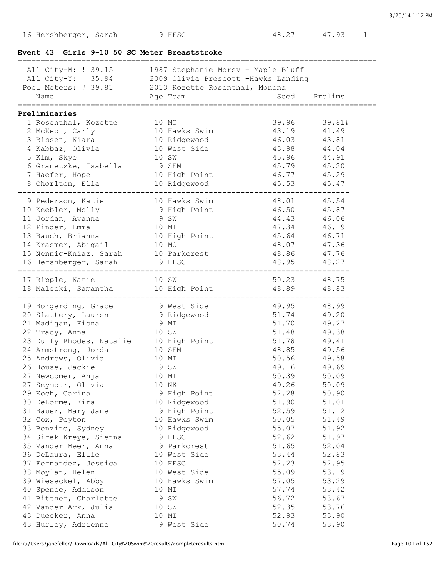## **Event 43 Girls 9-10 50 SC Meter Breaststroke**

|                                                                                                                                                                                |       |                               |                         | .================================                  |
|--------------------------------------------------------------------------------------------------------------------------------------------------------------------------------|-------|-------------------------------|-------------------------|----------------------------------------------------|
| All City-M: ! 39.15 1987 Stephanie Morey - Maple Bluff<br>All City-Y: 35.94 2009 Olivia Prescott -Hawks Landing<br>Pool Meters: # 39.81 2013 Kozette Rosenthal, Monona<br>Name |       | Age Team                      |                         | Seed Prelims<br>================================== |
|                                                                                                                                                                                |       |                               |                         |                                                    |
| Preliminaries<br>1 Rosenthal, Kozette<br>2 McKeon, Carly<br>3 Bissen, Kiara                                                                                                    | 10 MO | 10 Hawks Swim<br>10 Ridgewood | 39.96<br>43.19<br>46.03 | 39.81#<br>41.49<br>43.81                           |
|                                                                                                                                                                                |       | 10 West Side                  | 43.98                   | 44.04                                              |
| 4 Kabbaz, Olivia<br>5 Kim, Skye                                                                                                                                                |       | 10 SW                         | 45.96                   | 44.91                                              |
| 6 Granetzke, Isabella                                                                                                                                                          | 9 SEM |                               | 45.79                   | 45.20                                              |
| 7 Haefer, Hope                                                                                                                                                                 |       | 10 High Point                 | 46.77                   | 45.29                                              |
| 8 Chorlton, Ella                                                                                                                                                               |       | 10 Ridgewood                  | 45.53                   | 45.47                                              |
|                                                                                                                                                                                |       |                               |                         |                                                    |
| 9 Pederson, Katie                                                                                                                                                              |       | 10 Hawks Swim                 | 48.01                   | 45.54                                              |
| 10 Keebler, Molly                                                                                                                                                              |       | 9 High Point                  | 46.50                   | 45.87                                              |
| 11 Jordan, Avanna                                                                                                                                                              | 9 SW  |                               | 44.43                   | 46.06                                              |
| 12 Pinder, Emma                                                                                                                                                                | 10 MI |                               | 47.34                   | 46.19                                              |
| 13 Bauch, Brianna                                                                                                                                                              |       | 10 High Point                 | 45.64                   | 46.71                                              |
| 14 Kraemer, Abigail                                                                                                                                                            |       | 10 MO                         | 48.07                   | 47.36                                              |
| 15 Nennig-Kniaz, Sarah 10 Parkcrest                                                                                                                                            |       |                               | 48.86                   | 47.76                                              |
| 16 Hershberger, Sarah 9 HFSC                                                                                                                                                   |       |                               | 48.95                   | 48.27                                              |
| 17 Ripple, Katie                                                                                                                                                               | 10 SW |                               | 50.23                   | 48.75                                              |
| 18 Malecki, Samantha                                                                                                                                                           |       | 10 High Point                 | 48.89                   | 48.83                                              |
| 19 Borgerding, Grace                                                                                                                                                           |       | 9 West Side                   | 49.95                   | 48.99                                              |
| 20 Slattery, Lauren                                                                                                                                                            |       | 9 Ridgewood                   | 51.74                   | 49.20                                              |
| 21 Madigan, Fiona                                                                                                                                                              | 9 MI  |                               | 51.70                   | 49.27                                              |
| 22 Tracy, Anna                                                                                                                                                                 | 10 SW |                               | 51.48                   | 49.38                                              |
| 23 Duffy Rhodes, Natalie 10 High Point                                                                                                                                         |       |                               | 51.78                   | 49.41                                              |
| 24 Armstrong, Jordan                                                                                                                                                           |       | 10 SEM                        | 48.85                   | 49.56                                              |
| 25 Andrews, Olivia                                                                                                                                                             | 10 MI |                               | 50.56                   | 49.58                                              |
| 26 House, Jackie                                                                                                                                                               | 9 SW  |                               | 49.16                   | 49.69                                              |
| 27 Newcomer, Anja                                                                                                                                                              |       | 10 MI                         | 50.39                   | 50.09                                              |
| 27 Seymour, Olivia                                                                                                                                                             | 10 NK |                               | 49.26                   | 50.09                                              |
| 29 Koch, Carina                                                                                                                                                                |       | 9 High Point                  | 52.28                   | 50.90                                              |
| 30 DeLorme, Kira                                                                                                                                                               |       | 10 Ridgewood                  | 51.90                   | 51.01                                              |
| 31 Bauer, Mary Jane                                                                                                                                                            |       | 9 High Point                  | 52.59                   | 51.12                                              |
| 32 Cox, Peyton                                                                                                                                                                 |       | 10 Hawks Swim                 | 50.05                   | 51.49                                              |
| 33 Benzine, Sydney                                                                                                                                                             |       | 10 Ridgewood                  | 55.07                   | 51.92                                              |
| 34 Sirek Kreye, Sienna                                                                                                                                                         |       | 9 HFSC                        | 52.62                   | 51.97                                              |
| 35 Vander Meer, Anna                                                                                                                                                           |       | 9 Parkcrest                   | 51.65                   | 52.04                                              |
| 36 DeLaura, Ellie                                                                                                                                                              |       | 10 West Side                  | 53.44                   | 52.83                                              |
| 37 Fernandez, Jessica                                                                                                                                                          |       | 10 HFSC                       | 52.23                   | 52.95                                              |
| 38 Moylan, Helen                                                                                                                                                               |       | 10 West Side                  | 55.09                   | 53.19                                              |
| 39 Wieseckel, Abby                                                                                                                                                             |       | 10 Hawks Swim                 | 57.05                   | 53.29                                              |
| 40 Spence, Addison                                                                                                                                                             |       | 10 MI                         | 57.74                   | 53.42                                              |
| 41 Bittner, Charlotte                                                                                                                                                          |       | 9 SW                          | 56.72<br>52.35          | 53.67                                              |
| 42 Vander Ark, Julia<br>43 Duecker, Anna                                                                                                                                       |       | 10 SW<br>10 MI                | 52.93                   | 53.76<br>53.90                                     |
| 43 Hurley, Adrienne                                                                                                                                                            |       | 9 West Side                   | 50.74                   | 53.90                                              |
|                                                                                                                                                                                |       |                               |                         |                                                    |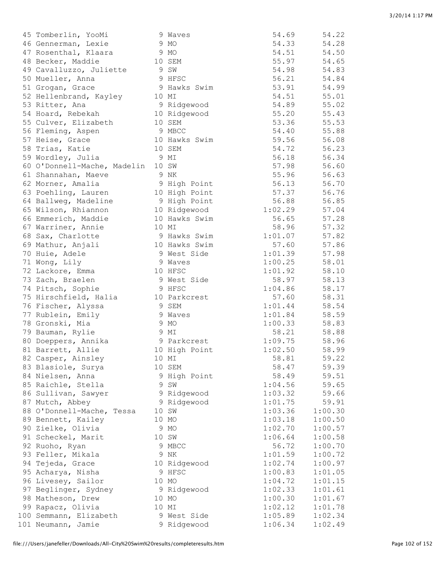| 45 Tomberlin, YooMi         | 9 Waves       | 54.69   | 54.22          |
|-----------------------------|---------------|---------|----------------|
| 46 Gennerman, Lexie         | 9 MO          | 54.33   | 54.28          |
| 47 Rosenthal, Klaara        | 9 MO          | 54.51   | 54.50          |
| 48 Becker, Maddie           | 10 SEM        | 55.97   | 54.65          |
| 49 Cavalluzzo, Juliette     | 9 SW          | 54.98   | 54.83          |
| 50 Mueller, Anna            | 9 HFSC        | 56.21   | 54.84          |
| 51 Grogan, Grace            | 9 Hawks Swim  | 53.91   | 54.99          |
| 52 Hellenbrand, Kayley      | 10 MI         | 54.51   | 55.01          |
| 53 Ritter, Ana              | 9 Ridgewood   | 54.89   | 55.02          |
| 54 Hoard, Rebekah           | 10 Ridgewood  | 55.20   | 55.43          |
| 55 Culver, Elizabeth        | 10 SEM        | 53.36   | 55.53          |
| 56 Fleming, Aspen           | 9 MBCC        | 54.40   | 55.88          |
| 57 Heise, Grace             | 10 Hawks Swim | 59.56   | 56.08          |
| 58 Trias, Katie             | 10 SEM        | 54.72   | 56.23          |
| 59 Wordley, Julia           | 9 MI          | 56.18   | 56.34          |
| 60 O'Donnell-Mache, Madelin | 10 SW         | 57.98   | 56.60          |
| 61 Shannahan, Maeve         | 9 NK          | 55.96   | 56.63          |
| 62 Morner, Amalia           | 9 High Point  | 56.13   | 56.70          |
| 63 Poehling, Lauren         | 10 High Point | 57.37   | 56.76          |
| 64 Ballweg, Madeline        | 9 High Point  | 56.88   | 56.85          |
| 65 Wilson, Rhiannon         | 10 Ridgewood  | 1:02.29 | 57.04          |
| 66 Emmerich, Maddie         | 10 Hawks Swim | 56.65   | 57.28          |
| 67 Warriner, Annie          | 10 MI         | 58.96   | 57.32          |
| 68 Sax, Charlotte           | 9 Hawks Swim  | 1:01.07 | 57.82          |
| 69 Mathur, Anjali           | 10 Hawks Swim | 57.60   | 57.86          |
| 70 Huie, Adele              | 9 West Side   | 1:01.39 | 57.98          |
|                             | 9 Waves       | 1:00.25 |                |
| 71 Wong, Lily               | 10 HFSC       | 1:01.92 | 58.01<br>58.10 |
| 72 Lackore, Emma            |               |         |                |
| 73 Zach, Braelen            | 9 West Side   | 58.97   | 58.13          |
| 74 Pitsch, Sophie           | 9 HFSC        | 1:04.86 | 58.17          |
| 75 Hirschfield, Halia       | 10 Parkcrest  | 57.60   | 58.31          |
| 76 Fischer, Alyssa          | 9 SEM         | 1:01.44 | 58.54          |
| 77 Rublein, Emily           | 9 Waves       | 1:01.84 | 58.59          |
| 78 Gronski, Mia             | 9 MO          | 1:00.33 | 58.83          |
| 79 Bauman, Rylie            | 9 MI          | 58.21   | 58.88          |
| 80 Doeppers, Annika         | 9 Parkcrest   | 1:09.75 | 58.96          |
| 81 Barrett, Allie           | 10 High Point | 1:02.50 | 58.99          |
| 82 Casper, Ainsley          | 10 MI         | 58.81   | 59.22          |
| 83 Blasiole, Surya          | 10 SEM        | 58.47   | 59.39          |
| 84 Nielsen, Anna            | 9 High Point  | 58.49   | 59.51          |
| 85 Raichle, Stella          | 9 SW          | 1:04.56 | 59.65          |
| 86 Sullivan, Sawyer         | 9 Ridgewood   | 1:03.32 | 59.66          |
| 87 Mutch, Abbey             | 9 Ridgewood   | 1:01.75 | 59.91          |
| 88 O'Donnell-Mache, Tessa   | 10 SW         | 1:03.36 | 1:00.30        |
| 89 Bennett, Kailey          | 10 MO         | 1:03.18 | 1:00.50        |
| 90 Zielke, Olivia           | 9 MO          | 1:02.70 | 1:00.57        |
| 91 Scheckel, Marit          | 10 SW         | 1:06.64 | 1:00.58        |
| 92 Ruoho, Ryan              | 9 MBCC        | 56.72   | 1:00.70        |
| 93 Feller, Mikala           | 9 NK          | 1:01.59 | 1:00.72        |
| 94 Tejeda, Grace            | 10 Ridgewood  | 1:02.74 | 1:00.97        |
| 95 Acharya, Nisha           | 9 HFSC        | 1:00.83 | 1:01.05        |
| 96 Livesey, Sailor          | 10 MO         | 1:04.72 | 1:01.15        |
| 97 Beglinger, Sydney        | 9 Ridgewood   | 1:02.33 | 1:01.61        |
| 98 Matheson, Drew           | 10 MO         | 1:00.30 | 1:01.67        |
| 99 Rapacz, Olivia           | 10 MI         | 1:02.12 | 1:01.78        |
| 100 Semmann, Elizabeth      | 9 West Side   | 1:05.89 | 1:02.34        |
| 101 Neumann, Jamie          | 9 Ridgewood   | 1:06.34 | 1:02.49        |
|                             |               |         |                |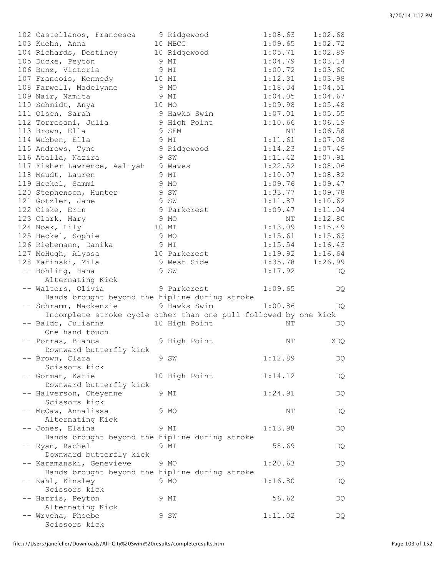| 102 Castellanos, Francesca<br>103 Kuehn, Anna                      |       | 9 Ridgewood<br>10 MBCC | 1:08.63<br>1:09.65 | 1:02.68<br>1:02.72 |
|--------------------------------------------------------------------|-------|------------------------|--------------------|--------------------|
| 104 Richards, Destiney                                             |       | 10 Ridgewood           | 1:05.71            | 1:02.89            |
| 105 Ducke, Peyton                                                  |       | 9 MI                   | 1:04.79            | 1:03.14            |
| 106 Bunz, Victoria                                                 |       | 9 MI                   | 1:00.72            | 1:03.60            |
| 107 Francois, Kennedy                                              |       | 10 MI                  | 1:12.31            | 1:03.98            |
| 108 Farwell, Madelynne                                             | 9 MO  |                        | 1:18.34            | 1:04.51            |
| 109 Nair, Namita                                                   |       | 9 MI                   | 1:04.05            | 1:04.67            |
| 110 Schmidt, Anya                                                  | 10 MO |                        | 1:09.98            | 1:05.48            |
| 111 Olsen, Sarah                                                   |       | 9 Hawks Swim           | 1:07.01            | 1:05.55            |
| 112 Torresani, Julia                                               |       | 9 High Point           | 1:10.66            | 1:06.19            |
| 113 Brown, Ella                                                    |       | 9 SEM                  | NΤ                 | 1:06.58            |
| 114 Wubben, Ella                                                   |       | 9 MI                   | 1:11.61            | 1:07.08            |
| 115 Andrews, Tyne                                                  |       | 9 Ridgewood            | 1:14.23            | 1:07.49            |
| 116 Atalla, Nazira                                                 |       | 9 SW                   | 1:11.42            | 1:07.91            |
| 117 Fisher Lawrence, Aaliyah                                       |       | 9 Waves                | 1:22.52            | 1:08.06            |
| 118 Meudt, Lauren                                                  |       | 9 MI                   | 1:10.07            | 1:08.82            |
| 119 Heckel, Sammi                                                  |       | 9 MO                   | 1:09.76            | 1:09.47            |
| 120 Stephenson, Hunter                                             |       | 9 SW                   | 1:33.77            | 1:09.78            |
| 121 Gotzler, Jane                                                  |       | 9 SW                   | 1:11.87            | 1:10.62            |
| 122 Ciske, Erin                                                    |       | 9 Parkcrest            | 1:09.47            | 1:11.04            |
| 123 Clark, Mary                                                    |       | 9 MO                   | NΤ                 | 1:12.80            |
| 124 Noak, Lily                                                     | 10 MI |                        | 1:13.09            | 1:15.49            |
| 125 Heckel, Sophie                                                 | 9 MO  |                        | 1:15.61            | 1:15.63            |
| 126 Riehemann, Danika                                              | 9 MI  |                        | 1:15.54            | 1:16.43            |
| 127 McHugh, Alyssa                                                 |       | 10 Parkcrest           | 1:19.92            | 1:16.64            |
| 128 Fafinski, Mila                                                 |       | 9 West Side            | 1:35.78            | 1:26.99            |
| -- Bohling, Hana                                                   |       | 9 SW                   | 1:17.92            |                    |
|                                                                    |       |                        |                    | DQ                 |
| Alternating Kick<br>-- Walters, Olivia                             |       |                        |                    |                    |
| Hands brought beyond the hipline during stroke                     |       | 9 Parkcrest            | 1:09.65            | DQ                 |
| -- Schramm, Mackenzie                                              |       | 9 Hawks Swim           | 1:00.86            |                    |
| Incomplete stroke cycle other than one pull followed by one kick   |       |                        |                    | DQ.                |
|                                                                    |       |                        |                    |                    |
|                                                                    |       |                        |                    |                    |
| -- Baldo, Julianna                                                 |       | 10 High Point          | NΤ                 | DQ                 |
| One hand touch                                                     |       |                        |                    |                    |
| -- Porras, Bianca                                                  |       | 9 High Point           | ΝT                 | XDQ                |
| Downward butterfly kick                                            |       |                        |                    |                    |
| -- Brown, Clara                                                    |       | 9 SW                   | 1:12.89            | DQ                 |
| Scissors kick                                                      |       |                        |                    |                    |
| -- Gorman, Katie                                                   |       | 10 High Point          | 1:14.12            | DQ                 |
| Downward butterfly kick                                            |       |                        |                    |                    |
| -- Halverson, Cheyenne                                             |       | 9 MI                   | 1:24.91            | DQ                 |
| Scissors kick                                                      |       |                        |                    |                    |
| -- McCaw, Annalissa                                                |       | 9 MO                   | ΝT                 | DQ                 |
| Alternating Kick                                                   |       |                        |                    |                    |
| -- Jones, Elaina                                                   |       | 9 MI                   | 1:13.98            | DQ                 |
| Hands brought beyond the hipline during stroke                     |       |                        |                    |                    |
| -- Ryan, Rachel                                                    |       | 9 MI                   | 58.69              | DQ                 |
| Downward butterfly kick                                            |       |                        |                    |                    |
| -- Karamanski, Genevieve                                           |       | 9 MO                   | 1:20.63            | DQ                 |
|                                                                    |       |                        |                    |                    |
| Hands brought beyond the hipline during stroke<br>-- Kahl, Kinsley |       | 9 MO                   | 1:16.80            | DQ                 |
| Scissors kick                                                      |       |                        |                    |                    |
|                                                                    |       | 9 MI                   | 56.62              |                    |
| -- Harris, Peyton                                                  |       |                        |                    | DQ                 |
| Alternating Kick<br>-- Wrycha, Phoebe                              |       | 9 SW                   | 1:11.02            | DQ                 |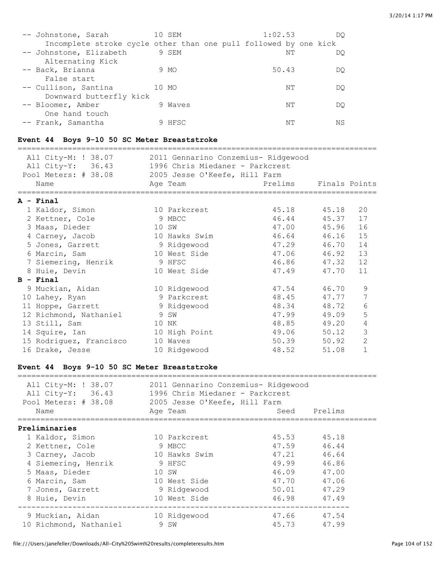| -- Johnstone, Sarah                                              | 10 SEM  |  | 1:02.53 |       | DO |
|------------------------------------------------------------------|---------|--|---------|-------|----|
| Incomplete stroke cycle other than one pull followed by one kick |         |  |         |       |    |
| -- Johnstone, Elizabeth                                          | 9 SEM   |  |         | NΤ    | DO |
| Alternating Kick                                                 |         |  |         |       |    |
| -- Back, Brianna                                                 | 9 MO    |  |         | 50.43 | DO |
| False start                                                      |         |  |         |       |    |
| -- Cullison, Santina                                             | 10 MO   |  |         | NΤ    | DO |
| Downward butterfly kick                                          |         |  |         |       |    |
| -- Bloomer, Amber                                                | 9 Waves |  |         | NΤ    | DO |
| One hand touch                                                   |         |  |         |       |    |
| -- Frank, Samantha                                               | 9 HFSC  |  |         | NΤ    | ΝS |

## **Event 44 Boys 9-10 50 SC Meter Breaststroke**

| All City-M: ! 38.07 2011 Gennarino Conzemius- Ridgewood                                                      |                                |                                   |               |                |
|--------------------------------------------------------------------------------------------------------------|--------------------------------|-----------------------------------|---------------|----------------|
| All City-Y: 36.43 1996 Chris Miedaner - Parkcrest                                                            |                                |                                   |               |                |
| Pool Meters: # 38.08 2005 Jesse O'Keefe, Hill Farm                                                           |                                |                                   |               |                |
| Name                                                                                                         | Age Team                       | Prelims                           | Finals Points |                |
|                                                                                                              |                                | ================================= |               |                |
| A - Final                                                                                                    |                                |                                   |               |                |
| 1 Kaldor, Simon                                                                                              | 10 Parkcrest                   |                                   | 45.18 45.18   | 20             |
| 2 Kettner, Cole                                                                                              | 9 MBCC                         |                                   | 46.44 45.37   | 17             |
| 3 Maas, Dieder                                                                                               | 10 SW                          |                                   | 47.00 45.96   | 16             |
| 4 Carney, Jacob                                                                                              | 10 Hawks Swim                  |                                   | 46.64 46.16   | 15             |
| 5 Jones, Garrett                                                                                             | 9 Ridgewood                    | 47.29                             | 46.70         | 14             |
| 6 Marcin, Sam                                                                                                | 10 West Side                   | 47.06                             | 46.92         | 13             |
| 7 Siemering, Henrik                                                                                          | 9 HFSC                         | 46.86                             | 47.32         | 12             |
| 8 Huie, Devin                                                                                                | 10 West Side                   | 47.49                             | 47.70         | 11             |
| $B - Final$                                                                                                  |                                |                                   |               |                |
| 9 Muckian, Aidan                                                                                             | 10 Ridgewood                   | 47.54                             | 46.70         | 9              |
| 10 Lahey, Ryan                                                                                               | 9 Parkcrest                    | 48.45 47.77                       |               | 7              |
| 11 Hoppe, Garrett                                                                                            | 9 Ridgewood                    | 48.34 48.72                       |               | $\epsilon$     |
| 12 Richmond, Nathaniel                                                                                       | 9 SW                           |                                   | 47.99 49.09   | 5              |
| 13 Still, Sam                                                                                                | 10 NK                          |                                   | 48.85 49.20   | $\overline{4}$ |
| 14 Squire, Ian                                                                                               | 10 High Point                  | 49.06 50.12                       |               | $\mathfrak{Z}$ |
| 15 Rodriguez, Francisco                                                                                      | 10 Waves                       | 50.39                             | 50.92         | $\overline{2}$ |
| 16 Drake, Jesse                                                                                              | 10 Ridgewood                   | 48.52                             | 51.08         | $\mathbf{1}$   |
|                                                                                                              |                                |                                   |               |                |
| Event 44 Boys 9-10 50 SC Meter Breaststroke                                                                  |                                |                                   |               |                |
|                                                                                                              |                                |                                   |               |                |
| All City-M: ! 38.07 2011 Gennarino Conzemius- Ridgewood<br>All City-Y: 36.43 1996 Chris Miedaner - Parkcrest |                                |                                   |               |                |
| Pool Meters: # 38.08 2005 Jesse O'Keefe, Hill Farm                                                           |                                |                                   |               |                |
|                                                                                                              |                                |                                   |               |                |
| Name<br>========================                                                                             | Age Team<br>================== | ================================  | Seed Prelims  |                |
| Preliminaries                                                                                                |                                |                                   |               |                |
| 1 Kaldor, Simon                                                                                              | 10 Parkcrest                   | 45.53 45.18                       |               |                |
| 2 Kettner, Cole                                                                                              | 9 MBCC                         | 47.59                             | 46.44         |                |
| 3 Carney, Jacob                                                                                              | 10 Hawks Swim                  | 47.21                             | 46.64         |                |

| 1 Kaldor, Simon        | 10 Parkcrest  | 45.53 | 45.18 |
|------------------------|---------------|-------|-------|
| 2 Kettner, Cole        | 9 MBCC        | 47.59 | 46.44 |
| 3 Carney, Jacob        | 10 Hawks Swim | 47.21 | 46.64 |
| 4 Siemering, Henrik    | 9 HFSC        | 49.99 | 46.86 |
| 5 Maas, Dieder         | 10 SW         | 46.09 | 47.00 |
| 6 Marcin, Sam          | 10 West Side  | 47.70 | 47.06 |
| 7 Jones, Garrett       | 9 Ridgewood   | 50.01 | 47.29 |
| 8 Huie, Devin          | 10 West Side  | 46.98 | 47.49 |
|                        |               |       |       |
| 9 Muckian, Aidan       | 10 Ridgewood  | 47.66 | 47.54 |
| 10 Richmond, Nathaniel | 9 SW          | 45.73 | 47.99 |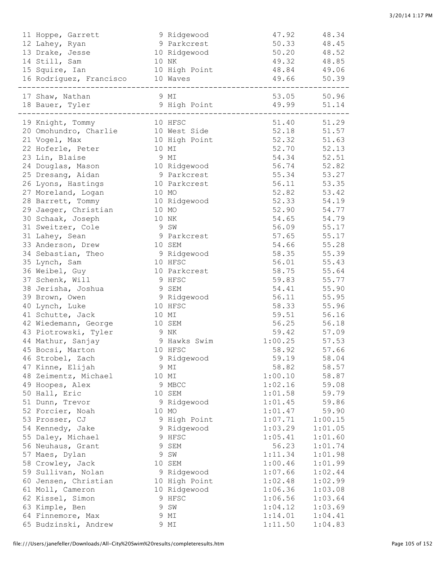| 11 Hoppe, Garrett                |                   | 9 Ridgewood   | 47.92                 | 48.34       |
|----------------------------------|-------------------|---------------|-----------------------|-------------|
| 12 Lahey, Ryan                   |                   | 9 Parkcrest   | 50.33                 | 48.45       |
| 13 Drake, Jesse                  |                   | 10 Ridgewood  | 50.20                 | 48.52       |
| 14 Still, Sam                    |                   | 10 NK         | 49.32                 | 48.85       |
| 15 Squire, Ian                   |                   | 10 High Point | 48.84                 | 49.06       |
| 16 Rodriguez, Francisco 10 Waves |                   |               | 49.66                 | 50.39       |
| 17 Shaw, Nathan                  | 9 MI              |               | --------------------- | 53.05 50.96 |
| 18 Bauer, Tyler                  |                   | 9 High Point  | 49.99                 | 51.14       |
|                                  | ----------------- |               |                       |             |
| 19 Knight, Tommy                 | 10 HFSC           |               |                       | 51.40 51.29 |
| 20 Omohundro, Charlie            |                   | 10 West Side  | 52.18                 | 51.57       |
| 21 Vogel, Max                    |                   | 10 High Point | 52.32                 | 51.63       |
| 22 Hoferle, Peter                |                   | 10 MI         | 52.70                 | 52.13       |
| 23 Lin, Blaise                   | 9 MI              |               | 54.34                 | 52.51       |
| 24 Douglas, Mason                |                   | 10 Ridgewood  | 56.74                 | 52.82       |
| 25 Dresang, Aidan                |                   | 9 Parkcrest   | 55.34                 | 53.27       |
| 26 Lyons, Hastings               |                   | 10 Parkcrest  | 56.11                 | 53.35       |
| 27 Moreland, Logan               |                   | 10 MO         | 52.82                 | 53.42       |
| 28 Barrett, Tommy                |                   | 10 Ridgewood  | 52.33                 | 54.19       |
| 29 Jaeger, Christian             |                   | 10 MO         | 52.90                 | 54.77       |
| 30 Schaak, Joseph                |                   | 10 NK         | 54.65                 | 54.79       |
| 31 Sweitzer, Cole                | 9 SW              |               | 56.09                 | 55.17       |
| 31 Lahey, Sean                   |                   | 9 Parkcrest   | 57.65                 | 55.17       |
| 33 Anderson, Drew                |                   | 10 SEM        | 54.66                 | 55.28       |
| 34 Sebastian, Theo               |                   | 9 Ridgewood   | 58.35                 | 55.39       |
| 35 Lynch, Sam                    |                   | 10 HFSC       | 56.01                 | 55.43       |
| 36 Weibel, Guy                   |                   | 10 Parkcrest  | 58.75                 | 55.64       |
| 37 Schenk, Will                  |                   | 9 HFSC        | 59.83                 | 55.77       |
| 38 Jerisha, Joshua               |                   | 9 SEM         | 54.41                 | 55.90       |
| 39 Brown, Owen                   |                   | 9 Ridgewood   | 56.11                 | 55.95       |
| 40 Lynch, Luke                   |                   | 10 HFSC       | 58.33                 | 55.96       |
| 41 Schutte, Jack                 |                   | 10 MI         | 59.51                 | 56.16       |
| 42 Wiedemann, George             |                   | 10 SEM        | 56.25                 | 56.18       |
| 43 Piotrowski, Tyler             | 9 NK              |               | 59.42                 | 57.09       |
| 44 Mathur, Sanjay                |                   | 9 Hawks Swim  | 1:00.25               | 57.53       |
| 45 Bocsi, Marton                 |                   | 10 HFSC       | 58.92                 | 57.66       |
| 46 Strobel, Zach                 |                   | 9 Ridgewood   | 59.19                 | 58.04       |
| 47 Kinne, Elijah                 |                   | 9 MI          | 58.82                 | 58.57       |
| 48 Zeimentz, Michael             |                   | 10 MI         | 1:00.10               | 58.87       |
| 49 Hoopes, Alex                  |                   | 9 MBCC        | 1:02.16               | 59.08       |
| 50 Hall, Eric                    |                   | 10 SEM        | 1:01.58               | 59.79       |
| 51 Dunn, Trevor                  |                   | 9 Ridgewood   | 1:01.45               | 59.86       |
| 52 Forcier, Noah                 |                   | 10 MO         | 1:01.47               | 59.90       |
| 53 Prosser, CJ                   |                   | 9 High Point  | 1:07.71               | 1:00.15     |
| 54 Kennedy, Jake                 |                   | 9 Ridgewood   | 1:03.29               | 1:01.05     |
| 55 Daley, Michael                |                   | 9 HFSC        | 1:05.41               | 1:01.60     |
| 56 Neuhaus, Grant                |                   | 9 SEM         | 56.23                 | 1:01.74     |
| 57 Maes, Dylan                   |                   | 9 SW          | 1:11.34               | 1:01.98     |
| 58 Crowley, Jack                 |                   | 10 SEM        | 1:00.46               | 1:01.99     |
| 59 Sullivan, Nolan               |                   | 9 Ridgewood   | 1:07.66               | 1:02.44     |
| 60 Jensen, Christian             |                   | 10 High Point | 1:02.48               | 1:02.99     |
| 61 Moll, Cameron                 |                   | 10 Ridgewood  | 1:06.36               | 1:03.08     |
| 62 Kissel, Simon                 |                   | 9 HFSC        | 1:06.56               | 1:03.64     |
| 63 Kimple, Ben                   |                   | 9 SW          | 1:04.12               | 1:03.69     |
| 64 Finnemore, Max                |                   | 9 MI          | 1:14.01               | 1:04.41     |
| 65 Budzinski, Andrew             |                   | 9 MI          | 1:11.50               | 1:04.83     |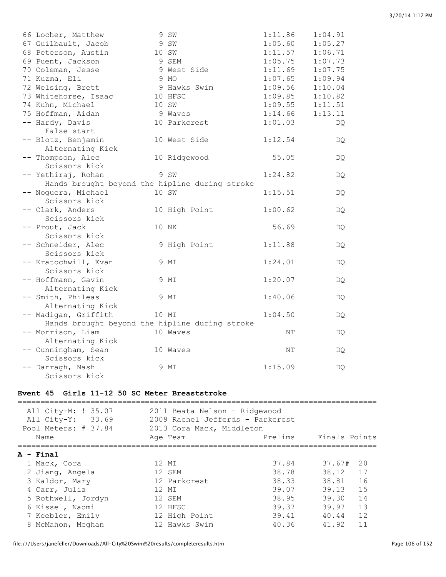|  | 3/20/14 1:17 PM |  |
|--|-----------------|--|

| 66 Locher, Matthew                             | 9 SW          | 1:11.86 | 1:04.91 |
|------------------------------------------------|---------------|---------|---------|
| 67 Guilbault, Jacob                            | 9 SW          | 1:05.60 | 1:05.27 |
| 68 Peterson, Austin                            | 10 SW         | 1:11.57 | 1:06.71 |
| 69 Puent, Jackson                              | 9 SEM         | 1:05.75 | 1:07.73 |
| 70 Coleman, Jesse                              | 9 West Side   | 1:11.69 | 1:07.75 |
| 71 Kuzma, Eli                                  | 9 MO          | 1:07.65 | 1:09.94 |
| 72 Welsing, Brett                              | 9 Hawks Swim  | 1:09.56 | 1:10.04 |
| 73 Whitehorse, Isaac                           | 10 HFSC       | 1:09.85 | 1:10.82 |
| 74 Kuhn, Michael                               | 10 SW         | 1:09.55 | 1:11.51 |
| 75 Hoffman, Aidan                              | 9 Waves       | 1:14.66 | 1:13.11 |
| -- Hardy, Davis                                | 10 Parkcrest  | 1:01.03 | DQ.     |
| False start                                    |               |         |         |
| -- Blotz, Benjamin                             | 10 West Side  | 1:12.54 | DQ      |
| Alternating Kick                               |               |         |         |
| -- Thompson, Alec                              | 10 Ridgewood  | 55.05   | DQ.     |
| Scissors kick                                  |               |         |         |
| -- Yethiraj, Rohan                             | 9 SW          | 1:24.82 | DQ.     |
| Hands brought beyond the hipline during stroke |               |         |         |
| -- Noguera, Michael                            | 10 SW         | 1:15.51 | DQ.     |
| Scissors kick                                  |               |         |         |
| -- Clark, Anders                               | 10 High Point | 1:00.62 | DQ.     |
| Scissors kick                                  |               |         |         |
| -- Prout, Jack                                 | 10 NK         | 56.69   | DQ.     |
| Scissors kick                                  |               |         |         |
| -- Schneider, Alec                             | 9 High Point  | 1:11.88 | DQ.     |
| Scissors kick                                  |               |         |         |
| -- Kratochwill, Evan                           | 9 MI          | 1:24.01 | DQ.     |
| Scissors kick                                  |               |         |         |
| -- Hoffmann, Gavin                             | 9 MI          | 1:20.07 | DQ.     |
| Alternating Kick                               |               |         |         |
| -- Smith, Phileas                              | 9 MI          | 1:40.06 | DQ.     |
| Alternating Kick                               |               |         |         |
| -- Madigan, Griffith                           | 10 MI         | 1:04.50 | DQ.     |
| Hands brought beyond the hipline during stroke |               |         |         |
| -- Morrison, Liam                              | 10 Waves      | NΤ      | DQ.     |
| Alternating Kick                               |               |         |         |
| -- Cunningham, Sean                            | 10 Waves      | ΝT      | DQ.     |
| Scissors kick                                  |               |         |         |
| -- Darragh, Nash                               | 9 MI          | 1:15.09 | DQ.     |
| Scissors kick                                  |               |         |         |

## **Event 45 Girls 11-12 50 SC Meter Breaststroke**

| All City-M: ! 35.07<br>All City-Y: 33.69<br>Pool Meters: # 37.84 | 2011 Beata Nelson - Ridgewood<br>2009 Rachel Jefferds - Parkcrest<br>2013 Cora Mack, Middleton |         |               |
|------------------------------------------------------------------|------------------------------------------------------------------------------------------------|---------|---------------|
| Name                                                             | Age Team                                                                                       | Prelims | Finals Points |
| A - Final                                                        |                                                                                                |         |               |
| 1 Mack, Cora                                                     | 12 MT                                                                                          | 37.84   | 37.67#<br>20  |
| 2 Jiang, Angela                                                  | 12 SEM                                                                                         | 38.78   | 38.12<br>17   |
| 3 Kaldor, Mary                                                   | 12 Parkcrest                                                                                   | 38.33   | 16<br>38.81   |
| 4 Carr, Julia                                                    | 12 MI                                                                                          | 39.07   | 1.5<br>39.13  |
| 5 Rothwell, Jordyn                                               | 12 SEM                                                                                         | 38.95   | 14<br>39.30   |
| 6 Kissel, Naomi                                                  | 12 HFSC                                                                                        | 39.37   | 13<br>39.97   |
| 7 Keebler, Emily                                                 | 12 High Point                                                                                  | 39.41   | 12<br>40.44   |
| 8 McMahon, Meghan                                                | 12 Hawks Swim                                                                                  | 40.36   | 11<br>41.92   |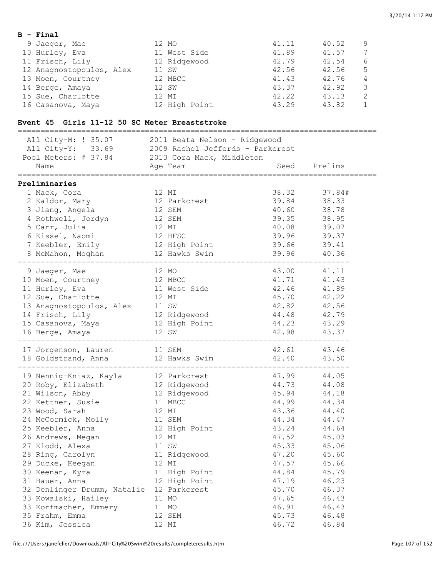#### **B - Final**

| 9 Jaeger, Mae            | 12 MO         | 41.11 | 40.52 | 9 |
|--------------------------|---------------|-------|-------|---|
| 10 Hurley, Eva           | 11 West Side  | 41.89 | 41.57 |   |
| 11 Frisch, Lily          | 12 Ridgewood  | 42.79 | 42.54 | 6 |
| 12 Anagnostopoulos, Alex | 11 SW         | 42.56 | 42.56 | 5 |
| 13 Moen, Courtney        | 12 MBCC       | 41.43 | 42.76 | 4 |
| 14 Berge, Amaya          | 12 SW         | 43.37 | 42.92 |   |
| 15 Sue, Charlotte        | 12 MI         | 42.22 | 43.13 |   |
| 16 Casanova, Maya        | 12 High Point | 43.29 | 43.82 |   |

## **Event 45 Girls 11-12 50 SC Meter Breaststroke**

| ============================                                                                            |                         | :============================= |              |
|---------------------------------------------------------------------------------------------------------|-------------------------|--------------------------------|--------------|
|                                                                                                         |                         |                                |              |
| All City-M: ! 35.07 2011 Beata Nelson - Ridgewood<br>All City-Y: 33.69 2009 Rachel Jefferds - Parkcrest |                         |                                |              |
| Pool Meters: # 37.84 2013 Cora Mack, Middleton                                                          |                         |                                |              |
| Name                                                                                                    | Age Team                |                                | Seed Prelims |
| Preliminaries                                                                                           |                         |                                |              |
| 1 Mack, Cora                                                                                            | 12 MI                   |                                | 38.32 37.84# |
| 2 Kaldor, Mary                                                                                          | 12 Parkcrest            | 39.84                          | 38.33        |
| 3 Jiang, Angela                                                                                         | 12 SEM                  | 40.60                          | 38.78        |
| 4 Rothwell, Jordyn                                                                                      | 12 SEM                  | 39.35                          | 38.95        |
| 5 Carr, Julia                                                                                           | 12 MI                   | 40.08                          | 39.07        |
| 6 Kissel, Naomi                                                                                         | 12 HFSC                 | 39.96                          | 39.37        |
| 7 Keebler, Emily                                                                                        | 12 High Point           | 39.66                          | 39.41        |
| 8 McMahon, Meghan 12 Hawks Swim                                                                         |                         | 39.96 40.36                    |              |
| ------------------<br>9 Jaeger, Mae                                                                     | 12 MO                   |                                | 43.00  41.11 |
| 10 Moen, Courtney                                                                                       |                         | 41.71                          | 41.43        |
| 11 Hurley, Eva                                                                                          | 12 MBCC<br>11 West Side | 42.46                          | 41.89        |
| 12 Sue, Charlotte                                                                                       | 12 MI                   | 45.70                          | 42.22        |
| 13 Anagnostopoulos, Alex 11 SW                                                                          |                         | 42.82                          | 42.56        |
| 14 Frisch, Lily                                                                                         | 12 Ridgewood            | 44.48                          | 42.79        |
| 15 Casanova, Maya                                                                                       | 12 High Point           | 44.23                          | 43.29        |
| 16 Berge, Amaya                                                                                         | 12 SW                   | 42.98 43.37                    |              |
|                                                                                                         |                         |                                | 42.61 43.46  |
| 17 Jorgenson, Lauren 11 SEM<br>18 Goldstrand, Anna 12 Hawks Swim                                        |                         | 42.40 43.50                    |              |
|                                                                                                         |                         |                                | 47.99 44.05  |
| 19 Nennig-Kniaz, Kayla 12 Parkcrest<br>20 Roby, Elizabeth 12 Ridgewood<br>23 Rill 11                    |                         | 44.73                          | 44.08        |
| 21 Wilson, Abby                                                                                         | 12 Ridgewood            | 45.94                          | 44.18        |
| 22 Kettner, Susie                                                                                       | 11 MBCC                 | 44.99                          | 44.34        |
| 23 Wood, Sarah                                                                                          | 12 MI                   | 43.36                          | 44.40        |
| 24 McCormick, Molly 11 SEM                                                                              |                         | 44.34                          | 44.47        |
| 25 Keebler, Anna                                                                                        | 12 High Point           | 43.24                          | 44.64        |
| 26 Andrews, Megan                                                                                       | 12 MI                   | 47.52                          | 45.03        |
| 27 Klodd, Alexa                                                                                         | 11 SW                   |                                | 45.33 45.06  |
| 28 Ring, Carolyn 11 Ridgewood                                                                           |                         | 47.20                          | 45.60        |
| 29 Ducke, Keegan                                                                                        | 12 MI                   | 47.57                          | 45.66        |
| 30 Keenan, Kyra                                                                                         | 11 High Point           | 44.84                          | 45.79        |
| 31 Bauer, Anna                                                                                          | 12 High Point           | 47.19                          | 46.23        |
| 32 Denlinger Drumm, Natalie                                                                             | 12 Parkcrest            | 45.70                          | 46.37        |
| 33 Kowalski, Hailey                                                                                     | 11 MO                   | 47.65                          | 46.43        |
| 33 Korfmacher, Emmery                                                                                   | 11 MO                   | 46.91                          | 46.43        |
| 35 Frahm, Emma                                                                                          | 12 SEM                  | 45.73                          | 46.48        |
| 36 Kim, Jessica                                                                                         | 12 MI                   | 46.72                          | 46.84        |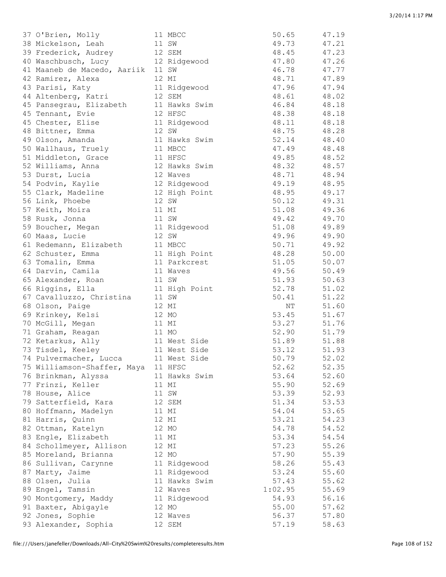| 37 O'Brien, Molly           | 11 MBCC       | 50.65   | 47.19 |
|-----------------------------|---------------|---------|-------|
| 38 Mickelson, Leah          | 11 SW         | 49.73   | 47.21 |
| 39 Frederick, Audrey        | 12 SEM        | 48.45   | 47.23 |
| 40 Waschbusch, Lucy         | 12 Ridgewood  | 47.80   | 47.26 |
| 41 Maaneb de Macedo, Aariik | 11 SW         | 46.78   | 47.77 |
| 42 Ramirez, Alexa           | 12 MI         | 48.71   | 47.89 |
| 43 Parisi, Katy             | 11 Ridgewood  | 47.96   | 47.94 |
| 44 Altenberg, Katri         | 12 SEM        | 48.61   | 48.02 |
| 45 Pansegrau, Elizabeth     | 11 Hawks Swim | 46.84   | 48.18 |
| 45 Tennant, Evie            | 12 HFSC       | 48.38   | 48.18 |
| 45 Chester, Elise           | 11 Ridgewood  | 48.11   | 48.18 |
| 48 Bittner, Emma            | 12 SW         | 48.75   | 48.28 |
| 49 Olson, Amanda            | 11 Hawks Swim | 52.14   | 48.40 |
| 50 Wallhaus, Truely         | 11 MBCC       | 47.49   | 48.48 |
| 51 Middleton, Grace         | 11 HFSC       | 49.85   | 48.52 |
| 52 Williams, Anna           | 12 Hawks Swim | 48.32   | 48.57 |
| 53 Durst, Lucia             | 12 Waves      |         |       |
|                             |               | 48.71   | 48.94 |
| 54 Podvin, Kaylie           | 12 Ridgewood  | 49.19   | 48.95 |
| 55 Clark, Madeline          | 12 High Point | 48.95   | 49.17 |
| 56 Link, Phoebe             | 12 SW         | 50.12   | 49.31 |
| 57 Keith, Moira             | 11 MI         | 51.08   | 49.36 |
| 58 Rusk, Jonna              | 11 SW         | 49.42   | 49.70 |
| 59 Boucher, Megan           | 11 Ridgewood  | 51.08   | 49.89 |
| 60 Maas, Lucie              | 12 SW         | 49.96   | 49.90 |
| 61 Redemann, Elizabeth      | 11 MBCC       | 50.71   | 49.92 |
| 62 Schuster, Emma           | 11 High Point | 48.28   | 50.00 |
| 63 Tomalin, Emma            | 11 Parkcrest  | 51.05   | 50.07 |
| 64 Darvin, Camila           | 11 Waves      | 49.56   | 50.49 |
| 65 Alexander, Roan          | 11 SW         | 51.93   | 50.63 |
| 66 Riggins, Ella            | 11 High Point | 52.78   | 51.02 |
| 67 Cavalluzzo, Christina    | 11 SW         | 50.41   | 51.22 |
| 68 Olson, Paige             | 12 MI         | ΝT      | 51.60 |
| 69 Krinkey, Kelsi           | 12 MO         | 53.45   | 51.67 |
| 70 McGill, Megan            | 11 MI         | 53.27   | 51.76 |
| 71 Graham, Reagan           | 11 MO         | 52.90   | 51.79 |
| 72 Ketarkus, Ally           | 11 West Side  | 51.89   | 51.88 |
| 73 Tisdel, Keeley           | 11 West Side  | 53.12   | 51.93 |
| 74 Pulvermacher, Lucca      | 11 West Side  | 50.79   | 52.02 |
|                             |               | 52.62   |       |
| 75 Williamson-Shaffer, Maya | 11 HFSC       |         | 52.35 |
| 76 Brinkman, Alyssa         | 11 Hawks Swim | 53.64   | 52.60 |
| 77 Frinzi, Keller           | 11 MI         | 55.90   | 52.69 |
| 78 House, Alice             | 11 SW         | 53.39   | 52.93 |
| 79 Satterfield, Kara        | 12 SEM        | 51.34   | 53.53 |
| 80 Hoffmann, Madelyn        | 11 MI         | 54.04   | 53.65 |
| 81 Harris, Quinn            | 12 MI         | 53.21   | 54.23 |
| 82 Ottman, Katelyn          | 12 MO         | 54.78   | 54.52 |
| 83 Engle, Elizabeth         | 11 MI         | 53.34   | 54.54 |
| 84 Schollmeyer, Allison     | 12 MI         | 57.23   | 55.26 |
| 85 Moreland, Brianna        | 12 MO         | 57.90   | 55.39 |
| 86 Sullivan, Carynne        | 11 Ridgewood  | 58.26   | 55.43 |
| 87 Marty, Jaime             | 11 Ridgewood  | 53.24   | 55.60 |
| 88 Olsen, Julia             | 11 Hawks Swim | 57.43   | 55.62 |
| 89 Engel, Tamsin            | 12 Waves      | 1:02.95 | 55.69 |
| 90 Montgomery, Maddy        | 11 Ridgewood  | 54.93   | 56.16 |
| 91 Baxter, Abigayle         | 12 MO         | 55.00   | 57.62 |
| 92 Jones, Sophie            | 12 Waves      | 56.37   | 57.80 |
| 93 Alexander, Sophia        | 12 SEM        | 57.19   | 58.63 |
|                             |               |         |       |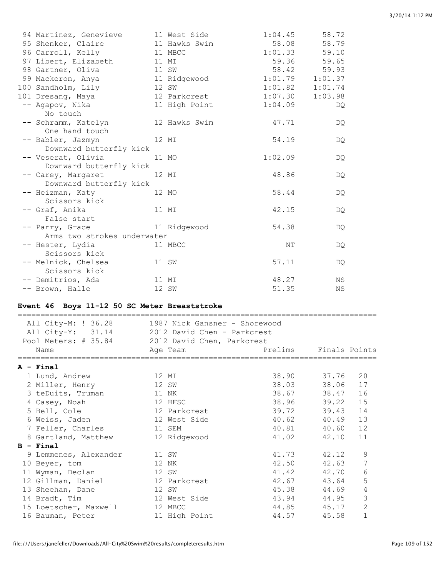| 94 Martinez, Genevieve      | 11 West Side  | 1:04.45             | 58.72       |
|-----------------------------|---------------|---------------------|-------------|
| 95 Shenker, Claire          | 11 Hawks Swim | 58.08               | 58.79       |
| 96 Carroll, Kelly           | 11 MBCC       | $1:01.33$ 59.10     |             |
| 97 Libert, Elizabeth        | 11 MI         |                     | 59.36 59.65 |
| 98 Gartner, Oliva           | 11 SW         | 58.42               | 59.93       |
| 99 Mackeron, Anya           | 11 Ridgewood  | $1:01.79$ $1:01.37$ |             |
| 100 Sandholm, Lily          | 12 SW         | $1:01.82$ $1:01.74$ |             |
| 101 Dresang, Maya           | 12 Parkcrest  | 1:07.30             | 1:03.98     |
| -- Agapov, Nika             | 11 High Point | 1:04.09             | DQ.         |
| No touch                    |               |                     |             |
| -- Schramm, Katelyn         | 12 Hawks Swim | 47.71               | DQ.         |
| One hand touch              |               |                     |             |
| -- Babler, Jazmyn           | 12 MI         | 54.19               | DQ.         |
| Downward butterfly kick     |               |                     |             |
| -- Veserat, Olivia          | 11 MO         | 1:02.09             | DQ.         |
| Downward butterfly kick     |               |                     |             |
| -- Carey, Margaret          | 12 MI         | 48.86               | DQ.         |
| Downward butterfly kick     |               |                     |             |
| -- Heizman, Katy            | 12 MO         | 58.44               | DQ.         |
| Scissors kick               |               |                     |             |
| -- Graf, Anika              | 11 MI         | 42.15               | DQ.         |
| False start                 |               |                     |             |
| -- Parry, Grace             | 11 Ridgewood  | 54.38               | DQ.         |
| Arms two strokes underwater |               |                     |             |
| -- Hester, Lydia            | 11 MBCC       | NΤ                  | DQ.         |
| Scissors kick               |               |                     |             |
| -- Melnick, Chelsea         | 11 SW         | 57.11               | DQ.         |
| Scissors kick               |               |                     |             |
| -- Demitrios, Ada           | 11 MI         | 48.27               | ΝS          |
| -- Brown, Halle             | 12 SW         | 51.35               | ΝS          |

# **Event 46 Boys 11-12 50 SC Meter Breaststroke**

| All City-M: ! 36.28 1987 Nick Gansner - Shorewood<br>All City-Y: 31.14 2012 David Chen - Parkcrest |                                   |             |                |
|----------------------------------------------------------------------------------------------------|-----------------------------------|-------------|----------------|
| Pool Meters: # 35.84 2012 David Chen, Parkcrest                                                    |                                   |             |                |
| Name                                                                                               | Prelims Finals Points<br>Aqe Team |             |                |
| A - Final                                                                                          |                                   |             |                |
| 1 Lund, Andrew                                                                                     | 12 MI                             | 38.90 37.76 | 20             |
| 2 Miller, Henry                                                                                    | 12 SW                             | 38.03 38.06 | 17             |
| 3 teDuits, Truman                                                                                  | 11 NK                             | 38.67 38.47 | 16             |
| 4 Casey, Noah                                                                                      | 12 HFSC                           | 38.96 39.22 | 15             |
| 5 Bell, Cole                                                                                       | 12 Parkcrest                      | 39.72 39.43 | 14             |
| 6 Weiss, Jaden and 12 West Side                                                                    |                                   | 40.62 40.49 | 13             |
| 7 Feller, Charles                                                                                  | 11 SEM                            | 40.81 40.60 | 12             |
| 8 Gartland, Matthew                                                                                | 12 Ridgewood                      | 41.02 42.10 | 11             |
| $B - Final$                                                                                        |                                   |             |                |
| 9 Lemmenes, Alexander<br>11 SW                                                                     |                                   | 41.73 42.12 | 9              |
| 10 Beyer, tom                                                                                      | 12 NK                             | 42.50 42.63 | $\overline{7}$ |
| 11 Wyman, Declan                                                                                   | 12 SW                             | 41.42 42.70 | 6              |
| 12 Gillman, Daniel                                                                                 | 12 Parkcrest                      | 42.67 43.64 | 5              |
| 13 Sheehan, Dane                                                                                   | 12 SW                             | 45.38 44.69 | $\overline{4}$ |
| 14 Bradt, Tim                                                                                      | 12 West Side                      | 43.94 44.95 | 3              |
| 15 Loetscher, Maxwell                                                                              | 12 MBCC                           | 44.85 45.17 | $\overline{2}$ |
| 16 Bauman, Peter                                                                                   | 11 High Point                     | 44.57 45.58 | $\mathbf{1}$   |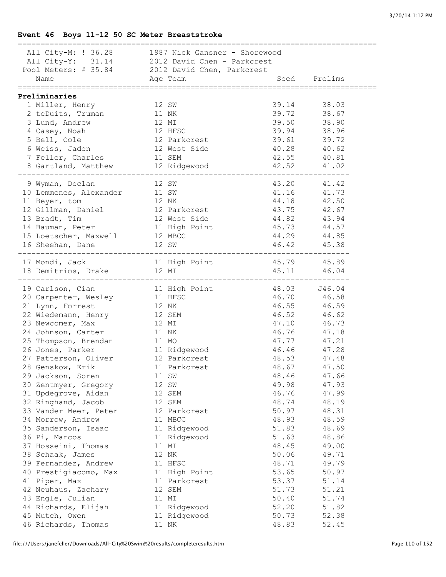# **Event 46 Boys 11-12 50 SC Meter Breaststroke**

| --------------------------                                                                                                                                                                                                                         |       |                                               |                    |                                  |
|----------------------------------------------------------------------------------------------------------------------------------------------------------------------------------------------------------------------------------------------------|-------|-----------------------------------------------|--------------------|----------------------------------|
|                                                                                                                                                                                                                                                    |       |                                               |                    |                                  |
|                                                                                                                                                                                                                                                    |       |                                               |                    |                                  |
|                                                                                                                                                                                                                                                    |       |                                               |                    |                                  |
| All City-M: ! 36.28 1987 Nick Gansner - Shorewood<br>All City-Y: 31.14 2012 David Chen - Parkcrest<br>Pool Meters: # 35.84 2012 David Chen, Parkcrest<br>Name Age Team Se                                                                          |       |                                               |                    |                                  |
|                                                                                                                                                                                                                                                    |       | Seed Prelims                                  |                    |                                  |
|                                                                                                                                                                                                                                                    |       |                                               |                    |                                  |
| Preliminaries                                                                                                                                                                                                                                      |       |                                               |                    |                                  |
| 1 Miller, Henry<br>12 SW                                                                                                                                                                                                                           |       |                                               |                    | 39.14 38.03                      |
| 2 teDuits, Truman                                                                                                                                                                                                                                  | 11 NK |                                               | 39.72              | 38.67<br>38.90                   |
| 3 Lund, Andrew                                                                                                                                                                                                                                     | 12 MI |                                               | 39.50              |                                  |
| 4 Casey, Noah                                                                                                                                                                                                                                      |       |                                               | 39.94              |                                  |
| 5 Bell, Cole                                                                                                                                                                                                                                       |       | --<br>12 HFSC<br>12 Parkcrest<br>12 West Side | 39.61              | 38.96<br>38.96<br>39.72<br>40.62 |
| 6 Weiss, Jaden                                                                                                                                                                                                                                     |       |                                               | 40.28              |                                  |
| 7 Feller, Charles                                                                                                                                                                                                                                  |       | 11 SEM                                        | 42.55              | 40.81                            |
| 8 Gartland, Matthew 12 Ridgewood                                                                                                                                                                                                                   |       |                                               |                    | 42.52 41.02                      |
|                                                                                                                                                                                                                                                    |       |                                               |                    |                                  |
| 9 Wyman, Declan<br>12 SW                                                                                                                                                                                                                           |       |                                               |                    | 43.20 41.42                      |
|                                                                                                                                                                                                                                                    |       |                                               | 41.16              | 41.73                            |
|                                                                                                                                                                                                                                                    |       |                                               | 44.18              | 42.50                            |
|                                                                                                                                                                                                                                                    |       |                                               | 43.75              | 42.67                            |
|                                                                                                                                                                                                                                                    |       |                                               | 44.82              | 43.94                            |
|                                                                                                                                                                                                                                                    |       |                                               | 45.73              | 44.57                            |
|                                                                                                                                                                                                                                                    |       |                                               | 44.29              | 44.85                            |
| 9 Wyman, Declant 12 SW<br>10 Lemmenes, Alexander 11 SW<br>12 Gillman, Daniel 12 Parkcrest<br>13 Bradt, Tim 12 West Side<br>14 Bauman, Peter 11 High Point<br>15 Loetscher, Maxwell 12 MBCC<br>16 Sheehan, Dane 12 SW                               |       |                                               |                    |                                  |
|                                                                                                                                                                                                                                                    |       |                                               |                    | 46.42 45.38                      |
|                                                                                                                                                                                                                                                    |       |                                               |                    |                                  |
| 17 Mondi, Jack 11 High Point 45.79 45.89<br>18 Demitrios, Drake 12 MI 46.04                                                                                                                                                                        |       |                                               |                    |                                  |
|                                                                                                                                                                                                                                                    |       |                                               |                    |                                  |
| 19 Carlson, Cian                                                                                                                                                                                                                                   |       | 11 High Point 48.03 J46.04                    |                    |                                  |
|                                                                                                                                                                                                                                                    |       | 11 HFSC                                       |                    | 46.70 46.58                      |
| 20 Carpenter, Wesley<br>21 Lynn, Forrest                                                                                                                                                                                                           | 12 NK |                                               | 46.55              | 46.59                            |
|                                                                                                                                                                                                                                                    |       | 12 SEM                                        |                    |                                  |
| 22 Wiedemann, Henry<br>23 Newcomer, Max                                                                                                                                                                                                            | 12 MI |                                               | $46.52$<br>$47.10$ | $46.62$<br>$46.73$               |
| 24 Johnson, Carter                                                                                                                                                                                                                                 |       | 11 NK                                         | 46.76              |                                  |
|                                                                                                                                                                                                                                                    |       |                                               | 47.77              | 47.18<br>47.21                   |
|                                                                                                                                                                                                                                                    |       |                                               | 46.46              | 47.28                            |
|                                                                                                                                                                                                                                                    |       |                                               |                    |                                  |
|                                                                                                                                                                                                                                                    |       |                                               | 48.53              | 47.48                            |
| - All Mo<br>26 Jones, Parker<br>27 Patterson, Oliver<br>28 Genskow, Erik<br>28 Jones (11 Parkcrest<br>28 Jones (11 Parkcrest<br>29 Jones (11 Parkcrest<br>29 Jones (11 Parkcrest<br>29 Jones (11 Parkcrest<br>20 Jones (11 Parkcrest<br>20 Jones ( |       |                                               | 48.67              | 47.50                            |
| 29 Jackson, Soren                                                                                                                                                                                                                                  |       | 11 SW                                         | 48.46              | 47.66                            |
| 30 Zentmyer, Gregory                                                                                                                                                                                                                               |       | 12 SW                                         | 49.98              | 47.93                            |
| 31 Updegrove, Aidan                                                                                                                                                                                                                                |       | 12 SEM                                        | 46.76              | 47.99                            |
| 32 Ringhand, Jacob                                                                                                                                                                                                                                 |       | 12 SEM                                        | 48.74              | 48.19                            |
| 33 Vander Meer, Peter                                                                                                                                                                                                                              |       | 12 Parkcrest                                  | 50.97              | 48.31                            |
| 34 Morrow, Andrew                                                                                                                                                                                                                                  |       | 11 MBCC                                       | 48.93              | 48.59                            |
| 35 Sanderson, Isaac                                                                                                                                                                                                                                |       | 11 Ridgewood                                  | 51.83              | 48.69                            |
| 36 Pi, Marcos                                                                                                                                                                                                                                      |       | 11 Ridgewood                                  | 51.63              | 48.86                            |
| 37 Hosseini, Thomas                                                                                                                                                                                                                                |       | 11 MI                                         | 48.45              | 49.00                            |
| 38 Schaak, James                                                                                                                                                                                                                                   |       | 12 NK                                         | 50.06              | 49.71                            |
| 39 Fernandez, Andrew                                                                                                                                                                                                                               |       | 11 HFSC                                       | 48.71              | 49.79                            |
| 40 Prestigiacomo, Max                                                                                                                                                                                                                              |       | 11 High Point                                 | 53.65              | 50.97                            |
| 41 Piper, Max                                                                                                                                                                                                                                      |       | 11 Parkcrest                                  | 53.37              | 51.14                            |
| 42 Neuhaus, Zachary                                                                                                                                                                                                                                |       | 12 SEM                                        | 51.73              | 51.21                            |
| 43 Engle, Julian                                                                                                                                                                                                                                   |       | 11 MI                                         | 50.40              | 51.74                            |
|                                                                                                                                                                                                                                                    |       |                                               |                    |                                  |
| 44 Richards, Elijah                                                                                                                                                                                                                                |       | 11 Ridgewood                                  | 52.20              | 51.82                            |
| 45 Mutch, Owen                                                                                                                                                                                                                                     |       | 11 Ridgewood<br>11 NK                         | 50.73              | 52.38                            |
| 46 Richards, Thomas                                                                                                                                                                                                                                |       |                                               | 48.83              | 52.45                            |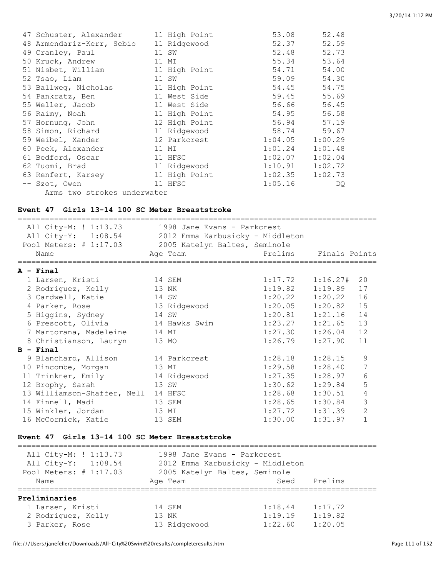| 47 Schuster, Alexander      | 11 High Point | 53.08   | 52.48   |
|-----------------------------|---------------|---------|---------|
| 48 Armendariz-Kerr, Sebio   | 11 Ridgewood  | 52.37   | 52.59   |
| 49 Cranley, Paul            | 11 SW         | 52.48   | 52.73   |
| 50 Kruck, Andrew            | 11 MI         | 55.34   | 53.64   |
| 51 Nisbet, William          | 11 High Point | 54.71   | 54.00   |
| 52 Tsao, Liam               | 11 SW         | 59.09   | 54.30   |
| 53 Ballweg, Nicholas        | 11 High Point | 54.45   | 54.75   |
| 54 Pankratz, Ben            | 11 West Side  | 59.45   | 55.69   |
| 55 Weller, Jacob            | 11 West Side  | 56.66   | 56.45   |
| 56 Raimy, Noah              | 11 High Point | 54.95   | 56.58   |
| 57 Hornung, John            | 12 High Point | 56.94   | 57.19   |
| 58 Simon, Richard           | 11 Ridgewood  | 58.74   | 59.67   |
| 59 Weibel, Xander           | 12 Parkcrest  | 1:04.05 | 1:00.29 |
| 60 Peek, Alexander          | 11 MI         | 1:01.24 | 1:01.48 |
| 61 Bedford, Oscar           | 11 HFSC       | 1:02.07 | 1:02.04 |
| 62 Tuomi, Brad              | 11 Ridgewood  | 1:10.91 | 1:02.72 |
| 63 Renfert, Karsey          | 11 High Point | 1:02.35 | 1:02.73 |
| -- Szot, Owen               | 11 HFSC       | 1:05.16 | DQ.     |
| Arms two strokes underwater |               |         |         |

#### **Event 47 Girls 13-14 100 SC Meter Breaststroke**

| All City-M: ! 1:13.73<br>All City-Y: 1:08.54 2012 Emma Karbusicky - Middleton<br>Pool Meters: # 1:17.03 | 1998 Jane Evans - Parkcrest<br>2005 Katelyn Baltes, Seminole |                       |         |                |
|---------------------------------------------------------------------------------------------------------|--------------------------------------------------------------|-----------------------|---------|----------------|
| Name                                                                                                    | Age Team                                                     | Prelims Finals Points |         |                |
|                                                                                                         |                                                              |                       |         |                |
| $A - Final$                                                                                             |                                                              |                       |         |                |
| 1 Larsen, Kristi                                                                                        | 14 SEM                                                       | $1:17.72$ $1:16.27#$  |         | 20             |
| 2 Rodriguez, Kelly                                                                                      | 13 NK                                                        | 1:19.82               | 1:19.89 | 17             |
| 3 Cardwell, Katie                                                                                       | 14 SW                                                        | 1:20.22               | 1:20.22 | 16             |
| 4 Parker, Rose                                                                                          | 13 Ridgewood                                                 | 1:20.05               | 1:20.82 | 15             |
| 5 Higgins, Sydney                                                                                       | 14 SW                                                        | 1:20.81               | 1:21.16 | 14             |
| 6 Prescott, Olivia                                                                                      | 14 Hawks Swim                                                | 1:23.27               | 1:21.65 | 13             |
| 7 Martorana, Madeleine                                                                                  | 14 MI                                                        | 1:27.30               | 1:26.04 | 12             |
| 8 Christianson, Lauryn                                                                                  | 13 MO                                                        | 1:26.79               | 1:27.90 | 11             |
| $B - Final$                                                                                             |                                                              |                       |         |                |
| 9 Blanchard, Allison                                                                                    | 14 Parkcrest                                                 | 1:28.18               | 1:28.15 | 9              |
| 10 Pincombe, Morgan                                                                                     | 13 MI                                                        | 1:29.58               | 1:28.40 | 7              |
| 11 Trinkner, Emily                                                                                      | 14 Ridgewood                                                 | 1:27.35               | 1:28.97 | 6              |
| 12 Brophy, Sarah                                                                                        | 13 SW                                                        | 1:30.62               | 1:29.84 | 5              |
| 13 Williamson-Shaffer, Nell                                                                             | 14 HFSC                                                      | 1:28.68               | 1:30.51 | 4              |
| 14 Finnell, Madi                                                                                        | 13 SEM                                                       | 1:28.65               | 1:30.84 | 3              |
| 15 Winkler, Jordan                                                                                      | 13 MI                                                        | 1:27.72               | 1:31.39 | $\overline{2}$ |
| 16 McCormick, Katie                                                                                     | 13 SEM                                                       | 1:30.00               | 1:31.97 | $\mathbf{1}$   |

#### **Event 47 Girls 13-14 100 SC Meter Breaststroke**

=============================================================================== All City-M: ! 1:13.73 1998 Jane Evans - Parkcrest All City-Y: 1:08.54 2012 Emma Karbusicky - Middleton Pool Meters: # 1:17.03 2005 Katelyn Baltes, Seminole Name Age Team Seed Prelims =============================================================================== **Preliminaries** 1 Larsen, Kristi 14 SEM 1:18.44 1:17.72<br>2 Rodriguez, Kelly 13 NK 1:19.19 1:19.82 2 Rodriguez, Kelly 3 Parker, Rose 13 Ridgewood 1:22.60 1:20.05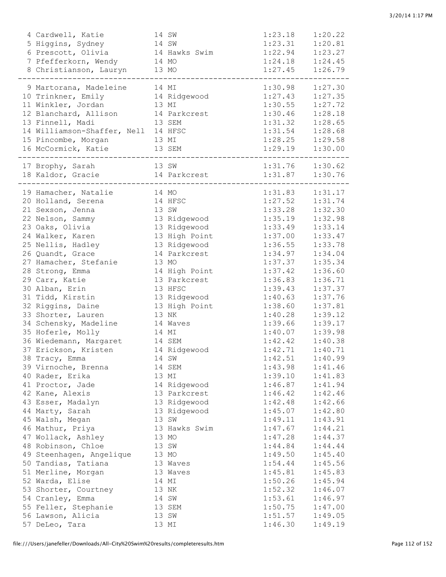| 4 Cardwell, Katie                   |       | 14 SW         | 1:23.18 | 1:20.22 |
|-------------------------------------|-------|---------------|---------|---------|
| 5 Higgins, Sydney                   |       | 14 SW         | 1:23.31 | 1:20.81 |
| 6 Prescott, Olivia                  |       | 14 Hawks Swim | 1:22.94 | 1:23.27 |
| 7 Pfefferkorn, Wendy                | 14 MO |               | 1:24.18 | 1:24.45 |
| 8 Christianson, Lauryn 13 MO        |       |               | 1:27.45 | 1:26.79 |
|                                     |       |               |         |         |
| 9 Martorana, Madeleine              |       | 14 MI         | 1:30.98 | 1:27.30 |
| 10 Trinkner, Emily                  |       | 14 Ridgewood  | 1:27.43 | 1:27.35 |
| 11 Winkler, Jordan                  |       | 13 MI         | 1:30.55 | 1:27.72 |
| 12 Blanchard, Allison               |       | 14 Parkcrest  | 1:30.46 | 1:28.18 |
| 13 Finnell, Madi                    |       | 13 SEM        | 1:31.32 | 1:28.65 |
| 14 Williamson-Shaffer, Nell 14 HFSC |       |               | 1:31.54 | 1:28.68 |
| 15 Pincombe, Morgan                 |       | 13 MI         | 1:28.25 | 1:29.58 |
| 16 McCormick, Katie                 |       | 13 SEM        | 1:29.19 | 1:30.00 |
| 17 Brophy, Sarah                    |       | 13 SW         | 1:31.76 | 1:30.62 |
| 18 Kaldor, Gracie                   |       | 14 Parkcrest  | 1:31.87 | 1:30.76 |
|                                     |       |               |         |         |
| 19 Hamacher, Natalie                | 14 MO |               | 1:31.83 | 1:31.17 |
| 20 Holland, Serena                  |       | 14 HFSC       | 1:27.52 | 1:31.74 |
| 21 Sexson, Jenna                    |       | 13 SW         | 1:33.28 | 1:32.30 |
| 22 Nelson, Sammy                    |       | 13 Ridgewood  | 1:35.19 | 1:32.98 |
| 23 Oaks, Olivia                     |       | 13 Ridgewood  | 1:33.49 | 1:33.14 |
| 24 Walker, Karen                    |       | 13 High Point | 1:37.00 | 1:33.47 |
| 25 Nellis, Hadley                   |       | 13 Ridgewood  | 1:36.55 | 1:33.78 |
| 26 Quandt, Grace                    |       | 14 Parkcrest  | 1:34.97 | 1:34.04 |
| 27 Hamacher, Stefanie               |       | 13 MO         | 1:37.37 | 1:35.34 |
| 28 Strong, Emma                     |       | 14 High Point | 1:37.42 | 1:36.60 |
| 29 Carr, Katie                      |       | 13 Parkcrest  | 1:36.83 | 1:36.71 |
| 30 Alban, Erin                      |       | 13 HFSC       | 1:39.43 | 1:37.37 |
| 31 Tidd, Kirstin                    |       | 13 Ridgewood  | 1:40.63 | 1:37.76 |
| 32 Riggins, Daine                   |       | 13 High Point | 1:38.60 | 1:37.81 |
| 33 Shorter, Lauren                  |       | 13 NK         | 1:40.28 | 1:39.12 |
| 34 Schensky, Madeline               |       | 14 Waves      | 1:39.66 | 1:39.17 |
| 35 Hoferle, Molly                   |       | 14 MI         | 1:40.07 | 1:39.98 |
| 36 Wiedemann, Margaret              |       | 14 SEM        | 1:42.42 | 1:40.38 |
| 37 Erickson, Kristen                |       | 14 Ridgewood  | 1:42.71 | 1:40.71 |
| 38 Tracy, Emma                      |       | 14 SW         | 1:42.51 | 1:40.99 |
| 39 Virnoche, Brenna                 |       | 14 SEM        | 1:43.98 | 1:41.46 |
| 40 Rader, Erika                     |       | 13 MI         | 1:39.10 | 1:41.83 |
| 41 Proctor, Jade                    |       | 14 Ridgewood  | 1:46.87 | 1:41.94 |
| 42 Kane, Alexis                     |       | 13 Parkcrest  | 1:46.42 | 1:42.46 |
| 43 Esser, Madalyn                   |       | 13 Ridgewood  | 1:42.48 | 1:42.66 |
| 44 Marty, Sarah                     |       | 13 Ridgewood  | 1:45.07 | 1:42.80 |
| 45 Walsh, Megan                     |       | 13 SW         | 1:49.11 | 1:43.91 |
| 46 Mathur, Priya                    |       | 13 Hawks Swim | 1:47.67 | 1:44.21 |
| 47 Wollack, Ashley                  |       | 13 MO         | 1:47.28 | 1:44.37 |
| 48 Robinson, Chloe                  |       | 13 SW         | 1:44.84 | 1:44.44 |
| 49 Steenhagen, Angelique            |       | 13 MO         | 1:49.50 | 1:45.40 |
| 50 Tandias, Tatiana                 |       | 13 Waves      | 1:54.44 | 1:45.56 |
| 51 Merline, Morgan                  |       | 13 Waves      | 1:45.81 | 1:45.83 |
| 52 Warda, Elise                     |       | 14 MI         | 1:50.26 | 1:45.94 |
| 53 Shorter, Courtney                |       | 13 NK         | 1:52.32 | 1:46.07 |
| 54 Cranley, Emma                    |       | 14 SW         | 1:53.61 | 1:46.97 |
| 55 Feller, Stephanie                |       | 13 SEM        | 1:50.75 | 1:47.00 |
| 56 Lawson, Alicia                   |       | 13 SW         | 1:51.57 | 1:49.05 |
| 57 DeLeo, Tara                      |       | 13 MI         | 1:46.30 | 1:49.19 |
|                                     |       |               |         |         |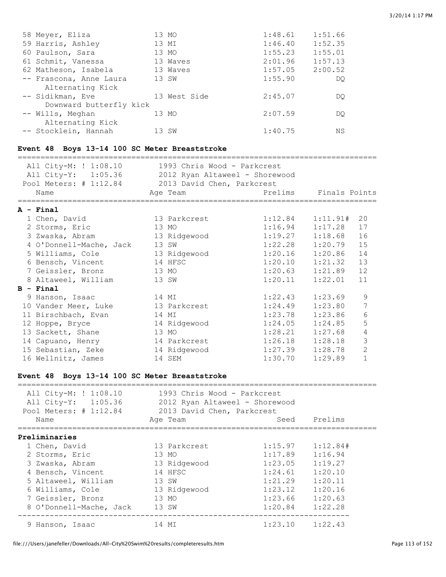|                         | 1:48.61                                                                                    | 1:51.66 |
|-------------------------|--------------------------------------------------------------------------------------------|---------|
|                         | 1:46.40                                                                                    | 1:52.35 |
|                         | 1:55.23                                                                                    | 1:55.01 |
|                         | 2:01.96                                                                                    | 1:57.13 |
|                         | 1:57.05                                                                                    | 2:00.52 |
|                         | 1:55.90                                                                                    | DO      |
|                         |                                                                                            |         |
|                         | 2:45.07                                                                                    | DO      |
| Downward butterfly kick |                                                                                            |         |
|                         | 2:07.59                                                                                    | DO      |
|                         |                                                                                            |         |
|                         | 1:40.75                                                                                    | ΝS      |
|                         | 13 MO<br>13 MI<br>13 MO<br>13 Waves<br>13 Waves<br>13 SW<br>13 West Side<br>13 MO<br>13 SW |         |

#### **Event 48 Boys 13-14 100 SC Meter Breaststroke**

=============================================================================== All City-M: ! 1:08.10 1993 Chris Wood - Parkcrest

| All City-M: ! 1:08.10<br>All City-Y: 1:05.36 2012 Ryan Altaweel - Shorewood<br>Pool Meters: # 1:12.84 2013 David Chen, Parkcrest<br>Name | 1993 Chris Wood - Parkcrest<br>Age Team |                     | Prelims Finals Points |                |
|------------------------------------------------------------------------------------------------------------------------------------------|-----------------------------------------|---------------------|-----------------------|----------------|
|                                                                                                                                          |                                         |                     |                       |                |
| $A - Final$<br>1 Chen, David                                                                                                             | 13 Parkcrest                            | 1:12.84             | 1:11.91#              | 20             |
|                                                                                                                                          |                                         |                     |                       |                |
| 2 Storms, Eric                                                                                                                           | 13 MO                                   | 1:16.94             | 1:17.28               | 17             |
| 3 Zwaska, Abram                                                                                                                          | 13 Ridgewood                            | $1:19.27$ $1:18.68$ |                       | 16             |
| 4 O'Donnell-Mache, Jack                                                                                                                  | 13 SW                                   | 1:22.28             | 1:20.79               | 15             |
| 5 Williams, Cole                                                                                                                         | 13 Ridgewood                            | $1:20.16$ $1:20.86$ |                       | 14             |
| 6 Bensch, Vincent                                                                                                                        | 14 HFSC                                 | 1:20.10             | 1:21.32               | 13             |
| 7 Geissler, Bronz                                                                                                                        | 13 MO                                   | 1:20.63             | 1:21.89               | 12             |
| 8 Altaweel, William                                                                                                                      | 13 SW                                   | 1:20.11             | 1:22.01               | 11             |
| $B - Final$                                                                                                                              |                                         |                     |                       |                |
| 9 Hanson, Isaac                                                                                                                          | 14 MI                                   | 1:22.43             | 1:23.69               | 9              |
| 10 Vander Meer, Luke                                                                                                                     | 13 Parkcrest                            | 1:24.49             | 1:23.80               | 7              |
| 11 Birschbach, Evan                                                                                                                      | 14 MI                                   | 1:23.78             | 1:23.86               | 6              |
| 12 Hoppe, Bryce                                                                                                                          | 14 Ridgewood                            | 1:24.05             | 1:24.85               | 5              |
| 13 Sackett, Shane                                                                                                                        | 13 MO                                   | 1:28.21             | 1:27.68               | $\overline{4}$ |
| 14 Capuano, Henry                                                                                                                        | 14 Parkcrest                            | 1:26.18             | 1:28.18               | 3              |
| 15 Sebastian, Zeke                                                                                                                       | 14 Ridgewood                            | 1:27.39             | 1:28.78               | $\overline{2}$ |
| 16 Wellnitz, James                                                                                                                       | 14 SEM                                  | 1:30.70             | 1:29.89               | $\mathbf{1}$   |

#### **Event 48 Boys 13-14 100 SC Meter Breaststroke**

| All City-M: ! 1:08.10<br>All City-Y: 1:05.36<br>Pool Meters: # 1:12.84 | 1993 Chris Wood - Parkcrest<br>2012 Ryan Altaweel - Shorewood<br>2013 David Chen, Parkcrest |                     |              |
|------------------------------------------------------------------------|---------------------------------------------------------------------------------------------|---------------------|--------------|
| Name                                                                   | Age Team                                                                                    |                     | Seed Prelims |
| Preliminaries                                                          |                                                                                             |                     |              |
| 1 Chen, David                                                          | 13 Parkcrest                                                                                | 1:15.97             | 1:12.84#     |
| 2 Storms, Eric                                                         | 13 MO                                                                                       | 1:17.89             | 1:16.94      |
| 3 Zwaska, Abram                                                        | 13 Ridgewood                                                                                | 1:23.05             | 1:19.27      |
| 4 Bensch, Vincent                                                      | 14 HFSC                                                                                     | 1:24.61             | 1:20.10      |
| 5 Altaweel, William                                                    | 13 SW                                                                                       | 1:21.29             | 1:20.11      |
| 6 Williams, Cole                                                       | 13 Ridgewood                                                                                | 1:23.12             | 1:20.16      |
| 7 Geissler, Bronz                                                      | 13 MO                                                                                       | $1:23.66$ $1:20.63$ |              |
| 8 O'Donnell-Mache, Jack                                                | 13 SW                                                                                       | $1:20.84$ $1:22.28$ |              |
| 9 Hanson, Isaac                                                        | 14 MI                                                                                       | $1:23.10$ $1:22.43$ |              |

===============================================================================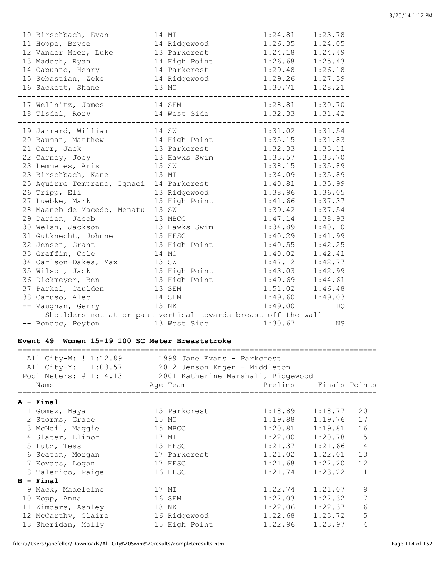| 10 Birschbach, Evan<br>11 Hoppe, Bryce<br>12 Vander Meer, Luke 13 Parkcrest<br>13 Madoch, Ryan<br>14 Capuano, Henry<br>15 Sebastian, Zeke<br>16 Sackett, Shane<br>17 Wellnitz, James<br>14 SEM                                                                                                                                                                                                                                                     | 14 MI<br>14 Ridgewood<br>14 Parkcrest<br>14 Ridgewood<br>13 MO                                                                                                                               | 1:24.81<br>1:26.35<br>1:24.18<br>14 High Point 1:26.68 1:25.43<br>$1:29.48$ $1:26.18$<br>$1:29.26$ $1:27.39$<br>1:30.71<br>$1:28.81$ $1:30.70$                                                                                         | 1:23.78<br>1:24.05<br>1:24.49<br>1:28.21                                                                                                                          |
|----------------------------------------------------------------------------------------------------------------------------------------------------------------------------------------------------------------------------------------------------------------------------------------------------------------------------------------------------------------------------------------------------------------------------------------------------|----------------------------------------------------------------------------------------------------------------------------------------------------------------------------------------------|----------------------------------------------------------------------------------------------------------------------------------------------------------------------------------------------------------------------------------------|-------------------------------------------------------------------------------------------------------------------------------------------------------------------|
| 18 Tisdel, Rory 14 West Side                                                                                                                                                                                                                                                                                                                                                                                                                       |                                                                                                                                                                                              |                                                                                                                                                                                                                                        | $1:32.33$ $1:31.42$                                                                                                                                               |
| 19 Jarrard, William<br>20 Bauman, Matthew 14 High Point<br>21 Carr, Jack<br>22 Carney, Joey<br>23 Lemmenes, Aris<br>23 Birschbach, Kane<br>13 MI<br>25 Aguirre Temprano, Ignaci 14 Parkcrest<br>26 Tripp, Eli<br>27 Luebke, Mark<br>28 Maaneb de Macedo, Menatu<br>29 Darien, Jacob<br>30 Welsh, Jackson<br>31 Gutknecht, Johnne<br>32 Jensen, Grant<br>33 Graffin, Cole<br>34 Carlson-Dakes, Max<br>13 SW<br>35 Wilson, Jack<br>36 Dickmeyer, Ben | 14 SW<br>13 Parkcrest<br>13 Hawks Swim<br>13 SW<br>13 Ridgewood<br>13 High Point<br>13 SW<br>13 MBCC<br>13 Hawks Swim<br>13 HFSC<br>13 High Point<br>14 MO<br>13 High Point<br>13 High Point | $1:31.02$ $1:31.54$<br>1:35.15<br>$1:32.33$ $1:33.11$<br>1:33.57<br>1:38.15<br>1:34.09<br>1:40.81<br>1:38.96<br>1:41.66<br>1:39.42<br>1:47.14<br>1:34.89<br>1:40.29<br>1:40.55<br>1:40.02<br>1:47.12<br>1:43.03<br>$1:49.69$ $1:44.61$ | 1:31.83<br>1:33.70<br>1:35.89<br>1:35.89<br>1:35.99<br>1:36.05<br>1:37.37<br>1:37.54<br>1:38.93<br>1:40.10<br>1:41.99<br>1:42.25<br>1:42.41<br>1:42.77<br>1:42.99 |
| 37 Parkel, Caulden<br>38 Caruso, Alec                                                                                                                                                                                                                                                                                                                                                                                                              | 13 SEM<br>14 SEM                                                                                                                                                                             | 1:51.02<br>1:49.60                                                                                                                                                                                                                     | 1:46.48<br>1:49.03                                                                                                                                                |
| -- Vaughan, Gerry<br>13 NK<br>Shoulders not at or past vertical towards breast off the wall                                                                                                                                                                                                                                                                                                                                                        |                                                                                                                                                                                              | 1:49.00                                                                                                                                                                                                                                | DQ                                                                                                                                                                |
| -- Bondoc, Peyton                                                                                                                                                                                                                                                                                                                                                                                                                                  | 13 West Side                                                                                                                                                                                 | 1:30.67                                                                                                                                                                                                                                | <b>NS</b>                                                                                                                                                         |

### **Event 49 Women 15-19 100 SC Meter Breaststroke**

|    | All City-M: ! 1:12.89<br>All City-Y: 1:03.57<br>Pool Meters: # 1:14.13<br>Name | 1999 Jane Evans - Parkcrest<br>2012 Jenson Engen - Middleton<br>2001 Katherine Marshall, Ridgewood<br>Age Team | Prelims | Finals Points |    |
|----|--------------------------------------------------------------------------------|----------------------------------------------------------------------------------------------------------------|---------|---------------|----|
|    | $A - Final$                                                                    |                                                                                                                |         |               |    |
|    | 1 Gomez, Maya                                                                  | 15 Parkcrest                                                                                                   | 1:18.89 | 1:18.77       | 20 |
|    | 2 Storms, Grace                                                                | 15 MO                                                                                                          | 1:19.88 | 1:19.76       | 17 |
|    | 3 McNeil, Maggie                                                               | 15 MBCC                                                                                                        | 1:20.81 | 1:19.81       | 16 |
|    | 4 Slater, Elinor                                                               | 17 MI                                                                                                          | 1:22.00 | 1:20.78       | 15 |
|    | 5 Lutz, Tess                                                                   | 15 HFSC                                                                                                        | 1:21.37 | 1:21.66       | 14 |
|    | 6 Seaton, Morgan                                                               | 17 Parkcrest                                                                                                   | 1:21.02 | 1:22.01       | 13 |
|    | 7 Kovacs, Logan                                                                | 17 HFSC                                                                                                        | 1:21.68 | 1:22.20       | 12 |
|    | 8 Talerico, Paige                                                              | 16 HFSC                                                                                                        | 1:21.74 | 1:23.22       | 11 |
|    | $B - Final$                                                                    |                                                                                                                |         |               |    |
|    | 9 Mack, Madeleine                                                              | 17 MI                                                                                                          | 1:22.74 | 1:21.07       | 9  |
| 10 | Kopp, Anna                                                                     | 16 SEM                                                                                                         | 1:22.03 | 1:22.32       | 7  |
|    | 11 Zimdars, Ashley                                                             | 18 NK                                                                                                          | 1:22.06 | 1:22.37       | 6  |
|    | 12 McCarthy, Claire                                                            | 16 Ridgewood                                                                                                   | 1:22.68 | 1:23.72       | 5  |
|    | 13 Sheridan, Molly                                                             | 15 High Point                                                                                                  | 1:22.96 | 1:23.97       | 4  |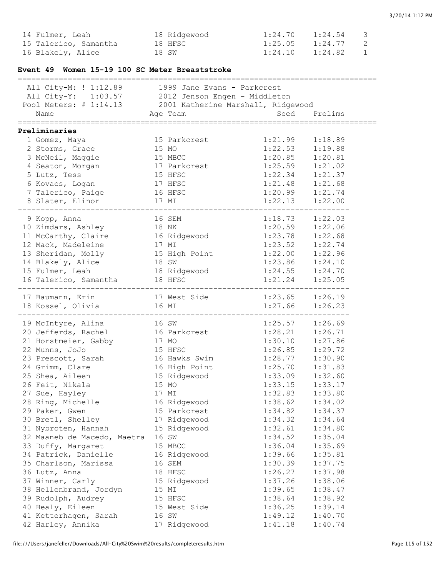| 14 Fulmer, Leah                                           | 18 Ridgewood<br>18 HFSC | 1:24.70<br>$1:25.05$ $1:24.77$ | 1:24.54      | 3<br>$\mathbf{2}$ |
|-----------------------------------------------------------|-------------------------|--------------------------------|--------------|-------------------|
| 15 Talerico, Samantha                                     | 18 SW                   | 1:24.10                        | 1:24.82      | $\mathbf 1$       |
| 16 Blakely, Alice                                         |                         |                                |              |                   |
| Event 49 Women 15-19 100 SC Meter Breaststroke            |                         |                                |              |                   |
| All City-M: ! 1:12.89 1999 Jane Evans - Parkcrest         |                         |                                |              |                   |
| All City-Y: 1:03.57 2012 Jenson Engen - Middleton         |                         |                                |              |                   |
| Pool Meters: # 1:14.13 2001 Katherine Marshall, Ridgewood |                         |                                |              |                   |
| Name                                                      | Age Team                |                                | Seed Prelims |                   |
| =================================<br>Preliminaries        |                         | ==============                 |              |                   |
| 1 Gomez, Maya                                             | 15 Parkcrest            | 1:21.99                        | 1:18.89      |                   |
| 2 Storms, Grace                                           | 15 MO                   | 1:22.53                        | 1:19.88      |                   |
| 3 McNeil, Maggie                                          | 15 MBCC                 | 1:20.85                        | 1:20.81      |                   |
| 4 Seaton, Morgan                                          | 17 Parkcrest            | 1:25.59                        | 1:21.02      |                   |
| 5 Lutz, Tess                                              | 15 HFSC                 | 1:22.34                        | 1:21.37      |                   |
| 6 Kovacs, Logan                                           | 17 HFSC                 | 1:21.48                        | 1:21.68      |                   |
| 7 Talerico, Paige                                         | 16 HFSC                 | 1:20.99                        | 1:21.74      |                   |
| 8 Slater, Elinor                                          | 17 MI                   | 1:22.13                        | 1:22.00      |                   |
| 9 Kopp, Anna                                              | 16 SEM                  | $1:18.73$ $1:22.03$            |              |                   |
| 10 Zimdars, Ashley                                        | 18 NK                   | 1:20.59                        | 1:22.06      |                   |
| 11 McCarthy, Claire                                       | 16 Ridgewood            | 1:23.78                        | 1:22.68      |                   |
| 12 Mack, Madeleine                                        | 17 MI                   | 1:23.52                        | 1:22.74      |                   |
| 13 Sheridan, Molly                                        | 15 High Point           | 1:22.00                        | 1:22.96      |                   |
| 14 Blakely, Alice                                         | 18 SW                   | 1:23.86                        | 1:24.10      |                   |
| 15 Fulmer, Leah                                           | 18 Ridgewood            | 1:24.55                        | 1:24.70      |                   |
| 16 Talerico, Samantha 18 HFSC                             |                         | 1:21.24                        | 1:25.05      |                   |
|                                                           |                         |                                |              |                   |
| 17 Baumann, Erin<br>18 Kossel, Olivia                     | 17 West Side<br>16 MI   | $1:23.65$ $1:26.19$<br>1:27.66 | 1:26.23      |                   |
|                                                           |                         |                                |              |                   |
| 19 McIntyre, Alina                                        | 16 SW                   | $1:25.57$ $1:26.69$            |              |                   |
| 20 Jefferds, Rachel                                       | 16 Parkcrest            | $1:28.21$ $1:26.71$            |              |                   |
| 21 Horstmeier, Gabby                                      | 17 MO                   | 1:30.10                        | 1:27.86      |                   |
| 22 Munns, JoJo                                            | 15 HFSC                 | 1:26.85                        | 1:29.72      |                   |
| 23 Prescott, Sarah                                        | 16 Hawks Swim           | $1:28.77$ $1:30.90$            |              |                   |
| 24 Grimm, Clare                                           | 16 High Point           | 1:25.70                        | 1:31.83      |                   |
| 25 Shea, Aileen                                           | 15 Ridgewood            | 1:33.09                        | 1:32.60      |                   |
| 26 Feit, Nikala                                           | 15 MO                   | 1:33.15                        | 1:33.17      |                   |
| 27 Sue, Hayley                                            | 17 MI                   | 1:32.83                        | 1:33.80      |                   |
| 28 Ring, Michelle                                         | 16 Ridgewood            | 1:38.62                        | 1:34.02      |                   |
| 29 Paker, Gwen                                            | 15 Parkcrest            | 1:34.82                        | 1:34.37      |                   |
| 30 Bretl, Shelley                                         | 17 Ridgewood            | 1:34.32                        | 1:34.64      |                   |
| 31 Nybroten, Hannah                                       | 15 Ridgewood            | 1:32.61                        | 1:34.80      |                   |
| 32 Maaneb de Macedo, Maetra                               | 16 SW                   | 1:34.52                        | 1:35.04      |                   |
| 33 Duffy, Margaret                                        | 15 MBCC                 | 1:36.04                        | 1:35.69      |                   |
| 34 Patrick, Danielle                                      | 16 Ridgewood            | 1:39.66                        | 1:35.81      |                   |
| 35 Charlson, Marissa                                      | 16 SEM                  | 1:30.39                        | 1:37.75      |                   |
| 36 Lutz, Anna                                             | 18 HFSC                 | 1:26.27                        | 1:37.98      |                   |
| 37 Winner, Carly                                          | 15 Ridgewood            | 1:37.26                        | 1:38.06      |                   |
| 38 Hellenbrand, Jordyn                                    | 15 MI                   | 1:39.65                        | 1:38.47      |                   |
| 39 Rudolph, Audrey                                        | 15 HFSC                 | 1:38.64                        | 1:38.92      |                   |
| 40 Healy, Eileen                                          | 15 West Side            | 1:36.25                        | 1:39.14      |                   |
| 41 Ketterhagen, Sarah                                     | 16 SW                   | 1:49.12                        | 1:40.70      |                   |
| 42 Harley, Annika                                         | 17 Ridgewood            | 1:41.18                        | 1:40.74      |                   |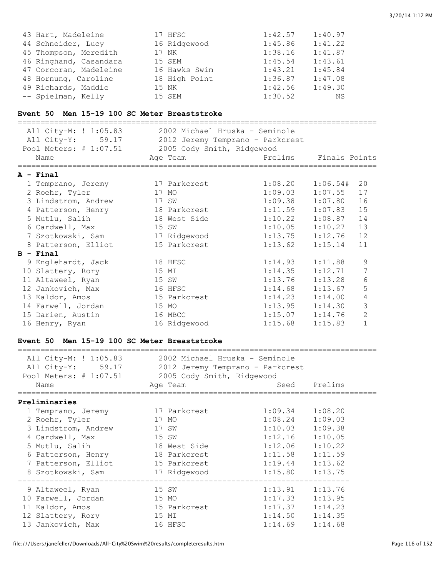| 43 Hart, Madeleine     | 17 HFSC       | 1:42.57 | 1:40.97 |
|------------------------|---------------|---------|---------|
| 44 Schneider, Lucy     | 16 Ridgewood  | 1:45.86 | 1:41.22 |
| 45 Thompson, Meredith  | 17 NK         | 1:38.16 | 1:41.87 |
| 46 Ringhand, Casandara | 15 SEM        | 1:45.54 | 1:43.61 |
| 47 Corcoran, Madeleine | 16 Hawks Swim | 1:43.21 | 1:45.84 |
| 48 Hornung, Caroline   | 18 High Point | 1:36.87 | 1:47.08 |
| 49 Richards, Maddie    | 15 NK         | 1:42.56 | 1:49.30 |
| -- Spielman, Kelly     | 15 SEM        | 1:30.52 | ΝS      |

### **Event 50 Men 15-19 100 SC Meter Breaststroke**

| All City-M: ! 1:05.83<br>All City-Y: 59.17<br>Pool Meters: # 1:07.51<br>Name | 2002 Michael Hruska - Seminole<br>2012 Jeremy Temprano - Parkcrest<br>2005 Cody Smith, Ridgewood<br>Age Team | Prelims Finals Points |          |                |
|------------------------------------------------------------------------------|--------------------------------------------------------------------------------------------------------------|-----------------------|----------|----------------|
| $A - Final$                                                                  |                                                                                                              |                       |          |                |
| 1 Temprano, Jeremy                                                           | 17 Parkcrest                                                                                                 | 1:08.20               | 1:06.54# | 20             |
| 2 Roehr, Tyler                                                               | 17 MO                                                                                                        | 1:09.03               | 1:07.55  | 17             |
| 3 Lindstrom, Andrew                                                          | 17 SW                                                                                                        | 1:09.38               | 1:07.80  | 16             |
| 4 Patterson, Henry                                                           | 18 Parkcrest                                                                                                 | 1:11.59               | 1:07.83  | 15             |
| 5 Mutlu, Salih                                                               | 18 West Side                                                                                                 | 1:10.22               | 1:08.87  | 14             |
| 6 Cardwell, Max                                                              | 15 SW                                                                                                        | 1:10.05               | 1:10.27  | 13             |
| 7 Szotkowski, Sam                                                            | 17 Ridgewood                                                                                                 | 1:13.75               | 1:12.76  | 12             |
| 8 Patterson, Elliot                                                          | 15 Parkcrest                                                                                                 | 1:13.62               | 1:15.14  | 11             |
| $B -$ Final                                                                  |                                                                                                              |                       |          |                |
| 9 Englehardt, Jack                                                           | 18 HFSC                                                                                                      | 1:14.93               | 1:11.88  | 9              |
| 10 Slattery, Rory                                                            | 15 MI                                                                                                        | 1:14.35               | 1:12.71  | 7              |
| 11 Altaweel, Ryan                                                            | 15 SW                                                                                                        | 1:13.76               | 1:13.28  | 6              |
| 12 Jankovich, Max                                                            | 16 HFSC                                                                                                      | 1:14.68               | 1:13.67  | 5              |
| 13 Kaldor, Amos                                                              | 15 Parkcrest                                                                                                 | 1:14.23               | 1:14.00  | 4              |
| 14 Farwell, Jordan                                                           | 15 MO                                                                                                        | 1:13.95               | 1:14.30  | 3              |
| 15 Darien, Austin                                                            | 16 MBCC                                                                                                      | 1:15.07               | 1:14.76  | $\overline{2}$ |
| 16 Henry, Ryan                                                               | 16 Ridgewood                                                                                                 | 1:15.68               | 1:15.83  | $\mathbf{1}$   |

### **Event 50 Men 15-19 100 SC Meter Breaststroke**

| All City-M: ! 1:05.83<br>All City-Y: 59.17<br>Pool Meters: # 1:07.51 | 2002 Michael Hruska - Seminole<br>2012 Jeremy Temprano - Parkcrest<br>2005 Cody Smith, Ridgewood |                     |              |  |
|----------------------------------------------------------------------|--------------------------------------------------------------------------------------------------|---------------------|--------------|--|
| Name                                                                 | Age Team                                                                                         |                     | Seed Prelims |  |
| Preliminaries                                                        |                                                                                                  |                     |              |  |
| 1 Temprano, Jeremy                                                   | 17 Parkcrest                                                                                     | $1:09.34$ $1:08.20$ |              |  |
| 2 Roehr, Tyler                                                       | 17 MO                                                                                            | 1:08.24             | 1:09.03      |  |
| 3 Lindstrom, Andrew                                                  | 17 SW                                                                                            | 1:10.03             | 1:09.38      |  |
| 4 Cardwell, Max                                                      | 15 SW                                                                                            | $1:12.16$ $1:10.05$ |              |  |
| 5 Mutlu, Salih                                                       | 18 West Side                                                                                     | $1:12.06$ $1:10.22$ |              |  |
| 6 Patterson, Henry 18 Parkcrest                                      |                                                                                                  | 1:11.58             | 1:11.59      |  |
| 7 Patterson, Elliot                                                  | 15 Parkcrest                                                                                     | $1:19.44$ $1:13.62$ |              |  |
| 8 Szotkowski, Sam                                                    | 17 Ridgewood                                                                                     | 1:15.80             | 1:13.75      |  |
| 9 Altaweel, Ryan                                                     | 15 SW                                                                                            | 1:13.91             | 1:13.76      |  |
| 10 Farwell, Jordan                                                   | 15 MO                                                                                            | 1:17.33             | 1:13.95      |  |
| 11 Kaldor, Amos                                                      | 15 Parkcrest                                                                                     | 1:17.37             | 1:14.23      |  |
| 12 Slattery, Rory                                                    | 15 MI                                                                                            | 1:14.50             | 1:14.35      |  |
| 13 Jankovich, Max                                                    | 16 HFSC                                                                                          | 1:14.69             | 1:14.68      |  |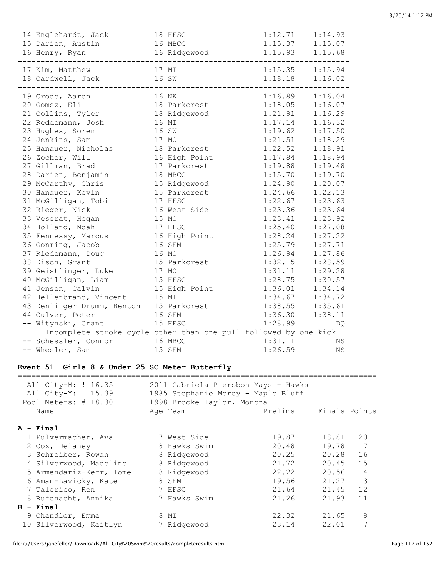| 14 Englehardt, Jack<br>15 Darien, Austin<br>16 MBCC<br>16 Henry, Ryan                                                                                                                                                                                                                                                                                                                                                                                 |                | 18 HFSC<br>16 Ridgewood 1:15.93 1:15.68                                                                                                                                     | 1:12.71                                                                                                       | 1:14.93<br>$1:15.37$ $1:15.07$                                                                                                                                                                                                                                                                                               |
|-------------------------------------------------------------------------------------------------------------------------------------------------------------------------------------------------------------------------------------------------------------------------------------------------------------------------------------------------------------------------------------------------------------------------------------------------------|----------------|-----------------------------------------------------------------------------------------------------------------------------------------------------------------------------|---------------------------------------------------------------------------------------------------------------|------------------------------------------------------------------------------------------------------------------------------------------------------------------------------------------------------------------------------------------------------------------------------------------------------------------------------|
| 17 Kim, Matthew<br>18 Cardwell, Jack 16 SW                                                                                                                                                                                                                                                                                                                                                                                                            |                | 17 MI                                                                                                                                                                       |                                                                                                               | $1:15.35$ $1:15.94$<br>$1:18.18$ $1:16.02$                                                                                                                                                                                                                                                                                   |
| 19 Grode, Aaron<br>20 Gomez, Eli<br>21 Collins, Tyler 18 Ridgewood<br>22 Reddemann, Josh<br>16 MI<br>23 Hughes, Soren<br>24 Jenkins, Sam<br>17 MO<br>25 Hanauer, Nicholas 18 Parkcrest<br>26 Zocher, Will<br>27 Gillman, Brad<br>28 Darien, Benjamin<br>29 McCarthy, Chris<br>30 Hanauer, Kevin<br>31 McGilligan, Tobin<br>32 Rieger, Nick<br>33 Veserat, Hogan<br>34 Holland, Noah<br>35 Fennessy, Marcus<br>36 Gonring, Jacob<br>37 Riedemann, Doug | 16 SW<br>15 MO | 16 NK<br>18 Parkcrest<br>16 High Point<br>17 Parkcrest<br>18 MBCC<br>15 Ridgewood<br>15 Parkcrest<br>17 HFSC<br>16 West Side<br>17 HFSC<br>16 High Point<br>16 SEM<br>16 MO | $1:16.89$ $1:16.04$<br>$1:18.05$ $1:16.07$<br>$1:21.91$ $1:16.29$<br>1:23.41<br>1:28.24<br>1:25.79<br>1:26.94 | $1:17.14$ $1:16.32$<br>$1:19.62$ $1:17.50$<br>$1:21.51$ $1:18.29$<br>$1:22.52$ $1:18.91$<br>$1:17.84$ $1:18.94$<br>$1:19.88$ $1:19.48$<br>$1:15.70$ $1:19.70$<br>$1:24.90$ $1:20.07$<br>$1:24.66$ $1:22.13$<br>$1:22.67$ $1:23.63$<br>$1:23.36$ $1:23.64$<br>1:23.92<br>$1:25.40$ $1:27.08$<br>1:27.22<br>1:27.71<br>1:27.86 |
| 38 Disch, Grant<br>17 MO<br>39 Geistlinger, Luke                                                                                                                                                                                                                                                                                                                                                                                                      |                | 15 Parkcrest                                                                                                                                                                | 1:32.15<br>1:31.11                                                                                            | 1:28.59<br>1:29.28                                                                                                                                                                                                                                                                                                           |
| 40 McGilligan, Liam                                                                                                                                                                                                                                                                                                                                                                                                                                   |                | 15 HFSC                                                                                                                                                                     | 1:28.75                                                                                                       | 1:30.57                                                                                                                                                                                                                                                                                                                      |
| 41 Jensen, Calvin                                                                                                                                                                                                                                                                                                                                                                                                                                     |                | 15 High Point                                                                                                                                                               |                                                                                                               | $1:36.01$ $1:34.14$                                                                                                                                                                                                                                                                                                          |
| 15 MI<br>42 Hellenbrand, Vincent                                                                                                                                                                                                                                                                                                                                                                                                                      |                |                                                                                                                                                                             | 1:34.67                                                                                                       | 1:34.72                                                                                                                                                                                                                                                                                                                      |
| 43 Denlinger Drumm, Benton 15 Parkcrest                                                                                                                                                                                                                                                                                                                                                                                                               |                |                                                                                                                                                                             | 1:38.55                                                                                                       | 1:35.61                                                                                                                                                                                                                                                                                                                      |
| 44 Culver, Peter                                                                                                                                                                                                                                                                                                                                                                                                                                      |                | 16 SEM                                                                                                                                                                      |                                                                                                               | $1:36.30$ $1:38.11$                                                                                                                                                                                                                                                                                                          |
| -- Witynski, Grant                                                                                                                                                                                                                                                                                                                                                                                                                                    |                | 15 HFSC                                                                                                                                                                     | 1:28.99                                                                                                       | DQ.                                                                                                                                                                                                                                                                                                                          |
| Incomplete stroke cycle other than one pull followed by one kick                                                                                                                                                                                                                                                                                                                                                                                      |                |                                                                                                                                                                             |                                                                                                               |                                                                                                                                                                                                                                                                                                                              |
| -- Schessler, Connor                                                                                                                                                                                                                                                                                                                                                                                                                                  |                | 16 MBCC                                                                                                                                                                     | 1:31.11                                                                                                       | ΝS                                                                                                                                                                                                                                                                                                                           |
| -- Wheeler, Sam                                                                                                                                                                                                                                                                                                                                                                                                                                       |                | 15 SEM                                                                                                                                                                      | 1:26.59                                                                                                       | ΝS                                                                                                                                                                                                                                                                                                                           |

#### **Event 51 Girls 8 & Under 25 SC Meter Butterfly**

| All City-M: ! 16.35<br>All City-Y: 15.39<br>Pool Meters: # 18.30 |                         | 2011 Gabriela Pierobon Mays - Hawks<br>1985 Stephanie Morey - Maple Bluff<br>1998 Brooke Taylor, Monona |         |               |    |  |  |  |  |
|------------------------------------------------------------------|-------------------------|---------------------------------------------------------------------------------------------------------|---------|---------------|----|--|--|--|--|
|                                                                  | Name                    | Age Team                                                                                                | Prelims | Finals Points |    |  |  |  |  |
|                                                                  | A - Final               |                                                                                                         |         |               |    |  |  |  |  |
|                                                                  | 1 Pulvermacher, Ava     | 7 West Side                                                                                             | 19.87   | 18.81         | 20 |  |  |  |  |
|                                                                  | 2 Cox, Delaney          | 8 Hawks Swim                                                                                            | 20.48   | 19.78         | 17 |  |  |  |  |
|                                                                  | 3 Schreiber, Rowan      | 8 Ridgewood                                                                                             | 20.25   | 20.28         | 16 |  |  |  |  |
|                                                                  | 4 Silverwood, Madeline  | 8 Ridgewood                                                                                             | 21.72   | 20.45         | 15 |  |  |  |  |
|                                                                  | 5 Armendariz-Kerr, Iome | 8 Ridgewood                                                                                             | 22.22   | 20.56         | 14 |  |  |  |  |
|                                                                  | 6 Aman-Lavicky, Kate    | 8 SEM                                                                                                   | 19.56   | 21.27         | 13 |  |  |  |  |
|                                                                  | 7 Talerico, Ren         | 7 HFSC                                                                                                  | 21.64   | 21.45         | 12 |  |  |  |  |
|                                                                  | 8 Rufenacht, Annika     | 7 Hawks Swim                                                                                            | 21.26   | 21.93         | 11 |  |  |  |  |
|                                                                  | $B - Final$             |                                                                                                         |         |               |    |  |  |  |  |
|                                                                  | 9 Chandler, Emma        | 8 MI                                                                                                    | 22.32   | 21.65         | 9  |  |  |  |  |
|                                                                  | 10 Silverwood, Kaitlyn  | 7 Ridgewood                                                                                             | 23.14   | 22.01         | 7  |  |  |  |  |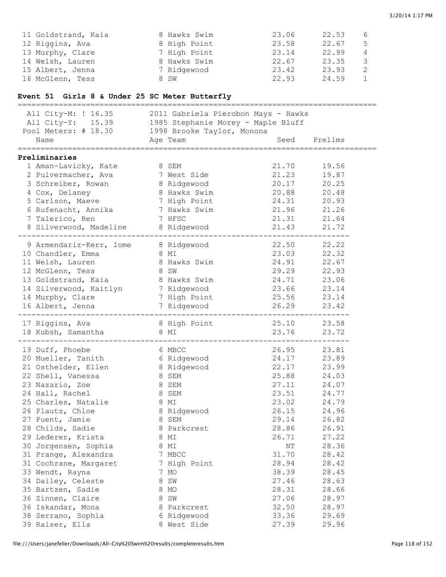| 11 Goldstrand, Kaia | 8 Hawks Swim | 23.06 | 22.53 | 6  |
|---------------------|--------------|-------|-------|----|
| 12 Riggins, Ava     | 8 High Point | 23.58 | 22.67 | -5 |
| 13 Murphy, Clare    | 7 High Point | 23.14 | 22.99 | 4  |
| 14 Welsh, Lauren    | 8 Hawks Swim | 22.67 | 23.35 | 3  |
| 15 Albert, Jenna    | 7 Ridgewood  | 23.42 | 23.93 | 2  |
| 16 McGlenn, Tess    | 8 SW         | 22.93 | 24.59 |    |

# **Event 51 Girls 8 & Under 25 SC Meter Butterfly**

| All City-M: ! 16.35 2011 Gabriela Pierobon Mays - Hawks<br>All City-Y: 15.39 1985 Stephanie Morey - Maple Bluff<br>Pool Meters: # 18.30 | 1998 Brooke Taylor, Monona |                       |              |
|-----------------------------------------------------------------------------------------------------------------------------------------|----------------------------|-----------------------|--------------|
| Name                                                                                                                                    | Age Team                   |                       | Seed Prelims |
| ==================================<br>Preliminaries                                                                                     |                            | ===================== |              |
| 1 Aman-Lavicky, Kate                                                                                                                    | 8 SEM                      | 21.70                 | 19.56        |
| 2 Pulvermacher, Ava                                                                                                                     | 7 West Side                | 21.23                 | 19.87        |
| 3 Schreiber, Rowan                                                                                                                      | 8 Ridgewood                | 20.17                 | 20.25        |
| 4 Cox, Delaney                                                                                                                          | 8 Hawks Swim               | 20.88                 | 20.48        |
| 5 Carlson, Maeve                                                                                                                        | 7 High Point               | 24.31                 | 20.93        |
| 6 Rufenacht, Annika                                                                                                                     | 7 Hawks Swim               | 21.96                 | 21.26        |
| 7 Talerico, Ren                                                                                                                         | 7 HFSC                     | 21.31                 | 21.64        |
| 8 Silverwood, Madeline 8 Ridgewood                                                                                                      |                            | 21.43                 | 21.72        |
|                                                                                                                                         |                            |                       |              |
| 9 Armendariz-Kerr, Iome 8 Ridgewood                                                                                                     |                            | 22.50                 | 22.22        |
| 10 Chandler, Emma                                                                                                                       | 8 MI                       | 23.03                 | 22.32        |
| 11 Welsh, Lauren                                                                                                                        | 8 Hawks Swim               | 24.91                 | 22.67        |
| 12 McGlenn, Tess                                                                                                                        | 8 SW                       | 29.29                 | 22.93        |
| 13 Goldstrand, Kaia                                                                                                                     | 8 Hawks Swim               | 24.71                 | 23.06        |
| 14 Silverwood, Kaitlyn                                                                                                                  | 7 Ridgewood                | 23.66                 | 23.14        |
| 14 Murphy, Clare                                                                                                                        | 7 High Point               | 25.56                 | 23.14        |
| 16 Albert, Jenna                                                                                                                        | 7 Ridgewood                | 26.29                 | 23.42        |
|                                                                                                                                         |                            |                       |              |
| 17 Riggins, Ava                                                                                                                         | 8 High Point               | 25.10                 | 23.58        |
| 18 Kubsh, Samantha                                                                                                                      | 8 MI                       | 23.76                 | 23.72        |
| 19 Duff, Phoebe                                                                                                                         | 6 MBCC                     | 26.95                 | 23.81        |
| 20 Mueller, Tanith                                                                                                                      | 6 Ridgewood                | 24.17                 | 23.89        |
| 21 Osthelder, Ellen                                                                                                                     | 8 Ridgewood                | 22.17                 | 23.99        |
| 22 Shell, Vanessa                                                                                                                       | 8 SEM                      | 25.88                 | 24.03        |
| 23 Nazario, Zoe                                                                                                                         | 8 SEM                      | 27.11                 | 24.07        |
| 24 Hall, Rachel                                                                                                                         | 8 SEM                      | 23.51                 | 24.77        |
| 25 Charles, Natalie                                                                                                                     | 8 MI                       | 23.02                 | 24.79        |
| 26 Plautz, Chloe                                                                                                                        | 8 Ridgewood                | 26.15                 | 24.96        |
| 27 Puent, Jamie                                                                                                                         | 8 SEM                      | 29.14                 | 26.82        |
| 28 Childs, Sadie                                                                                                                        | 8 Parkcrest                | 28.86                 | 26.91        |
| 29 Lederer, Krista                                                                                                                      | 8 MI                       | 26.71                 | 27.22        |
| 30 Jorgensen, Sophia                                                                                                                    | 8 MI                       | NΤ                    | 28.36        |
| 31 Prange, Alexandra                                                                                                                    | 7 MBCC                     | 31.70                 | 28.42        |
| 31 Cochrane, Margaret                                                                                                                   | 7 High Point               | 28.94                 | 28.42        |
| 33 Wendt, Rayna                                                                                                                         | 7 MO                       | 38.39                 | 28.45        |
| 34 Dailey, Celeste                                                                                                                      | 8 SW                       | 27.46                 | 28.63        |
| 35 Bartzen, Sadie                                                                                                                       | 8 MO                       | 28.31                 | 28.66        |
| 36 Zinnen, Claire                                                                                                                       | 8 SW                       | 27.06                 | 28.97        |
| 36 Iskandar, Mona                                                                                                                       | 8 Parkcrest                | 32.50                 | 28.97        |
| 38 Serrano, Sophia                                                                                                                      | 6 Ridgewood                | 33.36                 | 29.69        |
| 39 Ralser, Ella                                                                                                                         | 8 West Side                | 27.39                 | 29.96        |
|                                                                                                                                         |                            |                       |              |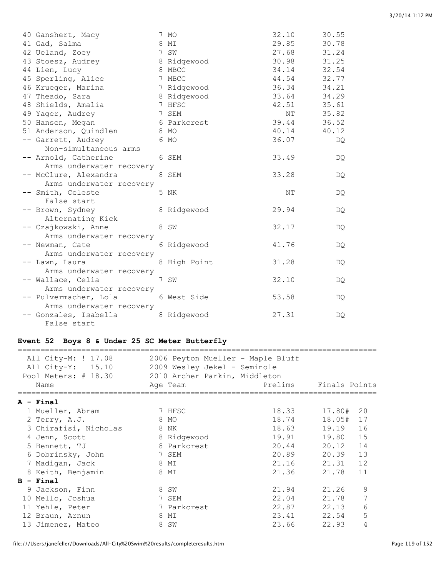| 40 Ganshert, Macy        | 7 MO         | 32.10       | 30.55 |
|--------------------------|--------------|-------------|-------|
| 41 Gad, Salma            | 8 MI         | 29.85       | 30.78 |
| 42 Ueland, Zoey          | 7 SW         | 27.68       | 31.24 |
| 43 Stoesz, Audrey        | 8 Ridgewood  | 30.98       | 31.25 |
| 44 Lien, Lucy            | 8 MBCC       | 34.14       | 32.54 |
| 45 Sperling, Alice       | 7 MBCC       | 44.54       | 32.77 |
| 46 Krueger, Marina       | 7 Ridgewood  | 36.34       | 34.21 |
| 47 Theado, Sara          | 8 Ridgewood  | 33.64       | 34.29 |
| 48 Shields, Amalia       | 7 HFSC       | 42.51       | 35.61 |
| 49 Yager, Audrey         | 7 SEM        | NΤ          | 35.82 |
| 50 Hansen, Megan         | 6 Parkcrest  | 39.44       | 36.52 |
| 51 Anderson, Quindlen    | 8 MO         | 40.14 40.12 |       |
| -- Garrett, Audrey       | 6 MO         | 36.07       | DQ    |
| Non-simultaneous arms    |              |             |       |
| -- Arnold, Catherine     | 6 SEM        | 33.49       | DQ.   |
| Arms underwater recovery |              |             |       |
| -- McClure, Alexandra    | 8 SEM        | 33.28       | DQ    |
| Arms underwater recovery |              |             |       |
| -- Smith, Celeste        | 5 NK         | NΤ          | DQ.   |
| False start              |              |             |       |
| -- Brown, Sydney         | 8 Ridgewood  | 29.94       | DQ.   |
| Alternating Kick         |              |             |       |
| -- Czajkowski, Anne      | 8 SW         | 32.17       | DQ.   |
| Arms underwater recovery |              |             |       |
| -- Newman, Cate          | 6 Ridgewood  | 41.76       | DQ.   |
| Arms underwater recovery |              |             |       |
| -- Lawn, Laura           | 8 High Point | 31.28       | DQ.   |
| Arms underwater recovery |              |             |       |
| -- Wallace, Celia        | 7 SW         | 32.10       | DQ.   |
| Arms underwater recovery |              |             |       |
| -- Pulvermacher, Lola    | 6 West Side  | 53.58       | DQ.   |
| Arms underwater recovery |              |             |       |
| -- Gonzales, Isabella    | 8 Ridgewood  | 27.31       | DQ    |
| False start              |              |             |       |

# **Event 52 Boys 8 & Under 25 SC Meter Butterfly**

| All City-M: ! 17.08<br>All City-Y: 15.10<br>Pool Meters: # 18.30 2010 Archer Parkin, Middleton<br>Name |        | 2006 Peyton Mueller - Maple Bluff<br>2009 Wesley Jekel - Seminole<br>Age Team | Prelims Finals Points |        |    |
|--------------------------------------------------------------------------------------------------------|--------|-------------------------------------------------------------------------------|-----------------------|--------|----|
| $A - Final$                                                                                            |        |                                                                               |                       |        |    |
| 1 Mueller, Abram                                                                                       | 7 HFSC |                                                                               | 18.33 17.80#          |        | 20 |
|                                                                                                        |        |                                                                               |                       |        |    |
| 2 Terry, A.J.                                                                                          |        | 8 MO                                                                          | 18.74                 | 18.05# | 17 |
| 3 Chirafisi, Nicholas                                                                                  | 8 NK   |                                                                               | 18.63                 | 19.19  | 16 |
| 4 Jenn, Scott                                                                                          |        | 8 Ridgewood                                                                   | 19.91 19.80           |        | 15 |
| 8 Parkcrest<br>5 Bennett, TJ                                                                           |        |                                                                               | 20.44 20.12           |        | 14 |
| 6 Dobrinsky, John                                                                                      | 7 SEM  |                                                                               | 20.89                 | 20.39  | 13 |
| 7 Madigan, Jack                                                                                        |        | 8 MI                                                                          | 21.16                 | 21.31  | 12 |
| 8 Keith, Benjamin                                                                                      |        | 8 MI                                                                          | 21.36                 | 21.78  | 11 |
| $B - Final$                                                                                            |        |                                                                               |                       |        |    |
| 9 Jackson, Finn                                                                                        | 8 SW   |                                                                               | 21.94 21.26           |        | 9  |
| 10 Mello, Joshua                                                                                       |        | 7 SEM                                                                         | 22.04 21.78           |        | 7  |
| 11 Yehle, Peter                                                                                        |        | 7 Parkcrest                                                                   | 22.87                 | 22.13  | 6  |
| 12 Braun, Arnun                                                                                        |        | 8 MI                                                                          | 23.41                 | 22.54  | 5  |
| 13 Jimenez, Mateo                                                                                      |        | 8 SW                                                                          | 23.66                 | 22.93  | 4  |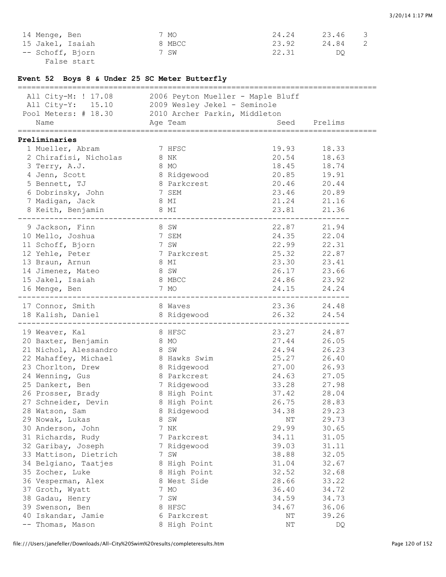| 14 Menge, Ben    | 7 MO   | 24.24 | 23.46 |  |
|------------------|--------|-------|-------|--|
| 15 Jakel, Isaiah | 8 MBCC | 23.92 | 24.84 |  |
| -- Schoff, Bjorn | 7 SW   | 22.31 | DO    |  |
| False start      |        |       |       |  |

# **Event 52 Boys 8 & Under 25 SC Meter Butterfly**

| ============================                                                                            |      |              | ____________________________________ |             |
|---------------------------------------------------------------------------------------------------------|------|--------------|--------------------------------------|-------------|
| All City-M: ! 17.08 2006 Peyton Mueller - Maple Bluff<br>All City-Y: 15.10 2009 Wesley Jekel - Seminole |      |              |                                      |             |
| Pool Meters: # 18.30 2010 Archer Parkin, Middleton                                                      |      |              |                                      |             |
| Name<br>Age Team                                                                                        |      |              | Seed Prelims                         |             |
| Preliminaries                                                                                           |      |              |                                      |             |
| 1 Mueller, Abram                                                                                        |      | 7 HFSC       |                                      | 19.93 18.33 |
| 2 Chirafisi, Nicholas                                                                                   | 8 NK |              |                                      | 20.54 18.63 |
| 3 Terry, A.J.                                                                                           | 8 MO |              |                                      | 18.45 18.74 |
| 4 Jenn, Scott                                                                                           |      | 8 Ridgewood  | 20.85 19.91                          |             |
| 5 Bennett, TJ                                                                                           |      | 8 Parkcrest  | 20.46 20.44                          |             |
| 6 Dobrinsky, John                                                                                       |      | 7 SEM        |                                      |             |
| 7 Madigan, Jack                                                                                         | 8 MI |              |                                      | 23.46 20.89 |
|                                                                                                         |      |              |                                      | 21.24 21.16 |
| 8 Keith, Benjamin 8 MI                                                                                  |      |              | 23.81                                | 21.36       |
| 9 Jackson, Finn                                                                                         |      | 8 SW         |                                      | 22.87 21.94 |
| 10 Mello, Joshua                                                                                        |      | 7 SEM        | 24.35                                | 22.04       |
| 11 Schoff, Bjorn                                                                                        |      | 7 SW         | 22.99                                | 22.31       |
| 12 Yehle, Peter                                                                                         |      | 7 Parkcrest  | 25.32                                | 22.87       |
| 13 Braun, Arnun                                                                                         | 8 MI |              | 23.30                                | 23.41       |
| 14 Jimenez, Mateo                                                                                       | 8 SW |              | 26.17                                | 23.66       |
| 15 Jakel, Isaiah                                                                                        |      | 8 MBCC       |                                      | 24.86 23.92 |
| 16 Menge, Ben                                                                                           | 7 MO |              | 24.15 24.24                          |             |
|                                                                                                         |      |              |                                      |             |
| 17 Connor, Smith                                                                                        |      | 8 Waves      |                                      | 23.36 24.48 |
| 18 Kalish, Daniel 8 Ridgewood                                                                           |      |              | 26.32 24.54                          |             |
| 19 Weaver, Kal                                                                                          |      | 8 HFSC       |                                      | 23.27 24.87 |
| 20 Baxter, Benjamin                                                                                     | 8 MO |              |                                      | 27.44 26.05 |
| 21 Nichol, Alessandro                                                                                   | 8 SW |              | 24.94                                | 26.23       |
| 22 Mahaffey, Michael 8 Hawks Swim                                                                       |      |              | 25.27                                | 26.40       |
| 23 Chorlton, Drew                                                                                       |      | 8 Ridgewood  | 27.00 26.93                          |             |
| 24 Wenning, Gus                                                                                         |      | 8 Parkcrest  | 24.63 27.05                          |             |
| 25 Dankert, Ben                                                                                         |      | 7 Ridgewood  | 33.28 27.98                          |             |
| 26 Prosser, Brady                                                                                       |      | 8 High Point | 37.42 28.04                          |             |
| 27 Schneider, Devin 8 High Point                                                                        |      |              |                                      | 26.75 28.83 |
| 28 Watson, Sam                                                                                          |      | 8 Ridgewood  | 34.38                                | 29.23       |
| 29 Nowak, Lukas                                                                                         | 8.   | SW           | ΝT                                   | 29.73       |
| 30 Anderson, John                                                                                       |      | 7 NK         | 29.99                                | 30.65       |
| 31 Richards, Rudy                                                                                       |      | 7 Parkcrest  | 34.11                                | 31.05       |
| 32 Garibay, Joseph                                                                                      |      | 7 Ridgewood  | 39.03                                | 31.11       |
| 33 Mattison, Dietrich                                                                                   |      | 7 SW         | 38.88                                | 32.05       |
| 34 Belgiano, Taatjes                                                                                    |      | 8 High Point | 31.04                                | 32.67       |
| 35 Zocher, Luke                                                                                         |      | 8 High Point | 32.52                                | 32.68       |
|                                                                                                         |      | 8 West Side  | 28.66                                |             |
| 36 Vesperman, Alex                                                                                      |      |              |                                      | 33.22       |
| 37 Groth, Wyatt                                                                                         |      | 7 MO         | 36.40                                | 34.72       |
| 38 Gadau, Henry                                                                                         |      | 7 SW         | 34.59                                | 34.73       |
| 39 Swenson, Ben                                                                                         |      | 8 HFSC       | 34.67                                | 36.06       |
| 40 Iskandar, Jamie                                                                                      |      | 6 Parkcrest  | ΝT                                   | 39.26       |
| -- Thomas, Mason                                                                                        |      | 8 High Point | ΝT                                   | DQ          |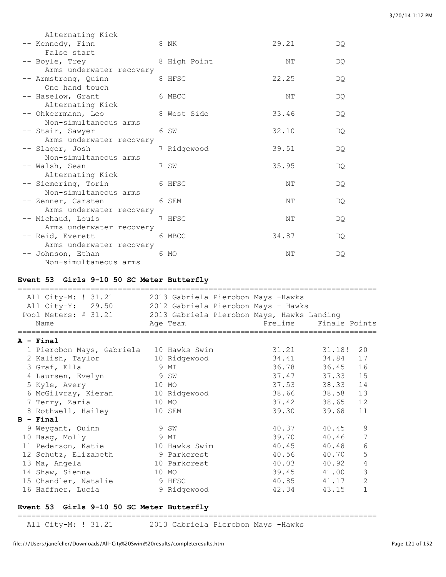| Alternating Kick         |                                                                                                                                                                                                                                                                                                                                                                                                                                                                                         |                                                                                                                                       |                                                             |
|--------------------------|-----------------------------------------------------------------------------------------------------------------------------------------------------------------------------------------------------------------------------------------------------------------------------------------------------------------------------------------------------------------------------------------------------------------------------------------------------------------------------------------|---------------------------------------------------------------------------------------------------------------------------------------|-------------------------------------------------------------|
|                          |                                                                                                                                                                                                                                                                                                                                                                                                                                                                                         | 29.21                                                                                                                                 | DQ.                                                         |
| False start              |                                                                                                                                                                                                                                                                                                                                                                                                                                                                                         |                                                                                                                                       |                                                             |
|                          |                                                                                                                                                                                                                                                                                                                                                                                                                                                                                         | NΤ                                                                                                                                    | DQ.                                                         |
| Arms underwater recovery |                                                                                                                                                                                                                                                                                                                                                                                                                                                                                         |                                                                                                                                       |                                                             |
|                          |                                                                                                                                                                                                                                                                                                                                                                                                                                                                                         | 22.25                                                                                                                                 | DQ.                                                         |
| One hand touch           |                                                                                                                                                                                                                                                                                                                                                                                                                                                                                         |                                                                                                                                       |                                                             |
|                          |                                                                                                                                                                                                                                                                                                                                                                                                                                                                                         | NΤ                                                                                                                                    | DQ.                                                         |
| Alternating Kick         |                                                                                                                                                                                                                                                                                                                                                                                                                                                                                         |                                                                                                                                       |                                                             |
|                          |                                                                                                                                                                                                                                                                                                                                                                                                                                                                                         |                                                                                                                                       | DQ.                                                         |
|                          |                                                                                                                                                                                                                                                                                                                                                                                                                                                                                         |                                                                                                                                       |                                                             |
|                          |                                                                                                                                                                                                                                                                                                                                                                                                                                                                                         |                                                                                                                                       | DQ.                                                         |
|                          |                                                                                                                                                                                                                                                                                                                                                                                                                                                                                         |                                                                                                                                       |                                                             |
|                          |                                                                                                                                                                                                                                                                                                                                                                                                                                                                                         |                                                                                                                                       | DQ.                                                         |
|                          |                                                                                                                                                                                                                                                                                                                                                                                                                                                                                         |                                                                                                                                       |                                                             |
|                          |                                                                                                                                                                                                                                                                                                                                                                                                                                                                                         |                                                                                                                                       | DQ.                                                         |
|                          |                                                                                                                                                                                                                                                                                                                                                                                                                                                                                         |                                                                                                                                       |                                                             |
|                          |                                                                                                                                                                                                                                                                                                                                                                                                                                                                                         |                                                                                                                                       | DO.                                                         |
|                          |                                                                                                                                                                                                                                                                                                                                                                                                                                                                                         |                                                                                                                                       | DQ.                                                         |
|                          |                                                                                                                                                                                                                                                                                                                                                                                                                                                                                         |                                                                                                                                       |                                                             |
|                          |                                                                                                                                                                                                                                                                                                                                                                                                                                                                                         |                                                                                                                                       | DQ.                                                         |
|                          |                                                                                                                                                                                                                                                                                                                                                                                                                                                                                         |                                                                                                                                       |                                                             |
|                          |                                                                                                                                                                                                                                                                                                                                                                                                                                                                                         |                                                                                                                                       | DQ.                                                         |
|                          |                                                                                                                                                                                                                                                                                                                                                                                                                                                                                         |                                                                                                                                       |                                                             |
|                          |                                                                                                                                                                                                                                                                                                                                                                                                                                                                                         | NΤ                                                                                                                                    | DO                                                          |
| Non-simultaneous arms    |                                                                                                                                                                                                                                                                                                                                                                                                                                                                                         |                                                                                                                                       |                                                             |
|                          | -- Kennedy, Finn<br>-- Boyle, Trey<br>-- Armstrong, Quinn<br>-- Haselow, Grant<br>-- Ohkerrmann, Leo<br>Non-simultaneous arms<br>-- Stair, Sawyer<br>Arms underwater recovery<br>-- Slager, Josh<br>Non-simultaneous arms<br>-- Walsh, Sean<br>Alternating Kick<br>-- Siemering, Torin<br>Non-simultaneous arms<br>-- Zenner, Carsten<br>Arms underwater recovery<br>-- Michaud, Louis<br>Arms underwater recovery<br>-- Reid, Everett<br>Arms underwater recovery<br>-- Johnson, Ethan | 8 NK<br>8 High Point<br>8 HFSC<br>6 MBCC<br>8 West Side<br>6 SW<br>7 Ridgewood<br>7 SW<br>6 HFSC<br>6 SEM<br>7 HFSC<br>6 MBCC<br>6 MO | 33.46<br>32.10<br>39.51<br>35.95<br>NΤ<br>NΤ<br>NΤ<br>34.87 |

#### **Event 53 Girls 9-10 50 SC Meter Butterfly**

| All City-M: ! 31.21<br>All City-Y: 29.50<br>Pool Meters: # 31.21 |      | 2013 Gabriela Pierobon Mays -Hawks<br>2012 Gabriela Pierobon Mays - Hawks<br>2013 Gabriela Pierobon Mays, Hawks Landing |                       |       |                |
|------------------------------------------------------------------|------|-------------------------------------------------------------------------------------------------------------------------|-----------------------|-------|----------------|
| Name                                                             |      | Age Team                                                                                                                | Prelims Finals Points |       |                |
| A - Final                                                        |      |                                                                                                                         |                       |       |                |
| 1 Pierobon Mays, Gabriela 10 Hawks Swim                          |      |                                                                                                                         | 31.21 31.18!          |       | 20             |
| 2 Kalish, Taylor                                                 |      | 10 Ridgewood                                                                                                            | 34.41 34.84           |       | 17             |
| 3 Graf, Ella                                                     |      | 9 MI                                                                                                                    | 36.78 36.45           |       | 16             |
| 4 Laursen, Evelyn                                                |      | 9 SW                                                                                                                    | 37.47 37.33           |       | 15             |
| 5 Kyle, Avery                                                    |      | 10 MO                                                                                                                   | 37.53 38.33           |       | 14             |
| 6 McGilvray, Kieran                                              |      | 10 Ridgewood                                                                                                            | 38.66 38.58           |       | 13             |
| 7 Terry, Zaria                                                   |      | 10 MO                                                                                                                   | 37.42                 | 38.65 | 12             |
| 8 Rothwell, Hailey                                               |      | 10 SEM                                                                                                                  | 39.30                 | 39.68 | 11             |
| $B - Final$                                                      |      |                                                                                                                         |                       |       |                |
| 9 Weygant, Quinn                                                 | 9 SW |                                                                                                                         | 40.37                 | 40.45 | 9              |
| 10 Haag, Molly                                                   |      | 9 MI                                                                                                                    | 39.70                 | 40.46 | 7              |
| 11 Pederson, Katie                                               |      | 10 Hawks Swim                                                                                                           | 40.45                 | 40.48 | 6              |
| 12 Schutz, Elizabeth                                             |      | 9 Parkcrest                                                                                                             | 40.56 40.70           |       | 5              |
| 13 Ma, Angela                                                    |      | 10 Parkcrest                                                                                                            | 40.03                 | 40.92 | 4              |
| 14 Shaw, Sienna                                                  |      | 10 MO                                                                                                                   | 39.45 41.00           |       | 3              |
| 15 Chandler, Natalie                                             |      | 9 HFSC                                                                                                                  | 40.85 41.17           |       | $\overline{2}$ |
| 16 Haffner, Lucia                                                |      | 9 Ridgewood                                                                                                             | 42.34                 | 43.15 | $\mathbf{1}$   |

# **Event 53 Girls 9-10 50 SC Meter Butterfly**

===============================================================================

All City-M: ! 31.21 2013 Gabriela Pierobon Mays -Hawks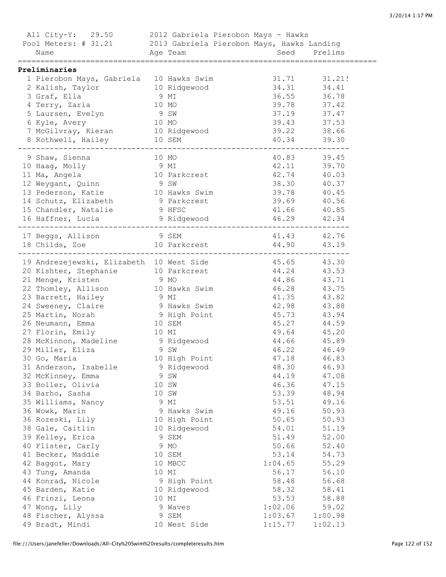| All City-Y: 29.50 2012 Gabriela Pierobon Mays - Hawks<br>Pool Meters: # 31.21 2013 Gabriela Pierobon Mays, Hawks Landing<br>Name |       | Age Team Seed Prelims |              |             |
|----------------------------------------------------------------------------------------------------------------------------------|-------|-----------------------|--------------|-------------|
|                                                                                                                                  |       |                       |              |             |
| Preliminaries                                                                                                                    |       |                       |              |             |
| 1 Pierobon Mays, Gabriela 10 Hawks Swim                                                                                          |       |                       | 31.71 31.21! |             |
| 2 Kalish, Taylor                                                                                                                 |       | 10 Ridgewood          | 34.31        | 34.41       |
| 3 Graf, Ella                                                                                                                     | 9 MI  |                       | 36.55        | 36.78       |
| 4 Terry, Zaria                                                                                                                   |       | 10 MO                 | 39.78        | 37.42       |
| 5 Laursen, Evelyn                                                                                                                | 9 SW  |                       | 37.19        | 37.47       |
| 6 Kyle, Avery                                                                                                                    | 10 MO |                       | 39.43        | 37.53       |
| 7 McGilvray, Kieran 10 Ridgewood                                                                                                 |       |                       | 39.22 38.66  |             |
| 8 Rothwell, Hailey                                                                                                               |       | 10 SEM                | 40.34        | 39.30       |
| 9 Shaw, Sienna                                                                                                                   |       | 10 MO                 | 40.83        | 39.45       |
| 10 Haag, Molly                                                                                                                   | 9 MI  |                       | 42.11        | 39.70       |
| 11 Ma, Angela                                                                                                                    |       | 10 Parkcrest          | 42.74        | 40.03       |
| 12 Weygant, Quinn                                                                                                                | 9 SW  |                       | 38.30 40.37  |             |
| 13 Pederson, Katie                                                                                                               |       | 10 Hawks Swim         | 39.78 40.45  |             |
| 14 Schutz, Elizabeth                                                                                                             |       | 9 Parkcrest           | 39.69 40.56  |             |
| 15 Chandler, Natalie                                                                                                             |       | 9 HFSC                | 41.66 40.85  |             |
| 16 Haffner, Lucia and 9 Ridgewood                                                                                                |       |                       | 46.29 42.34  |             |
|                                                                                                                                  |       |                       |              |             |
|                                                                                                                                  |       |                       | 41.43 42.76  |             |
| 17 Beggs, Allison 9 SEM<br>18 Childs, Zoe 10 Parkcrest                                                                           |       |                       | 44.90 43.19  |             |
| 19 Andrezejewski, Elizabeth 10 West Side                                                                                         |       |                       | 45.65 43.30  |             |
| 20 Kishter, Stephanie 10 Parkcrest                                                                                               |       |                       | 44.24 43.53  |             |
| 21 Menge, Kristen                                                                                                                | 9 MO  |                       | 44.86 43.71  |             |
| 22 Thomley, Allison                                                                                                              |       | 10 Hawks Swim         | 46.28 43.75  |             |
| 23 Barrett, Hailey                                                                                                               | 9 MI  |                       | 41.35 43.82  |             |
| 24 Sweeney, Claire                                                                                                               |       | 9 Hawks Swim          | 42.98 43.88  |             |
| 25 Martin, Norah                                                                                                                 |       | 9 High Point          | 45.73 43.94  |             |
| 26 Neumann, Emma                                                                                                                 |       | 10 SEM                | 45.27 44.59  |             |
| 27 Florin, Emily                                                                                                                 | 10 MI |                       | 49.64 45.20  |             |
| 28 McKinnon, Madeline                                                                                                            |       | 9 Ridgewood           | 44.66 45.89  |             |
| 29 Miller, Eliza                                                                                                                 |       | 9 SW                  |              | 46.22 46.49 |
| 30 Go, Maria                                                                                                                     |       | 10 High Point         | 47.18        | 46.83       |
| 31 Anderson, Isabelle                                                                                                            |       | 9 Ridgewood           | 48.30        | 46.93       |
| 32 McKinney, Emma                                                                                                                |       | 9 SW                  | 44.19        | 47.08       |
|                                                                                                                                  |       |                       | 46.36        | 47.15       |
| 33 Boller, Olivia                                                                                                                |       | 10 SW<br>10 SW        |              |             |
| 34 Barho, Sasha                                                                                                                  |       |                       | 53.39        | 48.94       |
| 35 Williams, Nancy                                                                                                               |       | 9 MI                  | 53.51        | 49.16       |
| 36 Wowk, Marin                                                                                                                   |       | 9 Hawks Swim          | 49.16        | 50.93       |
| 36 Rozeski, Lily                                                                                                                 |       | 10 High Point         | 50.65        | 50.93       |
| 38 Gale, Caitlin                                                                                                                 |       | 10 Ridgewood          | 54.01        | 51.19       |
| 39 Kelley, Erica                                                                                                                 |       | 9 SEM                 | 51.49        | 52.00       |
| 40 Flister, Carly                                                                                                                |       | 9 MO                  | 50.66        | 52.40       |
| 41 Becker, Maddie                                                                                                                |       | 10 SEM                | 53.14        | 54.73       |
| 42 Baggot, Mary                                                                                                                  |       | 10 MBCC               | 1:04.65      | 55.29       |
| 43 Tung, Amanda                                                                                                                  |       | 10 MI                 | 56.17        | 56.10       |
| 44 Konrad, Nicole                                                                                                                |       | 9 High Point          | 58.48        | 56.68       |
| 45 Barden, Katie                                                                                                                 |       | 10 Ridgewood          | 58.32        | 58.41       |
| 46 Frinzi, Leona                                                                                                                 |       | 10 MI                 | 53.53        | 58.88       |
| 47 Wong, Lily                                                                                                                    |       | 9 Waves               | 1:02.06      | 59.02       |
| 48 Fischer, Alyssa                                                                                                               |       | 9 SEM                 | 1:03.67      | 1:00.98     |
| 49 Bradt, Mindi                                                                                                                  |       | 10 West Side          | 1:15.77      | 1:02.13     |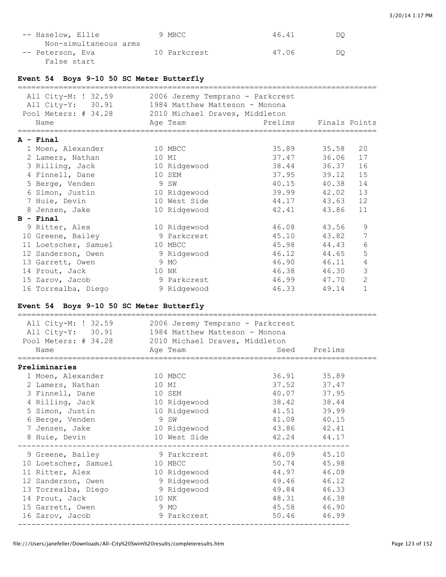| -- Haselow, Ellie     | 9 MBCC       | 46.41 | DO |
|-----------------------|--------------|-------|----|
| Non-simultaneous arms |              |       |    |
| -- Peterson, Eva      | 10 Parkcrest | 47.06 | DO |
| False start           |              |       |    |

### **Event 54 Boys 9-10 50 SC Meter Butterfly**

| All City-M: ! 32.59<br>All City-Y: 30.91<br>Pool Meters: # 34.28<br>Name | 2006 Jeremy Temprano - Parkcrest<br>1984 Matthew Matteson - Monona<br>2010 Michael Draves, Middleton<br>Age Team | Prelims     | Finals Points |                |
|--------------------------------------------------------------------------|------------------------------------------------------------------------------------------------------------------|-------------|---------------|----------------|
| A - Final                                                                |                                                                                                                  |             |               |                |
| 1 Moen, Alexander                                                        | 10 MBCC                                                                                                          | 35.89 35.58 |               | 20             |
| 2 Lamers, Nathan                                                         | 10 MI                                                                                                            | 37.47 36.06 |               | 17             |
| 3 Rilling, Jack                                                          | 10 Ridgewood                                                                                                     | 38.44 36.37 |               | 16             |
| 4 Finnell, Dane                                                          | 10 SEM                                                                                                           | 37.95 39.12 |               | 15             |
| 5 Berge, Venden                                                          | 9 SW                                                                                                             | 40.15       | 40.38         | 14             |
| 6 Simon, Justin                                                          | 10 Ridgewood                                                                                                     | 39.99 42.02 |               | 13             |
| 7 Huie, Devin                                                            | 10 West Side                                                                                                     | 44.17       | 43.63         | 12             |
| 8 Jensen, Jake                                                           | 10 Ridgewood                                                                                                     | 42.41       | 43.86         | 11             |
| $B - Final$                                                              |                                                                                                                  |             |               |                |
| 9 Ritter, Alex                                                           | 10 Ridgewood                                                                                                     | 46.08       | 43.56         | 9              |
| 10 Greene, Bailey                                                        | 9 Parkcrest                                                                                                      | 45.10       | 43.82         | 7              |
| 11 Loetscher, Samuel                                                     | 10 MBCC                                                                                                          | 45.98       | 44.43         | 6              |
| 12 Sanderson, Owen                                                       | 9 Ridgewood                                                                                                      | 46.12 44.65 |               | 5              |
| 13 Garrett, Owen                                                         | 9 MO                                                                                                             | 46.90       | 46.11         | 4              |
| 14 Prout, Jack                                                           | 10 NK                                                                                                            | 46.38 46.30 |               | 3              |
| 15 Zarov, Jacob                                                          | 9 Parkcrest                                                                                                      | 46.99       | 47.70         | $\overline{2}$ |
| 16 Torrealba, Diego                                                      | 9 Ridgewood                                                                                                      | 46.33       | 49.14         | $\mathbf{1}$   |

### **Event 54 Boys 9-10 50 SC Meter Butterfly**

| All City-M: ! 32.59<br>All City-Y: 30.91<br>Pool Meters: # 34.28<br>Name | 2006 Jeremy Temprano - Parkcrest<br>1984 Matthew Matteson - Monona<br>2010 Michael Draves, Middleton<br>Age Team | Seed        | Prelims     |
|--------------------------------------------------------------------------|------------------------------------------------------------------------------------------------------------------|-------------|-------------|
| Preliminaries                                                            |                                                                                                                  |             |             |
| 1 Moen, Alexander                                                        | 10 MBCC                                                                                                          | 36.91       | 35.89       |
| 2 Lamers, Nathan                                                         | 10 MI                                                                                                            | 37.52       | 37.47       |
| 3 Finnell, Dane                                                          | 10 SEM                                                                                                           | 40.07       | 37.95       |
| 4 Rilling, Jack                                                          | 10 Ridgewood                                                                                                     | 38.42       | 38.44       |
| 5 Simon, Justin                                                          | 10 Ridgewood                                                                                                     | 41.51       | 39.99       |
| 6 Berge, Venden                                                          | 9 SW                                                                                                             | 41.08       | 40.15       |
| 7 Jensen, Jake                                                           | 10 Ridgewood                                                                                                     | 43.86 42.41 |             |
| 8 Huie, Devin                                                            | 10 West Side                                                                                                     | 42.24       | 44.17       |
| 9 Greene, Bailey                                                         | 9 Parkcrest                                                                                                      | 46.09       | 45.10       |
| 10 Loetscher, Samuel                                                     | 10 MBCC                                                                                                          | 50.74       | 45.98       |
| 11 Ritter, Alex                                                          | 10 Ridgewood                                                                                                     |             | 44.97 46.08 |
| 12 Sanderson, Owen                                                       | 9 Ridgewood                                                                                                      | 49.46       | 46.12       |
| 13 Torrealba, Diego                                                      | 9 Ridgewood                                                                                                      | 49.84       | 46.33       |
| 14 Prout, Jack                                                           | 10 NK                                                                                                            | 48.31       | 46.38       |
| 15 Garrett, Owen                                                         | 9 MO                                                                                                             | 45.58 46.90 |             |
| 16 Zarov, Jacob                                                          | 9 Parkcrest                                                                                                      | 50.46       | 46.99       |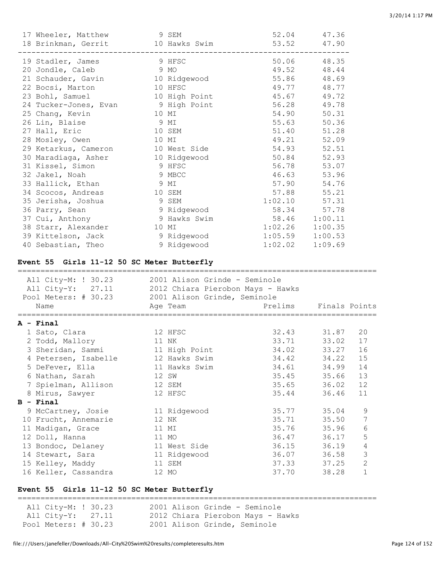| 17 Wheeler, Matthew 9 SEM                                                                                                                                                                                   |                                               | 52.04               | 47.36          |                     |
|-------------------------------------------------------------------------------------------------------------------------------------------------------------------------------------------------------------|-----------------------------------------------|---------------------|----------------|---------------------|
| 18 Brinkman, Gerrit 10 Hawks Swim                                                                                                                                                                           |                                               | 53.52               | 47.90          |                     |
| 19 Stadler, James                                                                                                                                                                                           | ------------------------<br>9 HFSC            |                     | 50.06 48.35    |                     |
| 20 Jondle, Caleb                                                                                                                                                                                            | 9 MO                                          | 49.52               | 48.44          |                     |
| 21 Schauder, Gavin                                                                                                                                                                                          | 10 Ridgewood                                  | 55.86               | 48.69          |                     |
| 22 Bocsi, Marton                                                                                                                                                                                            | 10 HFSC                                       | 49.77               | 48.77          |                     |
| 23 Bohl, Samuel                                                                                                                                                                                             | 10 High Point                                 | 45.67               | 49.72          |                     |
|                                                                                                                                                                                                             | 24 Tucker-Jones, Evan 5 9 High Point          | 56.28               | 49.78          |                     |
| 25 Chang, Kevin                                                                                                                                                                                             | 10 MI                                         | 54.90               | 50.31          |                     |
| 26 Lin, Blaise                                                                                                                                                                                              | 9 MI                                          | 55.63               | 50.36          |                     |
| 27 Hall, Eric                                                                                                                                                                                               | 10 SEM                                        | 51.40               | 51.28          |                     |
| 28 Mosley, Owen                                                                                                                                                                                             | 10 MI                                         | 49.21               | 52.09          |                     |
| 29 Ketarkus, Cameron                                                                                                                                                                                        | 10 West Side                                  | 54.93               | 52.51          |                     |
| 30 Maradiaga, Asher                                                                                                                                                                                         | 10 Ridgewood                                  | 50.84               | 52.93          |                     |
|                                                                                                                                                                                                             | 9 HFSC                                        | 56.78               | 53.07          |                     |
| 31 Kissel, Simon<br>32 Jakel, Noah<br>32 Jakel, Noah                                                                                                                                                        | 9 MBCC                                        | 46.63               | 53.96          |                     |
| 33 Hallick, Ethan                                                                                                                                                                                           | 9 MI                                          | 57.90               | 54.76          |                     |
| 34 Scocos, Andreas                                                                                                                                                                                          | 10 SEM                                        | 57.88               | 55.21          |                     |
|                                                                                                                                                                                                             | 9 SEM                                         | 1:02.10             | 57.31          |                     |
| 35 Jerisha, Joshua<br>36 Parry, Sean                                                                                                                                                                        |                                               | 58.34               | 57.78          |                     |
| 37 Cui, Anthony                                                                                                                                                                                             | -<br>9 Ridgewood<br>9 Hawks Swim              | 58.46 1:00.11       |                |                     |
| 38 Starr, Alexander                                                                                                                                                                                         | 10 MI                                         | $1:02.26$ $1:00.35$ |                |                     |
| 39 Kittelson, Jack                                                                                                                                                                                          | 9 Ridgewood                                   | $1:05.59$ $1:00.53$ |                |                     |
| 40 Sebastian, Theo                                                                                                                                                                                          | 9 Ridgewood                                   | $1:02.02$ $1:09.69$ |                |                     |
| Event 55 Girls 11-12 50 SC Meter Butterfly<br>All City-M: ! 30.23 2001 Alison Grinde - Seminole<br>All City-Y: 27.11 2012 Chiara Pierobon Mays - Hawks<br>Pool Meters: # 30.23 2001 Alison Grinde, Seminole |                                               |                     |                |                     |
| Name                                                                                                                                                                                                        | Age Team <b>Bandary Prelims</b> Finals Points |                     |                |                     |
|                                                                                                                                                                                                             |                                               |                     |                |                     |
| A - Final                                                                                                                                                                                                   |                                               |                     |                |                     |
| 1 Sato, Clara                                                                                                                                                                                               | 12 HFSC                                       | 32.43 31.87         |                | 20                  |
| 2 Todd, Mallory                                                                                                                                                                                             | 11 NK                                         |                     | 33.71 33.02    | 17                  |
| 3 Sheridan, Sammi                                                                                                                                                                                           | 11 High Point                                 | 34.02               | 33.27          | 16                  |
| 4 Petersen, Isabelle 12 Hawks Swim                                                                                                                                                                          |                                               | 34.42               | 34.22 15       |                     |
| 5 DeFever, Ella                                                                                                                                                                                             | 11 Hawks Swim                                 | 34.61               | 34.99          | 14                  |
| 6 Nathan, Sarah                                                                                                                                                                                             | 12 SW                                         | 35.45               | 35.66          | 13                  |
| 7 Spielman, Allison                                                                                                                                                                                         | 12 SEM                                        | 35.65               | 36.02          | 12                  |
| 8 Mirus, Sawyer                                                                                                                                                                                             | 12 HFSC                                       | 35.44               | 36.46          | 11                  |
| <b>B</b> - Final                                                                                                                                                                                            |                                               |                     |                |                     |
| 9 McCartney, Josie                                                                                                                                                                                          | 11 Ridgewood                                  | 35.77               | 35.04          | 9                   |
| 10 Frucht, Annemarie                                                                                                                                                                                        |                                               | 35.71               | 35.50          | 7                   |
|                                                                                                                                                                                                             | 12 NK                                         |                     |                |                     |
| 11 Madigan, Grace                                                                                                                                                                                           | 11 MI                                         | 35.76               | 35.96          | 6                   |
| 12 Doll, Hanna                                                                                                                                                                                              | 11 MO                                         | 36.47               | 36.17          | 5                   |
| 13 Bondoc, Delaney                                                                                                                                                                                          | 11 West Side                                  | 36.15               | 36.19          | $\sqrt{4}$          |
| 14 Stewart, Sara<br>15 Kelley, Maddy                                                                                                                                                                        | 11 Ridgewood<br>11 SEM                        | 36.07<br>37.33      | 36.58<br>37.25 | 3<br>$\overline{c}$ |

### **Event 55 Girls 11-12 50 SC Meter Butterfly**

=============================================================================== All City-M: ! 30.23 2001 Alison Grinde - Seminole All City-Y: 27.11 2012 Chiara Pierobon Mays - Hawks Pool Meters: # 30.23 2001 Alison Grinde, Seminole

16 Keller, Cassandra 12 MO 37.70 38.28 1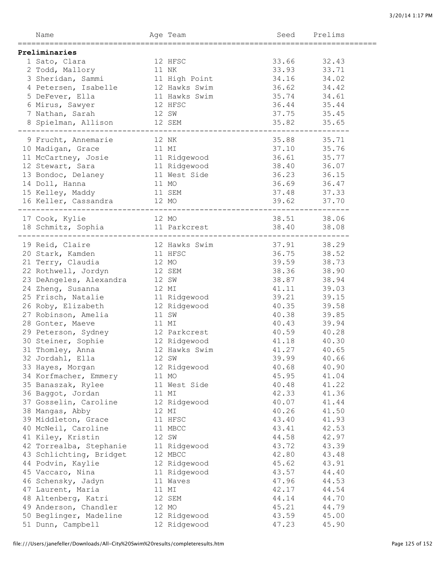| Name                                    |       | Age Team      | Seed  | Prelims        |
|-----------------------------------------|-------|---------------|-------|----------------|
|                                         |       |               |       |                |
| Preliminaries                           |       | 12 HFSC       | 33.66 | 32.43          |
| 1 Sato, Clara                           | 11 NK |               | 33.93 | 33.71          |
| 2 Todd, Mallory                         |       |               | 34.16 | 34.02          |
| 3 Sheridan, Sammi                       |       | 11 High Point | 36.62 |                |
| 4 Petersen, Isabelle                    |       | 12 Hawks Swim | 35.74 | 34.42          |
| 5 DeFever, Ella                         |       | 11 Hawks Swim |       | 34.61          |
| 6 Mirus, Sawyer                         |       | 12 HFSC       | 36.44 | 35.44          |
| 7 Nathan, Sarah                         |       | 12 SW         | 37.75 | 35.45          |
| 8 Spielman, Allison<br>---------------- |       | 12 SEM        | 35.82 | 35.65          |
| 9 Frucht, Annemarie                     | 12 NK |               | 35.88 | 35.71          |
| 10 Madigan, Grace                       | 11 MI |               | 37.10 | 35.76          |
| 11 McCartney, Josie                     |       | 11 Ridgewood  | 36.61 | 35.77          |
| 12 Stewart, Sara                        |       | 11 Ridgewood  | 38.40 | 36.07          |
| 13 Bondoc, Delaney                      |       | 11 West Side  | 36.23 | 36.15          |
| 14 Doll, Hanna                          | 11 MO |               | 36.69 | 36.47          |
| 15 Kelley, Maddy                        |       | 11 SEM        | 37.48 | 37.33          |
| 16 Keller, Cassandra                    |       | 12 MO         | 39.62 | 37.70          |
| 17 Cook, Kylie                          |       | 12 MO         |       | 38.51 38.06    |
| 18 Schmitz, Sophia 11 Parkcrest 38.40   |       |               |       | 38.08          |
|                                         |       |               |       |                |
| 19 Reid, Claire                         |       | 12 Hawks Swim | 37.91 | 38.29          |
| 20 Stark, Kamden                        |       | 11 HFSC       | 36.75 | 38.52          |
| 21 Terry, Claudia                       | 12 MO |               | 39.59 | 38.73          |
| 22 Rothwell, Jordyn                     |       | 12 SEM        | 38.36 | 38.90          |
| 23 DeAngeles, Alexandra                 | 12 SW |               | 38.87 | 38.94          |
| 24 Zheng, Susanna                       | 12 MI |               | 41.11 | 39.03          |
| 25 Frisch, Natalie                      |       | 11 Ridgewood  | 39.21 | 39.15          |
| 26 Roby, Elizabeth                      |       | 12 Ridgewood  | 40.35 | 39.58          |
| 27 Robinson, Amelia                     |       | 11 SW         | 40.38 | 39.85          |
| 28 Gonter, Maeve                        | 11 MI |               | 40.43 | 39.94          |
| 29 Peterson, Sydney                     |       | 12 Parkcrest  | 40.59 | 40.28          |
| 30 Steiner, Sophie                      |       | 12 Ridgewood  | 41.18 | 40.30          |
| 31 Thomley, Anna                        |       | 12 Hawks Swim | 41.27 | 40.65          |
| 32 Jordahl, Ella                        |       | 12 SW         | 39.99 | 40.66          |
| 33 Hayes, Morgan                        |       | 12 Ridgewood  | 40.68 | 40.90          |
| 34 Korfmacher, Emmery                   |       | 11 MO         | 45.95 | 41.04          |
| 35 Banaszak, Rylee                      |       | 11 West Side  | 40.48 | 41.22          |
| 36 Baggot, Jordan                       |       | 11 MI         | 42.33 | 41.36          |
| 37 Gosselin, Caroline                   |       | 12 Ridgewood  | 40.07 |                |
|                                         |       | 12 MI         | 40.26 | 41.44<br>41.50 |
| 38 Mangas, Abby                         |       |               |       |                |
| 39 Middleton, Grace                     |       | 11 HFSC       | 43.40 | 41.93          |
| 40 McNeil, Caroline                     |       | 11 MBCC       | 43.41 | 42.53          |
| 41 Kiley, Kristin                       |       | 12 SW         | 44.58 | 42.97          |
| 42 Torrealba, Stephanie                 |       | 11 Ridgewood  | 43.72 | 43.39          |
| 43 Schlichting, Bridget                 |       | 12 MBCC       | 42.80 | 43.48          |
| 44 Podvin, Kaylie                       |       | 12 Ridgewood  | 45.62 | 43.91          |
| 45 Vaccaro, Nina                        |       | 11 Ridgewood  | 43.57 | 44.40          |
| 46 Schensky, Jadyn                      |       | 11 Waves      | 47.96 | 44.53          |
| 47 Laurent, Maria                       |       | 11 MI         | 42.17 | 44.54          |
| 48 Altenberg, Katri                     |       | 12 SEM        | 44.14 | 44.70          |
| 49 Anderson, Chandler                   |       | 12 MO         | 45.21 | 44.79          |
| 50 Beglinger, Madeline                  |       | 12 Ridgewood  | 43.59 | 45.00          |
| 51 Dunn, Campbell                       |       | 12 Ridgewood  | 47.23 | 45.90          |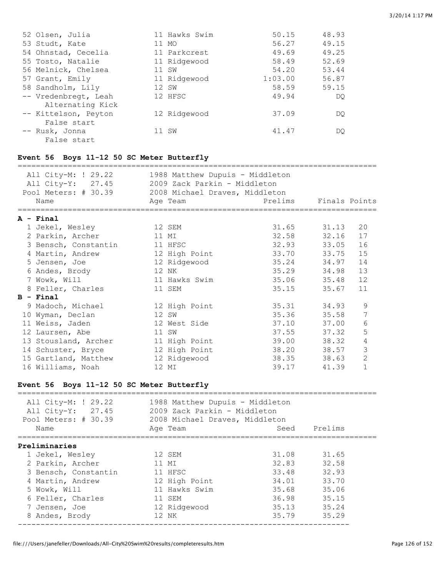| 52 Olsen, Julia                          | 11 Hawks Swim | 50.15   | 48.93 |
|------------------------------------------|---------------|---------|-------|
| 53 Studt, Kate                           | 11 MO         | 56.27   | 49.15 |
| 54 Ohnstad, Cecelia                      | 11 Parkcrest  | 49.69   | 49.25 |
| 55 Tosto, Natalie                        | 11 Ridgewood  | 58.49   | 52.69 |
| 56 Melnick, Chelsea                      | 11 SW         | 54.20   | 53.44 |
| 57 Grant, Emily                          | 11 Ridgewood  | 1:03.00 | 56.87 |
| 58 Sandholm, Lily                        | 12 SW         | 58.59   | 59.15 |
| -- Vredenbregt, Leah<br>Alternating Kick | 12 HFSC       | 49.94   | DO    |
| -- Kittelson, Peyton<br>False start      | 12 Ridgewood  | 37.09   | DO    |
| -- Rusk, Jonna<br>False start            | 11 SW         | 41.47   | DO    |

# **Event 56 Boys 11-12 50 SC Meter Butterfly**

| All City-M: ! 29.22<br>All City-Y: 27.45<br>Pool Meters: # 30.39 2008 Michael Draves, Middleton<br>Name | 1988 Matthew Dupuis - Middleton<br>2009 Zack Parkin - Middleton | Prelims Finals Points |       |                |
|---------------------------------------------------------------------------------------------------------|-----------------------------------------------------------------|-----------------------|-------|----------------|
|                                                                                                         | Age Team                                                        |                       |       |                |
| A - Final                                                                                               |                                                                 |                       |       |                |
| 1 Jekel, Wesley                                                                                         | 12 SEM                                                          | 31.65 31.13           |       | 20             |
| 2 Parkin, Archer                                                                                        | 11 MI                                                           | 32.58 32.16           |       | 17             |
| 3 Bensch, Constantin                                                                                    | 11 HFSC                                                         | 32.93 33.05           |       | 16             |
| 4 Martin, Andrew                                                                                        | 12 High Point                                                   | 33.70 33.75           |       | 15             |
| 5 Jensen, Joe                                                                                           | 12 Ridgewood                                                    | 35.24 34.97           |       | 14             |
| 6 Andes, Brody                                                                                          | 12 NK                                                           | 35.29 34.98           |       | 13             |
| 7 Wowk, Will                                                                                            | 11 Hawks Swim                                                   | 35.06 35.48           |       | 12             |
| 8 Feller, Charles                                                                                       | 11 SEM                                                          | 35.15 35.67           |       | 11             |
| $B$ - Final                                                                                             |                                                                 |                       |       |                |
| 9 Madoch, Michael                                                                                       | 12 High Point                                                   | 35.31 34.93           |       | 9              |
| 10 Wyman, Declan                                                                                        | 12 SW                                                           | 35.36 35.58           |       | 7              |
| 11 Weiss, Jaden                                                                                         | 12 West Side                                                    | 37.10 37.00           |       | 6              |
| 12 Laursen, Abe                                                                                         | 11 SW                                                           | 37.55 37.32           |       | 5              |
| 13 Stousland, Archer                                                                                    | 11 High Point                                                   | 39.00                 | 38.32 | 4              |
| 14 Schuster, Bryce                                                                                      | 12 High Point                                                   | 38.20 38.57           |       | 3              |
| 15 Gartland, Matthew                                                                                    | 12 Ridgewood                                                    | 38.35 38.63           |       | $\overline{2}$ |
| 16 Williams, Noah                                                                                       | 12 MI                                                           | 39.17                 | 41.39 | $\mathbf{1}$   |

# **Event 56 Boys 11-12 50 SC Meter Butterfly**

| All City-M: ! 29.22<br>1988 Matthew Dupuis - Middleton<br>2009 Zack Parkin - Middleton<br>All City-Y: 27.45<br>Pool Meters: # 30.39<br>2008 Michael Draves, Middleton<br>Prelims<br>Name<br>Seed<br>Age Team<br>Preliminaries<br>31.08<br>31.65<br>12 SEM<br>1 Jekel, Wesley<br>32.83<br>32.58<br>2 Parkin, Archer<br>11 MI<br>32.93<br>3 Bensch, Constantin<br>11 HFSC<br>33.48<br>33.70<br>12 High Point<br>34.01<br>4 Martin, Andrew<br>11 Hawks Swim<br>35.06<br>5 Wowk, Will<br>35.68<br>36.98<br>35.15<br>6 Feller, Charles<br>11 SEM<br>35.24<br>12 Ridgewood<br>35.13<br>7 Jensen, Joe<br>35.79<br>35.29<br>12 NK<br>8 Andes, Brody |  |  |
|---------------------------------------------------------------------------------------------------------------------------------------------------------------------------------------------------------------------------------------------------------------------------------------------------------------------------------------------------------------------------------------------------------------------------------------------------------------------------------------------------------------------------------------------------------------------------------------------------------------------------------------------|--|--|
|                                                                                                                                                                                                                                                                                                                                                                                                                                                                                                                                                                                                                                             |  |  |
|                                                                                                                                                                                                                                                                                                                                                                                                                                                                                                                                                                                                                                             |  |  |
|                                                                                                                                                                                                                                                                                                                                                                                                                                                                                                                                                                                                                                             |  |  |
|                                                                                                                                                                                                                                                                                                                                                                                                                                                                                                                                                                                                                                             |  |  |
|                                                                                                                                                                                                                                                                                                                                                                                                                                                                                                                                                                                                                                             |  |  |
|                                                                                                                                                                                                                                                                                                                                                                                                                                                                                                                                                                                                                                             |  |  |
|                                                                                                                                                                                                                                                                                                                                                                                                                                                                                                                                                                                                                                             |  |  |
|                                                                                                                                                                                                                                                                                                                                                                                                                                                                                                                                                                                                                                             |  |  |
|                                                                                                                                                                                                                                                                                                                                                                                                                                                                                                                                                                                                                                             |  |  |
|                                                                                                                                                                                                                                                                                                                                                                                                                                                                                                                                                                                                                                             |  |  |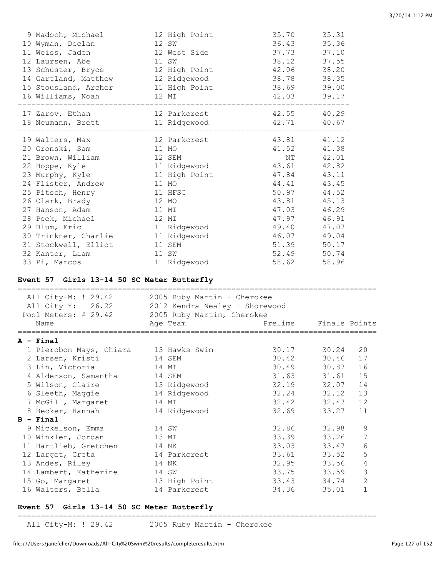| 9 Madoch, Michael                                | 12 High Point                 | 35.70                                 | 35.31                                           |  |
|--------------------------------------------------|-------------------------------|---------------------------------------|-------------------------------------------------|--|
| 10 Wyman, Declan                                 | 12 SW                         | 36.43                                 | 35.36                                           |  |
| 11 Weiss, Jaden                                  | 12 West Side                  | 37.73 37.10                           |                                                 |  |
| 12 Laursen, Abe                                  | 11 SW                         | 38.12 37.55                           |                                                 |  |
| 13 Schuster, Bryce                               | 12 High Point                 | 42.06 38.20                           |                                                 |  |
| 14 Gartland, Matthew 12 Ridgewood                |                               | 38.78 38.35                           |                                                 |  |
|                                                  |                               | 38.69 39.00                           |                                                 |  |
| 15 Stousland, Archer 11 High Point               | 12 MI                         |                                       |                                                 |  |
| 16 Williams, Noah                                |                               | 42.03 39.17                           |                                                 |  |
| 17 Zarov, Ethan                                  | 12 Parkcrest                  | 42.55                                 | 40.29                                           |  |
| 18 Neumann, Brett<br>_____________________       | 11 Ridgewood<br>____________  | 42.71 40.67<br>---------------------- |                                                 |  |
| 19 Walters, Max                                  | 12 Parkcrest                  | 43.81 41.12                           |                                                 |  |
| 20 Gronski, Sam                                  | 11 MO                         | 41.52 41.38                           |                                                 |  |
| 21 Brown, William                                | 12 SEM                        | NT 42.01                              |                                                 |  |
| 22 Hoppe, Kyle                                   | 11 Ridgewood 43.61 42.82      |                                       |                                                 |  |
| 23 Murphy, Kyle 11 High Point                    |                               | 47.84 43.11                           |                                                 |  |
| 24 Flister, Andrew                               | 11 MO                         | 44.41 43.45                           |                                                 |  |
| 25 Pitsch, Henry                                 | 11 HFSC                       |                                       | 50.97 44.52                                     |  |
| 26 Clark, Brady                                  | 12 MO                         | 43.81 45.13                           |                                                 |  |
| 27 Hanson, Adam                                  | 11 MI                         | 47.03 46.29                           |                                                 |  |
| 28 Peek, Michael                                 | 12 MI                         | 47.97 46.91                           |                                                 |  |
| 29 Blum, Eric                                    | 11 Ridgewood                  | 49.40 47.07                           |                                                 |  |
| 30 Trinkner, Charlie                             | 11 Ridgewood                  | 46.07 49.04                           |                                                 |  |
| 31 Stockwell, Elliot                             |                               | 51.39 50.17                           |                                                 |  |
|                                                  | 11 SEM                        |                                       |                                                 |  |
| 32 Kantor, Liam                                  | 11 SW                         | 52.49 50.74                           |                                                 |  |
|                                                  |                               |                                       |                                                 |  |
| 33 Pi, Marcos                                    | 11 Ridgewood                  | 58.62 58.96                           |                                                 |  |
| Event 57 Girls 13-14 50 SC Meter Butterfly       |                               |                                       |                                                 |  |
|                                                  |                               |                                       |                                                 |  |
| All City-M: ! 29.42 2005 Ruby Martin - Cherokee  |                               |                                       |                                                 |  |
| All City-Y: 26.22 2012 Kendra Nealey - Shorewood |                               |                                       |                                                 |  |
| Pool Meters: # 29.42 2005 Ruby Martin, Cherokee  |                               |                                       |                                                 |  |
| Name                                             | Age Team                      | Prelims                               | Finals Points                                   |  |
| A - Final                                        |                               |                                       |                                                 |  |
| 1 Pierobon Mays, Chiara 13 Hawks Swim            |                               | 30.17                                 | 30.24<br>20                                     |  |
| 2 Larsen, Kristi                                 | 14 SEM                        | 30.42                                 | 30.46<br>17                                     |  |
| 3 Lin, Victoria                                  | 14 MI                         | 30.49                                 | 30.87<br>16                                     |  |
| 4 Alderson, Samantha                             | 14 SEM                        | 31.63                                 | 31.61<br>15                                     |  |
| 5 Wilson, Claire                                 | 13 Ridgewood                  | 32.19                                 | 32.07<br>14                                     |  |
| 6 Sleeth, Maggie                                 | 14 Ridgewood                  | 32.24                                 | 13<br>32.12                                     |  |
| 7 McGill, Margaret                               | 14 MI                         | 32.42                                 | 12<br>32.47                                     |  |
| 8 Becker, Hannah                                 | 14 Ridgewood                  | 32.69                                 | 33.27<br>11                                     |  |
| B - Final                                        |                               |                                       |                                                 |  |
| 9 Mickelson, Emma                                | 14 SW                         | 32.86                                 | 9                                               |  |
|                                                  |                               |                                       | 32.98<br>7                                      |  |
| 10 Winkler, Jordan                               | 13 MI                         | 33.39                                 | 33.26                                           |  |
| 11 Hartlieb, Gretchen                            | 14 NK                         | 33.03                                 | $\epsilon$<br>33.47                             |  |
| 12 Larget, Greta                                 | 14 Parkcrest                  | 33.61                                 | 5<br>33.52                                      |  |
| 13 Andes, Riley                                  | 14 NK                         | 32.95                                 | $\sqrt{4}$<br>33.56                             |  |
| 14 Lambert, Katherine                            | 14 SW                         | 33.75                                 | 3<br>33.59                                      |  |
| 15 Go, Margaret<br>16 Walters, Bella             | 13 High Point<br>14 Parkcrest | 33.43<br>34.36                        | $\overline{c}$<br>34.74<br>$\mathbf 1$<br>35.01 |  |

### **Event 57 Girls 13-14 50 SC Meter Butterfly**

===============================================================================

All City-M: ! 29.42 2005 Ruby Martin - Cherokee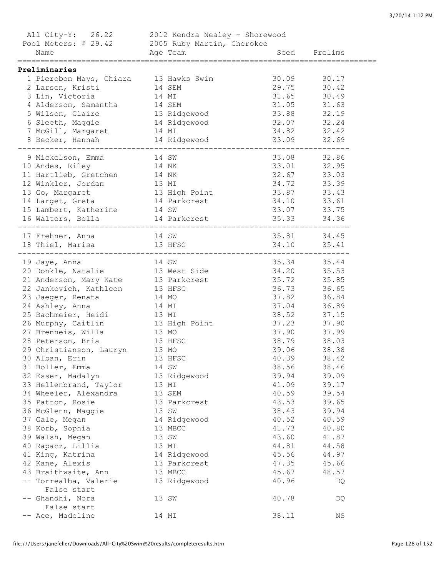| All City-Y: 26.22 2012 Kendra Nealey - Shorewood                                      |                           |             |                      |  |
|---------------------------------------------------------------------------------------|---------------------------|-------------|----------------------|--|
| Pool Meters: # 29.42 2005 Ruby Martin, Cherokee                                       |                           |             |                      |  |
| Name                                                                                  | Age Team and Seed Prelims |             |                      |  |
| Preliminaries                                                                         |                           |             |                      |  |
| 1 Pierobon Mays, Chiara 13 Hawks Swim                                                 |                           | 30.09 30.17 |                      |  |
| 2 Larsen, Kristi 14 SEM                                                               |                           | 29.75 30.42 |                      |  |
| 3 Lin, Victoria                                                                       | 14 MI                     | 31.65       | 30.49                |  |
| 4 Alderson, Samantha 14 SEM                                                           |                           | 31.05 31.63 |                      |  |
|                                                                                       |                           | 33.88 32.19 |                      |  |
| 5 Wilson, Claire 13 Ridgewood<br>6 Sleeth, Maggie 14 Ridgewood                        |                           | 32.07 32.24 |                      |  |
| 7 McGill, Margaret 14 MI                                                              |                           | 34.82 32.42 |                      |  |
|                                                                                       |                           |             |                      |  |
| 9 Mickelson, Emma                                                                     | 14 SW                     |             |                      |  |
| 10 Andes, Riley                                                                       | 14 NK                     |             | 33.08 32.86          |  |
|                                                                                       |                           | 33.01 32.95 | 33.03                |  |
| 11 Hartlieb, Gretchen 14 NK                                                           |                           | 32.67       |                      |  |
| 12 Winkler, Jordan 13 MI                                                              |                           | 34.72 33.39 |                      |  |
| 13 Go, Margaret 13 High Point<br>14 Larget, Greta 14 Parkcrest                        |                           | 33.87 33.43 |                      |  |
|                                                                                       |                           | 34.10 33.61 |                      |  |
| 15 Lambert, Katherine 14 SW 33.07 33.75<br>16 Walters, Bella 14 Parkcrest 35.33 34.36 |                           |             |                      |  |
|                                                                                       |                           |             |                      |  |
|                                                                                       |                           |             |                      |  |
|                                                                                       |                           |             |                      |  |
|                                                                                       |                           |             |                      |  |
| 19 Jaye, Anna 14 SW<br>20 Donkle, Natalie 13 West Side<br>21 Anderson Mary Mail 15    |                           |             | 35.34 35.44          |  |
|                                                                                       |                           | 34.20 35.53 |                      |  |
| 21 Anderson, Mary Kate 13 Parkcrest                                                   |                           | 35.72 35.85 | 36.65                |  |
| 22 Jankovich, Kathleen 13 HFSC                                                        |                           | 36.73       | 36.84                |  |
| 23 Jaeger, Renata 14 MO<br>24 Ashley, Anna                                            | 14 MI                     | 37.82       | 36.89                |  |
|                                                                                       |                           | 37.04       | 37.15                |  |
| 25 Bachmeier, Heidi 13 MI                                                             |                           | 38.52       | 37.90                |  |
| 26 Murphy, Caitlin 13 High Point                                                      |                           | 37.23       |                      |  |
| 27 Brenneis, Willa 13 MO<br>28 Peterson, Bria                                         |                           | 37.90 37.99 |                      |  |
|                                                                                       | 13 HFSC                   | 38.79 38.03 |                      |  |
| 29 Christianson, Lauryn 13 MO<br>30 Alban, Erin 13 HFSC                               |                           | 40.39       | 39.06 38.38<br>38.42 |  |
| 31 Boller, Emma                                                                       | 14 SW                     | 38.56       | 38.46                |  |
| 32 Esser, Madalyn                                                                     | 13 Ridgewood              | 39.94       | 39.09                |  |
| 33 Hellenbrand, Taylor                                                                | 13 MI                     | 41.09       | 39.17                |  |
| 34 Wheeler, Alexandra                                                                 | 13 SEM                    | 40.59       | 39.54                |  |
| 35 Patton, Rosie                                                                      | 13 Parkcrest              | 43.53       | 39.65                |  |
| 36 McGlenn, Maggie                                                                    | 13 SW                     | 38.43       | 39.94                |  |
|                                                                                       |                           | 40.52       | 40.59                |  |
| 37 Gale, Megan                                                                        | 14 Ridgewood              | 41.73       |                      |  |
| 38 Korb, Sophia                                                                       | 13 MBCC                   | 43.60       | 40.80                |  |
| 39 Walsh, Megan                                                                       | 13 SW                     |             | 41.87                |  |
| 40 Rapacz, Lillia                                                                     | 13 MI                     | 44.81       | 44.58                |  |
| 41 King, Katrina                                                                      | 14 Ridgewood              | 45.56       | 44.97                |  |
| 42 Kane, Alexis                                                                       | 13 Parkcrest              | 47.35       | 45.66                |  |
| 43 Braithwaite, Ann                                                                   | 13 MBCC                   | 45.67       | 48.57                |  |
| -- Torrealba, Valerie<br>False start                                                  | 13 Ridgewood              | 40.96       | DQ                   |  |
| -- Ghandhi, Nora                                                                      | 13 SW                     | 40.78       | DQ                   |  |
| False start                                                                           |                           |             |                      |  |
| -- Ace, Madeline                                                                      | 14 MI                     | 38.11       | ΝS                   |  |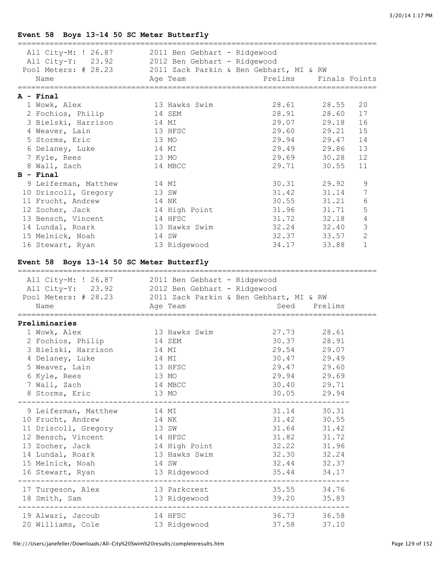# **Event 58 Boys 13-14 50 SC Meter Butterfly**

| All City-M: ! 26.87 2011 Ben Gebhart - Ridgewood |                                         |                                  |               |                |
|--------------------------------------------------|-----------------------------------------|----------------------------------|---------------|----------------|
| All City-Y: 23.92 2012 Ben Gebhart - Ridgewood   |                                         |                                  |               |                |
| Pool Meters: # 28.23                             | 2011 Zack Parkin & Ben Gebhart, MI & RW |                                  |               |                |
| Name                                             | Age Team                                | Prelims                          | Finals Points |                |
| :===================================             |                                         | ================================ |               |                |
| A - Final                                        |                                         |                                  |               |                |
| 1 Wowk, Alex                                     | 13 Hawks Swim                           | 28.61                            | 28.55         | 20             |
| 2 Fochios, Philip                                | 14 SEM                                  | 28.91                            | 28.60         | 17             |
| 3 Bielski, Harrison                              | 14 MI                                   | 29.07                            | 29.18         | 16             |
| 4 Weaver, Lain                                   | 13 HFSC                                 | 29.60                            | 29.21         | 15             |
| 5 Storms, Eric                                   | 13 MO                                   | 29.94                            | 29.47         | 14             |
| 6 Delaney, Luke                                  | 14 MI                                   | 29.49                            | 29.86         | 13             |
| 7 Kyle, Rees                                     | 13 MO                                   | 29.69                            | 30.28         | 12             |
| 8 Wall, Zach                                     | 14 MBCC                                 | 29.71                            | 30.55         | 11             |
| $B - Final$                                      |                                         |                                  |               |                |
| 9 Leiferman, Matthew                             | 14 MI                                   | 30.31                            | 29.92         |                |
|                                                  |                                         | 31.42                            |               | 9              |
| 10 Driscoll, Gregory                             | 13 SW                                   |                                  | 31.14         | 7              |
| 11 Frucht, Andrew                                | 14 NK                                   | 30.55                            | 31.21         | 6              |
| 12 Zocher, Jack                                  | 14 High Point                           | 31.96                            | 31.71         | 5              |
| 13 Bensch, Vincent                               | 14 HFSC                                 | 31.72                            | 32.18         | $\overline{4}$ |
| 14 Lundal, Roark                                 | 13 Hawks Swim                           | 32.24                            | 32.40         | 3              |
| 15 Melnick, Noah                                 | 14 SW                                   | 32.37                            | 33.57         | $\mathbf{2}$   |
| 16 Stewart, Ryan                                 | 13 Ridgewood                            | 34.17                            | 33.88         | $\mathbf{1}$   |
|                                                  |                                         |                                  |               |                |
| Event 58 Boys 13-14 50 SC Meter Butterfly        |                                         |                                  |               |                |
|                                                  |                                         |                                  |               |                |
| All City-M: ! 26.87 2011 Ben Gebhart - Ridgewood |                                         |                                  |               |                |
| All City-Y: 23.92 2012 Ben Gebhart - Ridgewood   |                                         |                                  |               |                |
| Pool Meters: # 28.23                             | 2011 Zack Parkin & Ben Gebhart, MI & RW |                                  |               |                |
| Name                                             | Age Team                                | Seed                             | Prelims       |                |
| Preliminaries                                    |                                         |                                  |               |                |
| 1 Wowk, Alex                                     | 13 Hawks Swim                           | 27.73                            | 28.61         |                |
| 2 Fochios, Philip                                | 14 SEM                                  | 30.37                            | 28.91         |                |
| 3 Bielski, Harrison                              |                                         | 29.54                            |               |                |
|                                                  | 14 MI                                   |                                  | 29.07         |                |
| 4 Delaney, Luke                                  | 14 MI                                   | 30.47                            | 29.49         |                |
| 5 Weaver, Lain                                   | 13 HFSC                                 | 29.47                            | 29.60         |                |
| 6 Kyle, Rees                                     | 13 MO                                   | 29.94                            | 29.69         |                |
| 7 Wall, Zach                                     | 14 MBCC                                 | 30.40                            | 29.71         |                |
| 8 Storms, Eric                                   | 13 MO                                   |                                  | 30.05 29.94   |                |
| 9 Leiferman, Matthew                             | 14 MI                                   |                                  | 31.14 30.31   |                |
| 10 Frucht, Andrew                                | 14 NK                                   |                                  | 31.42 30.55   |                |
| 11 Driscoll, Gregory                             | 13 SW                                   | 31.64                            | 31.42         |                |
| 12 Bensch, Vincent                               | 14 HFSC                                 | 31.82                            | 31.72         |                |
| 13 Zocher, Jack                                  | 14 High Point                           |                                  | 32.22 31.96   |                |
| 14 Lundal, Roark                                 | 13 Hawks Swim                           |                                  | 32.30 32.24   |                |
| 15 Melnick, Noah                                 | 14 SW                                   | 32.44                            | 32.37         |                |
|                                                  |                                         |                                  | 35.44 34.17   |                |
| 16 Stewart, Ryan                                 | 13 Ridgewood                            |                                  |               |                |
| 17 Turgeson, Alex                                | 13 Parkcrest                            | 35.55 34.76                      |               |                |
| 18 Smith, Sam                                    | 13 Ridgewood                            | 39.20                            | 35.83         |                |
|                                                  |                                         |                                  |               |                |
| 19 Alwari, Jacoub                                | 14 HFSC                                 |                                  | 36.73 36.58   |                |
| 20 Williams, Cole 13 Ridgewood                   |                                         | 37.58                            | 37.10         |                |
|                                                  |                                         |                                  |               |                |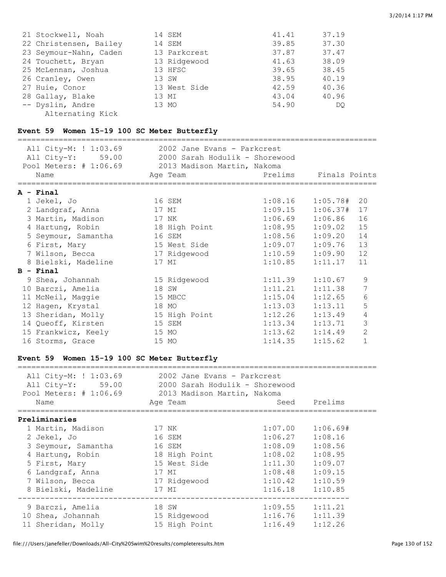| 21 Stockwell, Noah     | 14 SEM       | 41.41 | 37.19 |
|------------------------|--------------|-------|-------|
| 22 Christensen, Bailey | 14 SEM       | 39.85 | 37.30 |
| 23 Seymour-Nahn, Caden | 13 Parkcrest | 37.87 | 37.47 |
| 24 Touchett, Bryan     | 13 Ridgewood | 41.63 | 38.09 |
| 25 McLennan, Joshua    | 13 HFSC      | 39.65 | 38.45 |
| 26 Cranley, Owen       | 13 SW        | 38.95 | 40.19 |
| 27 Huie, Conor         | 13 West Side | 42.59 | 40.36 |
| 28 Gallay, Blake       | 13 MI        | 43.04 | 40.96 |
| -- Dyslin, Andre       | 13 MO        | 54.90 | DO    |
| Alternating Kick       |              |       |       |

# **Event 59 Women 15-19 100 SC Meter Butterfly**

|                                                    | All City-M: ! 1:03.69                            | 2002 Jane Evans - Parkcrest |                           |                         |                |  |  |
|----------------------------------------------------|--------------------------------------------------|-----------------------------|---------------------------|-------------------------|----------------|--|--|
|                                                    | All City-Y: 59.00 2000 Sarah Hodulik - Shorewood |                             |                           |                         |                |  |  |
| Pool Meters: # 1:06.69 2013 Madison Martin, Nakoma |                                                  |                             |                           |                         |                |  |  |
|                                                    | Name                                             | Age Team                    | <b>Example 18 Prelims</b> | Finals Points           |                |  |  |
|                                                    | $A - Final$                                      |                             |                           |                         |                |  |  |
|                                                    | 1 Jekel, Jo                                      | 16 SEM                      |                           | $1:08.16$ $1:05.78#$ 20 |                |  |  |
|                                                    | 2 Landgraf, Anna                                 | 17 MI                       | 1:09.15                   | 1:06.37#                | 17             |  |  |
|                                                    | 3 Martin, Madison                                | 17 NK                       | 1:06.69                   | 1:06.86                 | 16             |  |  |
|                                                    | 4 Hartung, Robin                                 | 18 High Point               | 1:08.95                   | 1:09.02                 | 15             |  |  |
|                                                    | 5 Seymour, Samantha                              | 16 SEM                      | 1:08.56                   | 1:09.20                 | 14             |  |  |
|                                                    | 6 First, Mary                                    | 15 West Side                | 1:09.07                   | 1:09.76                 | 13             |  |  |
|                                                    | 7 Wilson, Becca                                  | 17 Ridgewood 1:10.59        |                           | 1:09.90                 | 12             |  |  |
|                                                    | 8 Bielski, Madeline                              | 17 MI                       | 1:10.85                   | 1:11.17                 | 11             |  |  |
|                                                    | $B - Final$                                      |                             |                           |                         |                |  |  |
|                                                    | 9 Shea, Johannah                                 | 15 Ridgewood                | 1:11.39                   | 1:10.67                 | 9              |  |  |
|                                                    | 10 Barczi, Amelia                                | 18 SW                       | 1:11.21                   | 1:11.38                 | 7              |  |  |
|                                                    | 11 McNeil, Maggie                                | 15 MBCC                     | 1:15.04                   | 1:12.65                 | 6              |  |  |
|                                                    | 12 Hagen, Krystal                                | 18 MO                       | 1:13.03                   | 1:13.11                 | 5              |  |  |
|                                                    | 13 Sheridan, Molly                               | 15 High Point               | 1:12.26                   | 1:13.49                 | 4              |  |  |
|                                                    | 14 Queoff, Kirsten                               | 15 SEM                      | 1:13.34                   | 1:13.71                 | 3              |  |  |
|                                                    | 15 Frankwicz, Keely                              | 15 MO                       | 1:13.62                   | 1:14.49                 | $\overline{2}$ |  |  |
|                                                    | 16 Storms, Grace                                 | 15 MO                       | 1:14.35                   | 1:15.62                 | $\mathbf{1}$   |  |  |
|                                                    |                                                  |                             |                           |                         |                |  |  |
|                                                    | Event 59 Women 15-19 100 SC Meter Butterfly      |                             |                           |                         |                |  |  |

| Age Team                               |                                                                       |                                                                                                                                       |                                                                                                                                                                                                    |
|----------------------------------------|-----------------------------------------------------------------------|---------------------------------------------------------------------------------------------------------------------------------------|----------------------------------------------------------------------------------------------------------------------------------------------------------------------------------------------------|
|                                        |                                                                       |                                                                                                                                       |                                                                                                                                                                                                    |
|                                        |                                                                       |                                                                                                                                       |                                                                                                                                                                                                    |
| 16 SEM                                 |                                                                       | 1:08.16                                                                                                                               |                                                                                                                                                                                                    |
| 16 SEM                                 |                                                                       | 1:08.56                                                                                                                               |                                                                                                                                                                                                    |
| 18 High Point                          |                                                                       | 1:08.95                                                                                                                               |                                                                                                                                                                                                    |
|                                        |                                                                       | 1:09.07                                                                                                                               |                                                                                                                                                                                                    |
| 17 MI                                  |                                                                       | 1:09.15                                                                                                                               |                                                                                                                                                                                                    |
| 17 Ridgewood                           |                                                                       |                                                                                                                                       |                                                                                                                                                                                                    |
| 17 MI                                  |                                                                       |                                                                                                                                       |                                                                                                                                                                                                    |
| 18 SW<br>15 Ridgewood<br>15 High Point |                                                                       | 1:12.26                                                                                                                               |                                                                                                                                                                                                    |
|                                        | All City-M: ! 1:03.69<br>17 NK<br>3 Seymour, Samantha<br>15 West Side | 2002 Jane Evans - Parkcrest<br>All City-Y: 59.00 2000 Sarah Hodulik - Shorewood<br>Pool Meters: # 1:06.69 2013 Madison Martin, Nakoma | Seed Prelims<br>$1:07.00$ $1:06.69#$<br>1:06.27<br>1:08.09<br>1:08.02<br>1:11.30<br>1:08.48<br>$1:10.42$ $1:10.59$<br>$1:16.18$ $1:10.85$<br>$1:09.55$ $1:11.21$<br>$1:16.76$ $1:11.39$<br>1:16.49 |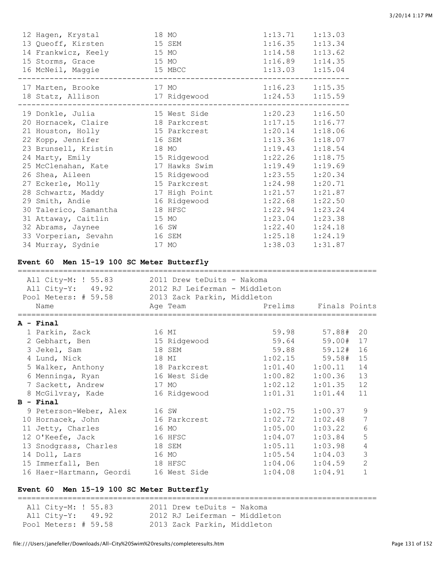| 12 Hagen, Krystal<br>13 Queoff, Kirsten<br>14 Frankwicz, Keely<br>15 Storms, Grace<br>16 McNeil, Maggie 315 MBCC                                                                                                                                                                                                                                                                                                                                                         | 18 MO<br>15 SEM<br>15 MO<br>15 MO<br>-----------------                                                                                                | 1:14.58 1:13.62<br>1:16.89 1:14.35<br>$1:13.03$ $1:15.04$                                                                                                                                                                                                                                                         | $1:13.71$ $1:13.03$<br>$1:16.35$ $1:13.34$                                                                                       |
|--------------------------------------------------------------------------------------------------------------------------------------------------------------------------------------------------------------------------------------------------------------------------------------------------------------------------------------------------------------------------------------------------------------------------------------------------------------------------|-------------------------------------------------------------------------------------------------------------------------------------------------------|-------------------------------------------------------------------------------------------------------------------------------------------------------------------------------------------------------------------------------------------------------------------------------------------------------------------|----------------------------------------------------------------------------------------------------------------------------------|
| 17 Marten, Brooke                                                                                                                                                                                                                                                                                                                                                                                                                                                        | 17 MO<br>18 Statz, Allison 17 Ridgewood 1:24.53 1:15.59                                                                                               | $1:16.23$ $1:15.35$                                                                                                                                                                                                                                                                                               |                                                                                                                                  |
| 19 Donkle, Julia<br>20 Hornacek, Claire 18 Parkcrest<br>21 Houston, Holly<br>22 Kopp, Jennifer<br>23 Brunsell, Kristin<br>24 Marty, Emily<br>25 McClenahan, Kate 17 Hawks Swim<br>26 Shea, Aileen<br>27 Eckerle, Molly<br>28 Schwartz, Maddy 17 High Point<br>29 Smith, Andie 16 Ridgewood<br>30 Talerico, Samantha 18 HFSC<br>31 Attaway, Caitlin<br>32 Abrams, Jaynee<br>33 Vorperian, Sevahn 16 SEM<br>34 Murray, Sydnie<br>Event 60 Men 15-19 100 SC Meter Butterfly | 15 West Side<br>15 Parkcrest<br>16 SEM<br>18 MO<br>15 Ridgewood<br>15 Ridgewood<br>15 Parkcrest<br>16 Ridgewood<br>15 MO<br>16 SW<br>17 MO            | $1:20.23$ $1:16.50$<br>$1:17.15$ $1:16.77$<br>$1:20.14$ $1:18.06$<br>$1:13.36$ $1:18.07$<br>$1:19.43$ $1:18.54$<br>$1:22.26$ $1:18.75$<br>1:19.49<br>$1:23.55$ $1:20.34$<br>1:24.98<br>1:21.57<br>$1:22.68$ $1:22.50$<br>$1:22.94$ $1:23.24$<br>$1:23.04$ $1:23.38$<br>$1:22.40$ $1:24.18$<br>$1:25.18$ $1:24.19$ | 1:19.69<br>1:20.71<br>1:21.87<br>$1:38.03$ $1:31.87$                                                                             |
|                                                                                                                                                                                                                                                                                                                                                                                                                                                                          | All City-M: ! 55.83 2011 Drew teDuits - Nakoma<br>All City-Y: 49.92 2012 RJ Leiferman - Middleton<br>Pool Meters: # 59.58 2013 Zack Parkin, Middleton |                                                                                                                                                                                                                                                                                                                   |                                                                                                                                  |
| Name                                                                                                                                                                                                                                                                                                                                                                                                                                                                     | Age Team                                                                                                                                              |                                                                                                                                                                                                                                                                                                                   | Prelims Finals Points                                                                                                            |
| A - Final<br>1 Parkin, Zack 16 MI<br>2 Gebhart, Ben 15 Rio<br>3 Jekel, Sam<br>4 Lund, Nick<br>5 Walker, Anthony<br>6 Menninga, Ryan<br>7 Sackett, Andrew<br>8 McGilvray, Kade                                                                                                                                                                                                                                                                                            | 18 MI<br>18 Parkcrest<br>16 West Side<br>17 MO<br>16 Ridgewood                                                                                        | 1:02.15<br>1:01.40<br>1:00.82<br>1:02.12<br>1:01.31                                                                                                                                                                                                                                                               | 59.98 57.88# 20<br>59.00# 17<br>59.88 59.12# 16<br>59.58# 15<br>1:00.11<br>14<br>1:00.36<br>13<br>12<br>1:01.35<br>11<br>1:01.44 |
| B - Final<br>9 Peterson-Weber, Alex<br>10 Hornacek, John<br>11 Jetty, Charles<br>12 O'Keefe, Jack<br>13 Snodgrass, Charles                                                                                                                                                                                                                                                                                                                                               | 16 SW<br>16 Parkcrest<br>16 MO<br>16 HFSC<br>18 SEM                                                                                                   | 1:02.75<br>1:02.72<br>1:05.00<br>1:04.07<br>1:05.11                                                                                                                                                                                                                                                               | $\mathsf 9$<br>1:00.37<br>1:02.48<br>7<br>$\sqrt{6}$<br>1:03.22<br>5<br>1:03.84<br>1:03.98<br>4                                  |

#### 14 Doll, Lars 16 MO 1:05.54 1:04.03 3 15 Immerfall, Ben 18 HFSC 1:04.06 1:04.59 2

#### **Event 60 Men 15-19 100 SC Meter Butterfly**

=============================================================================== All City-M: ! 55.83 2011 Drew teDuits - Nakoma All City-Y: 49.92 2012 RJ Leiferman - Middleton Pool Meters: # 59.58 2013 Zack Parkin, Middleton

16 Haer-Hartmann, Geordi 16 West Side 1:04.08 1:04.91 1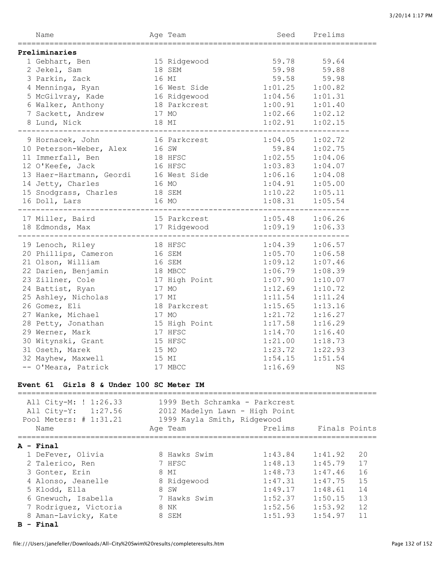| Age Team<br>Name                                                                                        |       |                                                       |                                            | Seed Prelims              |
|---------------------------------------------------------------------------------------------------------|-------|-------------------------------------------------------|--------------------------------------------|---------------------------|
| Preliminaries                                                                                           |       |                                                       |                                            |                           |
| 1 Gebhart, Ben 15 Ridgewood                                                                             |       |                                                       | 59.78 59.64                                |                           |
| 2 Jekel, Sam                                                                                            |       | 18 SEM                                                | 59.98 59.88                                |                           |
| 3 Parkin, Zack                                                                                          |       | $\mathbb{M}$<br>16 MI                                 | 59.58                                      | 59.98                     |
| 4 Menninga, Ryan                                                                                        |       |                                                       | $1:01.25$ $1:00.82$<br>$1:04.56$ $1:01.31$ |                           |
| 5 McGilvray, Kade                                                                                       |       | -- --<br>16 West Side<br>16 Ridgewood<br>18 Parkcrest |                                            |                           |
| 6 Walker, Anthony                                                                                       |       |                                                       | $1:00.91$ $1:01.40$                        |                           |
| 7 Sackett, Andrew                                                                                       |       |                                                       |                                            |                           |
|                                                                                                         |       | 17 MO<br>18 MI                                        | $1:02.66$ $1:02.12$<br>$1:02.91$ $1:02.15$ |                           |
| 8 Lund, Nick                                                                                            |       |                                                       |                                            |                           |
| 9 Hornacek, John 16 Parkcrest                                                                           |       |                                                       | $1:04.05$ $1:02.72$                        |                           |
|                                                                                                         |       |                                                       | 59.84 1:02.75                              |                           |
| 10 Peterson-Weber, Alex 16 SW<br>11 Immerfall, Ben 18 HFSC<br>12 O'Keefe, Jack 16 HFSC                  |       |                                                       | $1:02.55$ $1:04.06$                        |                           |
|                                                                                                         |       |                                                       | $1:03.83$ $1:04.07$                        |                           |
| 13 Haer-Hartmann, Geordi<br>16 West Side<br>14 Jetty, Charles<br>16 MO                                  |       |                                                       | $1:06.16$ $1:04.08$<br>$1:04.91$ $1:05.00$ |                           |
|                                                                                                         |       |                                                       |                                            |                           |
| 15 Snodgrass, Charles                                                                                   |       |                                                       |                                            |                           |
| 16 Doll, Lars                                                                                           |       | 18 SEM<br>16 MO                                       |                                            |                           |
|                                                                                                         |       |                                                       |                                            |                           |
| 17 Miller, Baird 15 Parkcrest 1:05.48 1:06.26<br>18 Edmonds, Max 17 Ridgewood 1:09.19 1:06.33           |       |                                                       |                                            |                           |
|                                                                                                         |       |                                                       |                                            |                           |
| 19 Lenoch, Riley 18 HFSC                                                                                |       |                                                       | $1:04.39$ $1:06.57$                        |                           |
| 20 Phillips, Cameron 16 SEM<br>21 Olson, William 16 SEM                                                 |       |                                                       | $1:05.70$ $1:06.58$                        |                           |
| 21 Olson, William<br>22 Darien, Benjamin<br>23 Zillner, Cole 17 High Point<br>17 MO                     |       |                                                       | $1:09.12$ $1:07.46$                        |                           |
|                                                                                                         |       |                                                       | $1:06.79$ $1:08.39$                        |                           |
|                                                                                                         |       |                                                       | $1:07.90$ $1:10.07$                        |                           |
|                                                                                                         |       |                                                       | $1:12.69$ $1:10.72$                        |                           |
| 25 Ashley, Nicholas<br>26 Gomez, Eli                                                                    | 17 MI |                                                       | $1:11.54$ $1:11.24$                        |                           |
|                                                                                                         |       | 18 Parkcrest                                          | $1:15.65$ $1:13.16$                        |                           |
| 26 Gomez, Ell<br>27 Wanke, Michael 17 MO<br>28 Petty, Jonathan 15 High Point<br>28 Warner, Mark 17 HFSC |       |                                                       | $1:21.72$ $1:16.27$                        |                           |
|                                                                                                         |       |                                                       | $1:17.58$ $1:16.29$                        |                           |
|                                                                                                         |       |                                                       | $1:14.70$ $1:16.40$                        |                           |
|                                                                                                         |       | 15 HFSC                                               | $1:21.00$ $1:18.73$                        |                           |
| 30 Witynski, Grant<br>31 Oseth, Marek<br>31 Oseth, Marek                                                | 15 MO |                                                       | $1:23.72$ $1:22.93$                        |                           |
| 32 Mayhew, Maxwell 32 MI                                                                                |       |                                                       | $1:54.15$ $1:51.54$                        |                           |
| -- O'Meara, Patrick                                                                                     |       | 17 MBCC                                               | 1:16.69                                    | ΝS                        |
| Event 61 Girls 8 & Under 100 SC Meter IM                                                                |       |                                                       |                                            |                           |
|                                                                                                         |       | 1999 Beth Schramka - Parkcrest                        |                                            |                           |
| All City-M: ! 1:26.33<br>All City-Y: 1:27.56                                                            |       | 2012 Madelyn Lawn - High Point                        |                                            |                           |
|                                                                                                         |       |                                                       |                                            |                           |
| Pool Meters: # 1:31.21<br>Name                                                                          |       | 1999 Kayla Smith, Ridgewood<br>Age Team               | Prelims                                    | Finals Points             |
|                                                                                                         |       |                                                       |                                            |                           |
| A - Final                                                                                               |       |                                                       |                                            |                           |
| 1 DeFever, Olivia                                                                                       |       | 8 Hawks Swim                                          | 1:43.84                                    | 1:41.92<br>20             |
| 2 Talerico, Ren                                                                                         |       | 7 HFSC                                                |                                            | $1:48.13$ $1:45.79$<br>17 |
| 3 Gonter, Erin                                                                                          |       | 8 MI                                                  |                                            | $1:48.73$ $1:47.46$<br>16 |
| 4 Alonso, Jeanelle                                                                                      |       | 8 Ridgewood                                           | 1:47.31                                    | 1:47.75<br>15             |

 5 Klodd, Ella 8 SW 1:49.17 1:48.61 14 6 Gnewuch, Isabella 7 Hawks Swim 1:52.37 1:50.15 13 7 Rodriguez, Victoria 8 NK 1:52.56 1:53.92 12 8 Aman-Lavicky, Kate 8 SEM 1:51.93 1:54.97 11

**B - Final**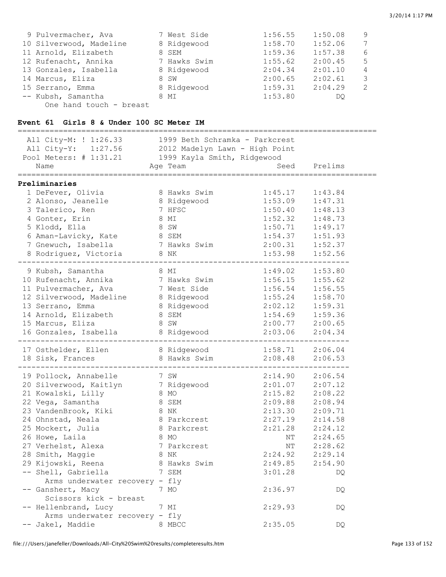| 9 Pulvermacher, Ava     | 7 West Side  | 1:56.55 | 1:50.08 | 9             |
|-------------------------|--------------|---------|---------|---------------|
| 10 Silverwood, Madeline | 8 Ridgewood  | 1:58.70 | 1:52.06 | 7             |
| 11 Arnold, Elizabeth    | 8 SEM        | 1:59.36 | 1:57.38 | 6             |
| 12 Rufenacht, Annika    | 7 Hawks Swim | 1:55.62 | 2:00.45 | 5             |
| 13 Gonzales, Isabella   | 8 Ridgewood  | 2:04.34 | 2:01.10 | 4             |
| 14 Marcus, Eliza        | 8 SW         | 2:00.65 | 2:02.61 | 3             |
| 15 Serrano, Emma        | 8 Ridgewood  | 1:59.31 | 2:04.29 | $\mathcal{P}$ |
| -- Kubsh, Samantha      | 8 MI         | 1:53.80 | DO.     |               |
| One hand touch - breast |              |         |         |               |

### **Event 61 Girls 8 & Under 100 SC Meter IM**

| All City-M: ! 1:26.33               | 1999 Beth Schramka – Parkcrest |           |         |  |
|-------------------------------------|--------------------------------|-----------|---------|--|
| All City-Y: 1:27.56                 | 2012 Madelyn Lawn - High Point |           |         |  |
| Pool Meters: # 1:31.21              | 1999 Kayla Smith, Ridgewood    |           |         |  |
| Name                                | Age Team                       | Seed      | Prelims |  |
|                                     |                                |           |         |  |
| Preliminaries                       |                                |           |         |  |
| 1 DeFever, Olivia                   | 8 Hawks Swim                   | 1:45.17   | 1:43.84 |  |
| 2 Alonso, Jeanelle                  | 8 Ridgewood                    | 1:53.09   | 1:47.31 |  |
| 3 Talerico, Ren                     | 7 HFSC                         | 1:50.40   | 1:48.13 |  |
| 4 Gonter, Erin                      | 8 MI                           | 1:52.32   | 1:48.73 |  |
| 5 Klodd, Ella                       | 8 SW                           | 1:50.71   | 1:49.17 |  |
| 6 Aman-Lavicky, Kate 8 SEM          |                                | 1:54.37   | 1:51.93 |  |
| 7 Gnewuch, Isabella                 | 7 Hawks Swim                   | 2:00.31   | 1:52.37 |  |
| 8 Rodriguez, Victoria               | 8 NK                           | 1:53.98   | 1:52.56 |  |
| 9 Kubsh, Samantha                   | 8 MI                           | 1:49.02   | 1:53.80 |  |
| 10 Rufenacht, Annika                | 7 Hawks Swim                   | 1:56.15   | 1:55.62 |  |
|                                     | 7 West Side                    | 1:56.54   | 1:56.55 |  |
| 11 Pulvermacher, Ava                |                                |           |         |  |
| 12 Silverwood, Madeline 8 Ridgewood |                                | 1:55.24   | 1:58.70 |  |
| 13 Serrano, Emma                    | 8 Ridgewood                    | 2:02.12   | 1:59.31 |  |
| 14 Arnold, Elizabeth                | 8 SEM                          | 1:54.69   | 1:59.36 |  |
| 15 Marcus, Eliza                    | 8 SW                           | 2:00.77   | 2:00.65 |  |
| 16 Gonzales, Isabella               | 8 Ridgewood                    | 2:03.06   | 2:04.34 |  |
| 17 Osthelder, Ellen                 | 8 Ridgewood                    | 1:58.71   | 2:06.04 |  |
| 18 Sisk, Frances                    | 8 Hawks Swim                   | 2:08.48   | 2:06.53 |  |
|                                     |                                |           |         |  |
| 19 Pollock, Annabelle               | 7 SW                           | 2:14.90   | 2:06.54 |  |
| 20 Silverwood, Kaitlyn 7 Ridgewood  |                                | 2:01.07   | 2:07.12 |  |
| 21 Kowalski, Lilly                  | 8 MO                           | 2:15.82   | 2:08.22 |  |
| 22 Vega, Samantha                   | 8 SEM                          | 2:09.88   | 2:08.94 |  |
| 23 VandenBrook, Kiki                | 8 NK                           | 2:13.30   | 2:09.71 |  |
| 24 Ohnstad, Neala                   | 8 Parkcrest                    | 2:27.19   | 2:14.58 |  |
| 25 Mockert, Julia                   | 8 Parkcrest                    | 2:21.28   | 2:24.12 |  |
| 26 Howe, Laila                      | 8 MO                           | NT        | 2:24.65 |  |
| 27 Verhelst, Alexa                  | 7 Parkcrest                    | $\rm{NT}$ | 2:28.62 |  |
| 28 Smith, Maggie                    | 8 NK                           | 2:24.92   | 2:29.14 |  |
| 29 Kijowski, Reena                  | 8 Hawks Swim                   | 2:49.85   | 2:54.90 |  |
| -- Shell, Gabriella                 | 7 SEM                          | 3:01.28   | DQ.     |  |
| Arms underwater recovery - fly      |                                |           |         |  |
| -- Ganshert, Macy                   | 7 MO                           | 2:36.97   | DQ      |  |
| Scissors kick - breast              |                                |           |         |  |
| -- Hellenbrand, Lucy                | 7 MI                           | 2:29.93   | DQ      |  |
| Arms underwater recovery - fly      |                                |           |         |  |
| -- Jakel, Maddie                    | 8 MBCC                         | 2:35.05   | DQ.     |  |
|                                     |                                |           |         |  |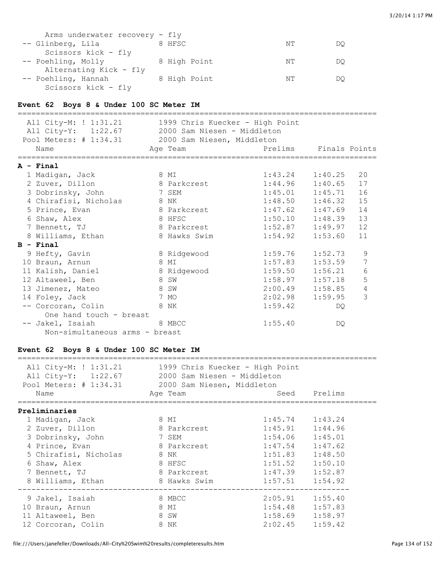| Arms underwater recovery - fly |              |    |    |
|--------------------------------|--------------|----|----|
| -- Glinberg, Lila              | 8 HFSC       | NΤ | DΟ |
| Scissors kick - fly            |              |    |    |
| -- Poehling, Molly             | 8 High Point | NΤ | DO |
| Alternating Kick - fly         |              |    |    |
| -- Poehling, Hannah            | 8 High Point | NΤ | DΟ |
| Scissors kick - fly            |              |    |    |

#### **Event 62 Boys 8 & Under 100 SC Meter IM**

| All City-M: ! 1:31.21 1999 Chris Kuecker - High Point<br>All City-Y: 1:22.67 2000 Sam Niesen - Middleton<br>Pool Meters: # 1:34.31 2000 Sam Niesen, Middleton<br>Name |      | Aqe Team     | Prelims Finals Points |         |                 |
|-----------------------------------------------------------------------------------------------------------------------------------------------------------------------|------|--------------|-----------------------|---------|-----------------|
| A - Final                                                                                                                                                             |      |              |                       |         |                 |
| 1 Madigan, Jack                                                                                                                                                       | 8 MI |              | $1:43.24$ $1:40.25$   |         | 20              |
| 2 Zuver, Dillon                                                                                                                                                       |      | 8 Parkcrest  | $1:44.96$ $1:40.65$   |         | 17              |
| 3 Dobrinsky, John 7 SEM                                                                                                                                               |      |              | $1:45.01$ $1:45.71$   |         | 16              |
| 4 Chirafisi, Nicholas<br><b>8 NK</b>                                                                                                                                  |      |              | $1:48.50$ $1:46.32$   |         | 15              |
| 5 Prince, Evan                                                                                                                                                        |      | 8 Parkcrest  | $1:47.62$ $1:47.69$   |         | 14              |
| 6 Shaw, Alex                                                                                                                                                          |      | 8 HFSC       | $1:50.10$ $1:48.39$   |         | 13              |
| 7 Bennett, TJ                                                                                                                                                         |      | 8 Parkcrest  | $1:52.87$ $1:49.97$   |         | 12              |
| 8 Williams, Ethan                                                                                                                                                     |      | 8 Hawks Swim | $1:54.92$ $1:53.60$   |         | 11              |
| $B - Final$                                                                                                                                                           |      |              |                       |         |                 |
| 9 Hefty, Gavin                                                                                                                                                        |      | 8 Ridgewood  | 1:59.76               | 1:52.73 | 9               |
| 10 Braun, Arnun                                                                                                                                                       | 8 MI |              | 1:57.83               | 1:53.59 | 7               |
| 11 Kalish, Daniel 8 Ridgewood                                                                                                                                         |      |              | $1:59.50$ $1:56.21$   |         | $6\phantom{.}6$ |
| 12 Altaweel, Ben<br>8 SW                                                                                                                                              |      |              | 1:58.97               | 1:57.18 | 5               |
| 8 SW<br>13 Jimenez, Mateo                                                                                                                                             |      |              | $2:00.49$ $1:58.85$   |         | 4               |
| 14 Foley, Jack                                                                                                                                                        | 7 MO |              | 2:02.98               | 1:59.95 | 3               |
| <b>8 NK</b><br>-- Corcoran, Colin                                                                                                                                     |      |              | 1:59.42               | DQ.     |                 |
| One hand touch - breast                                                                                                                                               |      |              |                       |         |                 |
| -- Jakel, Isaiah                                                                                                                                                      |      | 8 MBCC       | 1:55.40               | DO      |                 |
| Non-simultaneous arms - breast                                                                                                                                        |      |              |                       |         |                 |

# **Event 62 Boys 8 & Under 100 SC Meter IM**

| All City-M: ! 1:31.21 1999 Chris Kuecker - High Point<br>All City-Y: 1:22.67 2000 Sam Niesen - Middleton<br>Pool Meters: # 1:34.31 2000 Sam Niesen, Middleton<br>Name | Aqe Team     |                     | Seed Prelims |
|-----------------------------------------------------------------------------------------------------------------------------------------------------------------------|--------------|---------------------|--------------|
| Preliminaries                                                                                                                                                         |              |                     |              |
| 1 Madigan, Jack                                                                                                                                                       | 8 MI         | $1:45.74$ $1:43.24$ |              |
| 2 Zuver, Dillon                                                                                                                                                       | 8 Parkcrest  | $1:45.91$ $1:44.96$ |              |
| 3 Dobrinsky, John                                                                                                                                                     | 7 SEM        | $1:54.06$ $1:45.01$ |              |
| 4 Prince, Evan                                                                                                                                                        | 8 Parkcrest  | $1:47.54$ $1:47.62$ |              |
| 5 Chirafisi, Nicholas                                                                                                                                                 | 8 NK         | $1:51.83$ $1:48.50$ |              |
| 6 Shaw, Alex                                                                                                                                                          | 8 HFSC       | $1:51.52$ $1:50.10$ |              |
| 7 Bennett, TJ                                                                                                                                                         | 8 Parkcrest  | $1:47.39$ $1:52.87$ |              |
| 8 Williams, Ethan                                                                                                                                                     | 8 Hawks Swim | $1:57.51$ $1:54.92$ |              |
| 9 Jakel, Isaiah                                                                                                                                                       | 8 MBCC       | $2:05.91$ $1:55.40$ |              |
| 10 Braun, Arnun                                                                                                                                                       | 8 MI         | $1:54.48$ $1:57.83$ |              |
| 11 Altaweel, Ben                                                                                                                                                      | 8 SW         | $1:58.69$ $1:58.97$ |              |
| 12 Corcoran, Colin                                                                                                                                                    | 8 NK         | $2:02.45$ $1:59.42$ |              |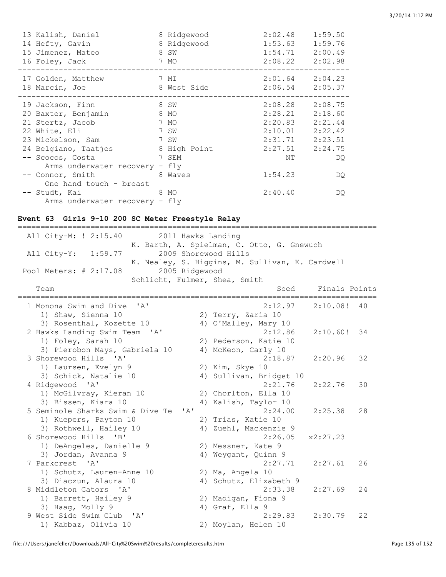| 13 Kalish, Daniel<br>14 Hefty, Gavin<br>15 Jimenez, Mateo<br>16 Foley, Jack | 8 Ridgewood<br>8 Ridgewood<br>8 SW<br>7 MO | 2:02.48<br>1:53.63<br>1:54.71<br>$2:08.22$ $2:02.98$ | 1:59.50<br>1:59.76<br>2:00.49 |
|-----------------------------------------------------------------------------|--------------------------------------------|------------------------------------------------------|-------------------------------|
| 17 Golden, Matthew                                                          | 7 MI                                       | $2:01.64$ $2:04.23$                                  |                               |
| 18 Marcin, Joe                                                              | 8 West Side                                | $2:06.54$ $2:05.37$                                  |                               |
| 19 Jackson, Finn                                                            | 8 SW                                       | 2:08.28                                              | 2:08.75                       |
| 20 Baxter, Benjamin                                                         | 8 MO                                       | 2:28.21                                              | 2:18.60                       |
| 21 Stertz, Jacob                                                            | 7 MO                                       | 2:20.83                                              | 2:21.44                       |
| 22 White, Eli                                                               | 7 SW                                       | 2:10.01                                              | 2:22.42                       |
| 23 Mickelson, Sam                                                           | 7 SW                                       | 2:31.71                                              | 2:23.51                       |
| 24 Belgiano, Taatjes                                                        | 8 High Point                               | 2:27.51 2:24.75                                      |                               |
| -- Scocos, Costa                                                            | 7 SEM                                      | NΤ                                                   | DQ.                           |
| Arms underwater recovery - fly                                              |                                            |                                                      |                               |
| -- Connor, Smith                                                            | 8 Waves                                    | 1:54.23                                              | DQ.                           |
| One hand touch - breast                                                     |                                            |                                                      |                               |
| -- Studt, Kai                                                               | 8 MO                                       | 2:40.40                                              | DQ                            |
| Arms underwater recovery - fly                                              |                                            |                                                      |                               |

# **Event 63 Girls 9-10 200 SC Meter Freestyle Relay**

| ====================                                                       |  | ============================                    |               |    |
|----------------------------------------------------------------------------|--|-------------------------------------------------|---------------|----|
| All City-M: ! 2:15.40<br>2011 Hawks Landing                                |  |                                                 |               |    |
| K. Barth, A. Spielman, C. Otto, G. Gnewuch                                 |  |                                                 |               |    |
| All City-Y: 1:59.77                                                        |  | 2009 Shorewood Hills                            |               |    |
|                                                                            |  | K. Nealey, S. Higgins, M. Sullivan, K. Cardwell |               |    |
| 2005 Ridgewood<br>Pool Meters: # 2:17.08                                   |  |                                                 |               |    |
| Schlicht, Fulmer, Shea, Smith                                              |  |                                                 |               |    |
| Team<br>=======================                                            |  | Seed<br>=============================           | Finals Points |    |
| 1 Monona Swim and Dive<br>$\mathsf{Z}$                                     |  | 2:12.97                                         | $2:10.08!$ 40 |    |
| 1) Shaw, Sienna 10                                                         |  | 2) Terry, Zaria 10                              |               |    |
| 3) Rosenthal, Kozette 10                                                   |  | 4) O'Malley, Mary 10                            |               |    |
| 2 Hawks Landing Swim Team 'A'                                              |  | 2:12.86                                         | $2:10.60!$ 34 |    |
| 1) Foley, Sarah 10                                                         |  | 2) Pederson, Katie 10                           |               |    |
| 3) Pierobon Mays, Gabriela 10                                              |  | 4) McKeon, Carly 10                             |               |    |
| 3 Shorewood Hills 'A'                                                      |  | 2:18.87                                         | 2:20.96       | 32 |
| 1) Laursen, Evelyn 9                                                       |  | 2) Kim, Skye 10                                 |               |    |
| 3) Schick, Natalie 10                                                      |  | 4) Sullivan, Bridget 10                         |               |    |
| 4 Ridgewood 'A'                                                            |  | 2:21.76                                         | 2:22.76       | 30 |
| 1) McGilvray, Kieran 10                                                    |  | 2) Chorlton, Ella 10                            |               |    |
| 3) Bissen, Kiara 10                                                        |  | 4) Kalish, Taylor 10                            |               |    |
| 5 Seminole Sharks Swim & Dive Te<br>$\mathbf{1}$ $\mathbf{A}$ $\mathbf{1}$ |  | 2:24.00                                         | 2:25.38       | 28 |
| 1) Kuepers, Payton 10                                                      |  | 2) Trias, Katie 10                              |               |    |
| 3) Rothwell, Hailey 10                                                     |  | 4) Zuehl, Mackenzie 9                           |               |    |
| 6 Shorewood Hills 'B'                                                      |  | 2:26.05                                         | x2:27.23      |    |
| 1) DeAngeles, Danielle 9                                                   |  | 2) Messner, Kate 9                              |               |    |
| 3) Jordan, Avanna 9                                                        |  | 4) Weygant, Quinn 9                             |               |    |
| 7 Parkcrest<br>$\mathsf{A}$                                                |  | 2:27.71                                         | 2:27.61       | 26 |
| 1) Schutz, Lauren-Anne 10                                                  |  | 2) Ma, Angela 10                                |               |    |
| 3) Diaczun, Alaura 10                                                      |  | 4) Schutz, Elizabeth 9                          |               |    |
| 8 Middleton Gators 'A'                                                     |  | 2:33.38                                         | 2:27.69       | 24 |
| 1) Barrett, Hailey 9                                                       |  | 2) Madigan, Fiona 9                             |               |    |
| 3) Haaq, Molly 9                                                           |  | 4) Graf, Ella 9                                 |               |    |
| 9 West Side Swim Club 'A'                                                  |  | 2:29.83                                         | 2:30.79       | 22 |
| 1) Kabbaz, Olivia 10                                                       |  | 2) Moylan, Helen 10                             |               |    |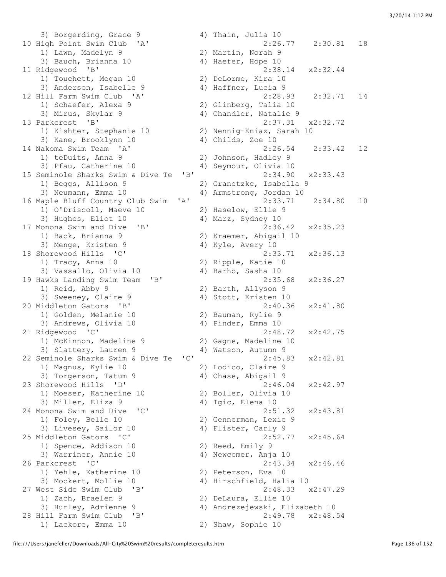3) Borgerding, Grace 9 31 4) Thain, Julia 10 10 High Point Swim Club 'A' 2:26.77 2:30.81 18 1) Lawn, Madelyn 9 2) Martin, Norah 9 3) Bauch, Brianna 10  $\hskip 1.6cm 4$ ) Haefer, Hope 10 11 Ridgewood 'B' 2:38.14 x2:32.44 1) Touchett, Megan 10 2) DeLorme, Kira 10 3) Anderson, Isabelle 9 (4) Haffner, Lucia 9 12 Hill Farm Swim Club 'A' 2:28.93 2:32.71 14 1) Schaefer, Alexa 9 2) Glinberg, Talia 10 3) Mirus, Skylar 9 4) Chandler, Natalie 9 13 Parkcrest 'B' 2:37.31 x2:32.72 1) Kishter, Stephanie 10 2) Nennig-Kniaz, Sarah 10 3) Kane, Brooklynn 10 (4) Childs, Zoe 10 14 Nakoma Swim Team 'A' 2:26.54 2:33.42 12 1) teDuits, Anna 9 2) Johnson, Hadley 9 3) Pfau, Catherine 10 4) Seymour, Olivia 10 15 Seminole Sharks Swim & Dive Te 'B' 2:34.90 x2:33.43 1) Beggs, Allison 9 2) Granetzke, Isabella 9<br>3) Neumann, Emma 10 4) Armstrong, Jordan 10 16 Maple Bluff Country Club Swim 'A' 2:33.71 2:34.80 10 1) O'Driscoll, Maeve 10 2) Haselow, Ellie 9 3) Hughes, Eliot 10 4) Marz, Sydney 10 17 Monona Swim and Dive 'B' 2:36.42 x2:35.23 1) Back, Brianna 9 2) Kraemer, Abigail 10 3) Menge, Kristen 9 4) Kyle, Avery 10 18 Shorewood Hills 'C' 2:33.71 x2:36.13 1) Tracy, Anna 10 2) Ripple, Katie 10 3) Vassallo, Olivia 10 4) Barho, Sasha 10<br>19 Hawks Landing Swim Team 'B' 2:35. 19 Hawks Landing Swim Team 'B' 2:35.68 x2:36.27 1) Reid, Abby 9 2) Barth, Allyson 9 3) Sweeney, Claire 9 4) Stott, Kristen 10 20 Middleton Gators 'B' 2:40.36 x2:41.80 1) Golden, Melanie 10 2) Bauman, Rylie 9 3) Andrews, Olivia 10 4) Pinder, Emma 10 21 Ridgewood 'C' 2:48.72 x2:42.75 1) McKinnon, Madeline 9 2) Gagne, Madeline 10 3) Slattery, Lauren 9 (4) Watson, Autumn 9 22 Seminole Sharks Swim & Dive Te 'C' 2:45.83 x2:42.81 1) Magnus, Kylie 10 2) Lodico, Claire 9 3) Torgerson, Tatum 9 4) Chase, Abigail 9 23 Shorewood Hills 'D' 2:46.04 x2:42.97 1) Moeser, Katherine 10 2) Boller, Olivia 10 3) Miller, Eliza 9 4) Igic, Elena 10 24 Monona Swim and Dive 'C' 2:51.32 x2:43.81 1) Foley, Belle 10 2) Gennerman, Lexie 9 3) Livesey, Sailor 10 (4) Flister, Carly 9 25 Middleton Gators 'C' 2:52.77 x2:45.64 1) Spence, Addison 10 2) Reed, Emily 9 3) Warriner, Annie 10 4) Newcomer, Anja 10 26 Parkcrest 'C' 2:43.34 x2:46.46 1) Yehle, Katherine 10 2) Peterson, Eva 10 3) Mockert, Mollie 10 4) Hirschfield, Halia 10 27 West Side Swim Club 'B' 2:48.33 x2:47.29 1) Zach, Braelen 9 2) DeLaura, Ellie 10 3) Hurley, Adrienne 9 4) Andrezejewski, Elizabeth 10 28 Hill Farm Swim Club 'B' 2:49.78 x2:48.54 1) Lackore, Emma 10 2) Shaw, Sophie 10

4) Armstrong, Jordan 10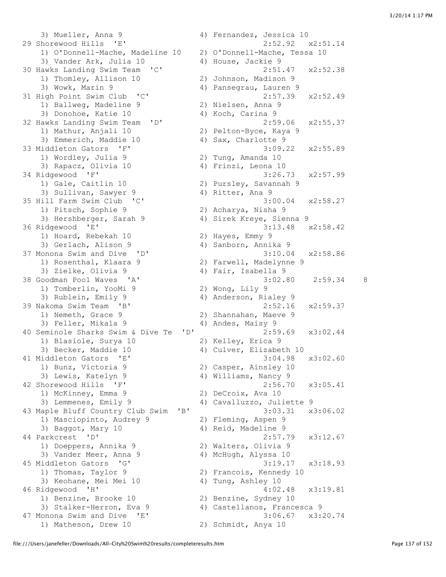3) Mueller, Anna 9 4) Fernandez, Jessica 10 29 Shorewood Hills 'E' 2:52.92 x2:51.14 1) O'Donnell-Mache, Madeline 10 2) O'Donnell-Mache, Tessa 10 3) Vander Ark, Julia 10 4) House, Jackie 9<br>lawks Landing Swim Team 'C' 2:51.47 30 Hawks Landing Swim Team 'C' 2:51.47 x2:52.38 1) Thomley, Allison 10 2) Johnson, Madison 9 3) Wowk, Marin 9 (4) Pansegrau, Lauren 9 31 High Point Swim Club 'C' 2:57.39 x2:52.49 1) Ballweg, Madeline 9 2) Nielsen, Anna 9 3) Donohoe, Katie 10 4) Koch, Carina 9 32 Hawks Landing Swim Team 'D' 2:59.06 x2:55.37 1) Mathur, Anjali 10 2) Pelton-Byce, Kaya 9 3) Emmerich, Maddie 10 4) Sax, Charlotte 9 33 Middleton Gators 'F' 3:09.22 x2:55.89 1) Wordley, Julia 9 2) Tung, Amanda 10 3) Rapacz, Olivia 10  $\hskip10mm$  4) Frinzi, Leona 10 34 Ridgewood 'F' 3:26.73 x2:57.99 1) Gale, Caitlin 10 2) Pursley, Savannah 9 3) Sullivan, Sawyer 9 4) Ritter, Ana 9 35 Hill Farm Swim Club 'C' 3:00.04 x2:58.27 1) Pitsch, Sophie 9 2) Acharya, Nisha 9 3) Hershberger, Sarah 9 4) Sirek Kreye, Sienna 9 36 Ridgewood 'E' 3:13.48 x2:58.42 1) Hoard, Rebekah 10 2) Hayes, Emmy 9 3) Gerlach, Alison 9 (4) Sanborn, Annika 9 37 Monona Swim and Dive 'D' 3:10.04 x2:58.86<br>1) Rosenthal, Klaara 9 3:10.04 3:10.04 3:58.86 1) and the set of the set of the set of the set of the set of the set of the set of the set of the set of the<br>
2) Farwell, Madelynne 9<br>
2) Finally set of the set of the set of the set of the set of the set of the set of th 3) Zielke, Olivia 9 4) Fair, Isabella 9 38 Goodman Pool Waves 'A' 3:02.80 2:59.34 8 1) Tomberlin, YooMi 9 2) Wong, Lily 9 3) Rublein, Emily 9 4) Anderson, Rialey 9 39 Nakoma Swim Team 'B' 2:52.16 x2:59.37 1) Nemeth, Grace 9 2) Shannahan, Maeve 9 3) Feller, Mikala 9 (4) Andes, Maisy 9<br>
Eminole Sharks Swim & Dive Te 'D' 2:59.69 40 Seminole Sharks Swim & Dive Te 'D' 2:59.69 x3:02.44 1) Blasiole, Surya 10 2) Kelley, Erica 9 3) Becker, Maddie 10 4) Culver, Elizabeth 10 41 Middleton Gators 'E' 3:04.98 x3:02.60 1) Bunz, Victoria 9 2) Casper, Ainsley 10 3) Lewis, Katelyn 9 4) Williams, Nancy 9 42 Shorewood Hills 'F' 2:56.70 x3:05.41 1) McKinney, Emma 9 2) DeCroix, Ava 10 3) Lemmenes, Emily 9 4) Cavalluzzo, Juliette 9 43 Maple Bluff Country Club Swim 'B' 3:03.31 x3:06.02 1) Masciopinto, Audrey 9 2) Fleming, Aspen 9 3) Baggot, Mary 10 4) Reid, Madeline 9 44 Parkcrest 'D' 2:57.79 x3:12.67 1) Doeppers, Annika 9 2) Walters, Olivia 9 3) Vander Meer, Anna 9 4) McHugh, Alyssa 10 45 Middleton Gators 'G' 3:19.17 x3:18.93 1) Thomas, Taylor 9 2) Francois, Kennedy 10 3) Keohane, Mei Mei 10 4) Tung, Ashley 10 46 Ridgewood 'H' 4:02.48 x3:19.81<br>
1) Benzine, Brooke 10 2) Benzine, Sydney 10<br>
3) Stalker-Herron, Eva 9 4) Castellanos, Francesca 9 1) Benzine, Brooke 10 2) Benzine, Sydney 10 3) Stalker-Herron, Eva 9 4) Castellanos, Francesca 9 47 Monona Swim and Dive 'E' 3:06.67 x3:20.74 1) Matheson, Drew 10 2) Schmidt, Anya 10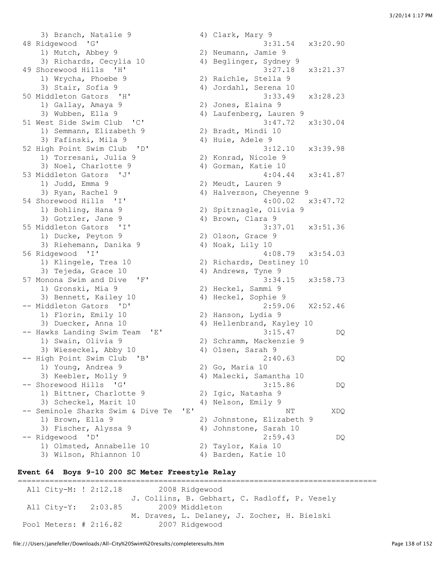3) Branch, Natalie 9 4) Clark, Mary 9 48 Ridgewood 'G' 3:31.54 x3:20.90 1) Mutch, Abbey 9 2) Neumann, Jamie 9 3) Richards, Cecylia 10 4) Beglinger, Sydney 9 49 Shorewood Hills 'H' 3:27.18 x3:21.37 1) Wrycha, Phoebe 9 2) Raichle, Stella 9 3) Stair, Sofia 9 4) Jordahl, Serena 10 50 Middleton Gators 'H' 3:33.49 x3:28.23 1) Gallay, Amaya 9 2) Jones, Elaina 9 3) Wubben, Ella 9 4) Laufenberg, Lauren 9 51 West Side Swim Club 'C' 3:47.72 x3:30.04 3) Wubben, Ella 9<br>51 West Side Swim Club 'C'<br>1) Semmann, Elizabeth 9 1) Semmann, Elizabeth 9 (2) Bradt, Mindi 10<br>3) Fafinski, Mila 9 (4) Huie, Adele 9 52 High Point Swim Club 'D' 3:12.10 x3:39.98 1) Torresani, Julia 9 2) Konrad, Nicole 9 3) Torresani, Julia 9 (2) Konrad, Nicole 9<br>3) Noel, Charlotte 9 (4) Gorman, Katie 10 53 Middleton Gators 'J' 4:04.44 x3:41.87 1) Judd, Emma 9 2) Meudt, Lauren 9<br>
1) Judd, Emma 9 2) Meudt, Lauren 9<br>
3) Ryan, Rachel 9 4) Halverson, Cheye 4) Halverson, Cheyenne 9 54 Shorewood Hills 'I' 4:00.02 x3:47.72 1) Bohling, Hana 9 2) Spitznagle, Olivia 9 3) Gotzler, Jane 9 4) Brown, Clara 9 55 Middleton Gators 'I' 3:37.01 x3:51.36 1) Ducke, Peyton 9 2) Olson, Grace 9 3) Riehemann, Danika 9 14) Noak, Lily 10 56 Ridgewood 'I' 4:08.79 x3:54.03 1) Klingele, Trea 10 2) Richards, Destiney 10 3) Tejeda, Grace 10 4) Andrews, Tyne 9 57 Monona Swim and Dive 'F' 3:34.15 x3:58.73 1) Gronski, Mia 9 2) Heckel, Sammi 9 3) Bennett, Kailey 10  $\hskip 1.6cm 4$  Heckel, Sophie 9 -- Middleton Gators 'D' 2:59.06 X2:52.46 1) Florin, Emily 10 2) Hanson, Lydia 9 3) Duecker, Anna 10 4) Hellenbrand, Kayley 10 -- Hawks Landing Swim Team 'E' 3:15.47 DQ 1) Swain, Olivia 9 2) Schramm, Mackenzie 9 3) Wieseckel, Abby 10 4) Olsen, Sarah 9 -- High Point Swim Club 'B' 2:40.63 DQ 1) Young, Andrea 9<br>3) Keebler, Molly 9 2) Go, Maria 10<br>4) Malecki, Samantha 10 -- Shorewood Hills 'G' 3:15.86 DQ 1) Bittner, Charlotte 9 2) Igic, Natasha 9 3) Scheckel, Marit 10 4) Nelson, Emily 9 -- Seminole Sharks Swim & Dive Te 'E' NT NT XDQ 1) Brown, Ella 9 2) Johnstone, Elizabeth 9 3) Fischer, Alyssa 9 4) Johnstone, Sarah 10 -- Ridgewood 'D' 2:59.43 DQ 1) Olmsted, Annabelle 10 2) Taylor, Kaia 10 3) Wilson, Rhiannon 10 (4) Barden, Katie 10

#### **Event 64 Boys 9-10 200 SC Meter Freestyle Relay**

=============================================================================== All City-M: ! 2:12.18 2008 Ridgewood J. Collins, B. Gebhart, C. Radloff, P. Vesely All City-Y: 2:03.85 M. Draves, L. Delaney, J. Zocher, H. Bielski Pool Meters: # 2:16.82 2007 Ridgewood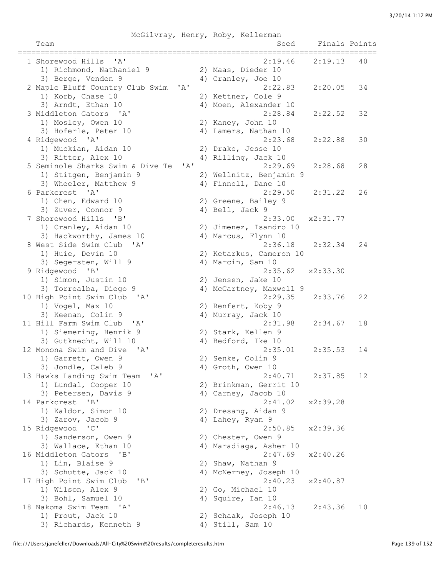|                                                         |                           | McGilvray, Henry, Roby, Kellerman |               |    |
|---------------------------------------------------------|---------------------------|-----------------------------------|---------------|----|
| Team                                                    |                           | Seed                              | Finals Points |    |
|                                                         |                           |                                   |               |    |
| 1 Shorewood Hills<br>$^{\prime}$ A $^{\prime}$          |                           | 2:19.46                           | 2:19.13       | 40 |
| 1) Richmond, Nathaniel 9                                |                           | 2) Maas, Dieder 10                |               |    |
| 3) Berge, Venden 9                                      |                           | 4) Cranley, Joe 10                |               |    |
| 2 Maple Bluff Country Club Swim                         | $^{\prime}$ A $^{\prime}$ | 2:22.83                           | 2:20.05       | 34 |
| 1) Korb, Chase 10                                       |                           | 2) Kettner, Cole 9                |               |    |
| 3) Arndt, Ethan 10                                      |                           | 4) Moen, Alexander 10             |               |    |
| 3 Middleton Gators 'A'                                  |                           | 2:28.84                           | 2:22.52       | 32 |
| 1) Mosley, Owen 10                                      |                           | 2) Kaney, John 10                 |               |    |
| 3) Hoferle, Peter 10                                    |                           | 4) Lamers, Nathan 10              |               |    |
| 4 Ridgewood 'A'                                         |                           | 2:23.68                           | 2:22.88       | 30 |
| 1) Muckian, Aidan 10                                    |                           | 2) Drake, Jesse 10                |               |    |
| 3) Ritter, Alex 10                                      |                           | 4) Rilling, Jack 10               |               |    |
| 5 Seminole Sharks Swim & Dive Te                        | $\mathsf{A}$              | 2:29.69                           | 2:28.68       | 28 |
| 1) Stitgen, Benjamin 9                                  |                           | 2) Wellnitz, Benjamin 9           |               |    |
| 3) Wheeler, Matthew 9                                   |                           |                                   |               |    |
| 6 Parkcrest 'A'                                         |                           | 4) Finnell, Dane 10<br>2:29.50    |               |    |
|                                                         |                           |                                   | 2:31.22       | 26 |
| 1) Chen, Edward 10                                      |                           | 2) Greene, Bailey 9               |               |    |
| 3) Zuver, Connor 9                                      |                           | 4) Bell, Jack 9                   |               |    |
| 7 Shorewood Hills<br>$\mathbf{B}$                       |                           | 2:33.00                           | x2:31.77      |    |
| 1) Cranley, Aidan 10                                    |                           | 2) Jimenez, Isandro 10            |               |    |
| 3) Hackworthy, James 10                                 |                           | 4) Marcus, Flynn 10               |               |    |
| 8 West Side Swim Club 'A'                               |                           | 2:36.18                           | 2:32.34       | 24 |
| 1) Huie, Devin 10                                       |                           | 2) Ketarkus, Cameron 10           |               |    |
| 3) Segersten, Will 9                                    |                           | 4) Marcin, Sam 10                 |               |    |
| 9 Ridgewood 'B'                                         |                           | 2:35.62                           | x2:33.30      |    |
| 1) Simon, Justin 10                                     |                           | 2) Jensen, Jake 10                |               |    |
| 3) Torrealba, Diego 9                                   |                           | 4) McCartney, Maxwell 9           |               |    |
| 10 High Point Swim Club<br>$\mathsf{A}$                 |                           | 2:29.35                           | 2:33.76       | 22 |
| 1) Vogel, Max 10                                        |                           | 2) Renfert, Koby 9                |               |    |
| 3) Keenan, Colin 9                                      |                           | 4) Murray, Jack 10                |               |    |
| 11 Hill Farm Swim Club 'A'                              |                           | 2:31.98                           | 2:34.67       | 18 |
| 1) Siemering, Henrik 9                                  |                           | 2) Stark, Kellen 9                |               |    |
| 3) Gutknecht, Will 10                                   |                           | 4) Bedford, Ike 10                |               |    |
| 12 Monona Swim and Dive 'A'                             |                           | 2:35.01                           | 2:35.53       | 14 |
| 1) Garrett, Owen 9                                      |                           | 2) Senke, Colin 9                 |               |    |
| 3) Jondle, Caleb 9                                      |                           | 4) Groth, Owen 10                 |               |    |
| $^{\prime}$ A $^{\prime}$<br>13 Hawks Landing Swim Team |                           | 2:40.71                           | 2:37.85       | 12 |
| 1) Lundal, Cooper 10                                    |                           | 2) Brinkman, Gerrit 10            |               |    |
| 3) Petersen, Davis 9                                    |                           | 4) Carney, Jacob 10               |               |    |
| "B"<br>14 Parkcrest                                     |                           | 2:41.02                           | x2:39.28      |    |
| 1) Kaldor, Simon 10                                     |                           | 2) Dresang, Aidan 9               |               |    |
| 3) Zarov, Jacob 9                                       |                           | 4) Lahey, Ryan 9                  |               |    |
| 15 Ridgewood<br>$\mathsf{TC}$                           |                           | 2:50.85                           | x2:39.36      |    |
| 1) Sanderson, Owen 9                                    |                           | 2) Chester, Owen 9                |               |    |
| 3) Wallace, Ethan 10                                    |                           | 4) Maradiaga, Asher 10            |               |    |
| 16 Middleton Gators<br>$\mathsf{B}$                     |                           | 2:47.69                           | x2:40.26      |    |
| 1) Lin, Blaise 9                                        |                           | 2) Shaw, Nathan 9                 |               |    |
| 3) Schutte, Jack 10                                     |                           | 4) McNerney, Joseph 10            |               |    |
| 17 High Point Swim Club<br>"B"                          |                           | 2:40.23                           | x2:40.87      |    |
| 1) Wilson, Alex 9                                       |                           | 2) Go, Michael 10                 |               |    |
| 3) Bohl, Samuel 10                                      |                           | 4) Squire, Ian 10                 |               |    |
| 18 Nakoma Swim Team<br>$^{\prime}$ A $^{\prime}$        |                           | 2:46.13                           | 2:43.36       | 10 |
| 1) Prout, Jack 10                                       |                           | 2) Schaak, Joseph 10              |               |    |
| 3) Richards, Kenneth 9                                  |                           | 4) Still, Sam 10                  |               |    |
|                                                         |                           |                                   |               |    |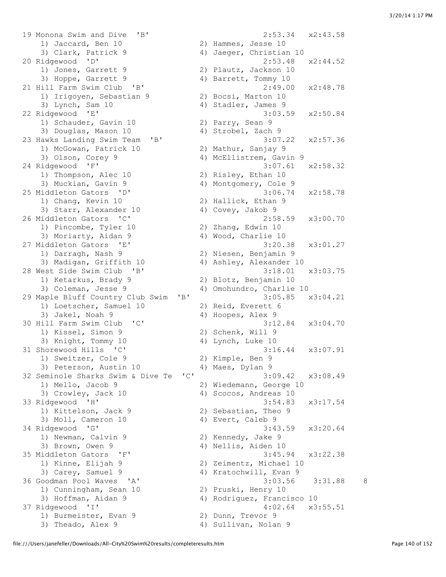19 Monona Swim and Dive 'B' 2:53.34 x2:43.58 1) Jaccard, Ben 10 2) Hammes, Jesse 10 3) Clark, Patrick 9 4) Jaeger, Christian 10 20 Ridgewood 'D' 2:53.48 x2:44.52 1) Jones, Garrett 9 2) Plautz, Jackson 10 3) Hoppe, Garrett 9 4) Barrett, Tommy 10 21 Hill Farm Swim Club 'B' 2:49.00 x2:48.78 1) Irigoyen, Sebastian 9 2) Bocsi, Marton 10 3) Lynch, Sam 10 4) Stadler, James 9 22 Ridgewood 'E' 3:03.59 x2:50.84 1) Schauder, Gavin 10 3) Douglas, Mason 10 4) Strobel, Zach 9 23 Hawks Landing Swim Team 'B' 3:07.22 x2:57.36 1) McGowan, Patrick 10 2) Mathur, Sanjay 9 3) Olson, Corey 9 4) McEllistrem, Gavin 9 24 Ridgewood 'F' 3:07.61 x2:58.32 1) Thompson, Alec 10 2) Risley, Ethan 10 3) Muckian, Gavin 9 4) Montgomery, Cole 9 25 Middleton Gators 'D' 3:06.74 x2:58.78 1) Chang, Kevin 10 2) Hallick, Ethan 9 3) Starr, Alexander 10 (4) Covey, Jakob 9 26 Middleton Gators 'C' 2:58.59 x3:00.70 1) Pincombe, Tyler 10 2) Zhang, Edwin 10<br>3) Moriarty, Aidan 9 4) Wood, Charlie 10 3) Moriarty, Aidan 9 4) Wood, Charlie 10 27 Middleton Gators 'E' 3:20.38 x3:01.27 1) Darragh, Nash 9 2) Niesen, Benjamin 9 3) Madigan, Griffith 10 4) Ashley, Alexander 10 28 West Side Swim Club 'B' 3:18.01 x3:03.75 1) Ketarkus, Brady 9 2) Blotz, Benjamin 10 3) Coleman, Jesse 9 4) Omohundro, Charlie 10 29 Maple Bluff Country Club Swim 'B' 3:05.85 x3:04.21 1) Loetscher, Samuel 10 2) Reid, Everett 6 3) Jakel, Noah 9 4) Hoopes, Alex 9 30 Hill Farm Swim Club 'C' 3:12.84 x3:04.70 1) Kissel, Simon 9 2) Schenk, Will 9 3) Knight, Tommy 10 4) Lynch, Luke 10 31 Shorewood Hills 'C' 3:16.44 x3:07.91 1) Sweitzer, Cole 9 2) Kimple, Ben 9 3) Peterson, Austin 10 (4) Maes, Dylan 9 32 Seminole Sharks Swim & Dive Te 'C' 3:09.42 x3:08.49 1) Mello, Jacob 9 2) Wiedemann, George 10 3) Crowley, Jack 10 4) Scocos, Andreas 10 33 Ridgewood 'H' 3:54.83 x3:17.54 1) Kittelson, Jack 9<br>3) Moll, Cameron 10 34 Ridgewood 'G' 3:43.59 x3:20.64 1) Newman, Calvin 9 2) Kennedy, Jake 9 3) Brown, Owen 9 4) Nellis, Aiden 10 35 Middleton Gators 'F' 3:45.94 x3:22.38 1) Kinne, Elijah 9 2) Zeimentz, Michael 10 3) Carey, Samuel 9 4) Kratochwill, Evan 9 36 Goodman Pool Waves 'A' 3:03.56 3:31.88 8 1) Cunningham, Sean 10 2) Pruski, Henry 10 3) Hoffman, Aidan 9 4) Rodriguez, Francisco 10 37 Ridgewood 'I' 4:02.64 x3:55.51 1) Burmeister, Evan 9 120 20 Dunn, Trevor 9 3) Theado, Alex 9 4) Sullivan, Nolan 9

2) Sebastian, Theo 9<br>4) Evert, Caleb 9

file:///Users/janefeller/Downloads/All-City%20Swim%20results/completeresults.htm Page 140 of 152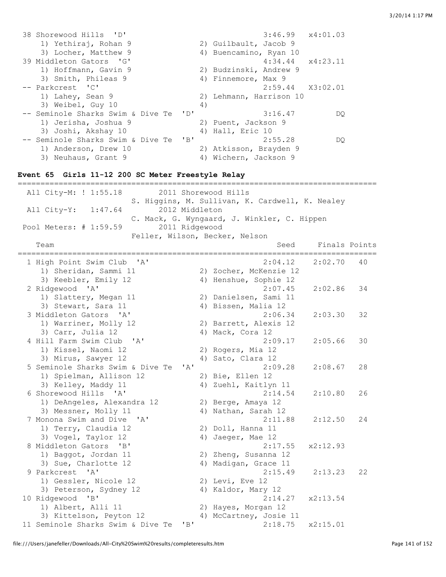| 38 Shorewood Hills 'D'                              | 3:46.99<br>x4:01.03                                     |
|-----------------------------------------------------|---------------------------------------------------------|
| 1) Yethiraj, Rohan 9                                | 2) Guilbault, Jacob 9                                   |
| 3) Locher, Matthew 9                                | 4) Buencamino, Ryan 10                                  |
| 39 Middleton Gators 'G'                             | 4:34.44<br>x4:23.11                                     |
| 1) Hoffmann, Gavin 9                                | 2) Budzinski, Andrew 9                                  |
| 3) Smith, Phileas 9<br>-- Parkcrest 'C'             | 4) Finnemore, Max 9                                     |
| 1) Lahey, Sean 9                                    | 2:59.44<br>X3:02.01<br>Lehmann, Harrison 10<br>2)       |
| 3) Weibel, Guy 10                                   | 4)                                                      |
| -- Seminole Sharks Swim & Dive Te<br>$\mathsf{P}$   | 3:16.47<br>DQ.                                          |
| 1) Jerisha, Joshua 9                                | 2) Puent, Jackson 9                                     |
| 3) Joshi, Akshay 10                                 | 4) Hall, Eric 10                                        |
| -- Seminole Sharks Swim & Dive Te<br>"B"            | 2:55.28<br>DQ.                                          |
| 1) Anderson, Drew 10                                | 2) Atkisson, Brayden 9                                  |
| 3) Neuhaus, Grant 9                                 | 4) Wichern, Jackson 9                                   |
|                                                     |                                                         |
| Event 65 Girls 11-12 200 SC Meter Freestyle Relay   |                                                         |
|                                                     |                                                         |
| All City-M: ! 1:55.18                               | 2011 Shorewood Hills                                    |
|                                                     | S. Higgins, M. Sullivan, K. Cardwell, K. Nealey         |
| 2012 Middleton<br>All City-Y: 1:47.64               |                                                         |
|                                                     | C. Mack, G. Wyngaard, J. Winkler, C. Hippen             |
| Pool Meters: # 1:59.59<br>2011 Ridgewood            |                                                         |
| Team                                                | Feller, Wilson, Becker, Nelson<br>Finals Points<br>Seed |
|                                                     |                                                         |
| 1 High Point Swim Club 'A'                          | 2:04.12<br>2:02.70<br>40                                |
| 1) Sheridan, Sammi 11                               | 2) Zocher, McKenzie 12                                  |
| 3) Keebler, Emily 12                                | 4) Henshue, Sophie 12                                   |
| 2 Ridgewood 'A'                                     | 2:07.45<br>2:02.86<br>34                                |
| 1) Slattery, Megan 11                               | 2) Danielsen, Sami 11                                   |
| 3) Stewart, Sara 11                                 | 4) Bissen, Malia 12                                     |
| 3 Middleton Gators 'A'                              | 2:06.34<br>2:03.30<br>32                                |
| 1) Warriner, Molly 12                               | 2) Barrett, Alexis 12                                   |
| 3) Carr, Julia 12                                   | 4) Mack, Cora 12                                        |
| 4 Hill Farm Swim Club 'A'                           | 2:09.17<br>2:05.66<br>30                                |
| 1) Kissel, Naomi 12                                 | 2) Rogers, Mia 12                                       |
| 3) Mirus, Sawyer 12                                 | 4) Sato, Clara 12                                       |
| 5 Seminole Sharks Swim & Dive Te<br>' A'            | 2:09.28<br>2:08.67<br>28                                |
| 1) Spielman, Allison 12                             | 2) Bie, Ellen 12                                        |
| 3) Kelley, Maddy 11                                 | 4) Zuehl, Kaitlyn 11                                    |
| 6 Shorewood Hills 'A'                               | 2:14.54<br>2:10.80<br>26                                |
| 1) DeAngeles, Alexandra 12                          | 2) Berge, Amaya 12                                      |
| 3) Messner, Molly 11                                | 4) Nathan, Sarah 12                                     |
| 7 Monona Swim and Dive<br>$^{\prime}$ A $^{\prime}$ | 2:11.88<br>2:12.50<br>24                                |
| 1) Terry, Claudia 12                                | 2) Doll, Hanna 11                                       |
| 3) Vogel, Taylor 12                                 | 4)<br>Jaeger, Mae 12                                    |
| 8 Middleton Gators<br>$\mathbf{B}$                  | 2:17.55<br>x2:12.93                                     |
| 1) Baggot, Jordan 11                                | 2) Zheng, Susanna 12                                    |
| 3) Sue, Charlotte 12<br>9 Parkcrest<br>A'           | 4) Madigan, Grace 11<br>22                              |
| 1) Gessler, Nicole 12                               | 2:15.49<br>2:13.23<br>2) Levi, Eve 12                   |
| 3) Peterson, Sydney 12                              | 4) Kaldor, Mary 12                                      |
| 10 Ridgewood 'B'                                    | 2:14.27<br>x2:13.54                                     |
| 1) Albert, Alli 11                                  | 2) Hayes, Morgan 12                                     |
| 3) Kittelson, Peyton 12                             | 4) McCartney, Josie 11                                  |
| 11 Seminole Sharks Swim & Dive Te<br>"B"            | 2:18.75<br>x2:15.01                                     |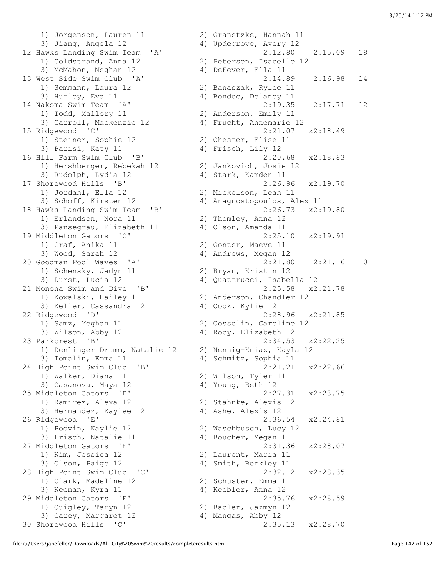1) Jorgenson, Lauren 11 2) Granetzke, Hannah 11 3) Jiang, Angela 12 4) Updegrove, Avery 12 awks Landing Swim Team 'A' 2:12.80<br>1) Goldstrand, Anna 12 2) Petersen, Isabelle 12 3) McMahon, Meghan 12 4) DeFever, Ella 11 1) Semmann, Laura 12 2) Banaszak, Rylee 11 3) Hurley, Eva 11 4) Bondoc, Delaney 11 1) Todd, Mallory 11 2) Anderson, Emily 11 3) Carroll, Mackenzie 12 4) Frucht, Annemarie 12 15 Ridgewood 'C' 2:21.07 x2:18.49 1) Steiner, Sophie 12 2) Chester, Elise 11 3) Parisi, Katy 11 4) Frisch, Lily 12 16 Hill Farm Swim Club 'B' 2:20.68 x2:18.83 1) Hershberger, Rebekah 12 2) Jankovich, Josie 12 3) Rudolph, Lydia 12 4) Stark, Kamden 11 17 Shorewood Hills 'B' 2:26.96 x2:19.70 1) Jordahl, Ella 12 2) Mickelson, Leah 11 3) Schoff, Kirsten 12 4) Anagnostopoulos, Alex 11 18 Hawks Landing Swim Team 'B' 2:26.73 x2:19.80 1) Erlandson, Nora 11 2) Thomley, Anna 12 3) Pansegrau, Elizabeth 11 4) Olson, Amanda 11 19 Middleton Gators 'C' 2:25.10 x2:19.91 1) Graf, Anika 11 (2) Gonter, Maeve 11<br>3) Wood, Sarah 12 (2) 4) Andrews, Megan 12 1) Schensky, Jadyn 11 2) Bryan, Kristin 12 3) Durst, Lucia 12 4) Quattrucci, Isabella 12 21 Monona Swim and Dive 'B' 2:25.58 x2:21.78 1) Kowalski, Hailey 11 2) Anderson, Chandler 12 3) Keller, Cassandra 12 (4) Cook, Kylie 12 22 Ridgewood 'D' 2:28.96 x2:21.85 1) Samz, Meghan 11 2) Gosselin, Caroline 12 3) Wilson, Abby 12 4) Roby, Elizabeth 12 23 Parkcrest 'B' 2:34.53 x2:22.25 1) Denlinger Drumm, Natalie 12 2) Nennig-Kniaz, Kayla 12 3) Tomalin, Emma 11 4) Schmitz, Sophia 11 24 High Point Swim Club 'B' 2:21.21 x2:22.66 1) Walker, Diana 11 2) Wilson, Tyler 11 3) Casanova, Maya 12 4) Young, Beth 12 25 Middleton Gators 'D' 2:27.31 x2:23.75 1) Ramirez, Alexa 12 2) Stahnke, Alexis 12 3) Hernandez, Kaylee 12 4) Ashe, Alexis 12 26 Ridgewood 'E' 2:36.54 x2:24.81 1) Podvin, Kaylie 12 2) Waschbusch, Lucy 12 3) Frisch, Natalie 11 4) Boucher, Megan 11 27 Middleton Gators 'E' 2:31.36 x2:28.07<br>27 Middleton Gators 'E' 2:31.36 x2:28.07 1) Kim, Jessica 12 (2) Laurent, Maria 11<br>3) Olson, Paige 12 (2) 4) Smith, Berkley 11 3) Olson, Paige 12 4) Smith, Berkley 11 28 High Point Swim Club 'C' 2:32.12 x2:28.35 1) Clark, Madeline 12 2) Schuster, Emma 11 3) Keenan, Kyra 11  $\qquad \qquad$  4) Keebler, Anna 12 29 Middleton Gators 'F' 2:35.76 x2:28.59 1) Quigley, Taryn 12 2) Babler, Jazmyn 12 3) Carey, Margaret 12 4) Mangas, Abby 12

12 Hawks Landing Swim Team 'A' 2:12.80 2:15.09 18 13 West Side Swim Club 'A' 2:14.89 2:16.98 14 14 Nakoma Swim Team 'A' 2:19.35 2:17.71 12 4) Andrews, Megan 12 20 Goodman Pool Waves 'A' 2:21.80 2:21.16 10 30 Shorewood Hills 'C' 2:35.13 x2:28.70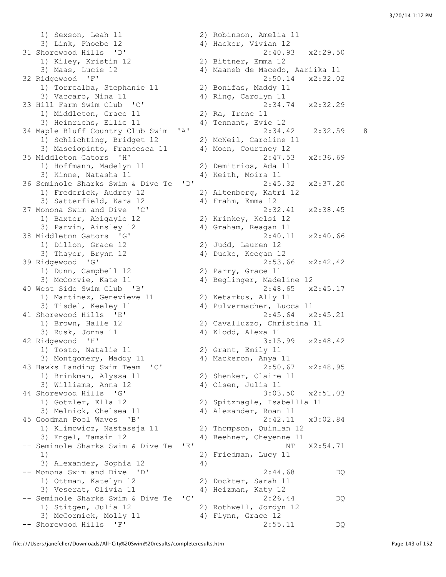1) Sexson, Leah 11 2) Robinson, Amelia 11 3) Link, Phoebe 12 4) Hacker, Vivian 12 31 Shorewood Hills 'D' 2:40.93 x2:29.50 norewood niistin 12<br>1) Kiley, Kristin 12 3) Maas, Lucie 12 4) Maaneb de Macedo, Aariika 11 32 Ridgewood 'F' 2:50.14 x2:32.02 1) Torrealba, Stephanie 11 2) Bonifas, Maddy 11 3) Vaccaro, Nina 11 4) Ring, Carolyn 11 33 Hill Farm Swim Club 'C' 2:34.74 x2:32.29 1) Middleton, Grace 11 2) Ra, Irene 11 3) Heinrichs, Ellie 11 4) Tennant, Evie 12 34 Maple Bluff Country Club Swim 'A' 2:34.42 2:32.59 8 1) Schlichting, Bridget 12 2) McNeil, Caroline 11 3) Masciopinto, Francesca 11 4) Moen, Courtney 12 35 Middleton Gators 'H' 2:47.53 x2:36.69 1) Hoffmann, Madelyn 11 2) Demitrios, Ada 11 3) Kinne, Natasha 11 4) Keith, Moira 11 36 Seminole Sharks Swim & Dive Te 'D' 2:45.32 x2:37.20 1) Frederick, Audrey 12 2) Altenberg, Katri 12 3) Satterfield, Kara 12 4) Frahm, Emma 12 37 Monona Swim and Dive 'C' 2:32.41 x2:38.45 1) Baxter, Abigayle 12 2) Krinkey, Kelsi 12 3) Parvin, Ainsley 12 4) Graham, Reagan 11 38 Middleton Gators 'G' 2:40.11 x2:40.66 1) Dillon, Grace 12 2) Judd, Lauren 12 3) Thayer, Brynn 12 4) Ducke, Keegan 12 39 Ridgewood 'G' 2:53.66 x2:42.42 1) Dunn, Campbell 12 2) Parry, Grace 11 3) McCorvie, Kate 11 4) Beglinger, Madeline 12 40 West Side Swim Club 'B' 2:48.65 x2:45.17 1) Martinez, Genevieve 11 2) Ketarkus, Ally 11 3) Tisdel, Keeley 11 4) Pulvermacher, Lucca 11 41 Shorewood Hills 'E' 2:45.64 x2:45.21 1) Brown, Halle 12 2) Cavalluzzo, Christina 11 3) Rusk, Jonna 11 4) Klodd, Alexa 11 42 Ridgewood 'H' 3:15.99 x2:48.42 1) Tosto, Natalie 11 2) Grant, Emily 11 3) Montgomery, Maddy 11  $\hskip1cm$  4) Mackeron, Anya 11 43 Hawks Landing Swim Team 'C' 2:50.67 x2:48.95 1) Brinkman, Alyssa 11 1) Brinkman, Alyssa 11 (2) Shenker, Claire 11<br>3) Williams, Anna 12 (4) Olsen, Julia 11 44 Shorewood Hills 'G' 3:03.50 x2:51.03 1) Gotzler, Ella 12 2) Spitznagle, Isabellla 11 3) Melnick, Chelsea 11 4) Alexander, Roan 11 45 Goodman Pool Waves 'B' 2:42.11 x3:02.84 1) Klimowicz, Nastassja 11 (2) Thompson, Quinlan 12<br>
3) Engel, Tamsin 12 (2) 4) Beehner, Cheyenne 11 4) Beehner, Cheyenne 11 -- Seminole Sharks Swim & Dive Te 'E' NT X2:54.71 1) 2) Friedman, Lucy 11 3) Alexander, Sophia 12 (4) -- Monona Swim and Dive 'D' 2:44.68 DQ<br>
2) Dockter, Sarah 11 1) Ottman, Katelyn 12 3) Veserat, Olivia 11 4) Heizman, Katy 12 -- Seminole Sharks Swim & Dive Te 'C' 2:26.44 DO 1) Stitgen, Julia 12 2) Rothwell, Jordyn 12 3) McCormick, Molly 11 4) Flynn, Grace 12 -- Shorewood Hills 'F' 2:55.11 DQ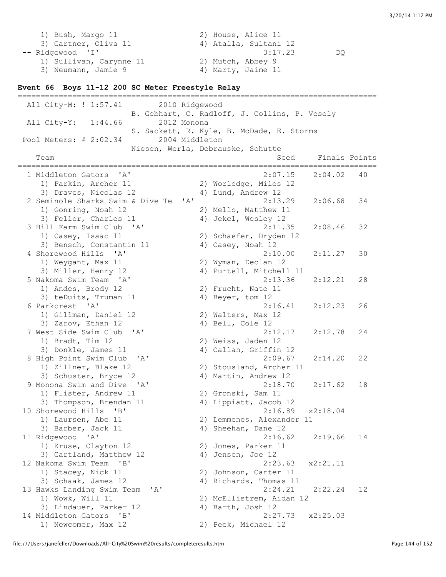1) Bush, Margo 11 2) House, Alice 11 3) Gartner, Oliva 11 (4) Atalla, Sultani 12 -- Ridgewood 'I' 3:17.23 DQ 1) Sullivan, Carynne 11 2) Mutch, Abbey 9 3) Neumann, Jamie 9 4) Marty, Jaime 11

#### **Event 66 Boys 11-12 200 SC Meter Freestyle Relay**

=============================================================================== All City-M: ! 1:57.41 2010 Ridgewood B. Gebhart, C. Radloff, J. Collins, P. Vesely All City-Y: 1:44.66 2012 Monona S. Sackett, R. Kyle, B. McDade, E. Storms Pool Meters: # 2:02.34 2004 Middleton Niesen, Werla, Debrauske, Schutte Team Seed Finals Points =============================================================================== 1 Middleton Gators 'A' 2:07.15 2:04.02 40 1) Parkin, Archer 11 2) Worledge, Miles 12 3) Draves, Nicolas 12 4) Lund, Andrew 12 2 Seminole Sharks Swim & Dive Te 'A' 2:13.29 2:06.68 34 1) Gonring, Noah 12 2) Mello, Matthew 11 3) Feller, Charles 11  $\qquad \qquad$  4) Jekel, Wesley 12 3 Hill Farm Swim Club 'A' 2:11.35 2:08.46 32 1) Casey, Isaac 11 2) Schaefer, Dryden 12 3) Bensch, Constantin 11 (4) Casey, Noah 12 4 Shorewood Hills 'A' 2:10.00 2:11.27 30 1) Weygant, Max 11 2) Wyman, Declan 12 3) Miller, Henry 12 4) Purtell, Mitchell 11 5 Nakoma Swim Team 'A' 2:13.36 2:12.21 28 1) Andes, Brody 12 2) Frucht, Nate 11 3) teDuits, Truman 11 4) Beyer, tom 12 6 Parkcrest 'A' 2:16.41 2:12.23 26 1) Gillman, Daniel 12 2) Walters, Max 12 3) Zarov, Ethan 12 4) Bell, Cole 12 7 West Side Swim Club 'A' 2:12.17 2:12.78 24 1) Bradt, Tim 12 2) Weiss, Jaden 12 3) Donkle, James 11 4) Callan, Griffin 12 8 High Point Swim Club 'A' 2:09.67 2:14.20 22 1) Zillner, Blake 12 2) Stousland, Archer 11 3) Schuster, Bryce 12 4) Martin, Andrew 12 9 Monona Swim and Dive 'A' 2:18.70 2:17.62 18 1) Flister, Andrew 11 2) Gronski, Sam 11 3) Thompson, Brendan 11 4) Lippiatt, Jacob 12 10 Shorewood Hills 'B' 2:16.89 x2:18.04 1) Laursen, Abe 11 2) Lemmenes, Alexander 11 3) Barber, Jack 11 4) Sheehan, Dane 12 11 Ridgewood 'A' 2:16.62 2:19.66 14 1) Kruse, Clayton 12 2) Jones, Parker 11 3) Gartland, Matthew 12 (4) Jensen, Joe 12 12 Nakoma Swim Team 'B' 2:23.63 x2:21.11 1) Stacey, Nick 11 2) Johnson, Carter 11 3) Schaak, James 12 4) Richards, Thomas 11 13 Hawks Landing Swim Team 'A' 2:24.21 2:22.24 12 1) Wowk, Will 11 2) McEllistrem, Aidan 12 3) Lindauer, Parker 12 (4) Barth, Josh 12 14 Middleton Gators 'B' 2:27.73 x2:25.03 1) Newcomer, Max 12 2) Peek, Michael 12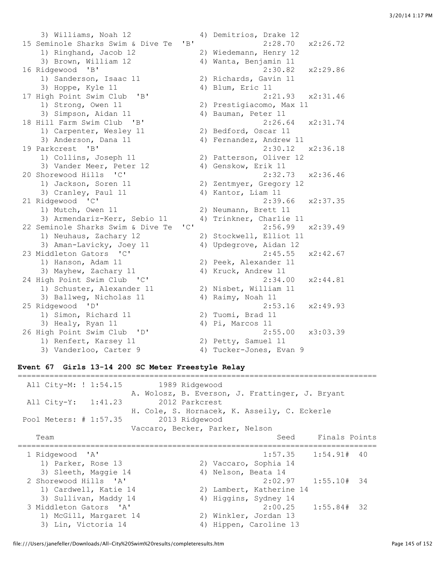3) Williams, Noah 12 4) Demitrios, Drake 12 15 Seminole Sharks Swim & Dive Te 'B' 2:28.70 x2:26.72 1) Ringhand, Jacob 12 2) Wiedemann, Henry 12 3) Brown, William 12 4) Wanta, Benjamin 11 16 Ridgewood 'B' 2:30.82 x2:29.86 1) Sanderson, Isaac 11 2) Richards, Gavin 11 3) Hoppe, Kyle 11 4) Blum, Eric 11 41 High Point Swim Club 'B' 41 Blum, Eric 11 17 High Point Swim Club 'B' 2:21.93 x2:31.46 1) Strong, Owen 11 2) Prestigiacomo, Max 11 3) Simpson, Aidan 11 4) Bauman, Peter 11 18 Hill Farm Swim Club 'B' 2:26.64 x2:31.74 1) Carpenter, Wesley 11 2) Bedford, Oscar 11 3) Anderson, Dana 11 4) Fernandez, Andrew 11 19 Parkcrest 'B' 2:30.12 x2:36.18 1) Collins, Joseph 11 2) Patterson, Oliver 12 3) Vander Meer, Peter 12 (4) Genskow, Erik 11 20 Shorewood Hills 'C' 2:32.73 x2:36.46 1) Jackson, Soren 11 2) Zentmyer, Gregory 12 3) Cranley, Paul 11 4) Kantor, Liam 11 21 Ridgewood 'C' 2:39.66 x2:37.35 1) Mutch, Owen 11 2) Neumann, Brett 11 3) Armendariz-Kerr, Sebio 11 4) Trinkner, Charlie 11 22 Seminole Sharks Swim & Dive Te 'C' 2:56.99 x2:39.49 1) Neuhaus, Zachary 12 2) Stockwell, Elliot 11 3) Aman-Lavicky, Joey 11 4) Updegrove, Aidan 12 23 Middleton Gators 'C' 2:45.55 x2:42.67 1) Hanson, Adam 11 2) Peek, Alexander 11 3) Mayhew, Zachary 11 4) Kruck, Andrew 11 24 High Point Swim Club 'C' 2:34.00 x2:44.81 1) Schuster, Alexander 11 2) Nisbet, William 11 3) Schuster, Alexander 11 (2) Nisbet, William 11<br>3) Ballweg, Nicholas 11 (4) Raimy, Noah 11 25 Ridgewood 'D' 2:53.16 x2:49.93 1) Simon, Richard 11 2) Tuomi, Brad 11 3) Healy, Ryan 11 (4) Pi, Marcos 11 26 High Point Swim Club 'D' 2:55.00 x3:03.39 1) Renfert, Karsey 11 2) Petty, Samuel 11 3) Vanderloo, Carter 9 4) Tucker-Jones, Evan 9

## **Event 67 Girls 13-14 200 SC Meter Freestyle Relay**

| All City-M: ! 1:54.15  | 1989 Ridgewood                                  |
|------------------------|-------------------------------------------------|
|                        | A. Wolosz, B. Everson, J. Frattinger, J. Bryant |
| All City-Y: 1:41.23    | 2012 Parkcrest                                  |
|                        | H. Cole, S. Hornacek, K. Asseily, C. Eckerle    |
| Pool Meters: # 1:57.35 | 2013 Ridgewood                                  |
|                        | Vaccaro, Becker, Parker, Nelson                 |
| Team                   | Seed Finals Points                              |
|                        |                                                 |
| 1 Ridgewood 'A'        | $1:57.35$ $1:54.91#$ 40                         |
| 1) Parker, Rose 13     | 2) Vaccaro, Sophia 14                           |
| 3) Sleeth, Maggie 14   | 4) Nelson, Beata 14                             |
| 2 Shorewood Hills 'A'  | $2:02.97$ $1:55.10#$ 34                         |
| 1) Cardwell, Katie 14  | 2) Lambert, Katherine 14                        |
| 3) Sullivan, Maddy 14  | Higgins, Sydney 14<br>4)                        |
| 3 Middleton Gators 'A' | 2:00.25<br>$1:55.84#$ 32                        |
| 1) McGill, Margaret 14 | 2) Winkler, Jordan 13                           |
| 3) Lin, Victoria 14    | Hippen, Caroline 13<br>4)                       |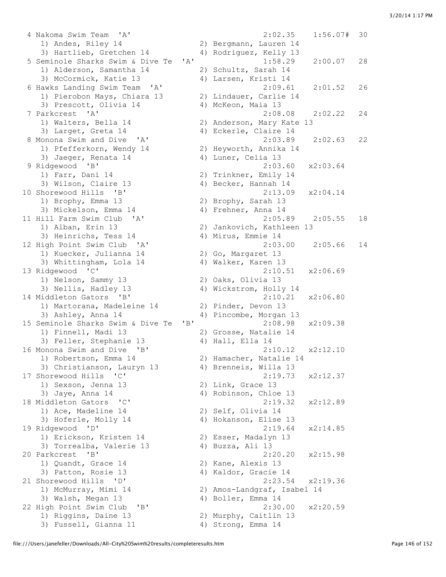4 Nakoma Swim Team 'A' 2:02.35 1:56.07# 30 1) Andes, Riley 14 2) Bergmann, Lauren 14 3) Hartlieb, Gretchen 14 4) Rodriguez, Kelly 13 5 Seminole Sharks Swim & Dive Te 'A' 1:58.29 2:00.07 28 1) Alderson, Samantha 14 2) Schultz, Sarah 14 3) McCormick, Katie 13 4) Larsen, Kristi 14 6 Hawks Landing Swim Team 'A' 2:09.61 2:01.52 26 1) Pierobon Mays, Chiara 13 2) Lindauer, Carlie 14 3) Prescott, Olivia 14 (4) McKeon, Maia 13<br>
3) Prescott, Olivia 14 (4) McKeon, Maia 13<br>
2:08.08 (2:02.22) 7 Parkcrest 'A' 2:08.08 2:02.22 24 1) Walters, Bella 14 2) Anderson, Mary Kate 13 3) Larget, Greta 14 4) Eckerle, Claire 14 8 Monona Swim and Dive 'A' 2:03.89 2:02.63 22 1) Pfefferkorn, Wendy 14 2) Heyworth, Annika 14 3) Jaeger, Renata 14 4) Luner, Celia 13 9 Ridgewood 'B' 2:03.60 x2:03.64 1) Farr, Dani 14 2) Trinkner, Emily 14 3) Wilson, Claire 13 4) Becker, Hannah 14 10 Shorewood Hills 'B' 2:13.09 x2:04.14 1) Brophy, Emma 13 2) Brophy, Sarah 13 3) Mickelson, Emma 14  $\hskip 4cm 4)$  Frehner, Anna 14 11 Hill Farm Swim Club 'A' 2:05.89 2:05.55 18 1) Alban, Erin 13 2) Jankovich, Kathleen 13 3) Heinrichs, Tess 14 4) Mirus, Emmie 14 12 High Point Swim Club 'A' 2:03.00 2:05.66 14 1) Kuecker, Julianna 14 2) Go, Margaret 13 3) Whittingham, Lola 14 (4) Walker, Karen 13 13 Ridgewood 'C' 2:10.51 x2:06.69 1) Nelson, Sammy 13 2) Oaks, Olivia 13 3) Nellis, Hadley 13 4) Wickstrom, Holly 14 14 Middleton Gators 'B' 2:10.21 x2:06.80 1) Martorana, Madeleine 14 2) Pinder, Devon 13 3) Ashley, Anna 14 4) Pincombe, Morgan 13 15 Seminole Sharks Swim & Dive Te 'B' 2:08.98 x2:09.38 1) Finnell, Madi 13 2) Grosse, Natalie 14 3) Feller, Stephanie 13 4) Hall, Ella 14 16 Monona Swim and Dive 'B' 2:10.12 x2:12.10<br>1) Robertson, Emma 14 2) Hamacher, Natalie 14 1) Robertson, Emma 14 2) Hamacher, Natalie 14 3) Christianson, Lauryn 13 4) Brenneis, Willa 13 17 Shorewood Hills 'C' 2:19.73 x2:12.37 1) Sexson, Jenna 13 2) Link, Grace 13 3) Jaye, Anna 14 4) Robinson, Chloe 13 18 Middleton Gators 'C' 2:19.32 x2:12.89 1) Ace, Madeline 14 2) Self, Olivia 14 3) Hoferle, Molly 14 4) Hokanson, Elise 13 19 Ridgewood 'D' 2:19.64 x2:14.85 1) Erickson, Kristen 14 2) Esser, Madalyn 13 3) Torrealba, Valerie 13 (4) Buzza, Ali 13 20 Parkcrest 'B' 2:20.20 x2:15.98 1) Quandt, Grace 14 2) Kane, Alexis 13 3) Patton, Rosie 13 4) Kaldor, Gracie 14 21 Shorewood Hills 'D' 2:23.54 x2:19.36 1) McMurray, Mimi 14 2) Amos-Landgraf, Isabel 14 3) Walsh, Megan 13 4) Boller, Emma 14 22 High Point Swim Club 'B' 2:30.00 x2:20.59 1) Riggins, Daine 13 2) Murphy, Caitlin 13 3) Fussell, Gianna 11  $\qquad \qquad \qquad$  4) Strong, Emma 14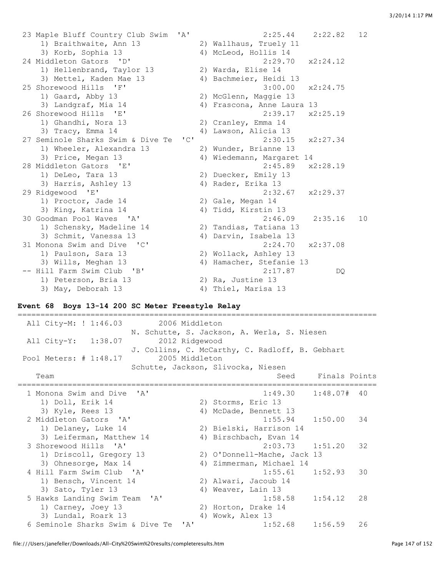23 Maple Bluff Country Club Swim 'A' 2:25.44 2:22.82 12 1) Braithwaite, Ann 13 3) Korb, Sophia 13 4) McLeod, Hollis 14 24 Middleton Gators 'D' 2:29.70 x2:24.12 1) Hellenbrand, Taylor 13 2) Warda, Elise 14 3) Mettel, Kaden Mae 13 4) Bachmeier, Heidi 13 25 Shorewood Hills 'F' 3:00.00 x2:24.75 1) Gaard, Abby 13 2) McGlenn, Maggie 13 3) Landgraf, Mia 14 4) Frascona, Anne Laura 13 26 Shorewood Hills 'E' 2:39.17 x2:25.19 1) Ghandhi, Nora 13 2) Cranley, Emma 14 3) Tracy, Emma 14 4) Lawson, Alicia 13 27 Seminole Sharks Swim & Dive Te 'C' 2:30.15 x2:27.34 1) Wheeler, Alexandra 13 2) Wunder, Brianne 13 3) Price, Megan 13 4) Wiedemann, Margaret 14 28 Middleton Gators 'E' 2:45.89 x2:28.19 1) DeLeo, Tara 13 2) Duecker, Emily 13 3) Harris, Ashley 13 4) Rader, Erika 13 29 Ridgewood 'E' 2:32.67 x2:29.37 1) Proctor, Jade 14 2) Gale, Megan 14 3) King, Katrina 14 4) Tidd, Kirstin 13 30 Goodman Pool Waves 'A' 2:46.09 2:35.16 10 1) Schensky, Madeline 14 2) Tandias, Tatiana 13 3) Schmit, Vanessa 13 4) Darvin, Isabela 13 31 Monona Swim and Dive 'C' 2:24.70 x2:37.08 1) Paulson, Sara 13 2) Wollack, Ashley 13 3) Wills, Meghan 13 4) Hamacher, Stefanie 13 1) Paulson, Sara 13<br>
3) Wills, Meghan 13<br>
-- Hill Farm Swim Club 'B' 2:17.87 DQ 1) Peterson, Bria 13 2) Ra, Justine 13 3) May, Deborah 13 4) Thiel, Marisa 13

## **Event 68 Boys 13-14 200 SC Meter Freestyle Relay**

=============================================================================== All City-M: ! 1:46.03 2006 Middleton N. Schutte, S. Jackson, A. Werla, S. Niesen All City-Y: 1:38.07 2012 Ridgewood J. Collins, C. McCarthy, C. Radloff, B. Gebhart Pool Meters: # 1:48.17 2005 Middleton Schutte, Jackson, Slivocka, Niesen Team Seed Finals Points =============================================================================== 1 Monona Swim and Dive 'A' 1:49.30 1:48.07# 40 1) Doll, Erik 14 2) Storms, Eric 13 3) Kyle, Rees 13 4) McDade, Bennett 13 2 Middleton Gators 'A' 1:55.94 1:50.00 34 1) Delaney, Luke 14 2) Bielski, Harrison 14 3) Leiferman, Matthew 14 4) Birschbach, Evan 14 3 Shorewood Hills 'A' 2:03.73 1:51.20 32 1) Driscoll, Gregory 13 2) O'Donnell-Mache, Jack 13 3) Ohnesorge, Max 14 4) Zimmerman, Michael 14 4 Hill Farm Swim Club 'A' 1:55.61 1:52.93 30 1) Bensch, Vincent 14 2) Alwari, Jacoub 14 3) Sato, Tyler 13 4) Weaver, Lain 13 5 Hawks Landing Swim Team 'A' 1:58.58 1:54.12 28 1:58.1 1:58.1 1:58.1 1:58.1 1:58.1 1:58.1<br>
1) Carney, Joey 13 2) Horton, Drake 14<br>
3) Lundal, Roark 13 11 11 11:58 11:58 3) Lundal, Roark 13 4) Wowk, Alex 13 6 Seminole Sharks Swim & Dive Te 'A' 1:52.68 1:56.59 26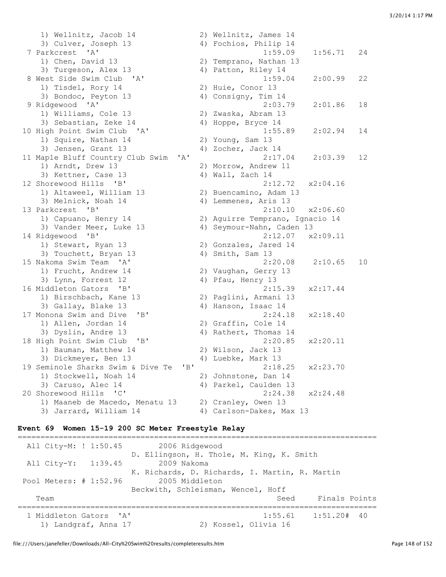1) Wellnitz, Jacob 14 2) Wellnitz, James 14 3) Culver, Joseph 13 4) Fochios, Philip 14 7 Parkcrest 'A' 1:59.09 1:56.71 24 1) Chen, David 13 2) Temprano, Nathan 13 3) Turgeson, Alex 13 4) Patton, Riley 14 8 West Side Swim Club 'A' 1:59.04 2:00.99 22 1) Tisdel, Rory 14 2) Huie, Conor 13 3) Bondoc, Peyton 13 4) Consigny, Tim 14 9 Ridgewood 'A' 2:03.79 2:01.86 18 1) Williams, Cole 13 2) Zwaska, Abram 13 3) Sebastian, Zeke 14  $\hskip 40pt 4$  Hoppe, Bryce 14 10 High Point Swim Club 'A' 1:55.89 2:02.94 14 1) Squire, Nathan 14 2) Young, Sam 13 3) Jensen, Grant 13 (1981) 4) Zocher, Jack 14<br>
Japle Bluff Country Club Swim (1981) 18, 19, 19, 19, 2:17.04 (1992) 2:03.39 11 Maple Bluff Country Club Swim 'A' 1) Arndt, Drew 13 2) Morrow, Andrew 11 3) Kettner, Case 13 4) Wall, Zach 14 12 Shorewood Hills 'B' 2:12.72 x2:04.16 1) Altaweel, William 13 2) Buencamino, Adam 13 3) Melnick, Noah 14 4) Lemmenes, Aris 13 13 Parkcrest 'B' 2:10.10 x2:06.60 1) Capuano, Henry 14 2) Aguirre Temprano, Ignacio 14 3) Vander Meer, Luke 13 4) Seymour-Nahn, Caden 13 14 Ridgewood 'B' 2:12.07 x2:09.11 1) Stewart, Ryan 13 2) Gonzales, Jared 14 3) Touchett, Bryan 13 4) Smith, Sam 13 15 Nakoma Swim Team 'A' 2:20.08 2:10.65 10 1) Frucht, Andrew 14 2) Vaughan, Gerry 13 1) Frucht, Andrew 14 (2) Vaughan, Gerry 13<br>3) Lynn, Forrest 12 (4) Pfau, Henry 13<br>16 Middleton Gators (B' (2:15.39) 16 Middleton Gators 'B' 2:15.39 x2:17.44 1) Birschbach, Kane 13 2) Paglini, Armani 13 3) Gallay, Blake 13 4) Hanson, Isaac 14 17 Monona Swim and Dive 'B' 2:24.18 x2:18.40 1) Allen, Jordan 14 2) Graffin, Cole 14 3) Dyslin, Andre 13 4) Rathert, Thomas 14 18 High Point Swim Club 'B' 2:20.85 x2:20.11 1) Bauman, Matthew 14 2) Wilson, Jack 13 2) Dickmeyer, Ben 13 (2) Milson, Jack 13<br>3) Dickmeyer, Ben 13 (4) Luebke, Mark 13 19 Seminole Sharks Swim & Dive Te 'B' 2:18.25 x2:23.70 1) Stockwell, Noah 14 2) Johnstone, Dan 14 3) Caruso, Alec 14 4) Parkel, Caulden 13 20 Shorewood Hills 'C' 2:24.38 x2:24.48 1) Maaneb de Macedo, Menatu 13 2) Cranley, Owen 13 3) Jarrard, William 14 4) Carlson-Dakes, Max 13

## **Event 69 Women 15-19 200 SC Meter Freestyle Relay**

=============================================================================== All City-M: ! 1:50.45 2006 Ridgewood D. Ellingson, H. Thole, M. King, K. Smith All City-Y: 1:39.45 2009 Nakoma K. Richards, D. Richards, I. Martin, R. Martin Pool Meters: # 1:52.96 2005 Middleton Beckwith, Schleisman, Wencel, Hoff Team Seed Finals Points =============================================================================== 1 Middleton Gators 'A' 1:55.61 1:51.20# 40 1) Landgraf, Anna 17 2) Kossel, Olivia 16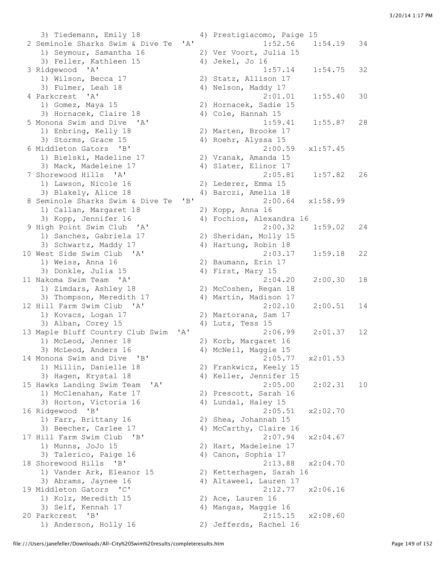3) Tiedemann, Emily 18 4) Prestigiacomo, Paige 15 2 Seminole Sharks Swim & Dive Te 'A' 1:52.56 1:54.19 34 1) Seymour, Samantha 16 2) Ver Voort, Julia 15 3) Feller, Kathleen 15 4) Jekel, Jo 16 3 Ridgewood 'A' 1:57.14 1:54.75 32 1) Wilson, Becca 17 2) Statz, Allison 17 3) Fulmer, Leah 18 4) Nelson, Maddy 17 4 Parkcrest 'A' 2:01.01 1:55.40 30 1) Gomez, Maya 15 2) Hornacek, Sadie 15 3) Hornacek, Claire 18 4) Cole, Hannah 15 5 Monona Swim and Dive 'A' 1:59.41 1:55.87 28 1) Enbring, Kelly 18 2) Marten, Brooke 17 3) Storms, Grace 15 (4) Roehr, Alyssa 15 6 Middleton Gators 'B' 2:00.59 x1:57.45 1) Bielski, Madeline 17 2) Vranak, Amanda 15 3) Mack, Madeleine 17 (4) Slater, Elinor 17 7 Shorewood Hills 'A' 2:05.81 1:57.82 26 1) Lawson, Nicole 16 2) Lederer, Emma 15 3) Blakely, Alice 18 4) Barczi, Amelia 18 8 Seminole Sharks Swim & Dive Te 'B' 2:00.64 x1:58.99 1) Callan, Margaret 18 2) Kopp, Anna 16 3) Kopp, Jennifer 16 4) Fochios, Alexandra 16<br>9 High Point Swim Club 'A' 2:00.32 9 High Point Swim Club 'A' 2:00.32 1:59.02 24 1) Sanchez, Gabriela 17 2) Sheridan, Molly 15 3) Schwartz, Maddy 17 4) Hartung, Robin 18 10 West Side Swim Club 'A' 2:03.17 1:59.18 22 1) Weiss, Anna 16 2) Baumann, Erin 17 3) Donkle, Julia 15 4) First, Mary 15 11 Nakoma Swim Team 'A' 2:04.20 2:00.30 18 1) Zimdars, Ashley 18 2) McCoshen, Regan 18 3) Thompson, Meredith 17 4) Martin, Madison 17 12 Hill Farm Swim Club 'A' 2:02.10 2:00.51 14 1) Kovacs, Logan 17 2) Martorana, Sam 17 3) Alban, Corey 15 4) Lutz, Tess 15 13 Maple Bluff Country Club Swim 'A' 2:06.99 2:01.37 12 1) McLeod, Jenner 18 2) Korb, Margaret 16<br>3) McLeod, Anders 16 4) McNeil, Maggie 15 14 Monona Swim and Dive 'B' 2:05.77 x2:01.53 1) Millin, Danielle 18 2) Frankwicz, Keely 15 3) Hagen, Krystal 18 4) Keller, Jennifer 15 15 Hawks Landing Swim Team 'A' 2:05.00 2:02.31 10 1) McClenahan, Kate 17 2) Prescott, Sarah 16 3) Horton, Victoria 16 (4) Lundal, Haley 15 16 Ridgewood 'B' 2:05.51 x2:02.70 1) Farr, Brittany 16 2) Shea, Johannah 15 3) Beecher, Carlee 17 4) McCarthy, Claire 16 17 Hill Farm Swim Club 'B' 2:07.94 x2:04.67 1) Munns, JoJo 15 2) Hart, Madeleine 17 3) Talerm Swim Club (B)<br>1) Munns, JoJo 15 (2) Hart, Madeleine 17<br>3) Talerico, Paige 16 (4) Canon, Sophia 17<br>11 18 Shorewood Hills 'B' 2:13.88 x2:04.70 1) Vander Ark, Eleanor 15 2) Ketterhagen, Sarah 16 3) Abrams, Jaynee 16 4) Altaweel, Lauren 17 19 Middleton Gators 'C' 2:12.77 x2:06.16 1) Kolz, Meredith 15 2) Ace, Lauren 16 3) Self, Kennah 17 4) Mangas, Maggie 16 20 Parkcrest 'B' 2:15.15 x2:08.60 1) Anderson, Holly 16 2) Jefferds, Rachel 16

4) McNeil, Maggie 15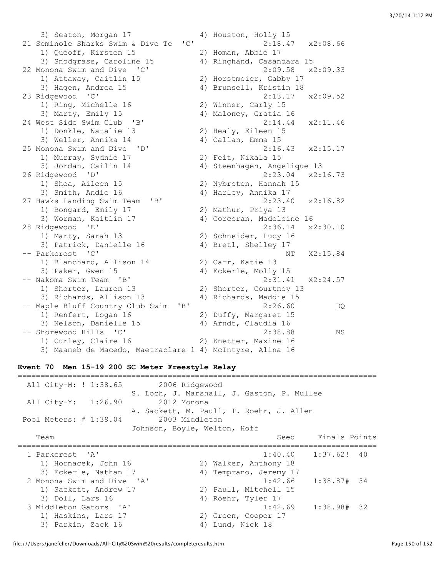3) Seaton, Morgan 17 4) Houston, Holly 15 21 Seminole Sharks Swim & Dive Te 'C' 2:18.47 x2:08.66 1) Queoff, Kirsten 15 2) Homan, Abbie 17 3) Snodgrass, Caroline 15 4) Ringhand, Casandara 15 22 Monona Swim and Dive 'C' 2:09.58 x2:09.33 1) Attaway, Caitlin 15 2) Horstmeier, Gabby 17 3) Hagen, Andrea 15 4) Brunsell, Kristin 18 23 Ridgewood 'C' 2:13.17 x2:09.52 1) Ring, Michelle 16 2) Winner, Carly 15<br>
3) Marty, Emily 15 3) Maloney, Gratia 16 3) Marty, Emily 15 4) Maloney, Gratia 16 24 West Side Swim Club 'B' 2:14.44 x2:11.46 1) Donkle, Natalie 13 2) Healy, Eileen 15 3) Weller, Annika 14 4) Callan, Emma 15 25 Monona Swim and Dive 'D' 2:16.43 x2:15.17 1) Murray, Sydnie 17 2) Feit, Nikala 15 3) Jordan, Cailin 14 4) Steenhagen, Angelique 13 26 Ridgewood 'D' 2:23.04 x2:16.73 1) Shea, Aileen 15 2) Nybroten, Hannah 15 3) Smith, Andie 16 4) Harley, Annika 17 27 Hawks Landing Swim Team 'B' 2:23.40 x2:16.82 1) Bongard, Emily 17 2) Mathur, Priya 13 3) Worman, Kaitlin 17 4) Corcoran, Madeleine 16 28 Ridgewood 'E' 2:36.14 x2:30.10 1) Marty, Sarah 13 2) Schneider, Lucy 16 3) Patrick, Danielle 16 4) Bretl, Shelley 17 -- Parkcrest 'C' NT X2:15.84 1) Blanchard, Allison 14 2) Carr, Katie 13 3) Paker, Gwen 15 4) Eckerle, Molly 15 -- Nakoma Swim Team 'B' 2:31.41 X2:24.57 1) Shorter, Lauren 13 2) Shorter, Courtney 13 3) Richards, Allison 13 4) Richards, Maddie 15 -- Maple Bluff Country Club Swim 'B' 2:26.60 DQ 1) Renfert, Logan 16 2) Duffy, Margaret 15 3) Nelson, Danielle 15 4) Arndt, Claudia 16 -- Shorewood Hills 'C' 2:38.88 NS 1) Curley, Claire 16 2) Knetter, Maxine 16 3) Maaneb de Macedo, Maetraclare 1 4) McIntyre, Alina 16

## **Event 70 Men 15-19 200 SC Meter Freestyle Relay**

| All City-M: ! 1:38.65<br>2006 Ridgewood  | S. Loch, J. Marshall, J. Gaston, P. Mullee |  |
|------------------------------------------|--------------------------------------------|--|
| All City-Y: 1:26.90<br>2012 Monona       |                                            |  |
|                                          | A. Sackett, M. Paull, T. Roehr, J. Allen   |  |
| 2003 Middleton<br>Pool Meters: # 1:39.04 |                                            |  |
| Johnson, Boyle, Welton, Hoff             |                                            |  |
| Team                                     | Seed Finals Points                         |  |
|                                          |                                            |  |
| 1 Parkcrest 'A'                          | $1:40.40$ $1:37.62!$ 40                    |  |
| 1) Hornacek, John 16                     | 2) Walker, Anthony 18                      |  |
| 3) Eckerle, Nathan 17                    | Temprano, Jeremy 17<br>4)                  |  |
| 2 Monona Swim and Dive 'A'               | $1:42.66$ $1:38.87#$ 34                    |  |
| 1) Sackett, Andrew 17                    | 2) Paull, Mitchell 15                      |  |
| 3) Doll, Lars 16                         | 4) Roehr, Tyler 17                         |  |
| 3 Middleton Gators 'A'                   | $1:42.69$ $1:38.98#$ 32                    |  |
| 1) Haskins, Lars 17                      | 2) Green, Cooper 17                        |  |
| 3) Parkin, Zack 16                       | Lund, Nick 18<br>4)                        |  |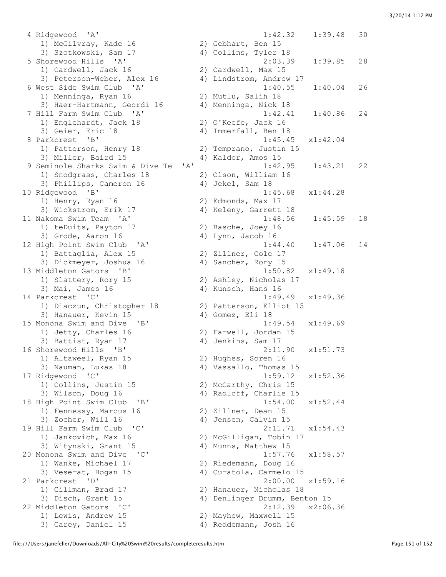4 Ridgewood 'A' 1:42.32 1:39.48 30 1) McGilvray, Kade 16 2) Gebhart, Ben 15 3) Szotkowski, Sam 17 4) Collins, Tyler 18 1) Cardwell, Jack 16 2) Cardwell, Max 15 3) Peterson-Weber, Alex 16 4) Lindstrom, Andrew 17 1) Menninga, Ryan 16 2) Mutlu, Salih 18 3) Haer-Hartmann, Geordi 16 4) Menninga, Nick 18 1) Englehardt, Jack 18 2) O'Keefe, Jack 16 3) Geier, Eric 18 4) Immerfall, Ben 18 1) Patterson, Henry 18 2) Temprano, Justin 15 3) Miller, Baird 15 4) Kaldor, Amos 15 1) Snodgrass, Charles 18 2) Olson, William 16 3) Phillips, Cameron 16 (4) Jekel, Sam 18 1) Henry, Ryan 16 2) Edmonds, Max 17 3) Wickstrom, Erik 17 4) Keleny, Garrett 18 1) teDuits, Payton 17 and 2) Basche, Joey 16 3) Grode, Aaron 16 4) Lynn, Jacob 16 1) Battaglia, Alex 15 2) Zillner, Cole 17 3) Dickmeyer, Joshua 16 4) Sanchez, Rory 15 1) Slattery, Rory 15 2) Ashley, Nicholas 17 3) Mai, James 16 4) Kunsch, Hans 16 1) Diaczun, Christopher 18 2) Patterson, Elliot 15 3) Hanauer, Kevin 15 4) Gomez, Eli 18 1) Jetty, Charles 16 2) Farwell, Jordan 15 3) Battist, Ryan 17 4) Jenkins, Sam 17 1) Altaweel, Ryan 15 2) Hughes, Soren 16 3) Nauman, Lukas 18 4) Vassallo, Thomas 15 1) Collins, Justin 15 2) McCarthy, Chris 15 3) Wilson, Doug 16 4) Radloff, Charlie 15 1) Fennessy, Marcus 16 2) Zillner, Dean 15 3) Zocher, Will 16 4) Jensen, Calvin 15 1) Jankovich, Max 16 2) McGilligan, Tobin 17 3) Witynski, Grant 15 4) Munns, Matthew 15 1) Wanke, Michael 17 2) Riedemann, Doug 16 3) Veserat, Hogan 15 4) Curatola, Carmelo 15 1) Gillman, Brad 17 2) Hanauer, Nicholas 18 3) Disch, Grant 15 4) Denlinger Drumm, Benton 15 1) Lewis, Andrew 15 2) Mayhew, Maxwell 15

```
 5 Shorewood Hills 'A' 2:03.39 1:39.85 28 
 6 West Side Swim Club 'A' 1:40.55 1:40.04 26 
 7 Hill Farm Swim Club 'A' 1:42.41 1:40.86 24 
  8 Parkcrest 'B' 1:45.45 x1:42.04 
  9 Seminole Sharks Swim & Dive Te 'A' 1:42.95 1:43.21 22 
10 Ridgewood 'B' 1:45.68 x1:44.28 
11 Nakoma Swim Team 'A' 1:48.56 1:45.59 18 
12 High Point Swim Club 'A' 1:44.40 1:47.06 14 
13 Middleton Gators 'B' 1:50.82 x1:49.18 
14 Parkcrest 'C' 1:49.49 x1:49.36 
15 Monona Swim and Dive 'B' 1:49.54 x1:49.69 
16 Shorewood Hills 'B' 2:11.90 x1:51.73 
17 Ridgewood 'C' 1:59.12 x1:52.36 
18 High Point Swim Club 'B' 1:54.00 x1:52.44 
19 Hill Farm Swim Club 'C' 2:11.71 x1:54.43 
20 Monona Swim and Dive 'C' 1:57.76 x1:58.57 
21 Parkcrest 'D' 2:00.00 x1:59.16 
22 Middleton Gators 'C' 2:12.39 x2:06.36 
 3) Carey, Daniel 15 4) Reddemann, Josh 16
```